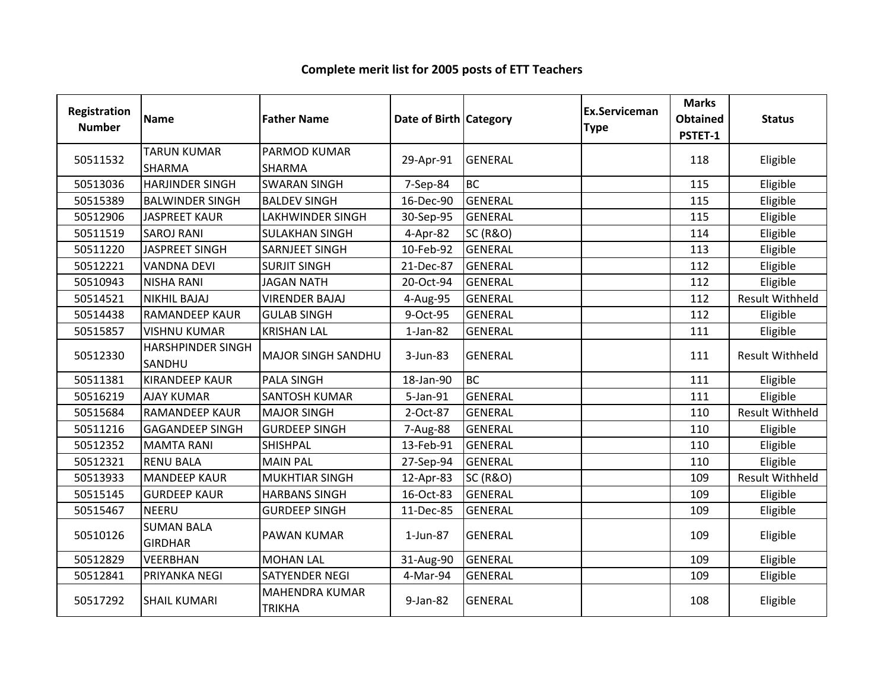| Registration<br><b>Number</b> | Name                                | <b>Father Name</b>                     | Date of Birth Category |                     | <b>Ex.Serviceman</b><br><b>Type</b> | <b>Marks</b><br><b>Obtained</b><br>PSTET-1 | <b>Status</b>          |
|-------------------------------|-------------------------------------|----------------------------------------|------------------------|---------------------|-------------------------------------|--------------------------------------------|------------------------|
| 50511532                      | <b>TARUN KUMAR</b><br><b>SHARMA</b> | PARMOD KUMAR<br><b>SHARMA</b>          | 29-Apr-91              | <b>GENERAL</b>      |                                     | 118                                        | Eligible               |
| 50513036                      | <b>HARJINDER SINGH</b>              | <b>SWARAN SINGH</b>                    | 7-Sep-84               | <b>BC</b>           |                                     | 115                                        | Eligible               |
| 50515389                      | <b>BALWINDER SINGH</b>              | <b>BALDEV SINGH</b>                    | 16-Dec-90              | <b>GENERAL</b>      |                                     | 115                                        | Eligible               |
| 50512906                      | <b>JASPREET KAUR</b>                | <b>LAKHWINDER SINGH</b>                | 30-Sep-95              | <b>GENERAL</b>      |                                     | 115                                        | Eligible               |
| 50511519                      | <b>SAROJ RANI</b>                   | <b>SULAKHAN SINGH</b>                  | 4-Apr-82               | <b>SC (R&amp;O)</b> |                                     | 114                                        | Eligible               |
| 50511220                      | <b>JASPREET SINGH</b>               | SARNJEET SINGH                         | 10-Feb-92              | <b>GENERAL</b>      |                                     | 113                                        | Eligible               |
| 50512221                      | <b>VANDNA DEVI</b>                  | <b>SURJIT SINGH</b>                    | 21-Dec-87              | <b>GENERAL</b>      |                                     | 112                                        | Eligible               |
| 50510943                      | <b>NISHA RANI</b>                   | <b>JAGAN NATH</b>                      | 20-Oct-94              | <b>GENERAL</b>      |                                     | 112                                        | Eligible               |
| 50514521                      | <b>NIKHIL BAJAJ</b>                 | <b>VIRENDER BAJAJ</b>                  | 4-Aug-95               | <b>GENERAL</b>      |                                     | 112                                        | <b>Result Withheld</b> |
| 50514438                      | <b>RAMANDEEP KAUR</b>               | <b>GULAB SINGH</b>                     | 9-Oct-95               | <b>GENERAL</b>      |                                     | 112                                        | Eligible               |
| 50515857                      | <b>VISHNU KUMAR</b>                 | <b>KRISHAN LAL</b>                     | $1-Jan-82$             | <b>GENERAL</b>      |                                     | 111                                        | Eligible               |
| 50512330                      | <b>HARSHPINDER SINGH</b><br>SANDHU  | <b>MAJOR SINGH SANDHU</b>              | 3-Jun-83               | <b>GENERAL</b>      |                                     | 111                                        | <b>Result Withheld</b> |
| 50511381                      | <b>KIRANDEEP KAUR</b>               | <b>PALA SINGH</b>                      | 18-Jan-90              | <b>BC</b>           |                                     | 111                                        | Eligible               |
| 50516219                      | <b>AJAY KUMAR</b>                   | <b>SANTOSH KUMAR</b>                   | 5-Jan-91               | <b>GENERAL</b>      |                                     | 111                                        | Eligible               |
| 50515684                      | <b>RAMANDEEP KAUR</b>               | <b>MAJOR SINGH</b>                     | 2-Oct-87               | <b>GENERAL</b>      |                                     | 110                                        | <b>Result Withheld</b> |
| 50511216                      | <b>GAGANDEEP SINGH</b>              | <b>GURDEEP SINGH</b>                   | 7-Aug-88               | <b>GENERAL</b>      |                                     | 110                                        | Eligible               |
| 50512352                      | <b>MAMTA RANI</b>                   | <b>SHISHPAL</b>                        | 13-Feb-91              | <b>GENERAL</b>      |                                     | 110                                        | Eligible               |
| 50512321                      | <b>RENU BALA</b>                    | <b>MAIN PAL</b>                        | 27-Sep-94              | <b>GENERAL</b>      |                                     | 110                                        | Eligible               |
| 50513933                      | <b>MANDEEP KAUR</b>                 | MUKHTIAR SINGH                         | 12-Apr-83              | <b>SC (R&amp;O)</b> |                                     | 109                                        | Result Withheld        |
| 50515145                      | <b>GURDEEP KAUR</b>                 | <b>HARBANS SINGH</b>                   | 16-Oct-83              | <b>GENERAL</b>      |                                     | 109                                        | Eligible               |
| 50515467                      | <b>NEERU</b>                        | <b>GURDEEP SINGH</b>                   | 11-Dec-85              | <b>GENERAL</b>      |                                     | 109                                        | Eligible               |
| 50510126                      | <b>SUMAN BALA</b><br><b>GIRDHAR</b> | <b>PAWAN KUMAR</b>                     | 1-Jun-87               | <b>GENERAL</b>      |                                     | 109                                        | Eligible               |
| 50512829                      | <b>VEERBHAN</b>                     | <b>MOHAN LAL</b>                       | 31-Aug-90              | <b>GENERAL</b>      |                                     | 109                                        | Eligible               |
| 50512841                      | PRIYANKA NEGI                       | <b>SATYENDER NEGI</b>                  | 4-Mar-94               | <b>GENERAL</b>      |                                     | 109                                        | Eligible               |
| 50517292                      | <b>SHAIL KUMARI</b>                 | <b>MAHENDRA KUMAR</b><br><b>TRIKHA</b> | 9-Jan-82               | <b>GENERAL</b>      |                                     | 108                                        | Eligible               |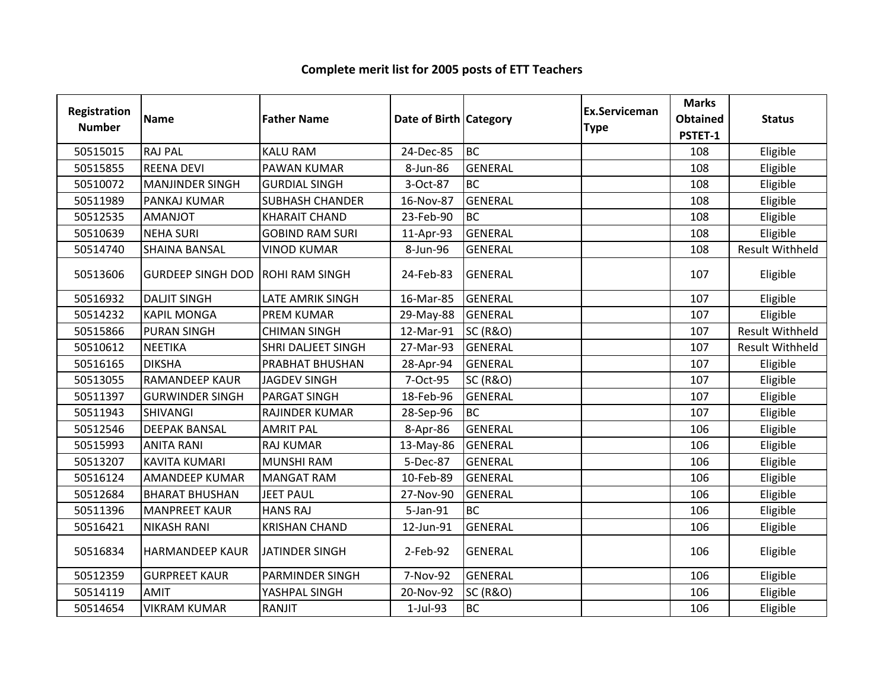| <b>Registration</b><br><b>Number</b> | <b>Name</b>              | <b>Father Name</b>        | Date of Birth Category |                     | Ex.Serviceman<br><b>Type</b> | <b>Marks</b><br><b>Obtained</b><br>PSTET-1 | <b>Status</b>          |
|--------------------------------------|--------------------------|---------------------------|------------------------|---------------------|------------------------------|--------------------------------------------|------------------------|
| 50515015                             | <b>RAJ PAL</b>           | <b>KALU RAM</b>           | 24-Dec-85              | <b>BC</b>           |                              | 108                                        | Eligible               |
| 50515855                             | <b>REENA DEVI</b>        | PAWAN KUMAR               | 8-Jun-86               | GENERAL             |                              | 108                                        | Eligible               |
| 50510072                             | <b>MANJINDER SINGH</b>   | <b>GURDIAL SINGH</b>      | 3-Oct-87               | <b>BC</b>           |                              | 108                                        | Eligible               |
| 50511989                             | PANKAJ KUMAR             | <b>SUBHASH CHANDER</b>    | 16-Nov-87              | GENERAL             |                              | 108                                        | Eligible               |
| 50512535                             | <b>AMANJOT</b>           | <b>KHARAIT CHAND</b>      | 23-Feb-90              | <b>BC</b>           |                              | 108                                        | Eligible               |
| 50510639                             | <b>NEHA SURI</b>         | <b>GOBIND RAM SURI</b>    | 11-Apr-93              | <b>GENERAL</b>      |                              | 108                                        | Eligible               |
| 50514740                             | <b>SHAINA BANSAL</b>     | <b>VINOD KUMAR</b>        | 8-Jun-96               | <b>GENERAL</b>      |                              | 108                                        | <b>Result Withheld</b> |
| 50513606                             | <b>GURDEEP SINGH DOD</b> | <b>ROHI RAM SINGH</b>     | 24-Feb-83              | <b>GENERAL</b>      |                              | 107                                        | Eligible               |
| 50516932                             | <b>DALJIT SINGH</b>      | <b>LATE AMRIK SINGH</b>   | 16-Mar-85              | GENERAL             |                              | 107                                        | Eligible               |
| 50514232                             | <b>KAPIL MONGA</b>       | <b>PREM KUMAR</b>         | 29-May-88              | <b>GENERAL</b>      |                              | 107                                        | Eligible               |
| 50515866                             | <b>PURAN SINGH</b>       | <b>CHIMAN SINGH</b>       | 12-Mar-91              | <b>SC (R&amp;O)</b> |                              | 107                                        | <b>Result Withheld</b> |
| 50510612                             | <b>NEETIKA</b>           | <b>SHRI DALJEET SINGH</b> | 27-Mar-93              | GENERAL             |                              | 107                                        | <b>Result Withheld</b> |
| 50516165                             | <b>DIKSHA</b>            | PRABHAT BHUSHAN           | 28-Apr-94              | <b>GENERAL</b>      |                              | 107                                        | Eligible               |
| 50513055                             | <b>RAMANDEEP KAUR</b>    | <b>JAGDEV SINGH</b>       | 7-Oct-95               | <b>SC (R&amp;O)</b> |                              | 107                                        | Eligible               |
| 50511397                             | <b>GURWINDER SINGH</b>   | PARGAT SINGH              | 18-Feb-96              | <b>GENERAL</b>      |                              | 107                                        | Eligible               |
| 50511943                             | <b>SHIVANGI</b>          | RAJINDER KUMAR            | 28-Sep-96              | <b>BC</b>           |                              | 107                                        | Eligible               |
| 50512546                             | <b>DEEPAK BANSAL</b>     | <b>AMRIT PAL</b>          | 8-Apr-86               | <b>GENERAL</b>      |                              | 106                                        | Eligible               |
| 50515993                             | <b>ANITA RANI</b>        | <b>RAJ KUMAR</b>          | 13-May-86              | GENERAL             |                              | 106                                        | Eligible               |
| 50513207                             | <b>KAVITA KUMARI</b>     | <b>MUNSHI RAM</b>         | 5-Dec-87               | <b>GENERAL</b>      |                              | 106                                        | Eligible               |
| 50516124                             | AMANDEEP KUMAR           | <b>MANGAT RAM</b>         | 10-Feb-89              | <b>GENERAL</b>      |                              | 106                                        | Eligible               |
| 50512684                             | <b>BHARAT BHUSHAN</b>    | <b>JEET PAUL</b>          | 27-Nov-90              | <b>GENERAL</b>      |                              | 106                                        | Eligible               |
| 50511396                             | <b>MANPREET KAUR</b>     | <b>HANS RAJ</b>           | 5-Jan-91               | <b>BC</b>           |                              | 106                                        | Eligible               |
| 50516421                             | <b>NIKASH RANI</b>       | <b>KRISHAN CHAND</b>      | 12-Jun-91              | <b>GENERAL</b>      |                              | 106                                        | Eligible               |
| 50516834                             | <b>HARMANDEEP KAUR</b>   | <b>JATINDER SINGH</b>     | 2-Feb-92               | <b>GENERAL</b>      |                              | 106                                        | Eligible               |
| 50512359                             | <b>GURPREET KAUR</b>     | PARMINDER SINGH           | 7-Nov-92               | <b>GENERAL</b>      |                              | 106                                        | Eligible               |
| 50514119                             | <b>AMIT</b>              | YASHPAL SINGH             | 20-Nov-92              | <b>SC (R&amp;O)</b> |                              | 106                                        | Eligible               |
| 50514654                             | <b>VIKRAM KUMAR</b>      | RANJIT                    | $1-Jul-93$             | <b>BC</b>           |                              | 106                                        | Eligible               |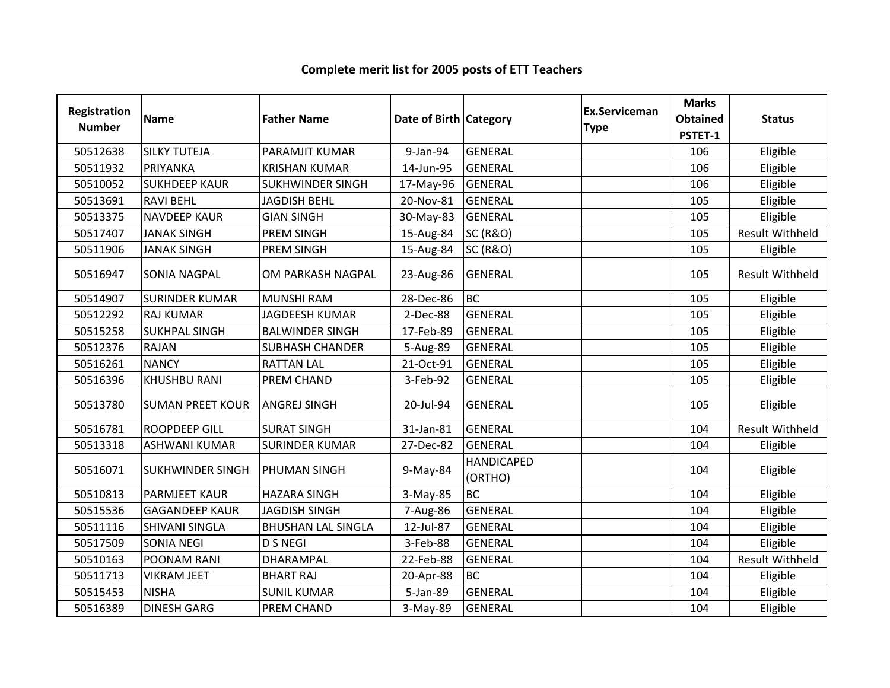| Registration<br><b>Number</b> | <b>Name</b>             | <b>Father Name</b>        | Date of Birth Category |                              | <b>Ex.Serviceman</b><br><b>Type</b> | <b>Marks</b><br><b>Obtained</b><br>PSTET-1 | <b>Status</b>          |
|-------------------------------|-------------------------|---------------------------|------------------------|------------------------------|-------------------------------------|--------------------------------------------|------------------------|
| 50512638                      | <b>SILKY TUTEJA</b>     | PARAMJIT KUMAR            | 9-Jan-94               | <b>GENERAL</b>               |                                     | 106                                        | Eligible               |
| 50511932                      | PRIYANKA                | <b>KRISHAN KUMAR</b>      | 14-Jun-95              | <b>GENERAL</b>               |                                     | 106                                        | Eligible               |
| 50510052                      | <b>SUKHDEEP KAUR</b>    | <b>SUKHWINDER SINGH</b>   | 17-May-96              | <b>GENERAL</b>               |                                     | 106                                        | Eligible               |
| 50513691                      | <b>RAVI BEHL</b>        | <b>JAGDISH BEHL</b>       | 20-Nov-81              | <b>GENERAL</b>               |                                     | 105                                        | Eligible               |
| 50513375                      | <b>NAVDEEP KAUR</b>     | <b>GIAN SINGH</b>         | 30-May-83              | <b>GENERAL</b>               |                                     | 105                                        | Eligible               |
| 50517407                      | <b>JANAK SINGH</b>      | PREM SINGH                | 15-Aug-84              | <b>SC (R&amp;O)</b>          |                                     | 105                                        | <b>Result Withheld</b> |
| 50511906                      | <b>JANAK SINGH</b>      | PREM SINGH                | 15-Aug-84              | <b>SC (R&amp;O)</b>          |                                     | 105                                        | Eligible               |
| 50516947                      | <b>SONIA NAGPAL</b>     | OM PARKASH NAGPAL         | 23-Aug-86              | <b>GENERAL</b>               |                                     | 105                                        | <b>Result Withheld</b> |
| 50514907                      | <b>SURINDER KUMAR</b>   | <b>MUNSHI RAM</b>         | 28-Dec-86              | <b>BC</b>                    |                                     | 105                                        | Eligible               |
| 50512292                      | <b>RAJ KUMAR</b>        | <b>JAGDEESH KUMAR</b>     | 2-Dec-88               | <b>GENERAL</b>               |                                     | 105                                        | Eligible               |
| 50515258                      | <b>SUKHPAL SINGH</b>    | <b>BALWINDER SINGH</b>    | 17-Feb-89              | <b>GENERAL</b>               |                                     | 105                                        | Eligible               |
| 50512376                      | <b>RAJAN</b>            | SUBHASH CHANDER           | 5-Aug-89               | <b>GENERAL</b>               |                                     | 105                                        | Eligible               |
| 50516261                      | <b>NANCY</b>            | <b>RATTAN LAL</b>         | 21-Oct-91              | <b>GENERAL</b>               |                                     | 105                                        | Eligible               |
| 50516396                      | <b>KHUSHBU RANI</b>     | PREM CHAND                | 3-Feb-92               | <b>GENERAL</b>               |                                     | 105                                        | Eligible               |
| 50513780                      | <b>SUMAN PREET KOUR</b> | <b>ANGREJ SINGH</b>       | 20-Jul-94              | <b>GENERAL</b>               |                                     | 105                                        | Eligible               |
| 50516781                      | <b>ROOPDEEP GILL</b>    | <b>SURAT SINGH</b>        | 31-Jan-81              | <b>GENERAL</b>               |                                     | 104                                        | <b>Result Withheld</b> |
| 50513318                      | <b>ASHWANI KUMAR</b>    | <b>SURINDER KUMAR</b>     | 27-Dec-82              | <b>GENERAL</b>               |                                     | 104                                        | Eligible               |
| 50516071                      | <b>SUKHWINDER SINGH</b> | PHUMAN SINGH              | 9-May-84               | <b>HANDICAPED</b><br>(ORTHO) |                                     | 104                                        | Eligible               |
| 50510813                      | <b>PARMJEET KAUR</b>    | <b>HAZARA SINGH</b>       | 3-May-85               | <b>BC</b>                    |                                     | 104                                        | Eligible               |
| 50515536                      | <b>GAGANDEEP KAUR</b>   | <b>JAGDISH SINGH</b>      | 7-Aug-86               | <b>GENERAL</b>               |                                     | 104                                        | Eligible               |
| 50511116                      | <b>SHIVANI SINGLA</b>   | <b>BHUSHAN LAL SINGLA</b> | 12-Jul-87              | <b>GENERAL</b>               |                                     | 104                                        | Eligible               |
| 50517509                      | <b>SONIA NEGI</b>       | <b>D S NEGI</b>           | 3-Feb-88               | <b>GENERAL</b>               |                                     | 104                                        | Eligible               |
| 50510163                      | POONAM RANI             | DHARAMPAL                 | 22-Feb-88              | <b>GENERAL</b>               |                                     | 104                                        | <b>Result Withheld</b> |
| 50511713                      | <b>VIKRAM JEET</b>      | <b>BHART RAJ</b>          | 20-Apr-88              | <b>BC</b>                    |                                     | 104                                        | Eligible               |
| 50515453                      | <b>NISHA</b>            | <b>SUNIL KUMAR</b>        | 5-Jan-89               | <b>GENERAL</b>               |                                     | 104                                        | Eligible               |
| 50516389                      | <b>DINESH GARG</b>      | PREM CHAND                | 3-May-89               | <b>GENERAL</b>               |                                     | 104                                        | Eligible               |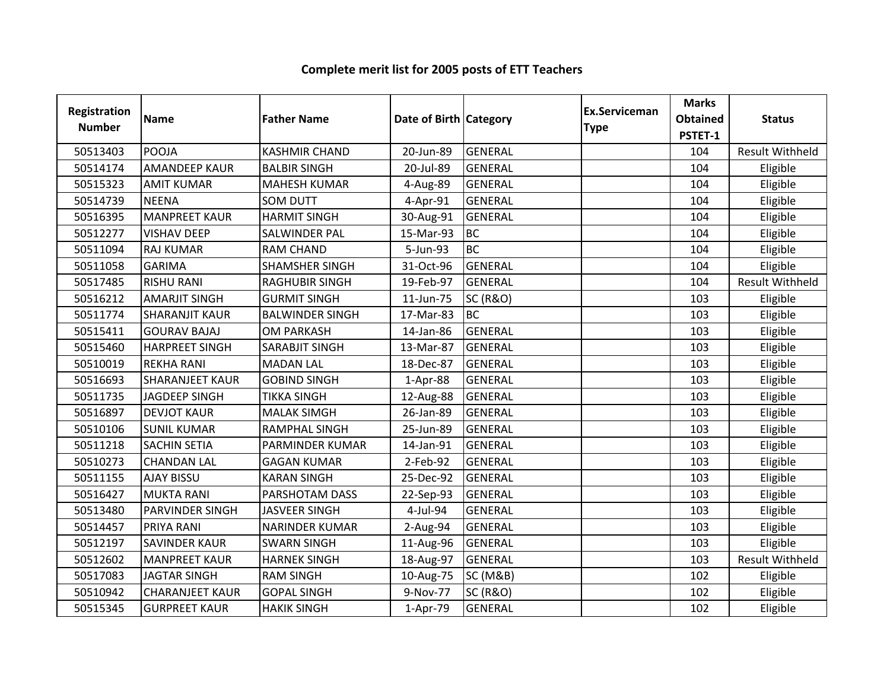| Registration<br><b>Number</b> | <b>Name</b>            | <b>Father Name</b>     | Date of Birth Category |                     | <b>Ex.Serviceman</b><br><b>Type</b> | <b>Marks</b><br><b>Obtained</b><br>PSTET-1 | <b>Status</b>          |
|-------------------------------|------------------------|------------------------|------------------------|---------------------|-------------------------------------|--------------------------------------------|------------------------|
| 50513403                      | POOJA                  | <b>KASHMIR CHAND</b>   | 20-Jun-89              | <b>GENERAL</b>      |                                     | 104                                        | <b>Result Withheld</b> |
| 50514174                      | <b>AMANDEEP KAUR</b>   | <b>BALBIR SINGH</b>    | 20-Jul-89              | <b>GENERAL</b>      |                                     | 104                                        | Eligible               |
| 50515323                      | <b>AMIT KUMAR</b>      | <b>MAHESH KUMAR</b>    | 4-Aug-89               | <b>GENERAL</b>      |                                     | 104                                        | Eligible               |
| 50514739                      | <b>NEENA</b>           | <b>SOM DUTT</b>        | 4-Apr-91               | <b>GENERAL</b>      |                                     | 104                                        | Eligible               |
| 50516395                      | <b>MANPREET KAUR</b>   | <b>HARMIT SINGH</b>    | 30-Aug-91              | <b>GENERAL</b>      |                                     | 104                                        | Eligible               |
| 50512277                      | <b>VISHAV DEEP</b>     | SALWINDER PAL          | 15-Mar-93              | <b>BC</b>           |                                     | 104                                        | Eligible               |
| 50511094                      | <b>RAJ KUMAR</b>       | <b>RAM CHAND</b>       | 5-Jun-93               | <b>BC</b>           |                                     | 104                                        | Eligible               |
| 50511058                      | <b>GARIMA</b>          | <b>SHAMSHER SINGH</b>  | 31-Oct-96              | GENERAL             |                                     | 104                                        | Eligible               |
| 50517485                      | <b>RISHU RANI</b>      | <b>RAGHUBIR SINGH</b>  | 19-Feb-97              | <b>GENERAL</b>      |                                     | 104                                        | <b>Result Withheld</b> |
| 50516212                      | <b>AMARJIT SINGH</b>   | <b>GURMIT SINGH</b>    | 11-Jun-75              | <b>SC (R&amp;O)</b> |                                     | 103                                        | Eligible               |
| 50511774                      | <b>SHARANJIT KAUR</b>  | <b>BALWINDER SINGH</b> | 17-Mar-83              | <b>BC</b>           |                                     | 103                                        | Eligible               |
| 50515411                      | <b>GOURAV BAJAJ</b>    | <b>OM PARKASH</b>      | 14-Jan-86              | <b>GENERAL</b>      |                                     | 103                                        | Eligible               |
| 50515460                      | <b>HARPREET SINGH</b>  | SARABJIT SINGH         | 13-Mar-87              | <b>GENERAL</b>      |                                     | 103                                        | Eligible               |
| 50510019                      | <b>REKHA RANI</b>      | <b>MADAN LAL</b>       | 18-Dec-87              | <b>GENERAL</b>      |                                     | 103                                        | Eligible               |
| 50516693                      | <b>SHARANJEET KAUR</b> | <b>GOBIND SINGH</b>    | 1-Apr-88               | <b>GENERAL</b>      |                                     | 103                                        | Eligible               |
| 50511735                      | <b>JAGDEEP SINGH</b>   | <b>TIKKA SINGH</b>     | 12-Aug-88              | <b>GENERAL</b>      |                                     | 103                                        | Eligible               |
| 50516897                      | <b>DEVJOT KAUR</b>     | <b>MALAK SIMGH</b>     | 26-Jan-89              | GENERAL             |                                     | 103                                        | Eligible               |
| 50510106                      | <b>SUNIL KUMAR</b>     | <b>RAMPHAL SINGH</b>   | 25-Jun-89              | <b>GENERAL</b>      |                                     | 103                                        | Eligible               |
| 50511218                      | <b>SACHIN SETIA</b>    | PARMINDER KUMAR        | 14-Jan-91              | <b>GENERAL</b>      |                                     | 103                                        | Eligible               |
| 50510273                      | <b>CHANDAN LAL</b>     | <b>GAGAN KUMAR</b>     | 2-Feb-92               | <b>GENERAL</b>      |                                     | 103                                        | Eligible               |
| 50511155                      | <b>AJAY BISSU</b>      | <b>KARAN SINGH</b>     | 25-Dec-92              | <b>GENERAL</b>      |                                     | 103                                        | Eligible               |
| 50516427                      | <b>MUKTA RANI</b>      | PARSHOTAM DASS         | 22-Sep-93              | <b>GENERAL</b>      |                                     | 103                                        | Eligible               |
| 50513480                      | PARVINDER SINGH        | <b>JASVEER SINGH</b>   | 4-Jul-94               | <b>GENERAL</b>      |                                     | 103                                        | Eligible               |
| 50514457                      | <b>PRIYA RANI</b>      | <b>NARINDER KUMAR</b>  | 2-Aug-94               | <b>GENERAL</b>      |                                     | 103                                        | Eligible               |
| 50512197                      | <b>SAVINDER KAUR</b>   | <b>SWARN SINGH</b>     | 11-Aug-96              | <b>GENERAL</b>      |                                     | 103                                        | Eligible               |
| 50512602                      | <b>MANPREET KAUR</b>   | <b>HARNEK SINGH</b>    | 18-Aug-97              | <b>GENERAL</b>      |                                     | 103                                        | <b>Result Withheld</b> |
| 50517083                      | <b>JAGTAR SINGH</b>    | <b>RAM SINGH</b>       | 10-Aug-75              | <b>SC (M&amp;B)</b> |                                     | 102                                        | Eligible               |
| 50510942                      | <b>CHARANJEET KAUR</b> | <b>GOPAL SINGH</b>     | 9-Nov-77               | <b>SC (R&amp;O)</b> |                                     | 102                                        | Eligible               |
| 50515345                      | <b>GURPREET KAUR</b>   | <b>HAKIK SINGH</b>     | 1-Apr-79               | <b>GENERAL</b>      |                                     | 102                                        | Eligible               |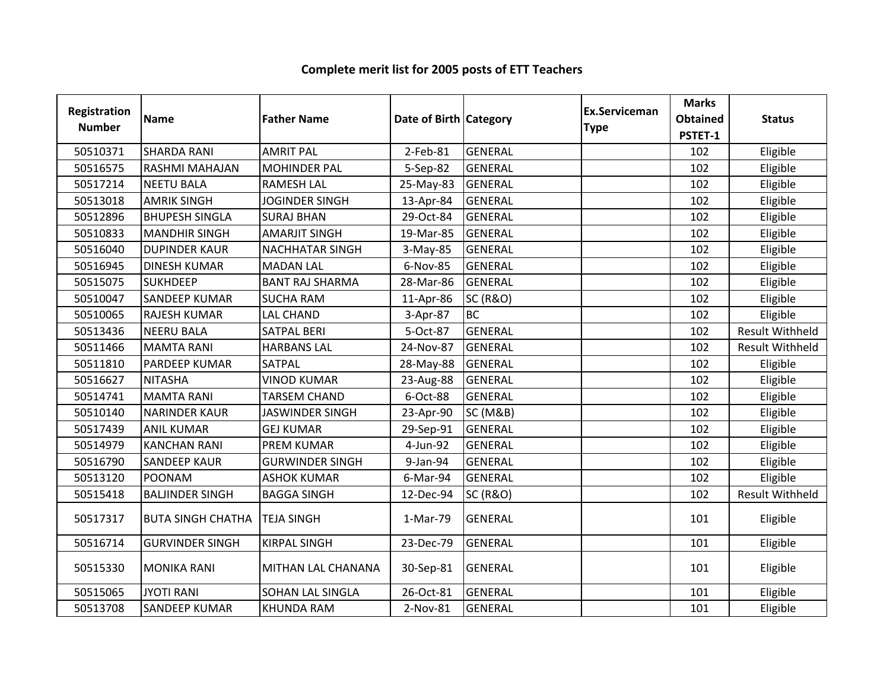| <b>Registration</b><br><b>Number</b> | <b>Name</b>              | <b>Father Name</b>     | Date of Birth Category |                     | <b>Ex.Serviceman</b><br><b>Type</b> | <b>Marks</b><br><b>Obtained</b><br>PSTET-1 | <b>Status</b>          |
|--------------------------------------|--------------------------|------------------------|------------------------|---------------------|-------------------------------------|--------------------------------------------|------------------------|
| 50510371                             | <b>SHARDA RANI</b>       | <b>AMRIT PAL</b>       | 2-Feb-81               | <b>GENERAL</b>      |                                     | 102                                        | Eligible               |
| 50516575                             | RASHMI MAHAJAN           | <b>MOHINDER PAL</b>    | 5-Sep-82               | <b>GENERAL</b>      |                                     | 102                                        | Eligible               |
| 50517214                             | <b>NEETU BALA</b>        | <b>RAMESH LAL</b>      | 25-May-83              | <b>GENERAL</b>      |                                     | 102                                        | Eligible               |
| 50513018                             | <b>AMRIK SINGH</b>       | <b>JOGINDER SINGH</b>  | 13-Apr-84              | <b>GENERAL</b>      |                                     | 102                                        | Eligible               |
| 50512896                             | <b>BHUPESH SINGLA</b>    | <b>SURAJ BHAN</b>      | 29-Oct-84              | <b>GENERAL</b>      |                                     | 102                                        | Eligible               |
| 50510833                             | <b>MANDHIR SINGH</b>     | <b>AMARJIT SINGH</b>   | 19-Mar-85              | <b>GENERAL</b>      |                                     | 102                                        | Eligible               |
| 50516040                             | <b>DUPINDER KAUR</b>     | <b>NACHHATAR SINGH</b> | 3-May-85               | <b>GENERAL</b>      |                                     | 102                                        | Eligible               |
| 50516945                             | <b>DINESH KUMAR</b>      | <b>MADAN LAL</b>       | 6-Nov-85               | <b>GENERAL</b>      |                                     | 102                                        | Eligible               |
| 50515075                             | <b>SUKHDEEP</b>          | <b>BANT RAJ SHARMA</b> | 28-Mar-86              | <b>GENERAL</b>      |                                     | 102                                        | Eligible               |
| 50510047                             | <b>SANDEEP KUMAR</b>     | <b>SUCHA RAM</b>       | 11-Apr-86              | <b>SC (R&amp;O)</b> |                                     | 102                                        | Eligible               |
| 50510065                             | <b>RAJESH KUMAR</b>      | <b>LAL CHAND</b>       | 3-Apr-87               | <b>BC</b>           |                                     | 102                                        | Eligible               |
| 50513436                             | <b>NEERU BALA</b>        | <b>SATPAL BERI</b>     | 5-Oct-87               | <b>GENERAL</b>      |                                     | 102                                        | <b>Result Withheld</b> |
| 50511466                             | <b>MAMTA RANI</b>        | <b>HARBANS LAL</b>     | 24-Nov-87              | <b>GENERAL</b>      |                                     | 102                                        | Result Withheld        |
| 50511810                             | <b>PARDEEP KUMAR</b>     | <b>SATPAL</b>          | 28-May-88              | <b>GENERAL</b>      |                                     | 102                                        | Eligible               |
| 50516627                             | <b>NITASHA</b>           | <b>VINOD KUMAR</b>     | 23-Aug-88              | <b>GENERAL</b>      |                                     | 102                                        | Eligible               |
| 50514741                             | <b>MAMTA RANI</b>        | <b>TARSEM CHAND</b>    | 6-Oct-88               | <b>GENERAL</b>      |                                     | 102                                        | Eligible               |
| 50510140                             | <b>NARINDER KAUR</b>     | <b>JASWINDER SINGH</b> | 23-Apr-90              | <b>SC (M&amp;B)</b> |                                     | 102                                        | Eligible               |
| 50517439                             | <b>ANIL KUMAR</b>        | <b>GEJ KUMAR</b>       | 29-Sep-91              | <b>GENERAL</b>      |                                     | 102                                        | Eligible               |
| 50514979                             | <b>KANCHAN RANI</b>      | <b>PREM KUMAR</b>      | 4-Jun-92               | <b>GENERAL</b>      |                                     | 102                                        | Eligible               |
| 50516790                             | <b>SANDEEP KAUR</b>      | <b>GURWINDER SINGH</b> | 9-Jan-94               | <b>GENERAL</b>      |                                     | 102                                        | Eligible               |
| 50513120                             | POONAM                   | <b>ASHOK KUMAR</b>     | 6-Mar-94               | <b>GENERAL</b>      |                                     | 102                                        | Eligible               |
| 50515418                             | <b>BALJINDER SINGH</b>   | <b>BAGGA SINGH</b>     | 12-Dec-94              | <b>SC (R&amp;O)</b> |                                     | 102                                        | <b>Result Withheld</b> |
| 50517317                             | <b>BUTA SINGH CHATHA</b> | <b>TEJA SINGH</b>      | 1-Mar-79               | <b>GENERAL</b>      |                                     | 101                                        | Eligible               |
| 50516714                             | <b>GURVINDER SINGH</b>   | <b>KIRPAL SINGH</b>    | 23-Dec-79              | <b>GENERAL</b>      |                                     | 101                                        | Eligible               |
| 50515330                             | <b>MONIKA RANI</b>       | MITHAN LAL CHANANA     | 30-Sep-81              | <b>GENERAL</b>      |                                     | 101                                        | Eligible               |
| 50515065                             | <b>JYOTI RANI</b>        | SOHAN LAL SINGLA       | 26-Oct-81              | <b>GENERAL</b>      |                                     | 101                                        | Eligible               |
| 50513708                             | <b>SANDEEP KUMAR</b>     | <b>KHUNDA RAM</b>      | 2-Nov-81               | <b>GENERAL</b>      |                                     | 101                                        | Eligible               |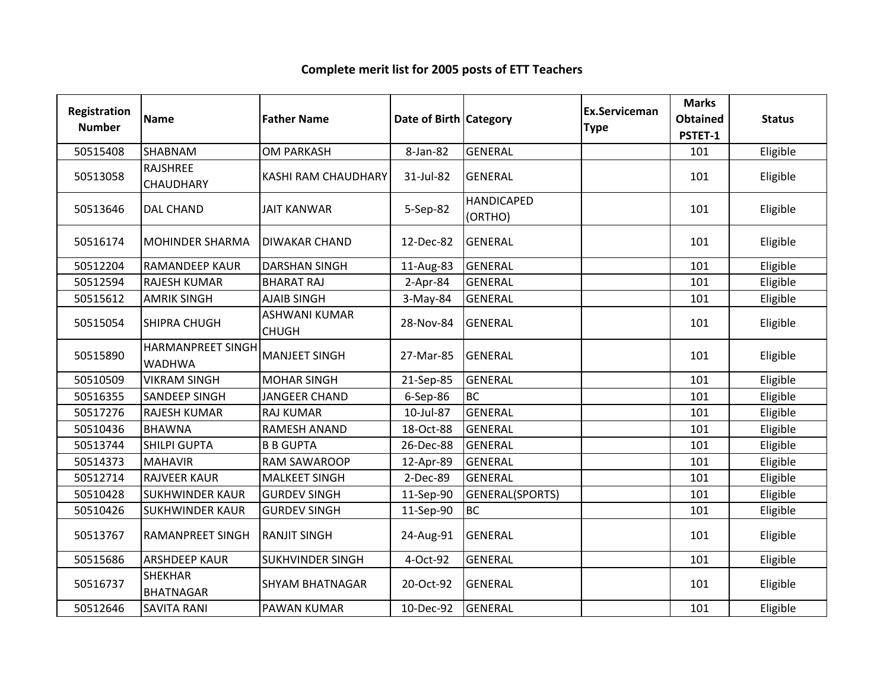| Registration<br><b>Number</b> | <b>Name</b>                        | <b>Father Name</b>                   | Date of Birth Category |                              | <b>Ex.Serviceman</b><br><b>Type</b> | <b>Marks</b><br><b>Obtained</b><br>PSTET-1 | <b>Status</b> |
|-------------------------------|------------------------------------|--------------------------------------|------------------------|------------------------------|-------------------------------------|--------------------------------------------|---------------|
| 50515408                      | <b>SHABNAM</b>                     | <b>OM PARKASH</b>                    | 8-Jan-82               | <b>GENERAL</b>               |                                     | 101                                        | Eligible      |
| 50513058                      | <b>RAJSHREE</b><br>CHAUDHARY       | <b>KASHI RAM CHAUDHARY</b>           | 31-Jul-82              | <b>GENERAL</b>               |                                     | 101                                        | Eligible      |
| 50513646                      | <b>DAL CHAND</b>                   | <b>JAIT KANWAR</b>                   | 5-Sep-82               | <b>HANDICAPED</b><br>(ORTHO) |                                     | 101                                        | Eligible      |
| 50516174                      | <b>MOHINDER SHARMA</b>             | <b>DIWAKAR CHAND</b>                 | 12-Dec-82              | <b>GENERAL</b>               |                                     | 101                                        | Eligible      |
| 50512204                      | <b>RAMANDEEP KAUR</b>              | <b>DARSHAN SINGH</b>                 | 11-Aug-83              | <b>GENERAL</b>               |                                     | 101                                        | Eligible      |
| 50512594                      | <b>RAJESH KUMAR</b>                | <b>BHARAT RAJ</b>                    | $2$ -Apr-84            | <b>GENERAL</b>               |                                     | 101                                        | Eligible      |
| 50515612                      | <b>AMRIK SINGH</b>                 | <b>AJAIB SINGH</b>                   | 3-May-84               | <b>GENERAL</b>               |                                     | 101                                        | Eligible      |
| 50515054                      | <b>SHIPRA CHUGH</b>                | <b>ASHWANI KUMAR</b><br><b>CHUGH</b> | 28-Nov-84              | GENERAL                      |                                     | 101                                        | Eligible      |
| 50515890                      | HARMANPREET SINGH<br><b>WADHWA</b> | <b>MANJEET SINGH</b>                 | 27-Mar-85              | <b>GENERAL</b>               |                                     | 101                                        | Eligible      |
| 50510509                      | <b>VIKRAM SINGH</b>                | <b>MOHAR SINGH</b>                   | 21-Sep-85              | <b>GENERAL</b>               |                                     | 101                                        | Eligible      |
| 50516355                      | <b>SANDEEP SINGH</b>               | <b>JANGEER CHAND</b>                 | 6-Sep-86               | <b>BC</b>                    |                                     | 101                                        | Eligible      |
| 50517276                      | <b>RAJESH KUMAR</b>                | <b>RAJ KUMAR</b>                     | 10-Jul-87              | <b>GENERAL</b>               |                                     | 101                                        | Eligible      |
| 50510436                      | <b>BHAWNA</b>                      | <b>RAMESH ANAND</b>                  | 18-Oct-88              | <b>GENERAL</b>               |                                     | 101                                        | Eligible      |
| 50513744                      | <b>SHILPI GUPTA</b>                | <b>B B GUPTA</b>                     | 26-Dec-88              | <b>GENERAL</b>               |                                     | 101                                        | Eligible      |
| 50514373                      | <b>MAHAVIR</b>                     | <b>RAM SAWAROOP</b>                  | 12-Apr-89              | <b>GENERAL</b>               |                                     | 101                                        | Eligible      |
| 50512714                      | <b>RAJVEER KAUR</b>                | <b>MALKEET SINGH</b>                 | 2-Dec-89               | <b>GENERAL</b>               |                                     | 101                                        | Eligible      |
| 50510428                      | <b>SUKHWINDER KAUR</b>             | <b>GURDEV SINGH</b>                  | 11-Sep-90              | GENERAL(SPORTS)              |                                     | 101                                        | Eligible      |
| 50510426                      | <b>SUKHWINDER KAUR</b>             | <b>GURDEV SINGH</b>                  | 11-Sep-90              | <b>BC</b>                    |                                     | 101                                        | Eligible      |
| 50513767                      | <b>RAMANPREET SINGH</b>            | <b>RANJIT SINGH</b>                  | 24-Aug-91              | <b>GENERAL</b>               |                                     | 101                                        | Eligible      |
| 50515686                      | <b>ARSHDEEP KAUR</b>               | <b>SUKHVINDER SINGH</b>              | 4-Oct-92               | <b>GENERAL</b>               |                                     | 101                                        | Eligible      |
| 50516737                      | <b>SHEKHAR</b><br><b>BHATNAGAR</b> | <b>SHYAM BHATNAGAR</b>               | 20-Oct-92              | <b>GENERAL</b>               |                                     | 101                                        | Eligible      |
| 50512646                      | <b>SAVITA RANI</b>                 | <b>PAWAN KUMAR</b>                   | 10-Dec-92              | <b>GENERAL</b>               |                                     | 101                                        | Eligible      |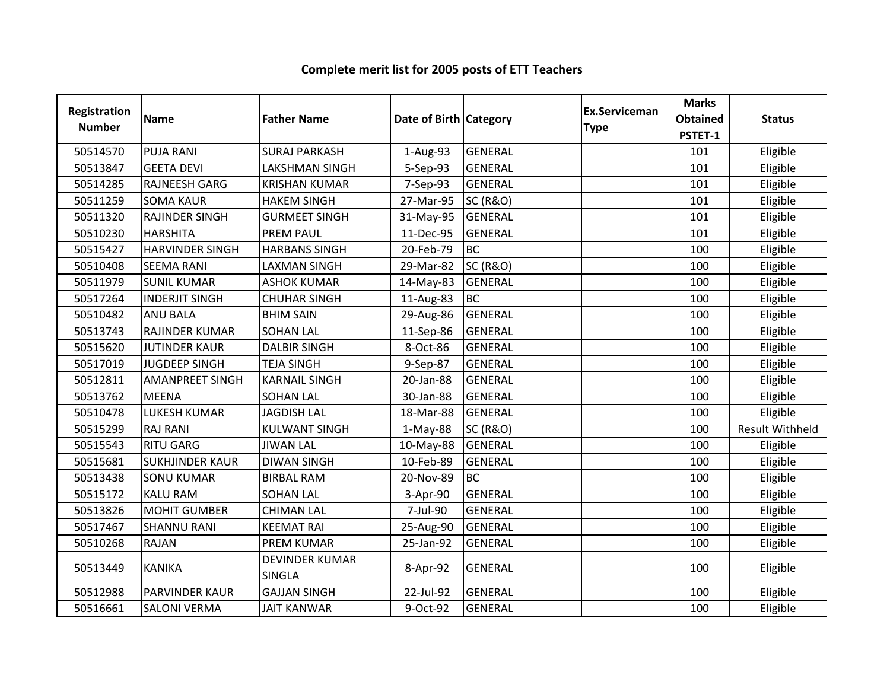| <b>Registration</b><br><b>Number</b> | <b>Name</b>            | <b>Father Name</b>                     | Date of Birth Category |                     | Ex.Serviceman<br><b>Type</b> | <b>Marks</b><br><b>Obtained</b><br>PSTET-1 | <b>Status</b>          |
|--------------------------------------|------------------------|----------------------------------------|------------------------|---------------------|------------------------------|--------------------------------------------|------------------------|
| 50514570                             | <b>PUJA RANI</b>       | <b>SURAJ PARKASH</b>                   | 1-Aug-93               | <b>GENERAL</b>      |                              | 101                                        | Eligible               |
| 50513847                             | <b>GEETA DEVI</b>      | <b>LAKSHMAN SINGH</b>                  | 5-Sep-93               | GENERAL             |                              | 101                                        | Eligible               |
| 50514285                             | RAJNEESH GARG          | <b>KRISHAN KUMAR</b>                   | 7-Sep-93               | <b>GENERAL</b>      |                              | 101                                        | Eligible               |
| 50511259                             | <b>SOMA KAUR</b>       | <b>HAKEM SINGH</b>                     | 27-Mar-95              | <b>SC (R&amp;O)</b> |                              | 101                                        | Eligible               |
| 50511320                             | <b>RAJINDER SINGH</b>  | <b>GURMEET SINGH</b>                   | 31-May-95              | <b>GENERAL</b>      |                              | 101                                        | Eligible               |
| 50510230                             | <b>HARSHITA</b>        | <b>PREM PAUL</b>                       | 11-Dec-95              | <b>GENERAL</b>      |                              | 101                                        | Eligible               |
| 50515427                             | <b>HARVINDER SINGH</b> | <b>HARBANS SINGH</b>                   | 20-Feb-79              | <b>BC</b>           |                              | 100                                        | Eligible               |
| 50510408                             | <b>SEEMA RANI</b>      | <b>LAXMAN SINGH</b>                    | 29-Mar-82              | <b>SC (R&amp;O)</b> |                              | 100                                        | Eligible               |
| 50511979                             | <b>SUNIL KUMAR</b>     | <b>ASHOK KUMAR</b>                     | 14-May-83              | <b>GENERAL</b>      |                              | 100                                        | Eligible               |
| 50517264                             | <b>INDERJIT SINGH</b>  | <b>CHUHAR SINGH</b>                    | 11-Aug-83              | <b>BC</b>           |                              | 100                                        | Eligible               |
| 50510482                             | <b>ANU BALA</b>        | <b>BHIM SAIN</b>                       | 29-Aug-86              | GENERAL             |                              | 100                                        | Eligible               |
| 50513743                             | RAJINDER KUMAR         | <b>SOHAN LAL</b>                       | 11-Sep-86              | <b>GENERAL</b>      |                              | 100                                        | Eligible               |
| 50515620                             | <b>JUTINDER KAUR</b>   | <b>DALBIR SINGH</b>                    | 8-Oct-86               | <b>GENERAL</b>      |                              | 100                                        | Eligible               |
| 50517019                             | <b>JUGDEEP SINGH</b>   | <b>TEJA SINGH</b>                      | 9-Sep-87               | GENERAL             |                              | 100                                        | Eligible               |
| 50512811                             | <b>AMANPREET SINGH</b> | <b>KARNAIL SINGH</b>                   | 20-Jan-88              | <b>GENERAL</b>      |                              | 100                                        | Eligible               |
| 50513762                             | <b>MEENA</b>           | <b>SOHAN LAL</b>                       | 30-Jan-88              | <b>GENERAL</b>      |                              | 100                                        | Eligible               |
| 50510478                             | <b>LUKESH KUMAR</b>    | <b>JAGDISH LAL</b>                     | 18-Mar-88              | <b>GENERAL</b>      |                              | 100                                        | Eligible               |
| 50515299                             | <b>RAJ RANI</b>        | <b>KULWANT SINGH</b>                   | $1-May-88$             | <b>SC (R&amp;O)</b> |                              | 100                                        | <b>Result Withheld</b> |
| 50515543                             | <b>RITU GARG</b>       | <b>JIWAN LAL</b>                       | 10-May-88              | <b>GENERAL</b>      |                              | 100                                        | Eligible               |
| 50515681                             | <b>SUKHJINDER KAUR</b> | <b>DIWAN SINGH</b>                     | 10-Feb-89              | <b>GENERAL</b>      |                              | 100                                        | Eligible               |
| 50513438                             | <b>SONU KUMAR</b>      | <b>BIRBAL RAM</b>                      | 20-Nov-89              | <b>BC</b>           |                              | 100                                        | Eligible               |
| 50515172                             | <b>KALU RAM</b>        | <b>SOHAN LAL</b>                       | 3-Apr-90               | <b>GENERAL</b>      |                              | 100                                        | Eligible               |
| 50513826                             | <b>MOHIT GUMBER</b>    | <b>CHIMAN LAL</b>                      | 7-Jul-90               | <b>GENERAL</b>      |                              | 100                                        | Eligible               |
| 50517467                             | <b>SHANNU RANI</b>     | <b>KEEMAT RAI</b>                      | 25-Aug-90              | <b>GENERAL</b>      |                              | 100                                        | Eligible               |
| 50510268                             | <b>RAJAN</b>           | <b>PREM KUMAR</b>                      | 25-Jan-92              | <b>GENERAL</b>      |                              | 100                                        | Eligible               |
| 50513449                             | <b>KANIKA</b>          | <b>DEVINDER KUMAR</b><br><b>SINGLA</b> | 8-Apr-92               | <b>GENERAL</b>      |                              | 100                                        | Eligible               |
| 50512988                             | <b>PARVINDER KAUR</b>  | <b>GAJJAN SINGH</b>                    | 22-Jul-92              | <b>GENERAL</b>      |                              | 100                                        | Eligible               |
| 50516661                             | <b>SALONI VERMA</b>    | <b>JAIT KANWAR</b>                     | 9-Oct-92               | <b>GENERAL</b>      |                              | 100                                        | Eligible               |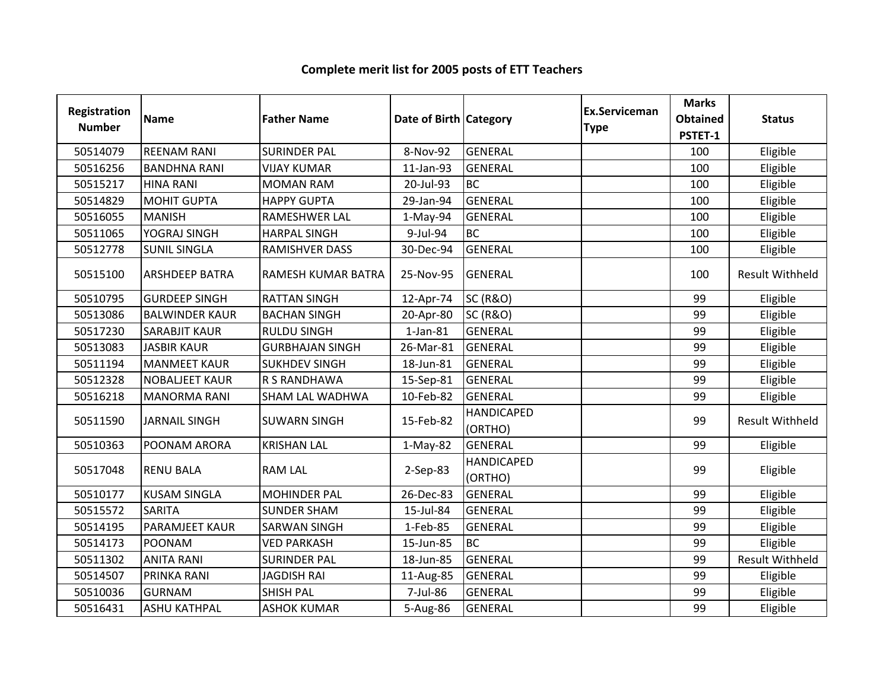| Registration<br><b>Number</b> | <b>Name</b>           | <b>Father Name</b>     | Date of Birth Category |                              | <b>Ex.Serviceman</b><br><b>Type</b> | <b>Marks</b><br><b>Obtained</b><br>PSTET-1 | <b>Status</b>          |
|-------------------------------|-----------------------|------------------------|------------------------|------------------------------|-------------------------------------|--------------------------------------------|------------------------|
| 50514079                      | <b>REENAM RANI</b>    | <b>SURINDER PAL</b>    | 8-Nov-92               | <b>GENERAL</b>               |                                     | 100                                        | Eligible               |
| 50516256                      | <b>BANDHNA RANI</b>   | <b>VIJAY KUMAR</b>     | 11-Jan-93              | <b>GENERAL</b>               |                                     | 100                                        | Eligible               |
| 50515217                      | <b>HINA RANI</b>      | <b>MOMAN RAM</b>       | 20-Jul-93              | <b>BC</b>                    |                                     | 100                                        | Eligible               |
| 50514829                      | <b>MOHIT GUPTA</b>    | <b>HAPPY GUPTA</b>     | 29-Jan-94              | <b>GENERAL</b>               |                                     | 100                                        | Eligible               |
| 50516055                      | <b>MANISH</b>         | RAMESHWER LAL          | $1-May-94$             | <b>GENERAL</b>               |                                     | 100                                        | Eligible               |
| 50511065                      | YOGRAJ SINGH          | <b>HARPAL SINGH</b>    | 9-Jul-94               | <b>BC</b>                    |                                     | 100                                        | Eligible               |
| 50512778                      | <b>SUNIL SINGLA</b>   | RAMISHVER DASS         | 30-Dec-94              | <b>GENERAL</b>               |                                     | 100                                        | Eligible               |
| 50515100                      | <b>ARSHDEEP BATRA</b> | RAMESH KUMAR BATRA     | 25-Nov-95              | <b>GENERAL</b>               |                                     | 100                                        | <b>Result Withheld</b> |
| 50510795                      | <b>GURDEEP SINGH</b>  | <b>RATTAN SINGH</b>    | 12-Apr-74              | <b>SC (R&amp;O)</b>          |                                     | 99                                         | Eligible               |
| 50513086                      | <b>BALWINDER KAUR</b> | <b>BACHAN SINGH</b>    | 20-Apr-80              | <b>SC (R&amp;O)</b>          |                                     | 99                                         | Eligible               |
| 50517230                      | <b>SARABJIT KAUR</b>  | <b>RULDU SINGH</b>     | $1$ -Jan- $81$         | <b>GENERAL</b>               |                                     | 99                                         | Eligible               |
| 50513083                      | <b>JASBIR KAUR</b>    | <b>GURBHAJAN SINGH</b> | 26-Mar-81              | <b>GENERAL</b>               |                                     | 99                                         | Eligible               |
| 50511194                      | <b>MANMEET KAUR</b>   | <b>SUKHDEV SINGH</b>   | 18-Jun-81              | GENERAL                      |                                     | 99                                         | Eligible               |
| 50512328                      | <b>NOBALJEET KAUR</b> | R S RANDHAWA           | 15-Sep-81              | <b>GENERAL</b>               |                                     | 99                                         | Eligible               |
| 50516218                      | <b>MANORMA RANI</b>   | SHAM LAL WADHWA        | 10-Feb-82              | <b>GENERAL</b>               |                                     | 99                                         | Eligible               |
| 50511590                      | <b>JARNAIL SINGH</b>  | <b>SUWARN SINGH</b>    | 15-Feb-82              | <b>HANDICAPED</b><br>(ORTHO) |                                     | 99                                         | <b>Result Withheld</b> |
| 50510363                      | POONAM ARORA          | <b>KRISHAN LAL</b>     | $1-May-82$             | <b>GENERAL</b>               |                                     | 99                                         | Eligible               |
| 50517048                      | <b>RENU BALA</b>      | <b>RAM LAL</b>         | 2-Sep-83               | <b>HANDICAPED</b><br>(ORTHO) |                                     | 99                                         | Eligible               |
| 50510177                      | <b>KUSAM SINGLA</b>   | <b>MOHINDER PAL</b>    | 26-Dec-83              | <b>GENERAL</b>               |                                     | 99                                         | Eligible               |
| 50515572                      | <b>SARITA</b>         | <b>SUNDER SHAM</b>     | 15-Jul-84              | <b>GENERAL</b>               |                                     | 99                                         | Eligible               |
| 50514195                      | PARAMJEET KAUR        | <b>SARWAN SINGH</b>    | 1-Feb-85               | <b>GENERAL</b>               |                                     | 99                                         | Eligible               |
| 50514173                      | <b>POONAM</b>         | <b>VED PARKASH</b>     | 15-Jun-85              | <b>BC</b>                    |                                     | 99                                         | Eligible               |
| 50511302                      | <b>ANITA RANI</b>     | <b>SURINDER PAL</b>    | 18-Jun-85              | <b>GENERAL</b>               |                                     | 99                                         | <b>Result Withheld</b> |
| 50514507                      | PRINKA RANI           | <b>JAGDISH RAI</b>     | 11-Aug-85              | <b>GENERAL</b>               |                                     | 99                                         | Eligible               |
| 50510036                      | <b>GURNAM</b>         | <b>SHISH PAL</b>       | 7-Jul-86               | <b>GENERAL</b>               |                                     | 99                                         | Eligible               |
| 50516431                      | <b>ASHU KATHPAL</b>   | <b>ASHOK KUMAR</b>     | 5-Aug-86               | <b>GENERAL</b>               |                                     | 99                                         | Eligible               |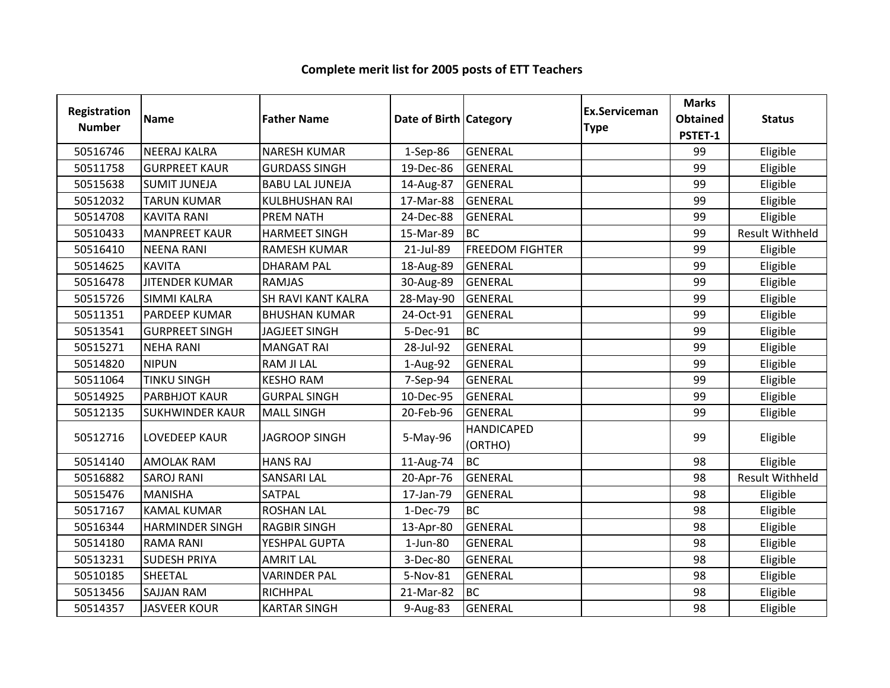| <b>Registration</b><br><b>Number</b> | <b>Name</b>            | <b>Father Name</b>     | Date of Birth Category |                              | Ex.Serviceman<br><b>Type</b> | <b>Marks</b><br><b>Obtained</b><br>PSTET-1 | <b>Status</b>          |
|--------------------------------------|------------------------|------------------------|------------------------|------------------------------|------------------------------|--------------------------------------------|------------------------|
| 50516746                             | <b>NEERAJ KALRA</b>    | <b>NARESH KUMAR</b>    | 1-Sep-86               | <b>GENERAL</b>               |                              | 99                                         | Eligible               |
| 50511758                             | <b>GURPREET KAUR</b>   | <b>GURDASS SINGH</b>   | 19-Dec-86              | <b>GENERAL</b>               |                              | 99                                         | Eligible               |
| 50515638                             | <b>SUMIT JUNEJA</b>    | <b>BABU LAL JUNEJA</b> | 14-Aug-87              | <b>GENERAL</b>               |                              | 99                                         | Eligible               |
| 50512032                             | <b>TARUN KUMAR</b>     | <b>KULBHUSHAN RAI</b>  | 17-Mar-88              | <b>GENERAL</b>               |                              | 99                                         | Eligible               |
| 50514708                             | <b>KAVITA RANI</b>     | PREM NATH              | 24-Dec-88              | <b>GENERAL</b>               |                              | 99                                         | Eligible               |
| 50510433                             | <b>MANPREET KAUR</b>   | <b>HARMEET SINGH</b>   | 15-Mar-89              | <b>BC</b>                    |                              | 99                                         | <b>Result Withheld</b> |
| 50516410                             | <b>NEENA RANI</b>      | <b>RAMESH KUMAR</b>    | 21-Jul-89              | <b>FREEDOM FIGHTER</b>       |                              | 99                                         | Eligible               |
| 50514625                             | <b>KAVITA</b>          | <b>DHARAM PAL</b>      | 18-Aug-89              | <b>GENERAL</b>               |                              | 99                                         | Eligible               |
| 50516478                             | <b>JITENDER KUMAR</b>  | <b>RAMJAS</b>          | 30-Aug-89              | <b>GENERAL</b>               |                              | 99                                         | Eligible               |
| 50515726                             | <b>SIMMI KALRA</b>     | SH RAVI KANT KALRA     | 28-May-90              | <b>GENERAL</b>               |                              | 99                                         | Eligible               |
| 50511351                             | <b>PARDEEP KUMAR</b>   | <b>BHUSHAN KUMAR</b>   | 24-Oct-91              | <b>GENERAL</b>               |                              | 99                                         | Eligible               |
| 50513541                             | <b>GURPREET SINGH</b>  | <b>JAGJEET SINGH</b>   | 5-Dec-91               | <b>BC</b>                    |                              | 99                                         | Eligible               |
| 50515271                             | <b>NEHA RANI</b>       | <b>MANGAT RAI</b>      | 28-Jul-92              | <b>GENERAL</b>               |                              | 99                                         | Eligible               |
| 50514820                             | <b>NIPUN</b>           | <b>RAM JI LAL</b>      | 1-Aug-92               | <b>GENERAL</b>               |                              | 99                                         | Eligible               |
| 50511064                             | <b>TINKU SINGH</b>     | <b>KESHO RAM</b>       | 7-Sep-94               | <b>GENERAL</b>               |                              | 99                                         | Eligible               |
| 50514925                             | <b>PARBHJOT KAUR</b>   | <b>GURPAL SINGH</b>    | 10-Dec-95              | <b>GENERAL</b>               |                              | 99                                         | Eligible               |
| 50512135                             | <b>SUKHWINDER KAUR</b> | <b>MALL SINGH</b>      | 20-Feb-96              | <b>GENERAL</b>               |                              | 99                                         | Eligible               |
| 50512716                             | <b>LOVEDEEP KAUR</b>   | <b>JAGROOP SINGH</b>   | 5-May-96               | <b>HANDICAPED</b><br>(ORTHO) |                              | 99                                         | Eligible               |
| 50514140                             | <b>AMOLAK RAM</b>      | <b>HANS RAJ</b>        | 11-Aug-74              | <b>BC</b>                    |                              | 98                                         | Eligible               |
| 50516882                             | <b>SAROJ RANI</b>      | <b>SANSARI LAL</b>     | 20-Apr-76              | GENERAL                      |                              | 98                                         | Result Withheld        |
| 50515476                             | <b>MANISHA</b>         | <b>SATPAL</b>          | 17-Jan-79              | <b>GENERAL</b>               |                              | 98                                         | Eligible               |
| 50517167                             | <b>KAMAL KUMAR</b>     | <b>ROSHAN LAL</b>      | 1-Dec-79               | <b>BC</b>                    |                              | 98                                         | Eligible               |
| 50516344                             | <b>HARMINDER SINGH</b> | <b>RAGBIR SINGH</b>    | 13-Apr-80              | <b>GENERAL</b>               |                              | 98                                         | Eligible               |
| 50514180                             | <b>RAMA RANI</b>       | YESHPAL GUPTA          | $1$ -Jun-80            | <b>GENERAL</b>               |                              | 98                                         | Eligible               |
| 50513231                             | <b>SUDESH PRIYA</b>    | <b>AMRIT LAL</b>       | 3-Dec-80               | <b>GENERAL</b>               |                              | 98                                         | Eligible               |
| 50510185                             | SHEETAL                | <b>VARINDER PAL</b>    | 5-Nov-81               | <b>GENERAL</b>               |                              | 98                                         | Eligible               |
| 50513456                             | <b>SAJJAN RAM</b>      | RICHHPAL               | 21-Mar-82              | <b>BC</b>                    |                              | 98                                         | Eligible               |
| 50514357                             | <b>JASVEER KOUR</b>    | <b>KARTAR SINGH</b>    | 9-Aug-83               | <b>GENERAL</b>               |                              | 98                                         | Eligible               |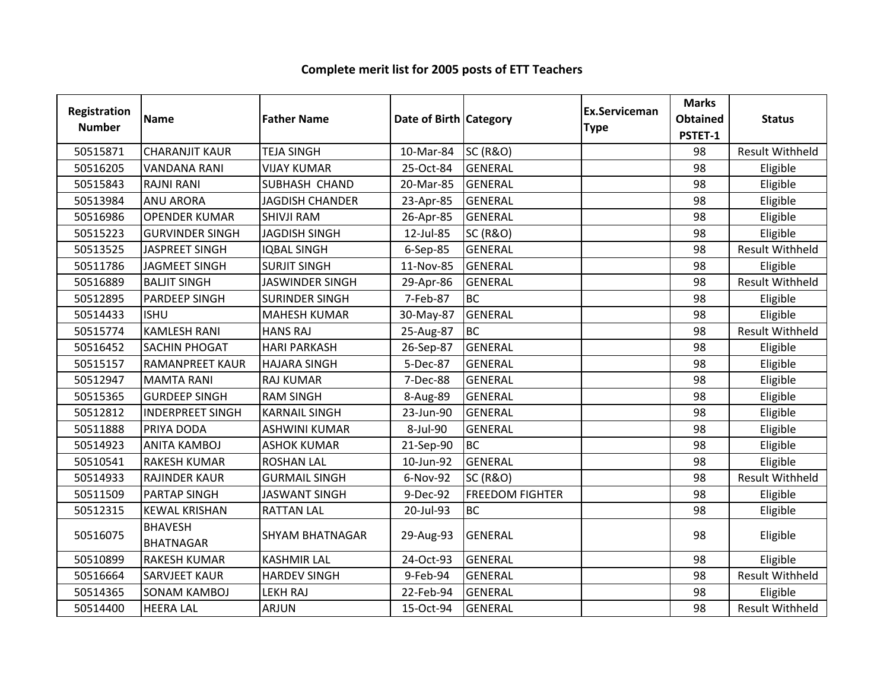| Registration<br><b>Number</b> | <b>Name</b>                        | <b>Father Name</b>     | Date of Birth Category |                        | Ex.Serviceman<br><b>Type</b> | <b>Marks</b><br><b>Obtained</b><br>PSTET-1 | <b>Status</b>          |
|-------------------------------|------------------------------------|------------------------|------------------------|------------------------|------------------------------|--------------------------------------------|------------------------|
| 50515871                      | <b>CHARANJIT KAUR</b>              | <b>TEJA SINGH</b>      | 10-Mar-84              | <b>SC (R&amp;O)</b>    |                              | 98                                         | <b>Result Withheld</b> |
| 50516205                      | <b>VANDANA RANI</b>                | <b>VIJAY KUMAR</b>     | 25-Oct-84              | <b>GENERAL</b>         |                              | 98                                         | Eligible               |
| 50515843                      | <b>RAJNI RANI</b>                  | SUBHASH CHAND          | 20-Mar-85              | <b>GENERAL</b>         |                              | 98                                         | Eligible               |
| 50513984                      | <b>ANU ARORA</b>                   | <b>JAGDISH CHANDER</b> | 23-Apr-85              | <b>GENERAL</b>         |                              | 98                                         | Eligible               |
| 50516986                      | <b>OPENDER KUMAR</b>               | <b>SHIVJI RAM</b>      | 26-Apr-85              | <b>GENERAL</b>         |                              | 98                                         | Eligible               |
| 50515223                      | <b>GURVINDER SINGH</b>             | <b>JAGDISH SINGH</b>   | 12-Jul-85              | <b>SC (R&amp;O)</b>    |                              | 98                                         | Eligible               |
| 50513525                      | JASPREET SINGH                     | <b>IQBAL SINGH</b>     | 6-Sep-85               | <b>GENERAL</b>         |                              | 98                                         | <b>Result Withheld</b> |
| 50511786                      | <b>JAGMEET SINGH</b>               | <b>SURJIT SINGH</b>    | 11-Nov-85              | GENERAL                |                              | 98                                         | Eligible               |
| 50516889                      | <b>BALJIT SINGH</b>                | <b>JASWINDER SINGH</b> | 29-Apr-86              | <b>GENERAL</b>         |                              | 98                                         | Result Withheld        |
| 50512895                      | <b>PARDEEP SINGH</b>               | <b>SURINDER SINGH</b>  | 7-Feb-87               | <b>BC</b>              |                              | 98                                         | Eligible               |
| 50514433                      | <b>ISHU</b>                        | <b>MAHESH KUMAR</b>    | 30-May-87              | GENERAL                |                              | 98                                         | Eligible               |
| 50515774                      | <b>KAMLESH RANI</b>                | <b>HANS RAJ</b>        | 25-Aug-87              | <b>BC</b>              |                              | 98                                         | <b>Result Withheld</b> |
| 50516452                      | SACHIN PHOGAT                      | <b>HARI PARKASH</b>    | 26-Sep-87              | <b>GENERAL</b>         |                              | 98                                         | Eligible               |
| 50515157                      | <b>RAMANPREET KAUR</b>             | <b>HAJARA SINGH</b>    | 5-Dec-87               | <b>GENERAL</b>         |                              | 98                                         | Eligible               |
| 50512947                      | <b>MAMTA RANI</b>                  | <b>RAJ KUMAR</b>       | 7-Dec-88               | <b>GENERAL</b>         |                              | 98                                         | Eligible               |
| 50515365                      | <b>GURDEEP SINGH</b>               | <b>RAM SINGH</b>       | 8-Aug-89               | <b>GENERAL</b>         |                              | 98                                         | Eligible               |
| 50512812                      | <b>INDERPREET SINGH</b>            | <b>KARNAIL SINGH</b>   | 23-Jun-90              | <b>GENERAL</b>         |                              | 98                                         | Eligible               |
| 50511888                      | PRIYA DODA                         | <b>ASHWINI KUMAR</b>   | 8-Jul-90               | <b>GENERAL</b>         |                              | 98                                         | Eligible               |
| 50514923                      | <b>ANITA KAMBOJ</b>                | <b>ASHOK KUMAR</b>     | 21-Sep-90              | <b>BC</b>              |                              | 98                                         | Eligible               |
| 50510541                      | <b>RAKESH KUMAR</b>                | <b>ROSHAN LAL</b>      | 10-Jun-92              | <b>GENERAL</b>         |                              | 98                                         | Eligible               |
| 50514933                      | <b>RAJINDER KAUR</b>               | <b>GURMAIL SINGH</b>   | 6-Nov-92               | <b>SC (R&amp;O)</b>    |                              | 98                                         | <b>Result Withheld</b> |
| 50511509                      | <b>PARTAP SINGH</b>                | <b>JASWANT SINGH</b>   | 9-Dec-92               | <b>FREEDOM FIGHTER</b> |                              | 98                                         | Eligible               |
| 50512315                      | <b>KEWAL KRISHAN</b>               | <b>RATTAN LAL</b>      | 20-Jul-93              | <b>BC</b>              |                              | 98                                         | Eligible               |
| 50516075                      | <b>BHAVESH</b><br><b>BHATNAGAR</b> | <b>SHYAM BHATNAGAR</b> | 29-Aug-93              | <b>GENERAL</b>         |                              | 98                                         | Eligible               |
| 50510899                      | <b>RAKESH KUMAR</b>                | <b>KASHMIR LAL</b>     | 24-Oct-93              | <b>GENERAL</b>         |                              | 98                                         | Eligible               |
| 50516664                      | <b>SARVJEET KAUR</b>               | <b>HARDEV SINGH</b>    | 9-Feb-94               | <b>GENERAL</b>         |                              | 98                                         | <b>Result Withheld</b> |
| 50514365                      | <b>SONAM KAMBOJ</b>                | <b>LEKH RAJ</b>        | 22-Feb-94              | <b>GENERAL</b>         |                              | 98                                         | Eligible               |
| 50514400                      | <b>HEERA LAL</b>                   | <b>ARJUN</b>           | 15-Oct-94              | <b>GENERAL</b>         |                              | 98                                         | <b>Result Withheld</b> |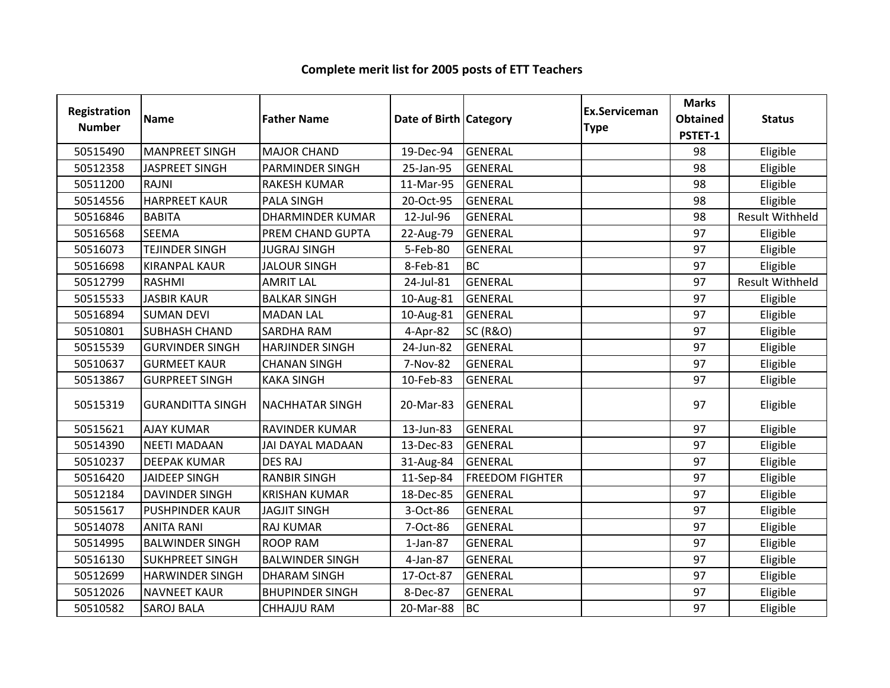| <b>Registration</b><br><b>Number</b> | <b>Name</b>             | <b>Father Name</b>      | Date of Birth Category |                        | Ex.Serviceman<br><b>Type</b> | <b>Marks</b><br><b>Obtained</b><br>PSTET-1 | <b>Status</b>          |
|--------------------------------------|-------------------------|-------------------------|------------------------|------------------------|------------------------------|--------------------------------------------|------------------------|
| 50515490                             | <b>MANPREET SINGH</b>   | <b>MAJOR CHAND</b>      | 19-Dec-94              | <b>GENERAL</b>         |                              | 98                                         | Eligible               |
| 50512358                             | <b>JASPREET SINGH</b>   | <b>PARMINDER SINGH</b>  | 25-Jan-95              | <b>GENERAL</b>         |                              | 98                                         | Eligible               |
| 50511200                             | <b>RAJNI</b>            | <b>RAKESH KUMAR</b>     | 11-Mar-95              | <b>GENERAL</b>         |                              | 98                                         | Eligible               |
| 50514556                             | <b>HARPREET KAUR</b>    | <b>PALA SINGH</b>       | 20-Oct-95              | <b>GENERAL</b>         |                              | 98                                         | Eligible               |
| 50516846                             | <b>BABITA</b>           | <b>DHARMINDER KUMAR</b> | 12-Jul-96              | <b>GENERAL</b>         |                              | 98                                         | <b>Result Withheld</b> |
| 50516568                             | <b>SEEMA</b>            | PREM CHAND GUPTA        | 22-Aug-79              | <b>GENERAL</b>         |                              | 97                                         | Eligible               |
| 50516073                             | <b>TEJINDER SINGH</b>   | <b>JUGRAJ SINGH</b>     | 5-Feb-80               | GENERAL                |                              | 97                                         | Eligible               |
| 50516698                             | <b>KIRANPAL KAUR</b>    | <b>JALOUR SINGH</b>     | 8-Feb-81               | <b>BC</b>              |                              | 97                                         | Eligible               |
| 50512799                             | RASHMI                  | <b>AMRIT LAL</b>        | 24-Jul-81              | <b>GENERAL</b>         |                              | 97                                         | Result Withheld        |
| 50515533                             | <b>JASBIR KAUR</b>      | <b>BALKAR SINGH</b>     | 10-Aug-81              | <b>GENERAL</b>         |                              | 97                                         | Eligible               |
| 50516894                             | <b>SUMAN DEVI</b>       | <b>MADAN LAL</b>        | 10-Aug-81              | <b>GENERAL</b>         |                              | 97                                         | Eligible               |
| 50510801                             | <b>SUBHASH CHAND</b>    | SARDHA RAM              | 4-Apr-82               | <b>SC (R&amp;O)</b>    |                              | 97                                         | Eligible               |
| 50515539                             | <b>GURVINDER SINGH</b>  | <b>HARJINDER SINGH</b>  | 24-Jun-82              | GENERAL                |                              | 97                                         | Eligible               |
| 50510637                             | <b>GURMEET KAUR</b>     | <b>CHANAN SINGH</b>     | 7-Nov-82               | <b>GENERAL</b>         |                              | 97                                         | Eligible               |
| 50513867                             | <b>GURPREET SINGH</b>   | <b>KAKA SINGH</b>       | 10-Feb-83              | <b>GENERAL</b>         |                              | 97                                         | Eligible               |
| 50515319                             | <b>GURANDITTA SINGH</b> | <b>NACHHATAR SINGH</b>  | 20-Mar-83              | <b>GENERAL</b>         |                              | 97                                         | Eligible               |
| 50515621                             | <b>AJAY KUMAR</b>       | <b>RAVINDER KUMAR</b>   | 13-Jun-83              | <b>GENERAL</b>         |                              | 97                                         | Eligible               |
| 50514390                             | <b>NEETI MADAAN</b>     | JAI DAYAL MADAAN        | 13-Dec-83              | <b>GENERAL</b>         |                              | 97                                         | Eligible               |
| 50510237                             | <b>DEEPAK KUMAR</b>     | <b>DES RAJ</b>          | 31-Aug-84              | <b>GENERAL</b>         |                              | 97                                         | Eligible               |
| 50516420                             | <b>JAIDEEP SINGH</b>    | <b>RANBIR SINGH</b>     | 11-Sep-84              | <b>FREEDOM FIGHTER</b> |                              | 97                                         | Eligible               |
| 50512184                             | <b>DAVINDER SINGH</b>   | <b>KRISHAN KUMAR</b>    | 18-Dec-85              | <b>GENERAL</b>         |                              | 97                                         | Eligible               |
| 50515617                             | <b>PUSHPINDER KAUR</b>  | <b>JAGJIT SINGH</b>     | 3-Oct-86               | <b>GENERAL</b>         |                              | 97                                         | Eligible               |
| 50514078                             | <b>ANITA RANI</b>       | <b>RAJ KUMAR</b>        | 7-Oct-86               | <b>GENERAL</b>         |                              | 97                                         | Eligible               |
| 50514995                             | <b>BALWINDER SINGH</b>  | <b>ROOP RAM</b>         | $1-Jan-87$             | <b>GENERAL</b>         |                              | 97                                         | Eligible               |
| 50516130                             | <b>SUKHPREET SINGH</b>  | <b>BALWINDER SINGH</b>  | 4-Jan-87               | GENERAL                |                              | 97                                         | Eligible               |
| 50512699                             | <b>HARWINDER SINGH</b>  | <b>DHARAM SINGH</b>     | 17-Oct-87              | <b>GENERAL</b>         |                              | 97                                         | Eligible               |
| 50512026                             | <b>NAVNEET KAUR</b>     | <b>BHUPINDER SINGH</b>  | 8-Dec-87               | <b>GENERAL</b>         |                              | 97                                         | Eligible               |
| 50510582                             | <b>SAROJ BALA</b>       | <b>CHHAJJU RAM</b>      | 20-Mar-88              | <b>BC</b>              |                              | 97                                         | Eligible               |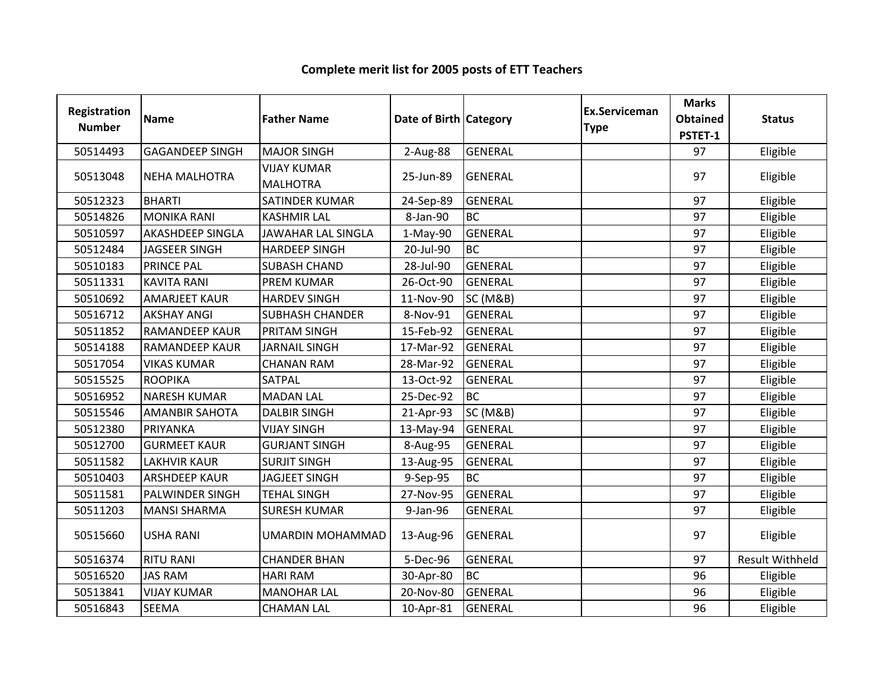| <b>Registration</b><br><b>Number</b> | <b>Name</b>             | <b>Father Name</b>                    | Date of Birth Category |                     | Ex.Serviceman<br><b>Type</b> | <b>Marks</b><br><b>Obtained</b><br>PSTET-1 | <b>Status</b>          |
|--------------------------------------|-------------------------|---------------------------------------|------------------------|---------------------|------------------------------|--------------------------------------------|------------------------|
| 50514493                             | <b>GAGANDEEP SINGH</b>  | <b>MAJOR SINGH</b>                    | 2-Aug-88               | <b>GENERAL</b>      |                              | 97                                         | Eligible               |
| 50513048                             | <b>NEHA MALHOTRA</b>    | <b>VIJAY KUMAR</b><br><b>MALHOTRA</b> | 25-Jun-89              | <b>GENERAL</b>      |                              | 97                                         | Eligible               |
| 50512323                             | <b>BHARTI</b>           | SATINDER KUMAR                        | 24-Sep-89              | <b>GENERAL</b>      |                              | 97                                         | Eligible               |
| 50514826                             | <b>MONIKA RANI</b>      | <b>KASHMIR LAL</b>                    | 8-Jan-90               | <b>BC</b>           |                              | 97                                         | Eligible               |
| 50510597                             | <b>AKASHDEEP SINGLA</b> | <b>JAWAHAR LAL SINGLA</b>             | $1-May-90$             | <b>GENERAL</b>      |                              | 97                                         | Eligible               |
| 50512484                             | <b>JAGSEER SINGH</b>    | <b>HARDEEP SINGH</b>                  | 20-Jul-90              | <b>BC</b>           |                              | 97                                         | Eligible               |
| 50510183                             | <b>PRINCE PAL</b>       | <b>SUBASH CHAND</b>                   | 28-Jul-90              | <b>GENERAL</b>      |                              | 97                                         | Eligible               |
| 50511331                             | <b>KAVITA RANI</b>      | <b>PREM KUMAR</b>                     | 26-Oct-90              | <b>GENERAL</b>      |                              | 97                                         | Eligible               |
| 50510692                             | <b>AMARJEET KAUR</b>    | <b>HARDEV SINGH</b>                   | 11-Nov-90              | <b>SC (M&amp;B)</b> |                              | 97                                         | Eligible               |
| 50516712                             | <b>AKSHAY ANGI</b>      | <b>SUBHASH CHANDER</b>                | 8-Nov-91               | <b>GENERAL</b>      |                              | 97                                         | Eligible               |
| 50511852                             | <b>RAMANDEEP KAUR</b>   | PRITAM SINGH                          | 15-Feb-92              | <b>GENERAL</b>      |                              | 97                                         | Eligible               |
| 50514188                             | <b>RAMANDEEP KAUR</b>   | <b>JARNAIL SINGH</b>                  | 17-Mar-92              | <b>GENERAL</b>      |                              | 97                                         | Eligible               |
| 50517054                             | <b>VIKAS KUMAR</b>      | <b>CHANAN RAM</b>                     | 28-Mar-92              | <b>GENERAL</b>      |                              | 97                                         | Eligible               |
| 50515525                             | <b>ROOPIKA</b>          | <b>SATPAL</b>                         | 13-Oct-92              | <b>GENERAL</b>      |                              | 97                                         | Eligible               |
| 50516952                             | <b>NARESH KUMAR</b>     | <b>MADAN LAL</b>                      | 25-Dec-92              | <b>BC</b>           |                              | 97                                         | Eligible               |
| 50515546                             | <b>AMANBIR SAHOTA</b>   | <b>DALBIR SINGH</b>                   | 21-Apr-93              | <b>SC (M&amp;B)</b> |                              | 97                                         | Eligible               |
| 50512380                             | PRIYANKA                | <b>VIJAY SINGH</b>                    | 13-May-94              | <b>GENERAL</b>      |                              | 97                                         | Eligible               |
| 50512700                             | <b>GURMEET KAUR</b>     | <b>GURJANT SINGH</b>                  | 8-Aug-95               | <b>GENERAL</b>      |                              | 97                                         | Eligible               |
| 50511582                             | <b>LAKHVIR KAUR</b>     | <b>SURJIT SINGH</b>                   | 13-Aug-95              | <b>GENERAL</b>      |                              | 97                                         | Eligible               |
| 50510403                             | <b>ARSHDEEP KAUR</b>    | <b>JAGJEET SINGH</b>                  | 9-Sep-95               | <b>BC</b>           |                              | 97                                         | Eligible               |
| 50511581                             | PALWINDER SINGH         | <b>TEHAL SINGH</b>                    | 27-Nov-95              | <b>GENERAL</b>      |                              | 97                                         | Eligible               |
| 50511203                             | <b>MANSI SHARMA</b>     | <b>SURESH KUMAR</b>                   | 9-Jan-96               | <b>GENERAL</b>      |                              | 97                                         | Eligible               |
| 50515660                             | <b>USHA RANI</b>        | <b>UMARDIN MOHAMMAD</b>               | 13-Aug-96              | <b>GENERAL</b>      |                              | 97                                         | Eligible               |
| 50516374                             | <b>RITU RANI</b>        | <b>CHANDER BHAN</b>                   | 5-Dec-96               | <b>GENERAL</b>      |                              | 97                                         | <b>Result Withheld</b> |
| 50516520                             | <b>JAS RAM</b>          | <b>HARI RAM</b>                       | 30-Apr-80              | <b>BC</b>           |                              | 96                                         | Eligible               |
| 50513841                             | <b>VIJAY KUMAR</b>      | <b>MANOHAR LAL</b>                    | 20-Nov-80              | <b>GENERAL</b>      |                              | 96                                         | Eligible               |
| 50516843                             | <b>SEEMA</b>            | <b>CHAMAN LAL</b>                     | 10-Apr-81              | <b>GENERAL</b>      |                              | 96                                         | Eligible               |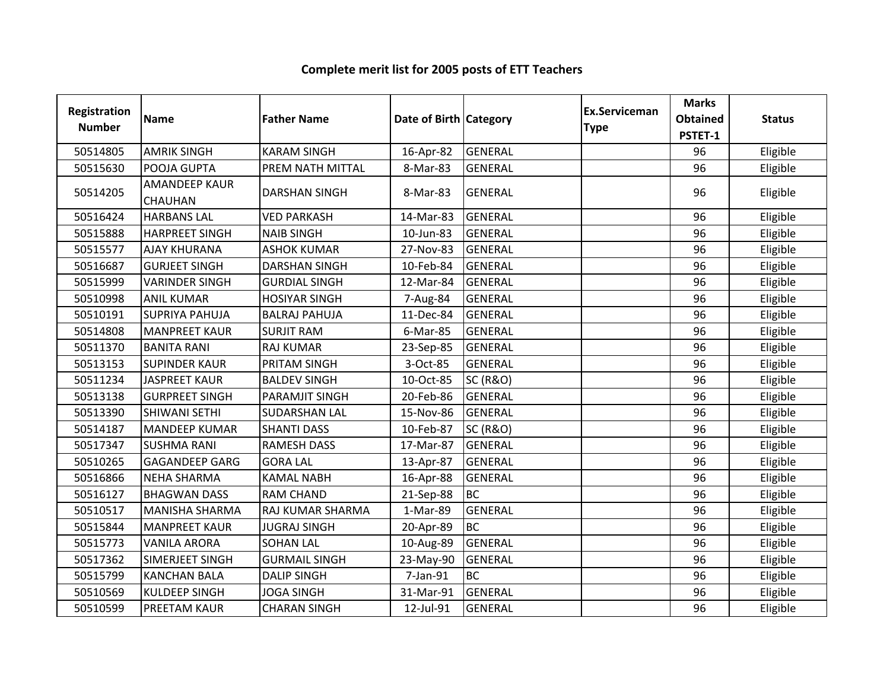| Registration<br><b>Number</b> | <b>Name</b>                     | <b>Father Name</b>   | Date of Birth Category |                     | <b>Ex.Serviceman</b><br><b>Type</b> | <b>Marks</b><br><b>Obtained</b> | <b>Status</b> |
|-------------------------------|---------------------------------|----------------------|------------------------|---------------------|-------------------------------------|---------------------------------|---------------|
|                               |                                 |                      |                        |                     |                                     | PSTET-1                         |               |
| 50514805                      | <b>AMRIK SINGH</b>              | <b>KARAM SINGH</b>   | 16-Apr-82              | <b>GENERAL</b>      |                                     | 96                              | Eligible      |
| 50515630                      | POOJA GUPTA                     | PREM NATH MITTAL     | 8-Mar-83               | <b>GENERAL</b>      |                                     | 96                              | Eligible      |
| 50514205                      | <b>AMANDEEP KAUR</b><br>CHAUHAN | <b>DARSHAN SINGH</b> | 8-Mar-83               | <b>GENERAL</b>      |                                     | 96                              | Eligible      |
| 50516424                      | <b>HARBANS LAL</b>              | <b>VED PARKASH</b>   | 14-Mar-83              | GENERAL             |                                     | 96                              | Eligible      |
| 50515888                      | <b>HARPREET SINGH</b>           | <b>NAIB SINGH</b>    | 10-Jun-83              | GENERAL             |                                     | 96                              | Eligible      |
| 50515577                      | <b>AJAY KHURANA</b>             | <b>ASHOK KUMAR</b>   | 27-Nov-83              | <b>GENERAL</b>      |                                     | 96                              | Eligible      |
| 50516687                      | <b>GURJEET SINGH</b>            | <b>DARSHAN SINGH</b> | 10-Feb-84              | GENERAL             |                                     | 96                              | Eligible      |
| 50515999                      | <b>VARINDER SINGH</b>           | <b>GURDIAL SINGH</b> | 12-Mar-84              | <b>GENERAL</b>      |                                     | 96                              | Eligible      |
| 50510998                      | <b>ANIL KUMAR</b>               | <b>HOSIYAR SINGH</b> | 7-Aug-84               | <b>GENERAL</b>      |                                     | 96                              | Eligible      |
| 50510191                      | <b>SUPRIYA PAHUJA</b>           | <b>BALRAJ PAHUJA</b> | 11-Dec-84              | GENERAL             |                                     | 96                              | Eligible      |
| 50514808                      | <b>MANPREET KAUR</b>            | <b>SURJIT RAM</b>    | 6-Mar-85               | <b>GENERAL</b>      |                                     | 96                              | Eligible      |
| 50511370                      | <b>BANITA RANI</b>              | <b>RAJ KUMAR</b>     | 23-Sep-85              | <b>GENERAL</b>      |                                     | 96                              | Eligible      |
| 50513153                      | <b>SUPINDER KAUR</b>            | PRITAM SINGH         | 3-Oct-85               | GENERAL             |                                     | 96                              | Eligible      |
| 50511234                      | <b>JASPREET KAUR</b>            | <b>BALDEV SINGH</b>  | 10-Oct-85              | <b>SC (R&amp;O)</b> |                                     | 96                              | Eligible      |
| 50513138                      | <b>GURPREET SINGH</b>           | PARAMJIT SINGH       | 20-Feb-86              | <b>GENERAL</b>      |                                     | 96                              | Eligible      |
| 50513390                      | <b>SHIWANI SETHI</b>            | <b>SUDARSHAN LAL</b> | 15-Nov-86              | <b>GENERAL</b>      |                                     | 96                              | Eligible      |
| 50514187                      | <b>MANDEEP KUMAR</b>            | <b>SHANTI DASS</b>   | 10-Feb-87              | <b>SC (R&amp;O)</b> |                                     | 96                              | Eligible      |
| 50517347                      | <b>SUSHMA RANI</b>              | <b>RAMESH DASS</b>   | 17-Mar-87              | <b>GENERAL</b>      |                                     | 96                              | Eligible      |
| 50510265                      | <b>GAGANDEEP GARG</b>           | <b>GORA LAL</b>      | 13-Apr-87              | GENERAL             |                                     | 96                              | Eligible      |
| 50516866                      | <b>NEHA SHARMA</b>              | <b>KAMAL NABH</b>    | 16-Apr-88              | <b>GENERAL</b>      |                                     | 96                              | Eligible      |
| 50516127                      | <b>BHAGWAN DASS</b>             | <b>RAM CHAND</b>     | 21-Sep-88              | <b>BC</b>           |                                     | 96                              | Eligible      |
| 50510517                      | <b>MANISHA SHARMA</b>           | RAJ KUMAR SHARMA     | 1-Mar-89               | <b>GENERAL</b>      |                                     | 96                              | Eligible      |
| 50515844                      | <b>MANPREET KAUR</b>            | <b>JUGRAJ SINGH</b>  | 20-Apr-89              | <b>BC</b>           |                                     | 96                              | Eligible      |
| 50515773                      | <b>VANILA ARORA</b>             | <b>SOHAN LAL</b>     | 10-Aug-89              | <b>GENERAL</b>      |                                     | 96                              | Eligible      |
| 50517362                      | SIMERJEET SINGH                 | <b>GURMAIL SINGH</b> | 23-May-90              | <b>GENERAL</b>      |                                     | 96                              | Eligible      |
| 50515799                      | <b>KANCHAN BALA</b>             | <b>DALIP SINGH</b>   | 7-Jan-91               | <b>BC</b>           |                                     | 96                              | Eligible      |
| 50510569                      | <b>KULDEEP SINGH</b>            | <b>JOGA SINGH</b>    | 31-Mar-91              | <b>GENERAL</b>      |                                     | 96                              | Eligible      |
| 50510599                      | <b>PREETAM KAUR</b>             | <b>CHARAN SINGH</b>  | 12-Jul-91              | <b>GENERAL</b>      |                                     | 96                              | Eligible      |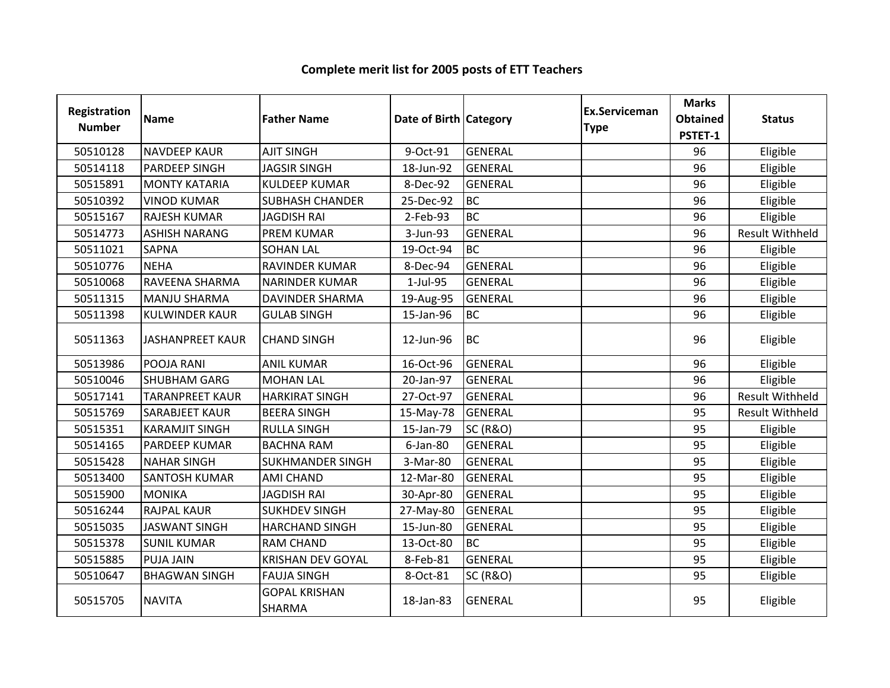| Registration<br><b>Number</b> | <b>Name</b>            | <b>Father Name</b>                    | Date of Birth Category |                     | Ex.Serviceman<br><b>Type</b> | <b>Marks</b><br><b>Obtained</b><br>PSTET-1 | <b>Status</b>          |
|-------------------------------|------------------------|---------------------------------------|------------------------|---------------------|------------------------------|--------------------------------------------|------------------------|
| 50510128                      | <b>NAVDEEP KAUR</b>    | <b>AJIT SINGH</b>                     | 9-Oct-91               | <b>GENERAL</b>      |                              | 96                                         | Eligible               |
| 50514118                      | <b>PARDEEP SINGH</b>   | <b>JAGSIR SINGH</b>                   | 18-Jun-92              | <b>GENERAL</b>      |                              | 96                                         | Eligible               |
| 50515891                      | <b>MONTY KATARIA</b>   | <b>KULDEEP KUMAR</b>                  | 8-Dec-92               | <b>GENERAL</b>      |                              | 96                                         | Eligible               |
| 50510392                      | <b>VINOD KUMAR</b>     | <b>SUBHASH CHANDER</b>                | 25-Dec-92              | <b>BC</b>           |                              | 96                                         | Eligible               |
| 50515167                      | <b>RAJESH KUMAR</b>    | <b>JAGDISH RAI</b>                    | 2-Feb-93               | <b>BC</b>           |                              | 96                                         | Eligible               |
| 50514773                      | <b>ASHISH NARANG</b>   | <b>PREM KUMAR</b>                     | 3-Jun-93               | <b>GENERAL</b>      |                              | 96                                         | <b>Result Withheld</b> |
| 50511021                      | <b>SAPNA</b>           | <b>SOHAN LAL</b>                      | 19-Oct-94              | <b>BC</b>           |                              | 96                                         | Eligible               |
| 50510776                      | <b>NEHA</b>            | <b>RAVINDER KUMAR</b>                 | 8-Dec-94               | <b>GENERAL</b>      |                              | 96                                         | Eligible               |
| 50510068                      | RAVEENA SHARMA         | <b>NARINDER KUMAR</b>                 | 1-Jul-95               | <b>GENERAL</b>      |                              | 96                                         | Eligible               |
| 50511315                      | <b>MANJU SHARMA</b>    | <b>DAVINDER SHARMA</b>                | 19-Aug-95              | <b>GENERAL</b>      |                              | 96                                         | Eligible               |
| 50511398                      | <b>KULWINDER KAUR</b>  | <b>GULAB SINGH</b>                    | 15-Jan-96              | <b>BC</b>           |                              | 96                                         | Eligible               |
| 50511363                      | JASHANPREET KAUR       | <b>CHAND SINGH</b>                    | 12-Jun-96              | <b>BC</b>           |                              | 96                                         | Eligible               |
| 50513986                      | POOJA RANI             | <b>ANIL KUMAR</b>                     | 16-Oct-96              | <b>GENERAL</b>      |                              | 96                                         | Eligible               |
| 50510046                      | <b>SHUBHAM GARG</b>    | <b>MOHAN LAL</b>                      | 20-Jan-97              | <b>GENERAL</b>      |                              | 96                                         | Eligible               |
| 50517141                      | <b>TARANPREET KAUR</b> | <b>HARKIRAT SINGH</b>                 | 27-Oct-97              | <b>GENERAL</b>      |                              | 96                                         | <b>Result Withheld</b> |
| 50515769                      | <b>SARABJEET KAUR</b>  | <b>BEERA SINGH</b>                    | 15-May-78              | <b>GENERAL</b>      |                              | 95                                         | <b>Result Withheld</b> |
| 50515351                      | <b>KARAMJIT SINGH</b>  | <b>RULLA SINGH</b>                    | 15-Jan-79              | <b>SC (R&amp;O)</b> |                              | 95                                         | Eligible               |
| 50514165                      | PARDEEP KUMAR          | <b>BACHNA RAM</b>                     | $6$ -Jan-80            | <b>GENERAL</b>      |                              | 95                                         | Eligible               |
| 50515428                      | <b>NAHAR SINGH</b>     | <b>SUKHMANDER SINGH</b>               | 3-Mar-80               | <b>GENERAL</b>      |                              | 95                                         | Eligible               |
| 50513400                      | <b>SANTOSH KUMAR</b>   | <b>AMI CHAND</b>                      | 12-Mar-80              | <b>GENERAL</b>      |                              | 95                                         | Eligible               |
| 50515900                      | <b>MONIKA</b>          | <b>JAGDISH RAI</b>                    | 30-Apr-80              | <b>GENERAL</b>      |                              | 95                                         | Eligible               |
| 50516244                      | <b>RAJPAL KAUR</b>     | <b>SUKHDEV SINGH</b>                  | 27-May-80              | <b>GENERAL</b>      |                              | 95                                         | Eligible               |
| 50515035                      | <b>JASWANT SINGH</b>   | <b>HARCHAND SINGH</b>                 | 15-Jun-80              | <b>GENERAL</b>      |                              | 95                                         | Eligible               |
| 50515378                      | <b>SUNIL KUMAR</b>     | <b>RAM CHAND</b>                      | 13-Oct-80              | <b>BC</b>           |                              | 95                                         | Eligible               |
| 50515885                      | <b>PUJA JAIN</b>       | <b>KRISHAN DEV GOYAL</b>              | 8-Feb-81               | <b>GENERAL</b>      |                              | 95                                         | Eligible               |
| 50510647                      | <b>BHAGWAN SINGH</b>   | <b>FAUJA SINGH</b>                    | 8-Oct-81               | <b>SC (R&amp;O)</b> |                              | 95                                         | Eligible               |
| 50515705                      | <b>NAVITA</b>          | <b>GOPAL KRISHAN</b><br><b>SHARMA</b> | 18-Jan-83              | <b>GENERAL</b>      |                              | 95                                         | Eligible               |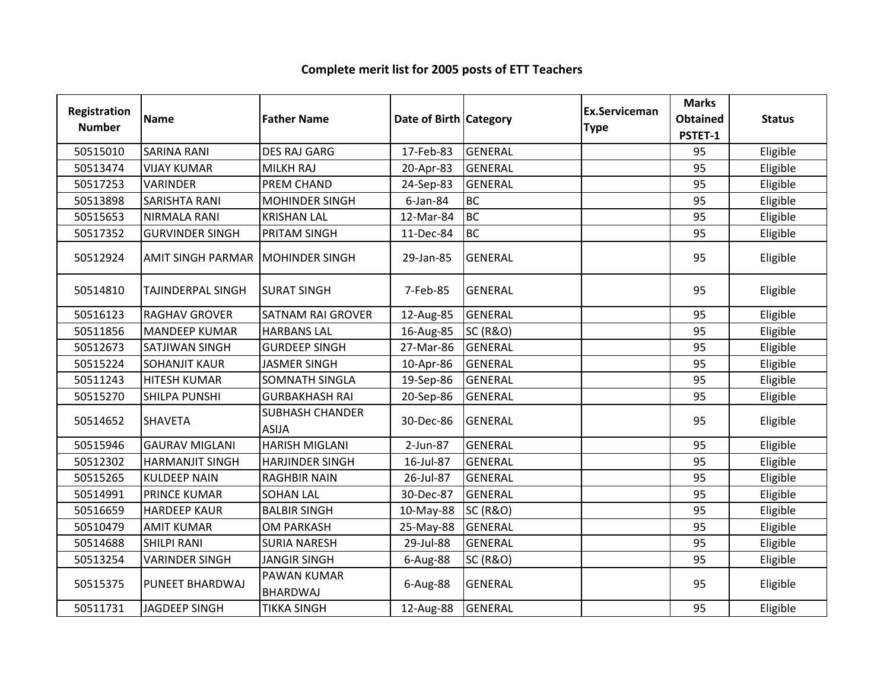#### Registration Numberion Name **Father Name Access Contract Category** Ex.Serviceman Category **Ex.Serviceman** Serviceman Marks<br>
e Obtained<br>
PSTET-1 ed Status<br>1 50515010 SARINA RANI DES RAJ GARG 17-Feb-83 GENERAL 1999 1995 | Eligible <sup>50513474</sup> VIJAY KUMAR MILKH RAJ 20-Apr-83 GENERAL <sup>95</sup> Eligible 50517253 VARINDER PREM CHAND 24-Sep-83 GENERAL PREMERAL 195 Eligible 50513898 SARISHTA RANI MOHINDER SINGH 6-Jan-84 BC<br>50515653 NIRMALA RANI KRISHAN LAL 12-Mar-84 BC <sup>95</sup> Eligible 50515653 NIRMALA RANI KRISHAN LAL 12-Mar-84 BC<br>50517352 GURVINDER SINGH PRITAM SINGH 11-Dec-84 BC <sup>95</sup> Eligible 50517352 GURVINDER SINGH PRITAM SINGH 11-Dec-84 <sup>95</sup> Eligible <sup>50512924</sup> AMIT SINGH PARMAR MOHINDER SINGH 29-Jan-85 GENERAL <sup>95</sup> Eligible <sup>50514810</sup> TAJINDERPAL SINGH SURAT SINGH 7-Feb-85 GENERAL <sup>95</sup> Eligible 50516123 RAGHAV GROVER SATNAM RAI GROVER 12-Aug-85 GENERAL JUNION 195 Eligible<br>50511856 MANDEFP KUMAR HARBANS LAL 16-Aug-85 SC (R&O) 300 - 195 Fligible 50511856 MANDEEP KUMAR HARBANS LAL 16-Aug-85 SC (R&O) Julie 195 | Eligible 50512673 SATJIWAN SINGH GURDEEP SINGH 27-Mar-86 GENERAL Julie 195 | Eligible 50515224 SOHANJIT KAUR JASMER SINGH 10-Apr-86 GENERAL JUNION 195 | Eligible <sup>50511243</sup> HITESH KUMAR SOMNATH SINGLA 19-Sep-86 GENERAL <sup>95</sup> Eligible 50515270 SHILPA PUNSHI GURBAKHASH RAI 120-Sep-86 GENERAL 1999 1995 | Eligible <sup>50514652</sup> SHAVETASUBHASH CHANDER ASIJAA 30-Dec-86 GENERAL 95 Eligible <sup>50515946</sup> GAURAV MIGLANI HARISH MIGLANI 2-Jun-87 GENERAL <sup>95</sup> Eligible <sup>50512302</sup> HARMANJIT SINGH HARJINDER SINGH 16-Jul-87 GENERAL <sup>95</sup> Eligible <sup>50515265</sup> KULDEEP NAIN RAGHBIR NAIN 26-Jul-87 GENERAL <sup>95</sup> Eligible 50514991 PRINCE KUMAR SOHAN LAL 190-Dec-87 GENERAL 1999 PRINCE KUMAR BIGIble <sup>50516659</sup> HARDEEP KAUR BALBIR SINGH 10-May-88 SC (R&O) <sup>95</sup> Eligible <sup>50510479</sup> AMIT KUMAR OM PARKASH 25-May-88 GENERAL <sup>95</sup> Eligible <sup>50514688</sup> SHILPI RANI SURIA NARESH 29-Jul-88 GENERAL <sup>95</sup> Eligible <sup>50513254</sup> VARINDER SINGH JANGIR SINGH 6-Aug-88 SC (R&O) <sup>95</sup> Eligible <sup>50515375</sup> PUNEET BHARDWAJ PAWAN KUMAR BHARDWAJ 6-Aug-88 GENERAL <sup>95</sup> Eligible <sup>50511731</sup> JAGDEEP SINGH TIKKA SINGH 12-Aug-88 GENERAL <sup>95</sup> Eligible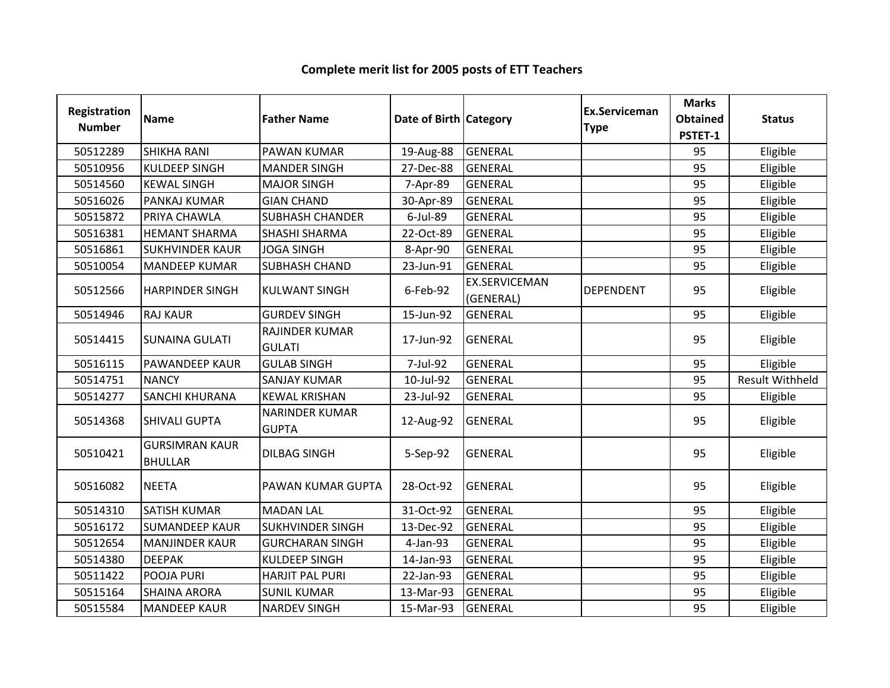#### Registration Numberion Name **Father Name Access Contract Category** Ex.Serviceman Category **Ex.Serviceman** Serviceman Marks<br>
e Obtained<br>
PSTET-1 **Obtained** Status<br> **PSTET-1**<br>
95 Eligible <sup>50512289</sup> SHIKHA RANI PAWAN KUMAR 19-Aug-88 GENERAL <sup>95</sup> Eligible 50510956 KULDEEP SINGH MANDER SINGH 27-Dec-88 GENERAL Julie 195 | Eligible 50514560 KEWAL SINGH MAJOR SINGH | 7-Apr-89 GENERAL | 95 | Eligible <sup>50516026</sup> PANKAJ KUMAR GIAN CHAND 30-Apr-89 GENERAL <sup>95</sup> Eligible 50515872 PRIYA CHAWLA SUBHASH CHANDER | 6-Jul-89 GENERAL | 1999 | 95 | Eligible <sup>50516381</sup> HEMANT SHARMA SHASHI SHARMA 22-Oct-89 GENERAL <sup>95</sup> Eligible <sup>50516861</sup> SUKHVINDER KAUR JOGA SINGH 8-Apr-90 GENERAL <sup>95</sup> Eligible <sup>50510054</sup> MANDEEP KUMAR SUBHASH CHAND 23-Jun-91 GENERAL <sup>95</sup> Eligible <sup>50512566</sup> HARPINDER SINGH KULWANT SINGH 6-Feb-92 EX.SERVICEMAN (GENERAL)DEPENDENT | 95 | Eligible <sup>50514946</sup> RAJ KAUR GURDEV SINGH 15-Jun-92 GENERAL <sup>95</sup> Eligible 50514415 SUNAINA GULATI RAJINDER KUMAR GULATI17-Jun-92 GENERAL 2008 | 95 | Eligible<br>| 95 | Eligible <sup>50516115</sup> PAWANDEEP KAUR GULAB SINGH 7-Jul-92 GENERAL <sup>95</sup> Eligible <sup>50514751</sup> NANCY SANJAY KUMAR 10-Jul-92 GENERAL <sup>95</sup> Result Withheld50514277 SANCHI KHURANA KEWAL KRISHAN 123-Jul-92 GENERAL 1999 Juli 195 Riigible 50514368 SHIVALI GUPTA NARINDER KUMAR GUPTA12-Aug-92 GENERAL 95 Eligible 50510421GURSIMRAN KAUR BHULLARname of the DILBAG SINGH 5-Sep-92 GENERAL 95 Eligible<br>R <sup>50516082</sup> NEETA PAWAN KUMAR GUPTA 28-Oct-92 GENERAL <sup>95</sup> Eligible <sup>50514310</sup> SATISH KUMAR MADAN LAL 31-Oct-92 GENERAL <sup>95</sup> Eligible 50516172 SUMANDEEP KAUR SUKHVINDER SINGH 13-Dec-92 GENERAL JUNION 195 | Eligible 50512654 MANJINDER KAUR GURCHARAN SINGH | 4-Jan-93 GENERAL | 1999 | 95 | Eligible <sup>50514380</sup> DEEPAK KULDEEP SINGH 14-Jan-93 GENERAL <sup>95</sup> Eligible <sup>50511422</sup> POOJA PURI HARJIT PAL PURI 22-Jan-93 GENERAL <sup>95</sup> Eligible <sup>50515164</sup> SHAINA ARORA SUNIL KUMAR 13-Mar-93 GENERAL <sup>95</sup> Eligible <sup>50515584</sup> MANDEEP KAUR NARDEV SINGH 15-Mar-93 GENERAL <sup>95</sup> Eligible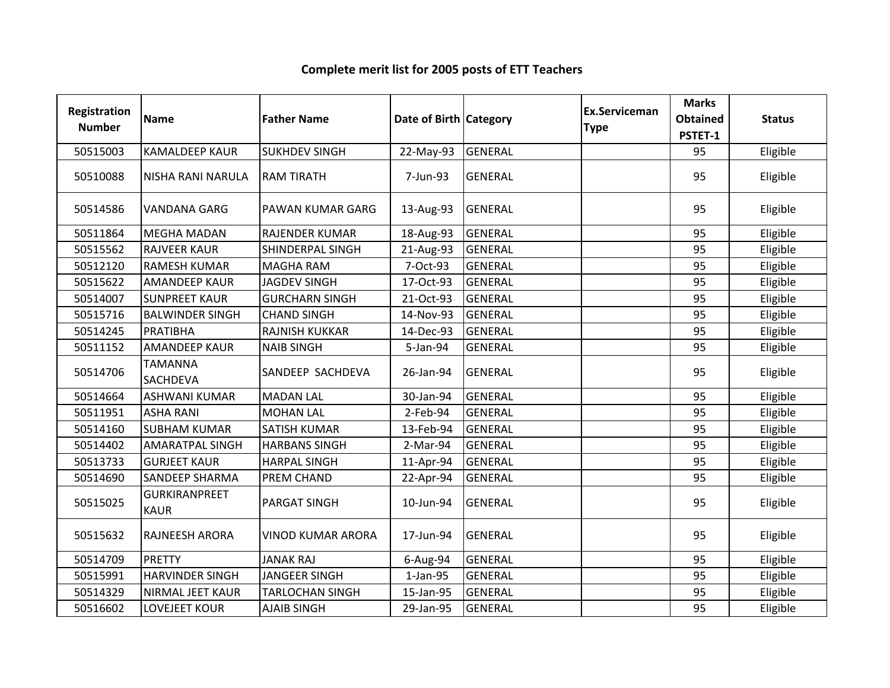| Registration<br><b>Number</b> | <b>Name</b>                         | <b>Father Name</b>       | Date of Birth Category |                | <b>Ex.Serviceman</b><br><b>Type</b> | <b>Marks</b><br><b>Obtained</b><br>PSTET-1 | <b>Status</b> |
|-------------------------------|-------------------------------------|--------------------------|------------------------|----------------|-------------------------------------|--------------------------------------------|---------------|
| 50515003                      | <b>KAMALDEEP KAUR</b>               | <b>SUKHDEV SINGH</b>     | 22-May-93              | <b>GENERAL</b> |                                     | 95                                         | Eligible      |
| 50510088                      | <b>NISHA RANI NARULA</b>            | <b>RAM TIRATH</b>        | 7-Jun-93               | <b>GENERAL</b> |                                     | 95                                         | Eligible      |
| 50514586                      | <b>VANDANA GARG</b>                 | PAWAN KUMAR GARG         | 13-Aug-93              | <b>GENERAL</b> |                                     | 95                                         | Eligible      |
| 50511864                      | <b>MEGHA MADAN</b>                  | <b>RAJENDER KUMAR</b>    | 18-Aug-93              | <b>GENERAL</b> |                                     | 95                                         | Eligible      |
| 50515562                      | <b>RAJVEER KAUR</b>                 | SHINDERPAL SINGH         | 21-Aug-93              | <b>GENERAL</b> |                                     | 95                                         | Eligible      |
| 50512120                      | <b>RAMESH KUMAR</b>                 | <b>MAGHA RAM</b>         | 7-Oct-93               | <b>GENERAL</b> |                                     | 95                                         | Eligible      |
| 50515622                      | <b>AMANDEEP KAUR</b>                | <b>JAGDEV SINGH</b>      | 17-Oct-93              | <b>GENERAL</b> |                                     | 95                                         | Eligible      |
| 50514007                      | <b>SUNPREET KAUR</b>                | <b>GURCHARN SINGH</b>    | 21-Oct-93              | <b>GENERAL</b> |                                     | 95                                         | Eligible      |
| 50515716                      | <b>BALWINDER SINGH</b>              | <b>CHAND SINGH</b>       | 14-Nov-93              | <b>GENERAL</b> |                                     | 95                                         | Eligible      |
| 50514245                      | PRATIBHA                            | <b>RAJNISH KUKKAR</b>    | 14-Dec-93              | <b>GENERAL</b> |                                     | 95                                         | Eligible      |
| 50511152                      | <b>AMANDEEP KAUR</b>                | <b>NAIB SINGH</b>        | 5-Jan-94               | <b>GENERAL</b> |                                     | 95                                         | Eligible      |
| 50514706                      | <b>TAMANNA</b><br>SACHDEVA          | SANDEEP SACHDEVA         | 26-Jan-94              | <b>GENERAL</b> |                                     | 95                                         | Eligible      |
| 50514664                      | <b>ASHWANI KUMAR</b>                | <b>MADAN LAL</b>         | 30-Jan-94              | <b>GENERAL</b> |                                     | 95                                         | Eligible      |
| 50511951                      | <b>ASHA RANI</b>                    | <b>MOHAN LAL</b>         | 2-Feb-94               | <b>GENERAL</b> |                                     | 95                                         | Eligible      |
| 50514160                      | <b>SUBHAM KUMAR</b>                 | <b>SATISH KUMAR</b>      | 13-Feb-94              | <b>GENERAL</b> |                                     | 95                                         | Eligible      |
| 50514402                      | <b>AMARATPAL SINGH</b>              | <b>HARBANS SINGH</b>     | 2-Mar-94               | <b>GENERAL</b> |                                     | 95                                         | Eligible      |
| 50513733                      | <b>GURJEET KAUR</b>                 | <b>HARPAL SINGH</b>      | 11-Apr-94              | <b>GENERAL</b> |                                     | 95                                         | Eligible      |
| 50514690                      | <b>SANDEEP SHARMA</b>               | PREM CHAND               | 22-Apr-94              | <b>GENERAL</b> |                                     | 95                                         | Eligible      |
| 50515025                      | <b>GURKIRANPREET</b><br><b>KAUR</b> | PARGAT SINGH             | 10-Jun-94              | <b>GENERAL</b> |                                     | 95                                         | Eligible      |
| 50515632                      | RAJNEESH ARORA                      | <b>VINOD KUMAR ARORA</b> | 17-Jun-94              | <b>GENERAL</b> |                                     | 95                                         | Eligible      |
| 50514709                      | <b>PRETTY</b>                       | <b>JANAK RAJ</b>         | 6-Aug-94               | <b>GENERAL</b> |                                     | 95                                         | Eligible      |
| 50515991                      | <b>HARVINDER SINGH</b>              | <b>JANGEER SINGH</b>     | $1-Jan-95$             | <b>GENERAL</b> |                                     | 95                                         | Eligible      |
| 50514329                      | NIRMAL JEET KAUR                    | <b>TARLOCHAN SINGH</b>   | 15-Jan-95              | <b>GENERAL</b> |                                     | 95                                         | Eligible      |
| 50516602                      | LOVEJEET KOUR                       | <b>AJAIB SINGH</b>       | 29-Jan-95              | <b>GENERAL</b> |                                     | 95                                         | Eligible      |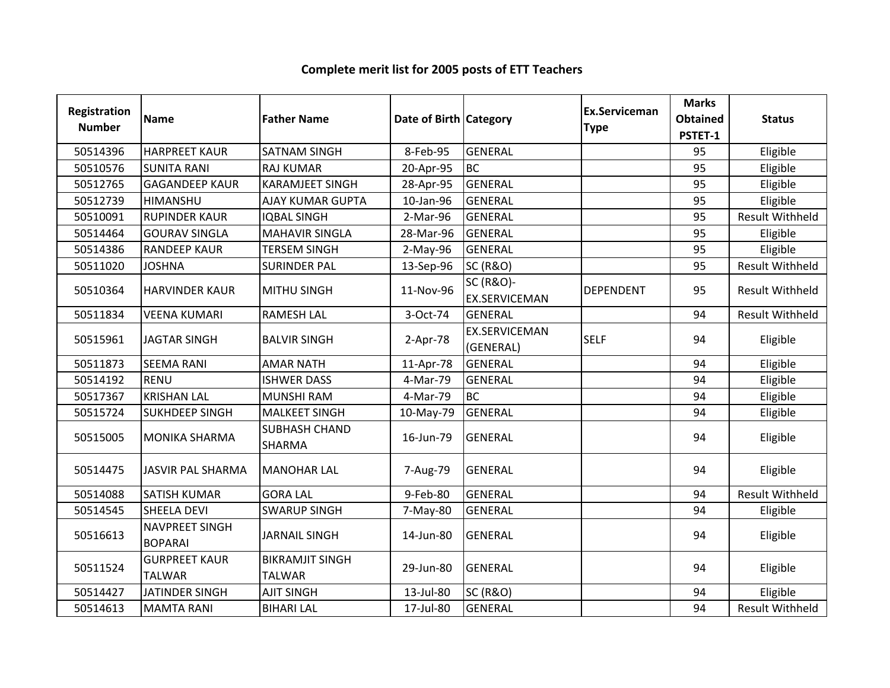| Registration<br><b>Number</b> | <b>Name</b>                           | <b>Father Name</b>                      | Date of Birth Category |                                              | Ex.Serviceman<br><b>Type</b> | <b>Marks</b><br><b>Obtained</b><br>PSTET-1 | <b>Status</b>          |
|-------------------------------|---------------------------------------|-----------------------------------------|------------------------|----------------------------------------------|------------------------------|--------------------------------------------|------------------------|
| 50514396                      | <b>HARPREET KAUR</b>                  | <b>SATNAM SINGH</b>                     | 8-Feb-95               | <b>GENERAL</b>                               |                              | 95                                         | Eligible               |
| 50510576                      | <b>SUNITA RANI</b>                    | <b>RAJ KUMAR</b>                        | 20-Apr-95              | <b>BC</b>                                    |                              | 95                                         | Eligible               |
| 50512765                      | <b>GAGANDEEP KAUR</b>                 | <b>KARAMJEET SINGH</b>                  | 28-Apr-95              | <b>GENERAL</b>                               |                              | 95                                         | Eligible               |
| 50512739                      | HIMANSHU                              | AJAY KUMAR GUPTA                        | 10-Jan-96              | <b>GENERAL</b>                               |                              | 95                                         | Eligible               |
| 50510091                      | <b>RUPINDER KAUR</b>                  | <b>IQBAL SINGH</b>                      | 2-Mar-96               | <b>GENERAL</b>                               |                              | 95                                         | <b>Result Withheld</b> |
| 50514464                      | <b>GOURAV SINGLA</b>                  | <b>MAHAVIR SINGLA</b>                   | 28-Mar-96              | <b>GENERAL</b>                               |                              | 95                                         | Eligible               |
| 50514386                      | <b>RANDEEP KAUR</b>                   | <b>TERSEM SINGH</b>                     | $2-May-96$             | <b>GENERAL</b>                               |                              | 95                                         | Eligible               |
| 50511020                      | <b>JOSHNA</b>                         | <b>SURINDER PAL</b>                     | 13-Sep-96              | <b>SC (R&amp;O)</b>                          |                              | 95                                         | Result Withheld        |
| 50510364                      | <b>HARVINDER KAUR</b>                 | <b>MITHU SINGH</b>                      | 11-Nov-96              | <b>SC (R&amp;O)-</b><br><b>EX.SERVICEMAN</b> | <b>DEPENDENT</b>             | 95                                         | <b>Result Withheld</b> |
| 50511834                      | <b>VEENA KUMARI</b>                   | <b>RAMESH LAL</b>                       | 3-Oct-74               | GENERAL                                      |                              | 94                                         | <b>Result Withheld</b> |
| 50515961                      | <b>JAGTAR SINGH</b>                   | <b>BALVIR SINGH</b>                     | 2-Apr-78               | <b>EX.SERVICEMAN</b><br>(GENERAL)            | <b>SELF</b>                  | 94                                         | Eligible               |
| 50511873                      | <b>SEEMA RANI</b>                     | <b>AMAR NATH</b>                        | 11-Apr-78              | GENERAL                                      |                              | 94                                         | Eligible               |
| 50514192                      | <b>RENU</b>                           | <b>ISHWER DASS</b>                      | 4-Mar-79               | <b>GENERAL</b>                               |                              | 94                                         | Eligible               |
| 50517367                      | <b>KRISHAN LAL</b>                    | <b>MUNSHI RAM</b>                       | 4-Mar-79               | <b>BC</b>                                    |                              | 94                                         | Eligible               |
| 50515724                      | <b>SUKHDEEP SINGH</b>                 | <b>MALKEET SINGH</b>                    | 10-May-79              | GENERAL                                      |                              | 94                                         | Eligible               |
| 50515005                      | <b>MONIKA SHARMA</b>                  | <b>SUBHASH CHAND</b><br>SHARMA          | 16-Jun-79              | <b>GENERAL</b>                               |                              | 94                                         | Eligible               |
| 50514475                      | <b>JASVIR PAL SHARMA</b>              | <b>MANOHAR LAL</b>                      | 7-Aug-79               | <b>GENERAL</b>                               |                              | 94                                         | Eligible               |
| 50514088                      | <b>SATISH KUMAR</b>                   | <b>GORA LAL</b>                         | 9-Feb-80               | <b>GENERAL</b>                               |                              | 94                                         | <b>Result Withheld</b> |
| 50514545                      | <b>SHEELA DEVI</b>                    | <b>SWARUP SINGH</b>                     | 7-May-80               | <b>GENERAL</b>                               |                              | 94                                         | Eligible               |
| 50516613                      | NAVPREET SINGH<br><b>BOPARAI</b>      | <b>JARNAIL SINGH</b>                    | 14-Jun-80              | <b>GENERAL</b>                               |                              | 94                                         | Eligible               |
| 50511524                      | <b>GURPREET KAUR</b><br><b>TALWAR</b> | <b>BIKRAMJIT SINGH</b><br><b>TALWAR</b> | 29-Jun-80              | <b>GENERAL</b>                               |                              | 94                                         | Eligible               |
| 50514427                      | <b>JATINDER SINGH</b>                 | <b>AJIT SINGH</b>                       | 13-Jul-80              | <b>SC (R&amp;O)</b>                          |                              | 94                                         | Eligible               |
| 50514613                      | <b>MAMTA RANI</b>                     | <b>BIHARI LAL</b>                       | 17-Jul-80              | <b>GENERAL</b>                               |                              | 94                                         | Result Withheld        |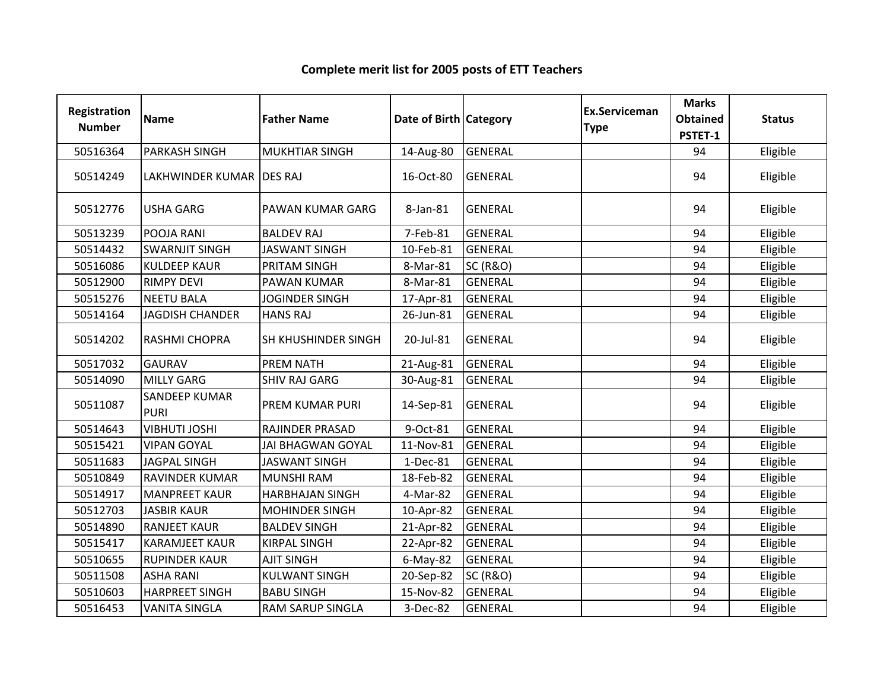| Registration<br><b>Number</b> | <b>Name</b>                         | <b>Father Name</b>       | Date of Birth Category |                     | <b>Ex.Serviceman</b><br><b>Type</b> | <b>Marks</b><br><b>Obtained</b><br>PSTET-1 | <b>Status</b> |
|-------------------------------|-------------------------------------|--------------------------|------------------------|---------------------|-------------------------------------|--------------------------------------------|---------------|
| 50516364                      | <b>PARKASH SINGH</b>                | <b>MUKHTIAR SINGH</b>    | 14-Aug-80              | <b>GENERAL</b>      |                                     | 94                                         | Eligible      |
| 50514249                      | LAKHWINDER KUMAR DES RAJ            |                          | 16-Oct-80              | <b>GENERAL</b>      |                                     | 94                                         | Eligible      |
| 50512776                      | <b>USHA GARG</b>                    | PAWAN KUMAR GARG         | 8-Jan-81               | <b>GENERAL</b>      |                                     | 94                                         | Eligible      |
| 50513239                      | POOJA RANI                          | <b>BALDEV RAJ</b>        | 7-Feb-81               | <b>GENERAL</b>      |                                     | 94                                         | Eligible      |
| 50514432                      | <b>SWARNJIT SINGH</b>               | <b>JASWANT SINGH</b>     | 10-Feb-81              | <b>GENERAL</b>      |                                     | 94                                         | Eligible      |
| 50516086                      | <b>KULDEEP KAUR</b>                 | PRITAM SINGH             | 8-Mar-81               | <b>SC (R&amp;O)</b> |                                     | 94                                         | Eligible      |
| 50512900                      | <b>RIMPY DEVI</b>                   | PAWAN KUMAR              | 8-Mar-81               | <b>GENERAL</b>      |                                     | 94                                         | Eligible      |
| 50515276                      | <b>NEETU BALA</b>                   | <b>JOGINDER SINGH</b>    | 17-Apr-81              | <b>GENERAL</b>      |                                     | 94                                         | Eligible      |
| 50514164                      | <b>JAGDISH CHANDER</b>              | <b>HANS RAJ</b>          | 26-Jun-81              | <b>GENERAL</b>      |                                     | 94                                         | Eligible      |
| 50514202                      | RASHMI CHOPRA                       | SH KHUSHINDER SINGH      | 20-Jul-81              | <b>GENERAL</b>      |                                     | 94                                         | Eligible      |
| 50517032                      | <b>GAURAV</b>                       | PREM NATH                | 21-Aug-81              | <b>GENERAL</b>      |                                     | 94                                         | Eligible      |
| 50514090                      | <b>MILLY GARG</b>                   | <b>SHIV RAJ GARG</b>     | 30-Aug-81              | <b>GENERAL</b>      |                                     | 94                                         | Eligible      |
| 50511087                      | <b>SANDEEP KUMAR</b><br><b>PURI</b> | PREM KUMAR PURI          | 14-Sep-81              | <b>GENERAL</b>      |                                     | 94                                         | Eligible      |
| 50514643                      | <b>VIBHUTI JOSHI</b>                | RAJINDER PRASAD          | 9-Oct-81               | GENERAL             |                                     | 94                                         | Eligible      |
| 50515421                      | <b>VIPAN GOYAL</b>                  | <b>JAI BHAGWAN GOYAL</b> | 11-Nov-81              | <b>GENERAL</b>      |                                     | 94                                         | Eligible      |
| 50511683                      | <b>JAGPAL SINGH</b>                 | <b>JASWANT SINGH</b>     | 1-Dec-81               | <b>GENERAL</b>      |                                     | 94                                         | Eligible      |
| 50510849                      | <b>RAVINDER KUMAR</b>               | <b>MUNSHI RAM</b>        | 18-Feb-82              | <b>GENERAL</b>      |                                     | 94                                         | Eligible      |
| 50514917                      | <b>MANPREET KAUR</b>                | <b>HARBHAJAN SINGH</b>   | 4-Mar-82               | <b>GENERAL</b>      |                                     | 94                                         | Eligible      |
| 50512703                      | <b>JASBIR KAUR</b>                  | <b>MOHINDER SINGH</b>    | 10-Apr-82              | <b>GENERAL</b>      |                                     | 94                                         | Eligible      |
| 50514890                      | <b>RANJEET KAUR</b>                 | <b>BALDEV SINGH</b>      | 21-Apr-82              | <b>GENERAL</b>      |                                     | 94                                         | Eligible      |
| 50515417                      | <b>KARAMJEET KAUR</b>               | <b>KIRPAL SINGH</b>      | 22-Apr-82              | <b>GENERAL</b>      |                                     | 94                                         | Eligible      |
| 50510655                      | <b>RUPINDER KAUR</b>                | <b>AJIT SINGH</b>        | $6$ -May-82            | <b>GENERAL</b>      |                                     | 94                                         | Eligible      |
| 50511508                      | <b>ASHA RANI</b>                    | <b>KULWANT SINGH</b>     | 20-Sep-82              | <b>SC (R&amp;O)</b> |                                     | 94                                         | Eligible      |
| 50510603                      | <b>HARPREET SINGH</b>               | <b>BABU SINGH</b>        | 15-Nov-82              | <b>GENERAL</b>      |                                     | 94                                         | Eligible      |
| 50516453                      | <b>VANITA SINGLA</b>                | <b>RAM SARUP SINGLA</b>  | 3-Dec-82               | <b>GENERAL</b>      |                                     | 94                                         | Eligible      |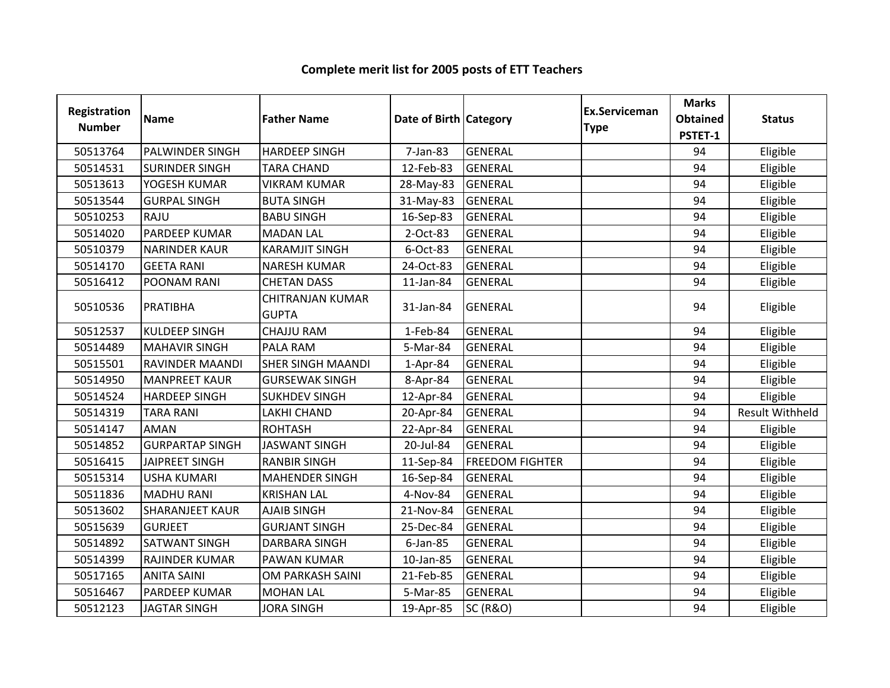| <b>Registration</b><br><b>Number</b> | <b>Name</b>            | <b>Father Name</b>                      | Date of Birth Category |                        | Ex.Serviceman<br><b>Type</b> | <b>Marks</b><br><b>Obtained</b><br>PSTET-1 | <b>Status</b>          |
|--------------------------------------|------------------------|-----------------------------------------|------------------------|------------------------|------------------------------|--------------------------------------------|------------------------|
| 50513764                             | <b>PALWINDER SINGH</b> | <b>HARDEEP SINGH</b>                    | 7-Jan-83               | <b>GENERAL</b>         |                              | 94                                         | Eligible               |
| 50514531                             | <b>SURINDER SINGH</b>  | <b>TARA CHAND</b>                       | 12-Feb-83              | <b>GENERAL</b>         |                              | 94                                         | Eligible               |
| 50513613                             | YOGESH KUMAR           | <b>VIKRAM KUMAR</b>                     | 28-May-83              | <b>GENERAL</b>         |                              | 94                                         | Eligible               |
| 50513544                             | <b>GURPAL SINGH</b>    | <b>BUTA SINGH</b>                       | 31-May-83              | <b>GENERAL</b>         |                              | 94                                         | Eligible               |
| 50510253                             | RAJU                   | <b>BABU SINGH</b>                       | 16-Sep-83              | <b>GENERAL</b>         |                              | 94                                         | Eligible               |
| 50514020                             | PARDEEP KUMAR          | <b>MADAN LAL</b>                        | 2-Oct-83               | <b>GENERAL</b>         |                              | 94                                         | Eligible               |
| 50510379                             | <b>NARINDER KAUR</b>   | <b>KARAMJIT SINGH</b>                   | 6-Oct-83               | <b>GENERAL</b>         |                              | 94                                         | Eligible               |
| 50514170                             | <b>GEETA RANI</b>      | <b>NARESH KUMAR</b>                     | 24-Oct-83              | <b>GENERAL</b>         |                              | 94                                         | Eligible               |
| 50516412                             | POONAM RANI            | <b>CHETAN DASS</b>                      | 11-Jan-84              | <b>GENERAL</b>         |                              | 94                                         | Eligible               |
| 50510536                             | PRATIBHA               | <b>CHITRANJAN KUMAR</b><br><b>GUPTA</b> | 31-Jan-84              | <b>GENERAL</b>         |                              | 94                                         | Eligible               |
| 50512537                             | <b>KULDEEP SINGH</b>   | <b>CHAJJU RAM</b>                       | 1-Feb-84               | <b>GENERAL</b>         |                              | 94                                         | Eligible               |
| 50514489                             | <b>MAHAVIR SINGH</b>   | PALA RAM                                | 5-Mar-84               | <b>GENERAL</b>         |                              | 94                                         | Eligible               |
| 50515501                             | <b>RAVINDER MAANDI</b> | <b>SHER SINGH MAANDI</b>                | $1-Apr-84$             | <b>GENERAL</b>         |                              | 94                                         | Eligible               |
| 50514950                             | <b>MANPREET KAUR</b>   | <b>GURSEWAK SINGH</b>                   | 8-Apr-84               | <b>GENERAL</b>         |                              | 94                                         | Eligible               |
| 50514524                             | <b>HARDEEP SINGH</b>   | <b>SUKHDEV SINGH</b>                    | 12-Apr-84              | <b>GENERAL</b>         |                              | 94                                         | Eligible               |
| 50514319                             | <b>TARA RANI</b>       | <b>LAKHI CHAND</b>                      | 20-Apr-84              | <b>GENERAL</b>         |                              | 94                                         | <b>Result Withheld</b> |
| 50514147                             | <b>AMAN</b>            | <b>ROHTASH</b>                          | 22-Apr-84              | <b>GENERAL</b>         |                              | 94                                         | Eligible               |
| 50514852                             | <b>GURPARTAP SINGH</b> | <b>JASWANT SINGH</b>                    | 20-Jul-84              | <b>GENERAL</b>         |                              | 94                                         | Eligible               |
| 50516415                             | <b>JAIPREET SINGH</b>  | <b>RANBIR SINGH</b>                     | 11-Sep-84              | <b>FREEDOM FIGHTER</b> |                              | 94                                         | Eligible               |
| 50515314                             | <b>USHA KUMARI</b>     | <b>MAHENDER SINGH</b>                   | 16-Sep-84              | <b>GENERAL</b>         |                              | 94                                         | Eligible               |
| 50511836                             | <b>MADHU RANI</b>      | <b>KRISHAN LAL</b>                      | 4-Nov-84               | <b>GENERAL</b>         |                              | 94                                         | Eligible               |
| 50513602                             | <b>SHARANJEET KAUR</b> | <b>AJAIB SINGH</b>                      | 21-Nov-84              | <b>GENERAL</b>         |                              | 94                                         | Eligible               |
| 50515639                             | <b>GURJEET</b>         | <b>GURJANT SINGH</b>                    | 25-Dec-84              | <b>GENERAL</b>         |                              | 94                                         | Eligible               |
| 50514892                             | <b>SATWANT SINGH</b>   | <b>DARBARA SINGH</b>                    | $6$ -Jan-85            | <b>GENERAL</b>         |                              | 94                                         | Eligible               |
| 50514399                             | RAJINDER KUMAR         | PAWAN KUMAR                             | 10-Jan-85              | <b>GENERAL</b>         |                              | 94                                         | Eligible               |
| 50517165                             | <b>ANITA SAINI</b>     | OM PARKASH SAINI                        | 21-Feb-85              | <b>GENERAL</b>         |                              | 94                                         | Eligible               |
| 50516467                             | PARDEEP KUMAR          | <b>MOHAN LAL</b>                        | 5-Mar-85               | <b>GENERAL</b>         |                              | 94                                         | Eligible               |
| 50512123                             | <b>JAGTAR SINGH</b>    | <b>JORA SINGH</b>                       | 19-Apr-85              | <b>SC (R&amp;O)</b>    |                              | 94                                         | Eligible               |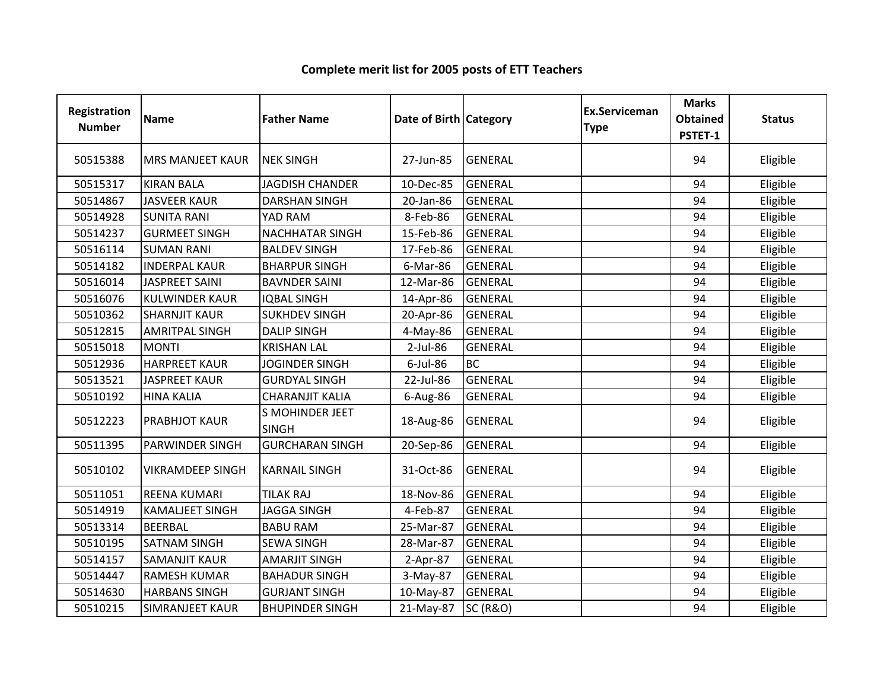| Registration<br><b>Number</b> | <b>Name</b>             | <b>Father Name</b>                     | Date of Birth Category |                     | <b>Ex.Serviceman</b><br><b>Type</b> | <b>Marks</b><br><b>Obtained</b><br>PSTET-1 | <b>Status</b> |
|-------------------------------|-------------------------|----------------------------------------|------------------------|---------------------|-------------------------------------|--------------------------------------------|---------------|
| 50515388                      | <b>MRS MANJEET KAUR</b> | <b>NEK SINGH</b>                       | 27-Jun-85              | <b>GENERAL</b>      |                                     | 94                                         | Eligible      |
| 50515317                      | <b>KIRAN BALA</b>       | <b>JAGDISH CHANDER</b>                 | 10-Dec-85              | <b>GENERAL</b>      |                                     | 94                                         | Eligible      |
| 50514867                      | <b>JASVEER KAUR</b>     | <b>DARSHAN SINGH</b>                   | 20-Jan-86              | <b>GENERAL</b>      |                                     | 94                                         | Eligible      |
| 50514928                      | <b>SUNITA RANI</b>      | YAD RAM                                | 8-Feb-86               | <b>GENERAL</b>      |                                     | 94                                         | Eligible      |
| 50514237                      | <b>GURMEET SINGH</b>    | <b>NACHHATAR SINGH</b>                 | 15-Feb-86              | <b>GENERAL</b>      |                                     | 94                                         | Eligible      |
| 50516114                      | <b>SUMAN RANI</b>       | <b>BALDEV SINGH</b>                    | 17-Feb-86              | <b>GENERAL</b>      |                                     | 94                                         | Eligible      |
| 50514182                      | <b>INDERPAL KAUR</b>    | <b>BHARPUR SINGH</b>                   | 6-Mar-86               | <b>GENERAL</b>      |                                     | 94                                         | Eligible      |
| 50516014                      | <b>JASPREET SAINI</b>   | <b>BAVNDER SAINI</b>                   | 12-Mar-86              | <b>GENERAL</b>      |                                     | 94                                         | Eligible      |
| 50516076                      | <b>KULWINDER KAUR</b>   | <b>IQBAL SINGH</b>                     | 14-Apr-86              | <b>GENERAL</b>      |                                     | 94                                         | Eligible      |
| 50510362                      | <b>SHARNJIT KAUR</b>    | <b>SUKHDEV SINGH</b>                   | 20-Apr-86              | <b>GENERAL</b>      |                                     | 94                                         | Eligible      |
| 50512815                      | <b>AMRITPAL SINGH</b>   | <b>DALIP SINGH</b>                     | 4-May-86               | <b>GENERAL</b>      |                                     | 94                                         | Eligible      |
| 50515018                      | <b>MONTI</b>            | <b>KRISHAN LAL</b>                     | 2-Jul-86               | <b>GENERAL</b>      |                                     | 94                                         | Eligible      |
| 50512936                      | <b>HARPREET KAUR</b>    | <b>JOGINDER SINGH</b>                  | 6-Jul-86               | <b>BC</b>           |                                     | 94                                         | Eligible      |
| 50513521                      | <b>JASPREET KAUR</b>    | <b>GURDYAL SINGH</b>                   | 22-Jul-86              | <b>GENERAL</b>      |                                     | 94                                         | Eligible      |
| 50510192                      | <b>HINA KALIA</b>       | <b>CHARANJIT KALIA</b>                 | 6-Aug-86               | <b>GENERAL</b>      |                                     | 94                                         | Eligible      |
| 50512223                      | PRABHJOT KAUR           | <b>S MOHINDER JEET</b><br><b>SINGH</b> | 18-Aug-86              | <b>GENERAL</b>      |                                     | 94                                         | Eligible      |
| 50511395                      | <b>PARWINDER SINGH</b>  | <b>GURCHARAN SINGH</b>                 | 20-Sep-86              | <b>GENERAL</b>      |                                     | 94                                         | Eligible      |
| 50510102                      | <b>VIKRAMDEEP SINGH</b> | <b>KARNAIL SINGH</b>                   | 31-Oct-86              | <b>GENERAL</b>      |                                     | 94                                         | Eligible      |
| 50511051                      | <b>REENA KUMARI</b>     | <b>TILAK RAJ</b>                       | 18-Nov-86              | <b>GENERAL</b>      |                                     | 94                                         | Eligible      |
| 50514919                      | <b>KAMALJEET SINGH</b>  | <b>JAGGA SINGH</b>                     | 4-Feb-87               | <b>GENERAL</b>      |                                     | 94                                         | Eligible      |
| 50513314                      | <b>BEERBAL</b>          | <b>BABU RAM</b>                        | 25-Mar-87              | <b>GENERAL</b>      |                                     | 94                                         | Eligible      |
| 50510195                      | <b>SATNAM SINGH</b>     | <b>SEWA SINGH</b>                      | 28-Mar-87              | <b>GENERAL</b>      |                                     | 94                                         | Eligible      |
| 50514157                      | <b>SAMANJIT KAUR</b>    | <b>AMARJIT SINGH</b>                   | 2-Apr-87               | <b>GENERAL</b>      |                                     | 94                                         | Eligible      |
| 50514447                      | <b>RAMESH KUMAR</b>     | <b>BAHADUR SINGH</b>                   | 3-May-87               | <b>GENERAL</b>      |                                     | 94                                         | Eligible      |
| 50514630                      | <b>HARBANS SINGH</b>    | <b>GURJANT SINGH</b>                   | 10-May-87              | <b>GENERAL</b>      |                                     | 94                                         | Eligible      |
| 50510215                      | <b>SIMRANJEET KAUR</b>  | <b>BHUPINDER SINGH</b>                 | 21-May-87              | <b>SC (R&amp;O)</b> |                                     | 94                                         | Eligible      |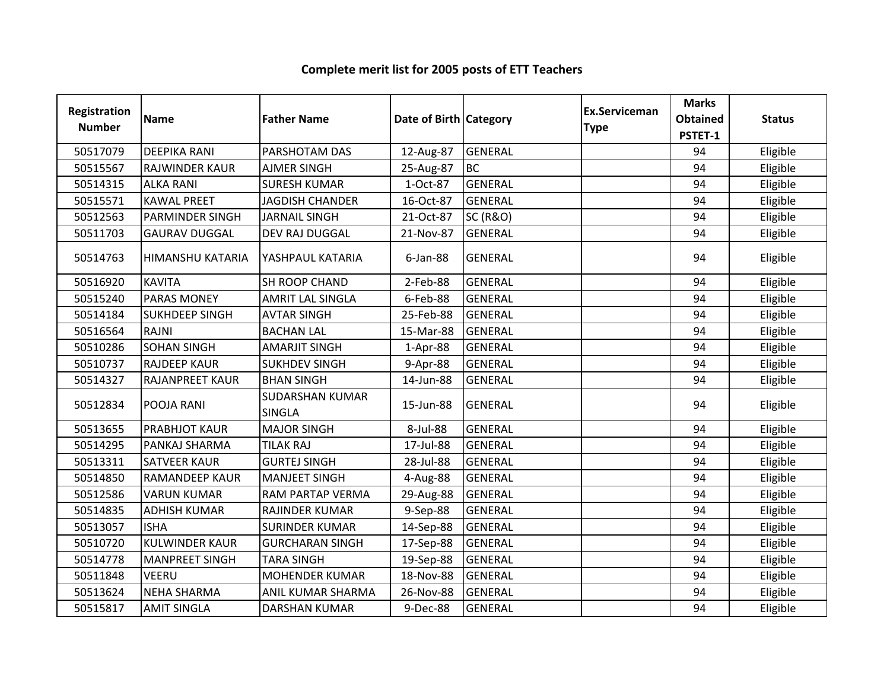| <b>Registration</b><br><b>Number</b> | <b>Name</b>            | <b>Father Name</b>                      | Date of Birth Category |                     | Ex.Serviceman<br><b>Type</b> | <b>Marks</b><br><b>Obtained</b><br>PSTET-1 | <b>Status</b> |
|--------------------------------------|------------------------|-----------------------------------------|------------------------|---------------------|------------------------------|--------------------------------------------|---------------|
| 50517079                             | <b>DEEPIKA RANI</b>    | PARSHOTAM DAS                           | 12-Aug-87              | <b>GENERAL</b>      |                              | 94                                         | Eligible      |
| 50515567                             | <b>RAJWINDER KAUR</b>  | <b>AJMER SINGH</b>                      | 25-Aug-87              | <b>BC</b>           |                              | 94                                         | Eligible      |
| 50514315                             | <b>ALKA RANI</b>       | <b>SURESH KUMAR</b>                     | 1-Oct-87               | <b>GENERAL</b>      |                              | 94                                         | Eligible      |
| 50515571                             | <b>KAWAL PREET</b>     | <b>JAGDISH CHANDER</b>                  | 16-Oct-87              | <b>GENERAL</b>      |                              | 94                                         | Eligible      |
| 50512563                             | <b>PARMINDER SINGH</b> | <b>JARNAIL SINGH</b>                    | 21-Oct-87              | <b>SC (R&amp;O)</b> |                              | 94                                         | Eligible      |
| 50511703                             | <b>GAURAV DUGGAL</b>   | DEV RAJ DUGGAL                          | 21-Nov-87              | <b>GENERAL</b>      |                              | 94                                         | Eligible      |
| 50514763                             | HIMANSHU KATARIA       | YASHPAUL KATARIA                        | $6$ -Jan-88            | <b>GENERAL</b>      |                              | 94                                         | Eligible      |
| 50516920                             | <b>KAVITA</b>          | SH ROOP CHAND                           | 2-Feb-88               | <b>GENERAL</b>      |                              | 94                                         | Eligible      |
| 50515240                             | <b>PARAS MONEY</b>     | <b>AMRIT LAL SINGLA</b>                 | 6-Feb-88               | <b>GENERAL</b>      |                              | 94                                         | Eligible      |
| 50514184                             | <b>SUKHDEEP SINGH</b>  | <b>AVTAR SINGH</b>                      | 25-Feb-88              | <b>GENERAL</b>      |                              | 94                                         | Eligible      |
| 50516564                             | <b>RAJNI</b>           | <b>BACHAN LAL</b>                       | 15-Mar-88              | <b>GENERAL</b>      |                              | 94                                         | Eligible      |
| 50510286                             | <b>SOHAN SINGH</b>     | <b>AMARJIT SINGH</b>                    | 1-Apr-88               | <b>GENERAL</b>      |                              | 94                                         | Eligible      |
| 50510737                             | <b>RAJDEEP KAUR</b>    | <b>SUKHDEV SINGH</b>                    | 9-Apr-88               | <b>GENERAL</b>      |                              | 94                                         | Eligible      |
| 50514327                             | RAJANPREET KAUR        | <b>BHAN SINGH</b>                       | 14-Jun-88              | <b>GENERAL</b>      |                              | 94                                         | Eligible      |
| 50512834                             | POOJA RANI             | <b>SUDARSHAN KUMAR</b><br><b>SINGLA</b> | 15-Jun-88              | <b>GENERAL</b>      |                              | 94                                         | Eligible      |
| 50513655                             | <b>PRABHJOT KAUR</b>   | <b>MAJOR SINGH</b>                      | 8-Jul-88               | <b>GENERAL</b>      |                              | 94                                         | Eligible      |
| 50514295                             | PANKAJ SHARMA          | <b>TILAK RAJ</b>                        | 17-Jul-88              | <b>GENERAL</b>      |                              | 94                                         | Eligible      |
| 50513311                             | <b>SATVEER KAUR</b>    | <b>GURTEJ SINGH</b>                     | 28-Jul-88              | <b>GENERAL</b>      |                              | 94                                         | Eligible      |
| 50514850                             | <b>RAMANDEEP KAUR</b>  | <b>MANJEET SINGH</b>                    | 4-Aug-88               | <b>GENERAL</b>      |                              | 94                                         | Eligible      |
| 50512586                             | <b>VARUN KUMAR</b>     | RAM PARTAP VERMA                        | 29-Aug-88              | <b>GENERAL</b>      |                              | 94                                         | Eligible      |
| 50514835                             | <b>ADHISH KUMAR</b>    | RAJINDER KUMAR                          | 9-Sep-88               | <b>GENERAL</b>      |                              | 94                                         | Eligible      |
| 50513057                             | <b>ISHA</b>            | <b>SURINDER KUMAR</b>                   | 14-Sep-88              | <b>GENERAL</b>      |                              | 94                                         | Eligible      |
| 50510720                             | <b>KULWINDER KAUR</b>  | <b>GURCHARAN SINGH</b>                  | 17-Sep-88              | <b>GENERAL</b>      |                              | 94                                         | Eligible      |
| 50514778                             | <b>MANPREET SINGH</b>  | <b>TARA SINGH</b>                       | 19-Sep-88              | <b>GENERAL</b>      |                              | 94                                         | Eligible      |
| 50511848                             | <b>VEERU</b>           | <b>MOHENDER KUMAR</b>                   | 18-Nov-88              | <b>GENERAL</b>      |                              | 94                                         | Eligible      |
| 50513624                             | <b>NEHA SHARMA</b>     | ANIL KUMAR SHARMA                       | 26-Nov-88              | <b>GENERAL</b>      |                              | 94                                         | Eligible      |
| 50515817                             | <b>AMIT SINGLA</b>     | <b>DARSHAN KUMAR</b>                    | 9-Dec-88               | <b>GENERAL</b>      |                              | 94                                         | Eligible      |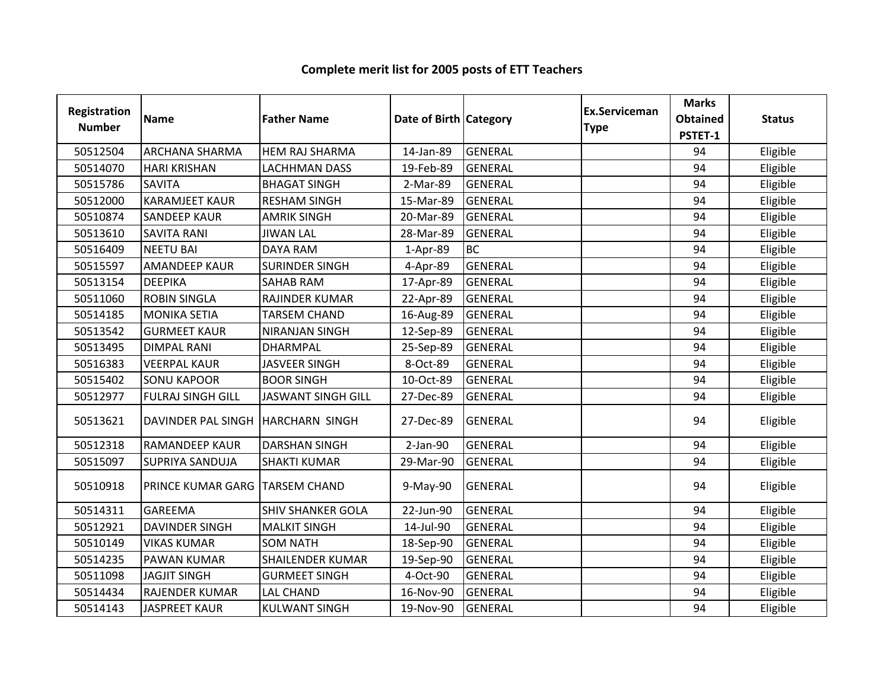| <b>Registration</b><br><b>Number</b> | <b>Name</b>                         | <b>Father Name</b>        | Date of Birth Category |                | Ex.Serviceman<br><b>Type</b> | <b>Marks</b><br><b>Obtained</b><br>PSTET-1 | <b>Status</b> |
|--------------------------------------|-------------------------------------|---------------------------|------------------------|----------------|------------------------------|--------------------------------------------|---------------|
| 50512504                             | <b>ARCHANA SHARMA</b>               | <b>HEM RAJ SHARMA</b>     | 14-Jan-89              | <b>GENERAL</b> |                              | 94                                         | Eligible      |
| 50514070                             | <b>HARI KRISHAN</b>                 | <b>LACHHMAN DASS</b>      | 19-Feb-89              | <b>GENERAL</b> |                              | 94                                         | Eligible      |
| 50515786                             | <b>SAVITA</b>                       | <b>BHAGAT SINGH</b>       | 2-Mar-89               | <b>GENERAL</b> |                              | 94                                         | Eligible      |
| 50512000                             | <b>KARAMJEET KAUR</b>               | <b>RESHAM SINGH</b>       | 15-Mar-89              | <b>GENERAL</b> |                              | 94                                         | Eligible      |
| 50510874                             | <b>SANDEEP KAUR</b>                 | <b>AMRIK SINGH</b>        | 20-Mar-89              | <b>GENERAL</b> |                              | 94                                         | Eligible      |
| 50513610                             | <b>SAVITA RANI</b>                  | <b>JIWAN LAL</b>          | 28-Mar-89              | <b>GENERAL</b> |                              | 94                                         | Eligible      |
| 50516409                             | <b>NEETU BAI</b>                    | <b>DAYA RAM</b>           | 1-Apr-89               | <b>BC</b>      |                              | 94                                         | Eligible      |
| 50515597                             | <b>AMANDEEP KAUR</b>                | <b>SURINDER SINGH</b>     | 4-Apr-89               | <b>GENERAL</b> |                              | 94                                         | Eligible      |
| 50513154                             | <b>DEEPIKA</b>                      | <b>SAHAB RAM</b>          | 17-Apr-89              | <b>GENERAL</b> |                              | 94                                         | Eligible      |
| 50511060                             | <b>ROBIN SINGLA</b>                 | RAJINDER KUMAR            | 22-Apr-89              | <b>GENERAL</b> |                              | 94                                         | Eligible      |
| 50514185                             | <b>MONIKA SETIA</b>                 | <b>TARSEM CHAND</b>       | 16-Aug-89              | GENERAL        |                              | 94                                         | Eligible      |
| 50513542                             | <b>GURMEET KAUR</b>                 | NIRANJAN SINGH            | 12-Sep-89              | <b>GENERAL</b> |                              | 94                                         | Eligible      |
| 50513495                             | <b>DIMPAL RANI</b>                  | <b>DHARMPAL</b>           | 25-Sep-89              | <b>GENERAL</b> |                              | 94                                         | Eligible      |
| 50516383                             | <b>VEERPAL KAUR</b>                 | <b>JASVEER SINGH</b>      | 8-Oct-89               | <b>GENERAL</b> |                              | 94                                         | Eligible      |
| 50515402                             | <b>SONU KAPOOR</b>                  | <b>BOOR SINGH</b>         | 10-Oct-89              | <b>GENERAL</b> |                              | 94                                         | Eligible      |
| 50512977                             | <b>FULRAJ SINGH GILL</b>            | <b>JASWANT SINGH GILL</b> | 27-Dec-89              | <b>GENERAL</b> |                              | 94                                         | Eligible      |
| 50513621                             | DAVINDER PAL SINGH   HARCHARN SINGH |                           | 27-Dec-89              | <b>GENERAL</b> |                              | 94                                         | Eligible      |
| 50512318                             | <b>RAMANDEEP KAUR</b>               | <b>DARSHAN SINGH</b>      | $2-Jan-90$             | <b>GENERAL</b> |                              | 94                                         | Eligible      |
| 50515097                             | <b>SUPRIYA SANDUJA</b>              | <b>SHAKTI KUMAR</b>       | 29-Mar-90              | <b>GENERAL</b> |                              | 94                                         | Eligible      |
| 50510918                             | PRINCE KUMAR GARG   TARSEM CHAND    |                           | 9-May-90               | <b>GENERAL</b> |                              | 94                                         | Eligible      |
| 50514311                             | <b>GAREEMA</b>                      | <b>SHIV SHANKER GOLA</b>  | 22-Jun-90              | <b>GENERAL</b> |                              | 94                                         | Eligible      |
| 50512921                             | <b>DAVINDER SINGH</b>               | <b>MALKIT SINGH</b>       | 14-Jul-90              | GENERAL        |                              | 94                                         | Eligible      |
| 50510149                             | <b>VIKAS KUMAR</b>                  | <b>SOM NATH</b>           | 18-Sep-90              | <b>GENERAL</b> |                              | 94                                         | Eligible      |
| 50514235                             | PAWAN KUMAR                         | <b>SHAILENDER KUMAR</b>   | 19-Sep-90              | <b>GENERAL</b> |                              | 94                                         | Eligible      |
| 50511098                             | <b>JAGJIT SINGH</b>                 | <b>GURMEET SINGH</b>      | 4-Oct-90               | <b>GENERAL</b> |                              | 94                                         | Eligible      |
| 50514434                             | RAJENDER KUMAR                      | <b>LAL CHAND</b>          | 16-Nov-90              | <b>GENERAL</b> |                              | 94                                         | Eligible      |
| 50514143                             | <b>JASPREET KAUR</b>                | <b>KULWANT SINGH</b>      | 19-Nov-90              | <b>GENERAL</b> |                              | 94                                         | Eligible      |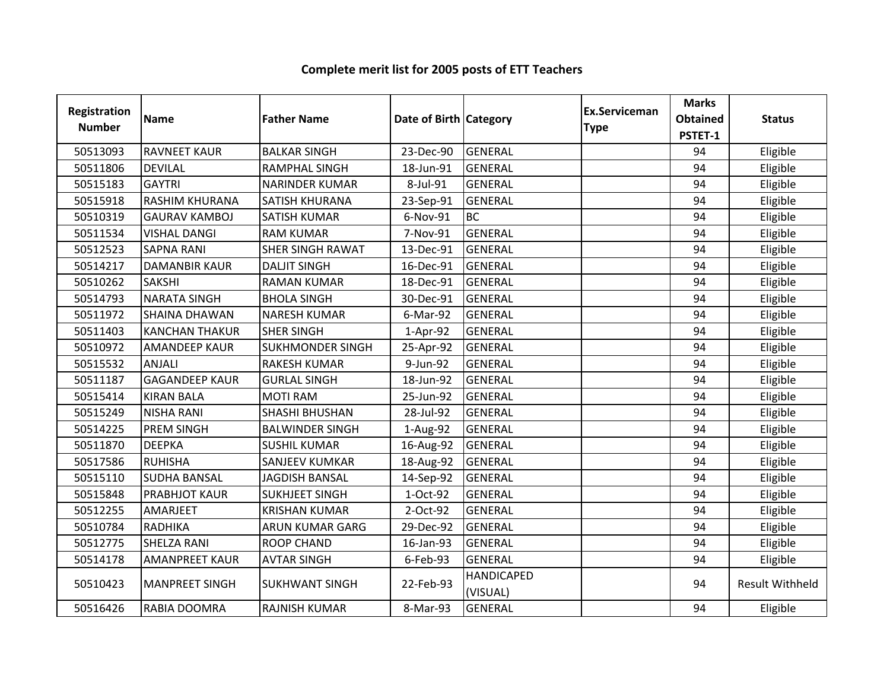| Registration<br><b>Number</b> | <b>Name</b>           | <b>Father Name</b>      | Date of Birth Category |                               | Ex.Serviceman<br><b>Type</b> | <b>Marks</b><br><b>Obtained</b><br>PSTET-1 | <b>Status</b>          |
|-------------------------------|-----------------------|-------------------------|------------------------|-------------------------------|------------------------------|--------------------------------------------|------------------------|
| 50513093                      | <b>RAVNEET KAUR</b>   | <b>BALKAR SINGH</b>     | 23-Dec-90              | <b>GENERAL</b>                |                              | 94                                         | Eligible               |
| 50511806                      | <b>DEVILAL</b>        | <b>RAMPHAL SINGH</b>    | 18-Jun-91              | <b>GENERAL</b>                |                              | 94                                         | Eligible               |
| 50515183                      | <b>GAYTRI</b>         | <b>NARINDER KUMAR</b>   | 8-Jul-91               | <b>GENERAL</b>                |                              | 94                                         | Eligible               |
| 50515918                      | RASHIM KHURANA        | SATISH KHURANA          | 23-Sep-91              | GENERAL                       |                              | 94                                         | Eligible               |
| 50510319                      | <b>GAURAV KAMBOJ</b>  | <b>SATISH KUMAR</b>     | 6-Nov-91               | <b>BC</b>                     |                              | 94                                         | Eligible               |
| 50511534                      | <b>VISHAL DANGI</b>   | <b>RAM KUMAR</b>        | 7-Nov-91               | <b>GENERAL</b>                |                              | 94                                         | Eligible               |
| 50512523                      | <b>SAPNA RANI</b>     | <b>SHER SINGH RAWAT</b> | 13-Dec-91              | <b>GENERAL</b>                |                              | 94                                         | Eligible               |
| 50514217                      | <b>DAMANBIR KAUR</b>  | <b>DALJIT SINGH</b>     | 16-Dec-91              | <b>GENERAL</b>                |                              | 94                                         | Eligible               |
| 50510262                      | SAKSHI                | <b>RAMAN KUMAR</b>      | 18-Dec-91              | <b>GENERAL</b>                |                              | 94                                         | Eligible               |
| 50514793                      | <b>NARATA SINGH</b>   | <b>BHOLA SINGH</b>      | 30-Dec-91              | <b>GENERAL</b>                |                              | 94                                         | Eligible               |
| 50511972                      | <b>SHAINA DHAWAN</b>  | <b>NARESH KUMAR</b>     | 6-Mar-92               | <b>GENERAL</b>                |                              | 94                                         | Eligible               |
| 50511403                      | <b>KANCHAN THAKUR</b> | <b>SHER SINGH</b>       | 1-Apr-92               | <b>GENERAL</b>                |                              | 94                                         | Eligible               |
| 50510972                      | <b>AMANDEEP KAUR</b>  | <b>SUKHMONDER SINGH</b> | 25-Apr-92              | <b>GENERAL</b>                |                              | 94                                         | Eligible               |
| 50515532                      | <b>ANJALI</b>         | <b>RAKESH KUMAR</b>     | 9-Jun-92               | <b>GENERAL</b>                |                              | 94                                         | Eligible               |
| 50511187                      | <b>GAGANDEEP KAUR</b> | <b>GURLAL SINGH</b>     | 18-Jun-92              | <b>GENERAL</b>                |                              | 94                                         | Eligible               |
| 50515414                      | <b>KIRAN BALA</b>     | <b>MOTI RAM</b>         | 25-Jun-92              | <b>GENERAL</b>                |                              | 94                                         | Eligible               |
| 50515249                      | <b>NISHA RANI</b>     | <b>SHASHI BHUSHAN</b>   | 28-Jul-92              | <b>GENERAL</b>                |                              | 94                                         | Eligible               |
| 50514225                      | <b>PREM SINGH</b>     | <b>BALWINDER SINGH</b>  | 1-Aug-92               | <b>GENERAL</b>                |                              | 94                                         | Eligible               |
| 50511870                      | <b>DEEPKA</b>         | <b>SUSHIL KUMAR</b>     | 16-Aug-92              | <b>GENERAL</b>                |                              | 94                                         | Eligible               |
| 50517586                      | <b>RUHISHA</b>        | <b>SANJEEV KUMKAR</b>   | 18-Aug-92              | <b>GENERAL</b>                |                              | 94                                         | Eligible               |
| 50515110                      | <b>SUDHA BANSAL</b>   | <b>JAGDISH BANSAL</b>   | 14-Sep-92              | GENERAL                       |                              | 94                                         | Eligible               |
| 50515848                      | PRABHJOT KAUR         | <b>SUKHJEET SINGH</b>   | 1-Oct-92               | <b>GENERAL</b>                |                              | 94                                         | Eligible               |
| 50512255                      | AMARJEET              | <b>KRISHAN KUMAR</b>    | 2-Oct-92               | <b>GENERAL</b>                |                              | 94                                         | Eligible               |
| 50510784                      | <b>RADHIKA</b>        | <b>ARUN KUMAR GARG</b>  | 29-Dec-92              | <b>GENERAL</b>                |                              | 94                                         | Eligible               |
| 50512775                      | SHELZA RANI           | <b>ROOP CHAND</b>       | 16-Jan-93              | <b>GENERAL</b>                |                              | 94                                         | Eligible               |
| 50514178                      | <b>AMANPREET KAUR</b> | <b>AVTAR SINGH</b>      | 6-Feb-93               | <b>GENERAL</b>                |                              | 94                                         | Eligible               |
| 50510423                      | <b>MANPREET SINGH</b> | <b>SUKHWANT SINGH</b>   | 22-Feb-93              | <b>HANDICAPED</b><br>(VISUAL) |                              | 94                                         | <b>Result Withheld</b> |
| 50516426                      | RABIA DOOMRA          | <b>RAJNISH KUMAR</b>    | 8-Mar-93               | <b>GENERAL</b>                |                              | 94                                         | Eligible               |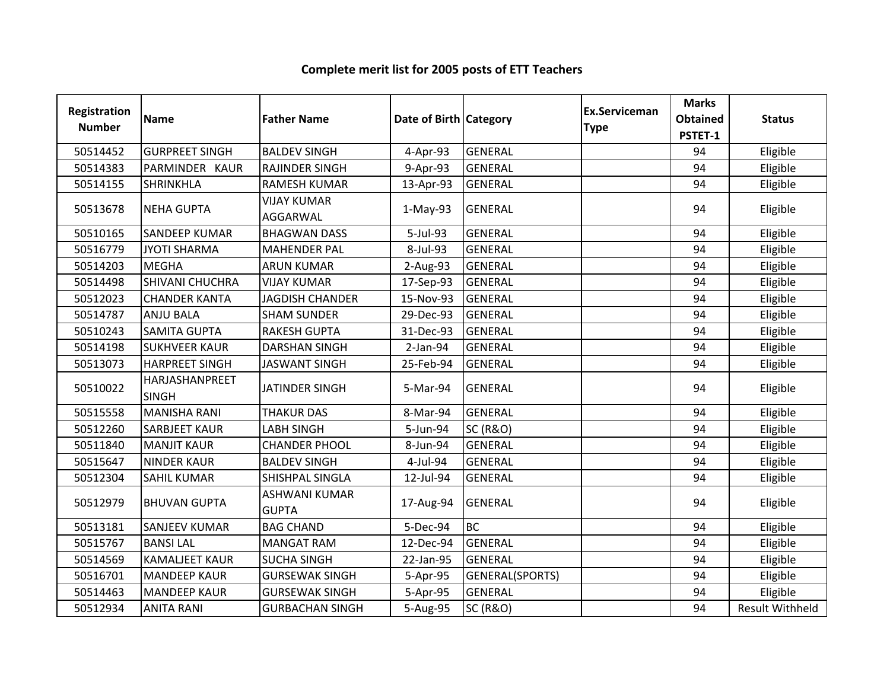#### Registration Numberion Name **Father Name Access Contract Category** Ex.Serviceman Category **Ex.Serviceman** Serviceman Marks<br>e Obtained<br>PSTET-1 ed Status<br>1 <sup>50514452</sup> GURPREET SINGH BALDEV SINGH 4-Apr-93 GENERAL <sup>94</sup> Eligible <sup>50514383</sup> PARMINDER KAUR RAJINDER SINGH 9-Apr-93 GENERAL <sup>94</sup> Eligible <sup>50514155</sup> SHRINKHLA RAMESH KUMAR 13-Apr-93 GENERAL <sup>94</sup> Eligible <sup>50513678</sup> NEHA GUPTAVIJAY KUMAR AGGARWAL1-May-93 GENERAL 2008 94 Eligible 50510165 SANDEEP KUMAR BHAGWAN DASS 1999-1 S-Jul-93 GENERAL 1999 1999 1994 Eligible <sup>50516779</sup> JYOTI SHARMA MAHENDER PAL 8-Jul-93 GENERAL <sup>94</sup> Eligible 50514203 |MEGHA ARUN KUMAR | 2-Aug-93 |GENERAL | | 94 | Eligible 50514498 SHIVANI CHUCHRA VIJAY KUMAR 17-Sep-93 GENERAL 1994 | Bligible 50512023 CHANDER KANTA JAGDISH CHANDER 15-Nov-93 GENERAL JANA 194 | Eligible <sup>50514787</sup> ANJU BALA SHAM SUNDER 29-Dec-93 GENERAL <sup>94</sup> Eligible <sup>50510243</sup> SAMITA GUPTA RAKESH GUPTA 31-Dec-93 GENERAL <sup>94</sup> Eligible <sup>50514198</sup> SUKHVEER KAUR DARSHAN SINGH 2-Jan-94 GENERAL <sup>94</sup> Eligible <sup>50513073</sup> HARPREET SINGH JASWANT SINGH 25-Feb-94 GENERAL <sup>94</sup> Eligible 50510022HARJASHANPREET SINGHJATINDER SINGH 5-Mar-94 GENERAL 94 94 Eligible<br>H <sup>50515558</sup> MANISHA RANI THAKUR DAS 8-Mar-94 GENERAL <sup>94</sup> Eligible <sup>50512260</sup> SARBJEET KAUR LABH SINGH 5-Jun-94 SC (R&O) <sup>94</sup> Eligible 50511840 MANJIT KAUR CHANDER PHOOL 1 8-Jun-94 GENERAL 1999 1994 Eligible <sup>50515647</sup> NINDER KAUR BALDEV SINGH 4-Jul-94 GENERAL <sup>94</sup> Eligible 50512304 SAHIL KUMAR SHISHPAL SINGLA 12-Jul-94 GENERAL Julion (1944 Bligible) (1944 Eligible <sup>50512979</sup> BHUVAN GUPTAASHWANI KUMAR GUPTAA 17-Aug-94 GENERAL 94 Eligible <sup>50513181</sup> SANJEEV KUMAR BAG CHAND 5-Dec-94 BC <sup>94</sup> Eligible <sup>50515767</sup> BANSI LAL MANGAT RAM 12-Dec-94 GENERAL <sup>94</sup> Eligible <sup>50514569</sup> KAMALJEET KAUR SUCHA SINGH 22-Jan-95 GENERAL <sup>94</sup> Eligible 50516701 MANDEEP KAUR GURSEWAK SINGH S-Apr-95 GENERAL(SPORTS) SAND 194 | Eligible <sup>50514463</sup> MANDEEP KAUR GURSEWAK SINGH 5-Apr-95 GENERAL <sup>94</sup> Eligible <sup>50512934</sup> ANITA RANI GURBACHAN SINGH 5-Aug-95 SC (R&O) <sup>94</sup> Result Withheld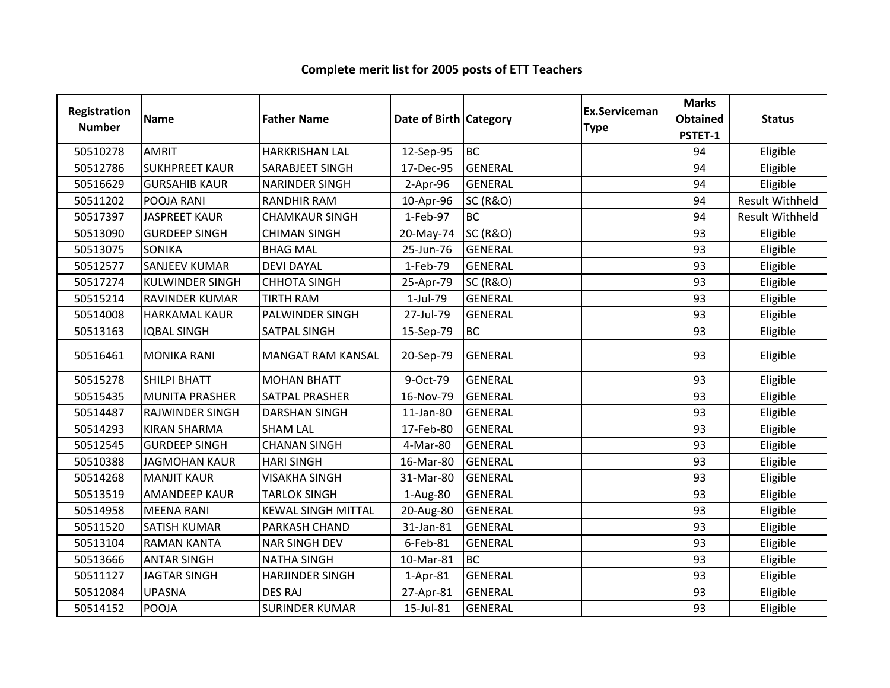| <b>Registration</b><br><b>Number</b> | <b>Name</b>            | <b>Father Name</b>        | Date of Birth Category |                     | Ex.Serviceman<br><b>Type</b> | <b>Marks</b><br><b>Obtained</b><br>PSTET-1 | <b>Status</b>          |
|--------------------------------------|------------------------|---------------------------|------------------------|---------------------|------------------------------|--------------------------------------------|------------------------|
| 50510278                             | <b>AMRIT</b>           | <b>HARKRISHAN LAL</b>     | 12-Sep-95              | <b>BC</b>           |                              | 94                                         | Eligible               |
| 50512786                             | <b>SUKHPREET KAUR</b>  | <b>SARABJEET SINGH</b>    | 17-Dec-95              | GENERAL             |                              | 94                                         | Eligible               |
| 50516629                             | <b>GURSAHIB KAUR</b>   | <b>NARINDER SINGH</b>     | $2-Apr-96$             | <b>GENERAL</b>      |                              | 94                                         | Eligible               |
| 50511202                             | POOJA RANI             | <b>RANDHIR RAM</b>        | 10-Apr-96              | <b>SC (R&amp;O)</b> |                              | 94                                         | <b>Result Withheld</b> |
| 50517397                             | <b>JASPREET KAUR</b>   | <b>CHAMKAUR SINGH</b>     | 1-Feb-97               | <b>BC</b>           |                              | 94                                         | <b>Result Withheld</b> |
| 50513090                             | <b>GURDEEP SINGH</b>   | <b>CHIMAN SINGH</b>       | 20-May-74              | <b>SC (R&amp;O)</b> |                              | 93                                         | Eligible               |
| 50513075                             | <b>SONIKA</b>          | <b>BHAG MAL</b>           | 25-Jun-76              | GENERAL             |                              | 93                                         | Eligible               |
| 50512577                             | <b>SANJEEV KUMAR</b>   | <b>DEVI DAYAL</b>         | 1-Feb-79               | <b>GENERAL</b>      |                              | 93                                         | Eligible               |
| 50517274                             | <b>KULWINDER SINGH</b> | <b>CHHOTA SINGH</b>       | 25-Apr-79              | <b>SC (R&amp;O)</b> |                              | 93                                         | Eligible               |
| 50515214                             | <b>RAVINDER KUMAR</b>  | <b>TIRTH RAM</b>          | 1-Jul-79               | GENERAL             |                              | 93                                         | Eligible               |
| 50514008                             | <b>HARKAMAL KAUR</b>   | PALWINDER SINGH           | 27-Jul-79              | <b>GENERAL</b>      |                              | 93                                         | Eligible               |
| 50513163                             | <b>IQBAL SINGH</b>     | SATPAL SINGH              | 15-Sep-79              | <b>BC</b>           |                              | 93                                         | Eligible               |
| 50516461                             | <b>MONIKA RANI</b>     | <b>MANGAT RAM KANSAL</b>  | 20-Sep-79              | <b>GENERAL</b>      |                              | 93                                         | Eligible               |
| 50515278                             | <b>SHILPI BHATT</b>    | <b>MOHAN BHATT</b>        | 9-Oct-79               | <b>GENERAL</b>      |                              | 93                                         | Eligible               |
| 50515435                             | <b>MUNITA PRASHER</b>  | <b>SATPAL PRASHER</b>     | 16-Nov-79              | <b>GENERAL</b>      |                              | 93                                         | Eligible               |
| 50514487                             | <b>RAJWINDER SINGH</b> | <b>DARSHAN SINGH</b>      | 11-Jan-80              | <b>GENERAL</b>      |                              | 93                                         | Eligible               |
| 50514293                             | <b>KIRAN SHARMA</b>    | <b>SHAM LAL</b>           | 17-Feb-80              | GENERAL             |                              | 93                                         | Eligible               |
| 50512545                             | <b>GURDEEP SINGH</b>   | <b>CHANAN SINGH</b>       | 4-Mar-80               | <b>GENERAL</b>      |                              | 93                                         | Eligible               |
| 50510388                             | <b>JAGMOHAN KAUR</b>   | <b>HARI SINGH</b>         | 16-Mar-80              | <b>GENERAL</b>      |                              | 93                                         | Eligible               |
| 50514268                             | <b>MANJIT KAUR</b>     | <b>VISAKHA SINGH</b>      | 31-Mar-80              | <b>GENERAL</b>      |                              | 93                                         | Eligible               |
| 50513519                             | <b>AMANDEEP KAUR</b>   | <b>TARLOK SINGH</b>       | 1-Aug-80               | <b>GENERAL</b>      |                              | 93                                         | Eligible               |
| 50514958                             | <b>MEENA RANI</b>      | <b>KEWAL SINGH MITTAL</b> | 20-Aug-80              | <b>GENERAL</b>      |                              | 93                                         | Eligible               |
| 50511520                             | <b>SATISH KUMAR</b>    | PARKASH CHAND             | 31-Jan-81              | <b>GENERAL</b>      |                              | 93                                         | Eligible               |
| 50513104                             | <b>RAMAN KANTA</b>     | <b>NAR SINGH DEV</b>      | 6-Feb-81               | <b>GENERAL</b>      |                              | 93                                         | Eligible               |
| 50513666                             | <b>ANTAR SINGH</b>     | <b>NATHA SINGH</b>        | 10-Mar-81              | <b>BC</b>           |                              | 93                                         | Eligible               |
| 50511127                             | <b>JAGTAR SINGH</b>    | <b>HARJINDER SINGH</b>    | 1-Apr-81               | <b>GENERAL</b>      |                              | 93                                         | Eligible               |
| 50512084                             | <b>UPASNA</b>          | <b>DES RAJ</b>            | 27-Apr-81              | <b>GENERAL</b>      |                              | 93                                         | Eligible               |
| 50514152                             | <b>POOJA</b>           | <b>SURINDER KUMAR</b>     | 15-Jul-81              | <b>GENERAL</b>      |                              | 93                                         | Eligible               |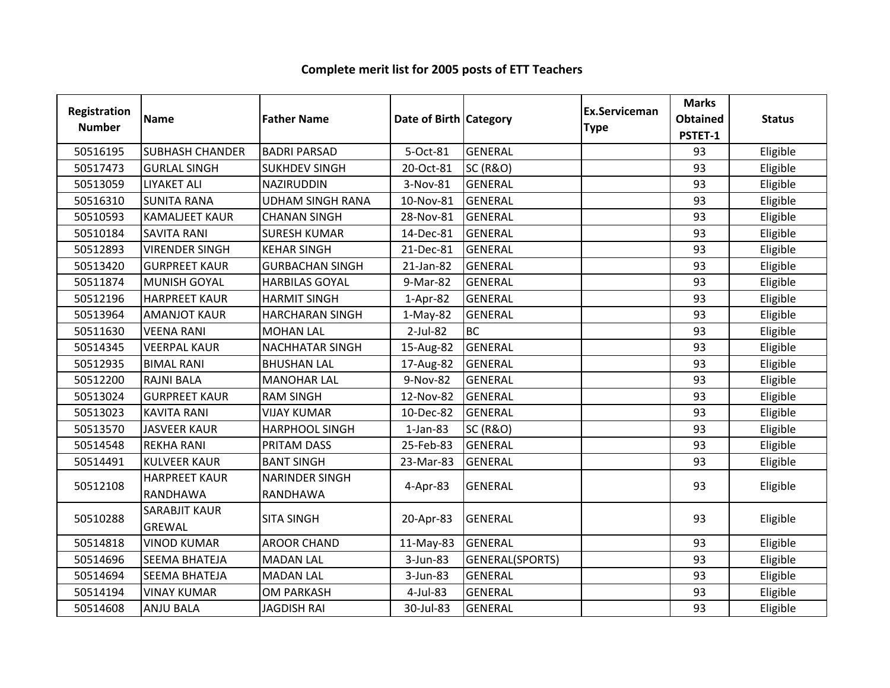| Registration<br><b>Number</b> | <b>Name</b>                           | <b>Father Name</b>                | Date of Birth Category |                     | <b>Ex.Serviceman</b><br><b>Type</b> | <b>Marks</b><br><b>Obtained</b><br>PSTET-1 | <b>Status</b> |
|-------------------------------|---------------------------------------|-----------------------------------|------------------------|---------------------|-------------------------------------|--------------------------------------------|---------------|
| 50516195                      | <b>SUBHASH CHANDER</b>                | <b>BADRI PARSAD</b>               | 5-Oct-81               | <b>GENERAL</b>      |                                     | 93                                         | Eligible      |
| 50517473                      | <b>GURLAL SINGH</b>                   | <b>SUKHDEV SINGH</b>              | 20-Oct-81              | <b>SC (R&amp;O)</b> |                                     | 93                                         | Eligible      |
| 50513059                      | <b>LIYAKET ALI</b>                    | NAZIRUDDIN                        | 3-Nov-81               | <b>GENERAL</b>      |                                     | 93                                         | Eligible      |
| 50516310                      | <b>SUNITA RANA</b>                    | <b>UDHAM SINGH RANA</b>           | 10-Nov-81              | <b>GENERAL</b>      |                                     | 93                                         | Eligible      |
| 50510593                      | <b>KAMALJEET KAUR</b>                 | <b>CHANAN SINGH</b>               | 28-Nov-81              | GENERAL             |                                     | 93                                         | Eligible      |
| 50510184                      | <b>SAVITA RANI</b>                    | <b>SURESH KUMAR</b>               | 14-Dec-81              | <b>GENERAL</b>      |                                     | 93                                         | Eligible      |
| 50512893                      | <b>VIRENDER SINGH</b>                 | <b>KEHAR SINGH</b>                | 21-Dec-81              | <b>GENERAL</b>      |                                     | 93                                         | Eligible      |
| 50513420                      | <b>GURPREET KAUR</b>                  | <b>GURBACHAN SINGH</b>            | 21-Jan-82              | <b>GENERAL</b>      |                                     | 93                                         | Eligible      |
| 50511874                      | <b>MUNISH GOYAL</b>                   | <b>HARBILAS GOYAL</b>             | 9-Mar-82               | <b>GENERAL</b>      |                                     | 93                                         | Eligible      |
| 50512196                      | <b>HARPREET KAUR</b>                  | <b>HARMIT SINGH</b>               | 1-Apr-82               | <b>GENERAL</b>      |                                     | 93                                         | Eligible      |
| 50513964                      | <b>AMANJOT KAUR</b>                   | <b>HARCHARAN SINGH</b>            | $1-May-82$             | <b>GENERAL</b>      |                                     | 93                                         | Eligible      |
| 50511630                      | <b>VEENA RANI</b>                     | <b>MOHAN LAL</b>                  | 2-Jul-82               | <b>BC</b>           |                                     | 93                                         | Eligible      |
| 50514345                      | <b>VEERPAL KAUR</b>                   | <b>NACHHATAR SINGH</b>            | 15-Aug-82              | <b>GENERAL</b>      |                                     | 93                                         | Eligible      |
| 50512935                      | <b>BIMAL RANI</b>                     | <b>BHUSHAN LAL</b>                | 17-Aug-82              | GENERAL             |                                     | 93                                         | Eligible      |
| 50512200                      | <b>RAJNI BALA</b>                     | <b>MANOHAR LAL</b>                | 9-Nov-82               | <b>GENERAL</b>      |                                     | 93                                         | Eligible      |
| 50513024                      | <b>GURPREET KAUR</b>                  | <b>RAM SINGH</b>                  | 12-Nov-82              | <b>GENERAL</b>      |                                     | 93                                         | Eligible      |
| 50513023                      | <b>KAVITA RANI</b>                    | <b>VIJAY KUMAR</b>                | 10-Dec-82              | <b>GENERAL</b>      |                                     | 93                                         | Eligible      |
| 50513570                      | <b>JASVEER KAUR</b>                   | <b>HARPHOOL SINGH</b>             | $1$ -Jan-83            | <b>SC (R&amp;O)</b> |                                     | 93                                         | Eligible      |
| 50514548                      | <b>REKHA RANI</b>                     | PRITAM DASS                       | 25-Feb-83              | <b>GENERAL</b>      |                                     | 93                                         | Eligible      |
| 50514491                      | <b>KULVEER KAUR</b>                   | <b>BANT SINGH</b>                 | 23-Mar-83              | <b>GENERAL</b>      |                                     | 93                                         | Eligible      |
| 50512108                      | <b>HARPREET KAUR</b><br>RANDHAWA      | <b>NARINDER SINGH</b><br>RANDHAWA | 4-Apr-83               | <b>GENERAL</b>      |                                     | 93                                         | Eligible      |
| 50510288                      | <b>SARABJIT KAUR</b><br><b>GREWAL</b> | <b>SITA SINGH</b>                 | 20-Apr-83              | <b>GENERAL</b>      |                                     | 93                                         | Eligible      |
| 50514818                      | <b>VINOD KUMAR</b>                    | <b>AROOR CHAND</b>                | 11-May-83              | <b>GENERAL</b>      |                                     | 93                                         | Eligible      |
| 50514696                      | <b>SEEMA BHATEJA</b>                  | <b>MADAN LAL</b>                  | 3-Jun-83               | GENERAL(SPORTS)     |                                     | 93                                         | Eligible      |
| 50514694                      | <b>SEEMA BHATEJA</b>                  | <b>MADAN LAL</b>                  | 3-Jun-83               | <b>GENERAL</b>      |                                     | 93                                         | Eligible      |
| 50514194                      | <b>VINAY KUMAR</b>                    | <b>OM PARKASH</b>                 | 4-Jul-83               | <b>GENERAL</b>      |                                     | 93                                         | Eligible      |
| 50514608                      | <b>ANJU BALA</b>                      | <b>JAGDISH RAI</b>                | 30-Jul-83              | <b>GENERAL</b>      |                                     | 93                                         | Eligible      |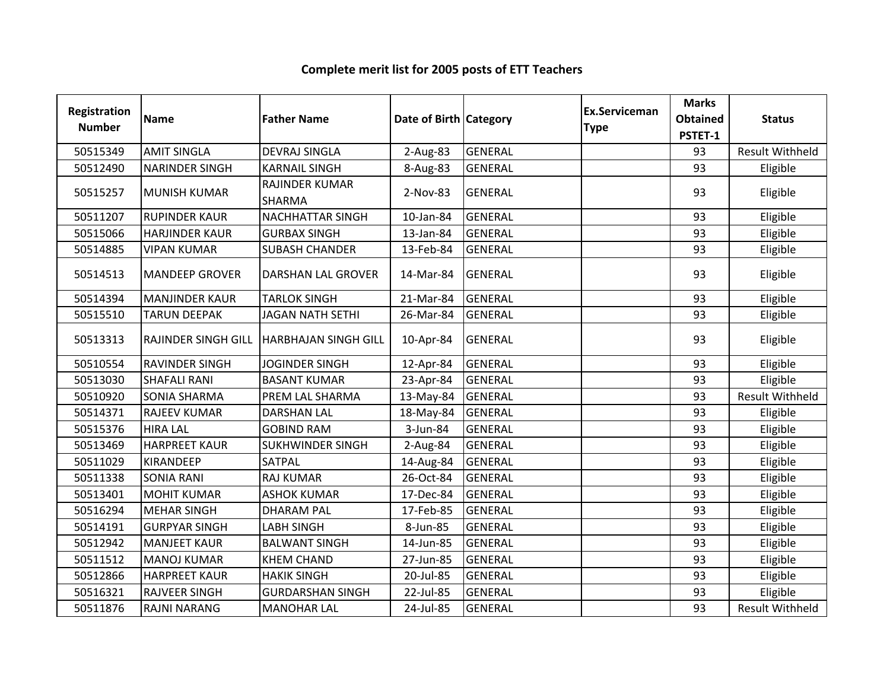| Registration<br><b>Number</b> | <b>Name</b>                | <b>Father Name</b>          | Date of Birth Category |                | Ex.Serviceman<br><b>Type</b> | <b>Marks</b><br><b>Obtained</b> | <b>Status</b>          |
|-------------------------------|----------------------------|-----------------------------|------------------------|----------------|------------------------------|---------------------------------|------------------------|
|                               |                            |                             |                        |                |                              | PSTET-1                         |                        |
| 50515349                      | <b>AMIT SINGLA</b>         | <b>DEVRAJ SINGLA</b>        | $2-Aug-83$             | <b>GENERAL</b> |                              | 93                              | <b>Result Withheld</b> |
| 50512490                      | <b>NARINDER SINGH</b>      | <b>KARNAIL SINGH</b>        | 8-Aug-83               | <b>GENERAL</b> |                              | 93                              | Eligible               |
| 50515257                      | <b>MUNISH KUMAR</b>        | RAJINDER KUMAR<br>SHARMA    | 2-Nov-83               | <b>GENERAL</b> |                              | 93                              | Eligible               |
| 50511207                      | <b>RUPINDER KAUR</b>       | <b>NACHHATTAR SINGH</b>     | 10-Jan-84              | <b>GENERAL</b> |                              | 93                              | Eligible               |
| 50515066                      | <b>HARJINDER KAUR</b>      | <b>GURBAX SINGH</b>         | 13-Jan-84              | <b>GENERAL</b> |                              | 93                              | Eligible               |
| 50514885                      | <b>VIPAN KUMAR</b>         | <b>SUBASH CHANDER</b>       | 13-Feb-84              | <b>GENERAL</b> |                              | 93                              | Eligible               |
| 50514513                      | <b>MANDEEP GROVER</b>      | <b>DARSHAN LAL GROVER</b>   | 14-Mar-84              | <b>GENERAL</b> |                              | 93                              | Eligible               |
| 50514394                      | <b>MANJINDER KAUR</b>      | <b>TARLOK SINGH</b>         | 21-Mar-84              | <b>GENERAL</b> |                              | 93                              | Eligible               |
| 50515510                      | <b>TARUN DEEPAK</b>        | <b>JAGAN NATH SETHI</b>     | 26-Mar-84              | <b>GENERAL</b> |                              | 93                              | Eligible               |
| 50513313                      | <b>RAJINDER SINGH GILL</b> | <b>HARBHAJAN SINGH GILL</b> | 10-Apr-84              | <b>GENERAL</b> |                              | 93                              | Eligible               |
| 50510554                      | <b>RAVINDER SINGH</b>      | <b>JOGINDER SINGH</b>       | 12-Apr-84              | <b>GENERAL</b> |                              | 93                              | Eligible               |
| 50513030                      | <b>SHAFALI RANI</b>        | <b>BASANT KUMAR</b>         | 23-Apr-84              | <b>GENERAL</b> |                              | 93                              | Eligible               |
| 50510920                      | <b>SONIA SHARMA</b>        | PREM LAL SHARMA             | 13-May-84              | <b>GENERAL</b> |                              | 93                              | <b>Result Withheld</b> |
| 50514371                      | <b>RAJEEV KUMAR</b>        | <b>DARSHAN LAL</b>          | 18-May-84              | <b>GENERAL</b> |                              | 93                              | Eligible               |
| 50515376                      | <b>HIRA LAL</b>            | <b>GOBIND RAM</b>           | 3-Jun-84               | <b>GENERAL</b> |                              | 93                              | Eligible               |
| 50513469                      | <b>HARPREET KAUR</b>       | <b>SUKHWINDER SINGH</b>     | 2-Aug-84               | <b>GENERAL</b> |                              | 93                              | Eligible               |
| 50511029                      | <b>KIRANDEEP</b>           | <b>SATPAL</b>               | 14-Aug-84              | <b>GENERAL</b> |                              | 93                              | Eligible               |
| 50511338                      | <b>SONIA RANI</b>          | <b>RAJ KUMAR</b>            | 26-Oct-84              | <b>GENERAL</b> |                              | 93                              | Eligible               |
| 50513401                      | <b>MOHIT KUMAR</b>         | <b>ASHOK KUMAR</b>          | 17-Dec-84              | <b>GENERAL</b> |                              | 93                              | Eligible               |
| 50516294                      | <b>MEHAR SINGH</b>         | <b>DHARAM PAL</b>           | 17-Feb-85              | <b>GENERAL</b> |                              | 93                              | Eligible               |
| 50514191                      | <b>GURPYAR SINGH</b>       | <b>LABH SINGH</b>           | 8-Jun-85               | <b>GENERAL</b> |                              | 93                              | Eligible               |
| 50512942                      | <b>MANJEET KAUR</b>        | <b>BALWANT SINGH</b>        | 14-Jun-85              | <b>GENERAL</b> |                              | 93                              | Eligible               |
| 50511512                      | <b>MANOJ KUMAR</b>         | <b>KHEM CHAND</b>           | 27-Jun-85              | <b>GENERAL</b> |                              | 93                              | Eligible               |
| 50512866                      | <b>HARPREET KAUR</b>       | <b>HAKIK SINGH</b>          | 20-Jul-85              | <b>GENERAL</b> |                              | 93                              | Eligible               |
| 50516321                      | <b>RAJVEER SINGH</b>       | <b>GURDARSHAN SINGH</b>     | 22-Jul-85              | <b>GENERAL</b> |                              | 93                              | Eligible               |
| 50511876                      | <b>RAJNI NARANG</b>        | <b>MANOHAR LAL</b>          | 24-Jul-85              | <b>GENERAL</b> |                              | 93                              | <b>Result Withheld</b> |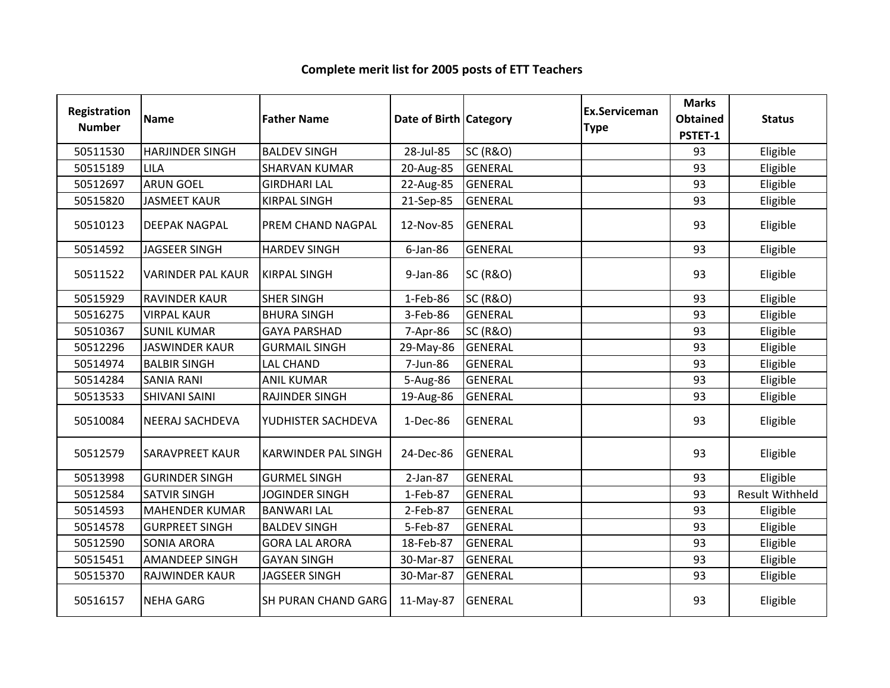| Registration<br><b>Number</b> | <b>Name</b>              | <b>Father Name</b>         | Date of Birth Category |                     | <b>Ex.Serviceman</b><br><b>Type</b> | <b>Marks</b><br><b>Obtained</b><br>PSTET-1 | <b>Status</b>          |
|-------------------------------|--------------------------|----------------------------|------------------------|---------------------|-------------------------------------|--------------------------------------------|------------------------|
| 50511530                      | <b>HARJINDER SINGH</b>   | <b>BALDEV SINGH</b>        | 28-Jul-85              | <b>SC (R&amp;O)</b> |                                     | 93                                         | Eligible               |
| 50515189                      | LILA                     | <b>SHARVAN KUMAR</b>       | 20-Aug-85              | <b>GENERAL</b>      |                                     | 93                                         | Eligible               |
| 50512697                      | <b>ARUN GOEL</b>         | <b>GIRDHARI LAL</b>        | 22-Aug-85              | <b>GENERAL</b>      |                                     | 93                                         | Eligible               |
| 50515820                      | <b>JASMEET KAUR</b>      | <b>KIRPAL SINGH</b>        | 21-Sep-85              | <b>GENERAL</b>      |                                     | 93                                         | Eligible               |
| 50510123                      | <b>DEEPAK NAGPAL</b>     | PREM CHAND NAGPAL          | 12-Nov-85              | <b>GENERAL</b>      |                                     | 93                                         | Eligible               |
| 50514592                      | <b>JAGSEER SINGH</b>     | <b>HARDEV SINGH</b>        | $6$ -Jan-86            | <b>GENERAL</b>      |                                     | 93                                         | Eligible               |
| 50511522                      | <b>VARINDER PAL KAUR</b> | <b>KIRPAL SINGH</b>        | $9$ -Jan-86            | <b>SC (R&amp;O)</b> |                                     | 93                                         | Eligible               |
| 50515929                      | <b>RAVINDER KAUR</b>     | <b>SHER SINGH</b>          | 1-Feb-86               | <b>SC (R&amp;O)</b> |                                     | 93                                         | Eligible               |
| 50516275                      | <b>VIRPAL KAUR</b>       | <b>BHURA SINGH</b>         | 3-Feb-86               | <b>GENERAL</b>      |                                     | 93                                         | Eligible               |
| 50510367                      | <b>SUNIL KUMAR</b>       | <b>GAYA PARSHAD</b>        | 7-Apr-86               | <b>SC (R&amp;O)</b> |                                     | 93                                         | Eligible               |
| 50512296                      | <b>JASWINDER KAUR</b>    | <b>GURMAIL SINGH</b>       | 29-May-86              | <b>GENERAL</b>      |                                     | 93                                         | Eligible               |
| 50514974                      | <b>BALBIR SINGH</b>      | <b>LAL CHAND</b>           | 7-Jun-86               | <b>GENERAL</b>      |                                     | 93                                         | Eligible               |
| 50514284                      | <b>SANIA RANI</b>        | <b>ANIL KUMAR</b>          | 5-Aug-86               | <b>GENERAL</b>      |                                     | 93                                         | Eligible               |
| 50513533                      | <b>SHIVANI SAINI</b>     | RAJINDER SINGH             | 19-Aug-86              | <b>GENERAL</b>      |                                     | 93                                         | Eligible               |
| 50510084                      | NEERAJ SACHDEVA          | YUDHISTER SACHDEVA         | 1-Dec-86               | <b>GENERAL</b>      |                                     | 93                                         | Eligible               |
| 50512579                      | <b>SARAVPREET KAUR</b>   | <b>KARWINDER PAL SINGH</b> | 24-Dec-86              | <b>GENERAL</b>      |                                     | 93                                         | Eligible               |
| 50513998                      | <b>GURINDER SINGH</b>    | <b>GURMEL SINGH</b>        | $2-Jan-87$             | GENERAL             |                                     | 93                                         | Eligible               |
| 50512584                      | <b>SATVIR SINGH</b>      | <b>JOGINDER SINGH</b>      | 1-Feb-87               | <b>GENERAL</b>      |                                     | 93                                         | <b>Result Withheld</b> |
| 50514593                      | <b>MAHENDER KUMAR</b>    | <b>BANWARI LAL</b>         | 2-Feb-87               | <b>GENERAL</b>      |                                     | 93                                         | Eligible               |
| 50514578                      | <b>GURPREET SINGH</b>    | <b>BALDEV SINGH</b>        | 5-Feb-87               | GENERAL             |                                     | 93                                         | Eligible               |
| 50512590                      | <b>SONIA ARORA</b>       | <b>GORA LAL ARORA</b>      | 18-Feb-87              | <b>GENERAL</b>      |                                     | 93                                         | Eligible               |
| 50515451                      | <b>AMANDEEP SINGH</b>    | <b>GAYAN SINGH</b>         | 30-Mar-87              | <b>GENERAL</b>      |                                     | 93                                         | Eligible               |
| 50515370                      | RAJWINDER KAUR           | <b>JAGSEER SINGH</b>       | 30-Mar-87              | <b>GENERAL</b>      |                                     | 93                                         | Eligible               |
| 50516157                      | <b>NEHA GARG</b>         | SH PURAN CHAND GARG        | 11-May-87              | <b>GENERAL</b>      |                                     | 93                                         | Eligible               |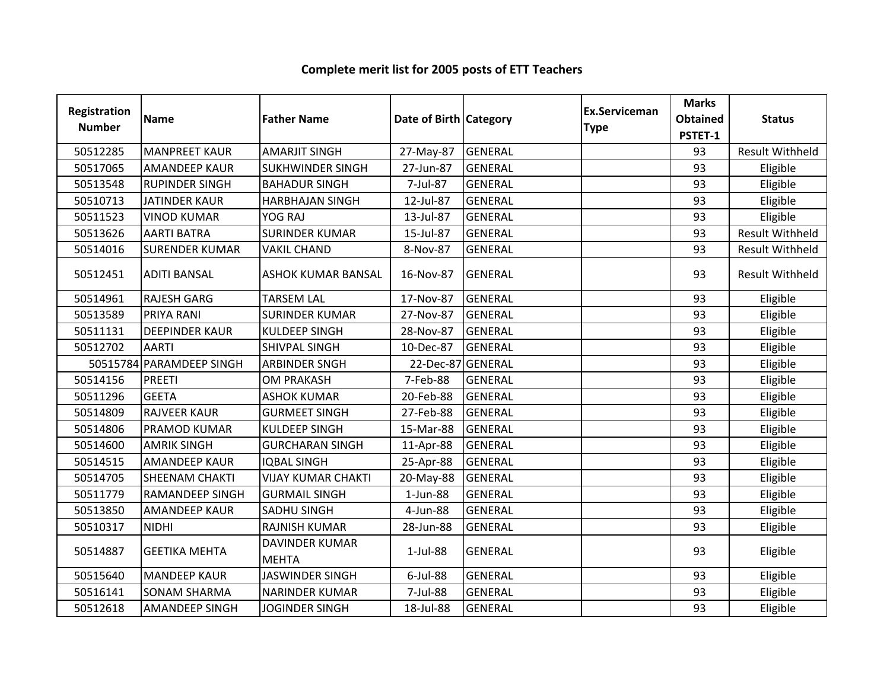| Registration<br><b>Number</b> | <b>Name</b>              | <b>Father Name</b>                    | Date of Birth Category |                | <b>Ex.Serviceman</b><br><b>Type</b> | <b>Marks</b><br><b>Obtained</b><br>PSTET-1 | <b>Status</b>          |
|-------------------------------|--------------------------|---------------------------------------|------------------------|----------------|-------------------------------------|--------------------------------------------|------------------------|
| 50512285                      | <b>MANPREET KAUR</b>     | <b>AMARJIT SINGH</b>                  | 27-May-87              | <b>GENERAL</b> |                                     | 93                                         | <b>Result Withheld</b> |
| 50517065                      | <b>AMANDEEP KAUR</b>     | <b>SUKHWINDER SINGH</b>               | 27-Jun-87              | <b>GENERAL</b> |                                     | 93                                         | Eligible               |
| 50513548                      | <b>RUPINDER SINGH</b>    | <b>BAHADUR SINGH</b>                  | 7-Jul-87               | <b>GENERAL</b> |                                     | 93                                         | Eligible               |
| 50510713                      | <b>JATINDER KAUR</b>     | <b>HARBHAJAN SINGH</b>                | 12-Jul-87              | <b>GENERAL</b> |                                     | 93                                         | Eligible               |
| 50511523                      | <b>VINOD KUMAR</b>       | YOG RAJ                               | 13-Jul-87              | <b>GENERAL</b> |                                     | 93                                         | Eligible               |
| 50513626                      | <b>AARTI BATRA</b>       | <b>SURINDER KUMAR</b>                 | 15-Jul-87              | <b>GENERAL</b> |                                     | 93                                         | <b>Result Withheld</b> |
| 50514016                      | <b>SURENDER KUMAR</b>    | <b>VAKIL CHAND</b>                    | 8-Nov-87               | <b>GENERAL</b> |                                     | 93                                         | <b>Result Withheld</b> |
| 50512451                      | <b>ADITI BANSAL</b>      | <b>ASHOK KUMAR BANSAL</b>             | 16-Nov-87              | <b>GENERAL</b> |                                     | 93                                         | <b>Result Withheld</b> |
| 50514961                      | <b>RAJESH GARG</b>       | <b>TARSEM LAL</b>                     | 17-Nov-87              | GENERAL        |                                     | 93                                         | Eligible               |
| 50513589                      | PRIYA RANI               | <b>SURINDER KUMAR</b>                 | 27-Nov-87              | <b>GENERAL</b> |                                     | 93                                         | Eligible               |
| 50511131                      | <b>DEEPINDER KAUR</b>    | <b>KULDEEP SINGH</b>                  | 28-Nov-87              | <b>GENERAL</b> |                                     | 93                                         | Eligible               |
| 50512702                      | <b>AARTI</b>             | SHIVPAL SINGH                         | 10-Dec-87              | <b>GENERAL</b> |                                     | 93                                         | Eligible               |
|                               | 50515784 PARAMDEEP SINGH | <b>ARBINDER SNGH</b>                  | 22-Dec-87 GENERAL      |                |                                     | 93                                         | Eligible               |
| 50514156                      | <b>PREETI</b>            | <b>OM PRAKASH</b>                     | 7-Feb-88               | <b>GENERAL</b> |                                     | 93                                         | Eligible               |
| 50511296                      | <b>GEETA</b>             | <b>ASHOK KUMAR</b>                    | 20-Feb-88              | <b>GENERAL</b> |                                     | 93                                         | Eligible               |
| 50514809                      | <b>RAJVEER KAUR</b>      | <b>GURMEET SINGH</b>                  | 27-Feb-88              | <b>GENERAL</b> |                                     | 93                                         | Eligible               |
| 50514806                      | PRAMOD KUMAR             | <b>KULDEEP SINGH</b>                  | 15-Mar-88              | <b>GENERAL</b> |                                     | 93                                         | Eligible               |
| 50514600                      | <b>AMRIK SINGH</b>       | <b>GURCHARAN SINGH</b>                | 11-Apr-88              | <b>GENERAL</b> |                                     | 93                                         | Eligible               |
| 50514515                      | <b>AMANDEEP KAUR</b>     | <b>IQBAL SINGH</b>                    | 25-Apr-88              | <b>GENERAL</b> |                                     | 93                                         | Eligible               |
| 50514705                      | <b>SHEENAM CHAKTI</b>    | <b>VIJAY KUMAR CHAKTI</b>             | 20-May-88              | <b>GENERAL</b> |                                     | 93                                         | Eligible               |
| 50511779                      | <b>RAMANDEEP SINGH</b>   | <b>GURMAIL SINGH</b>                  | $1$ -Jun-88            | <b>GENERAL</b> |                                     | 93                                         | Eligible               |
| 50513850                      | <b>AMANDEEP KAUR</b>     | <b>SADHU SINGH</b>                    | 4-Jun-88               | <b>GENERAL</b> |                                     | 93                                         | Eligible               |
| 50510317                      | <b>NIDHI</b>             | <b>RAJNISH KUMAR</b>                  | 28-Jun-88              | <b>GENERAL</b> |                                     | 93                                         | Eligible               |
| 50514887                      | <b>GEETIKA MEHTA</b>     | <b>DAVINDER KUMAR</b><br><b>MEHTA</b> | $1-Jul-88$             | <b>GENERAL</b> |                                     | 93                                         | Eligible               |
| 50515640                      | <b>MANDEEP KAUR</b>      | <b>JASWINDER SINGH</b>                | 6-Jul-88               | <b>GENERAL</b> |                                     | 93                                         | Eligible               |
| 50516141                      | <b>SONAM SHARMA</b>      | <b>NARINDER KUMAR</b>                 | 7-Jul-88               | <b>GENERAL</b> |                                     | 93                                         | Eligible               |
| 50512618                      | <b>AMANDEEP SINGH</b>    | <b>JOGINDER SINGH</b>                 | 18-Jul-88              | <b>GENERAL</b> |                                     | 93                                         | Eligible               |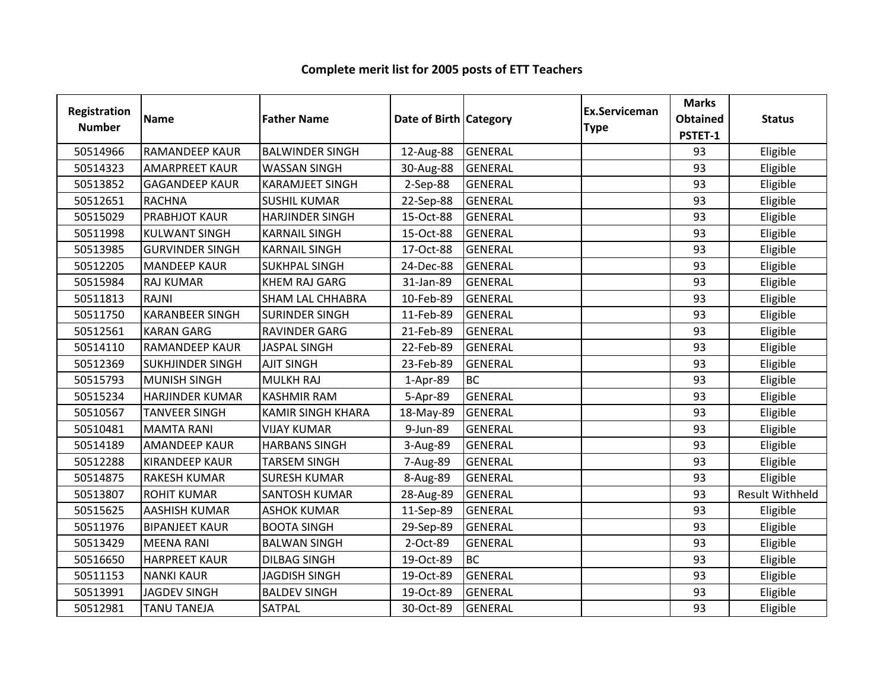| <b>Registration</b><br><b>Number</b> | <b>Name</b>             | <b>Father Name</b>       | Date of Birth Category |                | <b>Ex.Serviceman</b><br><b>Type</b> | <b>Marks</b><br><b>Obtained</b><br>PSTET-1 | <b>Status</b>          |
|--------------------------------------|-------------------------|--------------------------|------------------------|----------------|-------------------------------------|--------------------------------------------|------------------------|
| 50514966                             | <b>RAMANDEEP KAUR</b>   | <b>BALWINDER SINGH</b>   | 12-Aug-88              | <b>GENERAL</b> |                                     | 93                                         | Eligible               |
| 50514323                             | <b>AMARPREET KAUR</b>   | <b>WASSAN SINGH</b>      | 30-Aug-88              | <b>GENERAL</b> |                                     | 93                                         | Eligible               |
| 50513852                             | <b>GAGANDEEP KAUR</b>   | <b>KARAMJEET SINGH</b>   | 2-Sep-88               | <b>GENERAL</b> |                                     | 93                                         | Eligible               |
| 50512651                             | <b>RACHNA</b>           | <b>SUSHIL KUMAR</b>      | 22-Sep-88              | GENERAL        |                                     | 93                                         | Eligible               |
| 50515029                             | <b>PRABHJOT KAUR</b>    | <b>HARJINDER SINGH</b>   | 15-Oct-88              | <b>GENERAL</b> |                                     | 93                                         | Eligible               |
| 50511998                             | <b>KULWANT SINGH</b>    | <b>KARNAIL SINGH</b>     | 15-Oct-88              | <b>GENERAL</b> |                                     | 93                                         | Eligible               |
| 50513985                             | <b>GURVINDER SINGH</b>  | <b>KARNAIL SINGH</b>     | 17-Oct-88              | GENERAL        |                                     | 93                                         | Eligible               |
| 50512205                             | <b>MANDEEP KAUR</b>     | <b>SUKHPAL SINGH</b>     | 24-Dec-88              | <b>GENERAL</b> |                                     | 93                                         | Eligible               |
| 50515984                             | <b>RAJ KUMAR</b>        | <b>KHEM RAJ GARG</b>     | 31-Jan-89              | GENERAL        |                                     | 93                                         | Eligible               |
| 50511813                             | RAJNI                   | <b>SHAM LAL CHHABRA</b>  | 10-Feb-89              | GENERAL        |                                     | 93                                         | Eligible               |
| 50511750                             | <b>KARANBEER SINGH</b>  | <b>SURINDER SINGH</b>    | 11-Feb-89              | <b>GENERAL</b> |                                     | 93                                         | Eligible               |
| 50512561                             | <b>KARAN GARG</b>       | <b>RAVINDER GARG</b>     | 21-Feb-89              | GENERAL        |                                     | 93                                         | Eligible               |
| 50514110                             | <b>RAMANDEEP KAUR</b>   | <b>JASPAL SINGH</b>      | 22-Feb-89              | <b>GENERAL</b> |                                     | 93                                         | Eligible               |
| 50512369                             | <b>SUKHJINDER SINGH</b> | <b>AJIT SINGH</b>        | 23-Feb-89              | GENERAL        |                                     | 93                                         | Eligible               |
| 50515793                             | <b>MUNISH SINGH</b>     | <b>MULKH RAJ</b>         | 1-Apr-89               | <b>BC</b>      |                                     | 93                                         | Eligible               |
| 50515234                             | <b>HARJINDER KUMAR</b>  | <b>KASHMIR RAM</b>       | 5-Apr-89               | <b>GENERAL</b> |                                     | 93                                         | Eligible               |
| 50510567                             | <b>TANVEER SINGH</b>    | <b>KAMIR SINGH KHARA</b> | 18-May-89              | <b>GENERAL</b> |                                     | 93                                         | Eligible               |
| 50510481                             | <b>MAMTA RANI</b>       | <b>VIJAY KUMAR</b>       | 9-Jun-89               | <b>GENERAL</b> |                                     | 93                                         | Eligible               |
| 50514189                             | <b>AMANDEEP KAUR</b>    | <b>HARBANS SINGH</b>     | 3-Aug-89               | <b>GENERAL</b> |                                     | 93                                         | Eligible               |
| 50512288                             | <b>KIRANDEEP KAUR</b>   | <b>TARSEM SINGH</b>      | 7-Aug-89               | <b>GENERAL</b> |                                     | 93                                         | Eligible               |
| 50514875                             | <b>RAKESH KUMAR</b>     | <b>SURESH KUMAR</b>      | 8-Aug-89               | <b>GENERAL</b> |                                     | 93                                         | Eligible               |
| 50513807                             | <b>ROHIT KUMAR</b>      | <b>SANTOSH KUMAR</b>     | 28-Aug-89              | <b>GENERAL</b> |                                     | 93                                         | <b>Result Withheld</b> |
| 50515625                             | <b>AASHISH KUMAR</b>    | <b>ASHOK KUMAR</b>       | 11-Sep-89              | <b>GENERAL</b> |                                     | 93                                         | Eligible               |
| 50511976                             | <b>BIPANJEET KAUR</b>   | <b>BOOTA SINGH</b>       | 29-Sep-89              | <b>GENERAL</b> |                                     | 93                                         | Eligible               |
| 50513429                             | <b>MEENA RANI</b>       | <b>BALWAN SINGH</b>      | 2-Oct-89               | <b>GENERAL</b> |                                     | 93                                         | Eligible               |
| 50516650                             | <b>HARPREET KAUR</b>    | <b>DILBAG SINGH</b>      | 19-Oct-89              | <b>BC</b>      |                                     | 93                                         | Eligible               |
| 50511153                             | <b>NANKI KAUR</b>       | <b>JAGDISH SINGH</b>     | 19-Oct-89              | <b>GENERAL</b> |                                     | 93                                         | Eligible               |
| 50513991                             | <b>JAGDEV SINGH</b>     | <b>BALDEV SINGH</b>      | 19-Oct-89              | <b>GENERAL</b> |                                     | 93                                         | Eligible               |
| 50512981                             | <b>TANU TANEJA</b>      | SATPAL                   | 30-Oct-89              | <b>GENERAL</b> |                                     | 93                                         | Eligible               |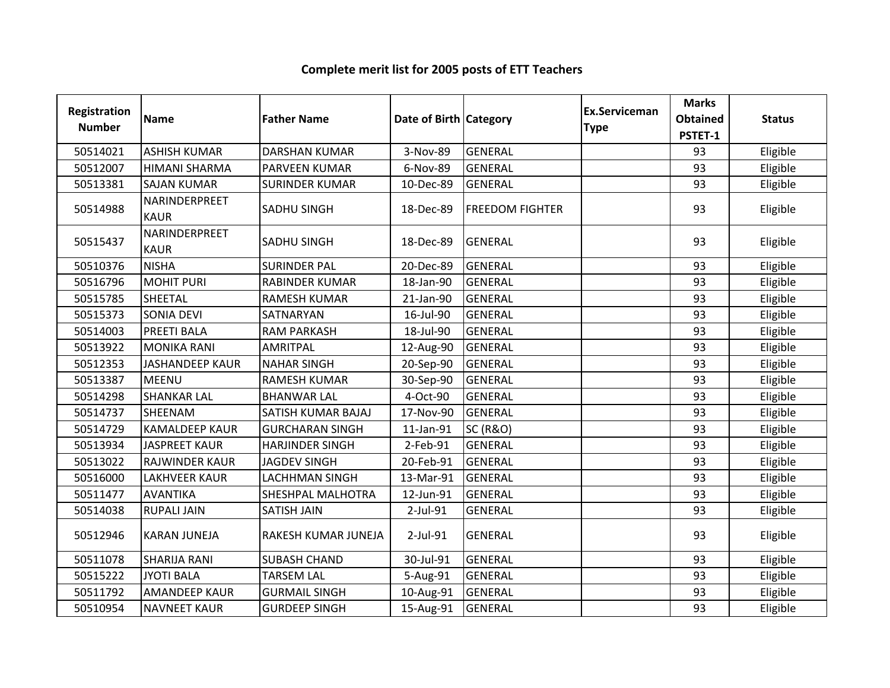| Registration  |                              | Date of Birth Category | Ex.Serviceman | <b>Marks</b>           |             |                            |               |
|---------------|------------------------------|------------------------|---------------|------------------------|-------------|----------------------------|---------------|
| <b>Number</b> | <b>Name</b>                  | <b>Father Name</b>     |               |                        | <b>Type</b> | <b>Obtained</b><br>PSTET-1 | <b>Status</b> |
| 50514021      | <b>ASHISH KUMAR</b>          | <b>DARSHAN KUMAR</b>   | 3-Nov-89      | <b>GENERAL</b>         |             | 93                         | Eligible      |
| 50512007      | <b>HIMANI SHARMA</b>         | PARVEEN KUMAR          | 6-Nov-89      | <b>GENERAL</b>         |             | 93                         | Eligible      |
| 50513381      | <b>SAJAN KUMAR</b>           | <b>SURINDER KUMAR</b>  | 10-Dec-89     | <b>GENERAL</b>         |             | 93                         | Eligible      |
| 50514988      | NARINDERPREET<br><b>KAUR</b> | SADHU SINGH            | 18-Dec-89     | <b>FREEDOM FIGHTER</b> |             | 93                         | Eligible      |
| 50515437      | NARINDERPREET<br><b>KAUR</b> | <b>SADHU SINGH</b>     | 18-Dec-89     | <b>GENERAL</b>         |             | 93                         | Eligible      |
| 50510376      | <b>NISHA</b>                 | <b>SURINDER PAL</b>    | 20-Dec-89     | <b>GENERAL</b>         |             | 93                         | Eligible      |
| 50516796      | <b>MOHIT PURI</b>            | <b>RABINDER KUMAR</b>  | 18-Jan-90     | <b>GENERAL</b>         |             | 93                         | Eligible      |
| 50515785      | <b>SHEETAL</b>               | <b>RAMESH KUMAR</b>    | 21-Jan-90     | GENERAL                |             | 93                         | Eligible      |
| 50515373      | <b>SONIA DEVI</b>            | SATNARYAN              | 16-Jul-90     | GENERAL                |             | 93                         | Eligible      |
| 50514003      | <b>PREETI BALA</b>           | <b>RAM PARKASH</b>     | 18-Jul-90     | <b>GENERAL</b>         |             | 93                         | Eligible      |
| 50513922      | <b>MONIKA RANI</b>           | AMRITPAL               | 12-Aug-90     | <b>GENERAL</b>         |             | 93                         | Eligible      |
| 50512353      | <b>JASHANDEEP KAUR</b>       | <b>NAHAR SINGH</b>     | 20-Sep-90     | <b>GENERAL</b>         |             | 93                         | Eligible      |
| 50513387      | <b>MEENU</b>                 | <b>RAMESH KUMAR</b>    | 30-Sep-90     | <b>GENERAL</b>         |             | 93                         | Eligible      |
| 50514298      | <b>SHANKAR LAL</b>           | <b>BHANWAR LAL</b>     | 4-Oct-90      | <b>GENERAL</b>         |             | 93                         | Eligible      |
| 50514737      | SHEENAM                      | SATISH KUMAR BAJAJ     | 17-Nov-90     | <b>GENERAL</b>         |             | 93                         | Eligible      |
| 50514729      | <b>KAMALDEEP KAUR</b>        | <b>GURCHARAN SINGH</b> | 11-Jan-91     | <b>SC (R&amp;O)</b>    |             | 93                         | Eligible      |
| 50513934      | <b>JASPREET KAUR</b>         | <b>HARJINDER SINGH</b> | 2-Feb-91      | <b>GENERAL</b>         |             | 93                         | Eligible      |
| 50513022      | RAJWINDER KAUR               | <b>JAGDEV SINGH</b>    | 20-Feb-91     | <b>GENERAL</b>         |             | 93                         | Eligible      |
| 50516000      | <b>LAKHVEER KAUR</b>         | <b>LACHHMAN SINGH</b>  | 13-Mar-91     | <b>GENERAL</b>         |             | 93                         | Eligible      |
| 50511477      | <b>AVANTIKA</b>              | SHESHPAL MALHOTRA      | 12-Jun-91     | GENERAL                |             | 93                         | Eligible      |
| 50514038      | <b>RUPALI JAIN</b>           | SATISH JAIN            | 2-Jul-91      | <b>GENERAL</b>         |             | 93                         | Eligible      |
| 50512946      | <b>KARAN JUNEJA</b>          | RAKESH KUMAR JUNEJA    | $2$ -Jul-91   | <b>GENERAL</b>         |             | 93                         | Eligible      |
| 50511078      | <b>SHARIJA RANI</b>          | <b>SUBASH CHAND</b>    | 30-Jul-91     | <b>GENERAL</b>         |             | 93                         | Eligible      |
| 50515222      | <b>JYOTI BALA</b>            | <b>TARSEM LAL</b>      | 5-Aug-91      | <b>GENERAL</b>         |             | 93                         | Eligible      |
| 50511792      | <b>AMANDEEP KAUR</b>         | <b>GURMAIL SINGH</b>   | 10-Aug-91     | <b>GENERAL</b>         |             | 93                         | Eligible      |
| 50510954      | <b>NAVNEET KAUR</b>          | <b>GURDEEP SINGH</b>   | 15-Aug-91     | <b>GENERAL</b>         |             | 93                         | Eligible      |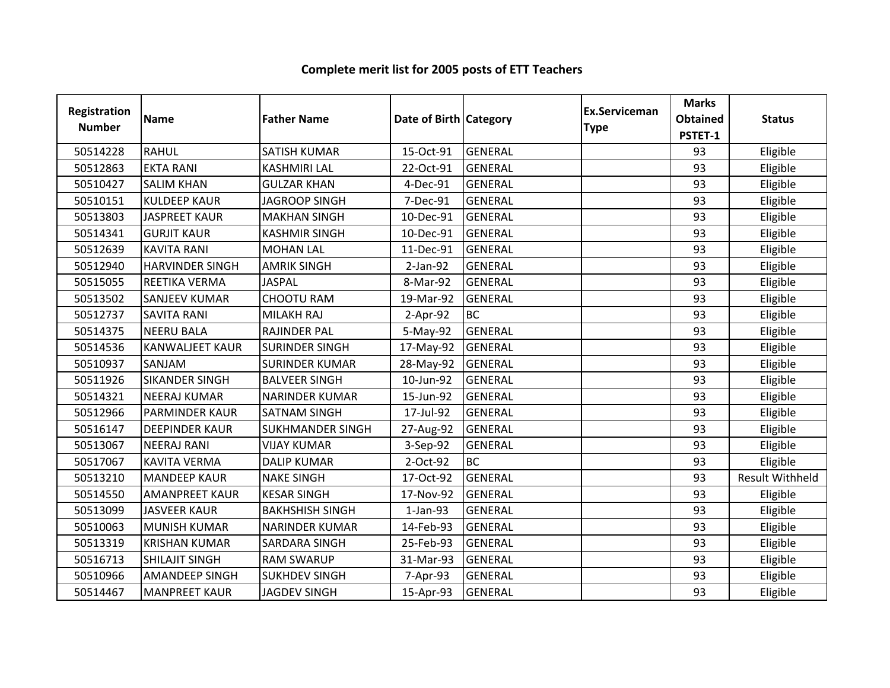| Registration<br><b>Number</b> | <b>Name</b>            | <b>Father Name</b>      | Date of Birth Category |                | <b>Ex.Serviceman</b><br><b>Type</b> | <b>Marks</b><br><b>Obtained</b><br>PSTET-1 | <b>Status</b>          |
|-------------------------------|------------------------|-------------------------|------------------------|----------------|-------------------------------------|--------------------------------------------|------------------------|
| 50514228                      | <b>RAHUL</b>           | <b>SATISH KUMAR</b>     | 15-Oct-91              | <b>GENERAL</b> |                                     | 93                                         | Eligible               |
| 50512863                      | <b>EKTA RANI</b>       | <b>KASHMIRI LAL</b>     | 22-Oct-91              | <b>GENERAL</b> |                                     | 93                                         | Eligible               |
| 50510427                      | <b>SALIM KHAN</b>      | <b>GULZAR KHAN</b>      | 4-Dec-91               | <b>GENERAL</b> |                                     | 93                                         | Eligible               |
| 50510151                      | <b>KULDEEP KAUR</b>    | <b>JAGROOP SINGH</b>    | 7-Dec-91               | <b>GENERAL</b> |                                     | 93                                         | Eligible               |
| 50513803                      | <b>JASPREET KAUR</b>   | <b>MAKHAN SINGH</b>     | 10-Dec-91              | <b>GENERAL</b> |                                     | 93                                         | Eligible               |
| 50514341                      | <b>GURJIT KAUR</b>     | <b>KASHMIR SINGH</b>    | 10-Dec-91              | <b>GENERAL</b> |                                     | 93                                         | Eligible               |
| 50512639                      | <b>KAVITA RANI</b>     | <b>MOHAN LAL</b>        | 11-Dec-91              | <b>GENERAL</b> |                                     | 93                                         | Eligible               |
| 50512940                      | <b>HARVINDER SINGH</b> | <b>AMRIK SINGH</b>      | $2-Jan-92$             | <b>GENERAL</b> |                                     | 93                                         | Eligible               |
| 50515055                      | REETIKA VERMA          | <b>JASPAL</b>           | 8-Mar-92               | <b>GENERAL</b> |                                     | 93                                         | Eligible               |
| 50513502                      | <b>SANJEEV KUMAR</b>   | <b>CHOOTU RAM</b>       | 19-Mar-92              | <b>GENERAL</b> |                                     | 93                                         | Eligible               |
| 50512737                      | <b>SAVITA RANI</b>     | MILAKH RAJ              | $2-Apr-92$             | <b>BC</b>      |                                     | 93                                         | Eligible               |
| 50514375                      | <b>NEERU BALA</b>      | RAJINDER PAL            | 5-May-92               | <b>GENERAL</b> |                                     | 93                                         | Eligible               |
| 50514536                      | <b>KANWALJEET KAUR</b> | <b>SURINDER SINGH</b>   | 17-May-92              | <b>GENERAL</b> |                                     | 93                                         | Eligible               |
| 50510937                      | SANJAM                 | <b>SURINDER KUMAR</b>   | 28-May-92              | <b>GENERAL</b> |                                     | 93                                         | Eligible               |
| 50511926                      | <b>SIKANDER SINGH</b>  | <b>BALVEER SINGH</b>    | 10-Jun-92              | <b>GENERAL</b> |                                     | 93                                         | Eligible               |
| 50514321                      | <b>NEERAJ KUMAR</b>    | <b>NARINDER KUMAR</b>   | 15-Jun-92              | <b>GENERAL</b> |                                     | 93                                         | Eligible               |
| 50512966                      | <b>PARMINDER KAUR</b>  | <b>SATNAM SINGH</b>     | 17-Jul-92              | <b>GENERAL</b> |                                     | 93                                         | Eligible               |
| 50516147                      | <b>DEEPINDER KAUR</b>  | <b>SUKHMANDER SINGH</b> | 27-Aug-92              | <b>GENERAL</b> |                                     | 93                                         | Eligible               |
| 50513067                      | <b>NEERAJ RANI</b>     | <b>VIJAY KUMAR</b>      | 3-Sep-92               | <b>GENERAL</b> |                                     | 93                                         | Eligible               |
| 50517067                      | <b>KAVITA VERMA</b>    | <b>DALIP KUMAR</b>      | 2-Oct-92               | <b>BC</b>      |                                     | 93                                         | Eligible               |
| 50513210                      | <b>MANDEEP KAUR</b>    | <b>NAKE SINGH</b>       | 17-Oct-92              | <b>GENERAL</b> |                                     | 93                                         | <b>Result Withheld</b> |
| 50514550                      | <b>AMANPREET KAUR</b>  | <b>KESAR SINGH</b>      | 17-Nov-92              | <b>GENERAL</b> |                                     | 93                                         | Eligible               |
| 50513099                      | <b>JASVEER KAUR</b>    | <b>BAKHSHISH SINGH</b>  | $1-Jan-93$             | <b>GENERAL</b> |                                     | 93                                         | Eligible               |
| 50510063                      | <b>MUNISH KUMAR</b>    | <b>NARINDER KUMAR</b>   | 14-Feb-93              | <b>GENERAL</b> |                                     | 93                                         | Eligible               |
| 50513319                      | <b>KRISHAN KUMAR</b>   | SARDARA SINGH           | 25-Feb-93              | <b>GENERAL</b> |                                     | 93                                         | Eligible               |
| 50516713                      | <b>SHILAJIT SINGH</b>  | <b>RAM SWARUP</b>       | 31-Mar-93              | <b>GENERAL</b> |                                     | 93                                         | Eligible               |
| 50510966                      | <b>AMANDEEP SINGH</b>  | <b>SUKHDEV SINGH</b>    | 7-Apr-93               | <b>GENERAL</b> |                                     | 93                                         | Eligible               |
| 50514467                      | <b>MANPREET KAUR</b>   | <b>JAGDEV SINGH</b>     | 15-Apr-93              | <b>GENERAL</b> |                                     | 93                                         | Eligible               |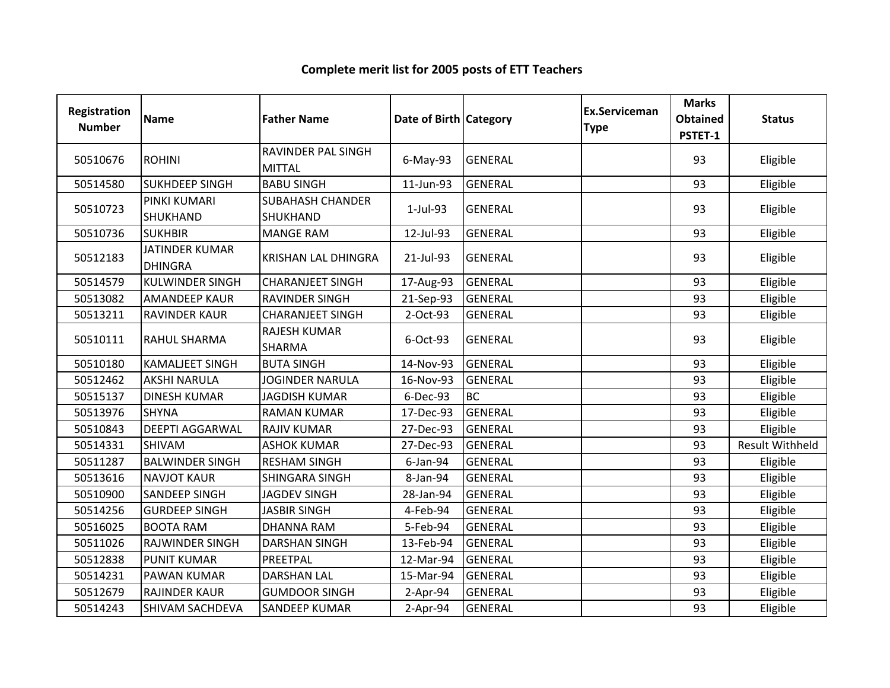| Registration<br><b>Number</b> | Name                                    | <b>Father Name</b>                  | Date of Birth Category |                | <b>Ex.Serviceman</b><br><b>Type</b> | <b>Marks</b><br><b>Obtained</b><br>PSTET-1 | <b>Status</b>          |
|-------------------------------|-----------------------------------------|-------------------------------------|------------------------|----------------|-------------------------------------|--------------------------------------------|------------------------|
| 50510676                      | <b>ROHINI</b>                           | RAVINDER PAL SINGH<br><b>MITTAL</b> | $6$ -May-93            | <b>GENERAL</b> |                                     | 93                                         | Eligible               |
| 50514580                      | <b>SUKHDEEP SINGH</b>                   | <b>BABU SINGH</b>                   | 11-Jun-93              | <b>GENERAL</b> |                                     | 93                                         | Eligible               |
| 50510723                      | PINKI KUMARI<br><b>SHUKHAND</b>         | <b>SUBAHASH CHANDER</b><br>SHUKHAND | 1-Jul-93               | <b>GENERAL</b> |                                     | 93                                         | Eligible               |
| 50510736                      | <b>SUKHBIR</b>                          | <b>MANGE RAM</b>                    | 12-Jul-93              | <b>GENERAL</b> |                                     | 93                                         | Eligible               |
| 50512183                      | <b>JATINDER KUMAR</b><br><b>DHINGRA</b> | <b>KRISHAN LAL DHINGRA</b>          | 21-Jul-93              | <b>GENERAL</b> |                                     | 93                                         | Eligible               |
| 50514579                      | <b>KULWINDER SINGH</b>                  | <b>CHARANJEET SINGH</b>             | 17-Aug-93              | <b>GENERAL</b> |                                     | 93                                         | Eligible               |
| 50513082                      | <b>AMANDEEP KAUR</b>                    | <b>RAVINDER SINGH</b>               | 21-Sep-93              | <b>GENERAL</b> |                                     | 93                                         | Eligible               |
| 50513211                      | <b>RAVINDER KAUR</b>                    | <b>CHARANJEET SINGH</b>             | 2-Oct-93               | <b>GENERAL</b> |                                     | 93                                         | Eligible               |
| 50510111                      | <b>RAHUL SHARMA</b>                     | <b>RAJESH KUMAR</b><br>SHARMA       | 6-Oct-93               | <b>GENERAL</b> |                                     | 93                                         | Eligible               |
| 50510180                      | <b>KAMALJEET SINGH</b>                  | <b>BUTA SINGH</b>                   | 14-Nov-93              | <b>GENERAL</b> |                                     | 93                                         | Eligible               |
| 50512462                      | <b>AKSHI NARULA</b>                     | <b>JOGINDER NARULA</b>              | 16-Nov-93              | <b>GENERAL</b> |                                     | 93                                         | Eligible               |
| 50515137                      | <b>DINESH KUMAR</b>                     | <b>JAGDISH KUMAR</b>                | 6-Dec-93               | <b>BC</b>      |                                     | 93                                         | Eligible               |
| 50513976                      | <b>SHYNA</b>                            | <b>RAMAN KUMAR</b>                  | 17-Dec-93              | <b>GENERAL</b> |                                     | 93                                         | Eligible               |
| 50510843                      | <b>DEEPTI AGGARWAL</b>                  | <b>RAJIV KUMAR</b>                  | 27-Dec-93              | <b>GENERAL</b> |                                     | 93                                         | Eligible               |
| 50514331                      | <b>SHIVAM</b>                           | <b>ASHOK KUMAR</b>                  | 27-Dec-93              | <b>GENERAL</b> |                                     | 93                                         | <b>Result Withheld</b> |
| 50511287                      | <b>BALWINDER SINGH</b>                  | <b>RESHAM SINGH</b>                 | $6$ -Jan-94            | <b>GENERAL</b> |                                     | 93                                         | Eligible               |
| 50513616                      | <b>NAVJOT KAUR</b>                      | SHINGARA SINGH                      | 8-Jan-94               | <b>GENERAL</b> |                                     | 93                                         | Eligible               |
| 50510900                      | <b>SANDEEP SINGH</b>                    | <b>JAGDEV SINGH</b>                 | 28-Jan-94              | <b>GENERAL</b> |                                     | 93                                         | Eligible               |
| 50514256                      | <b>GURDEEP SINGH</b>                    | <b>JASBIR SINGH</b>                 | 4-Feb-94               | <b>GENERAL</b> |                                     | 93                                         | Eligible               |
| 50516025                      | <b>BOOTA RAM</b>                        | <b>DHANNA RAM</b>                   | 5-Feb-94               | <b>GENERAL</b> |                                     | 93                                         | Eligible               |
| 50511026                      | <b>RAJWINDER SINGH</b>                  | <b>DARSHAN SINGH</b>                | 13-Feb-94              | <b>GENERAL</b> |                                     | 93                                         | Eligible               |
| 50512838                      | <b>PUNIT KUMAR</b>                      | PREETPAL                            | 12-Mar-94              | <b>GENERAL</b> |                                     | 93                                         | Eligible               |
| 50514231                      | <b>PAWAN KUMAR</b>                      | <b>DARSHAN LAL</b>                  | 15-Mar-94              | <b>GENERAL</b> |                                     | 93                                         | Eligible               |
| 50512679                      | <b>RAJINDER KAUR</b>                    | <b>GUMDOOR SINGH</b>                | $2-Apr-94$             | <b>GENERAL</b> |                                     | 93                                         | Eligible               |
| 50514243                      | <b>SHIVAM SACHDEVA</b>                  | <b>SANDEEP KUMAR</b>                | $2-Apr-94$             | <b>GENERAL</b> |                                     | 93                                         | Eligible               |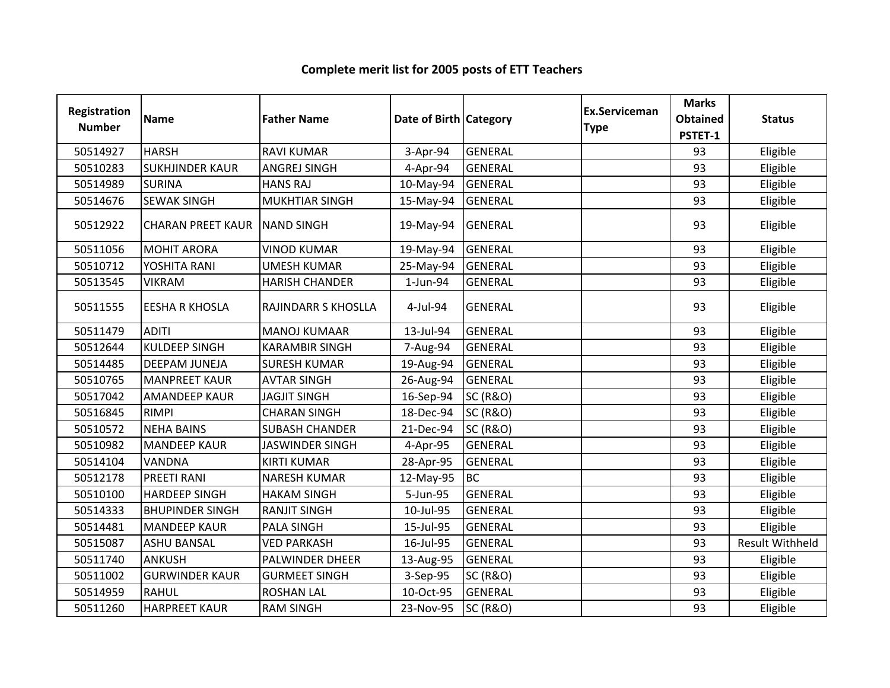| <b>Registration</b><br><b>Number</b> | <b>Name</b>              | <b>Father Name</b>     | Date of Birth Category |                     | Ex.Serviceman<br><b>Type</b> | <b>Marks</b><br><b>Obtained</b> | <b>Status</b>          |
|--------------------------------------|--------------------------|------------------------|------------------------|---------------------|------------------------------|---------------------------------|------------------------|
|                                      |                          |                        |                        |                     |                              | PSTET-1                         |                        |
| 50514927                             | <b>HARSH</b>             | <b>RAVI KUMAR</b>      | 3-Apr-94               | <b>GENERAL</b>      |                              | 93                              | Eligible               |
| 50510283                             | <b>SUKHJINDER KAUR</b>   | <b>ANGREJ SINGH</b>    | 4-Apr-94               | <b>GENERAL</b>      |                              | 93                              | Eligible               |
| 50514989                             | <b>SURINA</b>            | <b>HANS RAJ</b>        | 10-May-94              | <b>GENERAL</b>      |                              | 93                              | Eligible               |
| 50514676                             | <b>SEWAK SINGH</b>       | <b>MUKHTIAR SINGH</b>  | 15-May-94              | <b>GENERAL</b>      |                              | 93                              | Eligible               |
| 50512922                             | <b>CHARAN PREET KAUR</b> | <b>NAND SINGH</b>      | 19-May-94              | <b>GENERAL</b>      |                              | 93                              | Eligible               |
| 50511056                             | <b>MOHIT ARORA</b>       | <b>VINOD KUMAR</b>     | 19-May-94              | <b>GENERAL</b>      |                              | 93                              | Eligible               |
| 50510712                             | YOSHITA RANI             | <b>UMESH KUMAR</b>     | 25-May-94              | <b>GENERAL</b>      |                              | 93                              | Eligible               |
| 50513545                             | <b>VIKRAM</b>            | <b>HARISH CHANDER</b>  | 1-Jun-94               | <b>GENERAL</b>      |                              | 93                              | Eligible               |
| 50511555                             | <b>EESHA R KHOSLA</b>    | RAJINDARR S KHOSLLA    | 4-Jul-94               | <b>GENERAL</b>      |                              | 93                              | Eligible               |
| 50511479                             | <b>ADITI</b>             | <b>MANOJ KUMAAR</b>    | 13-Jul-94              | <b>GENERAL</b>      |                              | 93                              | Eligible               |
| 50512644                             | <b>KULDEEP SINGH</b>     | <b>KARAMBIR SINGH</b>  | 7-Aug-94               | <b>GENERAL</b>      |                              | 93                              | Eligible               |
| 50514485                             | <b>DEEPAM JUNEJA</b>     | <b>SURESH KUMAR</b>    | 19-Aug-94              | <b>GENERAL</b>      |                              | 93                              | Eligible               |
| 50510765                             | <b>MANPREET KAUR</b>     | <b>AVTAR SINGH</b>     | 26-Aug-94              | <b>GENERAL</b>      |                              | 93                              | Eligible               |
| 50517042                             | <b>AMANDEEP KAUR</b>     | <b>JAGJIT SINGH</b>    | 16-Sep-94              | <b>SC (R&amp;O)</b> |                              | 93                              | Eligible               |
| 50516845                             | <b>RIMPI</b>             | <b>CHARAN SINGH</b>    | 18-Dec-94              | <b>SC (R&amp;O)</b> |                              | 93                              | Eligible               |
| 50510572                             | <b>NEHA BAINS</b>        | <b>SUBASH CHANDER</b>  | 21-Dec-94              | <b>SC (R&amp;O)</b> |                              | 93                              | Eligible               |
| 50510982                             | <b>MANDEEP KAUR</b>      | <b>JASWINDER SINGH</b> | 4-Apr-95               | <b>GENERAL</b>      |                              | 93                              | Eligible               |
| 50514104                             | <b>VANDNA</b>            | <b>KIRTI KUMAR</b>     | 28-Apr-95              | <b>GENERAL</b>      |                              | 93                              | Eligible               |
| 50512178                             | <b>PREETI RANI</b>       | <b>NARESH KUMAR</b>    | 12-May-95              | <b>BC</b>           |                              | 93                              | Eligible               |
| 50510100                             | <b>HARDEEP SINGH</b>     | <b>HAKAM SINGH</b>     | 5-Jun-95               | <b>GENERAL</b>      |                              | 93                              | Eligible               |
| 50514333                             | <b>BHUPINDER SINGH</b>   | <b>RANJIT SINGH</b>    | 10-Jul-95              | <b>GENERAL</b>      |                              | 93                              | Eligible               |
| 50514481                             | <b>MANDEEP KAUR</b>      | <b>PALA SINGH</b>      | 15-Jul-95              | <b>GENERAL</b>      |                              | 93                              | Eligible               |
| 50515087                             | <b>ASHU BANSAL</b>       | <b>VED PARKASH</b>     | 16-Jul-95              | <b>GENERAL</b>      |                              | 93                              | <b>Result Withheld</b> |
| 50511740                             | <b>ANKUSH</b>            | PALWINDER DHEER        | 13-Aug-95              | <b>GENERAL</b>      |                              | 93                              | Eligible               |
| 50511002                             | <b>GURWINDER KAUR</b>    | <b>GURMEET SINGH</b>   | 3-Sep-95               | <b>SC (R&amp;O)</b> |                              | 93                              | Eligible               |
| 50514959                             | <b>RAHUL</b>             | <b>ROSHAN LAL</b>      | 10-Oct-95              | <b>GENERAL</b>      |                              | 93                              | Eligible               |
| 50511260                             | <b>HARPREET KAUR</b>     | <b>RAM SINGH</b>       | 23-Nov-95              | <b>SC (R&amp;O)</b> |                              | 93                              | Eligible               |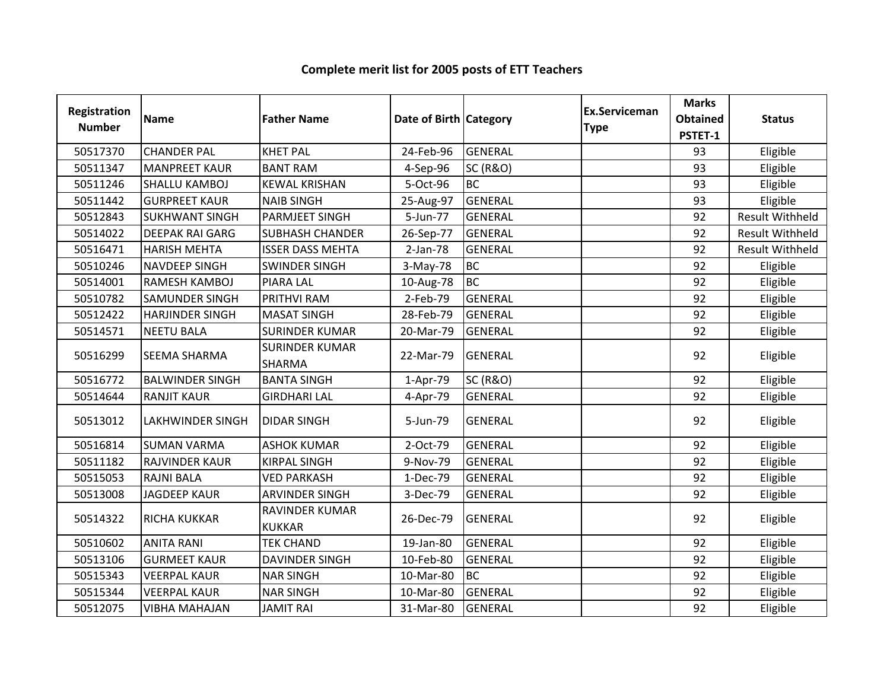| Registration<br><b>Number</b> | <b>Name</b>             | <b>Father Name</b>                     | Date of Birth Category |                     | Ex.Serviceman<br><b>Type</b> | <b>Marks</b><br><b>Obtained</b><br>PSTET-1 | <b>Status</b>          |
|-------------------------------|-------------------------|----------------------------------------|------------------------|---------------------|------------------------------|--------------------------------------------|------------------------|
| 50517370                      | <b>CHANDER PAL</b>      | <b>KHET PAL</b>                        | 24-Feb-96              | <b>GENERAL</b>      |                              | 93                                         | Eligible               |
| 50511347                      | <b>MANPREET KAUR</b>    | <b>BANT RAM</b>                        | 4-Sep-96               | <b>SC (R&amp;O)</b> |                              | 93                                         | Eligible               |
| 50511246                      | <b>SHALLU KAMBOJ</b>    | <b>KEWAL KRISHAN</b>                   | 5-Oct-96               | <b>BC</b>           |                              | 93                                         | Eligible               |
| 50511442                      | <b>GURPREET KAUR</b>    | <b>NAIB SINGH</b>                      | 25-Aug-97              | <b>GENERAL</b>      |                              | 93                                         | Eligible               |
| 50512843                      | <b>SUKHWANT SINGH</b>   | PARMJEET SINGH                         | 5-Jun-77               | <b>GENERAL</b>      |                              | 92                                         | <b>Result Withheld</b> |
| 50514022                      | <b>DEEPAK RAI GARG</b>  | <b>SUBHASH CHANDER</b>                 | 26-Sep-77              | <b>GENERAL</b>      |                              | 92                                         | Result Withheld        |
| 50516471                      | <b>HARISH MEHTA</b>     | <b>ISSER DASS MEHTA</b>                | $2-Jan-78$             | GENERAL             |                              | 92                                         | Result Withheld        |
| 50510246                      | <b>NAVDEEP SINGH</b>    | <b>SWINDER SINGH</b>                   | 3-May-78               | <b>BC</b>           |                              | 92                                         | Eligible               |
| 50514001                      | RAMESH KAMBOJ           | <b>PIARA LAL</b>                       | 10-Aug-78              | <b>BC</b>           |                              | 92                                         | Eligible               |
| 50510782                      | SAMUNDER SINGH          | PRITHVI RAM                            | 2-Feb-79               | <b>GENERAL</b>      |                              | 92                                         | Eligible               |
| 50512422                      | <b>HARJINDER SINGH</b>  | <b>MASAT SINGH</b>                     | 28-Feb-79              | <b>GENERAL</b>      |                              | 92                                         | Eligible               |
| 50514571                      | <b>NEETU BALA</b>       | <b>SURINDER KUMAR</b>                  | 20-Mar-79              | <b>GENERAL</b>      |                              | 92                                         | Eligible               |
| 50516299                      | SEEMA SHARMA            | <b>SURINDER KUMAR</b><br><b>SHARMA</b> | 22-Mar-79              | <b>GENERAL</b>      |                              | 92                                         | Eligible               |
| 50516772                      | <b>BALWINDER SINGH</b>  | <b>BANTA SINGH</b>                     | 1-Apr-79               | <b>SC (R&amp;O)</b> |                              | 92                                         | Eligible               |
| 50514644                      | <b>RANJIT KAUR</b>      | <b>GIRDHARI LAL</b>                    | 4-Apr-79               | <b>GENERAL</b>      |                              | 92                                         | Eligible               |
| 50513012                      | <b>LAKHWINDER SINGH</b> | <b>DIDAR SINGH</b>                     | 5-Jun-79               | <b>GENERAL</b>      |                              | 92                                         | Eligible               |
| 50516814                      | <b>SUMAN VARMA</b>      | <b>ASHOK KUMAR</b>                     | 2-Oct-79               | <b>GENERAL</b>      |                              | 92                                         | Eligible               |
| 50511182                      | <b>RAJVINDER KAUR</b>   | <b>KIRPAL SINGH</b>                    | 9-Nov-79               | <b>GENERAL</b>      |                              | 92                                         | Eligible               |
| 50515053                      | <b>RAJNI BALA</b>       | <b>VED PARKASH</b>                     | 1-Dec-79               | <b>GENERAL</b>      |                              | 92                                         | Eligible               |
| 50513008                      | <b>JAGDEEP KAUR</b>     | <b>ARVINDER SINGH</b>                  | 3-Dec-79               | <b>GENERAL</b>      |                              | 92                                         | Eligible               |
| 50514322                      | <b>RICHA KUKKAR</b>     | RAVINDER KUMAR<br><b>KUKKAR</b>        | 26-Dec-79              | GENERAL             |                              | 92                                         | Eligible               |
| 50510602                      | <b>ANITA RANI</b>       | <b>TEK CHAND</b>                       | 19-Jan-80              | <b>GENERAL</b>      |                              | 92                                         | Eligible               |
| 50513106                      | <b>GURMEET KAUR</b>     | <b>DAVINDER SINGH</b>                  | 10-Feb-80              | <b>GENERAL</b>      |                              | 92                                         | Eligible               |
| 50515343                      | <b>VEERPAL KAUR</b>     | <b>NAR SINGH</b>                       | 10-Mar-80              | <b>BC</b>           |                              | 92                                         | Eligible               |
| 50515344                      | <b>VEERPAL KAUR</b>     | <b>NAR SINGH</b>                       | 10-Mar-80              | <b>GENERAL</b>      |                              | 92                                         | Eligible               |
| 50512075                      | <b>VIBHA MAHAJAN</b>    | <b>JAMIT RAI</b>                       | 31-Mar-80              | <b>GENERAL</b>      |                              | 92                                         | Eligible               |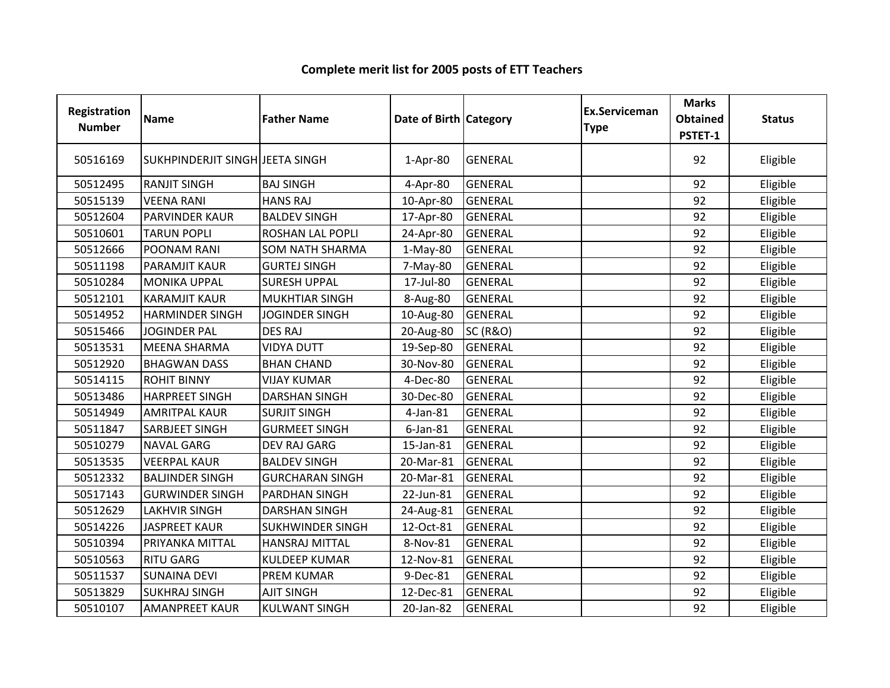| Registration<br><b>Number</b> | Name                            | <b>Father Name</b>      | Date of Birth Category |                     | <b>Ex.Serviceman</b><br><b>Type</b> | <b>Marks</b><br><b>Obtained</b><br>PSTET-1 | <b>Status</b> |
|-------------------------------|---------------------------------|-------------------------|------------------------|---------------------|-------------------------------------|--------------------------------------------|---------------|
|                               |                                 |                         |                        |                     |                                     |                                            |               |
| 50516169                      | SUKHPINDERJIT SINGH JEETA SINGH |                         | 1-Apr-80               | <b>GENERAL</b>      |                                     | 92                                         | Eligible      |
| 50512495                      | <b>RANJIT SINGH</b>             | <b>BAJ SINGH</b>        | 4-Apr-80               | <b>GENERAL</b>      |                                     | 92                                         | Eligible      |
| 50515139                      | <b>VEENA RANI</b>               | <b>HANS RAJ</b>         | 10-Apr-80              | <b>GENERAL</b>      |                                     | 92                                         | Eligible      |
| 50512604                      | <b>PARVINDER KAUR</b>           | <b>BALDEV SINGH</b>     | 17-Apr-80              | <b>GENERAL</b>      |                                     | 92                                         | Eligible      |
| 50510601                      | <b>TARUN POPLI</b>              | ROSHAN LAL POPLI        | 24-Apr-80              | <b>GENERAL</b>      |                                     | 92                                         | Eligible      |
| 50512666                      | POONAM RANI                     | <b>SOM NATH SHARMA</b>  | $1-May-80$             | <b>GENERAL</b>      |                                     | 92                                         | Eligible      |
| 50511198                      | PARAMJIT KAUR                   | <b>GURTEJ SINGH</b>     | 7-May-80               | <b>GENERAL</b>      |                                     | 92                                         | Eligible      |
| 50510284                      | <b>MONIKA UPPAL</b>             | <b>SURESH UPPAL</b>     | 17-Jul-80              | <b>GENERAL</b>      |                                     | 92                                         | Eligible      |
| 50512101                      | <b>KARAMJIT KAUR</b>            | <b>MUKHTIAR SINGH</b>   | 8-Aug-80               | <b>GENERAL</b>      |                                     | 92                                         | Eligible      |
| 50514952                      | <b>HARMINDER SINGH</b>          | <b>JOGINDER SINGH</b>   | 10-Aug-80              | <b>GENERAL</b>      |                                     | 92                                         | Eligible      |
| 50515466                      | <b>JOGINDER PAL</b>             | <b>DES RAJ</b>          | 20-Aug-80              | <b>SC (R&amp;O)</b> |                                     | 92                                         | Eligible      |
| 50513531                      | <b>MEENA SHARMA</b>             | <b>VIDYA DUTT</b>       | 19-Sep-80              | <b>GENERAL</b>      |                                     | 92                                         | Eligible      |
| 50512920                      | <b>BHAGWAN DASS</b>             | <b>BHAN CHAND</b>       | 30-Nov-80              | <b>GENERAL</b>      |                                     | 92                                         | Eligible      |
| 50514115                      | <b>ROHIT BINNY</b>              | <b>VIJAY KUMAR</b>      | 4-Dec-80               | <b>GENERAL</b>      |                                     | 92                                         | Eligible      |
| 50513486                      | <b>HARPREET SINGH</b>           | <b>DARSHAN SINGH</b>    | 30-Dec-80              | <b>GENERAL</b>      |                                     | 92                                         | Eligible      |
| 50514949                      | <b>AMRITPAL KAUR</b>            | <b>SURJIT SINGH</b>     | $4$ -Jan-81            | <b>GENERAL</b>      |                                     | 92                                         | Eligible      |
| 50511847                      | SARBJEET SINGH                  | <b>GURMEET SINGH</b>    | 6-Jan-81               | <b>GENERAL</b>      |                                     | 92                                         | Eligible      |
| 50510279                      | <b>NAVAL GARG</b>               | <b>DEV RAJ GARG</b>     | 15-Jan-81              | <b>GENERAL</b>      |                                     | 92                                         | Eligible      |
| 50513535                      | <b>VEERPAL KAUR</b>             | <b>BALDEV SINGH</b>     | 20-Mar-81              | <b>GENERAL</b>      |                                     | 92                                         | Eligible      |
| 50512332                      | <b>BALJINDER SINGH</b>          | <b>GURCHARAN SINGH</b>  | 20-Mar-81              | <b>GENERAL</b>      |                                     | 92                                         | Eligible      |
| 50517143                      | <b>GURWINDER SINGH</b>          | PARDHAN SINGH           | 22-Jun-81              | <b>GENERAL</b>      |                                     | 92                                         | Eligible      |
| 50512629                      | <b>LAKHVIR SINGH</b>            | <b>DARSHAN SINGH</b>    | 24-Aug-81              | <b>GENERAL</b>      |                                     | 92                                         | Eligible      |
| 50514226                      | <b>JASPREET KAUR</b>            | <b>SUKHWINDER SINGH</b> | 12-Oct-81              | <b>GENERAL</b>      |                                     | 92                                         | Eligible      |
| 50510394                      | PRIYANKA MITTAL                 | <b>HANSRAJ MITTAL</b>   | 8-Nov-81               | <b>GENERAL</b>      |                                     | 92                                         | Eligible      |
| 50510563                      | <b>RITU GARG</b>                | <b>KULDEEP KUMAR</b>    | 12-Nov-81              | <b>GENERAL</b>      |                                     | 92                                         | Eligible      |
| 50511537                      | <b>SUNAINA DEVI</b>             | <b>PREM KUMAR</b>       | 9-Dec-81               | <b>GENERAL</b>      |                                     | 92                                         | Eligible      |
| 50513829                      | <b>SUKHRAJ SINGH</b>            | <b>AJIT SINGH</b>       | 12-Dec-81              | <b>GENERAL</b>      |                                     | 92                                         | Eligible      |
| 50510107                      | <b>AMANPREET KAUR</b>           | <b>KULWANT SINGH</b>    | 20-Jan-82              | <b>GENERAL</b>      |                                     | 92                                         | Eligible      |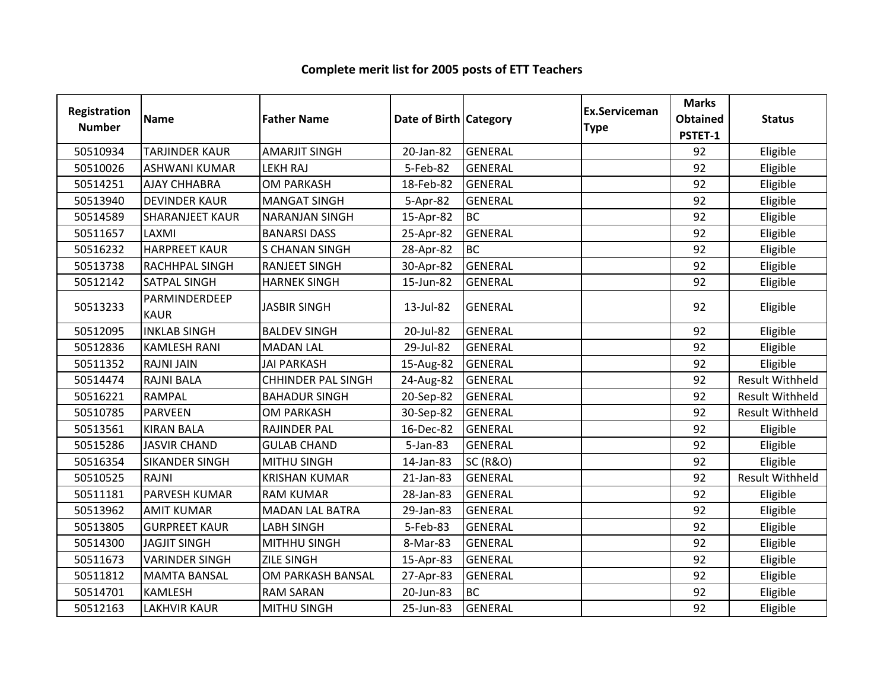| Registration<br><b>Number</b> | <b>Name</b>                  | <b>Father Name</b>        | Date of Birth Category |                     | <b>Ex.Serviceman</b><br><b>Type</b> | <b>Marks</b><br><b>Obtained</b><br>PSTET-1 | <b>Status</b>          |
|-------------------------------|------------------------------|---------------------------|------------------------|---------------------|-------------------------------------|--------------------------------------------|------------------------|
| 50510934                      | <b>TARJINDER KAUR</b>        | <b>AMARJIT SINGH</b>      | 20-Jan-82              | <b>GENERAL</b>      |                                     | 92                                         | Eligible               |
| 50510026                      | <b>ASHWANI KUMAR</b>         | <b>LEKH RAJ</b>           | 5-Feb-82               | <b>GENERAL</b>      |                                     | 92                                         | Eligible               |
| 50514251                      | <b>AJAY CHHABRA</b>          | <b>OM PARKASH</b>         | 18-Feb-82              | <b>GENERAL</b>      |                                     | 92                                         | Eligible               |
| 50513940                      | <b>DEVINDER KAUR</b>         | <b>MANGAT SINGH</b>       | 5-Apr-82               | <b>GENERAL</b>      |                                     | 92                                         | Eligible               |
| 50514589                      | <b>SHARANJEET KAUR</b>       | <b>NARANJAN SINGH</b>     | 15-Apr-82              | <b>BC</b>           |                                     | 92                                         | Eligible               |
| 50511657                      | LAXMI                        | <b>BANARSI DASS</b>       | 25-Apr-82              | GENERAL             |                                     | 92                                         | Eligible               |
| 50516232                      | <b>HARPREET KAUR</b>         | <b>S CHANAN SINGH</b>     | 28-Apr-82              | <b>BC</b>           |                                     | 92                                         | Eligible               |
| 50513738                      | RACHHPAL SINGH               | <b>RANJEET SINGH</b>      | 30-Apr-82              | <b>GENERAL</b>      |                                     | 92                                         | Eligible               |
| 50512142                      | SATPAL SINGH                 | <b>HARNEK SINGH</b>       | 15-Jun-82              | <b>GENERAL</b>      |                                     | 92                                         | Eligible               |
| 50513233                      | PARMINDERDEEP<br><b>KAUR</b> | <b>JASBIR SINGH</b>       | 13-Jul-82              | <b>GENERAL</b>      |                                     | 92                                         | Eligible               |
| 50512095                      | <b>INKLAB SINGH</b>          | <b>BALDEV SINGH</b>       | 20-Jul-82              | <b>GENERAL</b>      |                                     | 92                                         | Eligible               |
| 50512836                      | <b>KAMLESH RANI</b>          | <b>MADAN LAL</b>          | 29-Jul-82              | <b>GENERAL</b>      |                                     | 92                                         | Eligible               |
| 50511352                      | <b>RAJNI JAIN</b>            | <b>JAI PARKASH</b>        | 15-Aug-82              | <b>GENERAL</b>      |                                     | 92                                         | Eligible               |
| 50514474                      | <b>RAJNI BALA</b>            | <b>CHHINDER PAL SINGH</b> | 24-Aug-82              | <b>GENERAL</b>      |                                     | 92                                         | <b>Result Withheld</b> |
| 50516221                      | <b>RAMPAL</b>                | <b>BAHADUR SINGH</b>      | 20-Sep-82              | <b>GENERAL</b>      |                                     | 92                                         | <b>Result Withheld</b> |
| 50510785                      | <b>PARVEEN</b>               | <b>OM PARKASH</b>         | 30-Sep-82              | <b>GENERAL</b>      |                                     | 92                                         | <b>Result Withheld</b> |
| 50513561                      | <b>KIRAN BALA</b>            | <b>RAJINDER PAL</b>       | 16-Dec-82              | GENERAL             |                                     | 92                                         | Eligible               |
| 50515286                      | <b>JASVIR CHAND</b>          | <b>GULAB CHAND</b>        | 5-Jan-83               | <b>GENERAL</b>      |                                     | 92                                         | Eligible               |
| 50516354                      | <b>SIKANDER SINGH</b>        | <b>MITHU SINGH</b>        | 14-Jan-83              | <b>SC (R&amp;O)</b> |                                     | 92                                         | Eligible               |
| 50510525                      | <b>RAJNI</b>                 | <b>KRISHAN KUMAR</b>      | 21-Jan-83              | GENERAL             |                                     | 92                                         | <b>Result Withheld</b> |
| 50511181                      | PARVESH KUMAR                | <b>RAM KUMAR</b>          | 28-Jan-83              | <b>GENERAL</b>      |                                     | 92                                         | Eligible               |
| 50513962                      | <b>AMIT KUMAR</b>            | <b>MADAN LAL BATRA</b>    | 29-Jan-83              | <b>GENERAL</b>      |                                     | 92                                         | Eligible               |
| 50513805                      | <b>GURPREET KAUR</b>         | <b>LABH SINGH</b>         | 5-Feb-83               | <b>GENERAL</b>      |                                     | 92                                         | Eligible               |
| 50514300                      | <b>JAGJIT SINGH</b>          | MITHHU SINGH              | 8-Mar-83               | <b>GENERAL</b>      |                                     | 92                                         | Eligible               |
| 50511673                      | <b>VARINDER SINGH</b>        | <b>ZILE SINGH</b>         | 15-Apr-83              | <b>GENERAL</b>      |                                     | 92                                         | Eligible               |
| 50511812                      | <b>MAMTA BANSAL</b>          | OM PARKASH BANSAL         | 27-Apr-83              | <b>GENERAL</b>      |                                     | 92                                         | Eligible               |
| 50514701                      | <b>KAMLESH</b>               | <b>RAM SARAN</b>          | 20-Jun-83              | <b>BC</b>           |                                     | 92                                         | Eligible               |
| 50512163                      | <b>LAKHVIR KAUR</b>          | <b>MITHU SINGH</b>        | 25-Jun-83              | <b>GENERAL</b>      |                                     | 92                                         | Eligible               |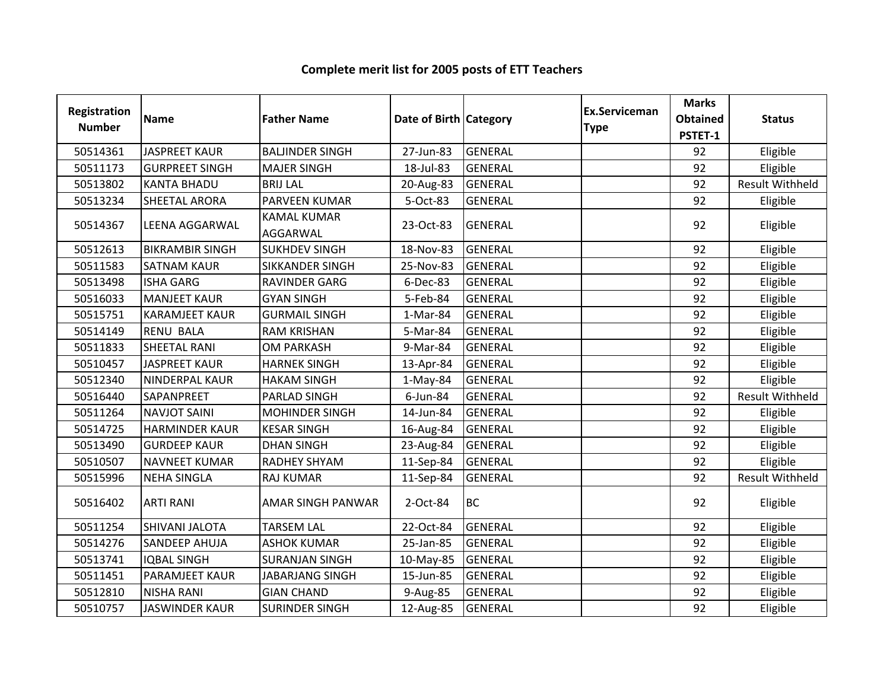| <b>Registration</b><br><b>Number</b> | <b>Name</b>            | <b>Father Name</b>             | Date of Birth Category |                | <b>Ex.Serviceman</b><br><b>Type</b> | <b>Marks</b><br><b>Obtained</b><br>PSTET-1 | <b>Status</b>          |
|--------------------------------------|------------------------|--------------------------------|------------------------|----------------|-------------------------------------|--------------------------------------------|------------------------|
| 50514361                             | <b>JASPREET KAUR</b>   | <b>BALJINDER SINGH</b>         | 27-Jun-83              | <b>GENERAL</b> |                                     | 92                                         | Eligible               |
| 50511173                             | <b>GURPREET SINGH</b>  | <b>MAJER SINGH</b>             | 18-Jul-83              | <b>GENERAL</b> |                                     | 92                                         | Eligible               |
| 50513802                             | <b>KANTA BHADU</b>     | <b>BRIJ LAL</b>                | 20-Aug-83              | <b>GENERAL</b> |                                     | 92                                         | <b>Result Withheld</b> |
| 50513234                             | <b>SHEETAL ARORA</b>   | PARVEEN KUMAR                  | 5-Oct-83               | <b>GENERAL</b> |                                     | 92                                         | Eligible               |
| 50514367                             | <b>LEENA AGGARWAL</b>  | <b>KAMAL KUMAR</b><br>AGGARWAL | 23-Oct-83              | <b>GENERAL</b> |                                     | 92                                         | Eligible               |
| 50512613                             | <b>BIKRAMBIR SINGH</b> | <b>SUKHDEV SINGH</b>           | 18-Nov-83              | <b>GENERAL</b> |                                     | 92                                         | Eligible               |
| 50511583                             | <b>SATNAM KAUR</b>     | <b>SIKKANDER SINGH</b>         | 25-Nov-83              | <b>GENERAL</b> |                                     | 92                                         | Eligible               |
| 50513498                             | <b>ISHA GARG</b>       | <b>RAVINDER GARG</b>           | 6-Dec-83               | <b>GENERAL</b> |                                     | 92                                         | Eligible               |
| 50516033                             | <b>MANJEET KAUR</b>    | <b>GYAN SINGH</b>              | 5-Feb-84               | <b>GENERAL</b> |                                     | 92                                         | Eligible               |
| 50515751                             | <b>KARAMJEET KAUR</b>  | <b>GURMAIL SINGH</b>           | 1-Mar-84               | <b>GENERAL</b> |                                     | 92                                         | Eligible               |
| 50514149                             | <b>RENU BALA</b>       | <b>RAM KRISHAN</b>             | 5-Mar-84               | <b>GENERAL</b> |                                     | 92                                         | Eligible               |
| 50511833                             | <b>SHEETAL RANI</b>    | <b>OM PARKASH</b>              | 9-Mar-84               | <b>GENERAL</b> |                                     | 92                                         | Eligible               |
| 50510457                             | <b>JASPREET KAUR</b>   | <b>HARNEK SINGH</b>            | 13-Apr-84              | <b>GENERAL</b> |                                     | 92                                         | Eligible               |
| 50512340                             | NINDERPAL KAUR         | <b>HAKAM SINGH</b>             | $1-May-84$             | <b>GENERAL</b> |                                     | 92                                         | Eligible               |
| 50516440                             | SAPANPREET             | PARLAD SINGH                   | 6-Jun-84               | <b>GENERAL</b> |                                     | 92                                         | <b>Result Withheld</b> |
| 50511264                             | <b>NAVJOT SAINI</b>    | <b>MOHINDER SINGH</b>          | 14-Jun-84              | <b>GENERAL</b> |                                     | 92                                         | Eligible               |
| 50514725                             | <b>HARMINDER KAUR</b>  | <b>KESAR SINGH</b>             | 16-Aug-84              | <b>GENERAL</b> |                                     | 92                                         | Eligible               |
| 50513490                             | <b>GURDEEP KAUR</b>    | <b>DHAN SINGH</b>              | 23-Aug-84              | <b>GENERAL</b> |                                     | 92                                         | Eligible               |
| 50510507                             | <b>NAVNEET KUMAR</b>   | <b>RADHEY SHYAM</b>            | 11-Sep-84              | <b>GENERAL</b> |                                     | 92                                         | Eligible               |
| 50515996                             | <b>NEHA SINGLA</b>     | <b>RAJ KUMAR</b>               | 11-Sep-84              | <b>GENERAL</b> |                                     | 92                                         | <b>Result Withheld</b> |
| 50516402                             | <b>ARTI RANI</b>       | <b>AMAR SINGH PANWAR</b>       | 2-Oct-84               | <b>BC</b>      |                                     | 92                                         | Eligible               |
| 50511254                             | SHIVANI JALOTA         | <b>TARSEM LAL</b>              | 22-Oct-84              | <b>GENERAL</b> |                                     | 92                                         | Eligible               |
| 50514276                             | <b>SANDEEP AHUJA</b>   | <b>ASHOK KUMAR</b>             | 25-Jan-85              | <b>GENERAL</b> |                                     | 92                                         | Eligible               |
| 50513741                             | <b>IQBAL SINGH</b>     | <b>SURANJAN SINGH</b>          | 10-May-85              | <b>GENERAL</b> |                                     | 92                                         | Eligible               |
| 50511451                             | <b>PARAMJEET KAUR</b>  | <b>JABARJANG SINGH</b>         | 15-Jun-85              | <b>GENERAL</b> |                                     | 92                                         | Eligible               |
| 50512810                             | <b>NISHA RANI</b>      | <b>GIAN CHAND</b>              | 9-Aug-85               | <b>GENERAL</b> |                                     | 92                                         | Eligible               |
| 50510757                             | <b>JASWINDER KAUR</b>  | <b>SURINDER SINGH</b>          | 12-Aug-85              | <b>GENERAL</b> |                                     | 92                                         | Eligible               |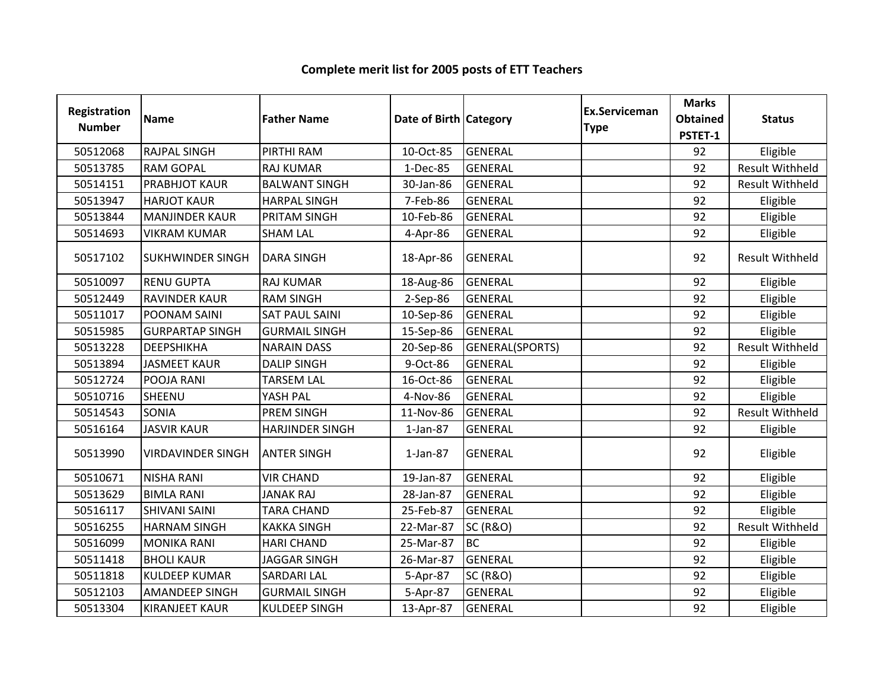| Registration<br><b>Number</b> | <b>Name</b>              | <b>Father Name</b>     | Date of Birth Category |                     | <b>Ex.Serviceman</b><br><b>Type</b> | <b>Marks</b><br><b>Obtained</b><br>PSTET-1 | <b>Status</b>          |
|-------------------------------|--------------------------|------------------------|------------------------|---------------------|-------------------------------------|--------------------------------------------|------------------------|
| 50512068                      | <b>RAJPAL SINGH</b>      | PIRTHI RAM             | 10-Oct-85              | <b>GENERAL</b>      |                                     | 92                                         | Eligible               |
| 50513785                      | <b>RAM GOPAL</b>         | <b>RAJ KUMAR</b>       | 1-Dec-85               | <b>GENERAL</b>      |                                     | 92                                         | <b>Result Withheld</b> |
| 50514151                      | PRABHJOT KAUR            | <b>BALWANT SINGH</b>   | 30-Jan-86              | <b>GENERAL</b>      |                                     | 92                                         | <b>Result Withheld</b> |
| 50513947                      | <b>HARJOT KAUR</b>       | <b>HARPAL SINGH</b>    | 7-Feb-86               | <b>GENERAL</b>      |                                     | 92                                         | Eligible               |
| 50513844                      | <b>MANJINDER KAUR</b>    | PRITAM SINGH           | 10-Feb-86              | <b>GENERAL</b>      |                                     | 92                                         | Eligible               |
| 50514693                      | <b>VIKRAM KUMAR</b>      | <b>SHAM LAL</b>        | 4-Apr-86               | <b>GENERAL</b>      |                                     | 92                                         | Eligible               |
| 50517102                      | <b>SUKHWINDER SINGH</b>  | <b>DARA SINGH</b>      | 18-Apr-86              | <b>GENERAL</b>      |                                     | 92                                         | <b>Result Withheld</b> |
| 50510097                      | <b>RENU GUPTA</b>        | <b>RAJ KUMAR</b>       | 18-Aug-86              | <b>GENERAL</b>      |                                     | 92                                         | Eligible               |
| 50512449                      | RAVINDER KAUR            | <b>RAM SINGH</b>       | 2-Sep-86               | <b>GENERAL</b>      |                                     | 92                                         | Eligible               |
| 50511017                      | POONAM SAINI             | <b>SAT PAUL SAINI</b>  | 10-Sep-86              | <b>GENERAL</b>      |                                     | 92                                         | Eligible               |
| 50515985                      | <b>GURPARTAP SINGH</b>   | <b>GURMAIL SINGH</b>   | 15-Sep-86              | <b>GENERAL</b>      |                                     | 92                                         | Eligible               |
| 50513228                      | DEEPSHIKHA               | <b>NARAIN DASS</b>     | 20-Sep-86              | GENERAL(SPORTS)     |                                     | 92                                         | <b>Result Withheld</b> |
| 50513894                      | <b>JASMEET KAUR</b>      | <b>DALIP SINGH</b>     | 9-Oct-86               | <b>GENERAL</b>      |                                     | 92                                         | Eligible               |
| 50512724                      | POOJA RANI               | <b>TARSEM LAL</b>      | 16-Oct-86              | <b>GENERAL</b>      |                                     | 92                                         | Eligible               |
| 50510716                      | SHEENU                   | YASH PAL               | 4-Nov-86               | <b>GENERAL</b>      |                                     | 92                                         | Eligible               |
| 50514543                      | SONIA                    | <b>PREM SINGH</b>      | 11-Nov-86              | <b>GENERAL</b>      |                                     | 92                                         | <b>Result Withheld</b> |
| 50516164                      | <b>JASVIR KAUR</b>       | <b>HARJINDER SINGH</b> | $1$ -Jan-87            | <b>GENERAL</b>      |                                     | 92                                         | Eligible               |
| 50513990                      | <b>VIRDAVINDER SINGH</b> | <b>ANTER SINGH</b>     | $1$ -Jan-87            | <b>GENERAL</b>      |                                     | 92                                         | Eligible               |
| 50510671                      | <b>NISHA RANI</b>        | <b>VIR CHAND</b>       | 19-Jan-87              | <b>GENERAL</b>      |                                     | 92                                         | Eligible               |
| 50513629                      | <b>BIMLA RANI</b>        | <b>JANAK RAJ</b>       | 28-Jan-87              | <b>GENERAL</b>      |                                     | 92                                         | Eligible               |
| 50516117                      | <b>SHIVANI SAINI</b>     | <b>TARA CHAND</b>      | 25-Feb-87              | <b>GENERAL</b>      |                                     | 92                                         | Eligible               |
| 50516255                      | <b>HARNAM SINGH</b>      | <b>KAKKA SINGH</b>     | 22-Mar-87              | <b>SC (R&amp;O)</b> |                                     | 92                                         | <b>Result Withheld</b> |
| 50516099                      | <b>MONIKA RANI</b>       | <b>HARI CHAND</b>      | 25-Mar-87              | <b>BC</b>           |                                     | 92                                         | Eligible               |
| 50511418                      | <b>BHOLI KAUR</b>        | <b>JAGGAR SINGH</b>    | 26-Mar-87              | <b>GENERAL</b>      |                                     | 92                                         | Eligible               |
| 50511818                      | <b>KULDEEP KUMAR</b>     | <b>SARDARI LAL</b>     | 5-Apr-87               | <b>SC (R&amp;O)</b> |                                     | 92                                         | Eligible               |
| 50512103                      | <b>AMANDEEP SINGH</b>    | <b>GURMAIL SINGH</b>   | 5-Apr-87               | <b>GENERAL</b>      |                                     | 92                                         | Eligible               |
| 50513304                      | <b>KIRANJEET KAUR</b>    | <b>KULDEEP SINGH</b>   | 13-Apr-87              | <b>GENERAL</b>      |                                     | 92                                         | Eligible               |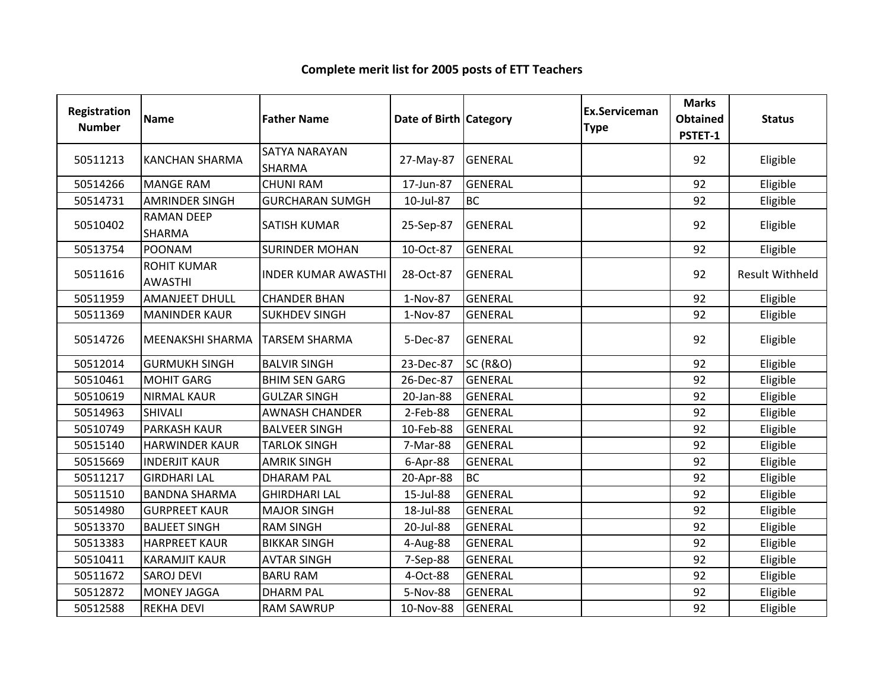| Registration<br><b>Number</b> | Name                                 | <b>Father Name</b>         | Date of Birth Category |                     | <b>Ex.Serviceman</b><br><b>Type</b> | <b>Marks</b><br><b>Obtained</b><br>PSTET-1 | <b>Status</b>          |
|-------------------------------|--------------------------------------|----------------------------|------------------------|---------------------|-------------------------------------|--------------------------------------------|------------------------|
| 50511213                      | <b>KANCHAN SHARMA</b>                | SATYA NARAYAN<br>SHARMA    | 27-May-87              | <b>GENERAL</b>      |                                     | 92                                         | Eligible               |
| 50514266                      | <b>MANGE RAM</b>                     | <b>CHUNI RAM</b>           | 17-Jun-87              | <b>GENERAL</b>      |                                     | 92                                         | Eligible               |
| 50514731                      | <b>AMRINDER SINGH</b>                | <b>GURCHARAN SUMGH</b>     | 10-Jul-87              | <b>BC</b>           |                                     | 92                                         | Eligible               |
| 50510402                      | <b>RAMAN DEEP</b><br>SHARMA          | <b>SATISH KUMAR</b>        | 25-Sep-87              | <b>GENERAL</b>      |                                     | 92                                         | Eligible               |
| 50513754                      | <b>POONAM</b>                        | <b>SURINDER MOHAN</b>      | 10-Oct-87              | <b>GENERAL</b>      |                                     | 92                                         | Eligible               |
| 50511616                      | <b>ROHIT KUMAR</b><br><b>AWASTHI</b> | <b>INDER KUMAR AWASTHI</b> | 28-Oct-87              | <b>GENERAL</b>      |                                     | 92                                         | <b>Result Withheld</b> |
| 50511959                      | <b>AMANJEET DHULL</b>                | <b>CHANDER BHAN</b>        | 1-Nov-87               | <b>GENERAL</b>      |                                     | 92                                         | Eligible               |
| 50511369                      | <b>MANINDER KAUR</b>                 | <b>SUKHDEV SINGH</b>       | 1-Nov-87               | <b>GENERAL</b>      |                                     | 92                                         | Eligible               |
| 50514726                      | <b>MEENAKSHI SHARMA</b>              | <b>TARSEM SHARMA</b>       | 5-Dec-87               | <b>GENERAL</b>      |                                     | 92                                         | Eligible               |
| 50512014                      | <b>GURMUKH SINGH</b>                 | <b>BALVIR SINGH</b>        | 23-Dec-87              | <b>SC (R&amp;O)</b> |                                     | 92                                         | Eligible               |
| 50510461                      | <b>MOHIT GARG</b>                    | <b>BHIM SEN GARG</b>       | 26-Dec-87              | <b>GENERAL</b>      |                                     | 92                                         | Eligible               |
| 50510619                      | <b>NIRMAL KAUR</b>                   | <b>GULZAR SINGH</b>        | 20-Jan-88              | <b>GENERAL</b>      |                                     | 92                                         | Eligible               |
| 50514963                      | <b>SHIVALI</b>                       | <b>AWNASH CHANDER</b>      | 2-Feb-88               | <b>GENERAL</b>      |                                     | 92                                         | Eligible               |
| 50510749                      | <b>PARKASH KAUR</b>                  | <b>BALVEER SINGH</b>       | 10-Feb-88              | <b>GENERAL</b>      |                                     | 92                                         | Eligible               |
| 50515140                      | <b>HARWINDER KAUR</b>                | <b>TARLOK SINGH</b>        | 7-Mar-88               | <b>GENERAL</b>      |                                     | 92                                         | Eligible               |
| 50515669                      | <b>INDERJIT KAUR</b>                 | <b>AMRIK SINGH</b>         | 6-Apr-88               | <b>GENERAL</b>      |                                     | 92                                         | Eligible               |
| 50511217                      | <b>GIRDHARI LAL</b>                  | <b>DHARAM PAL</b>          | 20-Apr-88              | <b>BC</b>           |                                     | 92                                         | Eligible               |
| 50511510                      | <b>BANDNA SHARMA</b>                 | <b>GHIRDHARI LAL</b>       | 15-Jul-88              | <b>GENERAL</b>      |                                     | 92                                         | Eligible               |
| 50514980                      | <b>GURPREET KAUR</b>                 | <b>MAJOR SINGH</b>         | 18-Jul-88              | <b>GENERAL</b>      |                                     | 92                                         | Eligible               |
| 50513370                      | <b>BALJEET SINGH</b>                 | <b>RAM SINGH</b>           | 20-Jul-88              | <b>GENERAL</b>      |                                     | 92                                         | Eligible               |
| 50513383                      | <b>HARPREET KAUR</b>                 | <b>BIKKAR SINGH</b>        | 4-Aug-88               | <b>GENERAL</b>      |                                     | 92                                         | Eligible               |
| 50510411                      | <b>KARAMJIT KAUR</b>                 | <b>AVTAR SINGH</b>         | 7-Sep-88               | <b>GENERAL</b>      |                                     | 92                                         | Eligible               |
| 50511672                      | <b>SAROJ DEVI</b>                    | <b>BARU RAM</b>            | 4-Oct-88               | <b>GENERAL</b>      |                                     | 92                                         | Eligible               |
| 50512872                      | MONEY JAGGA                          | <b>DHARM PAL</b>           | 5-Nov-88               | <b>GENERAL</b>      |                                     | 92                                         | Eligible               |
| 50512588                      | <b>REKHA DEVI</b>                    | <b>RAM SAWRUP</b>          | 10-Nov-88              | <b>GENERAL</b>      |                                     | 92                                         | Eligible               |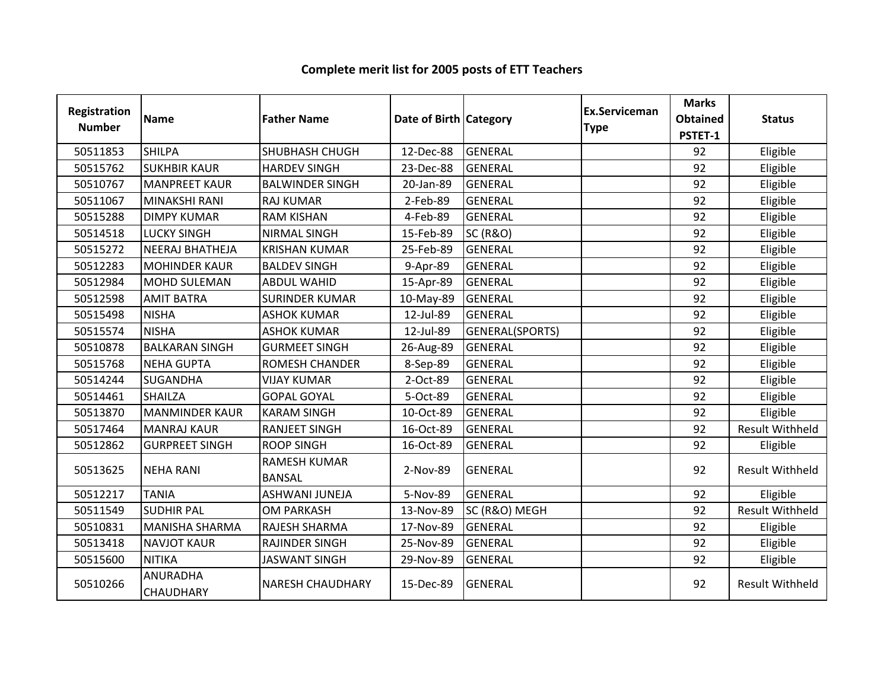| Registration<br><b>Number</b> | <b>Name</b>                         | <b>Father Name</b>            | Date of Birth Category |                        | <b>Ex.Serviceman</b><br><b>Type</b> | <b>Marks</b><br><b>Obtained</b><br>PSTET-1 | <b>Status</b>          |
|-------------------------------|-------------------------------------|-------------------------------|------------------------|------------------------|-------------------------------------|--------------------------------------------|------------------------|
| 50511853                      | <b>SHILPA</b>                       | <b>SHUBHASH CHUGH</b>         | 12-Dec-88              | <b>GENERAL</b>         |                                     | 92                                         | Eligible               |
| 50515762                      | <b>SUKHBIR KAUR</b>                 | <b>HARDEV SINGH</b>           | 23-Dec-88              | <b>GENERAL</b>         |                                     | 92                                         | Eligible               |
| 50510767                      | <b>MANPREET KAUR</b>                | <b>BALWINDER SINGH</b>        | 20-Jan-89              | <b>GENERAL</b>         |                                     | 92                                         | Eligible               |
| 50511067                      | MINAKSHI RANI                       | <b>RAJ KUMAR</b>              | 2-Feb-89               | <b>GENERAL</b>         |                                     | 92                                         | Eligible               |
| 50515288                      | <b>DIMPY KUMAR</b>                  | <b>RAM KISHAN</b>             | 4-Feb-89               | <b>GENERAL</b>         |                                     | 92                                         | Eligible               |
| 50514518                      | <b>LUCKY SINGH</b>                  | <b>NIRMAL SINGH</b>           | 15-Feb-89              | <b>SC (R&amp;O)</b>    |                                     | 92                                         | Eligible               |
| 50515272                      | <b>NEERAJ BHATHEJA</b>              | <b>KRISHAN KUMAR</b>          | 25-Feb-89              | <b>GENERAL</b>         |                                     | 92                                         | Eligible               |
| 50512283                      | <b>MOHINDER KAUR</b>                | <b>BALDEV SINGH</b>           | 9-Apr-89               | <b>GENERAL</b>         |                                     | 92                                         | Eligible               |
| 50512984                      | MOHD SULEMAN                        | <b>ABDUL WAHID</b>            | 15-Apr-89              | <b>GENERAL</b>         |                                     | 92                                         | Eligible               |
| 50512598                      | <b>AMIT BATRA</b>                   | <b>SURINDER KUMAR</b>         | 10-May-89              | <b>GENERAL</b>         |                                     | 92                                         | Eligible               |
| 50515498                      | <b>NISHA</b>                        | <b>ASHOK KUMAR</b>            | 12-Jul-89              | <b>GENERAL</b>         |                                     | 92                                         | Eligible               |
| 50515574                      | <b>NISHA</b>                        | <b>ASHOK KUMAR</b>            | 12-Jul-89              | <b>GENERAL(SPORTS)</b> |                                     | 92                                         | Eligible               |
| 50510878                      | <b>BALKARAN SINGH</b>               | <b>GURMEET SINGH</b>          | 26-Aug-89              | <b>GENERAL</b>         |                                     | 92                                         | Eligible               |
| 50515768                      | <b>NEHA GUPTA</b>                   | <b>ROMESH CHANDER</b>         | 8-Sep-89               | <b>GENERAL</b>         |                                     | 92                                         | Eligible               |
| 50514244                      | <b>SUGANDHA</b>                     | <b>VIJAY KUMAR</b>            | 2-Oct-89               | <b>GENERAL</b>         |                                     | 92                                         | Eligible               |
| 50514461                      | <b>SHAILZA</b>                      | <b>GOPAL GOYAL</b>            | 5-Oct-89               | <b>GENERAL</b>         |                                     | 92                                         | Eligible               |
| 50513870                      | <b>MANMINDER KAUR</b>               | <b>KARAM SINGH</b>            | 10-Oct-89              | <b>GENERAL</b>         |                                     | 92                                         | Eligible               |
| 50517464                      | <b>MANRAJ KAUR</b>                  | <b>RANJEET SINGH</b>          | 16-Oct-89              | <b>GENERAL</b>         |                                     | 92                                         | <b>Result Withheld</b> |
| 50512862                      | <b>GURPREET SINGH</b>               | <b>ROOP SINGH</b>             | 16-Oct-89              | <b>GENERAL</b>         |                                     | 92                                         | Eligible               |
| 50513625                      | <b>NEHA RANI</b>                    | RAMESH KUMAR<br><b>BANSAL</b> | 2-Nov-89               | <b>GENERAL</b>         |                                     | 92                                         | <b>Result Withheld</b> |
| 50512217                      | <b>TANIA</b>                        | <b>ASHWANI JUNEJA</b>         | 5-Nov-89               | <b>GENERAL</b>         |                                     | 92                                         | Eligible               |
| 50511549                      | <b>SUDHIR PAL</b>                   | <b>OM PARKASH</b>             | 13-Nov-89              | SC (R&O) MEGH          |                                     | 92                                         | <b>Result Withheld</b> |
| 50510831                      | <b>MANISHA SHARMA</b>               | RAJESH SHARMA                 | 17-Nov-89              | <b>GENERAL</b>         |                                     | 92                                         | Eligible               |
| 50513418                      | <b>NAVJOT KAUR</b>                  | RAJINDER SINGH                | 25-Nov-89              | <b>GENERAL</b>         |                                     | 92                                         | Eligible               |
| 50515600                      | <b>NITIKA</b>                       | <b>JASWANT SINGH</b>          | 29-Nov-89              | <b>GENERAL</b>         |                                     | 92                                         | Eligible               |
| 50510266                      | <b>ANURADHA</b><br><b>CHAUDHARY</b> | <b>NARESH CHAUDHARY</b>       | 15-Dec-89              | <b>GENERAL</b>         |                                     | 92                                         | <b>Result Withheld</b> |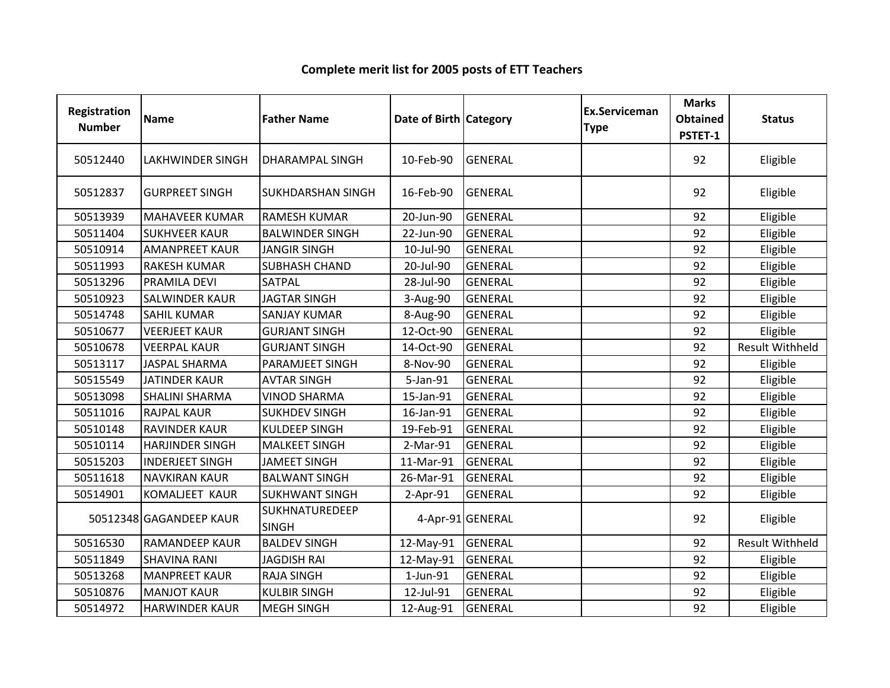| Registration<br><b>Number</b> | <b>Name</b>             | <b>Father Name</b>             | Date of Birth   Category |                  | <b>Ex.Serviceman</b><br><b>Type</b> | <b>Marks</b><br><b>Obtained</b><br>PSTET-1 | <b>Status</b>          |
|-------------------------------|-------------------------|--------------------------------|--------------------------|------------------|-------------------------------------|--------------------------------------------|------------------------|
| 50512440                      | <b>LAKHWINDER SINGH</b> | <b>DHARAMPAL SINGH</b>         | 10-Feb-90                | <b>GENERAL</b>   |                                     | 92                                         | Eligible               |
| 50512837                      | <b>GURPREET SINGH</b>   | <b>SUKHDARSHAN SINGH</b>       | 16-Feb-90                | <b>GENERAL</b>   |                                     | 92                                         | Eligible               |
| 50513939                      | <b>MAHAVEER KUMAR</b>   | <b>RAMESH KUMAR</b>            | 20-Jun-90                | <b>GENERAL</b>   |                                     | 92                                         | Eligible               |
| 50511404                      | <b>SUKHVEER KAUR</b>    | <b>BALWINDER SINGH</b>         | 22-Jun-90                | <b>GENERAL</b>   |                                     | 92                                         | Eligible               |
| 50510914                      | <b>AMANPREET KAUR</b>   | <b>JANGIR SINGH</b>            | 10-Jul-90                | <b>GENERAL</b>   |                                     | 92                                         | Eligible               |
| 50511993                      | <b>RAKESH KUMAR</b>     | <b>SUBHASH CHAND</b>           | 20-Jul-90                | <b>GENERAL</b>   |                                     | 92                                         | Eligible               |
| 50513296                      | <b>PRAMILA DEVI</b>     | <b>SATPAL</b>                  | 28-Jul-90                | <b>GENERAL</b>   |                                     | 92                                         | Eligible               |
| 50510923                      | <b>SALWINDER KAUR</b>   | <b>JAGTAR SINGH</b>            | 3-Aug-90                 | <b>GENERAL</b>   |                                     | 92                                         | Eligible               |
| 50514748                      | <b>SAHIL KUMAR</b>      | <b>SANJAY KUMAR</b>            | 8-Aug-90                 | <b>GENERAL</b>   |                                     | 92                                         | Eligible               |
| 50510677                      | <b>VEERJEET KAUR</b>    | <b>GURJANT SINGH</b>           | 12-Oct-90                | <b>GENERAL</b>   |                                     | 92                                         | Eligible               |
| 50510678                      | <b>VEERPAL KAUR</b>     | <b>GURJANT SINGH</b>           | 14-Oct-90                | <b>GENERAL</b>   |                                     | 92                                         | <b>Result Withheld</b> |
| 50513117                      | <b>JASPAL SHARMA</b>    | PARAMJEET SINGH                | 8-Nov-90                 | <b>GENERAL</b>   |                                     | 92                                         | Eligible               |
| 50515549                      | <b>JATINDER KAUR</b>    | <b>AVTAR SINGH</b>             | 5-Jan-91                 | <b>GENERAL</b>   |                                     | 92                                         | Eligible               |
| 50513098                      | <b>SHALINI SHARMA</b>   | <b>VINOD SHARMA</b>            | 15-Jan-91                | <b>GENERAL</b>   |                                     | 92                                         | Eligible               |
| 50511016                      | <b>RAJPAL KAUR</b>      | <b>SUKHDEV SINGH</b>           | 16-Jan-91                | <b>GENERAL</b>   |                                     | 92                                         | Eligible               |
| 50510148                      | <b>RAVINDER KAUR</b>    | <b>KULDEEP SINGH</b>           | 19-Feb-91                | <b>GENERAL</b>   |                                     | 92                                         | Eligible               |
| 50510114                      | <b>HARJINDER SINGH</b>  | <b>MALKEET SINGH</b>           | 2-Mar-91                 | <b>GENERAL</b>   |                                     | 92                                         | Eligible               |
| 50515203                      | <b>INDERJEET SINGH</b>  | <b>JAMEET SINGH</b>            | 11-Mar-91                | <b>GENERAL</b>   |                                     | 92                                         | Eligible               |
| 50511618                      | <b>NAVKIRAN KAUR</b>    | <b>BALWANT SINGH</b>           | 26-Mar-91                | <b>GENERAL</b>   |                                     | 92                                         | Eligible               |
| 50514901                      | KOMALJEET KAUR          | <b>SUKHWANT SINGH</b>          | $2-Apr-91$               | <b>GENERAL</b>   |                                     | 92                                         | Eligible               |
|                               | 50512348 GAGANDEEP KAUR | SUKHNATUREDEEP<br><b>SINGH</b> |                          | 4-Apr-91 GENERAL |                                     | 92                                         | Eligible               |
| 50516530                      | <b>RAMANDEEP KAUR</b>   | <b>BALDEV SINGH</b>            | 12-May-91                | <b>GENERAL</b>   |                                     | 92                                         | <b>Result Withheld</b> |
| 50511849                      | <b>SHAVINA RANI</b>     | <b>JAGDISH RAI</b>             | 12-May-91                | <b>GENERAL</b>   |                                     | 92                                         | Eligible               |
| 50513268                      | <b>MANPREET KAUR</b>    | <b>RAJA SINGH</b>              | 1-Jun-91                 | <b>GENERAL</b>   |                                     | 92                                         | Eligible               |
| 50510876                      | <b>MANJOT KAUR</b>      | <b>KULBIR SINGH</b>            | 12-Jul-91                | <b>GENERAL</b>   |                                     | 92                                         | Eligible               |
| 50514972                      | <b>HARWINDER KAUR</b>   | <b>MEGH SINGH</b>              | 12-Aug-91                | <b>GENERAL</b>   |                                     | 92                                         | Eligible               |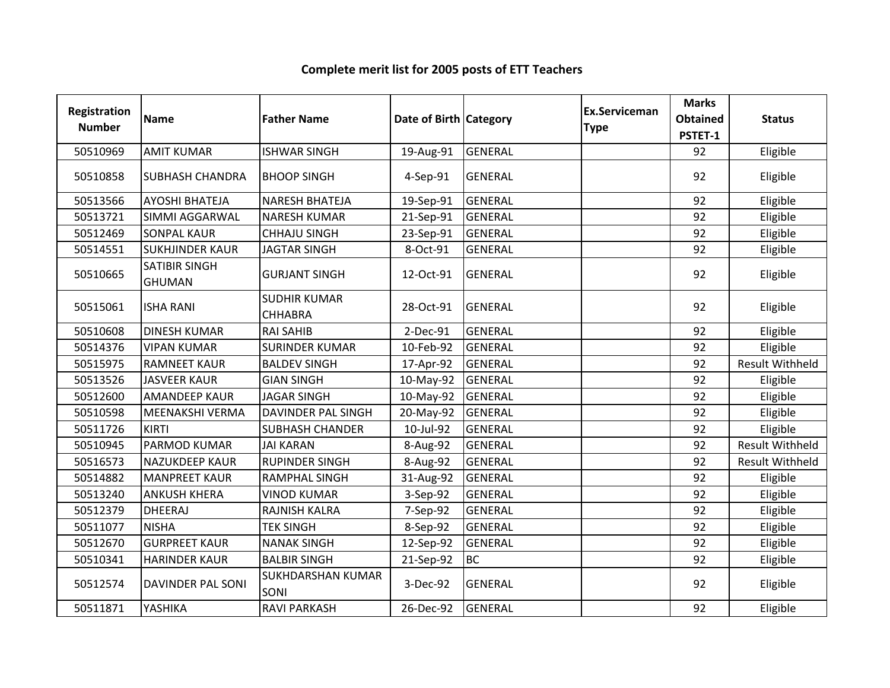#### Registration Numberion Name **Father Name Access Contract Category** Ex.Serviceman Category **Ex.Serviceman** Serviceman Marks<br>
e Obtained<br>
PSTET-1 ed Status<br>1 <sup>50510969</sup> AMIT KUMAR ISHWAR SINGH 19-Aug-91 GENERAL <sup>92</sup> Eligible <sup>50510858</sup> SUBHASH CHANDRA BHOOP SINGH 4-Sep-91 GENERAL <sup>92</sup> Eligible <sup>50513566</sup> AYOSHI BHATEJA NARESH BHATEJA 19-Sep-91 GENERAL <sup>92</sup> Eligible 50513721 SIMMI AGGARWAL NARESH KUMAR 1 21-Sep-91 GENERAL 1999 1 20 Fligible 50512469 SONPAL KAUR CHHAJU SINGH 23-Sep-91 GENERAL Julie 192 | Eligible <sup>50514551</sup> SUKHJINDER KAUR JAGTAR SINGH 8-Oct-91 GENERAL <sup>92</sup> Eligible 50510665SATIBIR SINGH GHUMANGURJANT SINGH 12-Oct-91 GENERAL 92 Eligible<br>N <sup>50515061</sup> ISHA RANI SUDHIR KUMAR **CHHABRA** A 28-Oct-91 GENERAL 92 Eligible 50510608 DINESH KUMAR RAI SAHIB 2-Dec-91 GENERAL 192 92 Eligible 50514376 VIPAN KUMAR SURINDER KUMAR 10-Feb-92 GENERAL 1992 | Bligible 50515975 |RAMNEET KAUR | BALDEV SINGH | 17-Apr-92 | GENERAL | 1990 | 1920 | Result Withheld <sup>50513526</sup> JASVEER KAUR GIAN SINGH 10-May-92 GENERAL <sup>92</sup> Eligible <sup>50512600</sup> AMANDEEP KAUR JAGAR SINGH 10-May-92 GENERAL <sup>92</sup> Eligible <sup>50510598</sup> MEENAKSHI VERMA DAVINDER PAL SINGH 20-May-92 GENERAL <sup>92</sup> Eligible <sup>50511726</sup> KIRTI SUBHASH CHANDER 10-Jul-92 GENERAL <sup>92</sup> Eligible <sup>50510945</sup> PARMOD KUMAR JAI KARAN 8-Aug-92 GENERAL <sup>92</sup> Result Withheld**Result Withheld** 50516573 NAZUKDEEP KAUR RUPINDER SINGH | 8-Aug-92 GENERAL | 92 | Result Withheld <sup>50514882</sup> MANPREET KAUR RAMPHAL SINGH 31-Aug-92 GENERAL <sup>92</sup> Eligible <sup>50513240</sup> ANKUSH KHERA VINOD KUMAR 3-Sep-92 GENERAL <sup>92</sup> Eligible <sup>50512379</sup> DHEERAJ RAJNISH KALRA 7-Sep-92 GENERAL <sup>92</sup> Eligible 50511077 |NISHA TEK SINGH 8-Sep-92 |GENERAL 92 | Eligible <sup>50512670</sup> GURPREET KAUR NANAK SINGH 12-Sep-92 GENERAL <sup>92</sup> Eligible <sup>50510341</sup> HARINDER KAUR BALBIR SINGH 21-Sep-92 BC <sup>92</sup> Eligible <sup>50512574</sup> DAVINDER PAL SONI SUKHDARSHAN KUMAR SONI1 S-Dec-92 GENERAL 92 Eligible<br>1 92 Eligible 50511871 |YASHIKA |RAVI PARKASH |26-Dec-92 |GENERAL | | | 92 | Eligible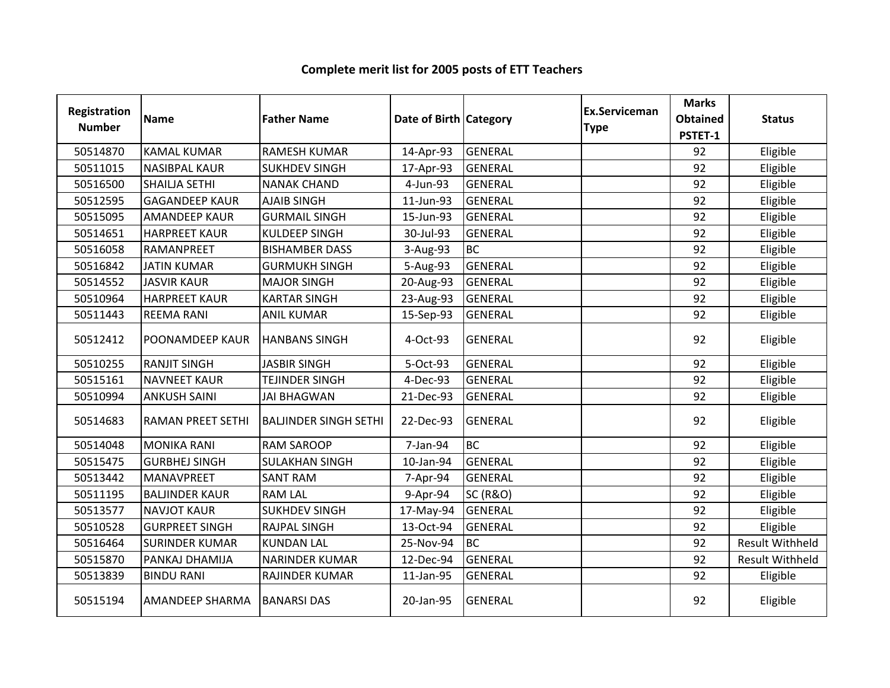| Registration<br><b>Number</b> | <b>Name</b>              | <b>Father Name</b>           | Date of Birth Category |                     | <b>Ex.Serviceman</b><br><b>Type</b> | <b>Marks</b><br><b>Obtained</b><br>PSTET-1 | <b>Status</b>          |
|-------------------------------|--------------------------|------------------------------|------------------------|---------------------|-------------------------------------|--------------------------------------------|------------------------|
| 50514870                      | <b>KAMAL KUMAR</b>       | <b>RAMESH KUMAR</b>          | 14-Apr-93              | <b>GENERAL</b>      |                                     | 92                                         | Eligible               |
| 50511015                      | <b>NASIBPAL KAUR</b>     | <b>SUKHDEV SINGH</b>         | 17-Apr-93              | <b>GENERAL</b>      |                                     | 92                                         | Eligible               |
| 50516500                      | SHAILJA SETHI            | <b>NANAK CHAND</b>           | 4-Jun-93               | <b>GENERAL</b>      |                                     | 92                                         | Eligible               |
| 50512595                      | <b>GAGANDEEP KAUR</b>    | <b>AJAIB SINGH</b>           | 11-Jun-93              | <b>GENERAL</b>      |                                     | 92                                         | Eligible               |
| 50515095                      | <b>AMANDEEP KAUR</b>     | <b>GURMAIL SINGH</b>         | 15-Jun-93              | <b>GENERAL</b>      |                                     | 92                                         | Eligible               |
| 50514651                      | <b>HARPREET KAUR</b>     | <b>KULDEEP SINGH</b>         | 30-Jul-93              | <b>GENERAL</b>      |                                     | 92                                         | Eligible               |
| 50516058                      | RAMANPREET               | <b>BISHAMBER DASS</b>        | 3-Aug-93               | <b>BC</b>           |                                     | 92                                         | Eligible               |
| 50516842                      | <b>JATIN KUMAR</b>       | <b>GURMUKH SINGH</b>         | 5-Aug-93               | <b>GENERAL</b>      |                                     | 92                                         | Eligible               |
| 50514552                      | <b>JASVIR KAUR</b>       | <b>MAJOR SINGH</b>           | 20-Aug-93              | <b>GENERAL</b>      |                                     | 92                                         | Eligible               |
| 50510964                      | <b>HARPREET KAUR</b>     | <b>KARTAR SINGH</b>          | 23-Aug-93              | <b>GENERAL</b>      |                                     | 92                                         | Eligible               |
| 50511443                      | <b>REEMA RANI</b>        | <b>ANIL KUMAR</b>            | 15-Sep-93              | <b>GENERAL</b>      |                                     | 92                                         | Eligible               |
| 50512412                      | POONAMDEEP KAUR          | <b>HANBANS SINGH</b>         | 4-Oct-93               | <b>GENERAL</b>      |                                     | 92                                         | Eligible               |
| 50510255                      | <b>RANJIT SINGH</b>      | <b>JASBIR SINGH</b>          | 5-Oct-93               | <b>GENERAL</b>      |                                     | 92                                         | Eligible               |
| 50515161                      | <b>NAVNEET KAUR</b>      | <b>TEJINDER SINGH</b>        | 4-Dec-93               | <b>GENERAL</b>      |                                     | 92                                         | Eligible               |
| 50510994                      | <b>ANKUSH SAINI</b>      | <b>JAI BHAGWAN</b>           | 21-Dec-93              | <b>GENERAL</b>      |                                     | 92                                         | Eligible               |
| 50514683                      | <b>RAMAN PREET SETHI</b> | <b>BALJINDER SINGH SETHI</b> | 22-Dec-93              | <b>GENERAL</b>      |                                     | 92                                         | Eligible               |
| 50514048                      | <b>MONIKA RANI</b>       | <b>RAM SAROOP</b>            | 7-Jan-94               | <b>BC</b>           |                                     | 92                                         | Eligible               |
| 50515475                      | <b>GURBHEJ SINGH</b>     | <b>SULAKHAN SINGH</b>        | 10-Jan-94              | <b>GENERAL</b>      |                                     | 92                                         | Eligible               |
| 50513442                      | MANAVPREET               | <b>SANT RAM</b>              | 7-Apr-94               | <b>GENERAL</b>      |                                     | 92                                         | Eligible               |
| 50511195                      | <b>BALJINDER KAUR</b>    | <b>RAM LAL</b>               | 9-Apr-94               | <b>SC (R&amp;O)</b> |                                     | 92                                         | Eligible               |
| 50513577                      | <b>NAVJOT KAUR</b>       | <b>SUKHDEV SINGH</b>         | 17-May-94              | <b>GENERAL</b>      |                                     | 92                                         | Eligible               |
| 50510528                      | <b>GURPREET SINGH</b>    | <b>RAJPAL SINGH</b>          | 13-Oct-94              | <b>GENERAL</b>      |                                     | 92                                         | Eligible               |
| 50516464                      | <b>SURINDER KUMAR</b>    | <b>KUNDAN LAL</b>            | 25-Nov-94              | <b>BC</b>           |                                     | 92                                         | <b>Result Withheld</b> |
| 50515870                      | PANKAJ DHAMIJA           | <b>NARINDER KUMAR</b>        | 12-Dec-94              | <b>GENERAL</b>      |                                     | 92                                         | <b>Result Withheld</b> |
| 50513839                      | <b>BINDU RANI</b>        | RAJINDER KUMAR               | 11-Jan-95              | <b>GENERAL</b>      |                                     | 92                                         | Eligible               |
| 50515194                      | <b>AMANDEEP SHARMA</b>   | <b>BANARSI DAS</b>           | 20-Jan-95              | <b>GENERAL</b>      |                                     | 92                                         | Eligible               |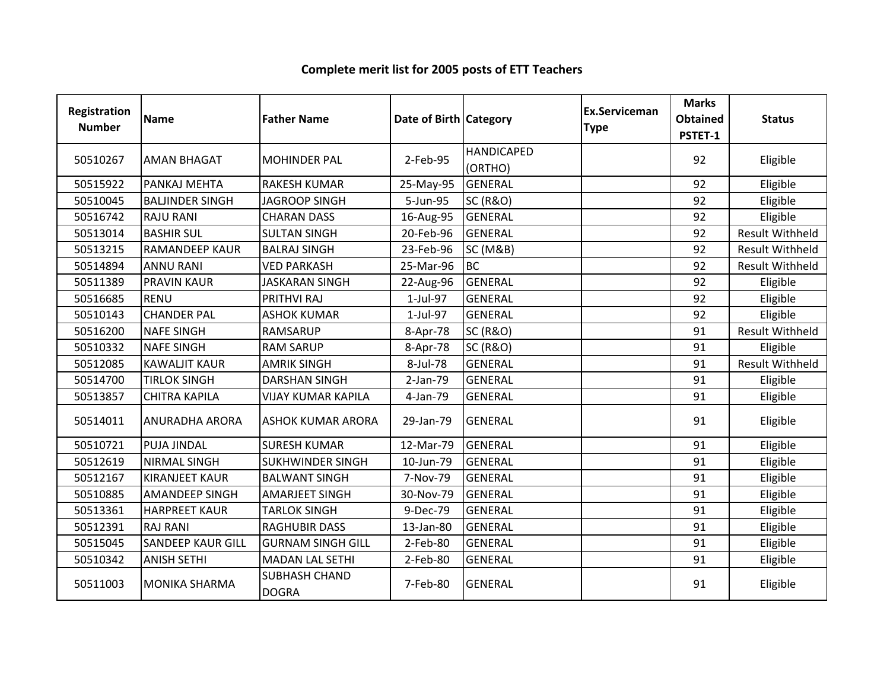| Registration<br><b>Number</b> | <b>Name</b>              | <b>Father Name</b>            | Date of Birth Category |                              | <b>Ex.Serviceman</b><br><b>Type</b> | <b>Marks</b><br><b>Obtained</b><br>PSTET-1 | <b>Status</b>          |
|-------------------------------|--------------------------|-------------------------------|------------------------|------------------------------|-------------------------------------|--------------------------------------------|------------------------|
| 50510267                      | <b>AMAN BHAGAT</b>       | <b>MOHINDER PAL</b>           | 2-Feb-95               | <b>HANDICAPED</b><br>(ORTHO) |                                     | 92                                         | Eligible               |
| 50515922                      | PANKAJ MEHTA             | <b>RAKESH KUMAR</b>           | 25-May-95              | <b>GENERAL</b>               |                                     | 92                                         | Eligible               |
| 50510045                      | <b>BALJINDER SINGH</b>   | <b>JAGROOP SINGH</b>          | 5-Jun-95               | <b>SC (R&amp;O)</b>          |                                     | 92                                         | Eligible               |
| 50516742                      | <b>RAJU RANI</b>         | <b>CHARAN DASS</b>            | 16-Aug-95              | <b>GENERAL</b>               |                                     | 92                                         | Eligible               |
| 50513014                      | <b>BASHIR SUL</b>        | <b>SULTAN SINGH</b>           | 20-Feb-96              | <b>GENERAL</b>               |                                     | 92                                         | <b>Result Withheld</b> |
| 50513215                      | <b>RAMANDEEP KAUR</b>    | <b>BALRAJ SINGH</b>           | 23-Feb-96              | <b>SC (M&amp;B)</b>          |                                     | 92                                         | <b>Result Withheld</b> |
| 50514894                      | <b>ANNU RANI</b>         | <b>VED PARKASH</b>            | 25-Mar-96              | <b>BC</b>                    |                                     | 92                                         | <b>Result Withheld</b> |
| 50511389                      | <b>PRAVIN KAUR</b>       | <b>JASKARAN SINGH</b>         | 22-Aug-96              | <b>GENERAL</b>               |                                     | 92                                         | Eligible               |
| 50516685                      | <b>RENU</b>              | PRITHVI RAJ                   | 1-Jul-97               | <b>GENERAL</b>               |                                     | 92                                         | Eligible               |
| 50510143                      | <b>CHANDER PAL</b>       | <b>ASHOK KUMAR</b>            | 1-Jul-97               | <b>GENERAL</b>               |                                     | 92                                         | Eligible               |
| 50516200                      | <b>NAFE SINGH</b>        | <b>RAMSARUP</b>               | 8-Apr-78               | <b>SC (R&amp;O)</b>          |                                     | 91                                         | <b>Result Withheld</b> |
| 50510332                      | <b>NAFE SINGH</b>        | <b>RAM SARUP</b>              | 8-Apr-78               | <b>SC (R&amp;O)</b>          |                                     | 91                                         | Eligible               |
| 50512085                      | <b>KAWALJIT KAUR</b>     | <b>AMRIK SINGH</b>            | 8-Jul-78               | <b>GENERAL</b>               |                                     | 91                                         | <b>Result Withheld</b> |
| 50514700                      | <b>TIRLOK SINGH</b>      | <b>DARSHAN SINGH</b>          | 2-Jan-79               | <b>GENERAL</b>               |                                     | 91                                         | Eligible               |
| 50513857                      | <b>CHITRA KAPILA</b>     | <b>VIJAY KUMAR KAPILA</b>     | 4-Jan-79               | <b>GENERAL</b>               |                                     | 91                                         | Eligible               |
| 50514011                      | <b>ANURADHA ARORA</b>    | <b>ASHOK KUMAR ARORA</b>      | 29-Jan-79              | <b>GENERAL</b>               |                                     | 91                                         | Eligible               |
| 50510721                      | <b>PUJA JINDAL</b>       | <b>SURESH KUMAR</b>           | 12-Mar-79              | <b>GENERAL</b>               |                                     | 91                                         | Eligible               |
| 50512619                      | <b>NIRMAL SINGH</b>      | <b>SUKHWINDER SINGH</b>       | 10-Jun-79              | <b>GENERAL</b>               |                                     | 91                                         | Eligible               |
| 50512167                      | <b>KIRANJEET KAUR</b>    | <b>BALWANT SINGH</b>          | 7-Nov-79               | <b>GENERAL</b>               |                                     | 91                                         | Eligible               |
| 50510885                      | <b>AMANDEEP SINGH</b>    | AMARJEET SINGH                | 30-Nov-79              | <b>GENERAL</b>               |                                     | 91                                         | Eligible               |
| 50513361                      | <b>HARPREET KAUR</b>     | <b>TARLOK SINGH</b>           | 9-Dec-79               | <b>GENERAL</b>               |                                     | 91                                         | Eligible               |
| 50512391                      | <b>RAJ RANI</b>          | <b>RAGHUBIR DASS</b>          | 13-Jan-80              | <b>GENERAL</b>               |                                     | 91                                         | Eligible               |
| 50515045                      | <b>SANDEEP KAUR GILL</b> | <b>GURNAM SINGH GILL</b>      | 2-Feb-80               | <b>GENERAL</b>               |                                     | 91                                         | Eligible               |
| 50510342                      | <b>ANISH SETHI</b>       | <b>MADAN LAL SETHI</b>        | 2-Feb-80               | <b>GENERAL</b>               |                                     | 91                                         | Eligible               |
| 50511003                      | <b>MONIKA SHARMA</b>     | SUBHASH CHAND<br><b>DOGRA</b> | 7-Feb-80               | <b>GENERAL</b>               |                                     | 91                                         | Eligible               |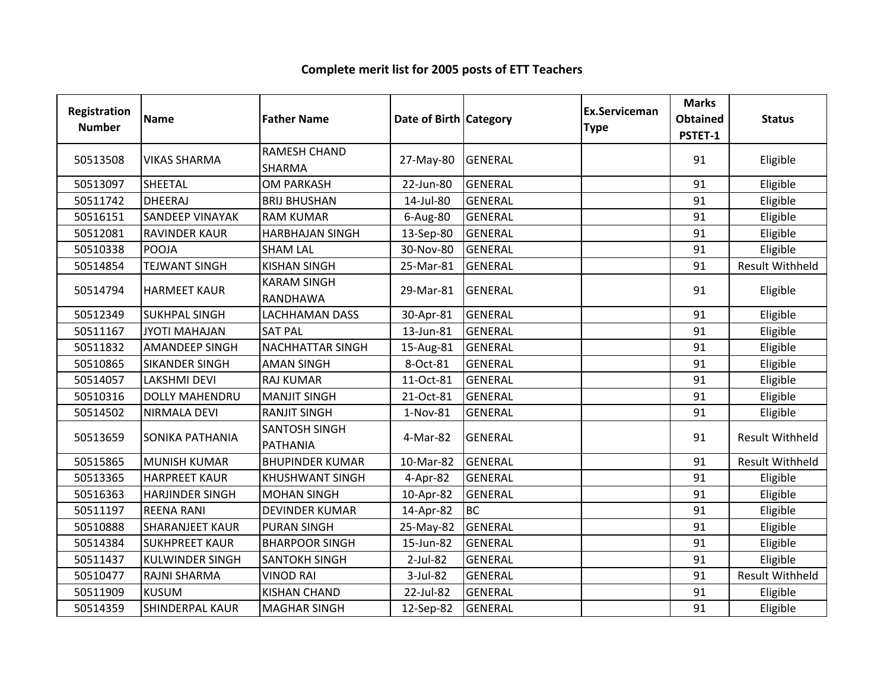| <b>Registration</b><br><b>Number</b> | Name                   | <b>Father Name</b>                      | Date of Birth Category |                | <b>Ex.Serviceman</b><br><b>Type</b> | <b>Marks</b><br><b>Obtained</b><br>PSTET-1 | <b>Status</b>          |
|--------------------------------------|------------------------|-----------------------------------------|------------------------|----------------|-------------------------------------|--------------------------------------------|------------------------|
| 50513508                             | <b>VIKAS SHARMA</b>    | RAMESH CHAND<br>SHARMA                  | 27-May-80              | <b>GENERAL</b> |                                     | 91                                         | Eligible               |
| 50513097                             | <b>SHEETAL</b>         | <b>OM PARKASH</b>                       | 22-Jun-80              | <b>GENERAL</b> |                                     | 91                                         | Eligible               |
| 50511742                             | <b>DHEERAJ</b>         | <b>BRIJ BHUSHAN</b>                     | 14-Jul-80              | <b>GENERAL</b> |                                     | 91                                         | Eligible               |
| 50516151                             | <b>SANDEEP VINAYAK</b> | <b>RAM KUMAR</b>                        | 6-Aug-80               | <b>GENERAL</b> |                                     | 91                                         | Eligible               |
| 50512081                             | <b>RAVINDER KAUR</b>   | <b>HARBHAJAN SINGH</b>                  | 13-Sep-80              | <b>GENERAL</b> |                                     | 91                                         | Eligible               |
| 50510338                             | <b>POOJA</b>           | <b>SHAM LAL</b>                         | 30-Nov-80              | <b>GENERAL</b> |                                     | 91                                         | Eligible               |
| 50514854                             | <b>TEJWANT SINGH</b>   | <b>KISHAN SINGH</b>                     | 25-Mar-81              | <b>GENERAL</b> |                                     | 91                                         | <b>Result Withheld</b> |
| 50514794                             | <b>HARMEET KAUR</b>    | <b>KARAM SINGH</b><br>RANDHAWA          | 29-Mar-81              | <b>GENERAL</b> |                                     | 91                                         | Eligible               |
| 50512349                             | <b>SUKHPAL SINGH</b>   | <b>LACHHAMAN DASS</b>                   | 30-Apr-81              | <b>GENERAL</b> |                                     | 91                                         | Eligible               |
| 50511167                             | <b>JYOTI MAHAJAN</b>   | <b>SAT PAL</b>                          | 13-Jun-81              | <b>GENERAL</b> |                                     | 91                                         | Eligible               |
| 50511832                             | <b>AMANDEEP SINGH</b>  | NACHHATTAR SINGH                        | 15-Aug-81              | <b>GENERAL</b> |                                     | 91                                         | Eligible               |
| 50510865                             | <b>SIKANDER SINGH</b>  | <b>AMAN SINGH</b>                       | 8-Oct-81               | <b>GENERAL</b> |                                     | 91                                         | Eligible               |
| 50514057                             | <b>LAKSHMI DEVI</b>    | <b>RAJ KUMAR</b>                        | $11-Oct-81$            | <b>GENERAL</b> |                                     | 91                                         | Eligible               |
| 50510316                             | <b>DOLLY MAHENDRU</b>  | <b>MANJIT SINGH</b>                     | 21-Oct-81              | <b>GENERAL</b> |                                     | 91                                         | Eligible               |
| 50514502                             | NIRMALA DEVI           | <b>RANJIT SINGH</b>                     | 1-Nov-81               | <b>GENERAL</b> |                                     | 91                                         | Eligible               |
| 50513659                             | <b>SONIKA PATHANIA</b> | <b>SANTOSH SINGH</b><br><b>PATHANIA</b> | 4-Mar-82               | <b>GENERAL</b> |                                     | 91                                         | Result Withheld        |
| 50515865                             | <b>MUNISH KUMAR</b>    | <b>BHUPINDER KUMAR</b>                  | 10-Mar-82              | <b>GENERAL</b> |                                     | 91                                         | <b>Result Withheld</b> |
| 50513365                             | <b>HARPREET KAUR</b>   | <b>KHUSHWANT SINGH</b>                  | 4-Apr-82               | <b>GENERAL</b> |                                     | 91                                         | Eligible               |
| 50516363                             | <b>HARJINDER SINGH</b> | <b>MOHAN SINGH</b>                      | 10-Apr-82              | <b>GENERAL</b> |                                     | 91                                         | Eligible               |
| 50511197                             | <b>REENA RANI</b>      | <b>DEVINDER KUMAR</b>                   | 14-Apr-82              | <b>BC</b>      |                                     | 91                                         | Eligible               |
| 50510888                             | <b>SHARANJEET KAUR</b> | <b>PURAN SINGH</b>                      | 25-May-82              | <b>GENERAL</b> |                                     | 91                                         | Eligible               |
| 50514384                             | <b>SUKHPREET KAUR</b>  | <b>BHARPOOR SINGH</b>                   | 15-Jun-82              | <b>GENERAL</b> |                                     | 91                                         | Eligible               |
| 50511437                             | <b>KULWINDER SINGH</b> | <b>SANTOKH SINGH</b>                    | 2-Jul-82               | <b>GENERAL</b> |                                     | 91                                         | Eligible               |
| 50510477                             | <b>RAJNI SHARMA</b>    | <b>VINOD RAI</b>                        | 3-Jul-82               | <b>GENERAL</b> |                                     | 91                                         | <b>Result Withheld</b> |
| 50511909                             | <b>KUSUM</b>           | <b>KISHAN CHAND</b>                     | 22-Jul-82              | <b>GENERAL</b> |                                     | 91                                         | Eligible               |
| 50514359                             | <b>SHINDERPAL KAUR</b> | <b>MAGHAR SINGH</b>                     | 12-Sep-82              | <b>GENERAL</b> |                                     | 91                                         | Eligible               |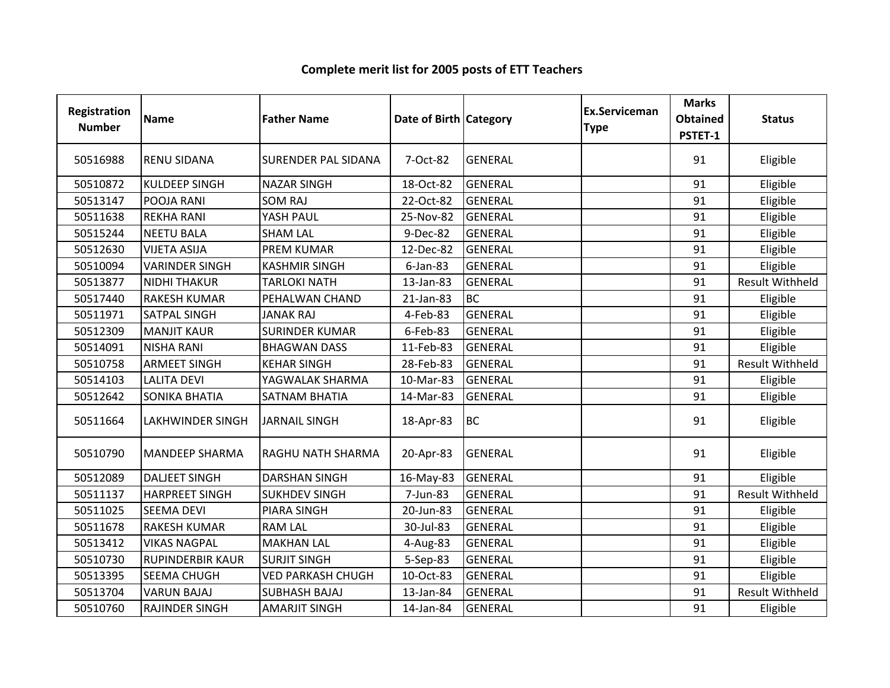| Registration<br><b>Number</b> | <b>Name</b>             | <b>Father Name</b>         | Date of Birth Category |                | <b>Ex.Serviceman</b><br><b>Type</b> | <b>Marks</b><br><b>Obtained</b><br>PSTET-1 | <b>Status</b>          |
|-------------------------------|-------------------------|----------------------------|------------------------|----------------|-------------------------------------|--------------------------------------------|------------------------|
| 50516988                      | <b>RENU SIDANA</b>      | <b>SURENDER PAL SIDANA</b> | 7-Oct-82               | <b>GENERAL</b> |                                     | 91                                         | Eligible               |
| 50510872                      | <b>KULDEEP SINGH</b>    | <b>NAZAR SINGH</b>         | 18-Oct-82              | <b>GENERAL</b> |                                     | 91                                         | Eligible               |
| 50513147                      | POOJA RANI              | <b>SOM RAJ</b>             | 22-Oct-82              | <b>GENERAL</b> |                                     | 91                                         | Eligible               |
| 50511638                      | <b>REKHA RANI</b>       | YASH PAUL                  | 25-Nov-82              | <b>GENERAL</b> |                                     | 91                                         | Eligible               |
| 50515244                      | <b>NEETU BALA</b>       | <b>SHAM LAL</b>            | 9-Dec-82               | <b>GENERAL</b> |                                     | 91                                         | Eligible               |
| 50512630                      | <b>VIJETA ASIJA</b>     | <b>PREM KUMAR</b>          | 12-Dec-82              | <b>GENERAL</b> |                                     | 91                                         | Eligible               |
| 50510094                      | <b>VARINDER SINGH</b>   | <b>KASHMIR SINGH</b>       | $6$ -Jan-83            | <b>GENERAL</b> |                                     | 91                                         | Eligible               |
| 50513877                      | <b>NIDHI THAKUR</b>     | <b>TARLOKI NATH</b>        | 13-Jan-83              | <b>GENERAL</b> |                                     | 91                                         | <b>Result Withheld</b> |
| 50517440                      | <b>RAKESH KUMAR</b>     | PEHALWAN CHAND             | 21-Jan-83              | <b>BC</b>      |                                     | 91                                         | Eligible               |
| 50511971                      | <b>SATPAL SINGH</b>     | <b>JANAK RAJ</b>           | 4-Feb-83               | <b>GENERAL</b> |                                     | 91                                         | Eligible               |
| 50512309                      | <b>MANJIT KAUR</b>      | <b>SURINDER KUMAR</b>      | 6-Feb-83               | <b>GENERAL</b> |                                     | 91                                         | Eligible               |
| 50514091                      | <b>NISHA RANI</b>       | <b>BHAGWAN DASS</b>        | 11-Feb-83              | <b>GENERAL</b> |                                     | 91                                         | Eligible               |
| 50510758                      | <b>ARMEET SINGH</b>     | <b>KEHAR SINGH</b>         | 28-Feb-83              | <b>GENERAL</b> |                                     | 91                                         | <b>Result Withheld</b> |
| 50514103                      | <b>LALITA DEVI</b>      | YAGWALAK SHARMA            | 10-Mar-83              | <b>GENERAL</b> |                                     | 91                                         | Eligible               |
| 50512642                      | <b>SONIKA BHATIA</b>    | <b>SATNAM BHATIA</b>       | 14-Mar-83              | <b>GENERAL</b> |                                     | 91                                         | Eligible               |
| 50511664                      | <b>LAKHWINDER SINGH</b> | <b>JARNAIL SINGH</b>       | 18-Apr-83              | <b>BC</b>      |                                     | 91                                         | Eligible               |
| 50510790                      | <b>MANDEEP SHARMA</b>   | RAGHU NATH SHARMA          | 20-Apr-83              | <b>GENERAL</b> |                                     | 91                                         | Eligible               |
| 50512089                      | <b>DALJEET SINGH</b>    | <b>DARSHAN SINGH</b>       | 16-May-83              | <b>GENERAL</b> |                                     | 91                                         | Eligible               |
| 50511137                      | <b>HARPREET SINGH</b>   | <b>SUKHDEV SINGH</b>       | 7-Jun-83               | <b>GENERAL</b> |                                     | 91                                         | <b>Result Withheld</b> |
| 50511025                      | <b>SEEMA DEVI</b>       | <b>PIARA SINGH</b>         | 20-Jun-83              | <b>GENERAL</b> |                                     | 91                                         | Eligible               |
| 50511678                      | <b>RAKESH KUMAR</b>     | <b>RAM LAL</b>             | 30-Jul-83              | <b>GENERAL</b> |                                     | 91                                         | Eligible               |
| 50513412                      | <b>VIKAS NAGPAL</b>     | <b>MAKHAN LAL</b>          | 4-Aug-83               | <b>GENERAL</b> |                                     | 91                                         | Eligible               |
| 50510730                      | <b>RUPINDERBIR KAUR</b> | <b>SURJIT SINGH</b>        | 5-Sep-83               | <b>GENERAL</b> |                                     | 91                                         | Eligible               |
| 50513395                      | <b>SEEMA CHUGH</b>      | <b>VED PARKASH CHUGH</b>   | 10-Oct-83              | <b>GENERAL</b> |                                     | 91                                         | Eligible               |
| 50513704                      | <b>VARUN BAJAJ</b>      | <b>SUBHASH BAJAJ</b>       | 13-Jan-84              | <b>GENERAL</b> |                                     | 91                                         | <b>Result Withheld</b> |
| 50510760                      | <b>RAJINDER SINGH</b>   | <b>AMARJIT SINGH</b>       | 14-Jan-84              | <b>GENERAL</b> |                                     | 91                                         | Eligible               |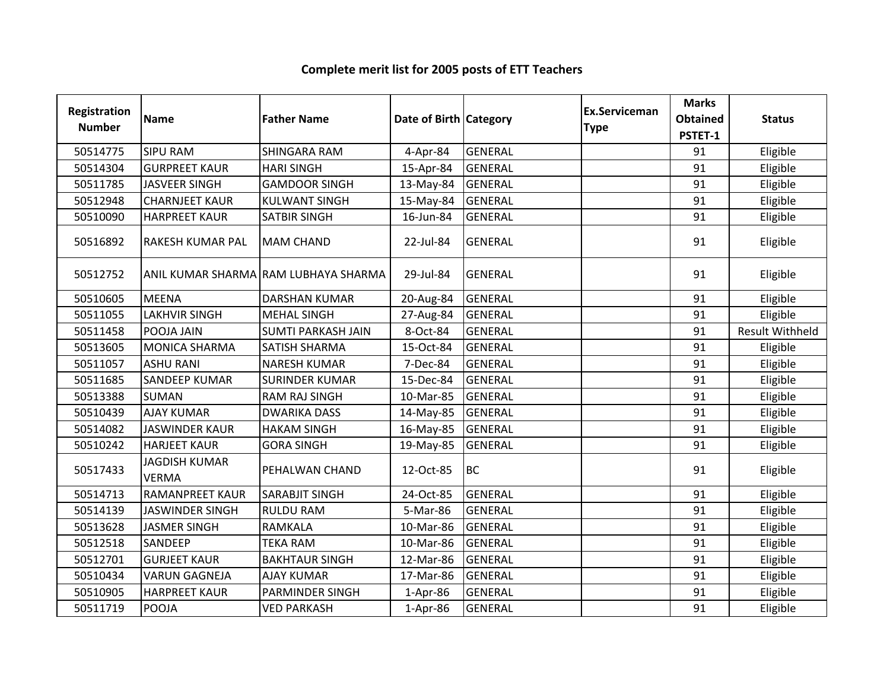| <b>Registration</b><br><b>Number</b> | <b>Name</b>                          | <b>Father Name</b>                   | Date of Birth Category |                | Ex.Serviceman<br><b>Type</b> | <b>Marks</b><br><b>Obtained</b><br>PSTET-1 | <b>Status</b>          |
|--------------------------------------|--------------------------------------|--------------------------------------|------------------------|----------------|------------------------------|--------------------------------------------|------------------------|
| 50514775                             | <b>SIPU RAM</b>                      | <b>SHINGARA RAM</b>                  | 4-Apr-84               | <b>GENERAL</b> |                              | 91                                         | Eligible               |
| 50514304                             | <b>GURPREET KAUR</b>                 | <b>HARI SINGH</b>                    | 15-Apr-84              | <b>GENERAL</b> |                              | 91                                         | Eligible               |
| 50511785                             | <b>JASVEER SINGH</b>                 | <b>GAMDOOR SINGH</b>                 | 13-May-84              | GENERAL        |                              | 91                                         | Eligible               |
| 50512948                             | <b>CHARNJEET KAUR</b>                | <b>KULWANT SINGH</b>                 | 15-May-84              | <b>GENERAL</b> |                              | 91                                         | Eligible               |
| 50510090                             | <b>HARPREET KAUR</b>                 | <b>SATBIR SINGH</b>                  | 16-Jun-84              | <b>GENERAL</b> |                              | 91                                         | Eligible               |
| 50516892                             | <b>RAKESH KUMAR PAL</b>              | <b>MAM CHAND</b>                     | 22-Jul-84              | <b>GENERAL</b> |                              | 91                                         | Eligible               |
| 50512752                             |                                      | ANIL KUMAR SHARMA RAM LUBHAYA SHARMA | 29-Jul-84              | <b>GENERAL</b> |                              | 91                                         | Eligible               |
| 50510605                             | <b>MEENA</b>                         | <b>DARSHAN KUMAR</b>                 | 20-Aug-84              | <b>GENERAL</b> |                              | 91                                         | Eligible               |
| 50511055                             | <b>LAKHVIR SINGH</b>                 | <b>MEHAL SINGH</b>                   | 27-Aug-84              | <b>GENERAL</b> |                              | 91                                         | Eligible               |
| 50511458                             | POOJA JAIN                           | <b>SUMTI PARKASH JAIN</b>            | 8-Oct-84               | <b>GENERAL</b> |                              | 91                                         | <b>Result Withheld</b> |
| 50513605                             | <b>MONICA SHARMA</b>                 | <b>SATISH SHARMA</b>                 | 15-Oct-84              | <b>GENERAL</b> |                              | 91                                         | Eligible               |
| 50511057                             | <b>ASHU RANI</b>                     | <b>NARESH KUMAR</b>                  | 7-Dec-84               | <b>GENERAL</b> |                              | 91                                         | Eligible               |
| 50511685                             | <b>SANDEEP KUMAR</b>                 | <b>SURINDER KUMAR</b>                | 15-Dec-84              | <b>GENERAL</b> |                              | 91                                         | Eligible               |
| 50513388                             | <b>SUMAN</b>                         | <b>RAM RAJ SINGH</b>                 | 10-Mar-85              | <b>GENERAL</b> |                              | 91                                         | Eligible               |
| 50510439                             | <b>AJAY KUMAR</b>                    | <b>DWARIKA DASS</b>                  | 14-May-85              | <b>GENERAL</b> |                              | 91                                         | Eligible               |
| 50514082                             | <b>JASWINDER KAUR</b>                | <b>HAKAM SINGH</b>                   | 16-May-85              | <b>GENERAL</b> |                              | 91                                         | Eligible               |
| 50510242                             | <b>HARJEET KAUR</b>                  | <b>GORA SINGH</b>                    | 19-May-85              | <b>GENERAL</b> |                              | 91                                         | Eligible               |
| 50517433                             | <b>JAGDISH KUMAR</b><br><b>VERMA</b> | PEHALWAN CHAND                       | 12-Oct-85              | <b>BC</b>      |                              | 91                                         | Eligible               |
| 50514713                             | <b>RAMANPREET KAUR</b>               | <b>SARABJIT SINGH</b>                | 24-Oct-85              | <b>GENERAL</b> |                              | 91                                         | Eligible               |
| 50514139                             | <b>JASWINDER SINGH</b>               | <b>RULDU RAM</b>                     | 5-Mar-86               | <b>GENERAL</b> |                              | 91                                         | Eligible               |
| 50513628                             | <b>JASMER SINGH</b>                  | <b>RAMKALA</b>                       | 10-Mar-86              | <b>GENERAL</b> |                              | 91                                         | Eligible               |
| 50512518                             | <b>SANDEEP</b>                       | <b>TEKA RAM</b>                      | 10-Mar-86              | <b>GENERAL</b> |                              | 91                                         | Eligible               |
| 50512701                             | <b>GURJEET KAUR</b>                  | <b>BAKHTAUR SINGH</b>                | 12-Mar-86              | <b>GENERAL</b> |                              | 91                                         | Eligible               |
| 50510434                             | <b>VARUN GAGNEJA</b>                 | <b>AJAY KUMAR</b>                    | 17-Mar-86              | <b>GENERAL</b> |                              | 91                                         | Eligible               |
| 50510905                             | <b>HARPREET KAUR</b>                 | <b>PARMINDER SINGH</b>               | $1-Apr-86$             | <b>GENERAL</b> |                              | 91                                         | Eligible               |
| 50511719                             | POOJA                                | <b>VED PARKASH</b>                   | 1-Apr-86               | <b>GENERAL</b> |                              | 91                                         | Eligible               |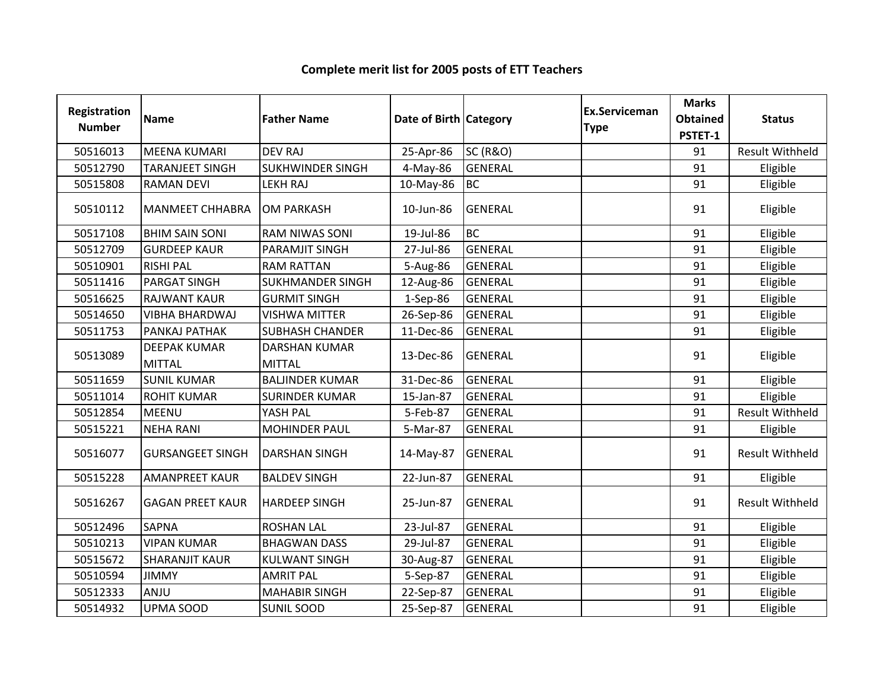| <b>Registration</b><br><b>Number</b> | <b>Name</b>                          | <b>Father Name</b>                    | Date of Birth Category |                     | <b>Ex.Serviceman</b><br><b>Type</b> | <b>Marks</b><br><b>Obtained</b><br>PSTET-1 | <b>Status</b>          |
|--------------------------------------|--------------------------------------|---------------------------------------|------------------------|---------------------|-------------------------------------|--------------------------------------------|------------------------|
| 50516013                             | <b>MEENA KUMARI</b>                  | <b>DEV RAJ</b>                        | 25-Apr-86              | <b>SC (R&amp;O)</b> |                                     | 91                                         | <b>Result Withheld</b> |
| 50512790                             | <b>TARANJEET SINGH</b>               | <b>SUKHWINDER SINGH</b>               | 4-May-86               | <b>GENERAL</b>      |                                     | 91                                         | Eligible               |
| 50515808                             | <b>RAMAN DEVI</b>                    | <b>LEKH RAJ</b>                       | 10-May-86              | <b>BC</b>           |                                     | 91                                         | Eligible               |
| 50510112                             | <b>MANMEET CHHABRA</b>               | <b>OM PARKASH</b>                     | 10-Jun-86              | <b>GENERAL</b>      |                                     | 91                                         | Eligible               |
| 50517108                             | <b>BHIM SAIN SONI</b>                | <b>RAM NIWAS SONI</b>                 | 19-Jul-86              | <b>BC</b>           |                                     | 91                                         | Eligible               |
| 50512709                             | <b>GURDEEP KAUR</b>                  | PARAMJIT SINGH                        | 27-Jul-86              | <b>GENERAL</b>      |                                     | 91                                         | Eligible               |
| 50510901                             | <b>RISHI PAL</b>                     | <b>RAM RATTAN</b>                     | 5-Aug-86               | <b>GENERAL</b>      |                                     | 91                                         | Eligible               |
| 50511416                             | <b>PARGAT SINGH</b>                  | <b>SUKHMANDER SINGH</b>               | 12-Aug-86              | <b>GENERAL</b>      |                                     | 91                                         | Eligible               |
| 50516625                             | <b>RAJWANT KAUR</b>                  | <b>GURMIT SINGH</b>                   | 1-Sep-86               | <b>GENERAL</b>      |                                     | 91                                         | Eligible               |
| 50514650                             | <b>VIBHA BHARDWAJ</b>                | <b>VISHWA MITTER</b>                  | 26-Sep-86              | <b>GENERAL</b>      |                                     | 91                                         | Eligible               |
| 50511753                             | PANKAJ PATHAK                        | <b>SUBHASH CHANDER</b>                | 11-Dec-86              | <b>GENERAL</b>      |                                     | 91                                         | Eligible               |
| 50513089                             | <b>DEEPAK KUMAR</b><br><b>MITTAL</b> | <b>DARSHAN KUMAR</b><br><b>MITTAL</b> | 13-Dec-86              | <b>GENERAL</b>      |                                     | 91                                         | Eligible               |
| 50511659                             | <b>SUNIL KUMAR</b>                   | <b>BALJINDER KUMAR</b>                | 31-Dec-86              | <b>GENERAL</b>      |                                     | 91                                         | Eligible               |
| 50511014                             | <b>ROHIT KUMAR</b>                   | <b>SURINDER KUMAR</b>                 | 15-Jan-87              | <b>GENERAL</b>      |                                     | 91                                         | Eligible               |
| 50512854                             | <b>MEENU</b>                         | YASH PAL                              | 5-Feb-87               | <b>GENERAL</b>      |                                     | 91                                         | <b>Result Withheld</b> |
| 50515221                             | <b>NEHA RANI</b>                     | <b>MOHINDER PAUL</b>                  | 5-Mar-87               | <b>GENERAL</b>      |                                     | 91                                         | Eligible               |
| 50516077                             | <b>GURSANGEET SINGH</b>              | <b>DARSHAN SINGH</b>                  | 14-May-87              | <b>GENERAL</b>      |                                     | 91                                         | <b>Result Withheld</b> |
| 50515228                             | <b>AMANPREET KAUR</b>                | <b>BALDEV SINGH</b>                   | 22-Jun-87              | <b>GENERAL</b>      |                                     | 91                                         | Eligible               |
| 50516267                             | <b>GAGAN PREET KAUR</b>              | <b>HARDEEP SINGH</b>                  | 25-Jun-87              | <b>GENERAL</b>      |                                     | 91                                         | <b>Result Withheld</b> |
| 50512496                             | <b>SAPNA</b>                         | <b>ROSHAN LAL</b>                     | 23-Jul-87              | <b>GENERAL</b>      |                                     | 91                                         | Eligible               |
| 50510213                             | <b>VIPAN KUMAR</b>                   | <b>BHAGWAN DASS</b>                   | 29-Jul-87              | <b>GENERAL</b>      |                                     | 91                                         | Eligible               |
| 50515672                             | <b>SHARANJIT KAUR</b>                | <b>KULWANT SINGH</b>                  | 30-Aug-87              | <b>GENERAL</b>      |                                     | 91                                         | Eligible               |
| 50510594                             | <b>JIMMY</b>                         | <b>AMRIT PAL</b>                      | 5-Sep-87               | <b>GENERAL</b>      |                                     | 91                                         | Eligible               |
| 50512333                             | ANJU                                 | <b>MAHABIR SINGH</b>                  | 22-Sep-87              | <b>GENERAL</b>      |                                     | 91                                         | Eligible               |
| 50514932                             | UPMA SOOD                            | <b>SUNIL SOOD</b>                     | 25-Sep-87              | <b>GENERAL</b>      |                                     | 91                                         | Eligible               |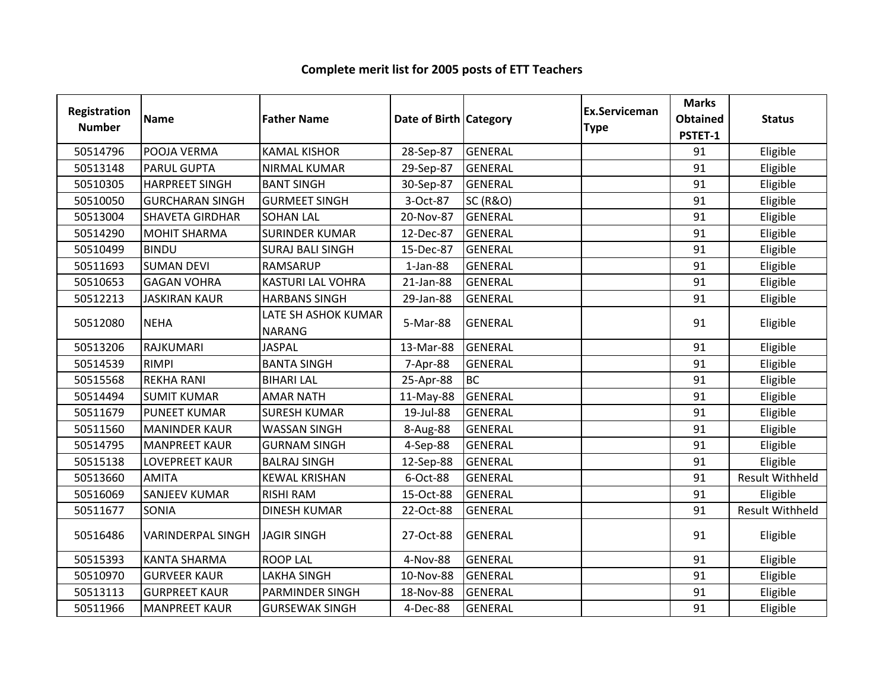| <b>Registration</b><br><b>Number</b> | <b>Name</b>              | <b>Father Name</b>                   | Date of Birth Category |                     | Ex.Serviceman<br><b>Type</b> | <b>Marks</b><br><b>Obtained</b><br>PSTET-1 | <b>Status</b>          |
|--------------------------------------|--------------------------|--------------------------------------|------------------------|---------------------|------------------------------|--------------------------------------------|------------------------|
| 50514796                             | POOJA VERMA              | <b>KAMAL KISHOR</b>                  | 28-Sep-87              | <b>GENERAL</b>      |                              | 91                                         | Eligible               |
| 50513148                             | <b>PARUL GUPTA</b>       | <b>NIRMAL KUMAR</b>                  | 29-Sep-87              | <b>GENERAL</b>      |                              | 91                                         | Eligible               |
| 50510305                             | <b>HARPREET SINGH</b>    | <b>BANT SINGH</b>                    | 30-Sep-87              | <b>GENERAL</b>      |                              | 91                                         | Eligible               |
| 50510050                             | <b>GURCHARAN SINGH</b>   | <b>GURMEET SINGH</b>                 | 3-Oct-87               | <b>SC (R&amp;O)</b> |                              | 91                                         | Eligible               |
| 50513004                             | <b>SHAVETA GIRDHAR</b>   | <b>SOHAN LAL</b>                     | 20-Nov-87              | <b>GENERAL</b>      |                              | 91                                         | Eligible               |
| 50514290                             | <b>MOHIT SHARMA</b>      | <b>SURINDER KUMAR</b>                | 12-Dec-87              | <b>GENERAL</b>      |                              | 91                                         | Eligible               |
| 50510499                             | <b>BINDU</b>             | <b>SURAJ BALI SINGH</b>              | 15-Dec-87              | <b>GENERAL</b>      |                              | 91                                         | Eligible               |
| 50511693                             | <b>SUMAN DEVI</b>        | <b>RAMSARUP</b>                      | $1$ -Jan-88            | <b>GENERAL</b>      |                              | 91                                         | Eligible               |
| 50510653                             | <b>GAGAN VOHRA</b>       | <b>KASTURI LAL VOHRA</b>             | 21-Jan-88              | <b>GENERAL</b>      |                              | 91                                         | Eligible               |
| 50512213                             | <b>JASKIRAN KAUR</b>     | <b>HARBANS SINGH</b>                 | 29-Jan-88              | <b>GENERAL</b>      |                              | 91                                         | Eligible               |
| 50512080                             | <b>NEHA</b>              | LATE SH ASHOK KUMAR<br><b>NARANG</b> | 5-Mar-88               | <b>GENERAL</b>      |                              | 91                                         | Eligible               |
| 50513206                             | RAJKUMARI                | <b>JASPAL</b>                        | 13-Mar-88              | <b>GENERAL</b>      |                              | 91                                         | Eligible               |
| 50514539                             | <b>RIMPI</b>             | <b>BANTA SINGH</b>                   | 7-Apr-88               | <b>GENERAL</b>      |                              | 91                                         | Eligible               |
| 50515568                             | <b>REKHA RANI</b>        | <b>BIHARI LAL</b>                    | 25-Apr-88              | <b>BC</b>           |                              | 91                                         | Eligible               |
| 50514494                             | <b>SUMIT KUMAR</b>       | <b>AMAR NATH</b>                     | 11-May-88              | <b>GENERAL</b>      |                              | 91                                         | Eligible               |
| 50511679                             | <b>PUNEET KUMAR</b>      | <b>SURESH KUMAR</b>                  | 19-Jul-88              | <b>GENERAL</b>      |                              | 91                                         | Eligible               |
| 50511560                             | <b>MANINDER KAUR</b>     | <b>WASSAN SINGH</b>                  | 8-Aug-88               | <b>GENERAL</b>      |                              | 91                                         | Eligible               |
| 50514795                             | <b>MANPREET KAUR</b>     | <b>GURNAM SINGH</b>                  | 4-Sep-88               | <b>GENERAL</b>      |                              | 91                                         | Eligible               |
| 50515138                             | <b>LOVEPREET KAUR</b>    | <b>BALRAJ SINGH</b>                  | 12-Sep-88              | GENERAL             |                              | 91                                         | Eligible               |
| 50513660                             | <b>AMITA</b>             | <b>KEWAL KRISHAN</b>                 | 6-Oct-88               | <b>GENERAL</b>      |                              | 91                                         | <b>Result Withheld</b> |
| 50516069                             | <b>SANJEEV KUMAR</b>     | <b>RISHI RAM</b>                     | 15-Oct-88              | <b>GENERAL</b>      |                              | 91                                         | Eligible               |
| 50511677                             | SONIA                    | <b>DINESH KUMAR</b>                  | 22-Oct-88              | <b>GENERAL</b>      |                              | 91                                         | <b>Result Withheld</b> |
| 50516486                             | <b>VARINDERPAL SINGH</b> | <b>JAGIR SINGH</b>                   | 27-Oct-88              | <b>GENERAL</b>      |                              | 91                                         | Eligible               |
| 50515393                             | <b>KANTA SHARMA</b>      | <b>ROOP LAL</b>                      | 4-Nov-88               | <b>GENERAL</b>      |                              | 91                                         | Eligible               |
| 50510970                             | <b>GURVEER KAUR</b>      | <b>LAKHA SINGH</b>                   | 10-Nov-88              | <b>GENERAL</b>      |                              | 91                                         | Eligible               |
| 50513113                             | <b>GURPREET KAUR</b>     | <b>PARMINDER SINGH</b>               | 18-Nov-88              | <b>GENERAL</b>      |                              | 91                                         | Eligible               |
| 50511966                             | <b>MANPREET KAUR</b>     | <b>GURSEWAK SINGH</b>                | 4-Dec-88               | <b>GENERAL</b>      |                              | 91                                         | Eligible               |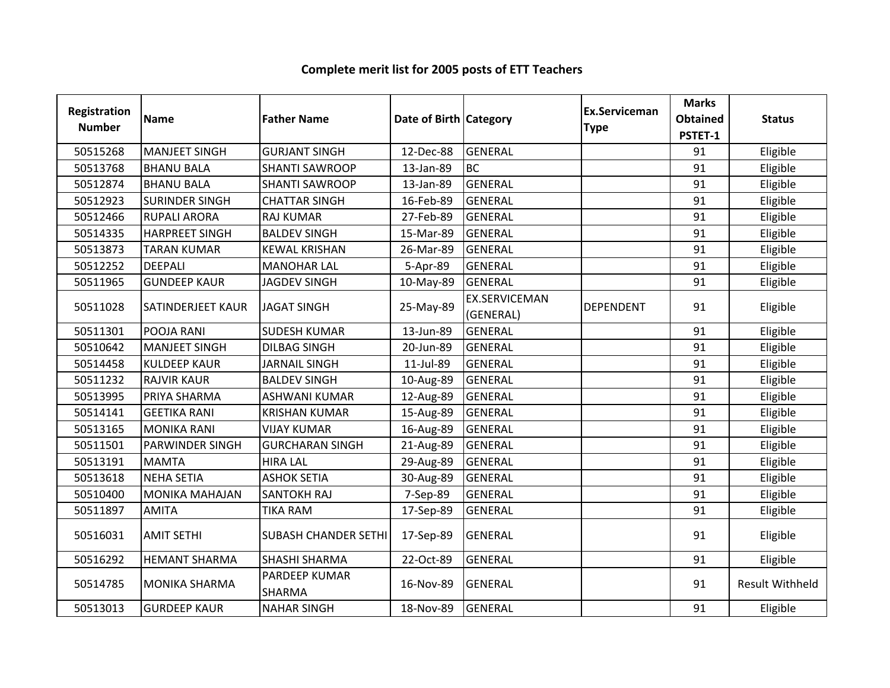| Registration<br><b>Number</b> | <b>Name</b>           | <b>Father Name</b>          | Date of Birth Category |                                   | Ex.Serviceman<br><b>Type</b> | <b>Marks</b><br><b>Obtained</b><br>PSTET-1 | <b>Status</b>          |
|-------------------------------|-----------------------|-----------------------------|------------------------|-----------------------------------|------------------------------|--------------------------------------------|------------------------|
| 50515268                      | <b>MANJEET SINGH</b>  | <b>GURJANT SINGH</b>        | 12-Dec-88              | <b>GENERAL</b>                    |                              | 91                                         | Eligible               |
| 50513768                      | <b>BHANU BALA</b>     | <b>SHANTI SAWROOP</b>       | 13-Jan-89              | <b>BC</b>                         |                              | 91                                         | Eligible               |
| 50512874                      | <b>BHANU BALA</b>     | <b>SHANTI SAWROOP</b>       | 13-Jan-89              | <b>GENERAL</b>                    |                              | 91                                         | Eligible               |
| 50512923                      | <b>SURINDER SINGH</b> | <b>CHATTAR SINGH</b>        | 16-Feb-89              | <b>GENERAL</b>                    |                              | 91                                         | Eligible               |
| 50512466                      | <b>RUPALI ARORA</b>   | <b>RAJ KUMAR</b>            | 27-Feb-89              | <b>GENERAL</b>                    |                              | 91                                         | Eligible               |
| 50514335                      | <b>HARPREET SINGH</b> | <b>BALDEV SINGH</b>         | 15-Mar-89              | <b>GENERAL</b>                    |                              | 91                                         | Eligible               |
| 50513873                      | <b>TARAN KUMAR</b>    | <b>KEWAL KRISHAN</b>        | 26-Mar-89              | <b>GENERAL</b>                    |                              | 91                                         | Eligible               |
| 50512252                      | <b>DEEPALI</b>        | <b>MANOHAR LAL</b>          | 5-Apr-89               | <b>GENERAL</b>                    |                              | 91                                         | Eligible               |
| 50511965                      | <b>GUNDEEP KAUR</b>   | <b>JAGDEV SINGH</b>         | 10-May-89              | <b>GENERAL</b>                    |                              | 91                                         | Eligible               |
| 50511028                      | SATINDERJEET KAUR     | <b>JAGAT SINGH</b>          | 25-May-89              | <b>EX.SERVICEMAN</b><br>(GENERAL) | <b>DEPENDENT</b>             | 91                                         | Eligible               |
| 50511301                      | POOJA RANI            | <b>SUDESH KUMAR</b>         | 13-Jun-89              | <b>GENERAL</b>                    |                              | 91                                         | Eligible               |
| 50510642                      | <b>MANJEET SINGH</b>  | <b>DILBAG SINGH</b>         | 20-Jun-89              | <b>GENERAL</b>                    |                              | 91                                         | Eligible               |
| 50514458                      | <b>KULDEEP KAUR</b>   | <b>JARNAIL SINGH</b>        | 11-Jul-89              | <b>GENERAL</b>                    |                              | 91                                         | Eligible               |
| 50511232                      | <b>RAJVIR KAUR</b>    | <b>BALDEV SINGH</b>         | 10-Aug-89              | <b>GENERAL</b>                    |                              | 91                                         | Eligible               |
| 50513995                      | PRIYA SHARMA          | ASHWANI KUMAR               | 12-Aug-89              | <b>GENERAL</b>                    |                              | 91                                         | Eligible               |
| 50514141                      | <b>GEETIKA RANI</b>   | <b>KRISHAN KUMAR</b>        | 15-Aug-89              | <b>GENERAL</b>                    |                              | 91                                         | Eligible               |
| 50513165                      | <b>MONIKA RANI</b>    | <b>VIJAY KUMAR</b>          | 16-Aug-89              | <b>GENERAL</b>                    |                              | 91                                         | Eligible               |
| 50511501                      | PARWINDER SINGH       | <b>GURCHARAN SINGH</b>      | 21-Aug-89              | <b>GENERAL</b>                    |                              | 91                                         | Eligible               |
| 50513191                      | <b>MAMTA</b>          | <b>HIRA LAL</b>             | 29-Aug-89              | <b>GENERAL</b>                    |                              | 91                                         | Eligible               |
| 50513618                      | <b>NEHA SETIA</b>     | <b>ASHOK SETIA</b>          | 30-Aug-89              | <b>GENERAL</b>                    |                              | 91                                         | Eligible               |
| 50510400                      | <b>MONIKA MAHAJAN</b> | <b>SANTOKH RAJ</b>          | 7-Sep-89               | <b>GENERAL</b>                    |                              | 91                                         | Eligible               |
| 50511897                      | <b>AMITA</b>          | <b>TIKA RAM</b>             | 17-Sep-89              | <b>GENERAL</b>                    |                              | 91                                         | Eligible               |
| 50516031                      | <b>AMIT SETHI</b>     | <b>SUBASH CHANDER SETHI</b> | 17-Sep-89              | <b>GENERAL</b>                    |                              | 91                                         | Eligible               |
| 50516292                      | <b>HEMANT SHARMA</b>  | <b>SHASHI SHARMA</b>        | 22-Oct-89              | <b>GENERAL</b>                    |                              | 91                                         | Eligible               |
| 50514785                      | <b>MONIKA SHARMA</b>  | PARDEEP KUMAR<br>SHARMA     | 16-Nov-89              | <b>GENERAL</b>                    |                              | 91                                         | <b>Result Withheld</b> |
| 50513013                      | <b>GURDEEP KAUR</b>   | <b>NAHAR SINGH</b>          | 18-Nov-89              | <b>GENERAL</b>                    |                              | 91                                         | Eligible               |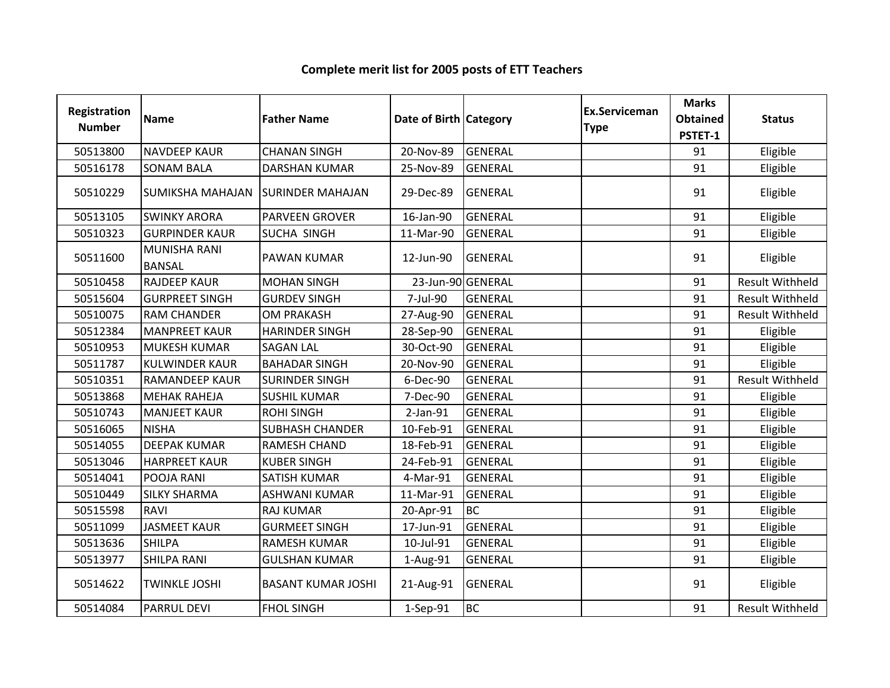| Registration<br><b>Number</b> | Name                          | <b>Father Name</b>        | Date of Birth Category |                | <b>Ex.Serviceman</b><br><b>Type</b> | <b>Marks</b><br><b>Obtained</b><br>PSTET-1 | <b>Status</b>          |
|-------------------------------|-------------------------------|---------------------------|------------------------|----------------|-------------------------------------|--------------------------------------------|------------------------|
| 50513800                      | <b>NAVDEEP KAUR</b>           | <b>CHANAN SINGH</b>       | 20-Nov-89              | <b>GENERAL</b> |                                     | 91                                         | Eligible               |
| 50516178                      | <b>SONAM BALA</b>             | <b>DARSHAN KUMAR</b>      | 25-Nov-89              | <b>GENERAL</b> |                                     | 91                                         | Eligible               |
| 50510229                      | <b>SUMIKSHA MAHAJAN</b>       | <b>SURINDER MAHAJAN</b>   | 29-Dec-89              | <b>GENERAL</b> |                                     | 91                                         | Eligible               |
| 50513105                      | <b>SWINKY ARORA</b>           | <b>PARVEEN GROVER</b>     | 16-Jan-90              | <b>GENERAL</b> |                                     | 91                                         | Eligible               |
| 50510323                      | <b>GURPINDER KAUR</b>         | SUCHA SINGH               | 11-Mar-90              | <b>GENERAL</b> |                                     | 91                                         | Eligible               |
| 50511600                      | MUNISHA RANI<br><b>BANSAL</b> | <b>PAWAN KUMAR</b>        | 12-Jun-90              | <b>GENERAL</b> |                                     | 91                                         | Eligible               |
| 50510458                      | <b>RAJDEEP KAUR</b>           | <b>MOHAN SINGH</b>        | 23-Jun-90 GENERAL      |                |                                     | 91                                         | Result Withheld        |
| 50515604                      | <b>GURPREET SINGH</b>         | <b>GURDEV SINGH</b>       | 7-Jul-90               | <b>GENERAL</b> |                                     | 91                                         | <b>Result Withheld</b> |
| 50510075                      | <b>RAM CHANDER</b>            | <b>OM PRAKASH</b>         | 27-Aug-90              | <b>GENERAL</b> |                                     | 91                                         | <b>Result Withheld</b> |
| 50512384                      | <b>MANPREET KAUR</b>          | <b>HARINDER SINGH</b>     | 28-Sep-90              | <b>GENERAL</b> |                                     | 91                                         | Eligible               |
| 50510953                      | <b>MUKESH KUMAR</b>           | <b>SAGAN LAL</b>          | 30-Oct-90              | <b>GENERAL</b> |                                     | 91                                         | Eligible               |
| 50511787                      | <b>KULWINDER KAUR</b>         | <b>BAHADAR SINGH</b>      | 20-Nov-90              | <b>GENERAL</b> |                                     | 91                                         | Eligible               |
| 50510351                      | <b>RAMANDEEP KAUR</b>         | <b>SURINDER SINGH</b>     | 6-Dec-90               | <b>GENERAL</b> |                                     | 91                                         | <b>Result Withheld</b> |
| 50513868                      | <b>MEHAK RAHEJA</b>           | <b>SUSHIL KUMAR</b>       | 7-Dec-90               | <b>GENERAL</b> |                                     | 91                                         | Eligible               |
| 50510743                      | <b>MANJEET KAUR</b>           | <b>ROHI SINGH</b>         | $2-Jan-91$             | <b>GENERAL</b> |                                     | 91                                         | Eligible               |
| 50516065                      | <b>NISHA</b>                  | <b>SUBHASH CHANDER</b>    | 10-Feb-91              | <b>GENERAL</b> |                                     | 91                                         | Eligible               |
| 50514055                      | <b>DEEPAK KUMAR</b>           | RAMESH CHAND              | 18-Feb-91              | <b>GENERAL</b> |                                     | 91                                         | Eligible               |
| 50513046                      | <b>HARPREET KAUR</b>          | <b>KUBER SINGH</b>        | 24-Feb-91              | <b>GENERAL</b> |                                     | 91                                         | Eligible               |
| 50514041                      | POOJA RANI                    | <b>SATISH KUMAR</b>       | 4-Mar-91               | <b>GENERAL</b> |                                     | 91                                         | Eligible               |
| 50510449                      | <b>SILKY SHARMA</b>           | <b>ASHWANI KUMAR</b>      | 11-Mar-91              | <b>GENERAL</b> |                                     | 91                                         | Eligible               |
| 50515598                      | <b>RAVI</b>                   | <b>RAJ KUMAR</b>          | 20-Apr-91              | <b>BC</b>      |                                     | 91                                         | Eligible               |
| 50511099                      | <b>JASMEET KAUR</b>           | <b>GURMEET SINGH</b>      | 17-Jun-91              | <b>GENERAL</b> |                                     | 91                                         | Eligible               |
| 50513636                      | <b>SHILPA</b>                 | <b>RAMESH KUMAR</b>       | 10-Jul-91              | <b>GENERAL</b> |                                     | 91                                         | Eligible               |
| 50513977                      | <b>SHILPA RANI</b>            | <b>GULSHAN KUMAR</b>      | 1-Aug-91               | <b>GENERAL</b> |                                     | 91                                         | Eligible               |
| 50514622                      | <b>TWINKLE JOSHI</b>          | <b>BASANT KUMAR JOSHI</b> | 21-Aug-91              | <b>GENERAL</b> |                                     | 91                                         | Eligible               |
| 50514084                      | <b>PARRUL DEVI</b>            | <b>FHOL SINGH</b>         | 1-Sep-91               | <b>BC</b>      |                                     | 91                                         | <b>Result Withheld</b> |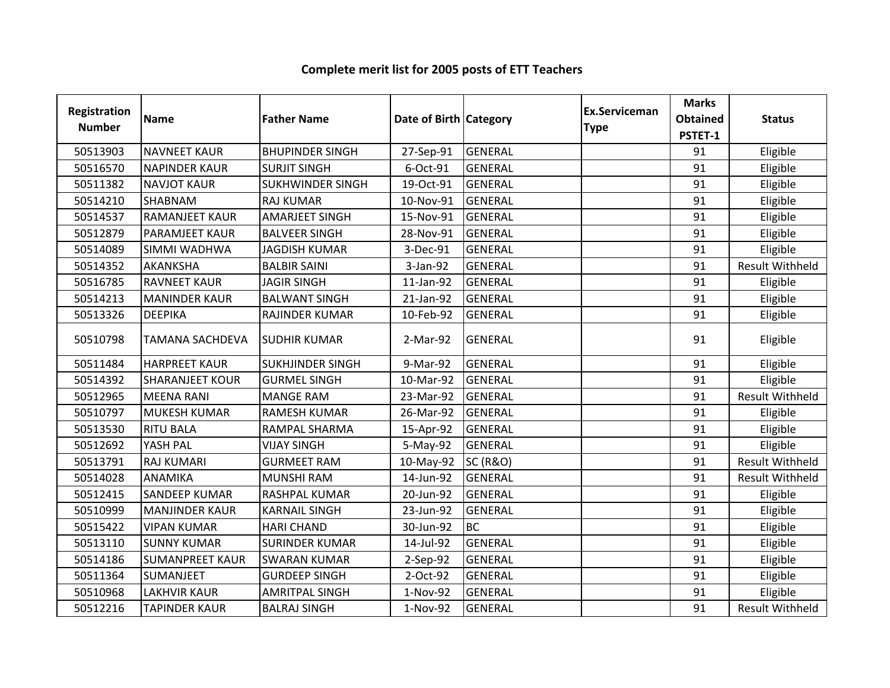| <b>Registration</b><br><b>Number</b> | <b>Name</b>            | <b>Father Name</b>      | Date of Birth Category |                     | <b>Ex.Serviceman</b><br><b>Type</b> | <b>Marks</b><br><b>Obtained</b><br>PSTET-1 | <b>Status</b>          |
|--------------------------------------|------------------------|-------------------------|------------------------|---------------------|-------------------------------------|--------------------------------------------|------------------------|
| 50513903                             | <b>NAVNEET KAUR</b>    | <b>BHUPINDER SINGH</b>  | 27-Sep-91              | <b>GENERAL</b>      |                                     | 91                                         | Eligible               |
| 50516570                             | <b>NAPINDER KAUR</b>   | <b>SURJIT SINGH</b>     | 6-Oct-91               | <b>GENERAL</b>      |                                     | 91                                         | Eligible               |
| 50511382                             | <b>NAVJOT KAUR</b>     | <b>SUKHWINDER SINGH</b> | 19-Oct-91              | <b>GENERAL</b>      |                                     | 91                                         | Eligible               |
| 50514210                             | SHABNAM                | <b>RAJ KUMAR</b>        | 10-Nov-91              | <b>GENERAL</b>      |                                     | 91                                         | Eligible               |
| 50514537                             | <b>RAMANJEET KAUR</b>  | <b>AMARJEET SINGH</b>   | 15-Nov-91              | <b>GENERAL</b>      |                                     | 91                                         | Eligible               |
| 50512879                             | PARAMJEET KAUR         | <b>BALVEER SINGH</b>    | 28-Nov-91              | <b>GENERAL</b>      |                                     | 91                                         | Eligible               |
| 50514089                             | SIMMI WADHWA           | <b>JAGDISH KUMAR</b>    | 3-Dec-91               | <b>GENERAL</b>      |                                     | 91                                         | Eligible               |
| 50514352                             | <b>AKANKSHA</b>        | <b>BALBIR SAINI</b>     | 3-Jan-92               | <b>GENERAL</b>      |                                     | 91                                         | <b>Result Withheld</b> |
| 50516785                             | <b>RAVNEET KAUR</b>    | <b>JAGIR SINGH</b>      | 11-Jan-92              | <b>GENERAL</b>      |                                     | 91                                         | Eligible               |
| 50514213                             | <b>MANINDER KAUR</b>   | <b>BALWANT SINGH</b>    | 21-Jan-92              | <b>GENERAL</b>      |                                     | 91                                         | Eligible               |
| 50513326                             | <b>DEEPIKA</b>         | RAJINDER KUMAR          | 10-Feb-92              | <b>GENERAL</b>      |                                     | 91                                         | Eligible               |
| 50510798                             | <b>TAMANA SACHDEVA</b> | <b>SUDHIR KUMAR</b>     | 2-Mar-92               | <b>GENERAL</b>      |                                     | 91                                         | Eligible               |
| 50511484                             | <b>HARPREET KAUR</b>   | <b>SUKHJINDER SINGH</b> | 9-Mar-92               | <b>GENERAL</b>      |                                     | 91                                         | Eligible               |
| 50514392                             | <b>SHARANJEET KOUR</b> | <b>GURMEL SINGH</b>     | 10-Mar-92              | <b>GENERAL</b>      |                                     | 91                                         | Eligible               |
| 50512965                             | <b>MEENA RANI</b>      | <b>MANGE RAM</b>        | 23-Mar-92              | <b>GENERAL</b>      |                                     | 91                                         | <b>Result Withheld</b> |
| 50510797                             | <b>MUKESH KUMAR</b>    | <b>RAMESH KUMAR</b>     | 26-Mar-92              | <b>GENERAL</b>      |                                     | 91                                         | Eligible               |
| 50513530                             | <b>RITU BALA</b>       | RAMPAL SHARMA           | 15-Apr-92              | <b>GENERAL</b>      |                                     | 91                                         | Eligible               |
| 50512692                             | YASH PAL               | <b>VIJAY SINGH</b>      | 5-May-92               | <b>GENERAL</b>      |                                     | 91                                         | Eligible               |
| 50513791                             | <b>RAJ KUMARI</b>      | <b>GURMEET RAM</b>      | 10-May-92              | <b>SC (R&amp;O)</b> |                                     | 91                                         | <b>Result Withheld</b> |
| 50514028                             | <b>ANAMIKA</b>         | <b>MUNSHI RAM</b>       | 14-Jun-92              | <b>GENERAL</b>      |                                     | 91                                         | <b>Result Withheld</b> |
| 50512415                             | <b>SANDEEP KUMAR</b>   | <b>RASHPAL KUMAR</b>    | 20-Jun-92              | <b>GENERAL</b>      |                                     | 91                                         | Eligible               |
| 50510999                             | <b>MANJINDER KAUR</b>  | <b>KARNAIL SINGH</b>    | 23-Jun-92              | <b>GENERAL</b>      |                                     | 91                                         | Eligible               |
| 50515422                             | <b>VIPAN KUMAR</b>     | <b>HARI CHAND</b>       | 30-Jun-92              | <b>BC</b>           |                                     | 91                                         | Eligible               |
| 50513110                             | <b>SUNNY KUMAR</b>     | <b>SURINDER KUMAR</b>   | 14-Jul-92              | <b>GENERAL</b>      |                                     | 91                                         | Eligible               |
| 50514186                             | <b>SUMANPREET KAUR</b> | <b>SWARAN KUMAR</b>     | 2-Sep-92               | <b>GENERAL</b>      |                                     | 91                                         | Eligible               |
| 50511364                             | SUMANJEET              | <b>GURDEEP SINGH</b>    | 2-Oct-92               | <b>GENERAL</b>      |                                     | 91                                         | Eligible               |
| 50510968                             | <b>LAKHVIR KAUR</b>    | <b>AMRITPAL SINGH</b>   | 1-Nov-92               | <b>GENERAL</b>      |                                     | 91                                         | Eligible               |
| 50512216                             | <b>TAPINDER KAUR</b>   | <b>BALRAJ SINGH</b>     | 1-Nov-92               | <b>GENERAL</b>      |                                     | 91                                         | <b>Result Withheld</b> |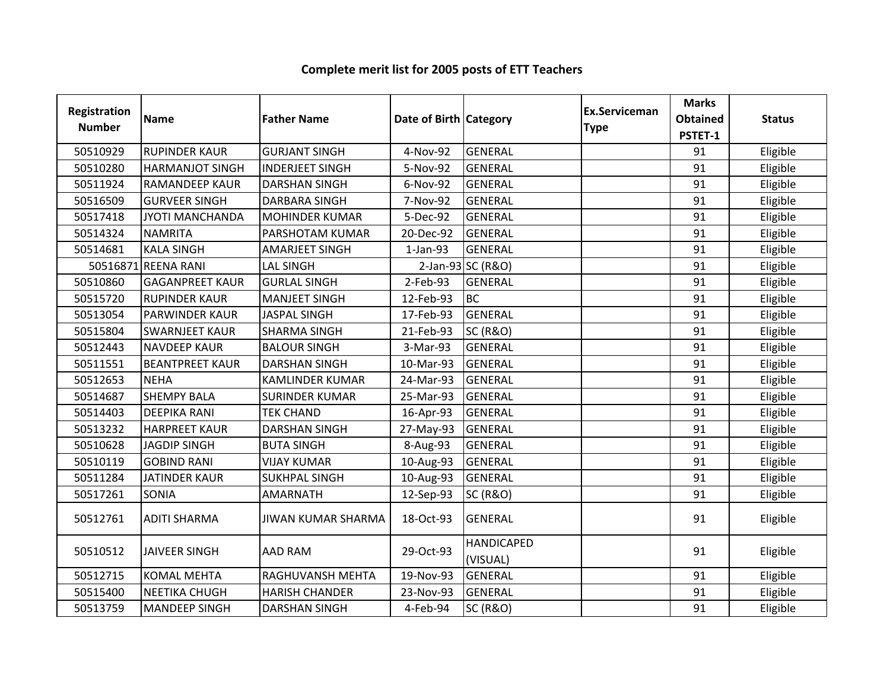| Registration<br><b>Number</b> | <b>Name</b>            | <b>Father Name</b>        | Date of Birth Category |                               | Ex.Serviceman<br><b>Type</b> | <b>Marks</b><br><b>Obtained</b><br>PSTET-1 | <b>Status</b> |
|-------------------------------|------------------------|---------------------------|------------------------|-------------------------------|------------------------------|--------------------------------------------|---------------|
| 50510929                      | <b>RUPINDER KAUR</b>   | <b>GURJANT SINGH</b>      | 4-Nov-92               | <b>GENERAL</b>                |                              | 91                                         | Eligible      |
| 50510280                      | <b>HARMANJOT SINGH</b> | <b>INDERJEET SINGH</b>    | 5-Nov-92               | <b>GENERAL</b>                |                              | 91                                         | Eligible      |
| 50511924                      | <b>RAMANDEEP KAUR</b>  | <b>DARSHAN SINGH</b>      | 6-Nov-92               | <b>GENERAL</b>                |                              | 91                                         | Eligible      |
| 50516509                      | <b>GURVEER SINGH</b>   | <b>DARBARA SINGH</b>      | 7-Nov-92               | <b>GENERAL</b>                |                              | 91                                         | Eligible      |
| 50517418                      | JYOTI MANCHANDA        | <b>MOHINDER KUMAR</b>     | 5-Dec-92               | <b>GENERAL</b>                |                              | 91                                         | Eligible      |
| 50514324                      | <b>NAMRITA</b>         | PARSHOTAM KUMAR           | 20-Dec-92              | <b>GENERAL</b>                |                              | 91                                         | Eligible      |
| 50514681                      | <b>KALA SINGH</b>      | <b>AMARJEET SINGH</b>     | $1-Jan-93$             | <b>GENERAL</b>                |                              | 91                                         | Eligible      |
|                               | 50516871 REENA RANI    | <b>LAL SINGH</b>          |                        | 2-Jan-93 SC (R&O)             |                              | 91                                         | Eligible      |
| 50510860                      | <b>GAGANPREET KAUR</b> | <b>GURLAL SINGH</b>       | 2-Feb-93               | <b>GENERAL</b>                |                              | 91                                         | Eligible      |
| 50515720                      | <b>RUPINDER KAUR</b>   | <b>MANJEET SINGH</b>      | 12-Feb-93              | <b>BC</b>                     |                              | 91                                         | Eligible      |
| 50513054                      | PARWINDER KAUR         | <b>JASPAL SINGH</b>       | 17-Feb-93              | <b>GENERAL</b>                |                              | 91                                         | Eligible      |
| 50515804                      | <b>SWARNJEET KAUR</b>  | <b>SHARMA SINGH</b>       | 21-Feb-93              | <b>SC (R&amp;O)</b>           |                              | 91                                         | Eligible      |
| 50512443                      | <b>NAVDEEP KAUR</b>    | <b>BALOUR SINGH</b>       | 3-Mar-93               | <b>GENERAL</b>                |                              | 91                                         | Eligible      |
| 50511551                      | <b>BEANTPREET KAUR</b> | <b>DARSHAN SINGH</b>      | 10-Mar-93              | <b>GENERAL</b>                |                              | 91                                         | Eligible      |
| 50512653                      | <b>NEHA</b>            | <b>KAMLINDER KUMAR</b>    | 24-Mar-93              | <b>GENERAL</b>                |                              | 91                                         | Eligible      |
| 50514687                      | <b>SHEMPY BALA</b>     | <b>SURINDER KUMAR</b>     | 25-Mar-93              | <b>GENERAL</b>                |                              | 91                                         | Eligible      |
| 50514403                      | <b>DEEPIKA RANI</b>    | <b>TEK CHAND</b>          | 16-Apr-93              | <b>GENERAL</b>                |                              | 91                                         | Eligible      |
| 50513232                      | <b>HARPREET KAUR</b>   | <b>DARSHAN SINGH</b>      | 27-May-93              | <b>GENERAL</b>                |                              | 91                                         | Eligible      |
| 50510628                      | <b>JAGDIP SINGH</b>    | <b>BUTA SINGH</b>         | 8-Aug-93               | <b>GENERAL</b>                |                              | 91                                         | Eligible      |
| 50510119                      | <b>GOBIND RANI</b>     | <b>VIJAY KUMAR</b>        | 10-Aug-93              | <b>GENERAL</b>                |                              | 91                                         | Eligible      |
| 50511284                      | <b>JATINDER KAUR</b>   | <b>SUKHPAL SINGH</b>      | 10-Aug-93              | <b>GENERAL</b>                |                              | 91                                         | Eligible      |
| 50517261                      | SONIA                  | <b>AMARNATH</b>           | 12-Sep-93              | <b>SC (R&amp;O)</b>           |                              | 91                                         | Eligible      |
| 50512761                      | <b>ADITI SHARMA</b>    | <b>JIWAN KUMAR SHARMA</b> | 18-Oct-93              | <b>GENERAL</b>                |                              | 91                                         | Eligible      |
| 50510512                      | <b>JAIVEER SINGH</b>   | <b>AAD RAM</b>            | 29-Oct-93              | <b>HANDICAPED</b><br>(VISUAL) |                              | 91                                         | Eligible      |
| 50512715                      | <b>KOMAL MEHTA</b>     | RAGHUVANSH MEHTA          | 19-Nov-93              | <b>GENERAL</b>                |                              | 91                                         | Eligible      |
| 50515400                      | NEETIKA CHUGH          | <b>HARISH CHANDER</b>     | 23-Nov-93              | <b>GENERAL</b>                |                              | 91                                         | Eligible      |
| 50513759                      | <b>MANDEEP SINGH</b>   | <b>DARSHAN SINGH</b>      | 4-Feb-94               | <b>SC (R&amp;O)</b>           |                              | 91                                         | Eligible      |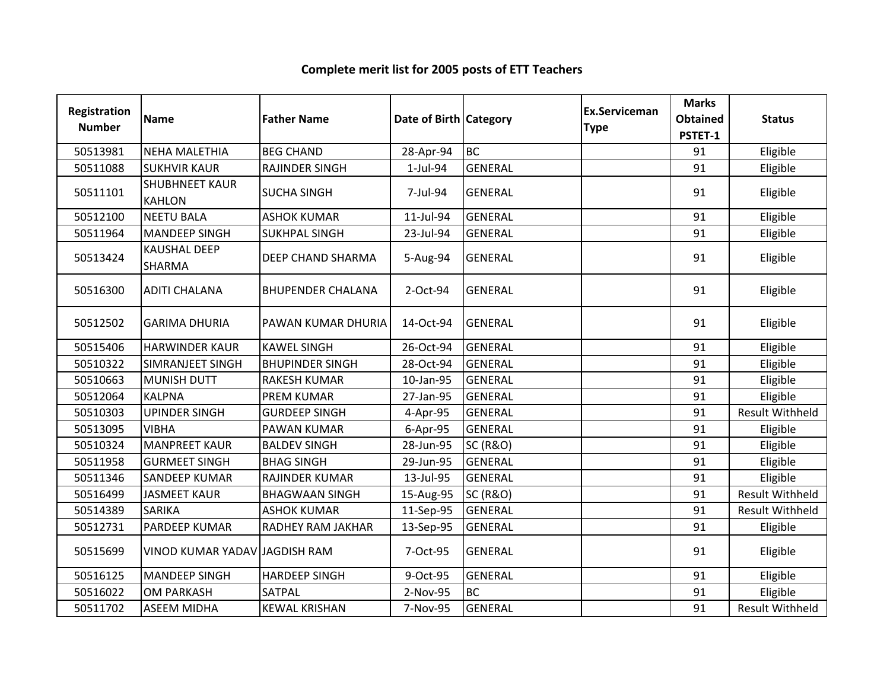| Registration<br><b>Number</b> | <b>Name</b>                            | <b>Father Name</b>       | Date of Birth Category |                     | Ex.Serviceman<br><b>Type</b> | <b>Marks</b><br><b>Obtained</b> | <b>Status</b>          |
|-------------------------------|----------------------------------------|--------------------------|------------------------|---------------------|------------------------------|---------------------------------|------------------------|
|                               |                                        |                          |                        |                     |                              | PSTET-1                         |                        |
| 50513981                      | <b>NEHA MALETHIA</b>                   | <b>BEG CHAND</b>         | 28-Apr-94              | <b>BC</b>           |                              | 91                              | Eligible               |
| 50511088                      | <b>SUKHVIR KAUR</b>                    | <b>RAJINDER SINGH</b>    | 1-Jul-94               | <b>GENERAL</b>      |                              | 91                              | Eligible               |
| 50511101                      | <b>SHUBHNEET KAUR</b><br><b>KAHLON</b> | <b>SUCHA SINGH</b>       | 7-Jul-94               | <b>GENERAL</b>      |                              | 91                              | Eligible               |
| 50512100                      | <b>NEETU BALA</b>                      | <b>ASHOK KUMAR</b>       | 11-Jul-94              | <b>GENERAL</b>      |                              | 91                              | Eligible               |
| 50511964                      | <b>MANDEEP SINGH</b>                   | <b>SUKHPAL SINGH</b>     | 23-Jul-94              | <b>GENERAL</b>      |                              | 91                              | Eligible               |
| 50513424                      | <b>KAUSHAL DEEP</b><br><b>SHARMA</b>   | DEEP CHAND SHARMA        | 5-Aug-94               | <b>GENERAL</b>      |                              | 91                              | Eligible               |
| 50516300                      | <b>ADITI CHALANA</b>                   | <b>BHUPENDER CHALANA</b> | 2-Oct-94               | <b>GENERAL</b>      |                              | 91                              | Eligible               |
| 50512502                      | <b>GARIMA DHURIA</b>                   | PAWAN KUMAR DHURIA       | 14-Oct-94              | <b>GENERAL</b>      |                              | 91                              | Eligible               |
| 50515406                      | <b>HARWINDER KAUR</b>                  | <b>KAWEL SINGH</b>       | 26-Oct-94              | <b>GENERAL</b>      |                              | 91                              | Eligible               |
| 50510322                      | <b>SIMRANJEET SINGH</b>                | <b>BHUPINDER SINGH</b>   | 28-Oct-94              | <b>GENERAL</b>      |                              | 91                              | Eligible               |
| 50510663                      | <b>MUNISH DUTT</b>                     | <b>RAKESH KUMAR</b>      | 10-Jan-95              | <b>GENERAL</b>      |                              | 91                              | Eligible               |
| 50512064                      | <b>KALPNA</b>                          | <b>PREM KUMAR</b>        | 27-Jan-95              | <b>GENERAL</b>      |                              | 91                              | Eligible               |
| 50510303                      | <b>UPINDER SINGH</b>                   | <b>GURDEEP SINGH</b>     | 4-Apr-95               | <b>GENERAL</b>      |                              | 91                              | <b>Result Withheld</b> |
| 50513095                      | <b>VIBHA</b>                           | PAWAN KUMAR              | 6-Apr-95               | <b>GENERAL</b>      |                              | 91                              | Eligible               |
| 50510324                      | <b>MANPREET KAUR</b>                   | <b>BALDEV SINGH</b>      | 28-Jun-95              | <b>SC (R&amp;O)</b> |                              | 91                              | Eligible               |
| 50511958                      | <b>GURMEET SINGH</b>                   | <b>BHAG SINGH</b>        | 29-Jun-95              | <b>GENERAL</b>      |                              | 91                              | Eligible               |
| 50511346                      | <b>SANDEEP KUMAR</b>                   | RAJINDER KUMAR           | 13-Jul-95              | <b>GENERAL</b>      |                              | 91                              | Eligible               |
| 50516499                      | <b>JASMEET KAUR</b>                    | <b>BHAGWAAN SINGH</b>    | 15-Aug-95              | <b>SC (R&amp;O)</b> |                              | 91                              | Result Withheld        |
| 50514389                      | <b>SARIKA</b>                          | <b>ASHOK KUMAR</b>       | 11-Sep-95              | <b>GENERAL</b>      |                              | 91                              | <b>Result Withheld</b> |
| 50512731                      | <b>PARDEEP KUMAR</b>                   | RADHEY RAM JAKHAR        | 13-Sep-95              | <b>GENERAL</b>      |                              | 91                              | Eligible               |
| 50515699                      | VINOD KUMAR YADAV JAGDISH RAM          |                          | 7-Oct-95               | <b>GENERAL</b>      |                              | 91                              | Eligible               |
| 50516125                      | <b>MANDEEP SINGH</b>                   | <b>HARDEEP SINGH</b>     | 9-Oct-95               | <b>GENERAL</b>      |                              | 91                              | Eligible               |
| 50516022                      | <b>OM PARKASH</b>                      | SATPAL                   | 2-Nov-95               | <b>BC</b>           |                              | 91                              | Eligible               |
| 50511702                      | <b>ASEEM MIDHA</b>                     | <b>KEWAL KRISHAN</b>     | 7-Nov-95               | <b>GENERAL</b>      |                              | 91                              | <b>Result Withheld</b> |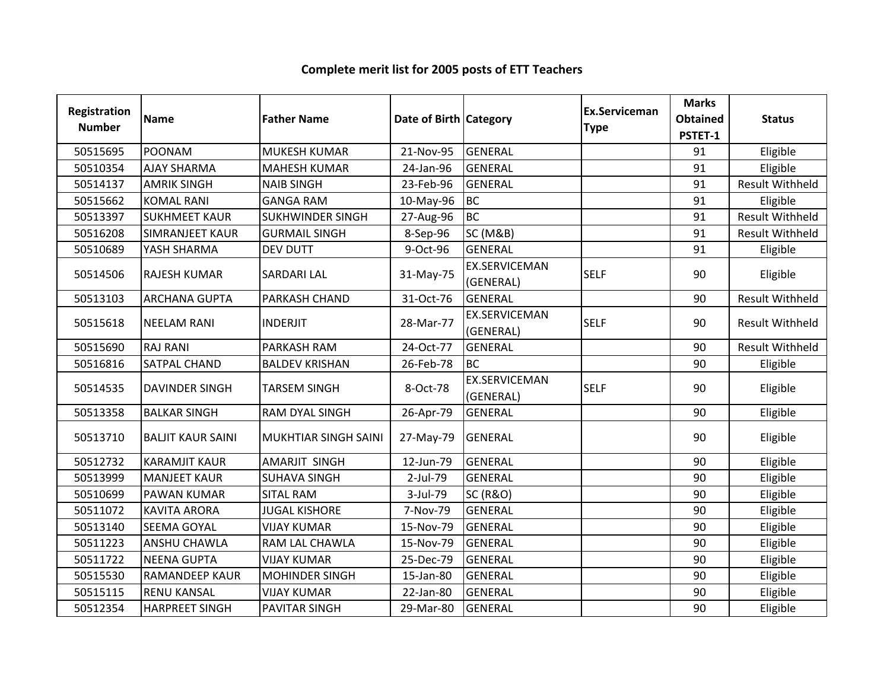#### Registration Numberion Name **Father Name Access Contract Category** Ex.Serviceman Category **Ex.Serviceman** Serviceman Marks<br>
e Obtained<br>
PSTET-1 ed Status<br>1 <sup>50515695</sup> POONAM MUKESH KUMAR 21-Nov-95 GENERAL <sup>91</sup> Eligible <sup>50510354</sup> AJAY SHARMA MAHESH KUMAR 24-Jan-96 GENERAL <sup>91</sup> Eligible <sup>50514137</sup> AMRIK SINGH NAIB SINGH 23-Feb-96 GENERAL <sup>91</sup> Result Withheld<sup>50515662</sup> KOMAL RANI GANGA RAM 10-May-96 BC <sup>91</sup> Eligible 50513397 SUKHMEET KAUR SUKHWINDER SINGH 27-Aug-96 BC<br>50516208 SIMRANJEET KAUR GURMAIL SINGH 8-Sep-96 SC (M&B) 91 Result Withheld<br>91 Result Withheld <sup>50516208</sup> SIMRANJEET KAUR GURMAIL SINGH 8-Sep-96 SC (M&B) <sup>91</sup> Result Withheld<sup>50510689</sup> YASH SHARMA DEV DUTT 9-Oct-96 GENERAL <sup>91</sup> Eligible 50514506 RAJESH KUMAR SARDARI LAL 31-May-75 EX.SERVICEMAN (GENERAL) SELF <sup>90</sup> Eligible 50513103 |ARCHANA GUPTA | PARKASH CHAND | 31-Oct-76 | GENERAL | 190 | Result Withheld <sup>50515618</sup> NEELAM RANI INDERJIT 28-Mar-77EX.SERVICEMAN (GENERAL) SELF <sup>90</sup> Result Withheld <sup>50515690</sup> RAJ RANI PARKASH RAM 24-Oct-77 GENERAL <sup>90</sup> Result Withheld<sup>50516816</sup> SATPAL CHAND BALDEV KRISHAN 26-Feb-78 BC <sup>90</sup> Eligible <sup>50514535</sup> DAVINDER SINGH TARSEM SINGH 8-Oct-78EX.SERVICEMAN (GENERAL)section of the SELF (1990) Eligible<br>) 50513358 BALKAR SINGH RAM DYAL SINGH 26-Apr-79 GENERAL Julie 190 | Eligible <sup>50513710</sup> BALJIT KAUR SAINI MUKHTIAR SINGH SAINI 27-May-79 GENERAL <sup>90</sup> Eligible <sup>50512732</sup> KARAMJIT KAUR AMARJIT SINGH 12-Jun-79 GENERAL <sup>90</sup> Eligible <sup>50513999</sup> MANJEET KAUR SUHAVA SINGH 2-Jul-79 GENERAL <sup>90</sup> Eligible 50510699 PAWAN KUMAR SITAL RAM 1999 SC (R&O) REGISLO PAWAN KUMAR SITAL RAM 1999 PAWAN KUMAR SITAL RAM <sup>50511072</sup> KAVITA ARORA JUGAL KISHORE 7-Nov-79 GENERAL <sup>90</sup> Eligible <sup>50513140</sup> SEEMA GOYAL VIJAY KUMAR 15-Nov-79 GENERAL <sup>90</sup> Eligible <sup>50511223</sup> ANSHU CHAWLA RAM LAL CHAWLA 15-Nov-79 GENERAL <sup>90</sup> Eligible <sup>50511722</sup> NEENA GUPTA VIJAY KUMAR 25-Dec-79 GENERAL <sup>90</sup> Eligible 50515530 RAMANDEEP KAUR MOHINDER SINGH 15-Jan-80 GENERAL Julie 190 | Eligible <sup>50515115</sup> RENU KANSAL VIJAY KUMAR 22-Jan-80 GENERAL <sup>90</sup> Eligible <sup>50512354</sup> HARPREET SINGH PAVITAR SINGH 29-Mar-80 GENERAL <sup>90</sup> Eligible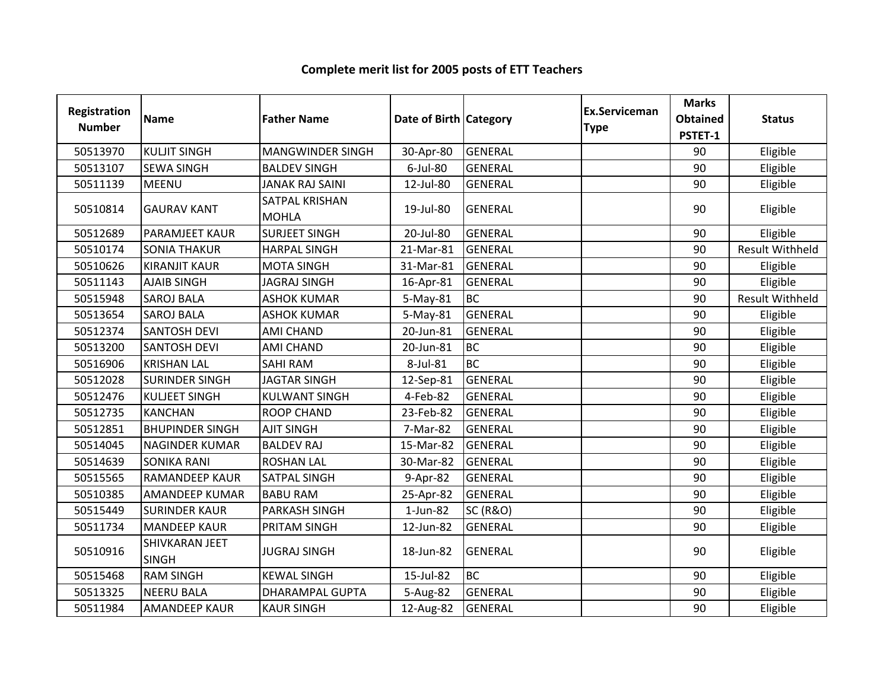#### Registration Numberion Name **Father Name Access Contract Category** Ex.Serviceman Category **Ex.Serviceman** Serviceman Marks<br>
e Obtained<br>
PSTET-1 ed Status<br>1 <sup>50513970</sup> KULJIT SINGH MANGWINDER SINGH 30-Apr-80 GENERAL <sup>90</sup> Eligible 50513107 SEWA SINGH BALDEV SINGH | 6-Jul-80 GENERAL | 90 | Eligible 50511139 |MEENU JANAK RAJ SAINI 12-Jul-80 |GENERAL 190 | Eligible <sup>50510814</sup> GAURAV KANT SATPAL KRISHAN MOHLA19-Jul-80 GENERAL 90 Eligible <sup>50512689</sup> PARAMJEET KAUR SURJEET SINGH 20-Jul-80 GENERAL <sup>90</sup> Eligible <sup>50510174</sup> SONIA THAKUR HARPAL SINGH 21-Mar-81 GENERAL <sup>90</sup> Result Withheld<sup>50510626</sup> KIRANJIT KAUR MOTA SINGH 31-Mar-81 GENERAL <sup>90</sup> Eligible <sup>50511143</sup> AJAIB SINGH JAGRAJ SINGH 16-Apr-81 GENERAL <sup>90</sup> Eligible 50515948 SAROJ BALA | ASHOK KUMAR | 5-May-81 BC EC BC Result Withheld<br>GENERAL 90 Eligible <sup>50513654</sup> SAROJ BALA ASHOK KUMAR 5-May-81 GENERAL <sup>90</sup> Eligible 50512374 SANTOSH DEVI AMI CHAND 20-Jun-81 GENERAL June 200 Research 190 Eligible 50513200 SANTOSH DEVI AMI CHAND 20-Jun-81 BC<br>50516906 KRISHAN LAL SAHI RAM 8-Jul-81 BC <sup>90</sup> Eligible <sup>50516906</sup> KRISHAN LAL SAHI RAM 8-Jul-81 BC <sup>90</sup> Eligible 50512028 SURINDER SINGH JAGTAR SINGH 12-Sep-81 GENERAL JUNION 190 | Eligible <sup>50512476</sup> KULJEET SINGH KULWANT SINGH 4-Feb-82 GENERAL <sup>90</sup> Eligible <sup>50512735</sup> KANCHAN ROOP CHAND 23-Feb-82 GENERAL <sup>90</sup> Eligible 50512851 |BHUPINDER SINGH |AJIT SINGH | 7-Mar-82 |GENERAL | 1999 | Eligible <sup>50514045</sup> NAGINDER KUMAR BALDEV RAJ 15-Mar-82 GENERAL <sup>90</sup> Eligible 50514639 SONIKA RANI ROSHAN LAL 190-Mar-82 GENERAL 1999 | Eligible <sup>50515565</sup> RAMANDEEP KAUR SATPAL SINGH 9-Apr-82 GENERAL <sup>90</sup> Eligible <sup>50510385</sup> AMANDEEP KUMAR BABU RAM 25-Apr-82 GENERAL <sup>90</sup> Eligible 50515449 SURINDER KAUR PARKASH SINGH 1-Jun-82 SC (R&O) Junil 1-Junil 1-Junil 1-Junil 1-Junil 1-Junil 1-Junil 1 50511734 MANDEEP KAUR PRITAM SINGH 12-Jun-82 GENERAL June 190 | Eligible 50510916SHIVKARAN JEET SINGHJUGRAJ SINGH 18-Jun-82 GENERAL 90 Eligible<br>H 50515468 RAM SINGH KEWAL SINGH 15-Jul-82 BC <sup>90</sup> Eligible <sup>50513325</sup> NEERU BALA DHARAMPAL GUPTA 5-Aug-82 GENERAL <sup>90</sup> Eligible 50511984 |AMANDEEP KAUR |KAUR SINGH | 12-Aug-82 |GENERAL | | | 90 | Eligible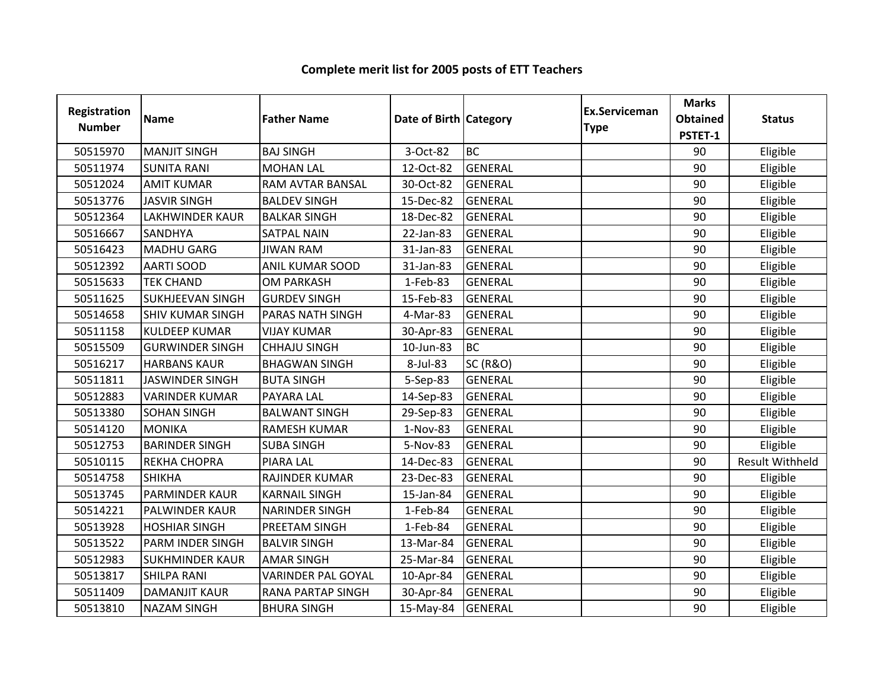| Registration<br><b>Number</b> | <b>Name</b>             | <b>Father Name</b>        | Date of Birth Category |                     | <b>Ex.Serviceman</b><br><b>Type</b> | <b>Marks</b><br><b>Obtained</b><br>PSTET-1 | <b>Status</b>          |
|-------------------------------|-------------------------|---------------------------|------------------------|---------------------|-------------------------------------|--------------------------------------------|------------------------|
| 50515970                      | <b>MANJIT SINGH</b>     | <b>BAJ SINGH</b>          | 3-Oct-82               | <b>BC</b>           |                                     | 90                                         | Eligible               |
| 50511974                      | <b>SUNITA RANI</b>      | <b>MOHAN LAL</b>          | 12-Oct-82              | <b>GENERAL</b>      |                                     | 90                                         | Eligible               |
| 50512024                      | <b>AMIT KUMAR</b>       | RAM AVTAR BANSAL          | 30-Oct-82              | <b>GENERAL</b>      |                                     | 90                                         | Eligible               |
| 50513776                      | <b>JASVIR SINGH</b>     | <b>BALDEV SINGH</b>       | 15-Dec-82              | <b>GENERAL</b>      |                                     | 90                                         | Eligible               |
| 50512364                      | <b>LAKHWINDER KAUR</b>  | <b>BALKAR SINGH</b>       | 18-Dec-82              | <b>GENERAL</b>      |                                     | 90                                         | Eligible               |
| 50516667                      | SANDHYA                 | <b>SATPAL NAIN</b>        | 22-Jan-83              | <b>GENERAL</b>      |                                     | 90                                         | Eligible               |
| 50516423                      | <b>MADHU GARG</b>       | <b>JIWAN RAM</b>          | 31-Jan-83              | <b>GENERAL</b>      |                                     | 90                                         | Eligible               |
| 50512392                      | <b>AARTI SOOD</b>       | ANIL KUMAR SOOD           | 31-Jan-83              | <b>GENERAL</b>      |                                     | 90                                         | Eligible               |
| 50515633                      | <b>TEK CHAND</b>        | <b>OM PARKASH</b>         | 1-Feb-83               | <b>GENERAL</b>      |                                     | 90                                         | Eligible               |
| 50511625                      | <b>SUKHJEEVAN SINGH</b> | <b>GURDEV SINGH</b>       | 15-Feb-83              | <b>GENERAL</b>      |                                     | 90                                         | Eligible               |
| 50514658                      | <b>SHIV KUMAR SINGH</b> | <b>PARAS NATH SINGH</b>   | 4-Mar-83               | <b>GENERAL</b>      |                                     | 90                                         | Eligible               |
| 50511158                      | <b>KULDEEP KUMAR</b>    | <b>VIJAY KUMAR</b>        | 30-Apr-83              | <b>GENERAL</b>      |                                     | 90                                         | Eligible               |
| 50515509                      | <b>GURWINDER SINGH</b>  | <b>CHHAJU SINGH</b>       | 10-Jun-83              | <b>BC</b>           |                                     | 90                                         | Eligible               |
| 50516217                      | <b>HARBANS KAUR</b>     | <b>BHAGWAN SINGH</b>      | 8-Jul-83               | <b>SC (R&amp;O)</b> |                                     | 90                                         | Eligible               |
| 50511811                      | <b>JASWINDER SINGH</b>  | <b>BUTA SINGH</b>         | 5-Sep-83               | <b>GENERAL</b>      |                                     | 90                                         | Eligible               |
| 50512883                      | <b>VARINDER KUMAR</b>   | <b>PAYARA LAL</b>         | 14-Sep-83              | <b>GENERAL</b>      |                                     | 90                                         | Eligible               |
| 50513380                      | <b>SOHAN SINGH</b>      | <b>BALWANT SINGH</b>      | 29-Sep-83              | <b>GENERAL</b>      |                                     | 90                                         | Eligible               |
| 50514120                      | <b>MONIKA</b>           | <b>RAMESH KUMAR</b>       | 1-Nov-83               | <b>GENERAL</b>      |                                     | 90                                         | Eligible               |
| 50512753                      | <b>BARINDER SINGH</b>   | <b>SUBA SINGH</b>         | 5-Nov-83               | <b>GENERAL</b>      |                                     | 90                                         | Eligible               |
| 50510115                      | REKHA CHOPRA            | <b>PIARA LAL</b>          | 14-Dec-83              | <b>GENERAL</b>      |                                     | 90                                         | <b>Result Withheld</b> |
| 50514758                      | <b>SHIKHA</b>           | RAJINDER KUMAR            | 23-Dec-83              | <b>GENERAL</b>      |                                     | 90                                         | Eligible               |
| 50513745                      | <b>PARMINDER KAUR</b>   | <b>KARNAIL SINGH</b>      | 15-Jan-84              | <b>GENERAL</b>      |                                     | 90                                         | Eligible               |
| 50514221                      | PALWINDER KAUR          | <b>NARINDER SINGH</b>     | 1-Feb-84               | <b>GENERAL</b>      |                                     | 90                                         | Eligible               |
| 50513928                      | <b>HOSHIAR SINGH</b>    | PREETAM SINGH             | 1-Feb-84               | <b>GENERAL</b>      |                                     | 90                                         | Eligible               |
| 50513522                      | PARM INDER SINGH        | <b>BALVIR SINGH</b>       | 13-Mar-84              | <b>GENERAL</b>      |                                     | 90                                         | Eligible               |
| 50512983                      | <b>SUKHMINDER KAUR</b>  | <b>AMAR SINGH</b>         | 25-Mar-84              | <b>GENERAL</b>      |                                     | 90                                         | Eligible               |
| 50513817                      | <b>SHILPA RANI</b>      | <b>VARINDER PAL GOYAL</b> | 10-Apr-84              | <b>GENERAL</b>      |                                     | 90                                         | Eligible               |
| 50511409                      | <b>DAMANJIT KAUR</b>    | RANA PARTAP SINGH         | 30-Apr-84              | <b>GENERAL</b>      |                                     | 90                                         | Eligible               |
| 50513810                      | <b>NAZAM SINGH</b>      | <b>BHURA SINGH</b>        | 15-May-84              | <b>GENERAL</b>      |                                     | 90                                         | Eligible               |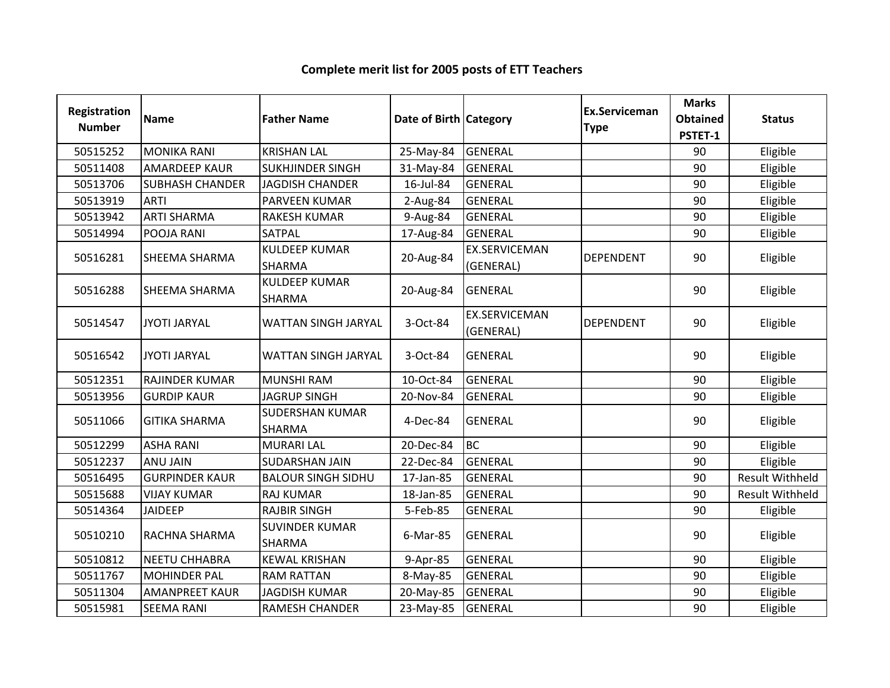| Registration<br><b>Number</b> | Name                   | <b>Father Name</b>                    | Date of Birth Category |                                   | Ex.Serviceman<br><b>Type</b> | <b>Marks</b><br><b>Obtained</b> | <b>Status</b>          |
|-------------------------------|------------------------|---------------------------------------|------------------------|-----------------------------------|------------------------------|---------------------------------|------------------------|
|                               |                        |                                       |                        |                                   |                              | PSTET-1                         |                        |
| 50515252                      | <b>MONIKA RANI</b>     | <b>KRISHAN LAL</b>                    | 25-May-84              | <b>GENERAL</b>                    |                              | 90                              | Eligible               |
| 50511408                      | <b>AMARDEEP KAUR</b>   | <b>SUKHJINDER SINGH</b>               | 31-May-84              | <b>GENERAL</b>                    |                              | 90                              | Eligible               |
| 50513706                      | <b>SUBHASH CHANDER</b> | <b>JAGDISH CHANDER</b>                | 16-Jul-84              | <b>GENERAL</b>                    |                              | 90                              | Eligible               |
| 50513919                      | <b>ARTI</b>            | PARVEEN KUMAR                         | 2-Aug-84               | <b>GENERAL</b>                    |                              | 90                              | Eligible               |
| 50513942                      | <b>ARTI SHARMA</b>     | <b>RAKESH KUMAR</b>                   | 9-Aug-84               | <b>GENERAL</b>                    |                              | 90                              | Eligible               |
| 50514994                      | POOJA RANI             | <b>SATPAL</b>                         | 17-Aug-84              | <b>GENERAL</b>                    |                              | 90                              | Eligible               |
| 50516281                      | SHEEMA SHARMA          | <b>KULDEEP KUMAR</b><br><b>SHARMA</b> | 20-Aug-84              | <b>EX.SERVICEMAN</b><br>(GENERAL) | <b>DEPENDENT</b>             | 90                              | Eligible               |
| 50516288                      | <b>SHEEMA SHARMA</b>   | <b>KULDEEP KUMAR</b><br>SHARMA        | 20-Aug-84              | <b>GENERAL</b>                    |                              | 90                              | Eligible               |
| 50514547                      | <b>JYOTI JARYAL</b>    | WATTAN SINGH JARYAL                   | 3-Oct-84               | <b>EX.SERVICEMAN</b><br>(GENERAL) | <b>DEPENDENT</b>             | 90                              | Eligible               |
| 50516542                      | <b>JYOTI JARYAL</b>    | WATTAN SINGH JARYAL                   | 3-Oct-84               | <b>GENERAL</b>                    |                              | 90                              | Eligible               |
| 50512351                      | RAJINDER KUMAR         | <b>MUNSHI RAM</b>                     | 10-Oct-84              | <b>GENERAL</b>                    |                              | 90                              | Eligible               |
| 50513956                      | <b>GURDIP KAUR</b>     | <b>JAGRUP SINGH</b>                   | 20-Nov-84              | <b>GENERAL</b>                    |                              | 90                              | Eligible               |
| 50511066                      | <b>GITIKA SHARMA</b>   | <b>SUDERSHAN KUMAR</b><br>SHARMA      | 4-Dec-84               | <b>GENERAL</b>                    |                              | 90                              | Eligible               |
| 50512299                      | <b>ASHA RANI</b>       | <b>MURARI LAL</b>                     | 20-Dec-84              | <b>BC</b>                         |                              | 90                              | Eligible               |
| 50512237                      | <b>ANU JAIN</b>        | SUDARSHAN JAIN                        | 22-Dec-84              | <b>GENERAL</b>                    |                              | 90                              | Eligible               |
| 50516495                      | <b>GURPINDER KAUR</b>  | <b>BALOUR SINGH SIDHU</b>             | 17-Jan-85              | <b>GENERAL</b>                    |                              | 90                              | <b>Result Withheld</b> |
| 50515688                      | <b>VIJAY KUMAR</b>     | <b>RAJ KUMAR</b>                      | 18-Jan-85              | <b>GENERAL</b>                    |                              | 90                              | <b>Result Withheld</b> |
| 50514364                      | <b>JAIDEEP</b>         | <b>RAJBIR SINGH</b>                   | 5-Feb-85               | <b>GENERAL</b>                    |                              | 90                              | Eligible               |
| 50510210                      | RACHNA SHARMA          | <b>SUVINDER KUMAR</b><br>SHARMA       | 6-Mar-85               | <b>GENERAL</b>                    |                              | 90                              | Eligible               |
| 50510812                      | <b>NEETU CHHABRA</b>   | <b>KEWAL KRISHAN</b>                  | 9-Apr-85               | <b>GENERAL</b>                    |                              | 90                              | Eligible               |
| 50511767                      | <b>MOHINDER PAL</b>    | <b>RAM RATTAN</b>                     | 8-May-85               | <b>GENERAL</b>                    |                              | 90                              | Eligible               |
| 50511304                      | <b>AMANPREET KAUR</b>  | <b>JAGDISH KUMAR</b>                  | 20-May-85              | <b>GENERAL</b>                    |                              | 90                              | Eligible               |
| 50515981                      | <b>SEEMA RANI</b>      | <b>RAMESH CHANDER</b>                 | 23-May-85              | <b>GENERAL</b>                    |                              | 90                              | Eligible               |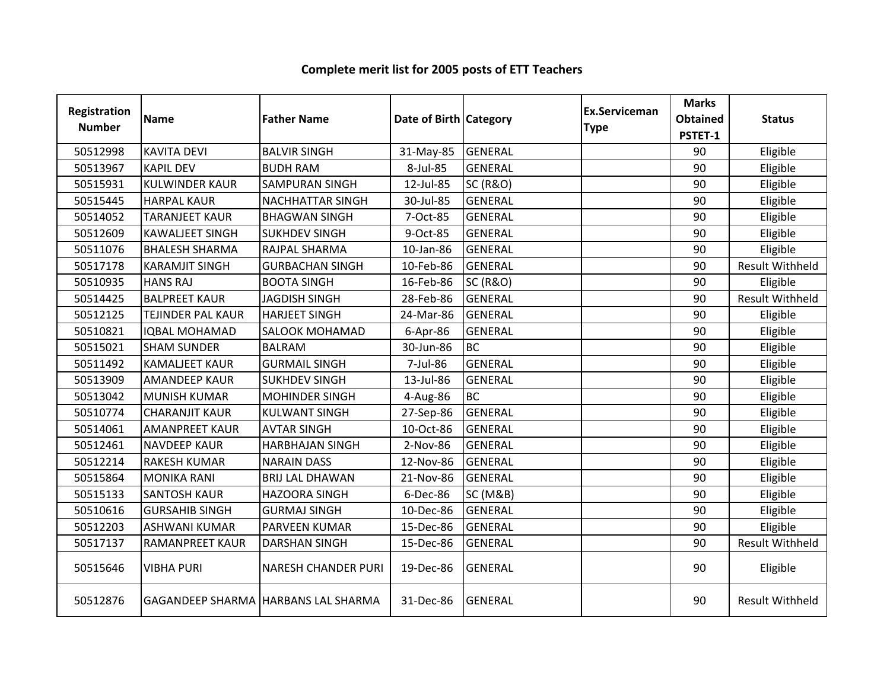| Registration<br><b>Number</b> | <b>Name</b>              | <b>Father Name</b>                  | Date of Birth Category |                     | <b>Ex.Serviceman</b><br><b>Type</b> | <b>Marks</b><br><b>Obtained</b><br>PSTET-1 | <b>Status</b>          |
|-------------------------------|--------------------------|-------------------------------------|------------------------|---------------------|-------------------------------------|--------------------------------------------|------------------------|
| 50512998                      | <b>KAVITA DEVI</b>       | <b>BALVIR SINGH</b>                 | 31-May-85              | GENERAL             |                                     | 90                                         | Eligible               |
| 50513967                      | <b>KAPIL DEV</b>         | <b>BUDH RAM</b>                     | 8-Jul-85               | <b>GENERAL</b>      |                                     | 90                                         | Eligible               |
| 50515931                      | <b>KULWINDER KAUR</b>    | SAMPURAN SINGH                      | 12-Jul-85              | <b>SC (R&amp;O)</b> |                                     | 90                                         | Eligible               |
| 50515445                      | <b>HARPAL KAUR</b>       | <b>NACHHATTAR SINGH</b>             | 30-Jul-85              | <b>GENERAL</b>      |                                     | 90                                         | Eligible               |
| 50514052                      | <b>TARANJEET KAUR</b>    | <b>BHAGWAN SINGH</b>                | 7-Oct-85               | <b>GENERAL</b>      |                                     | 90                                         | Eligible               |
| 50512609                      | <b>KAWALIEET SINGH</b>   | <b>SUKHDEV SINGH</b>                | 9-Oct-85               | <b>GENERAL</b>      |                                     | 90                                         | Eligible               |
| 50511076                      | <b>BHALESH SHARMA</b>    | RAJPAL SHARMA                       | 10-Jan-86              | <b>GENERAL</b>      |                                     | 90                                         | Eligible               |
| 50517178                      | <b>KARAMJIT SINGH</b>    | <b>GURBACHAN SINGH</b>              | 10-Feb-86              | <b>GENERAL</b>      |                                     | 90                                         | <b>Result Withheld</b> |
| 50510935                      | <b>HANS RAJ</b>          | <b>BOOTA SINGH</b>                  | 16-Feb-86              | <b>SC (R&amp;O)</b> |                                     | 90                                         | Eligible               |
| 50514425                      | <b>BALPREET KAUR</b>     | <b>JAGDISH SINGH</b>                | 28-Feb-86              | GENERAL             |                                     | 90                                         | <b>Result Withheld</b> |
| 50512125                      | <b>TEJINDER PAL KAUR</b> | <b>HARJEET SINGH</b>                | 24-Mar-86              | <b>GENERAL</b>      |                                     | 90                                         | Eligible               |
| 50510821                      | <b>IQBAL MOHAMAD</b>     | <b>SALOOK MOHAMAD</b>               | 6-Apr-86               | <b>GENERAL</b>      |                                     | 90                                         | Eligible               |
| 50515021                      | <b>SHAM SUNDER</b>       | <b>BALRAM</b>                       | 30-Jun-86              | <b>BC</b>           |                                     | 90                                         | Eligible               |
| 50511492                      | <b>KAMALJEET KAUR</b>    | <b>GURMAIL SINGH</b>                | 7-Jul-86               | <b>GENERAL</b>      |                                     | 90                                         | Eligible               |
| 50513909                      | <b>AMANDEEP KAUR</b>     | <b>SUKHDEV SINGH</b>                | 13-Jul-86              | <b>GENERAL</b>      |                                     | 90                                         | Eligible               |
| 50513042                      | <b>MUNISH KUMAR</b>      | <b>MOHINDER SINGH</b>               | 4-Aug-86               | <b>BC</b>           |                                     | 90                                         | Eligible               |
| 50510774                      | <b>CHARANJIT KAUR</b>    | <b>KULWANT SINGH</b>                | 27-Sep-86              | <b>GENERAL</b>      |                                     | 90                                         | Eligible               |
| 50514061                      | <b>AMANPREET KAUR</b>    | <b>AVTAR SINGH</b>                  | 10-Oct-86              | <b>GENERAL</b>      |                                     | 90                                         | Eligible               |
| 50512461                      | <b>NAVDEEP KAUR</b>      | <b>HARBHAJAN SINGH</b>              | 2-Nov-86               | <b>GENERAL</b>      |                                     | 90                                         | Eligible               |
| 50512214                      | <b>RAKESH KUMAR</b>      | <b>NARAIN DASS</b>                  | 12-Nov-86              | <b>GENERAL</b>      |                                     | 90                                         | Eligible               |
| 50515864                      | <b>MONIKA RANI</b>       | <b>BRIJ LAL DHAWAN</b>              | 21-Nov-86              | <b>GENERAL</b>      |                                     | 90                                         | Eligible               |
| 50515133                      | <b>SANTOSH KAUR</b>      | <b>HAZOORA SINGH</b>                | 6-Dec-86               | <b>SC (M&amp;B)</b> |                                     | 90                                         | Eligible               |
| 50510616                      | <b>GURSAHIB SINGH</b>    | <b>GURMAJ SINGH</b>                 | 10-Dec-86              | <b>GENERAL</b>      |                                     | 90                                         | Eligible               |
| 50512203                      | <b>ASHWANI KUMAR</b>     | PARVEEN KUMAR                       | 15-Dec-86              | <b>GENERAL</b>      |                                     | 90                                         | Eligible               |
| 50517137                      | <b>RAMANPREET KAUR</b>   | <b>DARSHAN SINGH</b>                | 15-Dec-86              | <b>GENERAL</b>      |                                     | 90                                         | <b>Result Withheld</b> |
| 50515646                      | <b>VIBHA PURI</b>        | <b>NARESH CHANDER PURI</b>          | 19-Dec-86              | <b>GENERAL</b>      |                                     | 90                                         | Eligible               |
| 50512876                      |                          | GAGANDEEP SHARMA HARBANS LAL SHARMA | 31-Dec-86              | <b>GENERAL</b>      |                                     | 90                                         | <b>Result Withheld</b> |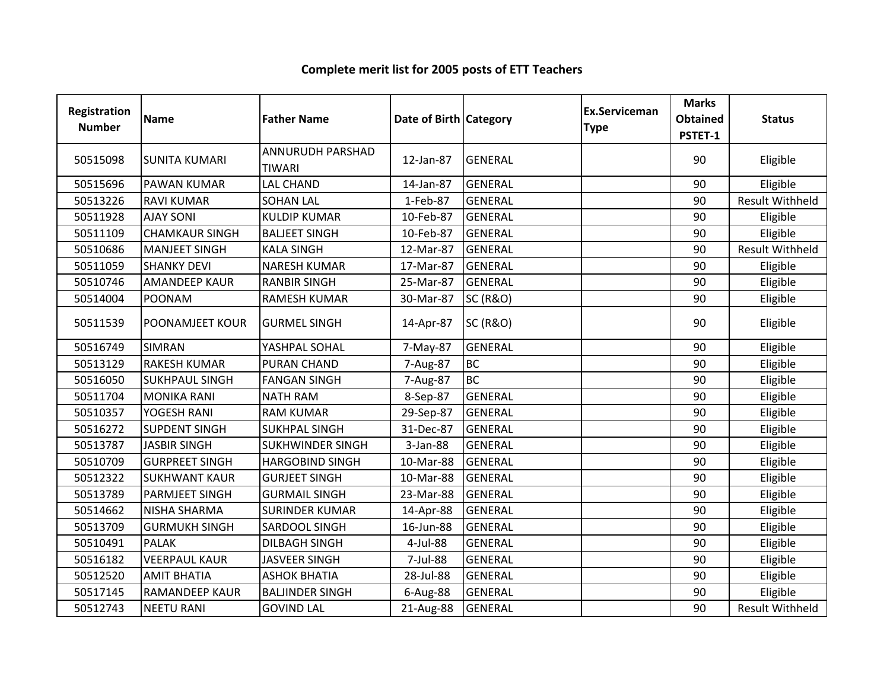| Registration<br><b>Number</b> | Name                   | <b>Father Name</b>                | Date of Birth Category |                     | <b>Ex.Serviceman</b><br><b>Type</b> | <b>Marks</b><br><b>Obtained</b><br>PSTET-1 | <b>Status</b>          |
|-------------------------------|------------------------|-----------------------------------|------------------------|---------------------|-------------------------------------|--------------------------------------------|------------------------|
| 50515098                      | <b>SUNITA KUMARI</b>   | ANNURUDH PARSHAD<br><b>TIWARI</b> | 12-Jan-87              | <b>GENERAL</b>      |                                     | 90                                         | Eligible               |
| 50515696                      | <b>PAWAN KUMAR</b>     | <b>LAL CHAND</b>                  | 14-Jan-87              | <b>GENERAL</b>      |                                     | 90                                         | Eligible               |
| 50513226                      | <b>RAVI KUMAR</b>      | <b>SOHAN LAL</b>                  | 1-Feb-87               | <b>GENERAL</b>      |                                     | 90                                         | <b>Result Withheld</b> |
| 50511928                      | <b>AJAY SONI</b>       | <b>KULDIP KUMAR</b>               | 10-Feb-87              | <b>GENERAL</b>      |                                     | 90                                         | Eligible               |
| 50511109                      | <b>CHAMKAUR SINGH</b>  | <b>BALJEET SINGH</b>              | 10-Feb-87              | <b>GENERAL</b>      |                                     | 90                                         | Eligible               |
| 50510686                      | <b>MANJEET SINGH</b>   | <b>KALA SINGH</b>                 | 12-Mar-87              | <b>GENERAL</b>      |                                     | 90                                         | <b>Result Withheld</b> |
| 50511059                      | <b>SHANKY DEVI</b>     | <b>NARESH KUMAR</b>               | 17-Mar-87              | <b>GENERAL</b>      |                                     | 90                                         | Eligible               |
| 50510746                      | <b>AMANDEEP KAUR</b>   | <b>RANBIR SINGH</b>               | 25-Mar-87              | <b>GENERAL</b>      |                                     | 90                                         | Eligible               |
| 50514004                      | <b>POONAM</b>          | <b>RAMESH KUMAR</b>               | 30-Mar-87              | <b>SC (R&amp;O)</b> |                                     | 90                                         | Eligible               |
| 50511539                      | <b>POONAMJEET KOUR</b> | <b>GURMEL SINGH</b>               | 14-Apr-87              | <b>SC (R&amp;O)</b> |                                     | 90                                         | Eligible               |
| 50516749                      | <b>SIMRAN</b>          | YASHPAL SOHAL                     | 7-May-87               | <b>GENERAL</b>      |                                     | 90                                         | Eligible               |
| 50513129                      | <b>RAKESH KUMAR</b>    | <b>PURAN CHAND</b>                | 7-Aug-87               | <b>BC</b>           |                                     | 90                                         | Eligible               |
| 50516050                      | <b>SUKHPAUL SINGH</b>  | <b>FANGAN SINGH</b>               | 7-Aug-87               | <b>BC</b>           |                                     | 90                                         | Eligible               |
| 50511704                      | <b>MONIKA RANI</b>     | <b>NATH RAM</b>                   | 8-Sep-87               | <b>GENERAL</b>      |                                     | 90                                         | Eligible               |
| 50510357                      | YOGESH RANI            | <b>RAM KUMAR</b>                  | 29-Sep-87              | <b>GENERAL</b>      |                                     | 90                                         | Eligible               |
| 50516272                      | <b>SUPDENT SINGH</b>   | <b>SUKHPAL SINGH</b>              | 31-Dec-87              | <b>GENERAL</b>      |                                     | 90                                         | Eligible               |
| 50513787                      | <b>JASBIR SINGH</b>    | <b>SUKHWINDER SINGH</b>           | 3-Jan-88               | <b>GENERAL</b>      |                                     | 90                                         | Eligible               |
| 50510709                      | <b>GURPREET SINGH</b>  | <b>HARGOBIND SINGH</b>            | 10-Mar-88              | <b>GENERAL</b>      |                                     | 90                                         | Eligible               |
| 50512322                      | <b>SUKHWANT KAUR</b>   | <b>GURJEET SINGH</b>              | 10-Mar-88              | <b>GENERAL</b>      |                                     | 90                                         | Eligible               |
| 50513789                      | <b>PARMJEET SINGH</b>  | <b>GURMAIL SINGH</b>              | 23-Mar-88              | <b>GENERAL</b>      |                                     | 90                                         | Eligible               |
| 50514662                      | NISHA SHARMA           | <b>SURINDER KUMAR</b>             | 14-Apr-88              | <b>GENERAL</b>      |                                     | 90                                         | Eligible               |
| 50513709                      | <b>GURMUKH SINGH</b>   | SARDOOL SINGH                     | 16-Jun-88              | <b>GENERAL</b>      |                                     | 90                                         | Eligible               |
| 50510491                      | <b>PALAK</b>           | <b>DILBAGH SINGH</b>              | 4-Jul-88               | <b>GENERAL</b>      |                                     | 90                                         | Eligible               |
| 50516182                      | <b>VEERPAUL KAUR</b>   | <b>JASVEER SINGH</b>              | 7-Jul-88               | <b>GENERAL</b>      |                                     | 90                                         | Eligible               |
| 50512520                      | <b>AMIT BHATIA</b>     | <b>ASHOK BHATIA</b>               | 28-Jul-88              | <b>GENERAL</b>      |                                     | 90                                         | Eligible               |
| 50517145                      | RAMANDEEP KAUR         | <b>BALJINDER SINGH</b>            | 6-Aug-88               | <b>GENERAL</b>      |                                     | 90                                         | Eligible               |
| 50512743                      | <b>NEETU RANI</b>      | <b>GOVIND LAL</b>                 | 21-Aug-88              | <b>GENERAL</b>      |                                     | 90                                         | <b>Result Withheld</b> |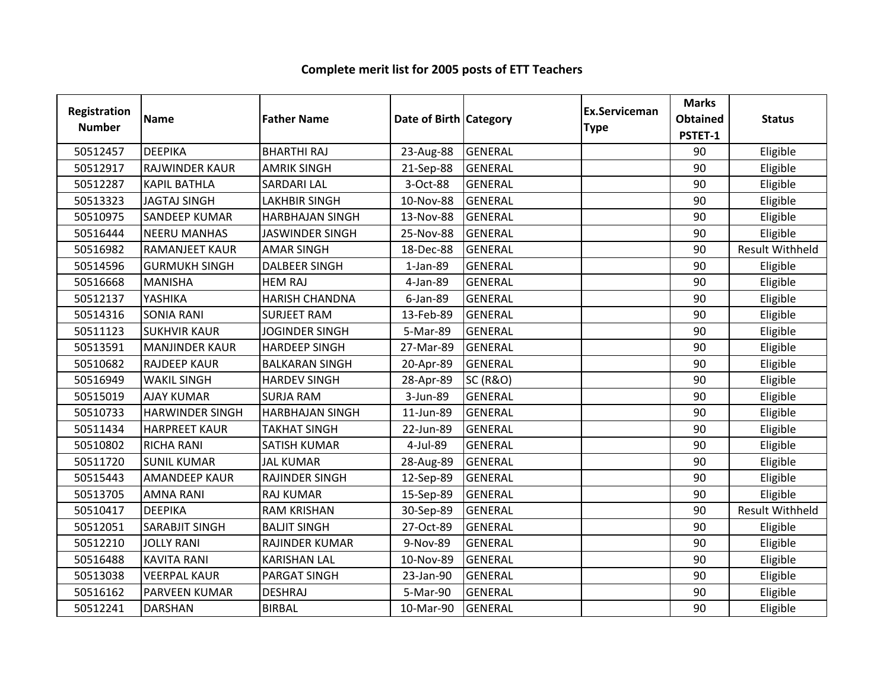| <b>Registration</b><br><b>Number</b> | <b>Name</b>            | <b>Father Name</b>     | Date of Birth Category |                     | <b>Ex.Serviceman</b><br><b>Type</b> | <b>Marks</b><br><b>Obtained</b><br>PSTET-1 | <b>Status</b>          |
|--------------------------------------|------------------------|------------------------|------------------------|---------------------|-------------------------------------|--------------------------------------------|------------------------|
| 50512457                             | <b>DEEPIKA</b>         | <b>BHARTHI RAJ</b>     | 23-Aug-88              | <b>GENERAL</b>      |                                     | 90                                         | Eligible               |
| 50512917                             | RAJWINDER KAUR         | <b>AMRIK SINGH</b>     | 21-Sep-88              | <b>GENERAL</b>      |                                     | 90                                         | Eligible               |
| 50512287                             | <b>KAPIL BATHLA</b>    | <b>SARDARI LAL</b>     | 3-Oct-88               | <b>GENERAL</b>      |                                     | 90                                         | Eligible               |
| 50513323                             | <b>JAGTAJ SINGH</b>    | <b>LAKHBIR SINGH</b>   | 10-Nov-88              | <b>GENERAL</b>      |                                     | 90                                         | Eligible               |
| 50510975                             | <b>SANDEEP KUMAR</b>   | <b>HARBHAJAN SINGH</b> | 13-Nov-88              | <b>GENERAL</b>      |                                     | 90                                         | Eligible               |
| 50516444                             | <b>NEERU MANHAS</b>    | <b>JASWINDER SINGH</b> | 25-Nov-88              | <b>GENERAL</b>      |                                     | 90                                         | Eligible               |
| 50516982                             | <b>RAMANJEET KAUR</b>  | <b>AMAR SINGH</b>      | 18-Dec-88              | <b>GENERAL</b>      |                                     | 90                                         | <b>Result Withheld</b> |
| 50514596                             | <b>GURMUKH SINGH</b>   | <b>DALBEER SINGH</b>   | 1-Jan-89               | GENERAL             |                                     | 90                                         | Eligible               |
| 50516668                             | <b>MANISHA</b>         | <b>HEM RAJ</b>         | 4-Jan-89               | <b>GENERAL</b>      |                                     | 90                                         | Eligible               |
| 50512137                             | YASHIKA                | <b>HARISH CHANDNA</b>  | 6-Jan-89               | <b>GENERAL</b>      |                                     | 90                                         | Eligible               |
| 50514316                             | <b>SONIA RANI</b>      | <b>SURJEET RAM</b>     | 13-Feb-89              | <b>GENERAL</b>      |                                     | 90                                         | Eligible               |
| 50511123                             | <b>SUKHVIR KAUR</b>    | <b>JOGINDER SINGH</b>  | 5-Mar-89               | <b>GENERAL</b>      |                                     | 90                                         | Eligible               |
| 50513591                             | <b>MANJINDER KAUR</b>  | <b>HARDEEP SINGH</b>   | 27-Mar-89              | <b>GENERAL</b>      |                                     | 90                                         | Eligible               |
| 50510682                             | <b>RAJDEEP KAUR</b>    | <b>BALKARAN SINGH</b>  | 20-Apr-89              | <b>GENERAL</b>      |                                     | 90                                         | Eligible               |
| 50516949                             | <b>WAKIL SINGH</b>     | <b>HARDEV SINGH</b>    | 28-Apr-89              | <b>SC (R&amp;O)</b> |                                     | 90                                         | Eligible               |
| 50515019                             | <b>AJAY KUMAR</b>      | <b>SURJA RAM</b>       | 3-Jun-89               | <b>GENERAL</b>      |                                     | 90                                         | Eligible               |
| 50510733                             | <b>HARWINDER SINGH</b> | <b>HARBHAJAN SINGH</b> | 11-Jun-89              | <b>GENERAL</b>      |                                     | 90                                         | Eligible               |
| 50511434                             | <b>HARPREET KAUR</b>   | <b>TAKHAT SINGH</b>    | 22-Jun-89              | <b>GENERAL</b>      |                                     | 90                                         | Eligible               |
| 50510802                             | <b>RICHA RANI</b>      | <b>SATISH KUMAR</b>    | 4-Jul-89               | <b>GENERAL</b>      |                                     | 90                                         | Eligible               |
| 50511720                             | <b>SUNIL KUMAR</b>     | <b>JAL KUMAR</b>       | 28-Aug-89              | <b>GENERAL</b>      |                                     | 90                                         | Eligible               |
| 50515443                             | <b>AMANDEEP KAUR</b>   | <b>RAJINDER SINGH</b>  | 12-Sep-89              | <b>GENERAL</b>      |                                     | 90                                         | Eligible               |
| 50513705                             | <b>AMNA RANI</b>       | <b>RAJ KUMAR</b>       | 15-Sep-89              | GENERAL             |                                     | 90                                         | Eligible               |
| 50510417                             | <b>DEEPIKA</b>         | <b>RAM KRISHAN</b>     | 30-Sep-89              | <b>GENERAL</b>      |                                     | 90                                         | <b>Result Withheld</b> |
| 50512051                             | SARABJIT SINGH         | <b>BALJIT SINGH</b>    | 27-Oct-89              | <b>GENERAL</b>      |                                     | 90                                         | Eligible               |
| 50512210                             | <b>JOLLY RANI</b>      | RAJINDER KUMAR         | 9-Nov-89               | <b>GENERAL</b>      |                                     | 90                                         | Eligible               |
| 50516488                             | <b>KAVITA RANI</b>     | <b>KARISHAN LAL</b>    | 10-Nov-89              | <b>GENERAL</b>      |                                     | 90                                         | Eligible               |
| 50513038                             | <b>VEERPAL KAUR</b>    | PARGAT SINGH           | 23-Jan-90              | <b>GENERAL</b>      |                                     | 90                                         | Eligible               |
| 50516162                             | PARVEEN KUMAR          | <b>DESHRAJ</b>         | 5-Mar-90               | <b>GENERAL</b>      |                                     | 90                                         | Eligible               |
| 50512241                             | <b>DARSHAN</b>         | <b>BIRBAL</b>          | 10-Mar-90              | <b>GENERAL</b>      |                                     | 90                                         | Eligible               |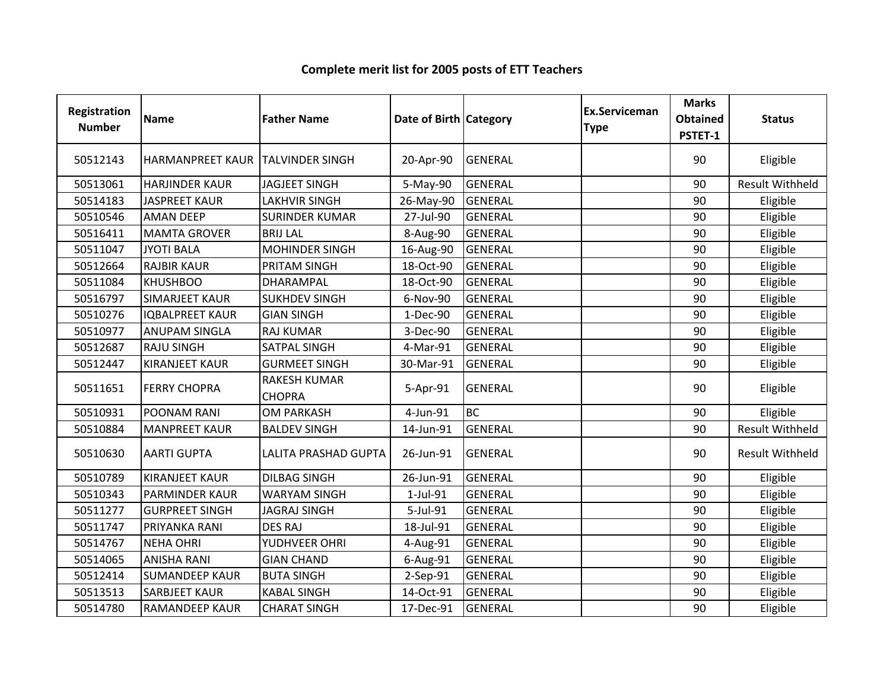| <b>Registration</b><br><b>Number</b> | <b>Name</b>                      | <b>Father Name</b>                   | Date of Birth Category |                | <b>Ex.Serviceman</b><br><b>Type</b> | <b>Marks</b><br><b>Obtained</b><br>PSTET-1 | <b>Status</b>          |
|--------------------------------------|----------------------------------|--------------------------------------|------------------------|----------------|-------------------------------------|--------------------------------------------|------------------------|
| 50512143                             | HARMANPREET KAUR TALVINDER SINGH |                                      | 20-Apr-90              | <b>GENERAL</b> |                                     | 90                                         | Eligible               |
| 50513061                             | <b>HARJINDER KAUR</b>            | <b>JAGJEET SINGH</b>                 | 5-May-90               | <b>GENERAL</b> |                                     | 90                                         | <b>Result Withheld</b> |
| 50514183                             | <b>JASPREET KAUR</b>             | <b>LAKHVIR SINGH</b>                 | 26-May-90              | <b>GENERAL</b> |                                     | 90                                         | Eligible               |
| 50510546                             | <b>AMAN DEEP</b>                 | <b>SURINDER KUMAR</b>                | 27-Jul-90              | <b>GENERAL</b> |                                     | 90                                         | Eligible               |
| 50516411                             | <b>MAMTA GROVER</b>              | <b>BRIJ LAL</b>                      | 8-Aug-90               | <b>GENERAL</b> |                                     | 90                                         | Eligible               |
| 50511047                             | <b>JYOTI BALA</b>                | <b>MOHINDER SINGH</b>                | 16-Aug-90              | <b>GENERAL</b> |                                     | 90                                         | Eligible               |
| 50512664                             | <b>RAJBIR KAUR</b>               | <b>PRITAM SINGH</b>                  | 18-Oct-90              | <b>GENERAL</b> |                                     | 90                                         | Eligible               |
| 50511084                             | <b>KHUSHBOO</b>                  | DHARAMPAL                            | 18-Oct-90              | <b>GENERAL</b> |                                     | 90                                         | Eligible               |
| 50516797                             | <b>SIMARJEET KAUR</b>            | <b>SUKHDEV SINGH</b>                 | 6-Nov-90               | <b>GENERAL</b> |                                     | 90                                         | Eligible               |
| 50510276                             | <b>IQBALPREET KAUR</b>           | <b>GIAN SINGH</b>                    | 1-Dec-90               | <b>GENERAL</b> |                                     | 90                                         | Eligible               |
| 50510977                             | <b>ANUPAM SINGLA</b>             | <b>RAJ KUMAR</b>                     | 3-Dec-90               | <b>GENERAL</b> |                                     | 90                                         | Eligible               |
| 50512687                             | <b>RAJU SINGH</b>                | <b>SATPAL SINGH</b>                  | 4-Mar-91               | <b>GENERAL</b> |                                     | 90                                         | Eligible               |
| 50512447                             | <b>KIRANJEET KAUR</b>            | <b>GURMEET SINGH</b>                 | 30-Mar-91              | <b>GENERAL</b> |                                     | 90                                         | Eligible               |
| 50511651                             | <b>FERRY CHOPRA</b>              | <b>RAKESH KUMAR</b><br><b>CHOPRA</b> | 5-Apr-91               | <b>GENERAL</b> |                                     | 90                                         | Eligible               |
| 50510931                             | POONAM RANI                      | <b>OM PARKASH</b>                    | 4-Jun-91               | <b>BC</b>      |                                     | 90                                         | Eligible               |
| 50510884                             | <b>MANPREET KAUR</b>             | <b>BALDEV SINGH</b>                  | 14-Jun-91              | <b>GENERAL</b> |                                     | 90                                         | <b>Result Withheld</b> |
| 50510630                             | <b>AARTI GUPTA</b>               | <b>LALITA PRASHAD GUPTA</b>          | 26-Jun-91              | <b>GENERAL</b> |                                     | 90                                         | <b>Result Withheld</b> |
| 50510789                             | <b>KIRANJEET KAUR</b>            | <b>DILBAG SINGH</b>                  | 26-Jun-91              | <b>GENERAL</b> |                                     | 90                                         | Eligible               |
| 50510343                             | <b>PARMINDER KAUR</b>            | <b>WARYAM SINGH</b>                  | 1-Jul-91               | <b>GENERAL</b> |                                     | 90                                         | Eligible               |
| 50511277                             | <b>GURPREET SINGH</b>            | <b>JAGRAJ SINGH</b>                  | 5-Jul-91               | <b>GENERAL</b> |                                     | 90                                         | Eligible               |
| 50511747                             | PRIYANKA RANI                    | <b>DES RAJ</b>                       | 18-Jul-91              | <b>GENERAL</b> |                                     | 90                                         | Eligible               |
| 50514767                             | <b>NEHA OHRI</b>                 | YUDHVEER OHRI                        | 4-Aug-91               | <b>GENERAL</b> |                                     | 90                                         | Eligible               |
| 50514065                             | <b>ANISHA RANI</b>               | <b>GIAN CHAND</b>                    | 6-Aug-91               | <b>GENERAL</b> |                                     | 90                                         | Eligible               |
| 50512414                             | <b>SUMANDEEP KAUR</b>            | <b>BUTA SINGH</b>                    | 2-Sep-91               | <b>GENERAL</b> |                                     | 90                                         | Eligible               |
| 50513513                             | <b>SARBJEET KAUR</b>             | <b>KABAL SINGH</b>                   | 14-Oct-91              | <b>GENERAL</b> |                                     | 90                                         | Eligible               |
| 50514780                             | <b>RAMANDEEP KAUR</b>            | <b>CHARAT SINGH</b>                  | 17-Dec-91              | <b>GENERAL</b> |                                     | 90                                         | Eligible               |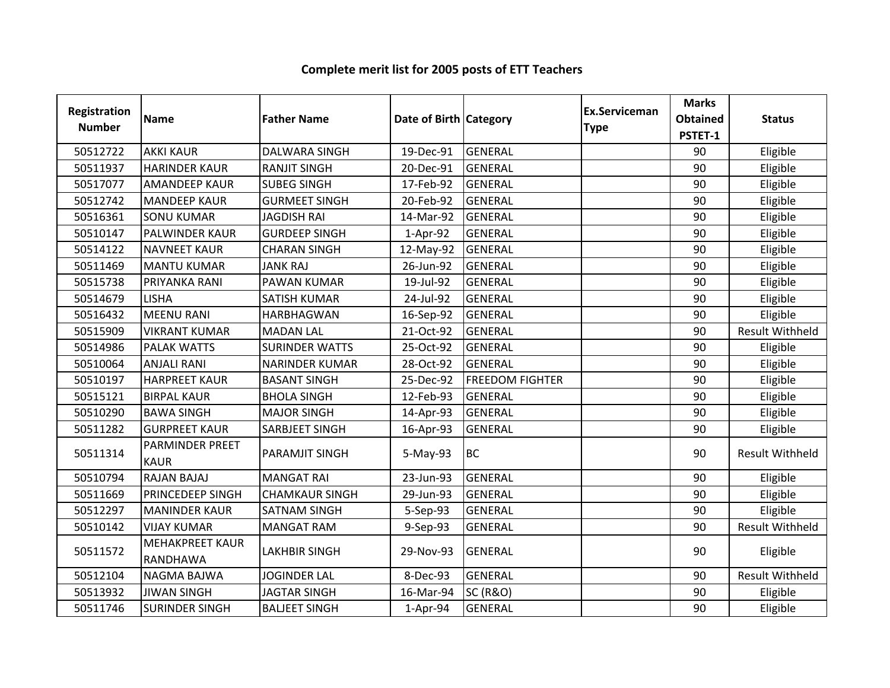| <b>Registration</b><br><b>Number</b> | <b>Name</b>                           | <b>Father Name</b>    | Date of Birth Category |                        | Ex.Serviceman<br><b>Type</b> | <b>Marks</b><br><b>Obtained</b><br>PSTET-1 | <b>Status</b>          |
|--------------------------------------|---------------------------------------|-----------------------|------------------------|------------------------|------------------------------|--------------------------------------------|------------------------|
| 50512722                             | <b>AKKI KAUR</b>                      | <b>DALWARA SINGH</b>  | 19-Dec-91              | <b>GENERAL</b>         |                              | 90                                         | Eligible               |
| 50511937                             | <b>HARINDER KAUR</b>                  | <b>RANJIT SINGH</b>   | 20-Dec-91              | <b>GENERAL</b>         |                              | 90                                         | Eligible               |
| 50517077                             | <b>AMANDEEP KAUR</b>                  | <b>SUBEG SINGH</b>    | 17-Feb-92              | <b>GENERAL</b>         |                              | 90                                         | Eligible               |
| 50512742                             | <b>MANDEEP KAUR</b>                   | <b>GURMEET SINGH</b>  | 20-Feb-92              | <b>GENERAL</b>         |                              | 90                                         | Eligible               |
| 50516361                             | <b>SONU KUMAR</b>                     | <b>JAGDISH RAI</b>    | 14-Mar-92              | <b>GENERAL</b>         |                              | 90                                         | Eligible               |
| 50510147                             | PALWINDER KAUR                        | <b>GURDEEP SINGH</b>  | 1-Apr-92               | <b>GENERAL</b>         |                              | 90                                         | Eligible               |
| 50514122                             | <b>NAVNEET KAUR</b>                   | <b>CHARAN SINGH</b>   | 12-May-92              | <b>GENERAL</b>         |                              | 90                                         | Eligible               |
| 50511469                             | <b>MANTU KUMAR</b>                    | <b>JANK RAJ</b>       | 26-Jun-92              | <b>GENERAL</b>         |                              | 90                                         | Eligible               |
| 50515738                             | PRIYANKA RANI                         | PAWAN KUMAR           | 19-Jul-92              | <b>GENERAL</b>         |                              | 90                                         | Eligible               |
| 50514679                             | <b>LISHA</b>                          | <b>SATISH KUMAR</b>   | 24-Jul-92              | <b>GENERAL</b>         |                              | 90                                         | Eligible               |
| 50516432                             | <b>MEENU RANI</b>                     | <b>HARBHAGWAN</b>     | 16-Sep-92              | <b>GENERAL</b>         |                              | 90                                         | Eligible               |
| 50515909                             | <b>VIKRANT KUMAR</b>                  | <b>MADAN LAL</b>      | 21-Oct-92              | <b>GENERAL</b>         |                              | 90                                         | <b>Result Withheld</b> |
| 50514986                             | <b>PALAK WATTS</b>                    | <b>SURINDER WATTS</b> | 25-Oct-92              | <b>GENERAL</b>         |                              | 90                                         | Eligible               |
| 50510064                             | <b>ANJALI RANI</b>                    | <b>NARINDER KUMAR</b> | 28-Oct-92              | <b>GENERAL</b>         |                              | 90                                         | Eligible               |
| 50510197                             | <b>HARPREET KAUR</b>                  | <b>BASANT SINGH</b>   | 25-Dec-92              | <b>FREEDOM FIGHTER</b> |                              | 90                                         | Eligible               |
| 50515121                             | <b>BIRPAL KAUR</b>                    | <b>BHOLA SINGH</b>    | 12-Feb-93              | <b>GENERAL</b>         |                              | 90                                         | Eligible               |
| 50510290                             | <b>BAWA SINGH</b>                     | <b>MAJOR SINGH</b>    | 14-Apr-93              | <b>GENERAL</b>         |                              | 90                                         | Eligible               |
| 50511282                             | <b>GURPREET KAUR</b>                  | <b>SARBJEET SINGH</b> | 16-Apr-93              | <b>GENERAL</b>         |                              | 90                                         | Eligible               |
| 50511314                             | <b>PARMINDER PREET</b><br><b>KAUR</b> | PARAMJIT SINGH        | 5-May-93               | <b>BC</b>              |                              | 90                                         | <b>Result Withheld</b> |
| 50510794                             | RAJAN BAJAJ                           | <b>MANGAT RAI</b>     | 23-Jun-93              | <b>GENERAL</b>         |                              | 90                                         | Eligible               |
| 50511669                             | PRINCEDEEP SINGH                      | <b>CHAMKAUR SINGH</b> | 29-Jun-93              | <b>GENERAL</b>         |                              | 90                                         | Eligible               |
| 50512297                             | <b>MANINDER KAUR</b>                  | <b>SATNAM SINGH</b>   | 5-Sep-93               | <b>GENERAL</b>         |                              | 90                                         | Eligible               |
| 50510142                             | <b>VIJAY KUMAR</b>                    | <b>MANGAT RAM</b>     | 9-Sep-93               | <b>GENERAL</b>         |                              | 90                                         | <b>Result Withheld</b> |
| 50511572                             | <b>MEHAKPREET KAUR</b><br>RANDHAWA    | <b>LAKHBIR SINGH</b>  | 29-Nov-93              | <b>GENERAL</b>         |                              | 90                                         | Eligible               |
| 50512104                             | <b>NAGMA BAJWA</b>                    | <b>JOGINDER LAL</b>   | 8-Dec-93               | <b>GENERAL</b>         |                              | 90                                         | <b>Result Withheld</b> |
| 50513932                             | <b>JIWAN SINGH</b>                    | <b>JAGTAR SINGH</b>   | 16-Mar-94              | <b>SC (R&amp;O)</b>    |                              | 90                                         | Eligible               |
| 50511746                             | <b>SURINDER SINGH</b>                 | <b>BALJEET SINGH</b>  | 1-Apr-94               | <b>GENERAL</b>         |                              | 90                                         | Eligible               |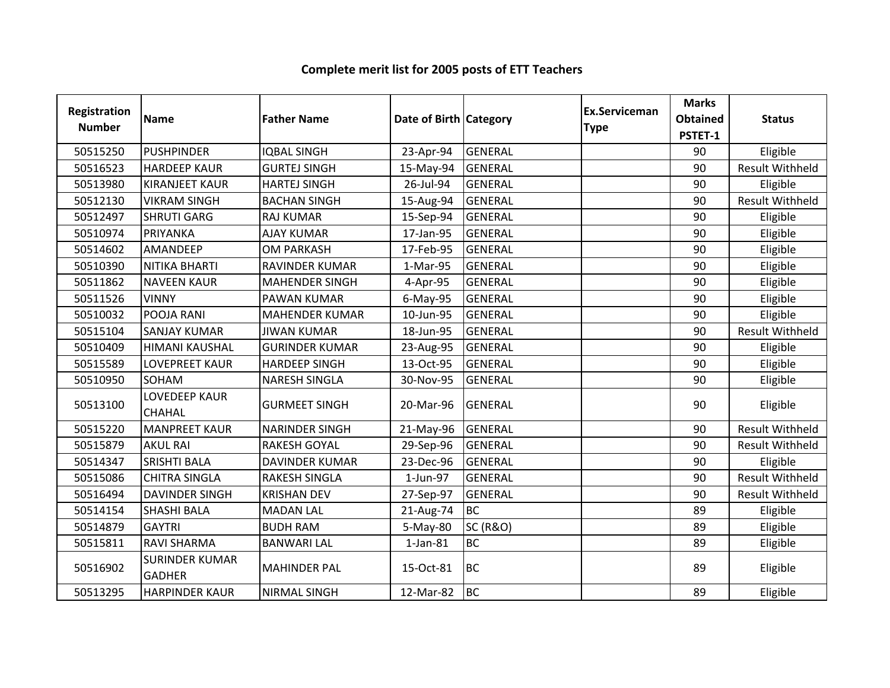| Registration<br><b>Number</b> | <b>Name</b>                            | <b>Father Name</b>    | Date of Birth Category |                     | Ex.Serviceman<br><b>Type</b> | <b>Marks</b><br><b>Obtained</b><br>PSTET-1 | <b>Status</b>          |
|-------------------------------|----------------------------------------|-----------------------|------------------------|---------------------|------------------------------|--------------------------------------------|------------------------|
| 50515250                      | <b>PUSHPINDER</b>                      | <b>IQBAL SINGH</b>    | 23-Apr-94              | <b>GENERAL</b>      |                              | 90                                         | Eligible               |
| 50516523                      | <b>HARDEEP KAUR</b>                    | <b>GURTEJ SINGH</b>   | 15-May-94              | <b>GENERAL</b>      |                              | 90                                         | <b>Result Withheld</b> |
| 50513980                      | <b>KIRANJEET KAUR</b>                  | <b>HARTEJ SINGH</b>   | 26-Jul-94              | <b>GENERAL</b>      |                              | 90                                         | Eligible               |
| 50512130                      | <b>VIKRAM SINGH</b>                    | <b>BACHAN SINGH</b>   | 15-Aug-94              | GENERAL             |                              | 90                                         | <b>Result Withheld</b> |
| 50512497                      | <b>SHRUTI GARG</b>                     | <b>RAJ KUMAR</b>      | 15-Sep-94              | <b>GENERAL</b>      |                              | 90                                         | Eligible               |
| 50510974                      | PRIYANKA                               | <b>AJAY KUMAR</b>     | 17-Jan-95              | <b>GENERAL</b>      |                              | 90                                         | Eligible               |
| 50514602                      | AMANDEEP                               | <b>OM PARKASH</b>     | 17-Feb-95              | <b>GENERAL</b>      |                              | 90                                         | Eligible               |
| 50510390                      | NITIKA BHARTI                          | RAVINDER KUMAR        | 1-Mar-95               | GENERAL             |                              | 90                                         | Eligible               |
| 50511862                      | <b>NAVEEN KAUR</b>                     | <b>MAHENDER SINGH</b> | 4-Apr-95               | <b>GENERAL</b>      |                              | 90                                         | Eligible               |
| 50511526                      | <b>VINNY</b>                           | <b>PAWAN KUMAR</b>    | 6-May-95               | <b>GENERAL</b>      |                              | 90                                         | Eligible               |
| 50510032                      | POOJA RANI                             | <b>MAHENDER KUMAR</b> | 10-Jun-95              | <b>GENERAL</b>      |                              | 90                                         | Eligible               |
| 50515104                      | <b>SANJAY KUMAR</b>                    | <b>JIWAN KUMAR</b>    | 18-Jun-95              | <b>GENERAL</b>      |                              | 90                                         | <b>Result Withheld</b> |
| 50510409                      | <b>HIMANI KAUSHAL</b>                  | <b>GURINDER KUMAR</b> | 23-Aug-95              | GENERAL             |                              | 90                                         | Eligible               |
| 50515589                      | <b>LOVEPREET KAUR</b>                  | <b>HARDEEP SINGH</b>  | 13-Oct-95              | <b>GENERAL</b>      |                              | 90                                         | Eligible               |
| 50510950                      | SOHAM                                  | <b>NARESH SINGLA</b>  | 30-Nov-95              | <b>GENERAL</b>      |                              | 90                                         | Eligible               |
| 50513100                      | <b>LOVEDEEP KAUR</b><br><b>CHAHAL</b>  | <b>GURMEET SINGH</b>  | 20-Mar-96              | <b>GENERAL</b>      |                              | 90                                         | Eligible               |
| 50515220                      | <b>MANPREET KAUR</b>                   | <b>NARINDER SINGH</b> | 21-May-96              | <b>GENERAL</b>      |                              | 90                                         | <b>Result Withheld</b> |
| 50515879                      | <b>AKUL RAI</b>                        | <b>RAKESH GOYAL</b>   | 29-Sep-96              | <b>GENERAL</b>      |                              | 90                                         | <b>Result Withheld</b> |
| 50514347                      | <b>SRISHTI BALA</b>                    | <b>DAVINDER KUMAR</b> | 23-Dec-96              | <b>GENERAL</b>      |                              | 90                                         | Eligible               |
| 50515086                      | <b>CHITRA SINGLA</b>                   | <b>RAKESH SINGLA</b>  | 1-Jun-97               | <b>GENERAL</b>      |                              | 90                                         | <b>Result Withheld</b> |
| 50516494                      | <b>DAVINDER SINGH</b>                  | <b>KRISHAN DEV</b>    | 27-Sep-97              | <b>GENERAL</b>      |                              | 90                                         | <b>Result Withheld</b> |
| 50514154                      | <b>SHASHI BALA</b>                     | <b>MADAN LAL</b>      | 21-Aug-74              | <b>BC</b>           |                              | 89                                         | Eligible               |
| 50514879                      | <b>GAYTRI</b>                          | <b>BUDH RAM</b>       | 5-May-80               | <b>SC (R&amp;O)</b> |                              | 89                                         | Eligible               |
| 50515811                      | <b>RAVI SHARMA</b>                     | <b>BANWARI LAL</b>    | $1$ -Jan- $81$         | <b>BC</b>           |                              | 89                                         | Eligible               |
| 50516902                      | <b>SURINDER KUMAR</b><br><b>GADHER</b> | <b>MAHINDER PAL</b>   | 15-Oct-81              | <b>BC</b>           |                              | 89                                         | Eligible               |
| 50513295                      | <b>HARPINDER KAUR</b>                  | <b>NIRMAL SINGH</b>   | 12-Mar-82              | <b>BC</b>           |                              | 89                                         | Eligible               |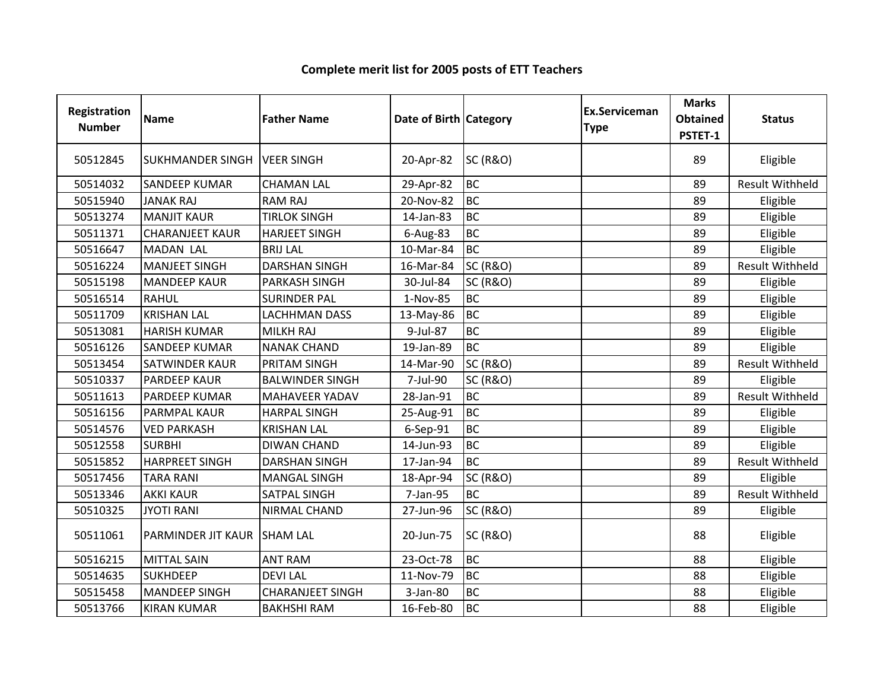| Registration<br><b>Number</b> | Name                          | <b>Father Name</b>      | Date of Birth Category |                     | <b>Ex.Serviceman</b><br><b>Type</b> | <b>Marks</b><br><b>Obtained</b><br>PSTET-1 | <b>Status</b>          |
|-------------------------------|-------------------------------|-------------------------|------------------------|---------------------|-------------------------------------|--------------------------------------------|------------------------|
| 50512845                      | SUKHMANDER SINGH   VEER SINGH |                         | 20-Apr-82              | <b>SC (R&amp;O)</b> |                                     | 89                                         | Eligible               |
| 50514032                      | <b>SANDEEP KUMAR</b>          | <b>CHAMAN LAL</b>       | 29-Apr-82              | <b>BC</b>           |                                     | 89                                         | <b>Result Withheld</b> |
| 50515940                      | <b>JANAK RAJ</b>              | <b>RAM RAJ</b>          | 20-Nov-82              | <b>BC</b>           |                                     | 89                                         | Eligible               |
| 50513274                      | <b>MANJIT KAUR</b>            | <b>TIRLOK SINGH</b>     | 14-Jan-83              | <b>BC</b>           |                                     | 89                                         | Eligible               |
| 50511371                      | <b>CHARANJEET KAUR</b>        | <b>HARJEET SINGH</b>    | 6-Aug-83               | <b>BC</b>           |                                     | 89                                         | Eligible               |
| 50516647                      | <b>MADAN LAL</b>              | <b>BRIJ LAL</b>         | 10-Mar-84              | <b>BC</b>           |                                     | 89                                         | Eligible               |
| 50516224                      | <b>MANJEET SINGH</b>          | <b>DARSHAN SINGH</b>    | 16-Mar-84              | <b>SC (R&amp;O)</b> |                                     | 89                                         | <b>Result Withheld</b> |
| 50515198                      | <b>MANDEEP KAUR</b>           | <b>PARKASH SINGH</b>    | 30-Jul-84              | <b>SC (R&amp;O)</b> |                                     | 89                                         | Eligible               |
| 50516514                      | <b>RAHUL</b>                  | <b>SURINDER PAL</b>     | 1-Nov-85               | <b>BC</b>           |                                     | 89                                         | Eligible               |
| 50511709                      | <b>KRISHAN LAL</b>            | <b>LACHHMAN DASS</b>    | 13-May-86              | <b>BC</b>           |                                     | 89                                         | Eligible               |
| 50513081                      | <b>HARISH KUMAR</b>           | <b>MILKH RAJ</b>        | 9-Jul-87               | <b>BC</b>           |                                     | 89                                         | Eligible               |
| 50516126                      | <b>SANDEEP KUMAR</b>          | <b>NANAK CHAND</b>      | 19-Jan-89              | <b>BC</b>           |                                     | 89                                         | Eligible               |
| 50513454                      | <b>SATWINDER KAUR</b>         | <b>PRITAM SINGH</b>     | 14-Mar-90              | <b>SC (R&amp;O)</b> |                                     | 89                                         | <b>Result Withheld</b> |
| 50510337                      | <b>PARDEEP KAUR</b>           | <b>BALWINDER SINGH</b>  | 7-Jul-90               | <b>SC (R&amp;O)</b> |                                     | 89                                         | Eligible               |
| 50511613                      | <b>PARDEEP KUMAR</b>          | <b>MAHAVEER YADAV</b>   | 28-Jan-91              | <b>BC</b>           |                                     | 89                                         | <b>Result Withheld</b> |
| 50516156                      | <b>PARMPAL KAUR</b>           | <b>HARPAL SINGH</b>     | 25-Aug-91              | <b>BC</b>           |                                     | 89                                         | Eligible               |
| 50514576                      | <b>VED PARKASH</b>            | <b>KRISHAN LAL</b>      | 6-Sep-91               | <b>BC</b>           |                                     | 89                                         | Eligible               |
| 50512558                      | <b>SURBHI</b>                 | <b>DIWAN CHAND</b>      | 14-Jun-93              | <b>BC</b>           |                                     | 89                                         | Eligible               |
| 50515852                      | <b>HARPREET SINGH</b>         | <b>DARSHAN SINGH</b>    | 17-Jan-94              | <b>BC</b>           |                                     | 89                                         | <b>Result Withheld</b> |
| 50517456                      | <b>TARA RANI</b>              | <b>MANGAL SINGH</b>     | 18-Apr-94              | <b>SC (R&amp;O)</b> |                                     | 89                                         | Eligible               |
| 50513346                      | <b>AKKI KAUR</b>              | <b>SATPAL SINGH</b>     | 7-Jan-95               | <b>BC</b>           |                                     | 89                                         | <b>Result Withheld</b> |
| 50510325                      | <b>JYOTI RANI</b>             | NIRMAL CHAND            | 27-Jun-96              | <b>SC (R&amp;O)</b> |                                     | 89                                         | Eligible               |
| 50511061                      | PARMINDER JIT KAUR SHAM LAL   |                         | 20-Jun-75              | <b>SC (R&amp;O)</b> |                                     | 88                                         | Eligible               |
| 50516215                      | <b>MITTAL SAIN</b>            | <b>ANT RAM</b>          | 23-Oct-78              | <b>BC</b>           |                                     | 88                                         | Eligible               |
| 50514635                      | <b>SUKHDEEP</b>               | <b>DEVILAL</b>          | 11-Nov-79              | <b>BC</b>           |                                     | 88                                         | Eligible               |
| 50515458                      | <b>MANDEEP SINGH</b>          | <b>CHARANJEET SINGH</b> | 3-Jan-80               | <b>BC</b>           |                                     | 88                                         | Eligible               |
| 50513766                      | <b>KIRAN KUMAR</b>            | <b>BAKHSHI RAM</b>      | 16-Feb-80              | <b>BC</b>           |                                     | 88                                         | Eligible               |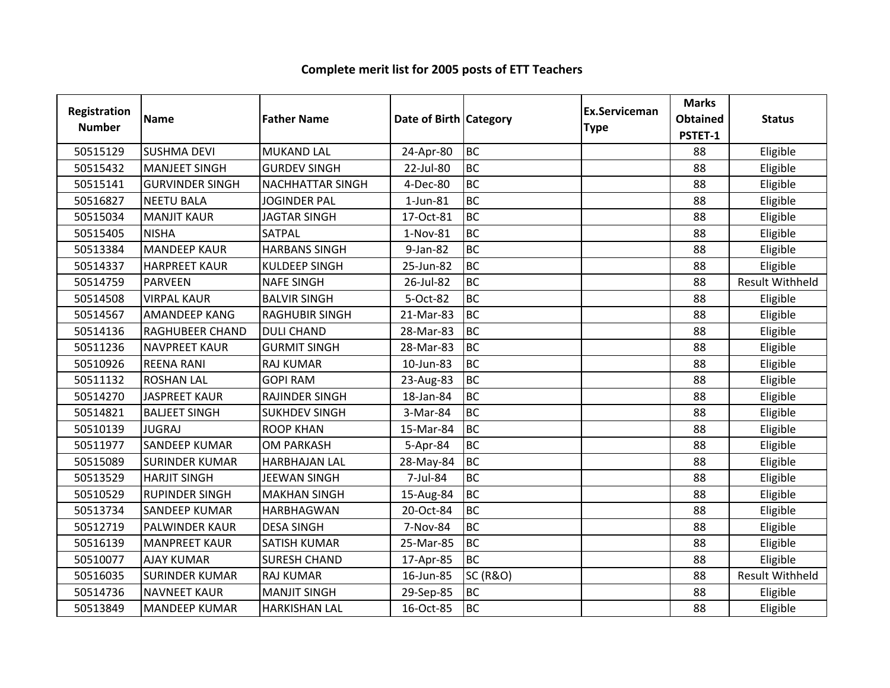| Registration<br><b>Number</b> | <b>Name</b>            | <b>Father Name</b>      | Date of Birth Category |                     | Ex.Serviceman<br><b>Type</b> | <b>Marks</b><br><b>Obtained</b><br>PSTET-1 | <b>Status</b>          |
|-------------------------------|------------------------|-------------------------|------------------------|---------------------|------------------------------|--------------------------------------------|------------------------|
| 50515129                      | <b>SUSHMA DEVI</b>     | <b>MUKAND LAL</b>       | 24-Apr-80              | <b>BC</b>           |                              | 88                                         | Eligible               |
| 50515432                      | <b>MANJEET SINGH</b>   | <b>GURDEV SINGH</b>     | 22-Jul-80              | <b>BC</b>           |                              | 88                                         | Eligible               |
| 50515141                      | <b>GURVINDER SINGH</b> | <b>NACHHATTAR SINGH</b> | 4-Dec-80               | <b>BC</b>           |                              | 88                                         | Eligible               |
| 50516827                      | <b>NEETU BALA</b>      | <b>JOGINDER PAL</b>     | $1$ -Jun-81            | <b>BC</b>           |                              | 88                                         | Eligible               |
| 50515034                      | <b>MANJIT KAUR</b>     | <b>JAGTAR SINGH</b>     | 17-Oct-81              | <b>BC</b>           |                              | 88                                         | Eligible               |
| 50515405                      | <b>NISHA</b>           | SATPAL                  | 1-Nov-81               | <b>BC</b>           |                              | 88                                         | Eligible               |
| 50513384                      | <b>MANDEEP KAUR</b>    | <b>HARBANS SINGH</b>    | 9-Jan-82               | <b>BC</b>           |                              | 88                                         | Eligible               |
| 50514337                      | <b>HARPREET KAUR</b>   | <b>KULDEEP SINGH</b>    | 25-Jun-82              | <b>BC</b>           |                              | 88                                         | Eligible               |
| 50514759                      | <b>PARVEEN</b>         | <b>NAFE SINGH</b>       | 26-Jul-82              | <b>BC</b>           |                              | 88                                         | Result Withheld        |
| 50514508                      | <b>VIRPAL KAUR</b>     | <b>BALVIR SINGH</b>     | 5-Oct-82               | <b>BC</b>           |                              | 88                                         | Eligible               |
| 50514567                      | <b>AMANDEEP KANG</b>   | <b>RAGHUBIR SINGH</b>   | 21-Mar-83              | <b>BC</b>           |                              | 88                                         | Eligible               |
| 50514136                      | <b>RAGHUBEER CHAND</b> | <b>DULI CHAND</b>       | 28-Mar-83              | <b>BC</b>           |                              | 88                                         | Eligible               |
| 50511236                      | <b>NAVPREET KAUR</b>   | <b>GURMIT SINGH</b>     | 28-Mar-83              | <b>BC</b>           |                              | 88                                         | Eligible               |
| 50510926                      | <b>REENA RANI</b>      | <b>RAJ KUMAR</b>        | 10-Jun-83              | <b>BC</b>           |                              | 88                                         | Eligible               |
| 50511132                      | <b>ROSHAN LAL</b>      | <b>GOPI RAM</b>         | 23-Aug-83              | <b>BC</b>           |                              | 88                                         | Eligible               |
| 50514270                      | <b>JASPREET KAUR</b>   | RAJINDER SINGH          | 18-Jan-84              | <b>BC</b>           |                              | 88                                         | Eligible               |
| 50514821                      | <b>BALJEET SINGH</b>   | <b>SUKHDEV SINGH</b>    | 3-Mar-84               | <b>BC</b>           |                              | 88                                         | Eligible               |
| 50510139                      | <b>JUGRAJ</b>          | <b>ROOP KHAN</b>        | 15-Mar-84              | <b>BC</b>           |                              | 88                                         | Eligible               |
| 50511977                      | <b>SANDEEP KUMAR</b>   | <b>OM PARKASH</b>       | 5-Apr-84               | <b>BC</b>           |                              | 88                                         | Eligible               |
| 50515089                      | <b>SURINDER KUMAR</b>  | <b>HARBHAJAN LAL</b>    | 28-May-84              | <b>BC</b>           |                              | 88                                         | Eligible               |
| 50513529                      | <b>HARJIT SINGH</b>    | <b>JEEWAN SINGH</b>     | 7-Jul-84               | <b>BC</b>           |                              | 88                                         | Eligible               |
| 50510529                      | <b>RUPINDER SINGH</b>  | <b>MAKHAN SINGH</b>     | 15-Aug-84              | <b>BC</b>           |                              | 88                                         | Eligible               |
| 50513734                      | <b>SANDEEP KUMAR</b>   | <b>HARBHAGWAN</b>       | 20-Oct-84              | <b>BC</b>           |                              | 88                                         | Eligible               |
| 50512719                      | PALWINDER KAUR         | <b>DESA SINGH</b>       | 7-Nov-84               | <b>BC</b>           |                              | 88                                         | Eligible               |
| 50516139                      | <b>MANPREET KAUR</b>   | <b>SATISH KUMAR</b>     | 25-Mar-85              | <b>BC</b>           |                              | 88                                         | Eligible               |
| 50510077                      | <b>AJAY KUMAR</b>      | <b>SURESH CHAND</b>     | 17-Apr-85              | <b>BC</b>           |                              | 88                                         | Eligible               |
| 50516035                      | <b>SURINDER KUMAR</b>  | <b>RAJ KUMAR</b>        | 16-Jun-85              | <b>SC (R&amp;O)</b> |                              | 88                                         | <b>Result Withheld</b> |
| 50514736                      | <b>NAVNEET KAUR</b>    | <b>MANJIT SINGH</b>     | 29-Sep-85              | <b>BC</b>           |                              | 88                                         | Eligible               |
| 50513849                      | <b>MANDEEP KUMAR</b>   | <b>HARKISHAN LAL</b>    | 16-Oct-85              | <b>BC</b>           |                              | 88                                         | Eligible               |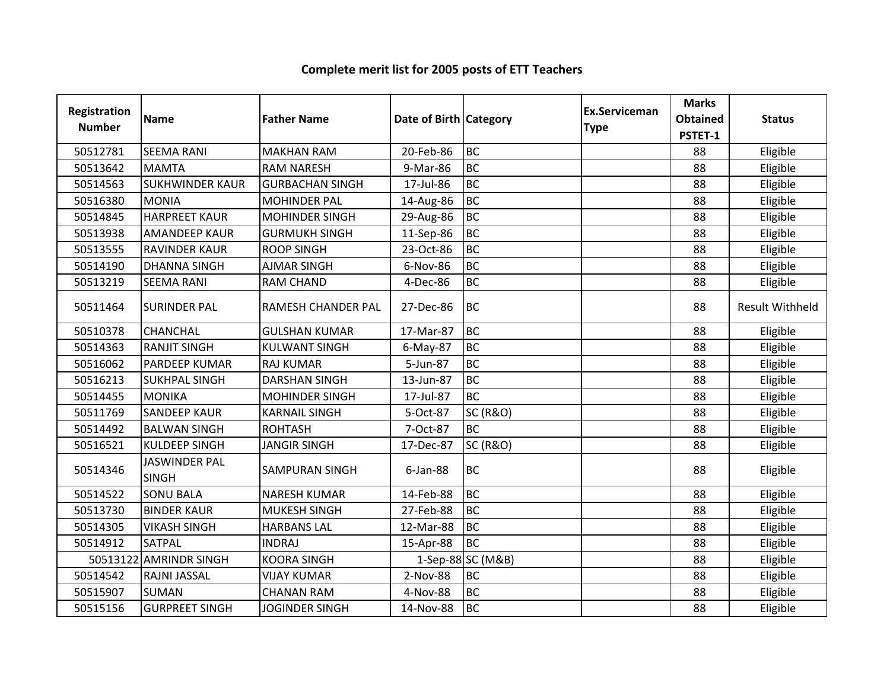| Registration<br><b>Number</b> | <b>Name</b>                          | <b>Father Name</b>        | Date of Birth   Category |                     | Ex.Serviceman<br><b>Type</b> | <b>Marks</b><br><b>Obtained</b><br>PSTET-1 | <b>Status</b>          |
|-------------------------------|--------------------------------------|---------------------------|--------------------------|---------------------|------------------------------|--------------------------------------------|------------------------|
| 50512781                      | <b>SEEMA RANI</b>                    | <b>MAKHAN RAM</b>         | 20-Feb-86                | <b>BC</b>           |                              | 88                                         | Eligible               |
| 50513642                      | <b>MAMTA</b>                         | <b>RAM NARESH</b>         | 9-Mar-86                 | <b>BC</b>           |                              | 88                                         | Eligible               |
| 50514563                      | <b>SUKHWINDER KAUR</b>               | <b>GURBACHAN SINGH</b>    | 17-Jul-86                | <b>BC</b>           |                              | 88                                         | Eligible               |
| 50516380                      | <b>MONIA</b>                         | <b>MOHINDER PAL</b>       | 14-Aug-86                | <b>BC</b>           |                              | 88                                         | Eligible               |
| 50514845                      | <b>HARPREET KAUR</b>                 | <b>MOHINDER SINGH</b>     | 29-Aug-86                | <b>BC</b>           |                              | 88                                         | Eligible               |
| 50513938                      | <b>AMANDEEP KAUR</b>                 | <b>GURMUKH SINGH</b>      | 11-Sep-86                | <b>BC</b>           |                              | 88                                         | Eligible               |
| 50513555                      | <b>RAVINDER KAUR</b>                 | <b>ROOP SINGH</b>         | 23-Oct-86                | <b>BC</b>           |                              | 88                                         | Eligible               |
| 50514190                      | <b>DHANNA SINGH</b>                  | <b>AJMAR SINGH</b>        | 6-Nov-86                 | <b>BC</b>           |                              | 88                                         | Eligible               |
| 50513219                      | <b>SEEMA RANI</b>                    | <b>RAM CHAND</b>          | 4-Dec-86                 | BC                  |                              | 88                                         | Eligible               |
| 50511464                      | <b>SURINDER PAL</b>                  | <b>RAMESH CHANDER PAL</b> | 27-Dec-86                | <b>BC</b>           |                              | 88                                         | <b>Result Withheld</b> |
| 50510378                      | CHANCHAL                             | <b>GULSHAN KUMAR</b>      | 17-Mar-87                | <b>BC</b>           |                              | 88                                         | Eligible               |
| 50514363                      | <b>RANJIT SINGH</b>                  | <b>KULWANT SINGH</b>      | 6-May-87                 | <b>BC</b>           |                              | 88                                         | Eligible               |
| 50516062                      | PARDEEP KUMAR                        | <b>RAJ KUMAR</b>          | 5-Jun-87                 | <b>BC</b>           |                              | 88                                         | Eligible               |
| 50516213                      | <b>SUKHPAL SINGH</b>                 | <b>DARSHAN SINGH</b>      | 13-Jun-87                | <b>BC</b>           |                              | 88                                         | Eligible               |
| 50514455                      | <b>MONIKA</b>                        | <b>MOHINDER SINGH</b>     | 17-Jul-87                | <b>BC</b>           |                              | 88                                         | Eligible               |
| 50511769                      | <b>SANDEEP KAUR</b>                  | <b>KARNAIL SINGH</b>      | 5-Oct-87                 | <b>SC (R&amp;O)</b> |                              | 88                                         | Eligible               |
| 50514492                      | <b>BALWAN SINGH</b>                  | <b>ROHTASH</b>            | 7-Oct-87                 | <b>BC</b>           |                              | 88                                         | Eligible               |
| 50516521                      | <b>KULDEEP SINGH</b>                 | <b>JANGIR SINGH</b>       | 17-Dec-87                | <b>SC (R&amp;O)</b> |                              | 88                                         | Eligible               |
| 50514346                      | <b>JASWINDER PAL</b><br><b>SINGH</b> | <b>SAMPURAN SINGH</b>     | $6$ -Jan-88              | BC                  |                              | 88                                         | Eligible               |
| 50514522                      | <b>SONU BALA</b>                     | <b>NARESH KUMAR</b>       | 14-Feb-88                | <b>BC</b>           |                              | 88                                         | Eligible               |
| 50513730                      | <b>BINDER KAUR</b>                   | MUKESH SINGH              | 27-Feb-88                | <b>BC</b>           |                              | 88                                         | Eligible               |
| 50514305                      | <b>VIKASH SINGH</b>                  | <b>HARBANS LAL</b>        | 12-Mar-88                | <b>BC</b>           |                              | 88                                         | Eligible               |
| 50514912                      | SATPAL                               | <b>INDRAJ</b>             | 15-Apr-88                | <b>BC</b>           |                              | 88                                         | Eligible               |
| 50513122                      | <b>AMRINDR SINGH</b>                 | <b>KOORA SINGH</b>        |                          | 1-Sep-88 SC (M&B)   |                              | 88                                         | Eligible               |
| 50514542                      | RAJNI JASSAL                         | <b>VIJAY KUMAR</b>        | 2-Nov-88                 | <b>BC</b>           |                              | 88                                         | Eligible               |
| 50515907                      | <b>SUMAN</b>                         | <b>CHANAN RAM</b>         | 4-Nov-88                 | <b>BC</b>           |                              | 88                                         | Eligible               |
| 50515156                      | <b>GURPREET SINGH</b>                | <b>JOGINDER SINGH</b>     | 14-Nov-88                | <b>BC</b>           |                              | 88                                         | Eligible               |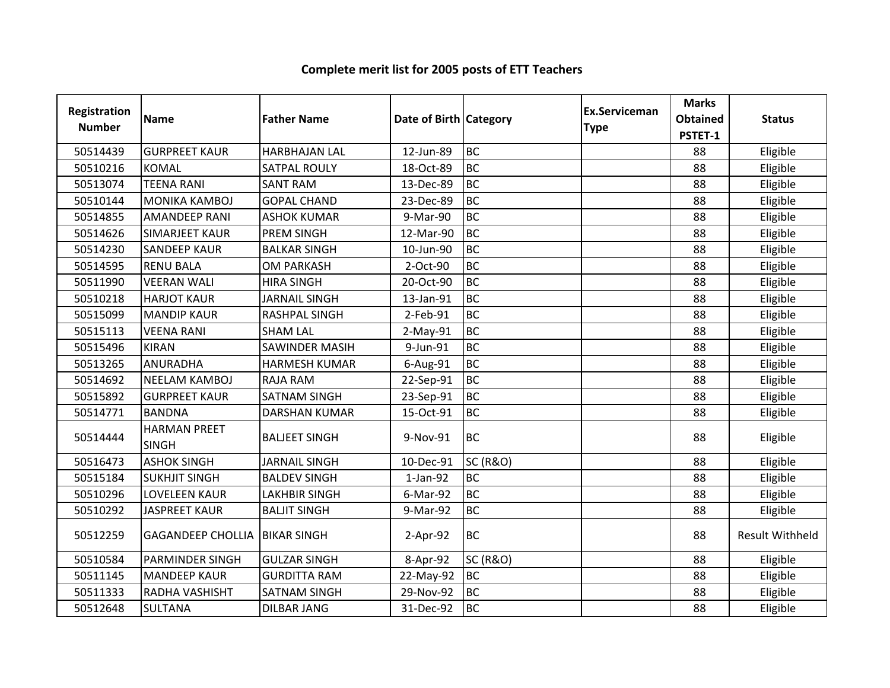| Registration<br><b>Number</b> | <b>Name</b>                         | <b>Father Name</b>    | Date of Birth   Category |                     | <b>Ex.Serviceman</b><br><b>Type</b> | <b>Marks</b><br><b>Obtained</b><br>PSTET-1 | <b>Status</b>          |
|-------------------------------|-------------------------------------|-----------------------|--------------------------|---------------------|-------------------------------------|--------------------------------------------|------------------------|
| 50514439                      | <b>GURPREET KAUR</b>                | <b>HARBHAJAN LAL</b>  | 12-Jun-89                | <b>BC</b>           |                                     | 88                                         | Eligible               |
| 50510216                      | <b>KOMAL</b>                        | <b>SATPAL ROULY</b>   | 18-Oct-89                | <b>BC</b>           |                                     | 88                                         | Eligible               |
| 50513074                      | <b>TEENA RANI</b>                   | <b>SANT RAM</b>       | 13-Dec-89                | <b>BC</b>           |                                     | 88                                         | Eligible               |
| 50510144                      | MONIKA KAMBOJ                       | <b>GOPAL CHAND</b>    | 23-Dec-89                | <b>BC</b>           |                                     | 88                                         | Eligible               |
| 50514855                      | <b>AMANDEEP RANI</b>                | <b>ASHOK KUMAR</b>    | 9-Mar-90                 | <b>BC</b>           |                                     | 88                                         | Eligible               |
| 50514626                      | <b>SIMARJEET KAUR</b>               | <b>PREM SINGH</b>     | 12-Mar-90                | <b>BC</b>           |                                     | 88                                         | Eligible               |
| 50514230                      | <b>SANDEEP KAUR</b>                 | <b>BALKAR SINGH</b>   | 10-Jun-90                | <b>BC</b>           |                                     | 88                                         | Eligible               |
| 50514595                      | <b>RENU BALA</b>                    | <b>OM PARKASH</b>     | 2-Oct-90                 | <b>BC</b>           |                                     | 88                                         | Eligible               |
| 50511990                      | <b>VEERAN WALI</b>                  | <b>HIRA SINGH</b>     | 20-Oct-90                | <b>BC</b>           |                                     | 88                                         | Eligible               |
| 50510218                      | <b>HARJOT KAUR</b>                  | <b>JARNAIL SINGH</b>  | 13-Jan-91                | <b>BC</b>           |                                     | 88                                         | Eligible               |
| 50515099                      | <b>MANDIP KAUR</b>                  | RASHPAL SINGH         | 2-Feb-91                 | <b>BC</b>           |                                     | 88                                         | Eligible               |
| 50515113                      | <b>VEENA RANI</b>                   | <b>SHAM LAL</b>       | 2-May-91                 | <b>BC</b>           |                                     | 88                                         | Eligible               |
| 50515496                      | <b>KIRAN</b>                        | <b>SAWINDER MASIH</b> | 9-Jun-91                 | <b>BC</b>           |                                     | 88                                         | Eligible               |
| 50513265                      | <b>ANURADHA</b>                     | <b>HARMESH KUMAR</b>  | 6-Aug-91                 | <b>BC</b>           |                                     | 88                                         | Eligible               |
| 50514692                      | <b>NEELAM KAMBOJ</b>                | <b>RAJA RAM</b>       | 22-Sep-91                | <b>BC</b>           |                                     | 88                                         | Eligible               |
| 50515892                      | <b>GURPREET KAUR</b>                | <b>SATNAM SINGH</b>   | 23-Sep-91                | <b>BC</b>           |                                     | 88                                         | Eligible               |
| 50514771                      | <b>BANDNA</b>                       | <b>DARSHAN KUMAR</b>  | 15-Oct-91                | <b>BC</b>           |                                     | 88                                         | Eligible               |
| 50514444                      | <b>HARMAN PREET</b><br><b>SINGH</b> | <b>BALJEET SINGH</b>  | 9-Nov-91                 | <b>BC</b>           |                                     | 88                                         | Eligible               |
| 50516473                      | <b>ASHOK SINGH</b>                  | <b>JARNAIL SINGH</b>  | 10-Dec-91                | <b>SC (R&amp;O)</b> |                                     | 88                                         | Eligible               |
| 50515184                      | <b>SUKHJIT SINGH</b>                | <b>BALDEV SINGH</b>   | $1-Jan-92$               | <b>BC</b>           |                                     | 88                                         | Eligible               |
| 50510296                      | LOVELEEN KAUR                       | <b>LAKHBIR SINGH</b>  | 6-Mar-92                 | <b>BC</b>           |                                     | 88                                         | Eligible               |
| 50510292                      | <b>JASPREET KAUR</b>                | <b>BALJIT SINGH</b>   | 9-Mar-92                 | <b>BC</b>           |                                     | 88                                         | Eligible               |
| 50512259                      | <b>GAGANDEEP CHOLLIA</b>            | <b>BIKAR SINGH</b>    | $2-Apr-92$               | <b>BC</b>           |                                     | 88                                         | <b>Result Withheld</b> |
| 50510584                      | <b>PARMINDER SINGH</b>              | <b>GULZAR SINGH</b>   | 8-Apr-92                 | <b>SC (R&amp;O)</b> |                                     | 88                                         | Eligible               |
| 50511145                      | <b>MANDEEP KAUR</b>                 | <b>GURDITTA RAM</b>   | 22-May-92                | <b>BC</b>           |                                     | 88                                         | Eligible               |
| 50511333                      | RADHA VASHISHT                      | <b>SATNAM SINGH</b>   | 29-Nov-92                | <b>BC</b>           |                                     | 88                                         | Eligible               |
| 50512648                      | <b>SULTANA</b>                      | <b>DILBAR JANG</b>    | 31-Dec-92                | <b>BC</b>           |                                     | 88                                         | Eligible               |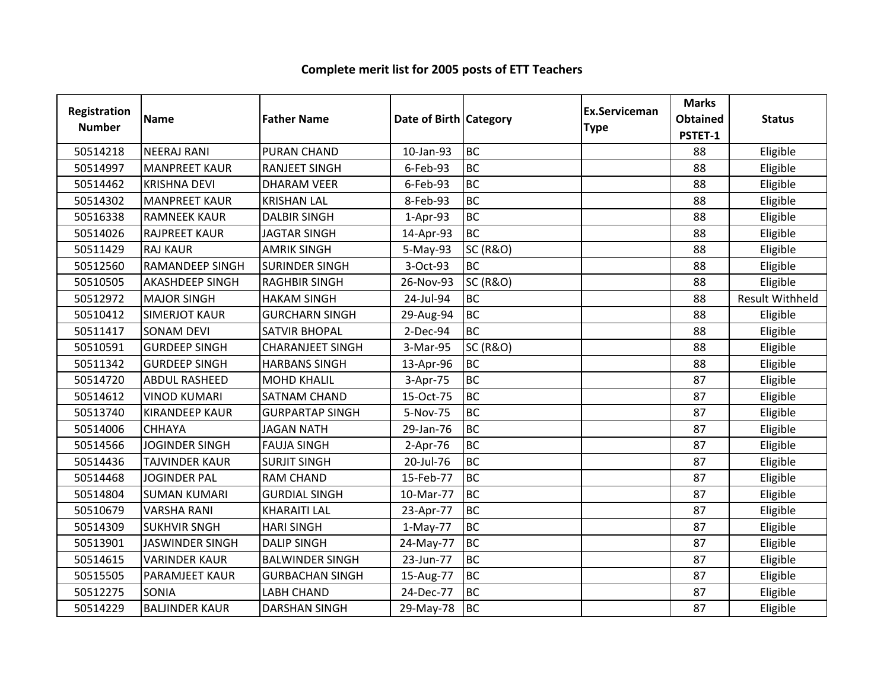| Registration<br><b>Number</b> | Name                   | <b>Father Name</b>      | Date of Birth Category |                     | <b>Ex.Serviceman</b><br><b>Type</b> | <b>Marks</b><br><b>Obtained</b><br>PSTET-1 | <b>Status</b>          |
|-------------------------------|------------------------|-------------------------|------------------------|---------------------|-------------------------------------|--------------------------------------------|------------------------|
| 50514218                      | <b>NEERAJ RANI</b>     | PURAN CHAND             | 10-Jan-93              | <b>BC</b>           |                                     | 88                                         | Eligible               |
| 50514997                      | <b>MANPREET KAUR</b>   | <b>RANJEET SINGH</b>    | 6-Feb-93               | <b>BC</b>           |                                     | 88                                         | Eligible               |
| 50514462                      | <b>KRISHNA DEVI</b>    | <b>DHARAM VEER</b>      | 6-Feb-93               | <b>BC</b>           |                                     | 88                                         | Eligible               |
| 50514302                      | <b>MANPREET KAUR</b>   | <b>KRISHAN LAL</b>      | 8-Feb-93               | <b>BC</b>           |                                     | 88                                         | Eligible               |
| 50516338                      | <b>RAMNEEK KAUR</b>    | <b>DALBIR SINGH</b>     | $1-Apr-93$             | <b>BC</b>           |                                     | 88                                         | Eligible               |
| 50514026                      | <b>RAJPREET KAUR</b>   | <b>JAGTAR SINGH</b>     | 14-Apr-93              | <b>BC</b>           |                                     | 88                                         | Eligible               |
| 50511429                      | <b>RAJ KAUR</b>        | <b>AMRIK SINGH</b>      | 5-May-93               | <b>SC (R&amp;O)</b> |                                     | 88                                         | Eligible               |
| 50512560                      | <b>RAMANDEEP SINGH</b> | <b>SURINDER SINGH</b>   | 3-Oct-93               | <b>BC</b>           |                                     | 88                                         | Eligible               |
| 50510505                      | <b>AKASHDEEP SINGH</b> | <b>RAGHBIR SINGH</b>    | 26-Nov-93              | <b>SC (R&amp;O)</b> |                                     | 88                                         | Eligible               |
| 50512972                      | <b>MAJOR SINGH</b>     | <b>HAKAM SINGH</b>      | 24-Jul-94              | <b>BC</b>           |                                     | 88                                         | <b>Result Withheld</b> |
| 50510412                      | <b>SIMERJOT KAUR</b>   | <b>GURCHARN SINGH</b>   | 29-Aug-94              | <b>BC</b>           |                                     | 88                                         | Eligible               |
| 50511417                      | <b>SONAM DEVI</b>      | <b>SATVIR BHOPAL</b>    | 2-Dec-94               | <b>BC</b>           |                                     | 88                                         | Eligible               |
| 50510591                      | <b>GURDEEP SINGH</b>   | <b>CHARANJEET SINGH</b> | 3-Mar-95               | <b>SC (R&amp;O)</b> |                                     | 88                                         | Eligible               |
| 50511342                      | <b>GURDEEP SINGH</b>   | <b>HARBANS SINGH</b>    | 13-Apr-96              | <b>BC</b>           |                                     | 88                                         | Eligible               |
| 50514720                      | <b>ABDUL RASHEED</b>   | <b>MOHD KHALIL</b>      | 3-Apr-75               | <b>BC</b>           |                                     | 87                                         | Eligible               |
| 50514612                      | <b>VINOD KUMARI</b>    | <b>SATNAM CHAND</b>     | 15-Oct-75              | <b>BC</b>           |                                     | 87                                         | Eligible               |
| 50513740                      | <b>KIRANDEEP KAUR</b>  | <b>GURPARTAP SINGH</b>  | 5-Nov-75               | <b>BC</b>           |                                     | 87                                         | Eligible               |
| 50514006                      | <b>CHHAYA</b>          | <b>JAGAN NATH</b>       | 29-Jan-76              | <b>BC</b>           |                                     | 87                                         | Eligible               |
| 50514566                      | <b>JOGINDER SINGH</b>  | <b>FAUJA SINGH</b>      | $2-Apr-76$             | <b>BC</b>           |                                     | 87                                         | Eligible               |
| 50514436                      | <b>TAJVINDER KAUR</b>  | <b>SURJIT SINGH</b>     | 20-Jul-76              | <b>BC</b>           |                                     | 87                                         | Eligible               |
| 50514468                      | <b>JOGINDER PAL</b>    | <b>RAM CHAND</b>        | 15-Feb-77              | <b>BC</b>           |                                     | 87                                         | Eligible               |
| 50514804                      | <b>SUMAN KUMARI</b>    | <b>GURDIAL SINGH</b>    | 10-Mar-77              | <b>BC</b>           |                                     | 87                                         | Eligible               |
| 50510679                      | <b>VARSHA RANI</b>     | <b>KHARAITI LAL</b>     | 23-Apr-77              | <b>BC</b>           |                                     | 87                                         | Eligible               |
| 50514309                      | <b>SUKHVIR SNGH</b>    | <b>HARI SINGH</b>       | $1-May-77$             | <b>BC</b>           |                                     | 87                                         | Eligible               |
| 50513901                      | <b>JASWINDER SINGH</b> | <b>DALIP SINGH</b>      | 24-May-77              | <b>BC</b>           |                                     | 87                                         | Eligible               |
| 50514615                      | <b>VARINDER KAUR</b>   | <b>BALWINDER SINGH</b>  | 23-Jun-77              | <b>BC</b>           |                                     | 87                                         | Eligible               |
| 50515505                      | <b>PARAMJEET KAUR</b>  | <b>GURBACHAN SINGH</b>  | 15-Aug-77              | <b>BC</b>           |                                     | 87                                         | Eligible               |
| 50512275                      | SONIA                  | <b>LABH CHAND</b>       | 24-Dec-77              | <b>BC</b>           |                                     | 87                                         | Eligible               |
| 50514229                      | <b>BALJINDER KAUR</b>  | <b>DARSHAN SINGH</b>    | 29-May-78              | <b>BC</b>           |                                     | 87                                         | Eligible               |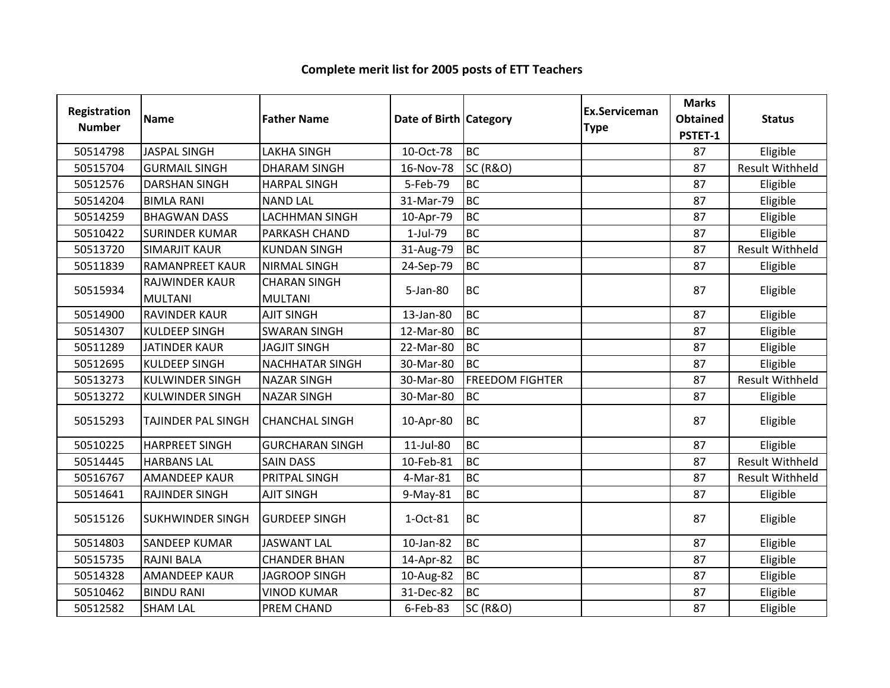| Registration<br><b>Number</b> | <b>Name</b>                      | <b>Father Name</b>                    | Date of Birth Category |                        | Ex.Serviceman<br><b>Type</b> | <b>Marks</b><br><b>Obtained</b><br>PSTET-1 | <b>Status</b>          |
|-------------------------------|----------------------------------|---------------------------------------|------------------------|------------------------|------------------------------|--------------------------------------------|------------------------|
| 50514798                      | <b>JASPAL SINGH</b>              | <b>LAKHA SINGH</b>                    | 10-Oct-78              | <b>BC</b>              |                              | 87                                         | Eligible               |
| 50515704                      | <b>GURMAIL SINGH</b>             | <b>DHARAM SINGH</b>                   | 16-Nov-78              | <b>SC (R&amp;O)</b>    |                              | 87                                         | <b>Result Withheld</b> |
| 50512576                      | <b>DARSHAN SINGH</b>             | <b>HARPAL SINGH</b>                   | 5-Feb-79               | <b>BC</b>              |                              | 87                                         | Eligible               |
| 50514204                      | <b>BIMLA RANI</b>                | <b>NAND LAL</b>                       | 31-Mar-79              | <b>BC</b>              |                              | 87                                         | Eligible               |
| 50514259                      | <b>BHAGWAN DASS</b>              | <b>LACHHMAN SINGH</b>                 | 10-Apr-79              | <b>BC</b>              |                              | 87                                         | Eligible               |
| 50510422                      | <b>SURINDER KUMAR</b>            | PARKASH CHAND                         | 1-Jul-79               | <b>BC</b>              |                              | 87                                         | Eligible               |
| 50513720                      | <b>SIMARJIT KAUR</b>             | <b>KUNDAN SINGH</b>                   | 31-Aug-79              | <b>BC</b>              |                              | 87                                         | Result Withheld        |
| 50511839                      | <b>RAMANPREET KAUR</b>           | <b>NIRMAL SINGH</b>                   | 24-Sep-79              | <b>BC</b>              |                              | 87                                         | Eligible               |
| 50515934                      | RAJWINDER KAUR<br><b>MULTANI</b> | <b>CHARAN SINGH</b><br><b>MULTANI</b> | 5-Jan-80               | <b>BC</b>              |                              | 87                                         | Eligible               |
| 50514900                      | <b>RAVINDER KAUR</b>             | <b>AJIT SINGH</b>                     | 13-Jan-80              | <b>BC</b>              |                              | 87                                         | Eligible               |
| 50514307                      | <b>KULDEEP SINGH</b>             | <b>SWARAN SINGH</b>                   | 12-Mar-80              | <b>BC</b>              |                              | 87                                         | Eligible               |
| 50511289                      | <b>JATINDER KAUR</b>             | <b>JAGJIT SINGH</b>                   | 22-Mar-80              | <b>BC</b>              |                              | 87                                         | Eligible               |
| 50512695                      | <b>KULDEEP SINGH</b>             | <b>NACHHATAR SINGH</b>                | 30-Mar-80              | <b>BC</b>              |                              | 87                                         | Eligible               |
| 50513273                      | <b>KULWINDER SINGH</b>           | <b>NAZAR SINGH</b>                    | 30-Mar-80              | <b>FREEDOM FIGHTER</b> |                              | 87                                         | <b>Result Withheld</b> |
| 50513272                      | <b>KULWINDER SINGH</b>           | <b>NAZAR SINGH</b>                    | 30-Mar-80              | <b>BC</b>              |                              | 87                                         | Eligible               |
| 50515293                      | <b>TAJINDER PAL SINGH</b>        | <b>CHANCHAL SINGH</b>                 | 10-Apr-80              | <b>BC</b>              |                              | 87                                         | Eligible               |
| 50510225                      | <b>HARPREET SINGH</b>            | <b>GURCHARAN SINGH</b>                | 11-Jul-80              | <b>BC</b>              |                              | 87                                         | Eligible               |
| 50514445                      | <b>HARBANS LAL</b>               | <b>SAIN DASS</b>                      | 10-Feb-81              | <b>BC</b>              |                              | 87                                         | <b>Result Withheld</b> |
| 50516767                      | <b>AMANDEEP KAUR</b>             | PRITPAL SINGH                         | 4-Mar-81               | <b>BC</b>              |                              | 87                                         | <b>Result Withheld</b> |
| 50514641                      | RAJINDER SINGH                   | <b>AJIT SINGH</b>                     | 9-May-81               | <b>BC</b>              |                              | 87                                         | Eligible               |
| 50515126                      | <b>SUKHWINDER SINGH</b>          | <b>GURDEEP SINGH</b>                  | 1-Oct-81               | <b>BC</b>              |                              | 87                                         | Eligible               |
| 50514803                      | <b>SANDEEP KUMAR</b>             | <b>JASWANT LAL</b>                    | 10-Jan-82              | <b>BC</b>              |                              | 87                                         | Eligible               |
| 50515735                      | <b>RAJNI BALA</b>                | <b>CHANDER BHAN</b>                   | 14-Apr-82              | <b>BC</b>              |                              | 87                                         | Eligible               |
| 50514328                      | <b>AMANDEEP KAUR</b>             | <b>JAGROOP SINGH</b>                  | 10-Aug-82              | <b>BC</b>              |                              | 87                                         | Eligible               |
| 50510462                      | <b>BINDU RANI</b>                | <b>VINOD KUMAR</b>                    | 31-Dec-82              | <b>BC</b>              |                              | 87                                         | Eligible               |
| 50512582                      | <b>SHAM LAL</b>                  | PREM CHAND                            | 6-Feb-83               | <b>SC (R&amp;O)</b>    |                              | 87                                         | Eligible               |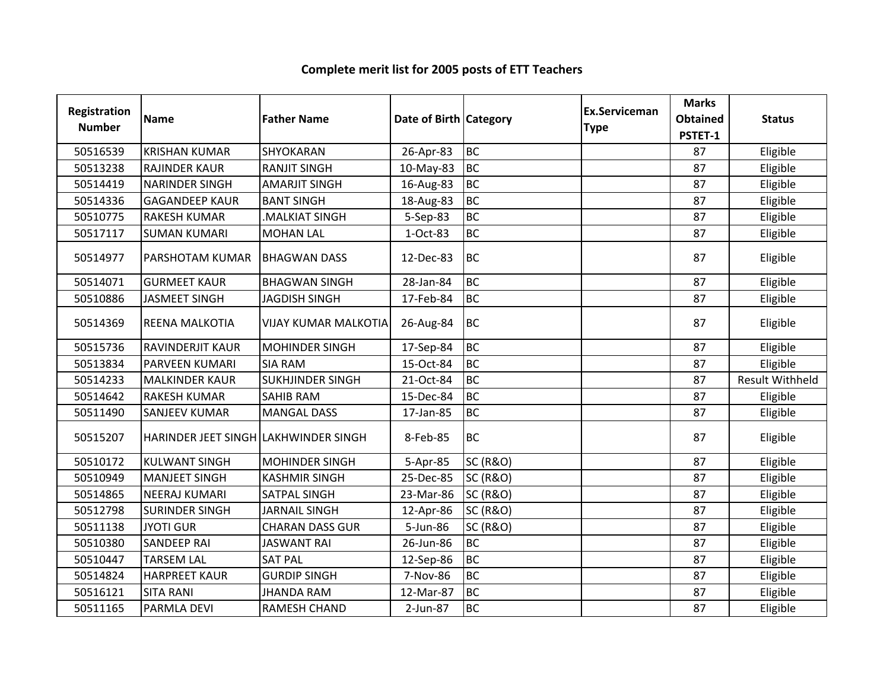| Registration<br><b>Number</b> | <b>Name</b>                          | <b>Father Name</b>          | Date of Birth Category |                     | <b>Ex.Serviceman</b><br><b>Type</b> | <b>Marks</b><br><b>Obtained</b><br>PSTET-1 | <b>Status</b>          |
|-------------------------------|--------------------------------------|-----------------------------|------------------------|---------------------|-------------------------------------|--------------------------------------------|------------------------|
| 50516539                      | <b>KRISHAN KUMAR</b>                 | SHYOKARAN                   | 26-Apr-83              | <b>BC</b>           |                                     | 87                                         | Eligible               |
| 50513238                      | <b>RAJINDER KAUR</b>                 | <b>RANJIT SINGH</b>         | 10-May-83              | <b>BC</b>           |                                     | 87                                         | Eligible               |
| 50514419                      | <b>NARINDER SINGH</b>                | <b>AMARJIT SINGH</b>        | 16-Aug-83              | <b>BC</b>           |                                     | 87                                         | Eligible               |
| 50514336                      | <b>GAGANDEEP KAUR</b>                | <b>BANT SINGH</b>           | 18-Aug-83              | <b>BC</b>           |                                     | 87                                         | Eligible               |
| 50510775                      | <b>RAKESH KUMAR</b>                  | MALKIAT SINGH               | 5-Sep-83               | <b>BC</b>           |                                     | 87                                         | Eligible               |
| 50517117                      | <b>SUMAN KUMARI</b>                  | <b>MOHAN LAL</b>            | 1-Oct-83               | <b>BC</b>           |                                     | 87                                         | Eligible               |
| 50514977                      | PARSHOTAM KUMAR                      | <b>BHAGWAN DASS</b>         | 12-Dec-83              | <b>BC</b>           |                                     | 87                                         | Eligible               |
| 50514071                      | <b>GURMEET KAUR</b>                  | <b>BHAGWAN SINGH</b>        | 28-Jan-84              | <b>BC</b>           |                                     | 87                                         | Eligible               |
| 50510886                      | <b>JASMEET SINGH</b>                 | <b>JAGDISH SINGH</b>        | 17-Feb-84              | <b>BC</b>           |                                     | 87                                         | Eligible               |
| 50514369                      | REENA MALKOTIA                       | <b>VIJAY KUMAR MALKOTIA</b> | 26-Aug-84              | <b>BC</b>           |                                     | 87                                         | Eligible               |
| 50515736                      | <b>RAVINDERJIT KAUR</b>              | <b>MOHINDER SINGH</b>       | 17-Sep-84              | <b>BC</b>           |                                     | 87                                         | Eligible               |
| 50513834                      | <b>PARVEEN KUMARI</b>                | <b>SIA RAM</b>              | 15-Oct-84              | <b>BC</b>           |                                     | 87                                         | Eligible               |
| 50514233                      | <b>MALKINDER KAUR</b>                | <b>SUKHJINDER SINGH</b>     | 21-Oct-84              | <b>BC</b>           |                                     | 87                                         | <b>Result Withheld</b> |
| 50514642                      | <b>RAKESH KUMAR</b>                  | SAHIB RAM                   | 15-Dec-84              | <b>BC</b>           |                                     | 87                                         | Eligible               |
| 50511490                      | <b>SANJEEV KUMAR</b>                 | <b>MANGAL DASS</b>          | 17-Jan-85              | <b>BC</b>           |                                     | 87                                         | Eligible               |
| 50515207                      | HARINDER JEET SINGH LAKHWINDER SINGH |                             | 8-Feb-85               | <b>BC</b>           |                                     | 87                                         | Eligible               |
| 50510172                      | <b>KULWANT SINGH</b>                 | <b>MOHINDER SINGH</b>       | 5-Apr-85               | <b>SC (R&amp;O)</b> |                                     | 87                                         | Eligible               |
| 50510949                      | <b>MANJEET SINGH</b>                 | <b>KASHMIR SINGH</b>        | 25-Dec-85              | <b>SC (R&amp;O)</b> |                                     | 87                                         | Eligible               |
| 50514865                      | <b>NEERAJ KUMARI</b>                 | <b>SATPAL SINGH</b>         | 23-Mar-86              | <b>SC (R&amp;O)</b> |                                     | 87                                         | Eligible               |
| 50512798                      | <b>SURINDER SINGH</b>                | <b>JARNAIL SINGH</b>        | 12-Apr-86              | <b>SC (R&amp;O)</b> |                                     | 87                                         | Eligible               |
| 50511138                      | <b>JYOTI GUR</b>                     | <b>CHARAN DASS GUR</b>      | 5-Jun-86               | <b>SC (R&amp;O)</b> |                                     | 87                                         | Eligible               |
| 50510380                      | <b>SANDEEP RAI</b>                   | <b>JASWANT RAI</b>          | 26-Jun-86              | <b>BC</b>           |                                     | 87                                         | Eligible               |
| 50510447                      | <b>TARSEM LAL</b>                    | <b>SAT PAL</b>              | 12-Sep-86              | <b>BC</b>           |                                     | 87                                         | Eligible               |
| 50514824                      | <b>HARPREET KAUR</b>                 | <b>GURDIP SINGH</b>         | 7-Nov-86               | <b>BC</b>           |                                     | 87                                         | Eligible               |
| 50516121                      | <b>SITA RANI</b>                     | <b>JHANDA RAM</b>           | 12-Mar-87              | BC                  |                                     | 87                                         | Eligible               |
| 50511165                      | PARMLA DEVI                          | RAMESH CHAND                | 2-Jun-87               | <b>BC</b>           |                                     | 87                                         | Eligible               |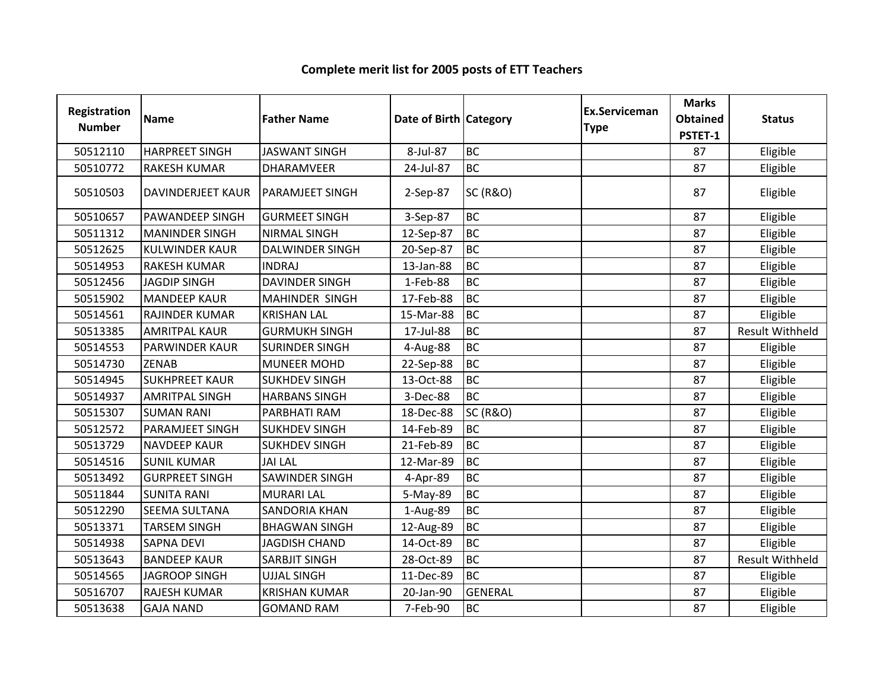#### Registration Numberion Name **Father Name Access Contract Category** Ex.Serviceman Category **Ex.Serviceman** Serviceman Marks<br>
e Obtained<br>
PSTET-1 ed Status<br>1 50512110 HARPREET SINGH JASWANT SINGH 8-Jul-87 BC<br>50510772 RAKESH KUMAR DHARAMVEER 24-Jul-87 BC <sup>87</sup> Eligible RAKESH KUMAR **DHARAMVEER**  <sup>87</sup> Eligible <sup>50510503</sup> DAVINDERJEET KAUR PARAMJEET SINGH 2-Sep-87 SC (R&O) <sup>87</sup> Eligible 50510657 PAWANDEEP SINGH GURMEET SINGH 3-Sep-87 BC<br>50511312 MANINDER SINGH NIRMAL SINGH 12-Sep-87 BC <sup>87</sup> Eligible <sup>50511312</sup> MANINDER SINGH NIRMAL SINGH 12-Sep-87 BC <sup>87</sup> Eligible <sup>50512625</sup> KULWINDER KAUR DALWINDER SINGH 20-Sep-87 BC <sup>87</sup> Eligible 50514953 RAKESH KUMAR INDRAJ | 13-Jan-88 BC<br>50512456 JAGDIP SINGH DAVINDER SINGH | 1-Feb-88 BC <sup>87</sup> Eligible <sup>50512456</sup> JAGDIP SINGH DAVINDER SINGH 1-Feb-88 BC <sup>87</sup> Eligible MAHINDER SINGH 17-Feb-88 BC<br>KRISHAN LAL 15-Mar-88 BC <sup>87</sup> Eligible 50514561 RAJINDER KUMAR KRISHAN LAL 15-Mar-88 BC<br>50513385 AMRITPAL KAUR GURMUKH SINGH 17-Jul-88 BC <sup>87</sup> Eligible <sup>50513385</sup> AMRITPAL KAUR GURMUKH SINGH 17-Jul-88 BC87 Result Withheld<br>87 Eligible PARWINDER KAUR SURINDER SINGH 4-Aug-88 BC<br>ZENAB MUNEER MOHD 22-Sep-88 BC <sup>87</sup> Eligible <sup>50514730</sup> ZENAB MUNEER MOHD 22-Sep-88 BC <sup>87</sup> Eligible **SUKHPREET KAUR**  <sup>87</sup> Eligible 50514937 AMRITPAL SINGH HARBANS SINGH 3-Dec-88 BC<br>50515307 SUMAN RANI PARBHATI RAM 18-Dec-88 SC (R&O) <sup>87</sup> Eligible <sup>50515307</sup> SUMAN RANI PARBHATI RAM 18-Dec-88 SC (R&O) <sup>87</sup> Eligible <sup>50512572</sup> PARAMJEET SINGH SUKHDEV SINGH 14-Feb-89 BC <sup>87</sup> Eligible <sup>50513729</sup> NAVDEEP KAUR SUKHDEV SINGH 21-Feb-89 BC <sup>87</sup> Eligible <sup>50514516</sup> SUNIL KUMAR JAI LAL 12-Mar-89 BC <sup>87</sup> Eligible GURPREET SINGH SAWINDER SINGH 4-Apr-89 BC<br>SUNITA RANI MURARI LAL 5-May-89 BC <sup>87</sup> Eligible <sup>50511844</sup> SUNITA RANI MURARI LAL 5-May-89 BC <sup>87</sup> Eligible 50512290 SEEMA SULTANA SANDORIA KHAN 1-Aug-89 BC<br>50513371 TARSEM SINGH BHAGWAN SINGH 12-Aug-89 BC <sup>87</sup> Eligible BHAGWAN SINGH 12-Aug-89 <sup>87</sup> Eligible 50514938 SAPNA DEVI JAGDISH CHAND 14-Oct-89 BC<br>50513643 BANDEEP KAUR SARBJIT SINGH 28-Oct-89 BC <sup>87</sup> Eligible 50513643 BANDEEP KAUR SARBJIT SINGH 28-Oct-89 BC<br>50514565 JAGROOP SINGH UJJAL SINGH 11-Dec-89 BC 87 Result Withheld<br>87 Eligible JAGROOP SINGH <sup>87</sup> Eligible <sup>50516707</sup> RAJESH KUMAR KRISHAN KUMAR 20-Jan-90 GENERAL <sup>87</sup> Eligible <sup>50513638</sup> GAJA NAND GOMAND RAM 7-Feb-90 BC<sup>87</sup> Eligible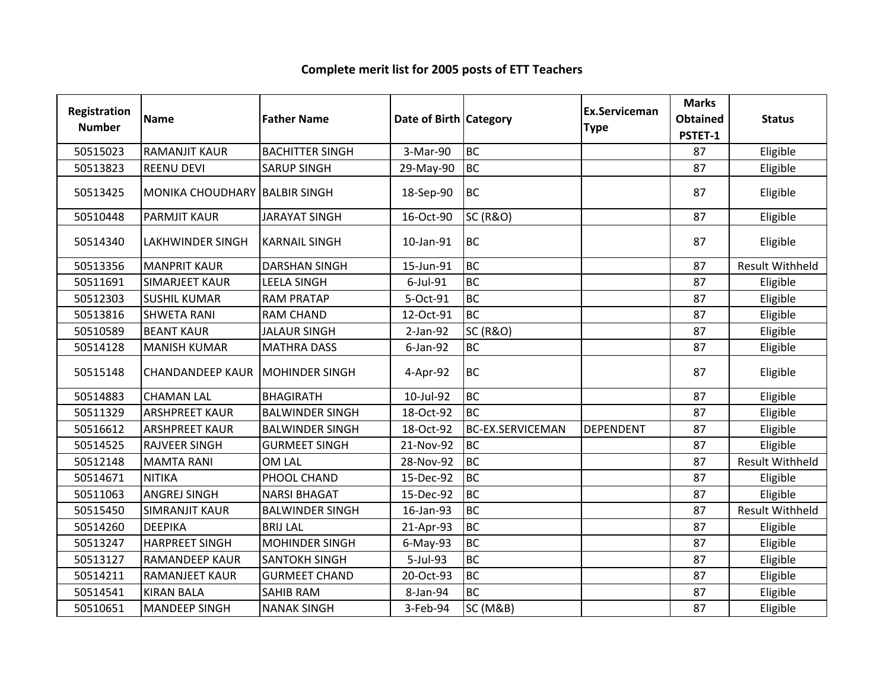| <b>Registration</b><br><b>Number</b> | <b>Name</b>                            | <b>Father Name</b>     | Date of Birth Category |                         | <b>Ex.Serviceman</b><br><b>Type</b> | <b>Marks</b><br><b>Obtained</b><br>PSTET-1 | <b>Status</b>          |
|--------------------------------------|----------------------------------------|------------------------|------------------------|-------------------------|-------------------------------------|--------------------------------------------|------------------------|
| 50515023                             | <b>RAMANJIT KAUR</b>                   | <b>BACHITTER SINGH</b> | 3-Mar-90               | <b>BC</b>               |                                     | 87                                         | Eligible               |
| 50513823                             | <b>REENU DEVI</b>                      | <b>SARUP SINGH</b>     | 29-May-90              | <b>BC</b>               |                                     | 87                                         | Eligible               |
| 50513425                             | MONIKA CHOUDHARY BALBIR SINGH          |                        | 18-Sep-90              | <b>BC</b>               |                                     | 87                                         | Eligible               |
| 50510448                             | <b>PARMJIT KAUR</b>                    | <b>JARAYAT SINGH</b>   | 16-Oct-90              | <b>SC (R&amp;O)</b>     |                                     | 87                                         | Eligible               |
| 50514340                             | <b>LAKHWINDER SINGH</b>                | <b>KARNAIL SINGH</b>   | 10-Jan-91              | <b>BC</b>               |                                     | 87                                         | Eligible               |
| 50513356                             | <b>MANPRIT KAUR</b>                    | <b>DARSHAN SINGH</b>   | 15-Jun-91              | <b>BC</b>               |                                     | 87                                         | <b>Result Withheld</b> |
| 50511691                             | <b>SIMARJEET KAUR</b>                  | <b>LEELA SINGH</b>     | 6-Jul-91               | <b>BC</b>               |                                     | 87                                         | Eligible               |
| 50512303                             | <b>SUSHIL KUMAR</b>                    | <b>RAM PRATAP</b>      | 5-Oct-91               | <b>BC</b>               |                                     | 87                                         | Eligible               |
| 50513816                             | <b>SHWETA RANI</b>                     | <b>RAM CHAND</b>       | 12-Oct-91              | <b>BC</b>               |                                     | 87                                         | Eligible               |
| 50510589                             | <b>BEANT KAUR</b>                      | <b>JALAUR SINGH</b>    | $2-Jan-92$             | <b>SC (R&amp;O)</b>     |                                     | 87                                         | Eligible               |
| 50514128                             | <b>MANISH KUMAR</b>                    | <b>MATHRA DASS</b>     | $6$ -Jan-92            | <b>BC</b>               |                                     | 87                                         | Eligible               |
| 50515148                             | <b>CHANDANDEEP KAUR MOHINDER SINGH</b> |                        | 4-Apr-92               | <b>BC</b>               |                                     | 87                                         | Eligible               |
| 50514883                             | <b>CHAMAN LAL</b>                      | <b>BHAGIRATH</b>       | 10-Jul-92              | <b>BC</b>               |                                     | 87                                         | Eligible               |
| 50511329                             | <b>ARSHPREET KAUR</b>                  | <b>BALWINDER SINGH</b> | 18-Oct-92              | <b>BC</b>               |                                     | 87                                         | Eligible               |
| 50516612                             | <b>ARSHPREET KAUR</b>                  | <b>BALWINDER SINGH</b> | 18-Oct-92              | <b>BC-EX.SERVICEMAN</b> | <b>DEPENDENT</b>                    | 87                                         | Eligible               |
| 50514525                             | <b>RAJVEER SINGH</b>                   | <b>GURMEET SINGH</b>   | 21-Nov-92              | <b>BC</b>               |                                     | 87                                         | Eligible               |
| 50512148                             | <b>MAMTA RANI</b>                      | OM LAL                 | 28-Nov-92              | <b>BC</b>               |                                     | 87                                         | <b>Result Withheld</b> |
| 50514671                             | <b>NITIKA</b>                          | PHOOL CHAND            | 15-Dec-92              | <b>BC</b>               |                                     | 87                                         | Eligible               |
| 50511063                             | <b>ANGREJ SINGH</b>                    | <b>NARSI BHAGAT</b>    | 15-Dec-92              | <b>BC</b>               |                                     | 87                                         | Eligible               |
| 50515450                             | <b>SIMRANJIT KAUR</b>                  | <b>BALWINDER SINGH</b> | 16-Jan-93              | <b>BC</b>               |                                     | 87                                         | <b>Result Withheld</b> |
| 50514260                             | <b>DEEPIKA</b>                         | <b>BRIJ LAL</b>        | 21-Apr-93              | <b>BC</b>               |                                     | 87                                         | Eligible               |
| 50513247                             | <b>HARPREET SINGH</b>                  | <b>MOHINDER SINGH</b>  | 6-May-93               | <b>BC</b>               |                                     | 87                                         | Eligible               |
| 50513127                             | <b>RAMANDEEP KAUR</b>                  | <b>SANTOKH SINGH</b>   | 5-Jul-93               | <b>BC</b>               |                                     | 87                                         | Eligible               |
| 50514211                             | <b>RAMANJEET KAUR</b>                  | <b>GURMEET CHAND</b>   | 20-Oct-93              | <b>BC</b>               |                                     | 87                                         | Eligible               |
| 50514541                             | <b>KIRAN BALA</b>                      | <b>SAHIB RAM</b>       | 8-Jan-94               | <b>BC</b>               |                                     | 87                                         | Eligible               |
| 50510651                             | <b>MANDEEP SINGH</b>                   | <b>NANAK SINGH</b>     | 3-Feb-94               | <b>SC (M&amp;B)</b>     |                                     | 87                                         | Eligible               |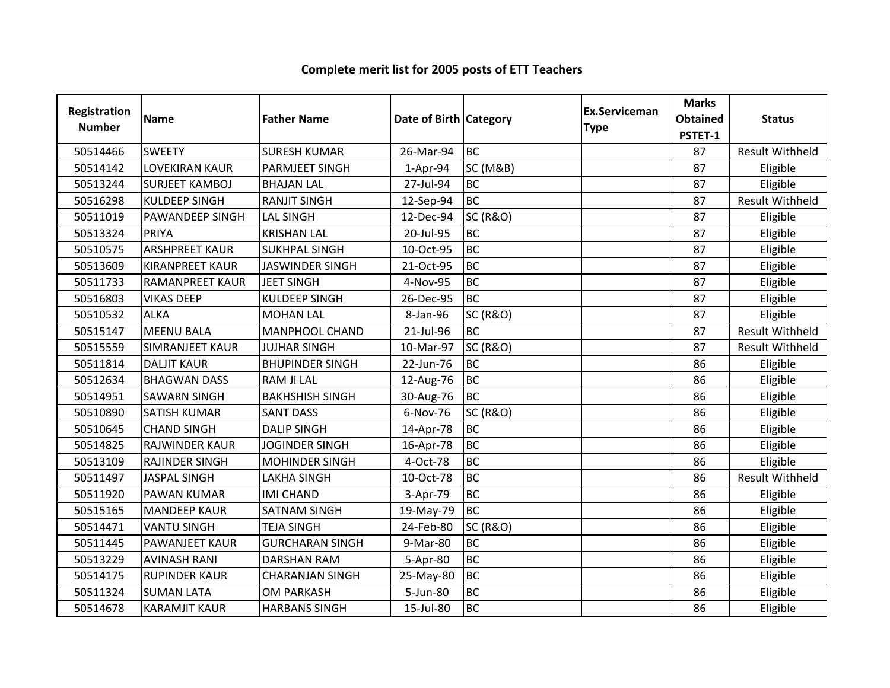| <b>Registration</b><br><b>Number</b> | <b>Name</b>            | <b>Father Name</b>     | Date of Birth   Category |                     | Ex.Serviceman<br><b>Type</b> | <b>Marks</b><br><b>Obtained</b><br>PSTET-1 | <b>Status</b>          |
|--------------------------------------|------------------------|------------------------|--------------------------|---------------------|------------------------------|--------------------------------------------|------------------------|
| 50514466                             | <b>SWEETY</b>          | <b>SURESH KUMAR</b>    | 26-Mar-94                | <b>BC</b>           |                              | 87                                         | <b>Result Withheld</b> |
| 50514142                             | <b>LOVEKIRAN KAUR</b>  | <b>PARMJEET SINGH</b>  | $1-Apr-94$               | <b>SC (M&amp;B)</b> |                              | 87                                         | Eligible               |
| 50513244                             | <b>SURJEET KAMBOJ</b>  | <b>BHAJAN LAL</b>      | 27-Jul-94                | <b>BC</b>           |                              | 87                                         | Eligible               |
| 50516298                             | <b>KULDEEP SINGH</b>   | <b>RANJIT SINGH</b>    | 12-Sep-94                | <b>BC</b>           |                              | 87                                         | <b>Result Withheld</b> |
| 50511019                             | <b>PAWANDEEP SINGH</b> | <b>LAL SINGH</b>       | 12-Dec-94                | <b>SC (R&amp;O)</b> |                              | 87                                         | Eligible               |
| 50513324                             | PRIYA                  | <b>KRISHAN LAL</b>     | 20-Jul-95                | <b>BC</b>           |                              | 87                                         | Eligible               |
| 50510575                             | <b>ARSHPREET KAUR</b>  | <b>SUKHPAL SINGH</b>   | 10-Oct-95                | <b>BC</b>           |                              | 87                                         | Eligible               |
| 50513609                             | <b>KIRANPREET KAUR</b> | <b>JASWINDER SINGH</b> | 21-Oct-95                | <b>BC</b>           |                              | 87                                         | Eligible               |
| 50511733                             | <b>RAMANPREET KAUR</b> | <b>JEET SINGH</b>      | 4-Nov-95                 | <b>BC</b>           |                              | 87                                         | Eligible               |
| 50516803                             | <b>VIKAS DEEP</b>      | <b>KULDEEP SINGH</b>   | 26-Dec-95                | <b>BC</b>           |                              | 87                                         | Eligible               |
| 50510532                             | <b>ALKA</b>            | <b>MOHAN LAL</b>       | 8-Jan-96                 | <b>SC (R&amp;O)</b> |                              | 87                                         | Eligible               |
| 50515147                             | <b>MEENU BALA</b>      | <b>MANPHOOL CHAND</b>  | 21-Jul-96                | <b>BC</b>           |                              | 87                                         | <b>Result Withheld</b> |
| 50515559                             | <b>SIMRANJEET KAUR</b> | <b>JUJHAR SINGH</b>    | 10-Mar-97                | <b>SC (R&amp;O)</b> |                              | 87                                         | Result Withheld        |
| 50511814                             | <b>DALJIT KAUR</b>     | <b>BHUPINDER SINGH</b> | 22-Jun-76                | <b>BC</b>           |                              | 86                                         | Eligible               |
| 50512634                             | <b>BHAGWAN DASS</b>    | <b>RAM JI LAL</b>      | 12-Aug-76                | <b>BC</b>           |                              | 86                                         | Eligible               |
| 50514951                             | <b>SAWARN SINGH</b>    | <b>BAKHSHISH SINGH</b> | 30-Aug-76                | <b>BC</b>           |                              | 86                                         | Eligible               |
| 50510890                             | <b>SATISH KUMAR</b>    | <b>SANT DASS</b>       | 6-Nov-76                 | SC (R&O)            |                              | 86                                         | Eligible               |
| 50510645                             | <b>CHAND SINGH</b>     | <b>DALIP SINGH</b>     | 14-Apr-78                | <b>BC</b>           |                              | 86                                         | Eligible               |
| 50514825                             | RAJWINDER KAUR         | <b>JOGINDER SINGH</b>  | 16-Apr-78                | <b>BC</b>           |                              | 86                                         | Eligible               |
| 50513109                             | <b>RAJINDER SINGH</b>  | <b>MOHINDER SINGH</b>  | 4-Oct-78                 | <b>BC</b>           |                              | 86                                         | Eligible               |
| 50511497                             | <b>JASPAL SINGH</b>    | <b>LAKHA SINGH</b>     | 10-Oct-78                | <b>BC</b>           |                              | 86                                         | <b>Result Withheld</b> |
| 50511920                             | <b>PAWAN KUMAR</b>     | <b>IMI CHAND</b>       | 3-Apr-79                 | <b>BC</b>           |                              | 86                                         | Eligible               |
| 50515165                             | <b>MANDEEP KAUR</b>    | <b>SATNAM SINGH</b>    | 19-May-79                | <b>BC</b>           |                              | 86                                         | Eligible               |
| 50514471                             | <b>VANTU SINGH</b>     | <b>TEJA SINGH</b>      | 24-Feb-80                | <b>SC (R&amp;O)</b> |                              | 86                                         | Eligible               |
| 50511445                             | <b>PAWANJEET KAUR</b>  | <b>GURCHARAN SINGH</b> | 9-Mar-80                 | <b>BC</b>           |                              | 86                                         | Eligible               |
| 50513229                             | <b>AVINASH RANI</b>    | <b>DARSHAN RAM</b>     | 5-Apr-80                 | <b>BC</b>           |                              | 86                                         | Eligible               |
| 50514175                             | <b>RUPINDER KAUR</b>   | <b>CHARANJAN SINGH</b> | 25-May-80                | <b>BC</b>           |                              | 86                                         | Eligible               |
| 50511324                             | <b>SUMAN LATA</b>      | <b>OM PARKASH</b>      | 5-Jun-80                 | <b>BC</b>           |                              | 86                                         | Eligible               |
| 50514678                             | <b>KARAMJIT KAUR</b>   | <b>HARBANS SINGH</b>   | 15-Jul-80                | <b>BC</b>           |                              | 86                                         | Eligible               |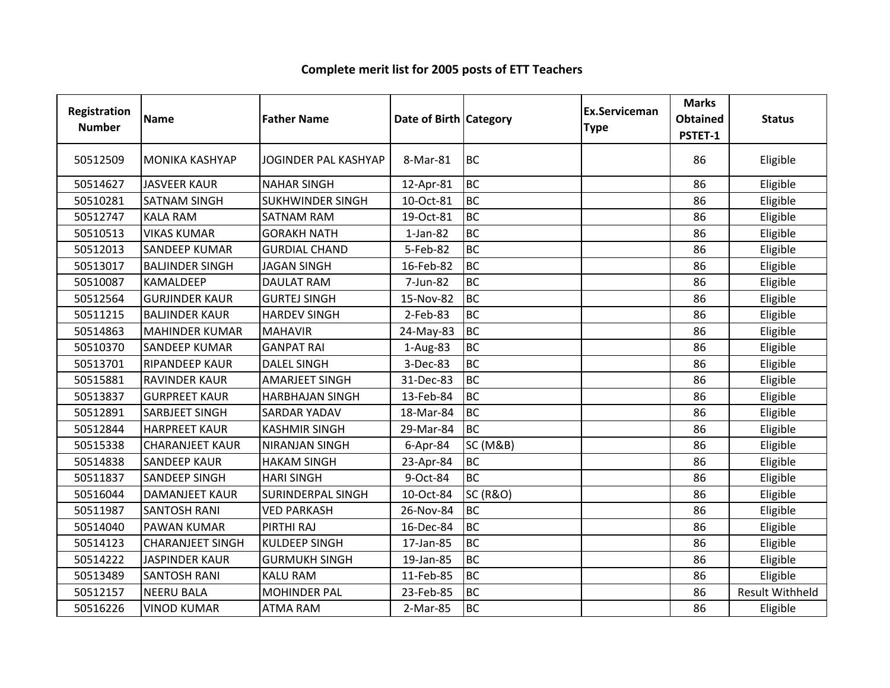| Registration<br><b>Number</b> | <b>Name</b>             | <b>Father Name</b>          | Date of Birth Category |                     | <b>Ex.Serviceman</b><br><b>Type</b> | <b>Marks</b><br><b>Obtained</b><br>PSTET-1 | <b>Status</b>          |
|-------------------------------|-------------------------|-----------------------------|------------------------|---------------------|-------------------------------------|--------------------------------------------|------------------------|
| 50512509                      | <b>MONIKA KASHYAP</b>   | <b>JOGINDER PAL KASHYAP</b> | 8-Mar-81               | <b>BC</b>           |                                     | 86                                         | Eligible               |
| 50514627                      | <b>JASVEER KAUR</b>     | <b>NAHAR SINGH</b>          | 12-Apr-81              | <b>BC</b>           |                                     | 86                                         | Eligible               |
| 50510281                      | <b>SATNAM SINGH</b>     | <b>SUKHWINDER SINGH</b>     | 10-Oct-81              | <b>BC</b>           |                                     | 86                                         | Eligible               |
| 50512747                      | <b>KALA RAM</b>         | <b>SATNAM RAM</b>           | 19-Oct-81              | <b>BC</b>           |                                     | 86                                         | Eligible               |
| 50510513                      | <b>VIKAS KUMAR</b>      | <b>GORAKH NATH</b>          | $1-Jan-82$             | <b>BC</b>           |                                     | 86                                         | Eligible               |
| 50512013                      | <b>SANDEEP KUMAR</b>    | <b>GURDIAL CHAND</b>        | 5-Feb-82               | <b>BC</b>           |                                     | 86                                         | Eligible               |
| 50513017                      | <b>BALJINDER SINGH</b>  | <b>JAGAN SINGH</b>          | 16-Feb-82              | <b>BC</b>           |                                     | 86                                         | Eligible               |
| 50510087                      | <b>KAMALDEEP</b>        | <b>DAULAT RAM</b>           | 7-Jun-82               | <b>BC</b>           |                                     | 86                                         | Eligible               |
| 50512564                      | <b>GURJINDER KAUR</b>   | <b>GURTEJ SINGH</b>         | 15-Nov-82              | <b>BC</b>           |                                     | 86                                         | Eligible               |
| 50511215                      | <b>BALJINDER KAUR</b>   | <b>HARDEV SINGH</b>         | 2-Feb-83               | <b>BC</b>           |                                     | 86                                         | Eligible               |
| 50514863                      | <b>MAHINDER KUMAR</b>   | <b>MAHAVIR</b>              | 24-May-83              | <b>BC</b>           |                                     | 86                                         | Eligible               |
| 50510370                      | <b>SANDEEP KUMAR</b>    | <b>GANPAT RAI</b>           | 1-Aug-83               | <b>BC</b>           |                                     | 86                                         | Eligible               |
| 50513701                      | <b>RIPANDEEP KAUR</b>   | <b>DALEL SINGH</b>          | 3-Dec-83               | <b>BC</b>           |                                     | 86                                         | Eligible               |
| 50515881                      | <b>RAVINDER KAUR</b>    | <b>AMARJEET SINGH</b>       | 31-Dec-83              | <b>BC</b>           |                                     | 86                                         | Eligible               |
| 50513837                      | <b>GURPREET KAUR</b>    | <b>HARBHAJAN SINGH</b>      | 13-Feb-84              | <b>BC</b>           |                                     | 86                                         | Eligible               |
| 50512891                      | SARBJEET SINGH          | <b>SARDAR YADAV</b>         | 18-Mar-84              | <b>BC</b>           |                                     | 86                                         | Eligible               |
| 50512844                      | <b>HARPREET KAUR</b>    | <b>KASHMIR SINGH</b>        | 29-Mar-84              | <b>BC</b>           |                                     | 86                                         | Eligible               |
| 50515338                      | <b>CHARANJEET KAUR</b>  | <b>NIRANJAN SINGH</b>       | $6$ -Apr-84            | <b>SC (M&amp;B)</b> |                                     | 86                                         | Eligible               |
| 50514838                      | <b>SANDEEP KAUR</b>     | <b>HAKAM SINGH</b>          | 23-Apr-84              | <b>BC</b>           |                                     | 86                                         | Eligible               |
| 50511837                      | <b>SANDEEP SINGH</b>    | <b>HARI SINGH</b>           | 9-Oct-84               | <b>BC</b>           |                                     | 86                                         | Eligible               |
| 50516044                      | <b>DAMANJEET KAUR</b>   | <b>SURINDERPAL SINGH</b>    | 10-Oct-84              | <b>SC (R&amp;O)</b> |                                     | 86                                         | Eligible               |
| 50511987                      | <b>SANTOSH RANI</b>     | <b>VED PARKASH</b>          | 26-Nov-84              | <b>BC</b>           |                                     | 86                                         | Eligible               |
| 50514040                      | <b>PAWAN KUMAR</b>      | PIRTHI RAJ                  | 16-Dec-84              | <b>BC</b>           |                                     | 86                                         | Eligible               |
| 50514123                      | <b>CHARANJEET SINGH</b> | <b>KULDEEP SINGH</b>        | 17-Jan-85              | <b>BC</b>           |                                     | 86                                         | Eligible               |
| 50514222                      | <b>JASPINDER KAUR</b>   | <b>GURMUKH SINGH</b>        | 19-Jan-85              | <b>BC</b>           |                                     | 86                                         | Eligible               |
| 50513489                      | <b>SANTOSH RANI</b>     | <b>KALU RAM</b>             | 11-Feb-85              | <b>BC</b>           |                                     | 86                                         | Eligible               |
| 50512157                      | <b>NEERU BALA</b>       | <b>MOHINDER PAL</b>         | 23-Feb-85              | <b>BC</b>           |                                     | 86                                         | <b>Result Withheld</b> |
| 50516226                      | <b>VINOD KUMAR</b>      | <b>ATMA RAM</b>             | 2-Mar-85               | <b>BC</b>           |                                     | 86                                         | Eligible               |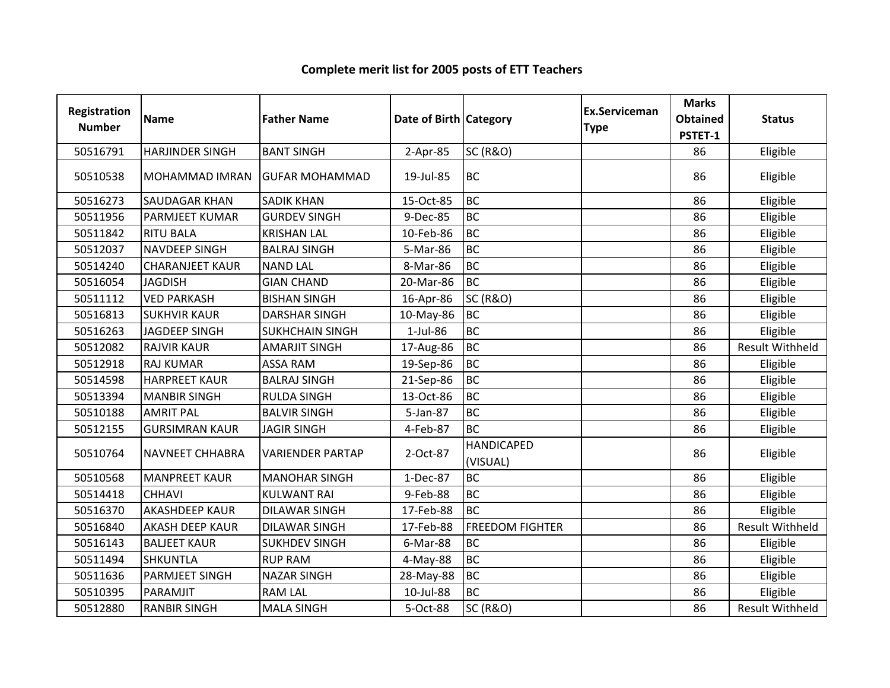#### Registration Numberion Name **Father Name Access Contract Category** Ex.Serviceman Category **Ex.Serviceman** Serviceman Marks<br>
e Obtained<br>
PSTET-1 ed Status<br>1 <sup>50516791</sup> HARJINDER SINGH BANT SINGH 2-Apr-85 SC (R&O) <sup>86</sup> Eligible <sup>50510538</sup> MOHAMMAD IMRAN GUFAR MOHAMMAD 19-Jul-85 BC <sup>86</sup> Eligible 50516273 SAUDAGAR KHAN SADIK KHAN 15-Oct-85 BC<br>50511956 PARMJEET KUMAR GURDEV SINGH 9-Dec-85 BC <sup>86</sup> Eligible 50511956 PARMJEET KUMAR GURDEV SINGH 9-Dec-85 BC<br>50511842 RITU BALA KRISHAN LAL 10-Feb-86 BC <sup>86</sup> Eligible 50511842 RITU BALA KRISHAN LAL 10-Feb-86 BC <sup>86</sup> Eligible 50512037 NAVDEEP SINGH BALRAJ SINGH 5-Mar-86 BC<br>50514240 CHARANJEET KAUR NAND LAL 8-Mar-86 BC <sup>86</sup> Eligible 50514240 CHARANJEET KAUR NAND LAL 8-Mar-86 BC<br>50516054 JAGDISH GIAN CHAND 20-Mar-86 BC <sup>86</sup> Eligible <sup>50516054</sup> JAGDISH GIAN CHAND 20-Mar-86 BC <sup>86</sup> Eligible <sup>50511112</sup> VED PARKASH BISHAN SINGH 16-Apr-86 SC (R&O) <sup>86</sup> Eligible <sup>50516813</sup> SUKHVIR KAUR DARSHAR SINGH 10-May-86 BC <sup>86</sup> Eligible <sup>50516263</sup> JAGDEEP SINGH SUKHCHAIN SINGH 1-Jul-86 BC <sup>86</sup> Eligible <sup>50512082</sup> RAJVIR KAUR AMARJIT SINGH 17-Aug-86 BC86 Result Withheld<br>86 Eligible <sup>50512918</sup> RAJ KUMAR ASSA RAM 19-Sep-86 BC <sup>86</sup> Eligible <sup>50514598</sup> HARPREET KAUR BALRAJ SINGH 21-Sep-86 BC <sup>86</sup> Eligible 50513394 MANBIR SINGH RULDA SINGH 13-Oct-86 BC<br>50510188 AMRIT PAL BALVIR SINGH 5-Jan-87 BC <sup>86</sup> Eligible 50510188 AMRIT PAL BALVIR SINGH 5-Jan-87 BC<br>50512155 GURSIMRAN KAUR JAGIR SINGH 4-Feb-87 BC <sup>86</sup> Eligible **GURSIMRAN KAUR**  <sup>86</sup> Eligible <sup>50510764</sup> NAVNEET CHHABRA VARIENDER PARTAP 2-Oct-87HANDICAPED (VISUAL)en 1986 | Eligible<br>) <sup>50510568</sup> MANPREET KAUR MANOHAR SINGH 1-Dec-87 BC <sup>86</sup> Eligible <sup>50514418</sup> CHHAVI KULWANT RAI 9-Feb-88 BC <sup>86</sup> Eligible <sup>50516370</sup> AKASHDEEP KAUR DILAWAR SINGH 17-Feb-88 BC <sup>86</sup> Eligible <sup>50516840</sup> AKASH DEEP KAUR DILAWAR SINGH 17-Feb-88 FREEDOM FIGHTER <sup>86</sup> Result Withheld50516143 BALJEET KAUR SUKHDEV SINGH 6-Mar-88 BC<br>50511494 SHKUNTLA RUP RAM 4-May-88 BC <sup>86</sup> Eligible <sup>50511494</sup> SHKUNTLA RUP RAM 4-May-88 BC <sup>86</sup> Eligible <sup>50511636</sup> PARMJEET SINGH NAZAR SINGH 28-May-88 BC <sup>86</sup> Eligible 50510395 PARAMJIT RAM LAL 10-Jul-88 BC <sup>86</sup> Eligible 50512880 RANBIR SINGH MALA SINGH SOCt-88 SC (R&O) Result Withheld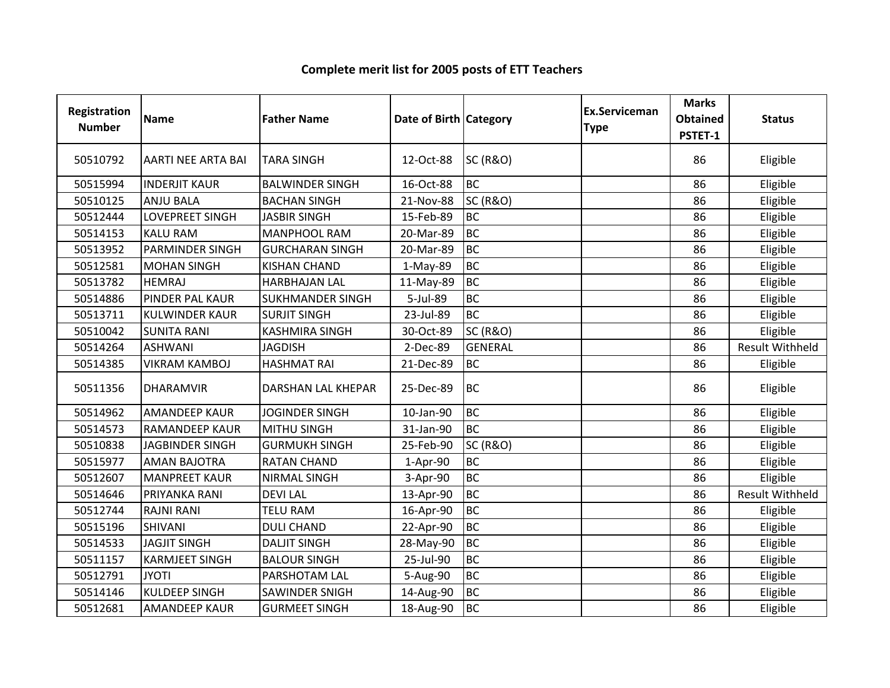| Registration<br><b>Number</b> | Name                      | <b>Father Name</b>      | Date of Birth Category |                     | <b>Ex.Serviceman</b><br><b>Type</b> | <b>Marks</b><br><b>Obtained</b><br>PSTET-1 | <b>Status</b>          |
|-------------------------------|---------------------------|-------------------------|------------------------|---------------------|-------------------------------------|--------------------------------------------|------------------------|
| 50510792                      | <b>AARTI NEE ARTA BAI</b> | <b>TARA SINGH</b>       | 12-Oct-88              | <b>SC (R&amp;O)</b> |                                     | 86                                         | Eligible               |
| 50515994                      | <b>INDERJIT KAUR</b>      | <b>BALWINDER SINGH</b>  | 16-Oct-88              | <b>BC</b>           |                                     | 86                                         | Eligible               |
| 50510125                      | <b>ANJU BALA</b>          | <b>BACHAN SINGH</b>     | 21-Nov-88              | <b>SC (R&amp;O)</b> |                                     | 86                                         | Eligible               |
| 50512444                      | LOVEPREET SINGH           | <b>JASBIR SINGH</b>     | 15-Feb-89              | <b>BC</b>           |                                     | 86                                         | Eligible               |
| 50514153                      | <b>KALU RAM</b>           | <b>MANPHOOL RAM</b>     | 20-Mar-89              | <b>BC</b>           |                                     | 86                                         | Eligible               |
| 50513952                      | <b>PARMINDER SINGH</b>    | <b>GURCHARAN SINGH</b>  | 20-Mar-89              | <b>BC</b>           |                                     | 86                                         | Eligible               |
| 50512581                      | <b>MOHAN SINGH</b>        | <b>KISHAN CHAND</b>     | 1-May-89               | <b>BC</b>           |                                     | 86                                         | Eligible               |
| 50513782                      | <b>HEMRAJ</b>             | <b>HARBHAJAN LAL</b>    | 11-May-89              | <b>BC</b>           |                                     | 86                                         | Eligible               |
| 50514886                      | PINDER PAL KAUR           | <b>SUKHMANDER SINGH</b> | 5-Jul-89               | <b>BC</b>           |                                     | 86                                         | Eligible               |
| 50513711                      | <b>KULWINDER KAUR</b>     | <b>SURJIT SINGH</b>     | 23-Jul-89              | <b>BC</b>           |                                     | 86                                         | Eligible               |
| 50510042                      | <b>SUNITA RANI</b>        | <b>KASHMIRA SINGH</b>   | 30-Oct-89              | <b>SC (R&amp;O)</b> |                                     | 86                                         | Eligible               |
| 50514264                      | <b>ASHWANI</b>            | <b>JAGDISH</b>          | 2-Dec-89               | <b>GENERAL</b>      |                                     | 86                                         | <b>Result Withheld</b> |
| 50514385                      | <b>VIKRAM KAMBOJ</b>      | <b>HASHMAT RAI</b>      | 21-Dec-89              | <b>BC</b>           |                                     | 86                                         | Eligible               |
| 50511356                      | <b>DHARAMVIR</b>          | DARSHAN LAL KHEPAR      | 25-Dec-89              | <b>BC</b>           |                                     | 86                                         | Eligible               |
| 50514962                      | <b>AMANDEEP KAUR</b>      | <b>JOGINDER SINGH</b>   | 10-Jan-90              | <b>BC</b>           |                                     | 86                                         | Eligible               |
| 50514573                      | <b>RAMANDEEP KAUR</b>     | <b>MITHU SINGH</b>      | 31-Jan-90              | <b>BC</b>           |                                     | 86                                         | Eligible               |
| 50510838                      | <b>JAGBINDER SINGH</b>    | <b>GURMUKH SINGH</b>    | 25-Feb-90              | <b>SC (R&amp;O)</b> |                                     | 86                                         | Eligible               |
| 50515977                      | <b>AMAN BAJOTRA</b>       | <b>RATAN CHAND</b>      | 1-Apr-90               | <b>BC</b>           |                                     | 86                                         | Eligible               |
| 50512607                      | <b>MANPREET KAUR</b>      | <b>NIRMAL SINGH</b>     | 3-Apr-90               | <b>BC</b>           |                                     | 86                                         | Eligible               |
| 50514646                      | PRIYANKA RANI             | <b>DEVILAL</b>          | 13-Apr-90              | <b>BC</b>           |                                     | 86                                         | <b>Result Withheld</b> |
| 50512744                      | <b>RAJNI RANI</b>         | <b>TELU RAM</b>         | 16-Apr-90              | <b>BC</b>           |                                     | 86                                         | Eligible               |
| 50515196                      | <b>SHIVANI</b>            | <b>DULI CHAND</b>       | 22-Apr-90              | <b>BC</b>           |                                     | 86                                         | Eligible               |
| 50514533                      | <b>JAGJIT SINGH</b>       | <b>DALJIT SINGH</b>     | 28-May-90              | <b>BC</b>           |                                     | 86                                         | Eligible               |
| 50511157                      | <b>KARMJEET SINGH</b>     | <b>BALOUR SINGH</b>     | 25-Jul-90              | <b>BC</b>           |                                     | 86                                         | Eligible               |
| 50512791                      | <b>JYOTI</b>              | PARSHOTAM LAL           | 5-Aug-90               | <b>BC</b>           |                                     | 86                                         | Eligible               |
| 50514146                      | <b>KULDEEP SINGH</b>      | SAWINDER SNIGH          | 14-Aug-90              | <b>BC</b>           |                                     | 86                                         | Eligible               |
| 50512681                      | <b>AMANDEEP KAUR</b>      | <b>GURMEET SINGH</b>    | 18-Aug-90              | <b>BC</b>           |                                     | 86                                         | Eligible               |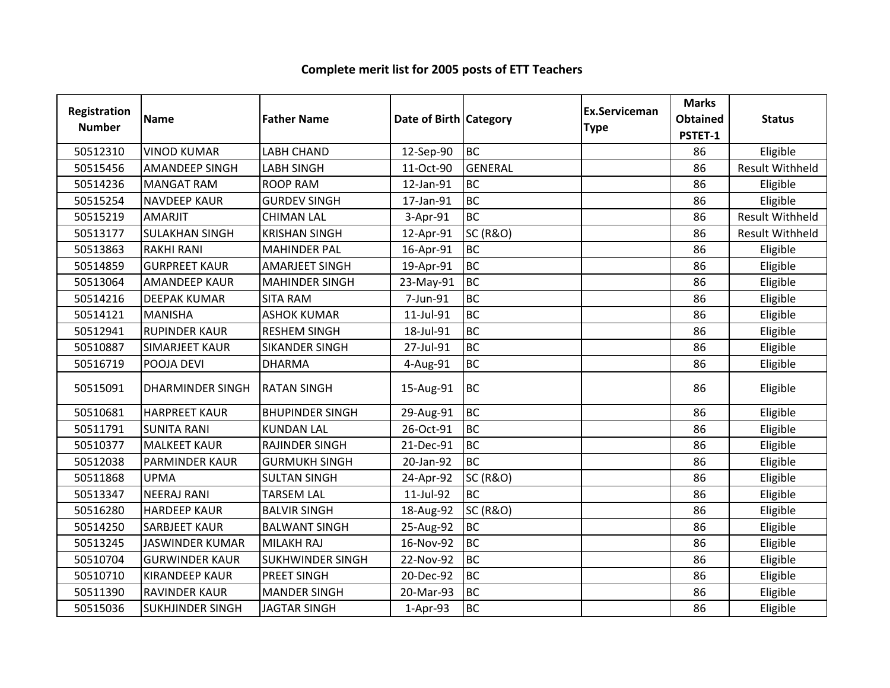| Registration<br><b>Number</b> | <b>Name</b>             | <b>Father Name</b>      | Date of Birth Category |                     | Ex.Serviceman<br><b>Type</b> | <b>Marks</b><br><b>Obtained</b><br>PSTET-1 | <b>Status</b>          |
|-------------------------------|-------------------------|-------------------------|------------------------|---------------------|------------------------------|--------------------------------------------|------------------------|
| 50512310                      | <b>VINOD KUMAR</b>      | <b>LABH CHAND</b>       | 12-Sep-90              | <b>BC</b>           |                              | 86                                         | Eligible               |
| 50515456                      | <b>AMANDEEP SINGH</b>   | <b>LABH SINGH</b>       | 11-Oct-90              | <b>GENERAL</b>      |                              | 86                                         | <b>Result Withheld</b> |
| 50514236                      | <b>MANGAT RAM</b>       | <b>ROOP RAM</b>         | 12-Jan-91              | <b>BC</b>           |                              | 86                                         | Eligible               |
| 50515254                      | <b>NAVDEEP KAUR</b>     | <b>GURDEV SINGH</b>     | 17-Jan-91              | <b>BC</b>           |                              | 86                                         | Eligible               |
| 50515219                      | <b>AMARJIT</b>          | <b>CHIMAN LAL</b>       | 3-Apr-91               | <b>BC</b>           |                              | 86                                         | <b>Result Withheld</b> |
| 50513177                      | <b>SULAKHAN SINGH</b>   | <b>KRISHAN SINGH</b>    | 12-Apr-91              | <b>SC (R&amp;O)</b> |                              | 86                                         | <b>Result Withheld</b> |
| 50513863                      | <b>RAKHI RANI</b>       | <b>MAHINDER PAL</b>     | 16-Apr-91              | <b>BC</b>           |                              | 86                                         | Eligible               |
| 50514859                      | <b>GURPREET KAUR</b>    | AMARJEET SINGH          | 19-Apr-91              | <b>BC</b>           |                              | 86                                         | Eligible               |
| 50513064                      | <b>AMANDEEP KAUR</b>    | <b>MAHINDER SINGH</b>   | 23-May-91              | <b>BC</b>           |                              | 86                                         | Eligible               |
| 50514216                      | <b>DEEPAK KUMAR</b>     | <b>SITA RAM</b>         | 7-Jun-91               | <b>BC</b>           |                              | 86                                         | Eligible               |
| 50514121                      | <b>MANISHA</b>          | <b>ASHOK KUMAR</b>      | 11-Jul-91              | <b>BC</b>           |                              | 86                                         | Eligible               |
| 50512941                      | <b>RUPINDER KAUR</b>    | <b>RESHEM SINGH</b>     | 18-Jul-91              | <b>BC</b>           |                              | 86                                         | Eligible               |
| 50510887                      | <b>SIMARJEET KAUR</b>   | <b>SIKANDER SINGH</b>   | 27-Jul-91              | <b>BC</b>           |                              | 86                                         | Eligible               |
| 50516719                      | POOJA DEVI              | <b>DHARMA</b>           | 4-Aug-91               | <b>BC</b>           |                              | 86                                         | Eligible               |
| 50515091                      | <b>DHARMINDER SINGH</b> | <b>RATAN SINGH</b>      | 15-Aug-91              | <b>BC</b>           |                              | 86                                         | Eligible               |
| 50510681                      | <b>HARPREET KAUR</b>    | <b>BHUPINDER SINGH</b>  | 29-Aug-91              | <b>BC</b>           |                              | 86                                         | Eligible               |
| 50511791                      | <b>SUNITA RANI</b>      | <b>KUNDAN LAL</b>       | 26-Oct-91              | <b>BC</b>           |                              | 86                                         | Eligible               |
| 50510377                      | <b>MALKEET KAUR</b>     | <b>RAJINDER SINGH</b>   | 21-Dec-91              | <b>BC</b>           |                              | 86                                         | Eligible               |
| 50512038                      | <b>PARMINDER KAUR</b>   | <b>GURMUKH SINGH</b>    | 20-Jan-92              | <b>BC</b>           |                              | 86                                         | Eligible               |
| 50511868                      | <b>UPMA</b>             | <b>SULTAN SINGH</b>     | 24-Apr-92              | <b>SC (R&amp;O)</b> |                              | 86                                         | Eligible               |
| 50513347                      | <b>NEERAJ RANI</b>      | <b>TARSEM LAL</b>       | 11-Jul-92              | <b>BC</b>           |                              | 86                                         | Eligible               |
| 50516280                      | <b>HARDEEP KAUR</b>     | <b>BALVIR SINGH</b>     | 18-Aug-92              | <b>SC (R&amp;O)</b> |                              | 86                                         | Eligible               |
| 50514250                      | <b>SARBJEET KAUR</b>    | <b>BALWANT SINGH</b>    | 25-Aug-92              | <b>BC</b>           |                              | 86                                         | Eligible               |
| 50513245                      | <b>JASWINDER KUMAR</b>  | MILAKH RAJ              | 16-Nov-92              | <b>BC</b>           |                              | 86                                         | Eligible               |
| 50510704                      | <b>GURWINDER KAUR</b>   | <b>SUKHWINDER SINGH</b> | 22-Nov-92              | <b>BC</b>           |                              | 86                                         | Eligible               |
| 50510710                      | <b>KIRANDEEP KAUR</b>   | <b>PREET SINGH</b>      | 20-Dec-92              | <b>BC</b>           |                              | 86                                         | Eligible               |
| 50511390                      | <b>RAVINDER KAUR</b>    | <b>MANDER SINGH</b>     | 20-Mar-93              | <b>BC</b>           |                              | 86                                         | Eligible               |
| 50515036                      | <b>SUKHJINDER SINGH</b> | <b>JAGTAR SINGH</b>     | $1-Apr-93$             | <b>BC</b>           |                              | 86                                         | Eligible               |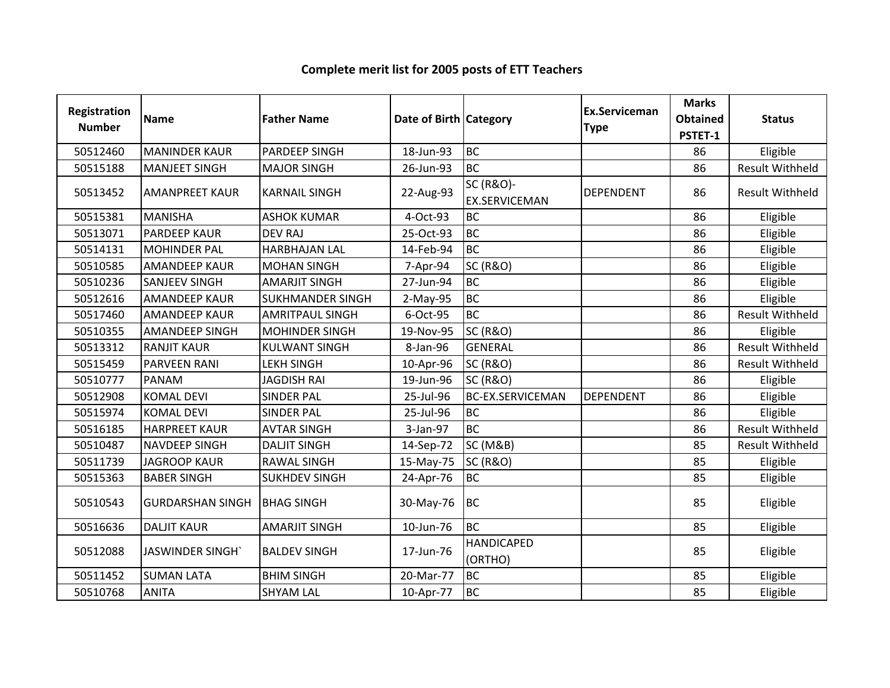| Registration<br><b>Number</b> | <b>Name</b>             | <b>Father Name</b>      | Date of Birth   Category |                                              | Ex.Serviceman<br><b>Type</b> | <b>Marks</b><br><b>Obtained</b><br>PSTET-1 | <b>Status</b>          |
|-------------------------------|-------------------------|-------------------------|--------------------------|----------------------------------------------|------------------------------|--------------------------------------------|------------------------|
| 50512460                      | <b>MANINDER KAUR</b>    | PARDEEP SINGH           | 18-Jun-93                | <b>BC</b>                                    |                              | 86                                         | Eligible               |
| 50515188                      | <b>MANJEET SINGH</b>    | <b>MAJOR SINGH</b>      | 26-Jun-93                | <b>BC</b>                                    |                              | 86                                         | <b>Result Withheld</b> |
| 50513452                      | <b>AMANPREET KAUR</b>   | <b>KARNAIL SINGH</b>    | 22-Aug-93                | <b>SC (R&amp;O)-</b><br><b>EX.SERVICEMAN</b> | <b>DEPENDENT</b>             | 86                                         | <b>Result Withheld</b> |
| 50515381                      | <b>MANISHA</b>          | <b>ASHOK KUMAR</b>      | 4-Oct-93                 | <b>BC</b>                                    |                              | 86                                         | Eligible               |
| 50513071                      | <b>PARDEEP KAUR</b>     | <b>DEV RAJ</b>          | 25-Oct-93                | <b>BC</b>                                    |                              | 86                                         | Eligible               |
| 50514131                      | <b>MOHINDER PAL</b>     | <b>HARBHAJAN LAL</b>    | 14-Feb-94                | <b>BC</b>                                    |                              | 86                                         | Eligible               |
| 50510585                      | <b>AMANDEEP KAUR</b>    | <b>MOHAN SINGH</b>      | 7-Apr-94                 | <b>SC (R&amp;O)</b>                          |                              | 86                                         | Eligible               |
| 50510236                      | <b>SANJEEV SINGH</b>    | <b>AMARJIT SINGH</b>    | 27-Jun-94                | <b>BC</b>                                    |                              | 86                                         | Eligible               |
| 50512616                      | <b>AMANDEEP KAUR</b>    | <b>SUKHMANDER SINGH</b> | 2-May-95                 | <b>BC</b>                                    |                              | 86                                         | Eligible               |
| 50517460                      | <b>AMANDEEP KAUR</b>    | <b>AMRITPAUL SINGH</b>  | 6-Oct-95                 | <b>BC</b>                                    |                              | 86                                         | <b>Result Withheld</b> |
| 50510355                      | <b>AMANDEEP SINGH</b>   | <b>MOHINDER SINGH</b>   | 19-Nov-95                | <b>SC (R&amp;O)</b>                          |                              | 86                                         | Eligible               |
| 50513312                      | <b>RANJIT KAUR</b>      | <b>KULWANT SINGH</b>    | 8-Jan-96                 | <b>GENERAL</b>                               |                              | 86                                         | <b>Result Withheld</b> |
| 50515459                      | <b>PARVEEN RANI</b>     | <b>LEKH SINGH</b>       | 10-Apr-96                | <b>SC (R&amp;O)</b>                          |                              | 86                                         | <b>Result Withheld</b> |
| 50510777                      | PANAM                   | <b>JAGDISH RAI</b>      | 19-Jun-96                | <b>SC (R&amp;O)</b>                          |                              | 86                                         | Eligible               |
| 50512908                      | <b>KOMAL DEVI</b>       | <b>SINDER PAL</b>       | 25-Jul-96                | <b>BC-EX.SERVICEMAN</b>                      | <b>DEPENDENT</b>             | 86                                         | Eligible               |
| 50515974                      | <b>KOMAL DEVI</b>       | <b>SINDER PAL</b>       | 25-Jul-96                | <b>BC</b>                                    |                              | 86                                         | Eligible               |
| 50516185                      | <b>HARPREET KAUR</b>    | <b>AVTAR SINGH</b>      | 3-Jan-97                 | <b>BC</b>                                    |                              | 86                                         | <b>Result Withheld</b> |
| 50510487                      | NAVDEEP SINGH           | <b>DALJIT SINGH</b>     | 14-Sep-72                | <b>SC (M&amp;B)</b>                          |                              | 85                                         | <b>Result Withheld</b> |
| 50511739                      | <b>JAGROOP KAUR</b>     | <b>RAWAL SINGH</b>      | 15-May-75                | <b>SC (R&amp;O)</b>                          |                              | 85                                         | Eligible               |
| 50515363                      | <b>BABER SINGH</b>      | <b>SUKHDEV SINGH</b>    | 24-Apr-76                | <b>BC</b>                                    |                              | 85                                         | Eligible               |
| 50510543                      | <b>GURDARSHAN SINGH</b> | <b>BHAG SINGH</b>       | 30-May-76                | <b>BC</b>                                    |                              | 85                                         | Eligible               |
| 50516636                      | <b>DALJIT KAUR</b>      | <b>AMARJIT SINGH</b>    | 10-Jun-76                | <b>BC</b>                                    |                              | 85                                         | Eligible               |
| 50512088                      | JASWINDER SINGH'        | <b>BALDEV SINGH</b>     | 17-Jun-76                | <b>HANDICAPED</b><br>(ORTHO)                 |                              | 85                                         | Eligible               |
| 50511452                      | <b>SUMAN LATA</b>       | <b>BHIM SINGH</b>       | 20-Mar-77                | <b>BC</b>                                    |                              | 85                                         | Eligible               |
| 50510768                      | <b>ANITA</b>            | <b>SHYAM LAL</b>        | 10-Apr-77                | <b>BC</b>                                    |                              | 85                                         | Eligible               |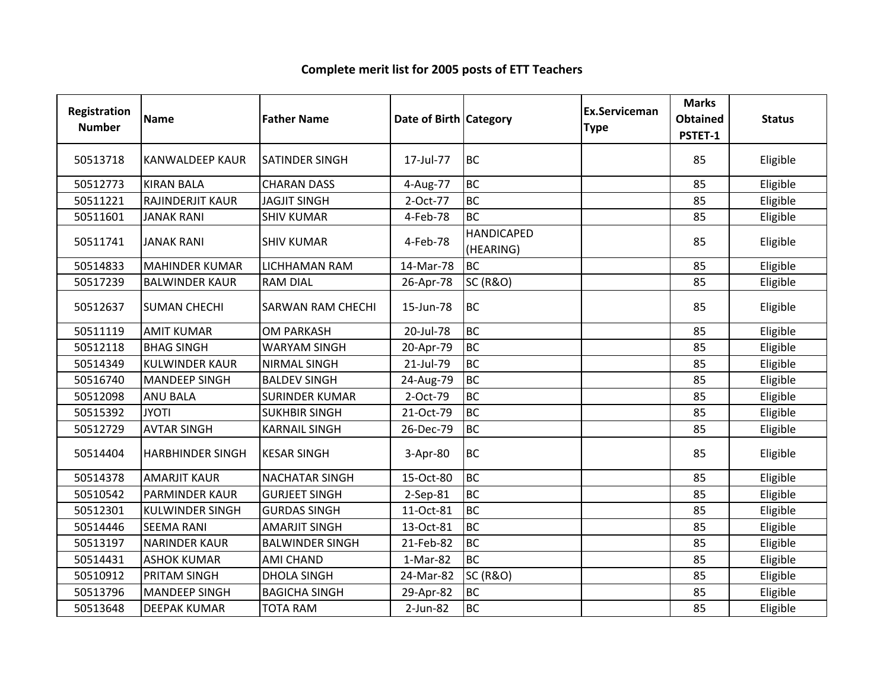| Registration<br><b>Number</b> | Name                    | <b>Father Name</b>       | Date of Birth Category |                                | <b>Ex.Serviceman</b><br><b>Type</b> | <b>Marks</b><br><b>Obtained</b><br>PSTET-1 | <b>Status</b> |
|-------------------------------|-------------------------|--------------------------|------------------------|--------------------------------|-------------------------------------|--------------------------------------------|---------------|
| 50513718                      | <b>KANWALDEEP KAUR</b>  | <b>SATINDER SINGH</b>    | 17-Jul-77              | <b>BC</b>                      |                                     | 85                                         | Eligible      |
| 50512773                      | <b>KIRAN BALA</b>       | <b>CHARAN DASS</b>       | 4-Aug-77               | <b>BC</b>                      |                                     | 85                                         | Eligible      |
| 50511221                      | RAJINDERJIT KAUR        | <b>JAGJIT SINGH</b>      | 2-Oct-77               | <b>BC</b>                      |                                     | 85                                         | Eligible      |
| 50511601                      | <b>JANAK RANI</b>       | <b>SHIV KUMAR</b>        | 4-Feb-78               | <b>BC</b>                      |                                     | 85                                         | Eligible      |
| 50511741                      | <b>JANAK RANI</b>       | <b>SHIV KUMAR</b>        | 4-Feb-78               | <b>HANDICAPED</b><br>(HEARING) |                                     | 85                                         | Eligible      |
| 50514833                      | <b>MAHINDER KUMAR</b>   | LICHHAMAN RAM            | 14-Mar-78              | <b>BC</b>                      |                                     | 85                                         | Eligible      |
| 50517239                      | <b>BALWINDER KAUR</b>   | <b>RAM DIAL</b>          | 26-Apr-78              | <b>SC (R&amp;O)</b>            |                                     | 85                                         | Eligible      |
| 50512637                      | <b>SUMAN CHECHI</b>     | <b>SARWAN RAM CHECHI</b> | 15-Jun-78              | <b>BC</b>                      |                                     | 85                                         | Eligible      |
| 50511119                      | <b>AMIT KUMAR</b>       | <b>OM PARKASH</b>        | 20-Jul-78              | <b>BC</b>                      |                                     | 85                                         | Eligible      |
| 50512118                      | <b>BHAG SINGH</b>       | <b>WARYAM SINGH</b>      | 20-Apr-79              | <b>BC</b>                      |                                     | 85                                         | Eligible      |
| 50514349                      | <b>KULWINDER KAUR</b>   | <b>NIRMAL SINGH</b>      | 21-Jul-79              | <b>BC</b>                      |                                     | 85                                         | Eligible      |
| 50516740                      | <b>MANDEEP SINGH</b>    | <b>BALDEV SINGH</b>      | 24-Aug-79              | <b>BC</b>                      |                                     | 85                                         | Eligible      |
| 50512098                      | <b>ANU BALA</b>         | <b>SURINDER KUMAR</b>    | 2-Oct-79               | <b>BC</b>                      |                                     | 85                                         | Eligible      |
| 50515392                      | <b>JYOTI</b>            | <b>SUKHBIR SINGH</b>     | 21-Oct-79              | <b>BC</b>                      |                                     | 85                                         | Eligible      |
| 50512729                      | <b>AVTAR SINGH</b>      | <b>KARNAIL SINGH</b>     | 26-Dec-79              | <b>BC</b>                      |                                     | 85                                         | Eligible      |
| 50514404                      | <b>HARBHINDER SINGH</b> | <b>KESAR SINGH</b>       | 3-Apr-80               | <b>BC</b>                      |                                     | 85                                         | Eligible      |
| 50514378                      | <b>AMARJIT KAUR</b>     | <b>NACHATAR SINGH</b>    | 15-Oct-80              | <b>BC</b>                      |                                     | 85                                         | Eligible      |
| 50510542                      | <b>PARMINDER KAUR</b>   | <b>GURJEET SINGH</b>     | 2-Sep-81               | <b>BC</b>                      |                                     | 85                                         | Eligible      |
| 50512301                      | <b>KULWINDER SINGH</b>  | <b>GURDAS SINGH</b>      | 11-Oct-81              | <b>BC</b>                      |                                     | 85                                         | Eligible      |
| 50514446                      | <b>SEEMA RANI</b>       | <b>AMARJIT SINGH</b>     | 13-Oct-81              | <b>BC</b>                      |                                     | 85                                         | Eligible      |
| 50513197                      | <b>NARINDER KAUR</b>    | <b>BALWINDER SINGH</b>   | 21-Feb-82              | <b>BC</b>                      |                                     | 85                                         | Eligible      |
| 50514431                      | <b>ASHOK KUMAR</b>      | <b>AMI CHAND</b>         | 1-Mar-82               | <b>BC</b>                      |                                     | 85                                         | Eligible      |
| 50510912                      | <b>PRITAM SINGH</b>     | <b>DHOLA SINGH</b>       | 24-Mar-82              | <b>SC (R&amp;O)</b>            |                                     | 85                                         | Eligible      |
| 50513796                      | <b>MANDEEP SINGH</b>    | <b>BAGICHA SINGH</b>     | 29-Apr-82              | <b>BC</b>                      |                                     | 85                                         | Eligible      |
| 50513648                      | <b>DEEPAK KUMAR</b>     | <b>TOTA RAM</b>          | 2-Jun-82               | <b>BC</b>                      |                                     | 85                                         | Eligible      |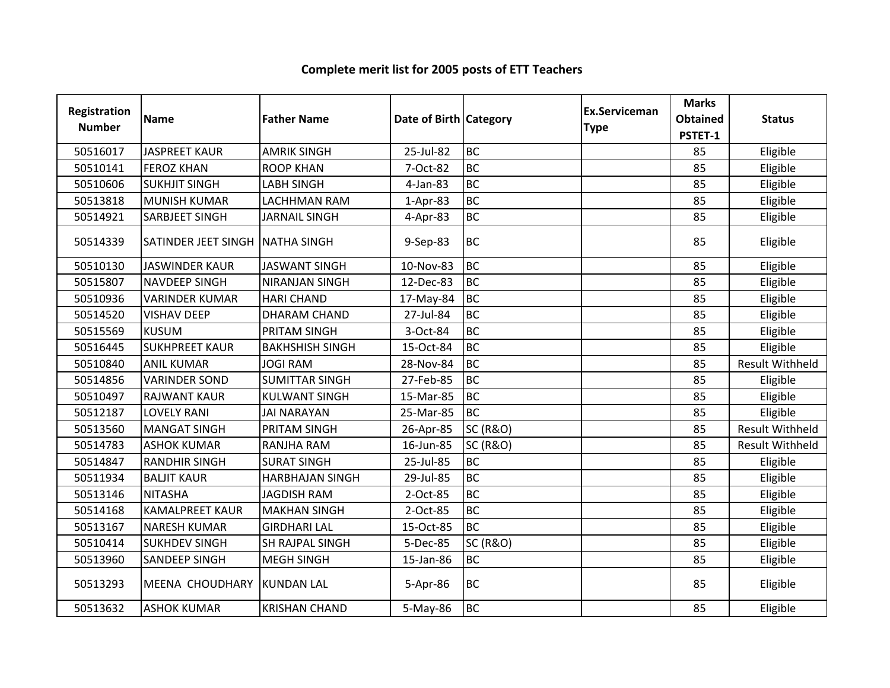| Registration<br><b>Number</b> | <b>Name</b>                     | <b>Father Name</b>     | Date of Birth Category |                     | <b>Ex.Serviceman</b><br><b>Type</b> | <b>Marks</b><br><b>Obtained</b><br>PSTET-1 | <b>Status</b>          |
|-------------------------------|---------------------------------|------------------------|------------------------|---------------------|-------------------------------------|--------------------------------------------|------------------------|
| 50516017                      | <b>JASPREET KAUR</b>            | <b>AMRIK SINGH</b>     | 25-Jul-82              | <b>BC</b>           |                                     | 85                                         | Eligible               |
| 50510141                      | <b>FEROZ KHAN</b>               | <b>ROOP KHAN</b>       | 7-Oct-82               | <b>BC</b>           |                                     | 85                                         | Eligible               |
| 50510606                      | <b>SUKHJIT SINGH</b>            | <b>LABH SINGH</b>      | 4-Jan-83               | <b>BC</b>           |                                     | 85                                         | Eligible               |
| 50513818                      | <b>MUNISH KUMAR</b>             | <b>LACHHMAN RAM</b>    | $1-Apr-83$             | <b>BC</b>           |                                     | 85                                         | Eligible               |
| 50514921                      | <b>SARBJEET SINGH</b>           | <b>JARNAIL SINGH</b>   | 4-Apr-83               | BC                  |                                     | 85                                         | Eligible               |
| 50514339                      | SATINDER JEET SINGH NATHA SINGH |                        | 9-Sep-83               | BC                  |                                     | 85                                         | Eligible               |
| 50510130                      | <b>JASWINDER KAUR</b>           | <b>JASWANT SINGH</b>   | 10-Nov-83              | <b>BC</b>           |                                     | 85                                         | Eligible               |
| 50515807                      | <b>NAVDEEP SINGH</b>            | <b>NIRANJAN SINGH</b>  | 12-Dec-83              | <b>BC</b>           |                                     | 85                                         | Eligible               |
| 50510936                      | <b>VARINDER KUMAR</b>           | <b>HARI CHAND</b>      | 17-May-84              | <b>BC</b>           |                                     | 85                                         | Eligible               |
| 50514520                      | <b>VISHAV DEEP</b>              | <b>DHARAM CHAND</b>    | 27-Jul-84              | <b>BC</b>           |                                     | 85                                         | Eligible               |
| 50515569                      | <b>KUSUM</b>                    | PRITAM SINGH           | 3-Oct-84               | <b>BC</b>           |                                     | 85                                         | Eligible               |
| 50516445                      | <b>SUKHPREET KAUR</b>           | <b>BAKHSHISH SINGH</b> | 15-Oct-84              | <b>BC</b>           |                                     | 85                                         | Eligible               |
| 50510840                      | <b>ANIL KUMAR</b>               | <b>JOGI RAM</b>        | 28-Nov-84              | <b>BC</b>           |                                     | 85                                         | <b>Result Withheld</b> |
| 50514856                      | <b>VARINDER SOND</b>            | <b>SUMITTAR SINGH</b>  | 27-Feb-85              | <b>BC</b>           |                                     | 85                                         | Eligible               |
| 50510497                      | <b>RAJWANT KAUR</b>             | <b>KULWANT SINGH</b>   | 15-Mar-85              | <b>BC</b>           |                                     | 85                                         | Eligible               |
| 50512187                      | <b>LOVELY RANI</b>              | <b>JAI NARAYAN</b>     | 25-Mar-85              | <b>BC</b>           |                                     | 85                                         | Eligible               |
| 50513560                      | <b>MANGAT SINGH</b>             | PRITAM SINGH           | 26-Apr-85              | <b>SC (R&amp;O)</b> |                                     | 85                                         | <b>Result Withheld</b> |
| 50514783                      | <b>ASHOK KUMAR</b>              | RANJHA RAM             | 16-Jun-85              | <b>SC (R&amp;O)</b> |                                     | 85                                         | <b>Result Withheld</b> |
| 50514847                      | <b>RANDHIR SINGH</b>            | <b>SURAT SINGH</b>     | 25-Jul-85              | <b>BC</b>           |                                     | 85                                         | Eligible               |
| 50511934                      | <b>BALJIT KAUR</b>              | <b>HARBHAJAN SINGH</b> | 29-Jul-85              | <b>BC</b>           |                                     | 85                                         | Eligible               |
| 50513146                      | <b>NITASHA</b>                  | <b>JAGDISH RAM</b>     | 2-Oct-85               | <b>BC</b>           |                                     | 85                                         | Eligible               |
| 50514168                      | <b>KAMALPREET KAUR</b>          | <b>MAKHAN SINGH</b>    | 2-Oct-85               | <b>BC</b>           |                                     | 85                                         | Eligible               |
| 50513167                      | <b>NARESH KUMAR</b>             | <b>GIRDHARI LAL</b>    | 15-Oct-85              | <b>BC</b>           |                                     | 85                                         | Eligible               |
| 50510414                      | <b>SUKHDEV SINGH</b>            | <b>SH RAJPAL SINGH</b> | 5-Dec-85               | <b>SC (R&amp;O)</b> |                                     | 85                                         | Eligible               |
| 50513960                      | <b>SANDEEP SINGH</b>            | <b>MEGH SINGH</b>      | 15-Jan-86              | <b>BC</b>           |                                     | 85                                         | Eligible               |
| 50513293                      | <b>MEENA CHOUDHARY</b>          | <b>KUNDAN LAL</b>      | 5-Apr-86               | <b>BC</b>           |                                     | 85                                         | Eligible               |
| 50513632                      | <b>ASHOK KUMAR</b>              | <b>KRISHAN CHAND</b>   | 5-May-86               | <b>BC</b>           |                                     | 85                                         | Eligible               |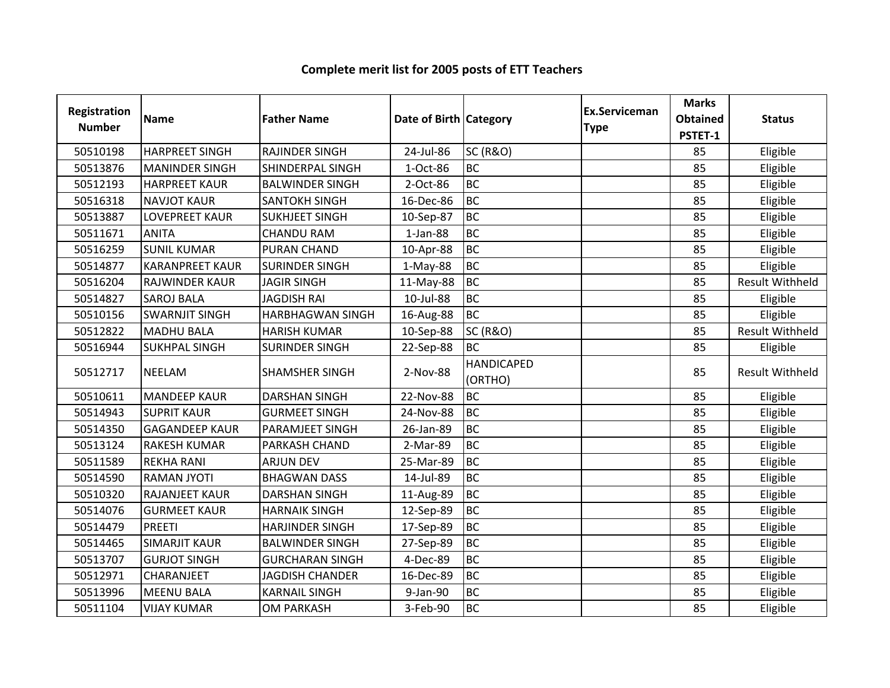| Registration<br><b>Number</b> | <b>Name</b>            | <b>Father Name</b>      | Date of Birth Category |                              | <b>Ex.Serviceman</b><br><b>Type</b> | <b>Marks</b><br><b>Obtained</b><br>PSTET-1 | <b>Status</b>          |
|-------------------------------|------------------------|-------------------------|------------------------|------------------------------|-------------------------------------|--------------------------------------------|------------------------|
| 50510198                      | <b>HARPREET SINGH</b>  | <b>RAJINDER SINGH</b>   | 24-Jul-86              | <b>SC (R&amp;O)</b>          |                                     | 85                                         | Eligible               |
| 50513876                      | <b>MANINDER SINGH</b>  | <b>SHINDERPAL SINGH</b> | 1-Oct-86               | <b>BC</b>                    |                                     | 85                                         | Eligible               |
| 50512193                      | <b>HARPREET KAUR</b>   | <b>BALWINDER SINGH</b>  | 2-Oct-86               | <b>BC</b>                    |                                     | 85                                         | Eligible               |
| 50516318                      | <b>NAVJOT KAUR</b>     | <b>SANTOKH SINGH</b>    | 16-Dec-86              | <b>BC</b>                    |                                     | 85                                         | Eligible               |
| 50513887                      | <b>LOVEPREET KAUR</b>  | <b>SUKHJEET SINGH</b>   | 10-Sep-87              | <b>BC</b>                    |                                     | 85                                         | Eligible               |
| 50511671                      | <b>ANITA</b>           | <b>CHANDU RAM</b>       | $1-Jan-88$             | <b>BC</b>                    |                                     | 85                                         | Eligible               |
| 50516259                      | <b>SUNIL KUMAR</b>     | <b>PURAN CHAND</b>      | 10-Apr-88              | <b>BC</b>                    |                                     | 85                                         | Eligible               |
| 50514877                      | <b>KARANPREET KAUR</b> | <b>SURINDER SINGH</b>   | $1-May-88$             | <b>BC</b>                    |                                     | 85                                         | Eligible               |
| 50516204                      | RAJWINDER KAUR         | <b>JAGIR SINGH</b>      | 11-May-88              | <b>BC</b>                    |                                     | 85                                         | <b>Result Withheld</b> |
| 50514827                      | <b>SAROJ BALA</b>      | <b>JAGDISH RAI</b>      | 10-Jul-88              | <b>BC</b>                    |                                     | 85                                         | Eligible               |
| 50510156                      | <b>SWARNJIT SINGH</b>  | <b>HARBHAGWAN SINGH</b> | 16-Aug-88              | <b>BC</b>                    |                                     | 85                                         | Eligible               |
| 50512822                      | <b>MADHU BALA</b>      | <b>HARISH KUMAR</b>     | 10-Sep-88              | <b>SC (R&amp;O)</b>          |                                     | 85                                         | <b>Result Withheld</b> |
| 50516944                      | <b>SUKHPAL SINGH</b>   | <b>SURINDER SINGH</b>   | 22-Sep-88              | <b>BC</b>                    |                                     | 85                                         | Eligible               |
| 50512717                      | <b>NEELAM</b>          | <b>SHAMSHER SINGH</b>   | 2-Nov-88               | <b>HANDICAPED</b><br>(ORTHO) |                                     | 85                                         | <b>Result Withheld</b> |
| 50510611                      | <b>MANDEEP KAUR</b>    | <b>DARSHAN SINGH</b>    | 22-Nov-88              | <b>BC</b>                    |                                     | 85                                         | Eligible               |
| 50514943                      | <b>SUPRIT KAUR</b>     | <b>GURMEET SINGH</b>    | 24-Nov-88              | <b>BC</b>                    |                                     | 85                                         | Eligible               |
| 50514350                      | <b>GAGANDEEP KAUR</b>  | PARAMJEET SINGH         | 26-Jan-89              | <b>BC</b>                    |                                     | 85                                         | Eligible               |
| 50513124                      | <b>RAKESH KUMAR</b>    | PARKASH CHAND           | 2-Mar-89               | <b>BC</b>                    |                                     | 85                                         | Eligible               |
| 50511589                      | <b>REKHA RANI</b>      | <b>ARJUN DEV</b>        | 25-Mar-89              | <b>BC</b>                    |                                     | 85                                         | Eligible               |
| 50514590                      | <b>RAMAN JYOTI</b>     | <b>BHAGWAN DASS</b>     | 14-Jul-89              | <b>BC</b>                    |                                     | 85                                         | Eligible               |
| 50510320                      | <b>RAJANJEET KAUR</b>  | <b>DARSHAN SINGH</b>    | 11-Aug-89              | <b>BC</b>                    |                                     | 85                                         | Eligible               |
| 50514076                      | <b>GURMEET KAUR</b>    | <b>HARNAIK SINGH</b>    | 12-Sep-89              | <b>BC</b>                    |                                     | 85                                         | Eligible               |
| 50514479                      | <b>PREETI</b>          | <b>HARJINDER SINGH</b>  | 17-Sep-89              | <b>BC</b>                    |                                     | 85                                         | Eligible               |
| 50514465                      | <b>SIMARJIT KAUR</b>   | <b>BALWINDER SINGH</b>  | 27-Sep-89              | <b>BC</b>                    |                                     | 85                                         | Eligible               |
| 50513707                      | <b>GURJOT SINGH</b>    | <b>GURCHARAN SINGH</b>  | 4-Dec-89               | <b>BC</b>                    |                                     | 85                                         | Eligible               |
| 50512971                      | <b>CHARANJEET</b>      | <b>JAGDISH CHANDER</b>  | 16-Dec-89              | <b>BC</b>                    |                                     | 85                                         | Eligible               |
| 50513996                      | <b>MEENU BALA</b>      | <b>KARNAIL SINGH</b>    | 9-Jan-90               | <b>BC</b>                    |                                     | 85                                         | Eligible               |
| 50511104                      | <b>VIJAY KUMAR</b>     | <b>OM PARKASH</b>       | 3-Feb-90               | <b>BC</b>                    |                                     | 85                                         | Eligible               |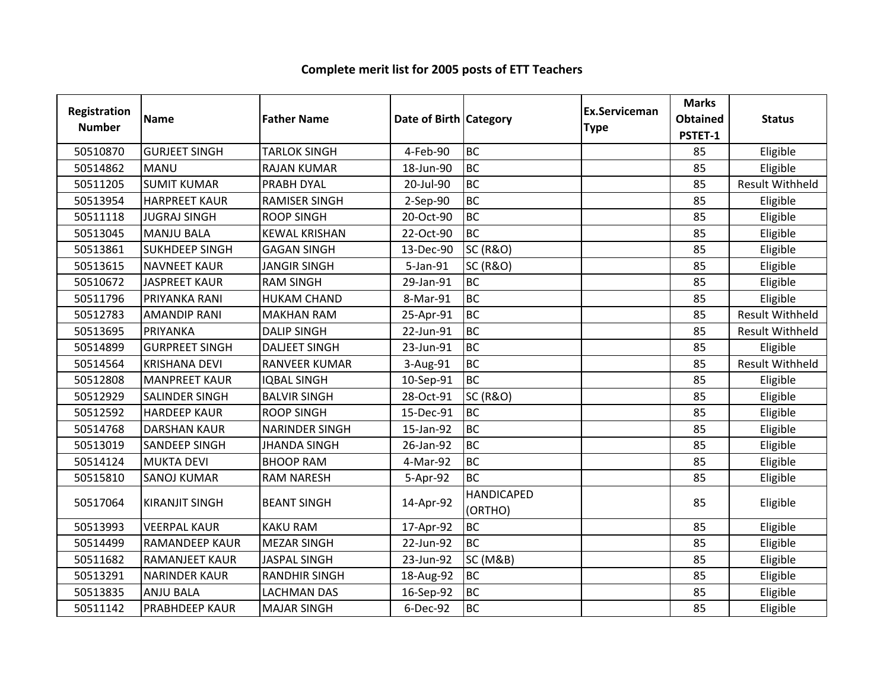| Registration<br><b>Number</b> | <b>Name</b>           | <b>Father Name</b>    | Date of Birth Category |                              | <b>Ex.Serviceman</b><br><b>Type</b> | <b>Marks</b><br><b>Obtained</b><br>PSTET-1 | <b>Status</b>          |
|-------------------------------|-----------------------|-----------------------|------------------------|------------------------------|-------------------------------------|--------------------------------------------|------------------------|
| 50510870                      | <b>GURJEET SINGH</b>  | <b>TARLOK SINGH</b>   | 4-Feb-90               | <b>BC</b>                    |                                     | 85                                         | Eligible               |
| 50514862                      | <b>MANU</b>           | <b>RAJAN KUMAR</b>    | 18-Jun-90              | <b>BC</b>                    |                                     | 85                                         | Eligible               |
| 50511205                      | <b>SUMIT KUMAR</b>    | PRABH DYAL            | 20-Jul-90              | <b>BC</b>                    |                                     | 85                                         | <b>Result Withheld</b> |
| 50513954                      | <b>HARPREET KAUR</b>  | <b>RAMISER SINGH</b>  | 2-Sep-90               | <b>BC</b>                    |                                     | 85                                         | Eligible               |
| 50511118                      | <b>JUGRAJ SINGH</b>   | <b>ROOP SINGH</b>     | 20-Oct-90              | <b>BC</b>                    |                                     | 85                                         | Eligible               |
| 50513045                      | <b>MANJU BALA</b>     | <b>KEWAL KRISHAN</b>  | 22-Oct-90              | <b>BC</b>                    |                                     | 85                                         | Eligible               |
| 50513861                      | <b>SUKHDEEP SINGH</b> | <b>GAGAN SINGH</b>    | 13-Dec-90              | <b>SC (R&amp;O)</b>          |                                     | 85                                         | Eligible               |
| 50513615                      | <b>NAVNEET KAUR</b>   | <b>JANGIR SINGH</b>   | 5-Jan-91               | <b>SC (R&amp;O)</b>          |                                     | 85                                         | Eligible               |
| 50510672                      | <b>JASPREET KAUR</b>  | <b>RAM SINGH</b>      | 29-Jan-91              | <b>BC</b>                    |                                     | 85                                         | Eligible               |
| 50511796                      | PRIYANKA RANI         | <b>HUKAM CHAND</b>    | 8-Mar-91               | <b>BC</b>                    |                                     | 85                                         | Eligible               |
| 50512783                      | <b>AMANDIP RANI</b>   | <b>MAKHAN RAM</b>     | 25-Apr-91              | <b>BC</b>                    |                                     | 85                                         | <b>Result Withheld</b> |
| 50513695                      | PRIYANKA              | <b>DALIP SINGH</b>    | 22-Jun-91              | <b>BC</b>                    |                                     | 85                                         | <b>Result Withheld</b> |
| 50514899                      | <b>GURPREET SINGH</b> | <b>DALJEET SINGH</b>  | 23-Jun-91              | <b>BC</b>                    |                                     | 85                                         | Eligible               |
| 50514564                      | <b>KRISHANA DEVI</b>  | <b>RANVEER KUMAR</b>  | 3-Aug-91               | <b>BC</b>                    |                                     | 85                                         | <b>Result Withheld</b> |
| 50512808                      | <b>MANPREET KAUR</b>  | <b>IQBAL SINGH</b>    | 10-Sep-91              | <b>BC</b>                    |                                     | 85                                         | Eligible               |
| 50512929                      | <b>SALINDER SINGH</b> | <b>BALVIR SINGH</b>   | 28-Oct-91              | <b>SC (R&amp;O)</b>          |                                     | 85                                         | Eligible               |
| 50512592                      | <b>HARDEEP KAUR</b>   | <b>ROOP SINGH</b>     | 15-Dec-91              | <b>BC</b>                    |                                     | 85                                         | Eligible               |
| 50514768                      | <b>DARSHAN KAUR</b>   | <b>NARINDER SINGH</b> | 15-Jan-92              | <b>BC</b>                    |                                     | 85                                         | Eligible               |
| 50513019                      | <b>SANDEEP SINGH</b>  | <b>JHANDA SINGH</b>   | 26-Jan-92              | <b>BC</b>                    |                                     | 85                                         | Eligible               |
| 50514124                      | <b>MUKTA DEVI</b>     | <b>BHOOP RAM</b>      | 4-Mar-92               | <b>BC</b>                    |                                     | 85                                         | Eligible               |
| 50515810                      | <b>SANOJ KUMAR</b>    | <b>RAM NARESH</b>     | 5-Apr-92               | <b>BC</b>                    |                                     | 85                                         | Eligible               |
| 50517064                      | <b>KIRANJIT SINGH</b> | <b>BEANT SINGH</b>    | 14-Apr-92              | <b>HANDICAPED</b><br>(ORTHO) |                                     | 85                                         | Eligible               |
| 50513993                      | <b>VEERPAL KAUR</b>   | <b>KAKU RAM</b>       | 17-Apr-92              | <b>BC</b>                    |                                     | 85                                         | Eligible               |
| 50514499                      | <b>RAMANDEEP KAUR</b> | <b>MEZAR SINGH</b>    | 22-Jun-92              | <b>BC</b>                    |                                     | 85                                         | Eligible               |
| 50511682                      | <b>RAMANJEET KAUR</b> | <b>JASPAL SINGH</b>   | 23-Jun-92              | <b>SC (M&amp;B)</b>          |                                     | 85                                         | Eligible               |
| 50513291                      | <b>NARINDER KAUR</b>  | <b>RANDHIR SINGH</b>  | 18-Aug-92              | <b>BC</b>                    |                                     | 85                                         | Eligible               |
| 50513835                      | <b>ANJU BALA</b>      | <b>LACHMAN DAS</b>    | 16-Sep-92              | <b>BC</b>                    |                                     | 85                                         | Eligible               |
| 50511142                      | <b>PRABHDEEP KAUR</b> | <b>MAJAR SINGH</b>    | 6-Dec-92               | <b>BC</b>                    |                                     | 85                                         | Eligible               |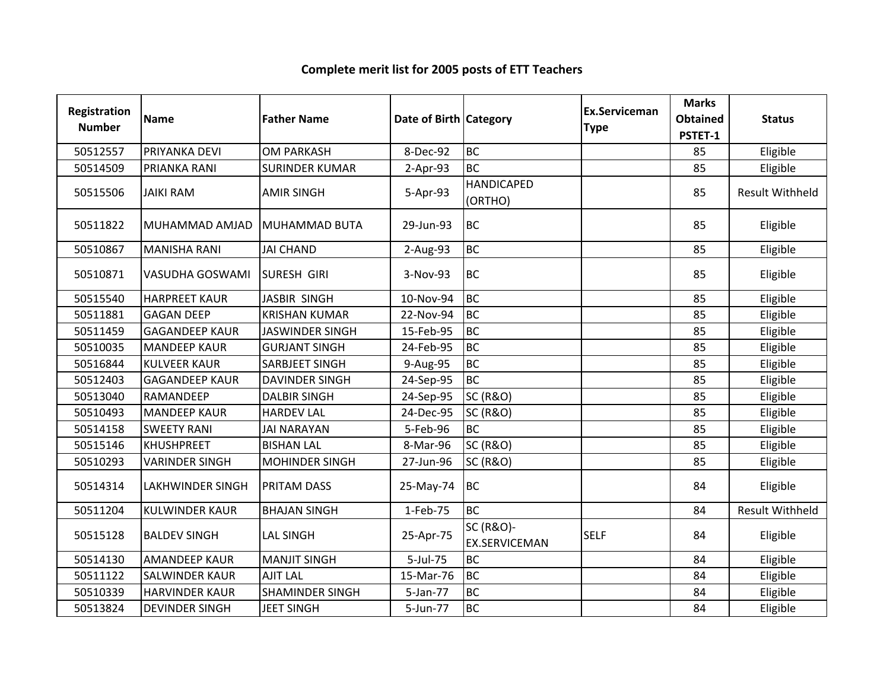| Registration<br><b>Number</b> | <b>Name</b>             | <b>Father Name</b>     | Date of Birth Category |                                              | <b>Ex.Serviceman</b><br><b>Type</b> | <b>Marks</b><br><b>Obtained</b><br>PSTET-1 | <b>Status</b>          |
|-------------------------------|-------------------------|------------------------|------------------------|----------------------------------------------|-------------------------------------|--------------------------------------------|------------------------|
| 50512557                      | PRIYANKA DEVI           | <b>OM PARKASH</b>      | 8-Dec-92               | <b>BC</b>                                    |                                     | 85                                         | Eligible               |
| 50514509                      | PRIANKA RANI            | <b>SURINDER KUMAR</b>  | $2-Apr-93$             | <b>BC</b>                                    |                                     | 85                                         | Eligible               |
| 50515506                      | <b>JAIKI RAM</b>        | <b>AMIR SINGH</b>      | 5-Apr-93               | <b>HANDICAPED</b><br>(ORTHO)                 |                                     | 85                                         | <b>Result Withheld</b> |
| 50511822                      | MUHAMMAD AMJAD          | <b>MUHAMMAD BUTA</b>   | 29-Jun-93              | <b>BC</b>                                    |                                     | 85                                         | Eligible               |
| 50510867                      | <b>MANISHA RANI</b>     | <b>JAI CHAND</b>       | 2-Aug-93               | <b>BC</b>                                    |                                     | 85                                         | Eligible               |
| 50510871                      | VASUDHA GOSWAMI         | <b>SURESH GIRI</b>     | 3-Nov-93               | <b>BC</b>                                    |                                     | 85                                         | Eligible               |
| 50515540                      | <b>HARPREET KAUR</b>    | <b>JASBIR SINGH</b>    | 10-Nov-94              | <b>BC</b>                                    |                                     | 85                                         | Eligible               |
| 50511881                      | <b>GAGAN DEEP</b>       | <b>KRISHAN KUMAR</b>   | 22-Nov-94              | <b>BC</b>                                    |                                     | 85                                         | Eligible               |
| 50511459                      | <b>GAGANDEEP KAUR</b>   | <b>JASWINDER SINGH</b> | 15-Feb-95              | <b>BC</b>                                    |                                     | 85                                         | Eligible               |
| 50510035                      | <b>MANDEEP KAUR</b>     | <b>GURJANT SINGH</b>   | 24-Feb-95              | <b>BC</b>                                    |                                     | 85                                         | Eligible               |
| 50516844                      | <b>KULVEER KAUR</b>     | SARBJEET SINGH         | 9-Aug-95               | <b>BC</b>                                    |                                     | 85                                         | Eligible               |
| 50512403                      | <b>GAGANDEEP KAUR</b>   | <b>DAVINDER SINGH</b>  | 24-Sep-95              | <b>BC</b>                                    |                                     | 85                                         | Eligible               |
| 50513040                      | RAMANDEEP               | <b>DALBIR SINGH</b>    | 24-Sep-95              | <b>SC (R&amp;O)</b>                          |                                     | 85                                         | Eligible               |
| 50510493                      | <b>MANDEEP KAUR</b>     | <b>HARDEV LAL</b>      | 24-Dec-95              | <b>SC (R&amp;O)</b>                          |                                     | 85                                         | Eligible               |
| 50514158                      | <b>SWEETY RANI</b>      | <b>JAI NARAYAN</b>     | 5-Feb-96               | <b>BC</b>                                    |                                     | 85                                         | Eligible               |
| 50515146                      | <b>KHUSHPREET</b>       | <b>BISHAN LAL</b>      | 8-Mar-96               | <b>SC (R&amp;O)</b>                          |                                     | 85                                         | Eligible               |
| 50510293                      | <b>VARINDER SINGH</b>   | <b>MOHINDER SINGH</b>  | 27-Jun-96              | <b>SC (R&amp;O)</b>                          |                                     | 85                                         | Eligible               |
| 50514314                      | <b>LAKHWINDER SINGH</b> | <b>PRITAM DASS</b>     | 25-May-74              | <b>BC</b>                                    |                                     | 84                                         | Eligible               |
| 50511204                      | <b>KULWINDER KAUR</b>   | <b>BHAJAN SINGH</b>    | 1-Feb-75               | <b>BC</b>                                    |                                     | 84                                         | <b>Result Withheld</b> |
| 50515128                      | <b>BALDEV SINGH</b>     | <b>LAL SINGH</b>       | 25-Apr-75              | <b>SC (R&amp;O)-</b><br><b>EX.SERVICEMAN</b> | <b>SELF</b>                         | 84                                         | Eligible               |
| 50514130                      | <b>AMANDEEP KAUR</b>    | <b>MANJIT SINGH</b>    | 5-Jul-75               | <b>BC</b>                                    |                                     | 84                                         | Eligible               |
| 50511122                      | <b>SALWINDER KAUR</b>   | <b>AJIT LAL</b>        | 15-Mar-76              | <b>BC</b>                                    |                                     | 84                                         | Eligible               |
| 50510339                      | <b>HARVINDER KAUR</b>   | <b>SHAMINDER SINGH</b> | 5-Jan-77               | <b>BC</b>                                    |                                     | 84                                         | Eligible               |
| 50513824                      | <b>DEVINDER SINGH</b>   | <b>JEET SINGH</b>      | 5-Jun-77               | <b>BC</b>                                    |                                     | 84                                         | Eligible               |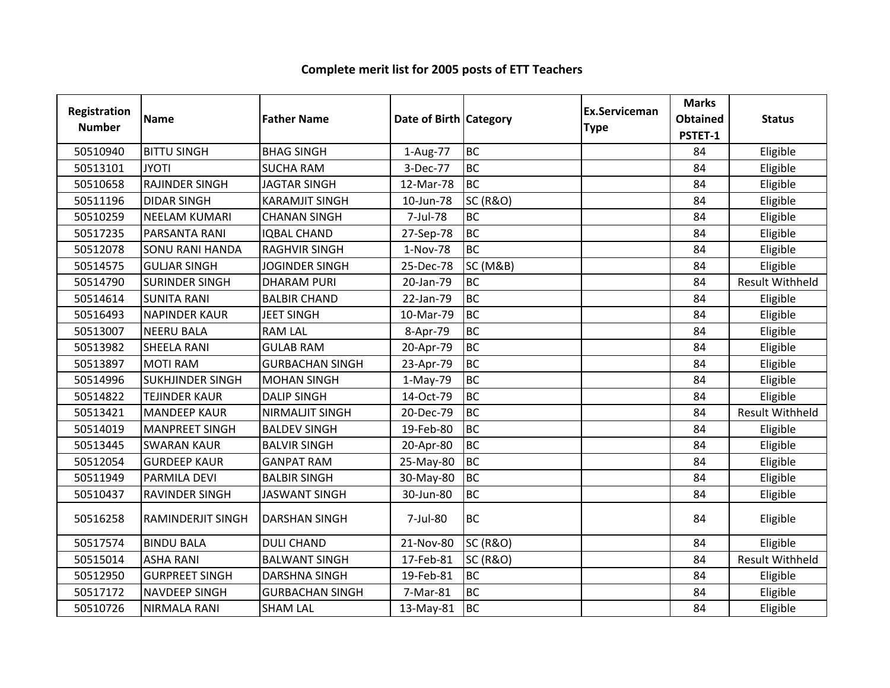| <b>Registration</b><br><b>Number</b> | <b>Name</b>             | <b>Father Name</b>     | Date of Birth Category |                     | <b>Ex.Serviceman</b><br><b>Type</b> | <b>Marks</b><br><b>Obtained</b><br>PSTET-1 | <b>Status</b>          |
|--------------------------------------|-------------------------|------------------------|------------------------|---------------------|-------------------------------------|--------------------------------------------|------------------------|
| 50510940                             | <b>BITTU SINGH</b>      | <b>BHAG SINGH</b>      | 1-Aug-77               | <b>BC</b>           |                                     | 84                                         | Eligible               |
| 50513101                             | <b>JYOTI</b>            | <b>SUCHA RAM</b>       | 3-Dec-77               | <b>BC</b>           |                                     | 84                                         | Eligible               |
| 50510658                             | RAJINDER SINGH          | <b>JAGTAR SINGH</b>    | 12-Mar-78              | <b>BC</b>           |                                     | 84                                         | Eligible               |
| 50511196                             | <b>DIDAR SINGH</b>      | <b>KARAMJIT SINGH</b>  | 10-Jun-78              | <b>SC (R&amp;O)</b> |                                     | 84                                         | Eligible               |
| 50510259                             | <b>NEELAM KUMARI</b>    | <b>CHANAN SINGH</b>    | 7-Jul-78               | <b>BC</b>           |                                     | 84                                         | Eligible               |
| 50517235                             | PARSANTA RANI           | <b>IQBAL CHAND</b>     | 27-Sep-78              | <b>BC</b>           |                                     | 84                                         | Eligible               |
| 50512078                             | <b>SONU RANI HANDA</b>  | <b>RAGHVIR SINGH</b>   | 1-Nov-78               | <b>BC</b>           |                                     | 84                                         | Eligible               |
| 50514575                             | <b>GULJAR SINGH</b>     | <b>JOGINDER SINGH</b>  | 25-Dec-78              | <b>SC (M&amp;B)</b> |                                     | 84                                         | Eligible               |
| 50514790                             | <b>SURINDER SINGH</b>   | <b>DHARAM PURI</b>     | 20-Jan-79              | <b>BC</b>           |                                     | 84                                         | <b>Result Withheld</b> |
| 50514614                             | <b>SUNITA RANI</b>      | <b>BALBIR CHAND</b>    | 22-Jan-79              | <b>BC</b>           |                                     | 84                                         | Eligible               |
| 50516493                             | <b>NAPINDER KAUR</b>    | <b>JEET SINGH</b>      | 10-Mar-79              | <b>BC</b>           |                                     | 84                                         | Eligible               |
| 50513007                             | <b>NEERU BALA</b>       | <b>RAM LAL</b>         | 8-Apr-79               | <b>BC</b>           |                                     | 84                                         | Eligible               |
| 50513982                             | SHEELA RANI             | <b>GULAB RAM</b>       | 20-Apr-79              | <b>BC</b>           |                                     | 84                                         | Eligible               |
| 50513897                             | <b>MOTI RAM</b>         | <b>GURBACHAN SINGH</b> | 23-Apr-79              | <b>BC</b>           |                                     | 84                                         | Eligible               |
| 50514996                             | <b>SUKHJINDER SINGH</b> | <b>MOHAN SINGH</b>     | 1-May-79               | <b>BC</b>           |                                     | 84                                         | Eligible               |
| 50514822                             | <b>TEJINDER KAUR</b>    | <b>DALIP SINGH</b>     | 14-Oct-79              | <b>BC</b>           |                                     | 84                                         | Eligible               |
| 50513421                             | <b>MANDEEP KAUR</b>     | NIRMALJIT SINGH        | 20-Dec-79              | <b>BC</b>           |                                     | 84                                         | <b>Result Withheld</b> |
| 50514019                             | <b>MANPREET SINGH</b>   | <b>BALDEV SINGH</b>    | 19-Feb-80              | <b>BC</b>           |                                     | 84                                         | Eligible               |
| 50513445                             | <b>SWARAN KAUR</b>      | <b>BALVIR SINGH</b>    | 20-Apr-80              | <b>BC</b>           |                                     | 84                                         | Eligible               |
| 50512054                             | <b>GURDEEP KAUR</b>     | <b>GANPAT RAM</b>      | 25-May-80              | <b>BC</b>           |                                     | 84                                         | Eligible               |
| 50511949                             | <b>PARMILA DEVI</b>     | <b>BALBIR SINGH</b>    | 30-May-80              | <b>BC</b>           |                                     | 84                                         | Eligible               |
| 50510437                             | <b>RAVINDER SINGH</b>   | <b>JASWANT SINGH</b>   | 30-Jun-80              | <b>BC</b>           |                                     | 84                                         | Eligible               |
| 50516258                             | RAMINDERJIT SINGH       | <b>DARSHAN SINGH</b>   | 7-Jul-80               | BC                  |                                     | 84                                         | Eligible               |
| 50517574                             | <b>BINDU BALA</b>       | <b>DULI CHAND</b>      | 21-Nov-80              | <b>SC (R&amp;O)</b> |                                     | 84                                         | Eligible               |
| 50515014                             | <b>ASHA RANI</b>        | <b>BALWANT SINGH</b>   | 17-Feb-81              | <b>SC (R&amp;O)</b> |                                     | 84                                         | Result Withheld        |
| 50512950                             | <b>GURPREET SINGH</b>   | <b>DARSHNA SINGH</b>   | 19-Feb-81              | <b>BC</b>           |                                     | 84                                         | Eligible               |
| 50517172                             | <b>NAVDEEP SINGH</b>    | <b>GURBACHAN SINGH</b> | 7-Mar-81               | <b>BC</b>           |                                     | 84                                         | Eligible               |
| 50510726                             | NIRMALA RANI            | <b>SHAM LAL</b>        | 13-May-81              | <b>BC</b>           |                                     | 84                                         | Eligible               |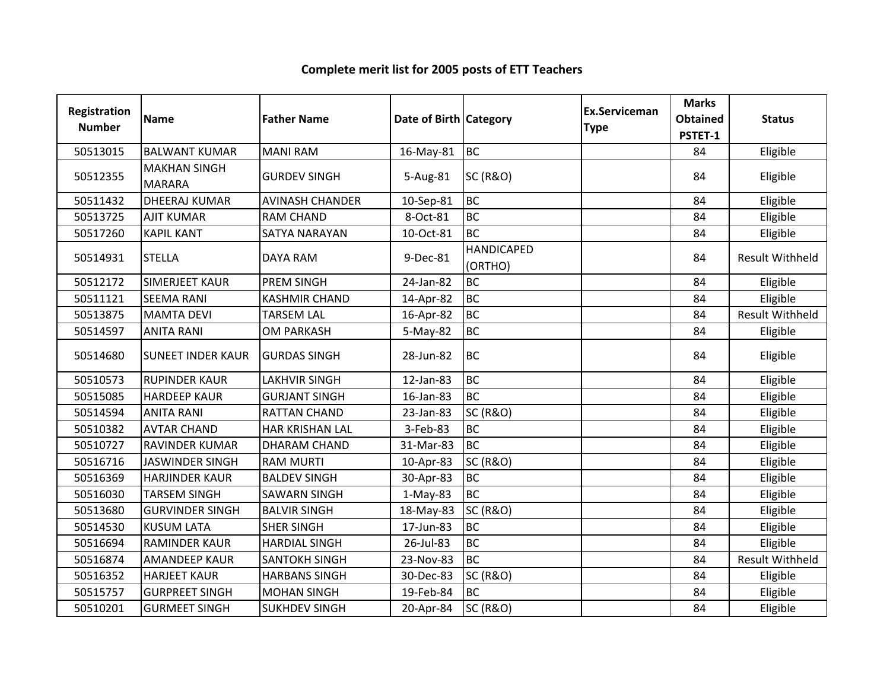| Registration<br><b>Number</b> | <b>Name</b>                          | <b>Father Name</b>     | Date of Birth Category |                              | <b>Ex.Serviceman</b><br><b>Type</b> | <b>Marks</b><br><b>Obtained</b><br>PSTET-1 | <b>Status</b>          |
|-------------------------------|--------------------------------------|------------------------|------------------------|------------------------------|-------------------------------------|--------------------------------------------|------------------------|
| 50513015                      | <b>BALWANT KUMAR</b>                 | <b>MANI RAM</b>        | 16-May-81              | <b>BC</b>                    |                                     | 84                                         | Eligible               |
| 50512355                      | <b>MAKHAN SINGH</b><br><b>MARARA</b> | <b>GURDEV SINGH</b>    | 5-Aug-81               | <b>SC (R&amp;O)</b>          |                                     | 84                                         | Eligible               |
| 50511432                      | <b>DHEERAJ KUMAR</b>                 | <b>AVINASH CHANDER</b> | 10-Sep-81              | <b>BC</b>                    |                                     | 84                                         | Eligible               |
| 50513725                      | <b>AJIT KUMAR</b>                    | <b>RAM CHAND</b>       | 8-Oct-81               | <b>BC</b>                    |                                     | 84                                         | Eligible               |
| 50517260                      | <b>KAPIL KANT</b>                    | <b>SATYA NARAYAN</b>   | 10-Oct-81              | <b>BC</b>                    |                                     | 84                                         | Eligible               |
| 50514931                      | <b>STELLA</b>                        | <b>DAYA RAM</b>        | 9-Dec-81               | <b>HANDICAPED</b><br>(ORTHO) |                                     | 84                                         | <b>Result Withheld</b> |
| 50512172                      | <b>SIMERJEET KAUR</b>                | PREM SINGH             | 24-Jan-82              | <b>BC</b>                    |                                     | 84                                         | Eligible               |
| 50511121                      | <b>SEEMA RANI</b>                    | <b>KASHMIR CHAND</b>   | 14-Apr-82              | <b>BC</b>                    |                                     | 84                                         | Eligible               |
| 50513875                      | <b>MAMTA DEVI</b>                    | <b>TARSEM LAL</b>      | 16-Apr-82              | <b>BC</b>                    |                                     | 84                                         | <b>Result Withheld</b> |
| 50514597                      | <b>ANITA RANI</b>                    | <b>OM PARKASH</b>      | 5-May-82               | <b>BC</b>                    |                                     | 84                                         | Eligible               |
| 50514680                      | <b>SUNEET INDER KAUR</b>             | <b>GURDAS SINGH</b>    | 28-Jun-82              | <b>BC</b>                    |                                     | 84                                         | Eligible               |
| 50510573                      | <b>RUPINDER KAUR</b>                 | LAKHVIR SINGH          | 12-Jan-83              | <b>BC</b>                    |                                     | 84                                         | Eligible               |
| 50515085                      | <b>HARDEEP KAUR</b>                  | <b>GURJANT SINGH</b>   | 16-Jan-83              | <b>BC</b>                    |                                     | 84                                         | Eligible               |
| 50514594                      | <b>ANITA RANI</b>                    | <b>RATTAN CHAND</b>    | 23-Jan-83              | <b>SC (R&amp;O)</b>          |                                     | 84                                         | Eligible               |
| 50510382                      | <b>AVTAR CHAND</b>                   | HAR KRISHAN LAL        | 3-Feb-83               | <b>BC</b>                    |                                     | 84                                         | Eligible               |
| 50510727                      | <b>RAVINDER KUMAR</b>                | <b>DHARAM CHAND</b>    | 31-Mar-83              | <b>BC</b>                    |                                     | 84                                         | Eligible               |
| 50516716                      | <b>JASWINDER SINGH</b>               | <b>RAM MURTI</b>       | 10-Apr-83              | <b>SC (R&amp;O)</b>          |                                     | 84                                         | Eligible               |
| 50516369                      | <b>HARJINDER KAUR</b>                | <b>BALDEV SINGH</b>    | 30-Apr-83              | <b>BC</b>                    |                                     | 84                                         | Eligible               |
| 50516030                      | <b>TARSEM SINGH</b>                  | <b>SAWARN SINGH</b>    | $1-May-83$             | <b>BC</b>                    |                                     | 84                                         | Eligible               |
| 50513680                      | <b>GURVINDER SINGH</b>               | <b>BALVIR SINGH</b>    | 18-May-83              | <b>SC (R&amp;O)</b>          |                                     | 84                                         | Eligible               |
| 50514530                      | <b>KUSUM LATA</b>                    | <b>SHER SINGH</b>      | 17-Jun-83              | <b>BC</b>                    |                                     | 84                                         | Eligible               |
| 50516694                      | <b>RAMINDER KAUR</b>                 | <b>HARDIAL SINGH</b>   | 26-Jul-83              | <b>BC</b>                    |                                     | 84                                         | Eligible               |
| 50516874                      | <b>AMANDEEP KAUR</b>                 | <b>SANTOKH SINGH</b>   | 23-Nov-83              | <b>BC</b>                    |                                     | 84                                         | <b>Result Withheld</b> |
| 50516352                      | <b>HARJEET KAUR</b>                  | <b>HARBANS SINGH</b>   | 30-Dec-83              | <b>SC (R&amp;O)</b>          |                                     | 84                                         | Eligible               |
| 50515757                      | <b>GURPREET SINGH</b>                | <b>MOHAN SINGH</b>     | 19-Feb-84              | <b>BC</b>                    |                                     | 84                                         | Eligible               |
| 50510201                      | <b>GURMEET SINGH</b>                 | <b>SUKHDEV SINGH</b>   | 20-Apr-84              | <b>SC (R&amp;O)</b>          |                                     | 84                                         | Eligible               |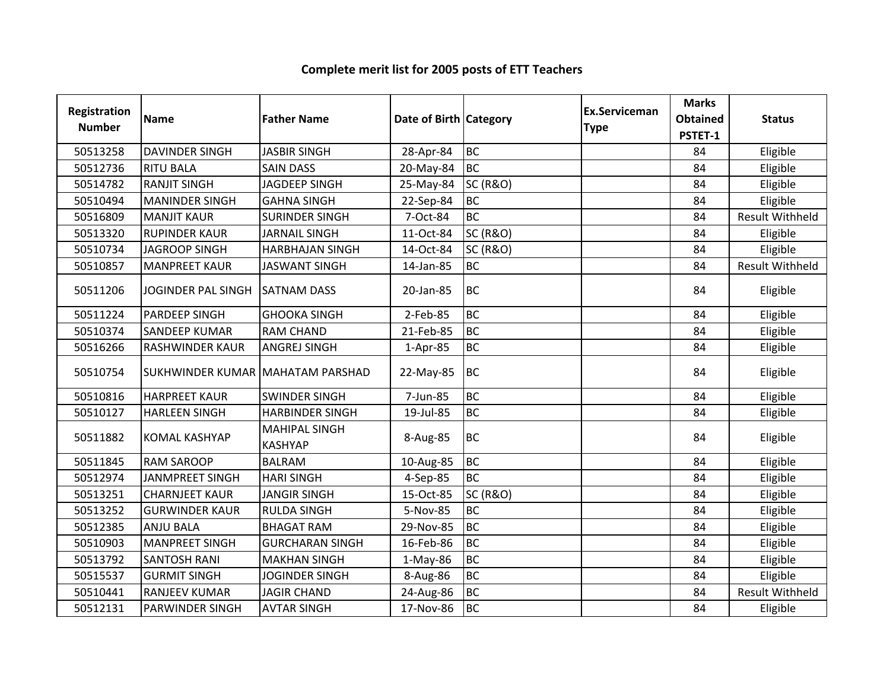| Registration<br><b>Number</b> | <b>Name</b>                             | <b>Father Name</b>                     | Date of Birth Category |                     | Ex.Serviceman<br><b>Type</b> | <b>Marks</b><br><b>Obtained</b><br>PSTET-1 | <b>Status</b>          |
|-------------------------------|-----------------------------------------|----------------------------------------|------------------------|---------------------|------------------------------|--------------------------------------------|------------------------|
| 50513258                      | <b>DAVINDER SINGH</b>                   | <b>JASBIR SINGH</b>                    | 28-Apr-84              | <b>BC</b>           |                              | 84                                         | Eligible               |
| 50512736                      | <b>RITU BALA</b>                        | <b>SAIN DASS</b>                       | 20-May-84              | <b>BC</b>           |                              | 84                                         | Eligible               |
| 50514782                      | <b>RANJIT SINGH</b>                     | <b>JAGDEEP SINGH</b>                   | 25-May-84              | <b>SC (R&amp;O)</b> |                              | 84                                         | Eligible               |
| 50510494                      | <b>MANINDER SINGH</b>                   | <b>GAHNA SINGH</b>                     | 22-Sep-84              | <b>BC</b>           |                              | 84                                         | Eligible               |
| 50516809                      | <b>MANJIT KAUR</b>                      | <b>SURINDER SINGH</b>                  | 7-Oct-84               | <b>BC</b>           |                              | 84                                         | <b>Result Withheld</b> |
| 50513320                      | <b>RUPINDER KAUR</b>                    | <b>JARNAIL SINGH</b>                   | 11-Oct-84              | <b>SC (R&amp;O)</b> |                              | 84                                         | Eligible               |
| 50510734                      | <b>JAGROOP SINGH</b>                    | <b>HARBHAJAN SINGH</b>                 | 14-Oct-84              | <b>SC (R&amp;O)</b> |                              | 84                                         | Eligible               |
| 50510857                      | <b>MANPREET KAUR</b>                    | <b>JASWANT SINGH</b>                   | 14-Jan-85              | <b>BC</b>           |                              | 84                                         | <b>Result Withheld</b> |
| 50511206                      | JOGINDER PAL SINGH                      | <b>SATNAM DASS</b>                     | 20-Jan-85              | <b>BC</b>           |                              | 84                                         | Eligible               |
| 50511224                      | <b>PARDEEP SINGH</b>                    | <b>GHOOKA SINGH</b>                    | 2-Feb-85               | <b>BC</b>           |                              | 84                                         | Eligible               |
| 50510374                      | <b>SANDEEP KUMAR</b>                    | <b>RAM CHAND</b>                       | 21-Feb-85              | <b>BC</b>           |                              | 84                                         | Eligible               |
| 50516266                      | <b>RASHWINDER KAUR</b>                  | <b>ANGREJ SINGH</b>                    | 1-Apr-85               | <b>BC</b>           |                              | 84                                         | Eligible               |
| 50510754                      | <b>SUKHWINDER KUMAR MAHATAM PARSHAD</b> |                                        | 22-May-85              | <b>BC</b>           |                              | 84                                         | Eligible               |
| 50510816                      | <b>HARPREET KAUR</b>                    | <b>SWINDER SINGH</b>                   | 7-Jun-85               | <b>BC</b>           |                              | 84                                         | Eligible               |
| 50510127                      | <b>HARLEEN SINGH</b>                    | <b>HARBINDER SINGH</b>                 | 19-Jul-85              | <b>BC</b>           |                              | 84                                         | Eligible               |
| 50511882                      | <b>KOMAL KASHYAP</b>                    | <b>MAHIPAL SINGH</b><br><b>KASHYAP</b> | 8-Aug-85               | <b>BC</b>           |                              | 84                                         | Eligible               |
| 50511845                      | <b>RAM SAROOP</b>                       | <b>BALRAM</b>                          | 10-Aug-85              | <b>BC</b>           |                              | 84                                         | Eligible               |
| 50512974                      | JANMPREET SINGH                         | <b>HARI SINGH</b>                      | 4-Sep-85               | <b>BC</b>           |                              | 84                                         | Eligible               |
| 50513251                      | <b>CHARNJEET KAUR</b>                   | <b>JANGIR SINGH</b>                    | 15-Oct-85              | <b>SC (R&amp;O)</b> |                              | 84                                         | Eligible               |
| 50513252                      | <b>GURWINDER KAUR</b>                   | <b>RULDA SINGH</b>                     | 5-Nov-85               | <b>BC</b>           |                              | 84                                         | Eligible               |
| 50512385                      | <b>ANJU BALA</b>                        | <b>BHAGAT RAM</b>                      | 29-Nov-85              | <b>BC</b>           |                              | 84                                         | Eligible               |
| 50510903                      | <b>MANPREET SINGH</b>                   | <b>GURCHARAN SINGH</b>                 | 16-Feb-86              | <b>BC</b>           |                              | 84                                         | Eligible               |
| 50513792                      | <b>SANTOSH RANI</b>                     | <b>MAKHAN SINGH</b>                    | $1-May-86$             | <b>BC</b>           |                              | 84                                         | Eligible               |
| 50515537                      | <b>GURMIT SINGH</b>                     | <b>JOGINDER SINGH</b>                  | 8-Aug-86               | <b>BC</b>           |                              | 84                                         | Eligible               |
| 50510441                      | <b>RANJEEV KUMAR</b>                    | <b>JAGIR CHAND</b>                     | 24-Aug-86              | <b>BC</b>           |                              | 84                                         | <b>Result Withheld</b> |
| 50512131                      | <b>PARWINDER SINGH</b>                  | <b>AVTAR SINGH</b>                     | 17-Nov-86              | <b>BC</b>           |                              | 84                                         | Eligible               |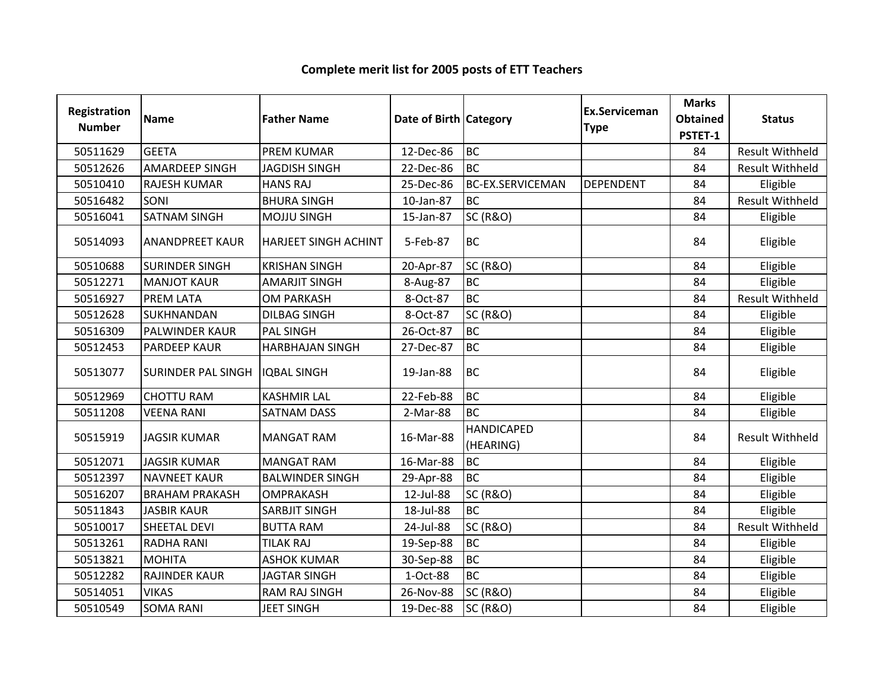#### Registration Numberion Name **Father Name Access Contract Category** Ex.Serviceman Category **Ex.Serviceman** Serviceman Marks<br>
e Obtained<br>
PSTET-1 Obtained Status<br>
PSTET-1 <sup>50511629</sup> GEETA PREM KUMAR 12-Dec-86 BC84 Result Withheld<br>84 Result Withheld AMARDEEP SINGH | JAGDISH SINGH 84 Result Withheld<br>84 Fligible <sup>50510410</sup> RAJESH KUMAR HANS RAJ 25-Dec-86 BC-EX.SERVICEMAN DEPENDENT <sup>84</sup> Eligible 50516482 SONI BHURA SINGH 10-Jan-87 BC<br>50516041 SATNAM SINGH MOJJU SINGH 15-Jan-87 SC (R&O) 84 Result Withheld<br>84 Eligible 50516041 SATNAM SINGH MOJJU SINGH 15-Jan-87 SC (R&O) National Management of the Eligible 50514093 ANANDPREET KAUR HARJEET SINGH ACHINT | 5-Feb-87 BC <sup>84</sup> Eligible 50510688 SURINDER SINGH KRISHAN SINGH 20-Apr-87 SC (R&O) New York 2014 84 Eligible 50512271 MANJOT KAUR AMARJIT SINGH 8-Aug-87 BC<br>50516927 PREMILATA OM PARKASH 8-Oct-87 BC <sup>84</sup> Eligible <sup>50516927</sup> PREM LATA OM PARKASH 8-Oct-87 BCBC BC R&O) Result Withheld SC (R&O) Result Withheld SC (R&O) <sup>50512628</sup> SUKHNANDAN DILBAG SINGH 8-Oct-87 SC (R&O) <sup>84</sup> Eligible 50516309 PALWINDER KAUR PAL SINGH 26-Oct-87 BC<br>50512453 PARDEEP KAUR HARBHAJAN SINGH 27-Dec-87 BC <sup>84</sup> Eligible HARBHAJAN SINGH | 27-Dec-87 <sup>84</sup> Eligible <sup>50513077</sup> SURINDER PAL SINGH IQBAL SINGH 19-Jan-88 BC <sup>84</sup> Eligible 50512969 CHOTTU RAM KASHMIR LAL 22-Feb-88 BC<br>50511208 VEENA RANI SATNAM DASS 2-Mar-88 BC <sup>84</sup> Eligible 50511208 VEENA RANI SATNAM DASS 2-Mar-88 <sup>84</sup> Eligible 50515919 JJAGSIR KUMAR MANGAT RAM 16-Mar-88 HANDICAPED (HEARING)84 | Result Withheld 50512071 JAGSIR KUMAR MANGAT RAM 16-Mar-88 BC<br>50512397 NAVNEET KAUR BALWINDER SINGH 29-Apr-88 BC <sup>84</sup> Eligible NAVNEET KAUR BALWINDER SINGH 29-Apr-88 BC<br>BRAHAM PRAKASH OMPRAKASH 12-Jul-88 SC (R&O) <sup>84</sup> Eligible 50516207 BRAHAM PRAKASH OMPRAKASH 12-Jul-88 SC (R&O) \_\_\_\_\_\_\_\_\_\_\_\_\_\_\_\_\_\_\_\_\_\_\_\_\_\_\_\_ 84 Eligible 50511843 JASBIR KAUR SARBJIT SINGH 18-Jul-88 BC<br>50510017 SHEETAL DEVI BUTTA RAM 24-Jul-88 SC (R&O) <sup>84</sup> Eligible <sup>50510017</sup> SHEETAL DEVI BUTTA RAM 24-Jul-88 SC (R&O) <sup>84</sup> Result Withheld50513261 RADHA RANI TILAK RAJ 19-Sep-88 BC<br>50513821 MOHITA ASHOK KUMAR 30-Sep-88 BC <sup>84</sup> Eligible S0513821 MOHITA ASHOK KUMAR 30-Sep-88 BC<br>50512282 RAJINDER\_KAUR JAGTAR\_SINGH 1-Oct-88 BC <sup>84</sup> Eligible RAJINDER KAUR <sup>84</sup> Eligible <sup>50514051</sup> VIKAS RAM RAJ SINGH 26-Nov-88 SC (R&O) <sup>84</sup> Eligible 50510549 SOMA RANI JEET SINGH 19-Dec-88 SC (R&O) (R&O) 84 | Eligible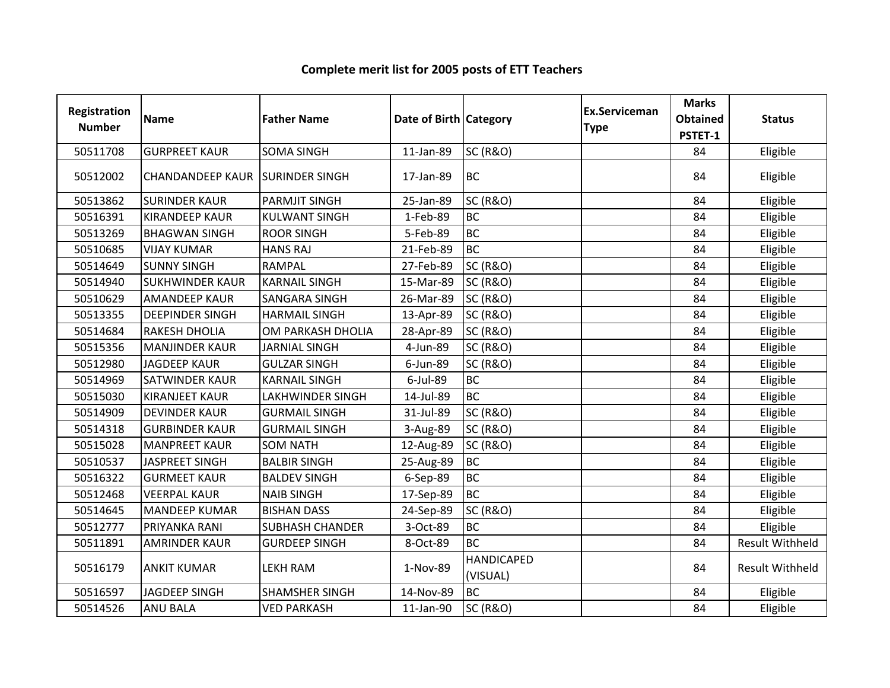| Registration<br><b>Number</b> | <b>Name</b>                            | <b>Father Name</b>     | Date of Birth Category |                               | <b>Ex.Serviceman</b><br><b>Type</b> | <b>Marks</b><br><b>Obtained</b><br>PSTET-1 | <b>Status</b>          |
|-------------------------------|----------------------------------------|------------------------|------------------------|-------------------------------|-------------------------------------|--------------------------------------------|------------------------|
| 50511708                      | <b>GURPREET KAUR</b>                   | <b>SOMA SINGH</b>      | 11-Jan-89              | <b>SC (R&amp;O)</b>           |                                     | 84                                         | Eligible               |
| 50512002                      | <b>CHANDANDEEP KAUR SURINDER SINGH</b> |                        | 17-Jan-89              | <b>BC</b>                     |                                     | 84                                         | Eligible               |
| 50513862                      | <b>SURINDER KAUR</b>                   | <b>PARMJIT SINGH</b>   | 25-Jan-89              | <b>SC (R&amp;O)</b>           |                                     | 84                                         | Eligible               |
| 50516391                      | <b>KIRANDEEP KAUR</b>                  | <b>KULWANT SINGH</b>   | 1-Feb-89               | <b>BC</b>                     |                                     | 84                                         | Eligible               |
| 50513269                      | <b>BHAGWAN SINGH</b>                   | <b>ROOR SINGH</b>      | 5-Feb-89               | <b>BC</b>                     |                                     | 84                                         | Eligible               |
| 50510685                      | <b>VIJAY KUMAR</b>                     | <b>HANS RAJ</b>        | 21-Feb-89              | <b>BC</b>                     |                                     | 84                                         | Eligible               |
| 50514649                      | <b>SUNNY SINGH</b>                     | <b>RAMPAL</b>          | 27-Feb-89              | <b>SC (R&amp;O)</b>           |                                     | 84                                         | Eligible               |
| 50514940                      | <b>SUKHWINDER KAUR</b>                 | <b>KARNAIL SINGH</b>   | 15-Mar-89              | <b>SC (R&amp;O)</b>           |                                     | 84                                         | Eligible               |
| 50510629                      | <b>AMANDEEP KAUR</b>                   | <b>SANGARA SINGH</b>   | 26-Mar-89              | <b>SC (R&amp;O)</b>           |                                     | 84                                         | Eligible               |
| 50513355                      | <b>DEEPINDER SINGH</b>                 | <b>HARMAIL SINGH</b>   | 13-Apr-89              | <b>SC (R&amp;O)</b>           |                                     | 84                                         | Eligible               |
| 50514684                      | <b>RAKESH DHOLIA</b>                   | OM PARKASH DHOLIA      | 28-Apr-89              | <b>SC (R&amp;O)</b>           |                                     | 84                                         | Eligible               |
| 50515356                      | <b>MANJINDER KAUR</b>                  | <b>JARNIAL SINGH</b>   | 4-Jun-89               | <b>SC (R&amp;O)</b>           |                                     | 84                                         | Eligible               |
| 50512980                      | <b>JAGDEEP KAUR</b>                    | <b>GULZAR SINGH</b>    | 6-Jun-89               | <b>SC (R&amp;O)</b>           |                                     | 84                                         | Eligible               |
| 50514969                      | SATWINDER KAUR                         | <b>KARNAIL SINGH</b>   | $6$ -Jul-89            | <b>BC</b>                     |                                     | 84                                         | Eligible               |
| 50515030                      | <b>KIRANJEET KAUR</b>                  | LAKHWINDER SINGH       | 14-Jul-89              | <b>BC</b>                     |                                     | 84                                         | Eligible               |
| 50514909                      | <b>DEVINDER KAUR</b>                   | <b>GURMAIL SINGH</b>   | 31-Jul-89              | <b>SC (R&amp;O)</b>           |                                     | 84                                         | Eligible               |
| 50514318                      | <b>GURBINDER KAUR</b>                  | <b>GURMAIL SINGH</b>   | 3-Aug-89               | <b>SC (R&amp;O)</b>           |                                     | 84                                         | Eligible               |
| 50515028                      | <b>MANPREET KAUR</b>                   | <b>SOM NATH</b>        | 12-Aug-89              | <b>SC (R&amp;O)</b>           |                                     | 84                                         | Eligible               |
| 50510537                      | <b>JASPREET SINGH</b>                  | <b>BALBIR SINGH</b>    | 25-Aug-89              | <b>BC</b>                     |                                     | 84                                         | Eligible               |
| 50516322                      | <b>GURMEET KAUR</b>                    | <b>BALDEV SINGH</b>    | 6-Sep-89               | <b>BC</b>                     |                                     | 84                                         | Eligible               |
| 50512468                      | <b>VEERPAL KAUR</b>                    | <b>NAIB SINGH</b>      | 17-Sep-89              | <b>BC</b>                     |                                     | 84                                         | Eligible               |
| 50514645                      | <b>MANDEEP KUMAR</b>                   | <b>BISHAN DASS</b>     | 24-Sep-89              | <b>SC (R&amp;O)</b>           |                                     | 84                                         | Eligible               |
| 50512777                      | PRIYANKA RANI                          | <b>SUBHASH CHANDER</b> | 3-Oct-89               | <b>BC</b>                     |                                     | 84                                         | Eligible               |
| 50511891                      | <b>AMRINDER KAUR</b>                   | <b>GURDEEP SINGH</b>   | 8-Oct-89               | <b>BC</b>                     |                                     | 84                                         | <b>Result Withheld</b> |
| 50516179                      | <b>ANKIT KUMAR</b>                     | LEKH RAM               | 1-Nov-89               | <b>HANDICAPED</b><br>(VISUAL) |                                     | 84                                         | <b>Result Withheld</b> |
| 50516597                      | <b>JAGDEEP SINGH</b>                   | <b>SHAMSHER SINGH</b>  | 14-Nov-89              | <b>BC</b>                     |                                     | 84                                         | Eligible               |
| 50514526                      | <b>ANU BALA</b>                        | <b>VED PARKASH</b>     | 11-Jan-90              | <b>SC (R&amp;O)</b>           |                                     | 84                                         | Eligible               |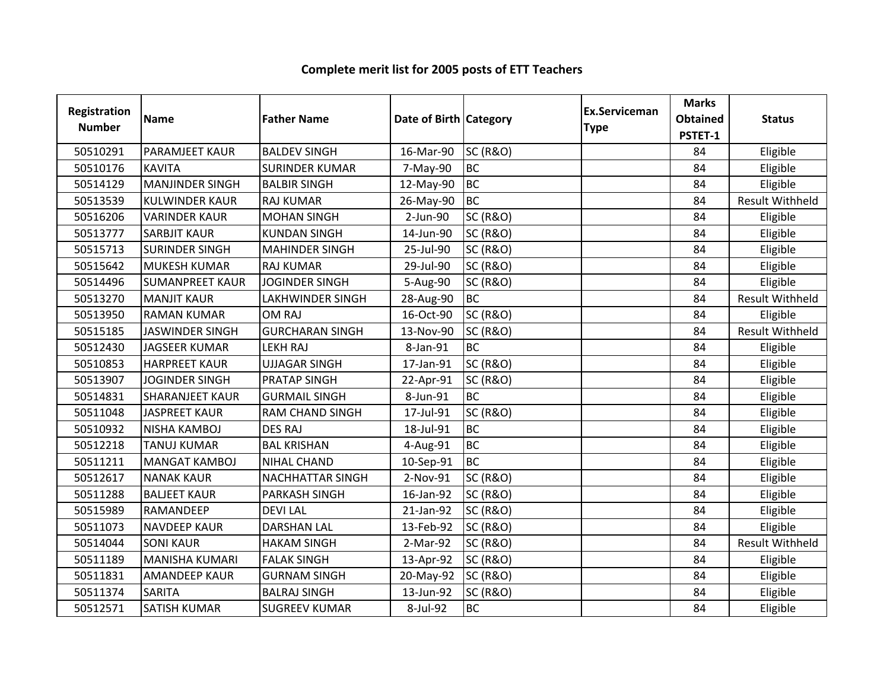| Registration<br><b>Number</b> | <b>Name</b>            | <b>Father Name</b>      | Date of Birth Category |                     | Ex.Serviceman<br><b>Type</b> | <b>Marks</b><br><b>Obtained</b><br>PSTET-1 | <b>Status</b>          |
|-------------------------------|------------------------|-------------------------|------------------------|---------------------|------------------------------|--------------------------------------------|------------------------|
| 50510291                      | <b>PARAMJEET KAUR</b>  | <b>BALDEV SINGH</b>     | 16-Mar-90              | <b>SC (R&amp;O)</b> |                              | 84                                         | Eligible               |
| 50510176                      | <b>KAVITA</b>          | <b>SURINDER KUMAR</b>   | 7-May-90               | <b>BC</b>           |                              | 84                                         | Eligible               |
| 50514129                      | <b>MANJINDER SINGH</b> | <b>BALBIR SINGH</b>     | 12-May-90              | <b>I</b> BC         |                              | 84                                         | Eligible               |
| 50513539                      | <b>KULWINDER KAUR</b>  | <b>RAJ KUMAR</b>        | 26-May-90              | <b>BC</b>           |                              | 84                                         | <b>Result Withheld</b> |
| 50516206                      | <b>VARINDER KAUR</b>   | <b>MOHAN SINGH</b>      | 2-Jun-90               | <b>SC (R&amp;O)</b> |                              | 84                                         | Eligible               |
| 50513777                      | <b>SARBJIT KAUR</b>    | <b>KUNDAN SINGH</b>     | 14-Jun-90              | <b>SC (R&amp;O)</b> |                              | 84                                         | Eligible               |
| 50515713                      | <b>SURINDER SINGH</b>  | <b>MAHINDER SINGH</b>   | 25-Jul-90              | <b>SC (R&amp;O)</b> |                              | 84                                         | Eligible               |
| 50515642                      | <b>MUKESH KUMAR</b>    | <b>RAJ KUMAR</b>        | 29-Jul-90              | <b>SC (R&amp;O)</b> |                              | 84                                         | Eligible               |
| 50514496                      | <b>SUMANPREET KAUR</b> | <b>JOGINDER SINGH</b>   | 5-Aug-90               | <b>SC (R&amp;O)</b> |                              | 84                                         | Eligible               |
| 50513270                      | <b>MANJIT KAUR</b>     | <b>LAKHWINDER SINGH</b> | 28-Aug-90              | <b>BC</b>           |                              | 84                                         | <b>Result Withheld</b> |
| 50513950                      | <b>RAMAN KUMAR</b>     | <b>OM RAJ</b>           | 16-Oct-90              | <b>SC (R&amp;O)</b> |                              | 84                                         | Eligible               |
| 50515185                      | <b>JASWINDER SINGH</b> | <b>GURCHARAN SINGH</b>  | 13-Nov-90              | <b>SC (R&amp;O)</b> |                              | 84                                         | <b>Result Withheld</b> |
| 50512430                      | <b>JAGSEER KUMAR</b>   | <b>LEKH RAJ</b>         | 8-Jan-91               | <b>BC</b>           |                              | 84                                         | Eligible               |
| 50510853                      | <b>HARPREET KAUR</b>   | <b>UJJAGAR SINGH</b>    | 17-Jan-91              | <b>SC (R&amp;O)</b> |                              | 84                                         | Eligible               |
| 50513907                      | <b>JOGINDER SINGH</b>  | <b>PRATAP SINGH</b>     | 22-Apr-91              | <b>SC (R&amp;O)</b> |                              | 84                                         | Eligible               |
| 50514831                      | <b>SHARANJEET KAUR</b> | <b>GURMAIL SINGH</b>    | 8-Jun-91               | <b>BC</b>           |                              | 84                                         | Eligible               |
| 50511048                      | <b>JASPREET KAUR</b>   | <b>RAM CHAND SINGH</b>  | 17-Jul-91              | <b>SC (R&amp;O)</b> |                              | 84                                         | Eligible               |
| 50510932                      | <b>NISHA KAMBOJ</b>    | <b>DES RAJ</b>          | 18-Jul-91              | <b>BC</b>           |                              | 84                                         | Eligible               |
| 50512218                      | <b>TANUJ KUMAR</b>     | <b>BAL KRISHAN</b>      | 4-Aug-91               | <b>BC</b>           |                              | 84                                         | Eligible               |
| 50511211                      | <b>MANGAT KAMBOJ</b>   | <b>NIHAL CHAND</b>      | 10-Sep-91              | <b>BC</b>           |                              | 84                                         | Eligible               |
| 50512617                      | <b>NANAK KAUR</b>      | NACHHATTAR SINGH        | 2-Nov-91               | <b>SC (R&amp;O)</b> |                              | 84                                         | Eligible               |
| 50511288                      | <b>BALJEET KAUR</b>    | PARKASH SINGH           | 16-Jan-92              | <b>SC (R&amp;O)</b> |                              | 84                                         | Eligible               |
| 50515989                      | RAMANDEEP              | <b>DEVILAL</b>          | 21-Jan-92              | <b>SC (R&amp;O)</b> |                              | 84                                         | Eligible               |
| 50511073                      | <b>NAVDEEP KAUR</b>    | <b>DARSHAN LAL</b>      | 13-Feb-92              | <b>SC (R&amp;O)</b> |                              | 84                                         | Eligible               |
| 50514044                      | <b>SONI KAUR</b>       | <b>HAKAM SINGH</b>      | 2-Mar-92               | <b>SC (R&amp;O)</b> |                              | 84                                         | <b>Result Withheld</b> |
| 50511189                      | <b>MANISHA KUMARI</b>  | <b>FALAK SINGH</b>      | 13-Apr-92              | <b>SC (R&amp;O)</b> |                              | 84                                         | Eligible               |
| 50511831                      | <b>AMANDEEP KAUR</b>   | <b>GURNAM SINGH</b>     | 20-May-92              | <b>SC (R&amp;O)</b> |                              | 84                                         | Eligible               |
| 50511374                      | <b>SARITA</b>          | <b>BALRAJ SINGH</b>     | 13-Jun-92              | <b>SC (R&amp;O)</b> |                              | 84                                         | Eligible               |
| 50512571                      | <b>SATISH KUMAR</b>    | <b>SUGREEV KUMAR</b>    | 8-Jul-92               | <b>BC</b>           |                              | 84                                         | Eligible               |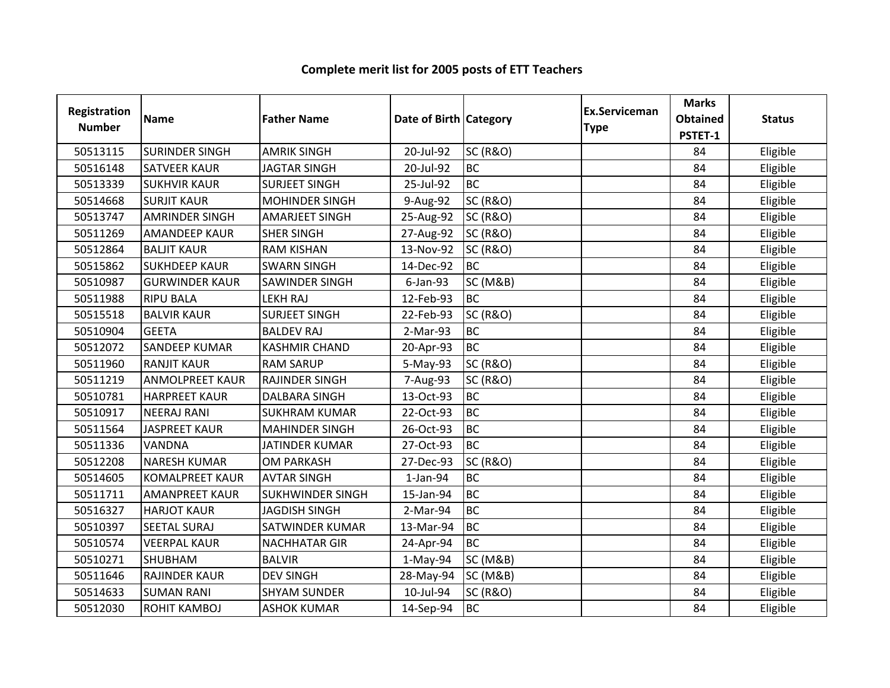| <b>Registration</b><br><b>Number</b> | <b>Name</b>            | <b>Father Name</b>      | Date of Birth Category |                     | <b>Ex.Serviceman</b><br><b>Type</b> | <b>Marks</b><br><b>Obtained</b><br>PSTET-1 | <b>Status</b> |
|--------------------------------------|------------------------|-------------------------|------------------------|---------------------|-------------------------------------|--------------------------------------------|---------------|
| 50513115                             | <b>SURINDER SINGH</b>  | <b>AMRIK SINGH</b>      | 20-Jul-92              | <b>SC (R&amp;O)</b> |                                     | 84                                         | Eligible      |
| 50516148                             | <b>SATVEER KAUR</b>    | <b>JAGTAR SINGH</b>     | 20-Jul-92              | <b>BC</b>           |                                     | 84                                         | Eligible      |
| 50513339                             | <b>SUKHVIR KAUR</b>    | <b>SURJEET SINGH</b>    | 25-Jul-92              | <b>BC</b>           |                                     | 84                                         | Eligible      |
| 50514668                             | <b>SURJIT KAUR</b>     | <b>MOHINDER SINGH</b>   | 9-Aug-92               | <b>SC (R&amp;O)</b> |                                     | 84                                         | Eligible      |
| 50513747                             | <b>AMRINDER SINGH</b>  | <b>AMARJEET SINGH</b>   | 25-Aug-92              | <b>SC (R&amp;O)</b> |                                     | 84                                         | Eligible      |
| 50511269                             | <b>AMANDEEP KAUR</b>   | <b>SHER SINGH</b>       | 27-Aug-92              | <b>SC (R&amp;O)</b> |                                     | 84                                         | Eligible      |
| 50512864                             | <b>BALJIT KAUR</b>     | <b>RAM KISHAN</b>       | 13-Nov-92              | <b>SC (R&amp;O)</b> |                                     | 84                                         | Eligible      |
| 50515862                             | <b>SUKHDEEP KAUR</b>   | <b>SWARN SINGH</b>      | 14-Dec-92              | <b>BC</b>           |                                     | 84                                         | Eligible      |
| 50510987                             | <b>GURWINDER KAUR</b>  | SAWINDER SINGH          | 6-Jan-93               | <b>SC (M&amp;B)</b> |                                     | 84                                         | Eligible      |
| 50511988                             | <b>RIPU BALA</b>       | <b>LEKH RAJ</b>         | 12-Feb-93              | <b>BC</b>           |                                     | 84                                         | Eligible      |
| 50515518                             | <b>BALVIR KAUR</b>     | <b>SURJEET SINGH</b>    | 22-Feb-93              | <b>SC (R&amp;O)</b> |                                     | 84                                         | Eligible      |
| 50510904                             | <b>GEETA</b>           | <b>BALDEV RAJ</b>       | 2-Mar-93               | <b>BC</b>           |                                     | 84                                         | Eligible      |
| 50512072                             | <b>SANDEEP KUMAR</b>   | <b>KASHMIR CHAND</b>    | 20-Apr-93              | <b>BC</b>           |                                     | 84                                         | Eligible      |
| 50511960                             | <b>RANJIT KAUR</b>     | <b>RAM SARUP</b>        | 5-May-93               | <b>SC (R&amp;O)</b> |                                     | 84                                         | Eligible      |
| 50511219                             | <b>ANMOLPREET KAUR</b> | <b>RAJINDER SINGH</b>   | 7-Aug-93               | <b>SC (R&amp;O)</b> |                                     | 84                                         | Eligible      |
| 50510781                             | <b>HARPREET KAUR</b>   | <b>DALBARA SINGH</b>    | 13-Oct-93              | <b>BC</b>           |                                     | 84                                         | Eligible      |
| 50510917                             | <b>NEERAJ RANI</b>     | <b>SUKHRAM KUMAR</b>    | 22-Oct-93              | <b>BC</b>           |                                     | 84                                         | Eligible      |
| 50511564                             | <b>JASPREET KAUR</b>   | <b>MAHINDER SINGH</b>   | 26-Oct-93              | <b>BC</b>           |                                     | 84                                         | Eligible      |
| 50511336                             | VANDNA                 | JATINDER KUMAR          | 27-Oct-93              | <b>BC</b>           |                                     | 84                                         | Eligible      |
| 50512208                             | <b>NARESH KUMAR</b>    | <b>OM PARKASH</b>       | 27-Dec-93              | <b>SC (R&amp;O)</b> |                                     | 84                                         | Eligible      |
| 50514605                             | <b>KOMALPREET KAUR</b> | <b>AVTAR SINGH</b>      | $1-Jan-94$             | <b>BC</b>           |                                     | 84                                         | Eligible      |
| 50511711                             | <b>AMANPREET KAUR</b>  | <b>SUKHWINDER SINGH</b> | 15-Jan-94              | <b>BC</b>           |                                     | 84                                         | Eligible      |
| 50516327                             | <b>HARJOT KAUR</b>     | <b>JAGDISH SINGH</b>    | 2-Mar-94               | <b>BC</b>           |                                     | 84                                         | Eligible      |
| 50510397                             | <b>SEETAL SURAJ</b>    | SATWINDER KUMAR         | 13-Mar-94              | <b>BC</b>           |                                     | 84                                         | Eligible      |
| 50510574                             | <b>VEERPAL KAUR</b>    | <b>NACHHATAR GIR</b>    | 24-Apr-94              | <b>BC</b>           |                                     | 84                                         | Eligible      |
| 50510271                             | <b>SHUBHAM</b>         | <b>BALVIR</b>           | $1-May-94$             | <b>SC (M&amp;B)</b> |                                     | 84                                         | Eligible      |
| 50511646                             | <b>RAJINDER KAUR</b>   | <b>DEV SINGH</b>        | 28-May-94              | <b>SC (M&amp;B)</b> |                                     | 84                                         | Eligible      |
| 50514633                             | <b>SUMAN RANI</b>      | <b>SHYAM SUNDER</b>     | 10-Jul-94              | <b>SC (R&amp;O)</b> |                                     | 84                                         | Eligible      |
| 50512030                             | <b>ROHIT KAMBOJ</b>    | <b>ASHOK KUMAR</b>      | 14-Sep-94              | <b>BC</b>           |                                     | 84                                         | Eligible      |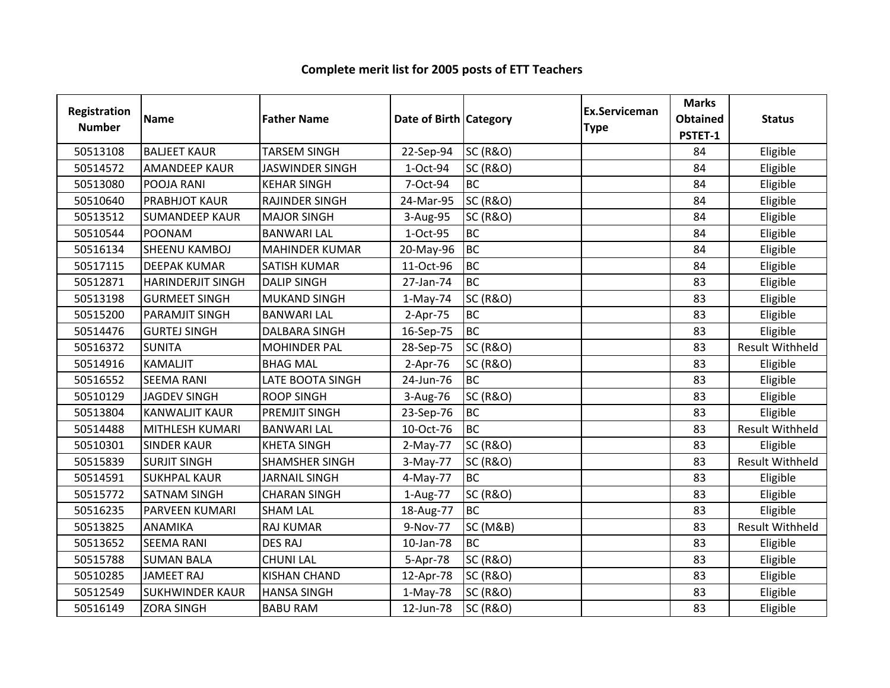| Registration<br><b>Number</b> | <b>Name</b>              | <b>Father Name</b>     | Date of Birth Category |                     | <b>Ex.Serviceman</b><br><b>Type</b> | <b>Marks</b><br><b>Obtained</b><br>PSTET-1 | <b>Status</b>          |
|-------------------------------|--------------------------|------------------------|------------------------|---------------------|-------------------------------------|--------------------------------------------|------------------------|
| 50513108                      | <b>BALJEET KAUR</b>      | <b>TARSEM SINGH</b>    | 22-Sep-94              | <b>SC (R&amp;O)</b> |                                     | 84                                         | Eligible               |
| 50514572                      | <b>AMANDEEP KAUR</b>     | <b>JASWINDER SINGH</b> | 1-Oct-94               | <b>SC (R&amp;O)</b> |                                     | 84                                         | Eligible               |
| 50513080                      | POOJA RANI               | <b>KEHAR SINGH</b>     | 7-Oct-94               | <b>BC</b>           |                                     | 84                                         | Eligible               |
| 50510640                      | <b>PRABHJOT KAUR</b>     | <b>RAJINDER SINGH</b>  | 24-Mar-95              | <b>SC (R&amp;O)</b> |                                     | 84                                         | Eligible               |
| 50513512                      | <b>SUMANDEEP KAUR</b>    | <b>MAJOR SINGH</b>     | 3-Aug-95               | <b>SC (R&amp;O)</b> |                                     | 84                                         | Eligible               |
| 50510544                      | POONAM                   | <b>BANWARI LAL</b>     | 1-Oct-95               | <b>BC</b>           |                                     | 84                                         | Eligible               |
| 50516134                      | SHEENU KAMBOJ            | <b>MAHINDER KUMAR</b>  | 20-May-96              | <b>BC</b>           |                                     | 84                                         | Eligible               |
| 50517115                      | <b>DEEPAK KUMAR</b>      | <b>SATISH KUMAR</b>    | 11-Oct-96              | <b>BC</b>           |                                     | 84                                         | Eligible               |
| 50512871                      | <b>HARINDERJIT SINGH</b> | <b>DALIP SINGH</b>     | 27-Jan-74              | <b>BC</b>           |                                     | 83                                         | Eligible               |
| 50513198                      | <b>GURMEET SINGH</b>     | <b>MUKAND SINGH</b>    | $1-May-74$             | <b>SC (R&amp;O)</b> |                                     | 83                                         | Eligible               |
| 50515200                      | <b>PARAMJIT SINGH</b>    | <b>BANWARI LAL</b>     | 2-Apr-75               | <b>BC</b>           |                                     | 83                                         | Eligible               |
| 50514476                      | <b>GURTEJ SINGH</b>      | <b>DALBARA SINGH</b>   | 16-Sep-75              | <b>BC</b>           |                                     | 83                                         | Eligible               |
| 50516372                      | <b>SUNITA</b>            | <b>MOHINDER PAL</b>    | 28-Sep-75              | <b>SC (R&amp;O)</b> |                                     | 83                                         | Result Withheld        |
| 50514916                      | <b>KAMALJIT</b>          | <b>BHAG MAL</b>        | $2-Apr-76$             | <b>SC (R&amp;O)</b> |                                     | 83                                         | Eligible               |
| 50516552                      | <b>SEEMA RANI</b>        | LATE BOOTA SINGH       | 24-Jun-76              | <b>BC</b>           |                                     | 83                                         | Eligible               |
| 50510129                      | <b>JAGDEV SINGH</b>      | <b>ROOP SINGH</b>      | 3-Aug-76               | <b>SC (R&amp;O)</b> |                                     | 83                                         | Eligible               |
| 50513804                      | <b>KANWALJIT KAUR</b>    | PREMJIT SINGH          | 23-Sep-76              | <b>BC</b>           |                                     | 83                                         | Eligible               |
| 50514488                      | MITHLESH KUMARI          | <b>BANWARI LAL</b>     | 10-Oct-76              | <b>BC</b>           |                                     | 83                                         | <b>Result Withheld</b> |
| 50510301                      | <b>SINDER KAUR</b>       | <b>KHETA SINGH</b>     | $2-May-77$             | <b>SC (R&amp;O)</b> |                                     | 83                                         | Eligible               |
| 50515839                      | <b>SURJIT SINGH</b>      | <b>SHAMSHER SINGH</b>  | 3-May-77               | <b>SC (R&amp;O)</b> |                                     | 83                                         | <b>Result Withheld</b> |
| 50514591                      | <b>SUKHPAL KAUR</b>      | <b>JARNAIL SINGH</b>   | 4-May-77               | <b>BC</b>           |                                     | 83                                         | Eligible               |
| 50515772                      | <b>SATNAM SINGH</b>      | <b>CHARAN SINGH</b>    | 1-Aug-77               | <b>SC (R&amp;O)</b> |                                     | 83                                         | Eligible               |
| 50516235                      | PARVEEN KUMARI           | <b>SHAM LAL</b>        | 18-Aug-77              | <b>BC</b>           |                                     | 83                                         | Eligible               |
| 50513825                      | <b>ANAMIKA</b>           | <b>RAJ KUMAR</b>       | 9-Nov-77               | <b>SC (M&amp;B)</b> |                                     | 83                                         | <b>Result Withheld</b> |
| 50513652                      | <b>SEEMA RANI</b>        | <b>DES RAJ</b>         | 10-Jan-78              | <b>BC</b>           |                                     | 83                                         | Eligible               |
| 50515788                      | <b>SUMAN BALA</b>        | <b>CHUNI LAL</b>       | 5-Apr-78               | <b>SC (R&amp;O)</b> |                                     | 83                                         | Eligible               |
| 50510285                      | <b>JAMEET RAJ</b>        | <b>KISHAN CHAND</b>    | 12-Apr-78              | <b>SC (R&amp;O)</b> |                                     | 83                                         | Eligible               |
| 50512549                      | <b>SUKHWINDER KAUR</b>   | <b>HANSA SINGH</b>     | $1-May-78$             | <b>SC (R&amp;O)</b> |                                     | 83                                         | Eligible               |
| 50516149                      | <b>ZORA SINGH</b>        | <b>BABU RAM</b>        | 12-Jun-78              | <b>SC (R&amp;O)</b> |                                     | 83                                         | Eligible               |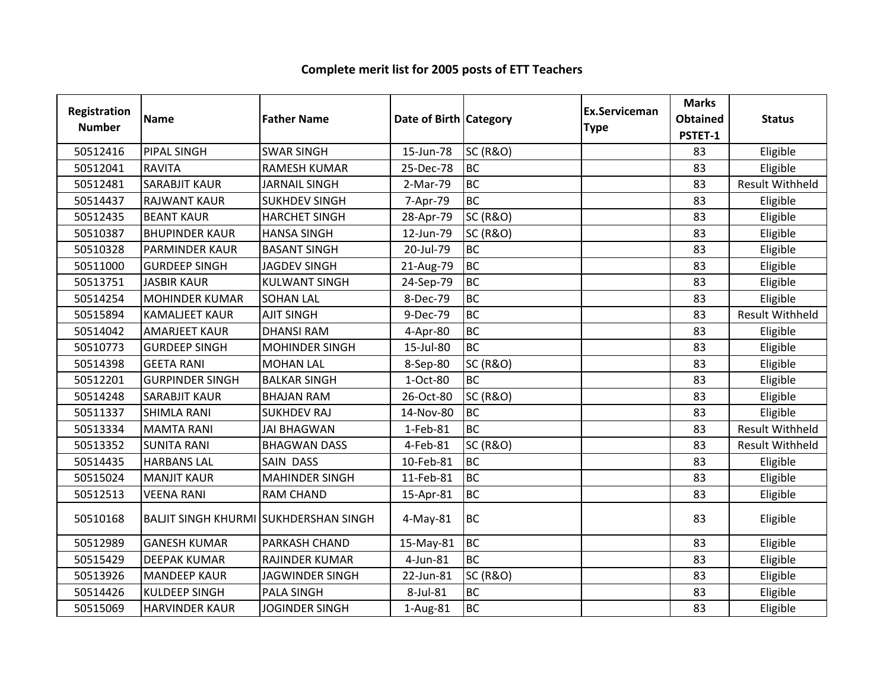| Registration<br><b>Number</b> | <b>Name</b>                                  | <b>Father Name</b>     | Date of Birth Category |                     | Ex.Serviceman<br><b>Type</b> | <b>Marks</b><br><b>Obtained</b><br>PSTET-1 | <b>Status</b>          |
|-------------------------------|----------------------------------------------|------------------------|------------------------|---------------------|------------------------------|--------------------------------------------|------------------------|
| 50512416                      | <b>PIPAL SINGH</b>                           | <b>SWAR SINGH</b>      | 15-Jun-78              | <b>SC (R&amp;O)</b> |                              | 83                                         | Eligible               |
| 50512041                      | <b>RAVITA</b>                                | <b>RAMESH KUMAR</b>    | 25-Dec-78              | <b>BC</b>           |                              | 83                                         | Eligible               |
| 50512481                      | <b>SARABJIT KAUR</b>                         | <b>JARNAIL SINGH</b>   | 2-Mar-79               | <b>BC</b>           |                              | 83                                         | Result Withheld        |
| 50514437                      | <b>RAJWANT KAUR</b>                          | <b>SUKHDEV SINGH</b>   | 7-Apr-79               | <b>BC</b>           |                              | 83                                         | Eligible               |
| 50512435                      | <b>BEANT KAUR</b>                            | <b>HARCHET SINGH</b>   | 28-Apr-79              | <b>SC (R&amp;O)</b> |                              | 83                                         | Eligible               |
| 50510387                      | <b>BHUPINDER KAUR</b>                        | <b>HANSA SINGH</b>     | 12-Jun-79              | <b>SC (R&amp;O)</b> |                              | 83                                         | Eligible               |
| 50510328                      | <b>PARMINDER KAUR</b>                        | <b>BASANT SINGH</b>    | 20-Jul-79              | <b>BC</b>           |                              | 83                                         | Eligible               |
| 50511000                      | <b>GURDEEP SINGH</b>                         | <b>JAGDEV SINGH</b>    | 21-Aug-79              | <b>BC</b>           |                              | 83                                         | Eligible               |
| 50513751                      | <b>JASBIR KAUR</b>                           | <b>KULWANT SINGH</b>   | 24-Sep-79              | <b>BC</b>           |                              | 83                                         | Eligible               |
| 50514254                      | <b>MOHINDER KUMAR</b>                        | <b>SOHAN LAL</b>       | 8-Dec-79               | <b>BC</b>           |                              | 83                                         | Eligible               |
| 50515894                      | <b>KAMALJEET KAUR</b>                        | <b>AJIT SINGH</b>      | 9-Dec-79               | <b>BC</b>           |                              | 83                                         | <b>Result Withheld</b> |
| 50514042                      | <b>AMARJEET KAUR</b>                         | <b>DHANSI RAM</b>      | 4-Apr-80               | <b>BC</b>           |                              | 83                                         | Eligible               |
| 50510773                      | <b>GURDEEP SINGH</b>                         | <b>MOHINDER SINGH</b>  | 15-Jul-80              | <b>BC</b>           |                              | 83                                         | Eligible               |
| 50514398                      | <b>GEETA RANI</b>                            | <b>MOHAN LAL</b>       | 8-Sep-80               | <b>SC (R&amp;O)</b> |                              | 83                                         | Eligible               |
| 50512201                      | <b>GURPINDER SINGH</b>                       | <b>BALKAR SINGH</b>    | 1-Oct-80               | <b>BC</b>           |                              | 83                                         | Eligible               |
| 50514248                      | <b>SARABJIT KAUR</b>                         | <b>BHAJAN RAM</b>      | 26-Oct-80              | <b>SC (R&amp;O)</b> |                              | 83                                         | Eligible               |
| 50511337                      | <b>SHIMLA RANI</b>                           | <b>SUKHDEV RAJ</b>     | 14-Nov-80              | <b>BC</b>           |                              | 83                                         | Eligible               |
| 50513334                      | <b>MAMTA RANI</b>                            | <b>JAI BHAGWAN</b>     | 1-Feb-81               | <b>BC</b>           |                              | 83                                         | <b>Result Withheld</b> |
| 50513352                      | <b>SUNITA RANI</b>                           | <b>BHAGWAN DASS</b>    | 4-Feb-81               | <b>SC (R&amp;O)</b> |                              | 83                                         | Result Withheld        |
| 50514435                      | <b>HARBANS LAL</b>                           | SAIN DASS              | 10-Feb-81              | <b>BC</b>           |                              | 83                                         | Eligible               |
| 50515024                      | <b>MANJIT KAUR</b>                           | <b>MAHINDER SINGH</b>  | 11-Feb-81              | <b>BC</b>           |                              | 83                                         | Eligible               |
| 50512513                      | <b>VEENA RANI</b>                            | <b>RAM CHAND</b>       | 15-Apr-81              | <b>BC</b>           |                              | 83                                         | Eligible               |
| 50510168                      | <b>BALJIT SINGH KHURMI SUKHDERSHAN SINGH</b> |                        | $4$ -May-81            | BC                  |                              | 83                                         | Eligible               |
| 50512989                      | <b>GANESH KUMAR</b>                          | PARKASH CHAND          | 15-May-81              | <b>BC</b>           |                              | 83                                         | Eligible               |
| 50515429                      | <b>DEEPAK KUMAR</b>                          | RAJINDER KUMAR         | 4-Jun-81               | <b>BC</b>           |                              | 83                                         | Eligible               |
| 50513926                      | <b>MANDEEP KAUR</b>                          | <b>JAGWINDER SINGH</b> | 22-Jun-81              | <b>SC (R&amp;O)</b> |                              | 83                                         | Eligible               |
| 50514426                      | <b>KULDEEP SINGH</b>                         | <b>PALA SINGH</b>      | 8-Jul-81               | <b>BC</b>           |                              | 83                                         | Eligible               |
| 50515069                      | <b>HARVINDER KAUR</b>                        | <b>JOGINDER SINGH</b>  | 1-Aug-81               | <b>BC</b>           |                              | 83                                         | Eligible               |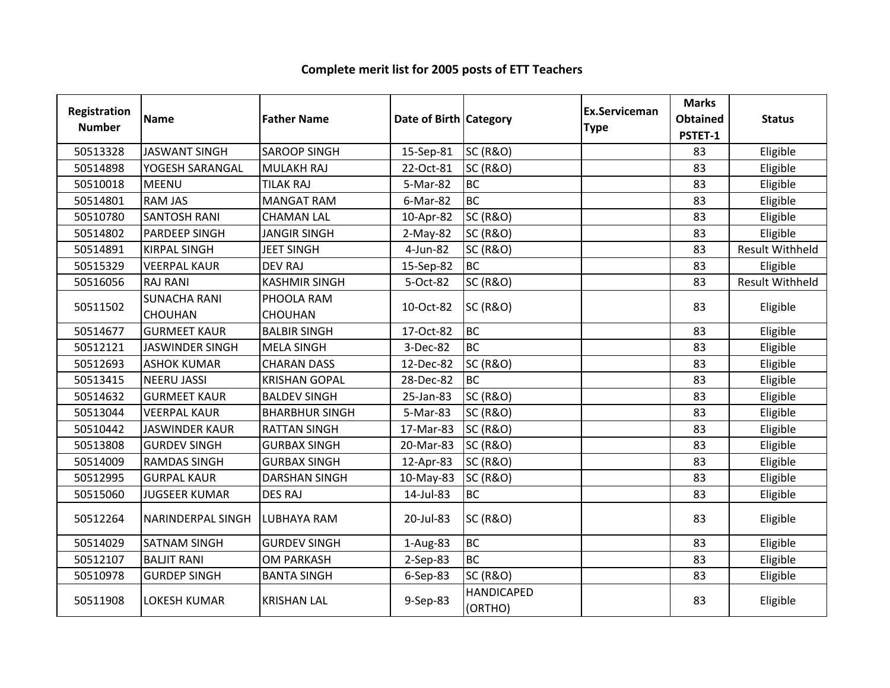| <b>Registration</b><br><b>Number</b> | <b>Name</b>                           | <b>Father Name</b>           | Date of Birth Category |                              | <b>Ex.Serviceman</b><br><b>Type</b> | <b>Marks</b><br><b>Obtained</b><br>PSTET-1 | <b>Status</b>          |
|--------------------------------------|---------------------------------------|------------------------------|------------------------|------------------------------|-------------------------------------|--------------------------------------------|------------------------|
| 50513328                             | <b>JASWANT SINGH</b>                  | <b>SAROOP SINGH</b>          | 15-Sep-81              | <b>SC (R&amp;O)</b>          |                                     | 83                                         | Eligible               |
| 50514898                             | YOGESH SARANGAL                       | <b>MULAKH RAJ</b>            | 22-Oct-81              | <b>SC (R&amp;O)</b>          |                                     | 83                                         | Eligible               |
| 50510018                             | <b>MEENU</b>                          | <b>TILAK RAJ</b>             | 5-Mar-82               | <b>BC</b>                    |                                     | 83                                         | Eligible               |
| 50514801                             | <b>RAM JAS</b>                        | <b>MANGAT RAM</b>            | 6-Mar-82               | <b>BC</b>                    |                                     | 83                                         | Eligible               |
| 50510780                             | <b>SANTOSH RANI</b>                   | <b>CHAMAN LAL</b>            | 10-Apr-82              | <b>SC (R&amp;O)</b>          |                                     | 83                                         | Eligible               |
| 50514802                             | PARDEEP SINGH                         | <b>JANGIR SINGH</b>          | $2-May-82$             | <b>SC (R&amp;O)</b>          |                                     | 83                                         | Eligible               |
| 50514891                             | <b>KIRPAL SINGH</b>                   | <b>JEET SINGH</b>            | 4-Jun-82               | <b>SC (R&amp;O)</b>          |                                     | 83                                         | <b>Result Withheld</b> |
| 50515329                             | <b>VEERPAL KAUR</b>                   | <b>DEV RAJ</b>               | 15-Sep-82              | <b>BC</b>                    |                                     | 83                                         | Eligible               |
| 50516056                             | <b>RAJ RANI</b>                       | <b>KASHMIR SINGH</b>         | 5-Oct-82               | <b>SC (R&amp;O)</b>          |                                     | 83                                         | Result Withheld        |
| 50511502                             | <b>SUNACHA RANI</b><br><b>CHOUHAN</b> | PHOOLA RAM<br><b>CHOUHAN</b> | 10-Oct-82              | <b>SC (R&amp;O)</b>          |                                     | 83                                         | Eligible               |
| 50514677                             | <b>GURMEET KAUR</b>                   | <b>BALBIR SINGH</b>          | 17-Oct-82              | <b>BC</b>                    |                                     | 83                                         | Eligible               |
| 50512121                             | <b>JASWINDER SINGH</b>                | <b>MELA SINGH</b>            | 3-Dec-82               | <b>BC</b>                    |                                     | 83                                         | Eligible               |
| 50512693                             | <b>ASHOK KUMAR</b>                    | <b>CHARAN DASS</b>           | 12-Dec-82              | <b>SC (R&amp;O)</b>          |                                     | 83                                         | Eligible               |
| 50513415                             | <b>NEERU JASSI</b>                    | <b>KRISHAN GOPAL</b>         | 28-Dec-82              | <b>BC</b>                    |                                     | 83                                         | Eligible               |
| 50514632                             | <b>GURMEET KAUR</b>                   | <b>BALDEV SINGH</b>          | 25-Jan-83              | <b>SC (R&amp;O)</b>          |                                     | 83                                         | Eligible               |
| 50513044                             | <b>VEERPAL KAUR</b>                   | <b>BHARBHUR SINGH</b>        | 5-Mar-83               | <b>SC (R&amp;O)</b>          |                                     | 83                                         | Eligible               |
| 50510442                             | <b>JASWINDER KAUR</b>                 | <b>RATTAN SINGH</b>          | 17-Mar-83              | <b>SC (R&amp;O)</b>          |                                     | 83                                         | Eligible               |
| 50513808                             | <b>GURDEV SINGH</b>                   | <b>GURBAX SINGH</b>          | 20-Mar-83              | <b>SC (R&amp;O)</b>          |                                     | 83                                         | Eligible               |
| 50514009                             | <b>RAMDAS SINGH</b>                   | <b>GURBAX SINGH</b>          | 12-Apr-83              | <b>SC (R&amp;O)</b>          |                                     | 83                                         | Eligible               |
| 50512995                             | <b>GURPAL KAUR</b>                    | <b>DARSHAN SINGH</b>         | 10-May-83              | <b>SC (R&amp;O)</b>          |                                     | 83                                         | Eligible               |
| 50515060                             | <b>JUGSEER KUMAR</b>                  | <b>DES RAJ</b>               | 14-Jul-83              | <b>BC</b>                    |                                     | 83                                         | Eligible               |
| 50512264                             | NARINDERPAL SINGH                     | <b>LUBHAYA RAM</b>           | 20-Jul-83              | <b>SC (R&amp;O)</b>          |                                     | 83                                         | Eligible               |
| 50514029                             | <b>SATNAM SINGH</b>                   | <b>GURDEV SINGH</b>          | 1-Aug-83               | <b>BC</b>                    |                                     | 83                                         | Eligible               |
| 50512107                             | <b>BALJIT RANI</b>                    | <b>OM PARKASH</b>            | 2-Sep-83               | <b>BC</b>                    |                                     | 83                                         | Eligible               |
| 50510978                             | <b>GURDEP SINGH</b>                   | <b>BANTA SINGH</b>           | 6-Sep-83               | <b>SC (R&amp;O)</b>          |                                     | 83                                         | Eligible               |
| 50511908                             | <b>LOKESH KUMAR</b>                   | <b>KRISHAN LAL</b>           | 9-Sep-83               | <b>HANDICAPED</b><br>(ORTHO) |                                     | 83                                         | Eligible               |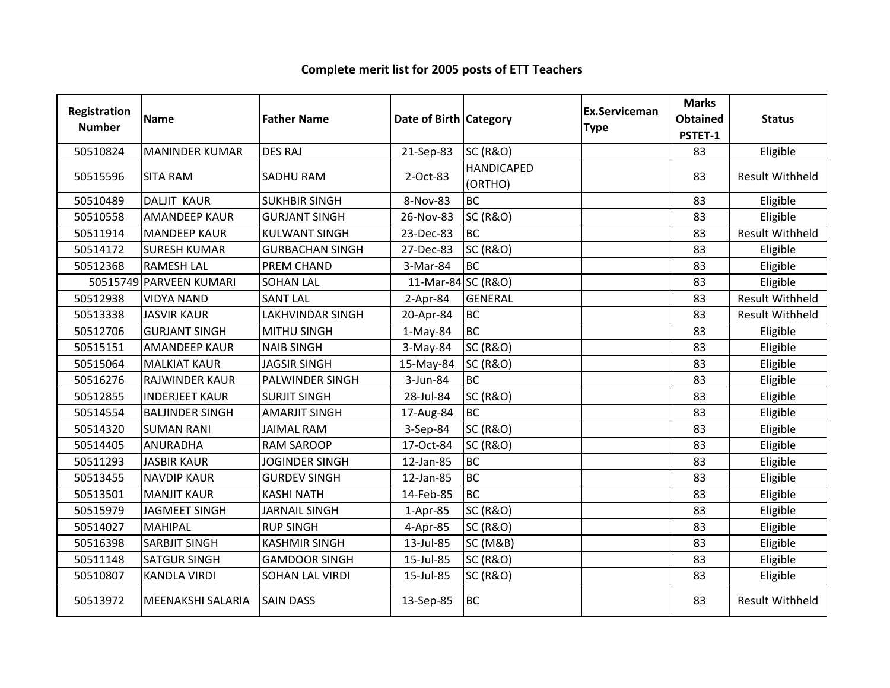#### Registration Numberion Name **Father Name Access Contract Category** Ex.Serviceman Category **Ex.Serviceman** Serviceman Marks<br>
e Obtained<br>
PSTET-1 ed Status<br>1 <sup>50510824</sup> MANINDER KUMAR DES RAJ 21-Sep-83 SC (R&O) <sup>83</sup> Eligible <sup>50515596</sup> SITA RAM SADHU RAM 2-Oct-83HANDICAPED (ORTHO)83 | Result Withheld 50510489 DALJIT KAUR SUKHBIR SINGH 8-Nov-83 BC<br>50510558 AMANDEEP KAUR GURJANT SINGH 26-Nov-83 SC (R&O) <sup>83</sup> Eligible 50510558 AMANDEEP KAUR GURJANT SINGH 26-Nov-83 SC (R&O) Research 1983 Participal and Eligible <sup>50511914</sup> MANDEEP KAUR KULWANT SINGH 23-Dec-83 BC83 Result Withheld<br>83 Eligible 50514172 SURESH KUMAR GURBACHAN SINGH 27-Dec-83 SC (R&O) Research 2008 SC (R&O) Bigible 50512368 RAMESH LAL PREM CHAND 3-Mar-84 BC<br>50515749 PARVEEN KUMARI SOHAN LAL 11-Mar-84 SC (R&O) <sup>83</sup> Eligible <sup>50515749</sup> PARVEEN KUMARI SOHAN LAL 11-Mar-84 SC (R&O) <sup>83</sup> Eligible <sup>50512938</sup> VIDYA NAND SANT LAL 2-Apr-84 GENERAL <sup>83</sup> Result WithheldC 1983 Result Withheld <sup>50513338</sup> JASVIR KAUR LAKHVINDAR SINGH 20-Apr-84 BC50512706 GURJANT SINGH MITHU SINGH 1-May-84 BC<br>50515151 AMANDEEP KAUR NAIB SINGH 3-May-84 SC (R&O) <sup>83</sup> Eligible <sup>50515151</sup> AMANDEEP KAUR NAIB SINGH 3-May-84 SC (R&O) <sup>83</sup> Eligible <sup>50515064</sup> MALKIAT KAUR JAGSIR SINGH 15-May-84 SC (R&O) <sup>83</sup> Eligible 50516276 RAJWINDER KAUR PALWINDER SINGH | 3-Jun-84 BC <sup>83</sup> Eligible <sup>50512855</sup> INDERJEET KAUR SURJIT SINGH 28-Jul-84 SC (R&O) <sup>83</sup> Eligible 50514554 BALJINDER SINGH AMARJIT SINGH 17-Aug-84 BC<br>50514320 SUMAN RANI JAIMAL RAM 3-Sep-84 SC (R&O) <sup>83</sup> Eligible <sup>50514320</sup> SUMAN RANI JAIMAL RAM 3-Sep-84 SC (R&O) <sup>83</sup> Eligible <sup>50514405</sup> ANURADHA RAM SAROOP 17-Oct-84 SC (R&O) <sup>83</sup> Eligible <sup>50511293</sup> JASBIR KAUR JOGINDER SINGH 12-Jan-85 BC <sup>83</sup> Eligible NAVDIP KAUR GURDEV SINGH 12-Jan-85 BC<br>MANJIT KAUR KASHI NATH 14-Feb-85 BC <sup>83</sup> Eligible 50513501 MANJIT KAUR KASHI NATH 14-Feb-85 BC<br>50515979 JAGMEET SINGH JARNAIL SINGH 1-Apr-85 SC (R&O) <sup>83</sup> Eligible <sup>50515979</sup> JAGMEET SINGH JARNAIL SINGH 1-Apr-85 SC (R&O) <sup>83</sup> Eligible <sup>50514027</sup> MAHIPAL RUP SINGH 4-Apr-85 SC (R&O) <sup>83</sup> Eligible 50516398 SARBJIT SINGH KASHMIR SINGH 13-Jul-85 SC (M&B) Research 1983 Religible 50511148 SATGUR SINGH GAMDOOR SINGH 15-Jul-85 SC (R&O) National Basic Magnetic Religible <sup>50510807</sup> KANDLA VIRDI SOHAN LAL VIRDI 15-Jul-85 SC (R&O) <sup>83</sup> Eligible 50513972 MEENAKSHI SALARIA SAIN DASS 13-Sep-85 BC 83 Result Withheld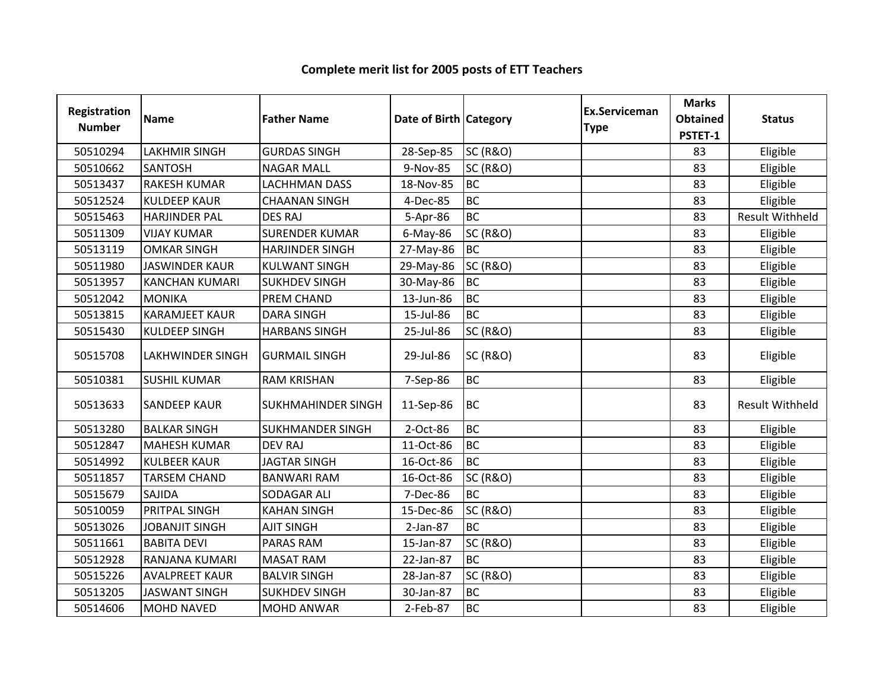| Registration<br><b>Number</b> | <b>Name</b>           | <b>Father Name</b>      | Date of Birth Category |                     | <b>Ex.Serviceman</b><br><b>Type</b> | <b>Marks</b><br><b>Obtained</b><br>PSTET-1 | <b>Status</b>          |
|-------------------------------|-----------------------|-------------------------|------------------------|---------------------|-------------------------------------|--------------------------------------------|------------------------|
| 50510294                      | <b>LAKHMIR SINGH</b>  | <b>GURDAS SINGH</b>     | 28-Sep-85              | <b>SC (R&amp;O)</b> |                                     | 83                                         | Eligible               |
| 50510662                      | <b>SANTOSH</b>        | <b>NAGAR MALL</b>       | 9-Nov-85               | <b>SC (R&amp;O)</b> |                                     | 83                                         | Eligible               |
| 50513437                      | <b>RAKESH KUMAR</b>   | <b>LACHHMAN DASS</b>    | 18-Nov-85              | <b>BC</b>           |                                     | 83                                         | Eligible               |
| 50512524                      | <b>KULDEEP KAUR</b>   | <b>CHAANAN SINGH</b>    | 4-Dec-85               | <b>BC</b>           |                                     | 83                                         | Eligible               |
| 50515463                      | <b>HARJINDER PAL</b>  | <b>DES RAJ</b>          | 5-Apr-86               | <b>BC</b>           |                                     | 83                                         | <b>Result Withheld</b> |
| 50511309                      | <b>VIJAY KUMAR</b>    | <b>SURENDER KUMAR</b>   | $6$ -May-86            | <b>SC (R&amp;O)</b> |                                     | 83                                         | Eligible               |
| 50513119                      | <b>OMKAR SINGH</b>    | <b>HARJINDER SINGH</b>  | 27-May-86              | <b>BC</b>           |                                     | 83                                         | Eligible               |
| 50511980                      | <b>JASWINDER KAUR</b> | <b>KULWANT SINGH</b>    | 29-May-86              | <b>SC (R&amp;O)</b> |                                     | 83                                         | Eligible               |
| 50513957                      | <b>KANCHAN KUMARI</b> | <b>SUKHDEV SINGH</b>    | 30-May-86              | <b>BC</b>           |                                     | 83                                         | Eligible               |
| 50512042                      | <b>MONIKA</b>         | PREM CHAND              | 13-Jun-86              | <b>BC</b>           |                                     | 83                                         | Eligible               |
| 50513815                      | <b>KARAMJEET KAUR</b> | <b>DARA SINGH</b>       | 15-Jul-86              | <b>BC</b>           |                                     | 83                                         | Eligible               |
| 50515430                      | <b>KULDEEP SINGH</b>  | <b>HARBANS SINGH</b>    | 25-Jul-86              | <b>SC (R&amp;O)</b> |                                     | 83                                         | Eligible               |
| 50515708                      | LAKHWINDER SINGH      | <b>GURMAIL SINGH</b>    | 29-Jul-86              | <b>SC (R&amp;O)</b> |                                     | 83                                         | Eligible               |
| 50510381                      | <b>SUSHIL KUMAR</b>   | <b>RAM KRISHAN</b>      | 7-Sep-86               | <b>BC</b>           |                                     | 83                                         | Eligible               |
| 50513633                      | <b>SANDEEP KAUR</b>   | SUKHMAHINDER SINGH      | 11-Sep-86              | <b>BC</b>           |                                     | 83                                         | <b>Result Withheld</b> |
| 50513280                      | <b>BALKAR SINGH</b>   | <b>SUKHMANDER SINGH</b> | 2-Oct-86               | <b>BC</b>           |                                     | 83                                         | Eligible               |
| 50512847                      | <b>MAHESH KUMAR</b>   | <b>DEV RAJ</b>          | 11-Oct-86              | <b>BC</b>           |                                     | 83                                         | Eligible               |
| 50514992                      | <b>KULBEER KAUR</b>   | <b>JAGTAR SINGH</b>     | 16-Oct-86              | <b>BC</b>           |                                     | 83                                         | Eligible               |
| 50511857                      | <b>TARSEM CHAND</b>   | <b>BANWARI RAM</b>      | 16-Oct-86              | <b>SC (R&amp;O)</b> |                                     | 83                                         | Eligible               |
| 50515679                      | SAJIDA                | SODAGAR ALI             | 7-Dec-86               | <b>BC</b>           |                                     | 83                                         | Eligible               |
| 50510059                      | PRITPAL SINGH         | <b>KAHAN SINGH</b>      | 15-Dec-86              | <b>SC (R&amp;O)</b> |                                     | 83                                         | Eligible               |
| 50513026                      | <b>JOBANJIT SINGH</b> | <b>AJIT SINGH</b>       | $2-Jan-87$             | <b>BC</b>           |                                     | 83                                         | Eligible               |
| 50511661                      | <b>BABITA DEVI</b>    | <b>PARAS RAM</b>        | 15-Jan-87              | <b>SC (R&amp;O)</b> |                                     | 83                                         | Eligible               |
| 50512928                      | RANJANA KUMARI        | <b>MASAT RAM</b>        | 22-Jan-87              | <b>BC</b>           |                                     | 83                                         | Eligible               |
| 50515226                      | <b>AVALPREET KAUR</b> | <b>BALVIR SINGH</b>     | 28-Jan-87              | <b>SC (R&amp;O)</b> |                                     | 83                                         | Eligible               |
| 50513205                      | <b>JASWANT SINGH</b>  | <b>SUKHDEV SINGH</b>    | 30-Jan-87              | <b>BC</b>           |                                     | 83                                         | Eligible               |
| 50514606                      | <b>MOHD NAVED</b>     | <b>MOHD ANWAR</b>       | 2-Feb-87               | <b>BC</b>           |                                     | 83                                         | Eligible               |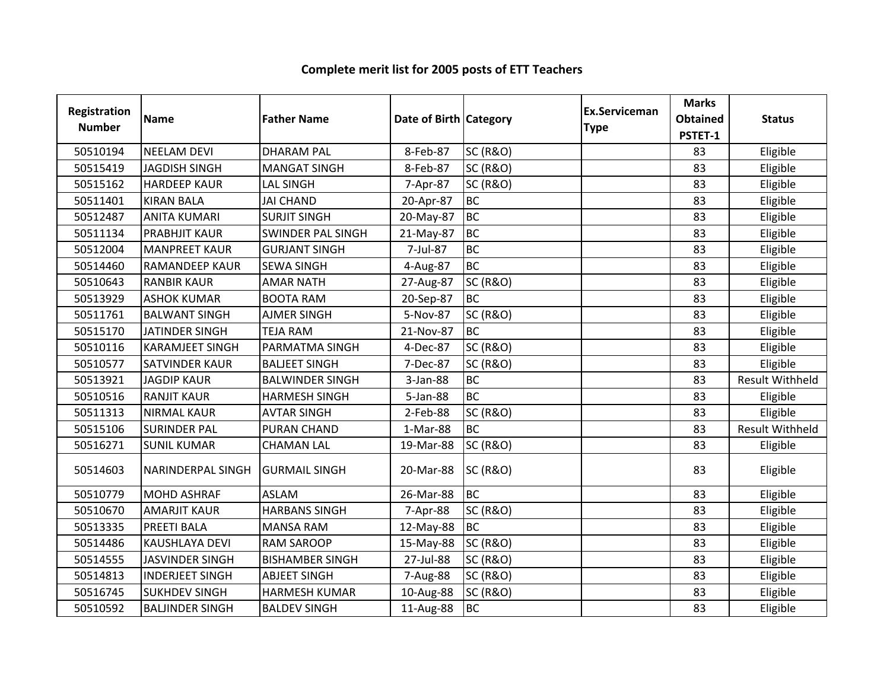| Registration<br><b>Number</b> | <b>Name</b>            | <b>Father Name</b>       | Date of Birth Category |                     | <b>Ex.Serviceman</b><br><b>Type</b> | <b>Marks</b><br><b>Obtained</b><br>PSTET-1 | <b>Status</b>          |
|-------------------------------|------------------------|--------------------------|------------------------|---------------------|-------------------------------------|--------------------------------------------|------------------------|
| 50510194                      | <b>NEELAM DEVI</b>     | <b>DHARAM PAL</b>        | 8-Feb-87               | <b>SC (R&amp;O)</b> |                                     | 83                                         | Eligible               |
| 50515419                      | <b>JAGDISH SINGH</b>   | <b>MANGAT SINGH</b>      | 8-Feb-87               | <b>SC (R&amp;O)</b> |                                     | 83                                         | Eligible               |
| 50515162                      | <b>HARDEEP KAUR</b>    | <b>LAL SINGH</b>         | 7-Apr-87               | <b>SC (R&amp;O)</b> |                                     | 83                                         | Eligible               |
| 50511401                      | <b>KIRAN BALA</b>      | <b>JAI CHAND</b>         | 20-Apr-87              | <b>BC</b>           |                                     | 83                                         | Eligible               |
| 50512487                      | <b>ANITA KUMARI</b>    | <b>SURJIT SINGH</b>      | 20-May-87              | <b>BC</b>           |                                     | 83                                         | Eligible               |
| 50511134                      | <b>PRABHJIT KAUR</b>   | <b>SWINDER PAL SINGH</b> | 21-May-87              | <b>BC</b>           |                                     | 83                                         | Eligible               |
| 50512004                      | <b>MANPREET KAUR</b>   | <b>GURJANT SINGH</b>     | 7-Jul-87               | <b>BC</b>           |                                     | 83                                         | Eligible               |
| 50514460                      | <b>RAMANDEEP KAUR</b>  | <b>SEWA SINGH</b>        | 4-Aug-87               | <b>BC</b>           |                                     | 83                                         | Eligible               |
| 50510643                      | <b>RANBIR KAUR</b>     | <b>AMAR NATH</b>         | 27-Aug-87              | <b>SC (R&amp;O)</b> |                                     | 83                                         | Eligible               |
| 50513929                      | <b>ASHOK KUMAR</b>     | <b>BOOTA RAM</b>         | 20-Sep-87              | <b>BC</b>           |                                     | 83                                         | Eligible               |
| 50511761                      | <b>BALWANT SINGH</b>   | <b>AJMER SINGH</b>       | 5-Nov-87               | <b>SC (R&amp;O)</b> |                                     | 83                                         | Eligible               |
| 50515170                      | <b>JATINDER SINGH</b>  | <b>TEJA RAM</b>          | 21-Nov-87              | <b>BC</b>           |                                     | 83                                         | Eligible               |
| 50510116                      | <b>KARAMJEET SINGH</b> | PARMATMA SINGH           | 4-Dec-87               | <b>SC (R&amp;O)</b> |                                     | 83                                         | Eligible               |
| 50510577                      | <b>SATVINDER KAUR</b>  | <b>BALJEET SINGH</b>     | 7-Dec-87               | <b>SC (R&amp;O)</b> |                                     | 83                                         | Eligible               |
| 50513921                      | <b>JAGDIP KAUR</b>     | <b>BALWINDER SINGH</b>   | 3-Jan-88               | <b>BC</b>           |                                     | 83                                         | <b>Result Withheld</b> |
| 50510516                      | <b>RANJIT KAUR</b>     | <b>HARMESH SINGH</b>     | 5-Jan-88               | <b>BC</b>           |                                     | 83                                         | Eligible               |
| 50511313                      | <b>NIRMAL KAUR</b>     | <b>AVTAR SINGH</b>       | 2-Feb-88               | <b>SC (R&amp;O)</b> |                                     | 83                                         | Eligible               |
| 50515106                      | <b>SURINDER PAL</b>    | <b>PURAN CHAND</b>       | 1-Mar-88               | <b>BC</b>           |                                     | 83                                         | <b>Result Withheld</b> |
| 50516271                      | <b>SUNIL KUMAR</b>     | <b>CHAMAN LAL</b>        | 19-Mar-88              | <b>SC (R&amp;O)</b> |                                     | 83                                         | Eligible               |
| 50514603                      | NARINDERPAL SINGH      | <b>GURMAIL SINGH</b>     | 20-Mar-88              | <b>SC (R&amp;O)</b> |                                     | 83                                         | Eligible               |
| 50510779                      | <b>MOHD ASHRAF</b>     | <b>ASLAM</b>             | 26-Mar-88              | <b>BC</b>           |                                     | 83                                         | Eligible               |
| 50510670                      | <b>AMARJIT KAUR</b>    | <b>HARBANS SINGH</b>     | 7-Apr-88               | <b>SC (R&amp;O)</b> |                                     | 83                                         | Eligible               |
| 50513335                      | <b>PREETI BALA</b>     | <b>MANSA RAM</b>         | 12-May-88              | <b>BC</b>           |                                     | 83                                         | Eligible               |
| 50514486                      | KAUSHLAYA DEVI         | <b>RAM SAROOP</b>        | 15-May-88              | <b>SC (R&amp;O)</b> |                                     | 83                                         | Eligible               |
| 50514555                      | <b>JASVINDER SINGH</b> | <b>BISHAMBER SINGH</b>   | 27-Jul-88              | <b>SC (R&amp;O)</b> |                                     | 83                                         | Eligible               |
| 50514813                      | <b>INDERJEET SINGH</b> | <b>ABJEET SINGH</b>      | 7-Aug-88               | <b>SC (R&amp;O)</b> |                                     | 83                                         | Eligible               |
| 50516745                      | <b>SUKHDEV SINGH</b>   | <b>HARMESH KUMAR</b>     | 10-Aug-88              | <b>SC (R&amp;O)</b> |                                     | 83                                         | Eligible               |
| 50510592                      | <b>BALJINDER SINGH</b> | <b>BALDEV SINGH</b>      | 11-Aug-88              | <b>BC</b>           |                                     | 83                                         | Eligible               |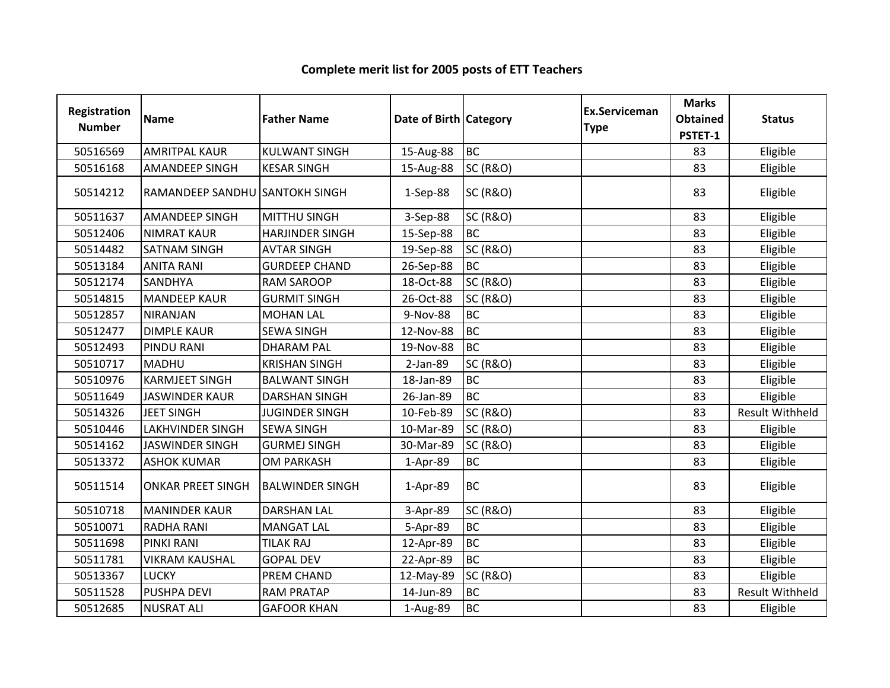| Registration<br><b>Number</b> | <b>Name</b>                    | <b>Father Name</b>     | Date of Birth Category |                     | Ex.Serviceman | <b>Marks</b><br><b>Obtained</b> | <b>Status</b>          |
|-------------------------------|--------------------------------|------------------------|------------------------|---------------------|---------------|---------------------------------|------------------------|
|                               |                                |                        |                        |                     | <b>Type</b>   | PSTET-1                         |                        |
| 50516569                      | <b>AMRITPAL KAUR</b>           | <b>KULWANT SINGH</b>   | 15-Aug-88              | <b>BC</b>           |               | 83                              | Eligible               |
| 50516168                      | <b>AMANDEEP SINGH</b>          | <b>KESAR SINGH</b>     | 15-Aug-88              | <b>SC (R&amp;O)</b> |               | 83                              | Eligible               |
| 50514212                      | RAMANDEEP SANDHU SANTOKH SINGH |                        | 1-Sep-88               | <b>SC (R&amp;O)</b> |               | 83                              | Eligible               |
| 50511637                      | <b>AMANDEEP SINGH</b>          | <b>MITTHU SINGH</b>    | 3-Sep-88               | <b>SC (R&amp;O)</b> |               | 83                              | Eligible               |
| 50512406                      | <b>NIMRAT KAUR</b>             | <b>HARJINDER SINGH</b> | 15-Sep-88              | <b>BC</b>           |               | 83                              | Eligible               |
| 50514482                      | <b>SATNAM SINGH</b>            | <b>AVTAR SINGH</b>     | 19-Sep-88              | <b>SC (R&amp;O)</b> |               | 83                              | Eligible               |
| 50513184                      | <b>ANITA RANI</b>              | <b>GURDEEP CHAND</b>   | 26-Sep-88              | <b>BC</b>           |               | 83                              | Eligible               |
| 50512174                      | <b>SANDHYA</b>                 | <b>RAM SAROOP</b>      | 18-Oct-88              | <b>SC (R&amp;O)</b> |               | 83                              | Eligible               |
| 50514815                      | <b>MANDEEP KAUR</b>            | <b>GURMIT SINGH</b>    | 26-Oct-88              | <b>SC (R&amp;O)</b> |               | 83                              | Eligible               |
| 50512857                      | <b>NIRANJAN</b>                | <b>MOHAN LAL</b>       | 9-Nov-88               | <b>BC</b>           |               | 83                              | Eligible               |
| 50512477                      | <b>DIMPLE KAUR</b>             | <b>SEWA SINGH</b>      | 12-Nov-88              | <b>BC</b>           |               | 83                              | Eligible               |
| 50512493                      | <b>PINDU RANI</b>              | <b>DHARAM PAL</b>      | 19-Nov-88              | <b>BC</b>           |               | 83                              | Eligible               |
| 50510717                      | <b>MADHU</b>                   | <b>KRISHAN SINGH</b>   | 2-Jan-89               | <b>SC (R&amp;O)</b> |               | 83                              | Eligible               |
| 50510976                      | <b>KARMJEET SINGH</b>          | <b>BALWANT SINGH</b>   | 18-Jan-89              | <b>BC</b>           |               | 83                              | Eligible               |
| 50511649                      | <b>JASWINDER KAUR</b>          | <b>DARSHAN SINGH</b>   | 26-Jan-89              | <b>BC</b>           |               | 83                              | Eligible               |
| 50514326                      | <b>JEET SINGH</b>              | <b>JUGINDER SINGH</b>  | 10-Feb-89              | <b>SC (R&amp;O)</b> |               | 83                              | <b>Result Withheld</b> |
| 50510446                      | <b>LAKHVINDER SINGH</b>        | <b>SEWA SINGH</b>      | 10-Mar-89              | <b>SC (R&amp;O)</b> |               | 83                              | Eligible               |
| 50514162                      | <b>JASWINDER SINGH</b>         | <b>GURMEJ SINGH</b>    | 30-Mar-89              | <b>SC (R&amp;O)</b> |               | 83                              | Eligible               |
| 50513372                      | <b>ASHOK KUMAR</b>             | <b>OM PARKASH</b>      | 1-Apr-89               | <b>BC</b>           |               | 83                              | Eligible               |
| 50511514                      | <b>ONKAR PREET SINGH</b>       | <b>BALWINDER SINGH</b> | 1-Apr-89               | <b>BC</b>           |               | 83                              | Eligible               |
| 50510718                      | <b>MANINDER KAUR</b>           | <b>DARSHAN LAL</b>     | 3-Apr-89               | <b>SC (R&amp;O)</b> |               | 83                              | Eligible               |
| 50510071                      | <b>RADHA RANI</b>              | <b>MANGAT LAL</b>      | 5-Apr-89               | <b>BC</b>           |               | 83                              | Eligible               |
| 50511698                      | <b>PINKI RANI</b>              | <b>TILAK RAJ</b>       | 12-Apr-89              | <b>BC</b>           |               | 83                              | Eligible               |
| 50511781                      | <b>VIKRAM KAUSHAL</b>          | <b>GOPAL DEV</b>       | 22-Apr-89              | <b>BC</b>           |               | 83                              | Eligible               |
| 50513367                      | <b>LUCKY</b>                   | PREM CHAND             | 12-May-89              | <b>SC (R&amp;O)</b> |               | 83                              | Eligible               |
| 50511528                      | <b>PUSHPA DEVI</b>             | <b>RAM PRATAP</b>      | 14-Jun-89              | <b>BC</b>           |               | 83                              | <b>Result Withheld</b> |
| 50512685                      | <b>NUSRAT ALI</b>              | <b>GAFOOR KHAN</b>     | 1-Aug-89               | <b>BC</b>           |               | 83                              | Eligible               |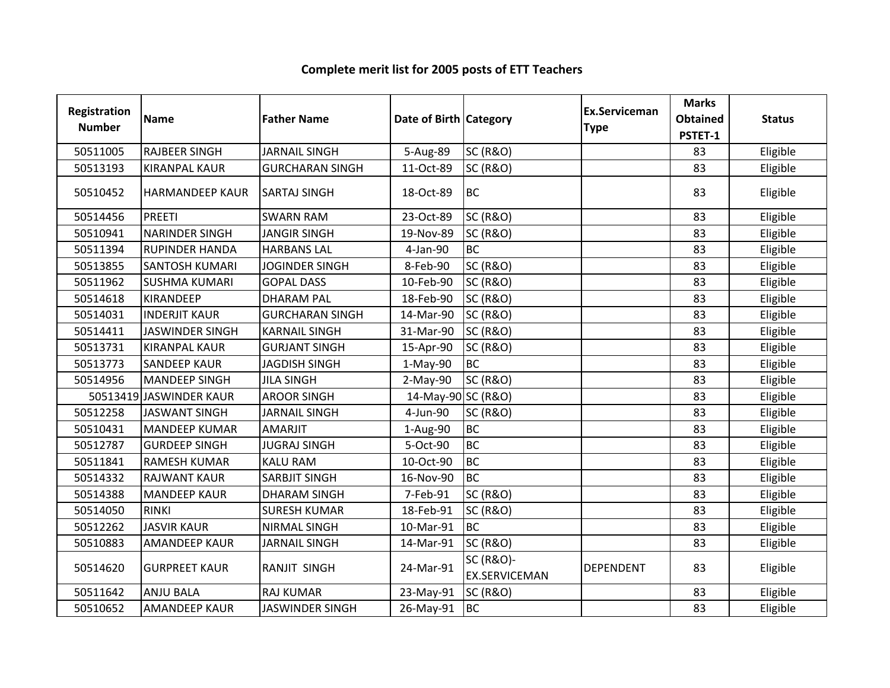| Registration  | <b>Name</b>             | <b>Father Name</b>     | Date of Birth Category |                      | Ex.Serviceman<br><b>Type</b> | <b>Marks</b><br><b>Obtained</b> | <b>Status</b> |
|---------------|-------------------------|------------------------|------------------------|----------------------|------------------------------|---------------------------------|---------------|
| <b>Number</b> |                         |                        |                        |                      |                              | PSTET-1                         |               |
| 50511005      | <b>RAJBEER SINGH</b>    | <b>JARNAIL SINGH</b>   | 5-Aug-89               | <b>SC (R&amp;O)</b>  |                              | 83                              | Eligible      |
| 50513193      | <b>KIRANPAL KAUR</b>    | <b>GURCHARAN SINGH</b> | 11-Oct-89              | <b>SC (R&amp;O)</b>  |                              | 83                              | Eligible      |
| 50510452      | <b>HARMANDEEP KAUR</b>  | <b>SARTAJ SINGH</b>    | 18-Oct-89              | <b>BC</b>            |                              | 83                              | Eligible      |
| 50514456      | PREETI                  | <b>SWARN RAM</b>       | 23-Oct-89              | <b>SC (R&amp;O)</b>  |                              | 83                              | Eligible      |
| 50510941      | <b>NARINDER SINGH</b>   | <b>JANGIR SINGH</b>    | 19-Nov-89              | <b>SC (R&amp;O)</b>  |                              | 83                              | Eligible      |
| 50511394      | <b>RUPINDER HANDA</b>   | <b>HARBANS LAL</b>     | 4-Jan-90               | <b>BC</b>            |                              | 83                              | Eligible      |
| 50513855      | <b>SANTOSH KUMARI</b>   | <b>JOGINDER SINGH</b>  | 8-Feb-90               | <b>SC (R&amp;O)</b>  |                              | 83                              | Eligible      |
| 50511962      | <b>SUSHMA KUMARI</b>    | <b>GOPAL DASS</b>      | 10-Feb-90              | <b>SC (R&amp;O)</b>  |                              | 83                              | Eligible      |
| 50514618      | <b>KIRANDEEP</b>        | <b>DHARAM PAL</b>      | 18-Feb-90              | <b>SC (R&amp;O)</b>  |                              | 83                              | Eligible      |
| 50514031      | <b>INDERJIT KAUR</b>    | <b>GURCHARAN SINGH</b> | 14-Mar-90              | <b>SC (R&amp;O)</b>  |                              | 83                              | Eligible      |
| 50514411      | <b>JASWINDER SINGH</b>  | <b>KARNAIL SINGH</b>   | 31-Mar-90              | <b>SC (R&amp;O)</b>  |                              | 83                              | Eligible      |
| 50513731      | <b>KIRANPAL KAUR</b>    | <b>GURJANT SINGH</b>   | 15-Apr-90              | <b>SC (R&amp;O)</b>  |                              | 83                              | Eligible      |
| 50513773      | <b>SANDEEP KAUR</b>     | <b>JAGDISH SINGH</b>   | $1-May-90$             | <b>BC</b>            |                              | 83                              | Eligible      |
| 50514956      | <b>MANDEEP SINGH</b>    | <b>JILA SINGH</b>      | $2-May-90$             | <b>SC (R&amp;O)</b>  |                              | 83                              | Eligible      |
|               | 50513419 JASWINDER KAUR | <b>AROOR SINGH</b>     | 14-May-90 SC (R&O)     |                      |                              | 83                              | Eligible      |
| 50512258      | <b>JASWANT SINGH</b>    | <b>JARNAIL SINGH</b>   | 4-Jun-90               | <b>SC (R&amp;O)</b>  |                              | 83                              | Eligible      |
| 50510431      | <b>MANDEEP KUMAR</b>    | <b>AMARJIT</b>         | 1-Aug-90               | <b>BC</b>            |                              | 83                              | Eligible      |
| 50512787      | <b>GURDEEP SINGH</b>    | <b>JUGRAJ SINGH</b>    | 5-Oct-90               | <b>BC</b>            |                              | 83                              | Eligible      |
| 50511841      | <b>RAMESH KUMAR</b>     | <b>KALU RAM</b>        | 10-Oct-90              | <b>BC</b>            |                              | 83                              | Eligible      |
| 50514332      | <b>RAJWANT KAUR</b>     | <b>SARBJIT SINGH</b>   | 16-Nov-90              | <b>BC</b>            |                              | 83                              | Eligible      |
| 50514388      | <b>MANDEEP KAUR</b>     | <b>DHARAM SINGH</b>    | 7-Feb-91               | <b>SC (R&amp;O)</b>  |                              | 83                              | Eligible      |
| 50514050      | <b>RINKI</b>            | <b>SURESH KUMAR</b>    | 18-Feb-91              | <b>SC (R&amp;O)</b>  |                              | 83                              | Eligible      |
| 50512262      | <b>JASVIR KAUR</b>      | <b>NIRMAL SINGH</b>    | 10-Mar-91              | <b>BC</b>            |                              | 83                              | Eligible      |
| 50510883      | <b>AMANDEEP KAUR</b>    | <b>JARNAIL SINGH</b>   | 14-Mar-91              | <b>SC (R&amp;O)</b>  |                              | 83                              | Eligible      |
| 50514620      | <b>GURPREET KAUR</b>    | RANJIT SINGH           | 24-Mar-91              | <b>SC (R&amp;O)-</b> | <b>DEPENDENT</b>             | 83                              | Eligible      |
|               |                         |                        |                        | <b>EX.SERVICEMAN</b> |                              |                                 |               |
| 50511642      | <b>ANJU BALA</b>        | <b>RAJ KUMAR</b>       | 23-May-91              | <b>SC (R&amp;O)</b>  |                              | 83                              | Eligible      |
| 50510652      | <b>AMANDEEP KAUR</b>    | <b>JASWINDER SINGH</b> | 26-May-91              | <b>BC</b>            |                              | 83                              | Eligible      |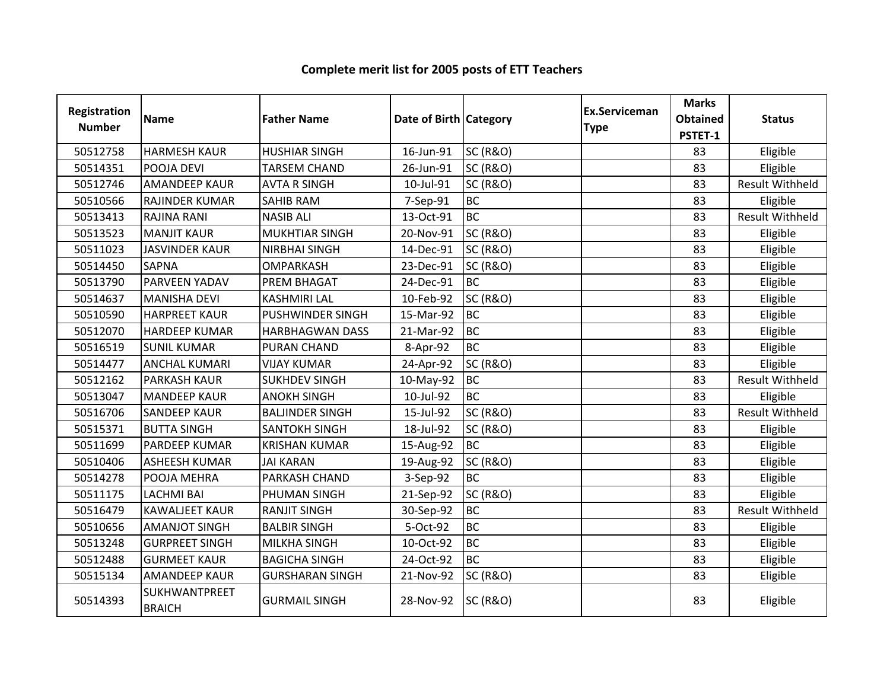| Registration<br><b>Number</b> | <b>Name</b>                           | <b>Father Name</b>      | Date of Birth Category |                     | Ex.Serviceman<br><b>Type</b> | <b>Marks</b><br><b>Obtained</b><br>PSTET-1 | <b>Status</b>          |
|-------------------------------|---------------------------------------|-------------------------|------------------------|---------------------|------------------------------|--------------------------------------------|------------------------|
| 50512758                      | <b>HARMESH KAUR</b>                   | <b>HUSHIAR SINGH</b>    | 16-Jun-91              | <b>SC (R&amp;O)</b> |                              | 83                                         | Eligible               |
| 50514351                      | POOJA DEVI                            | <b>TARSEM CHAND</b>     | 26-Jun-91              | <b>SC (R&amp;O)</b> |                              | 83                                         | Eligible               |
| 50512746                      | <b>AMANDEEP KAUR</b>                  | <b>AVTA R SINGH</b>     | 10-Jul-91              | <b>SC (R&amp;O)</b> |                              | 83                                         | <b>Result Withheld</b> |
| 50510566                      | RAJINDER KUMAR                        | <b>SAHIB RAM</b>        | 7-Sep-91               | <b>BC</b>           |                              | 83                                         | Eligible               |
| 50513413                      | <b>RAJINA RANI</b>                    | <b>NASIB ALI</b>        | 13-Oct-91              | <b>BC</b>           |                              | 83                                         | <b>Result Withheld</b> |
| 50513523                      | <b>MANJIT KAUR</b>                    | MUKHTIAR SINGH          | 20-Nov-91              | <b>SC (R&amp;O)</b> |                              | 83                                         | Eligible               |
| 50511023                      | <b>JASVINDER KAUR</b>                 | <b>NIRBHAI SINGH</b>    | 14-Dec-91              | <b>SC (R&amp;O)</b> |                              | 83                                         | Eligible               |
| 50514450                      | <b>SAPNA</b>                          | <b>OMPARKASH</b>        | 23-Dec-91              | <b>SC (R&amp;O)</b> |                              | 83                                         | Eligible               |
| 50513790                      | PARVEEN YADAV                         | <b>PREM BHAGAT</b>      | 24-Dec-91              | <b>BC</b>           |                              | 83                                         | Eligible               |
| 50514637                      | <b>MANISHA DEVI</b>                   | <b>KASHMIRI LAL</b>     | 10-Feb-92              | <b>SC (R&amp;O)</b> |                              | 83                                         | Eligible               |
| 50510590                      | <b>HARPREET KAUR</b>                  | <b>PUSHWINDER SINGH</b> | 15-Mar-92              | <b>BC</b>           |                              | 83                                         | Eligible               |
| 50512070                      | <b>HARDEEP KUMAR</b>                  | <b>HARBHAGWAN DASS</b>  | 21-Mar-92              | <b>BC</b>           |                              | 83                                         | Eligible               |
| 50516519                      | <b>SUNIL KUMAR</b>                    | PURAN CHAND             | 8-Apr-92               | <b>BC</b>           |                              | 83                                         | Eligible               |
| 50514477                      | <b>ANCHAL KUMARI</b>                  | <b>VIJAY KUMAR</b>      | 24-Apr-92              | <b>SC (R&amp;O)</b> |                              | 83                                         | Eligible               |
| 50512162                      | <b>PARKASH KAUR</b>                   | <b>SUKHDEV SINGH</b>    | 10-May-92              | <b>BC</b>           |                              | 83                                         | <b>Result Withheld</b> |
| 50513047                      | <b>MANDEEP KAUR</b>                   | <b>ANOKH SINGH</b>      | 10-Jul-92              | <b>BC</b>           |                              | 83                                         | Eligible               |
| 50516706                      | <b>SANDEEP KAUR</b>                   | <b>BALJINDER SINGH</b>  | 15-Jul-92              | <b>SC (R&amp;O)</b> |                              | 83                                         | <b>Result Withheld</b> |
| 50515371                      | <b>BUTTA SINGH</b>                    | <b>SANTOKH SINGH</b>    | 18-Jul-92              | <b>SC (R&amp;O)</b> |                              | 83                                         | Eligible               |
| 50511699                      | PARDEEP KUMAR                         | <b>KRISHAN KUMAR</b>    | 15-Aug-92              | <b>BC</b>           |                              | 83                                         | Eligible               |
| 50510406                      | <b>ASHEESH KUMAR</b>                  | <b>JAI KARAN</b>        | 19-Aug-92              | <b>SC (R&amp;O)</b> |                              | 83                                         | Eligible               |
| 50514278                      | POOJA MEHRA                           | PARKASH CHAND           | 3-Sep-92               | <b>BC</b>           |                              | 83                                         | Eligible               |
| 50511175                      | <b>LACHMI BAI</b>                     | PHUMAN SINGH            | 21-Sep-92              | <b>SC (R&amp;O)</b> |                              | 83                                         | Eligible               |
| 50516479                      | <b>KAWALJEET KAUR</b>                 | <b>RANJIT SINGH</b>     | 30-Sep-92              | <b>BC</b>           |                              | 83                                         | <b>Result Withheld</b> |
| 50510656                      | <b>AMANJOT SINGH</b>                  | <b>BALBIR SINGH</b>     | 5-Oct-92               | <b>BC</b>           |                              | 83                                         | Eligible               |
| 50513248                      | <b>GURPREET SINGH</b>                 | <b>MILKHA SINGH</b>     | 10-Oct-92              | <b>BC</b>           |                              | 83                                         | Eligible               |
| 50512488                      | <b>GURMEET KAUR</b>                   | <b>BAGICHA SINGH</b>    | 24-Oct-92              | <b>BC</b>           |                              | 83                                         | Eligible               |
| 50515134                      | <b>AMANDEEP KAUR</b>                  | <b>GURSHARAN SINGH</b>  | 21-Nov-92              | <b>SC (R&amp;O)</b> |                              | 83                                         | Eligible               |
| 50514393                      | <b>SUKHWANTPREET</b><br><b>BRAICH</b> | <b>GURMAIL SINGH</b>    | 28-Nov-92              | <b>SC (R&amp;O)</b> |                              | 83                                         | Eligible               |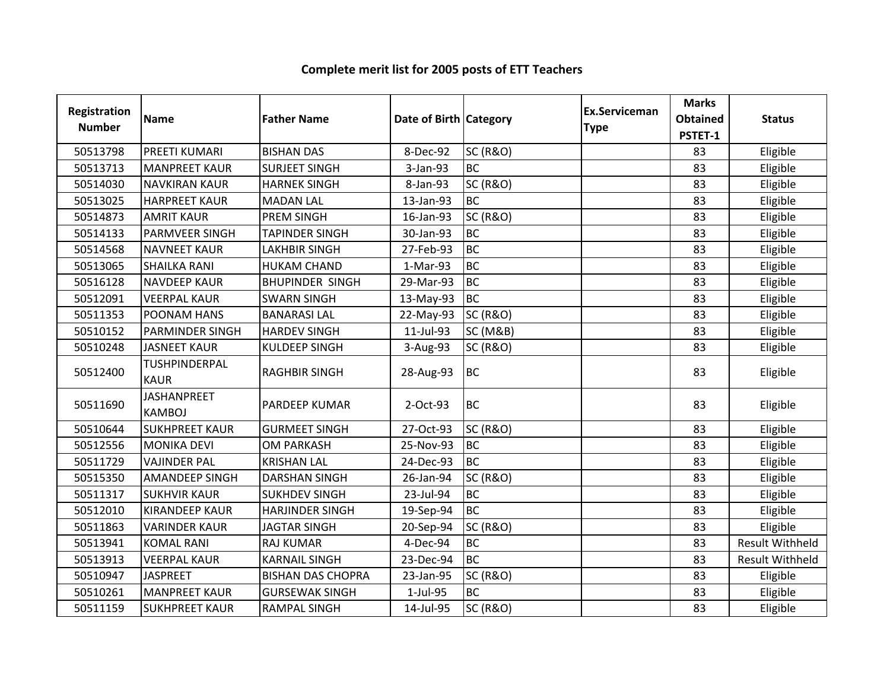| Registration<br><b>Number</b> | <b>Name</b>                         | <b>Father Name</b>       | Date of Birth Category |                     | <b>Ex.Serviceman</b><br><b>Type</b> | <b>Marks</b><br><b>Obtained</b><br>PSTET-1 | <b>Status</b>          |
|-------------------------------|-------------------------------------|--------------------------|------------------------|---------------------|-------------------------------------|--------------------------------------------|------------------------|
| 50513798                      | PREETI KUMARI                       | <b>BISHAN DAS</b>        | 8-Dec-92               | <b>SC (R&amp;O)</b> |                                     | 83                                         | Eligible               |
| 50513713                      | <b>MANPREET KAUR</b>                | <b>SURJEET SINGH</b>     | 3-Jan-93               | <b>BC</b>           |                                     | 83                                         | Eligible               |
| 50514030                      | <b>NAVKIRAN KAUR</b>                | <b>HARNEK SINGH</b>      | 8-Jan-93               | <b>SC (R&amp;O)</b> |                                     | 83                                         | Eligible               |
| 50513025                      | <b>HARPREET KAUR</b>                | <b>MADAN LAL</b>         | 13-Jan-93              | <b>BC</b>           |                                     | 83                                         | Eligible               |
| 50514873                      | <b>AMRIT KAUR</b>                   | PREM SINGH               | 16-Jan-93              | <b>SC (R&amp;O)</b> |                                     | 83                                         | Eligible               |
| 50514133                      | <b>PARMVEER SINGH</b>               | <b>TAPINDER SINGH</b>    | 30-Jan-93              | <b>BC</b>           |                                     | 83                                         | Eligible               |
| 50514568                      | <b>NAVNEET KAUR</b>                 | <b>LAKHBIR SINGH</b>     | 27-Feb-93              | <b>BC</b>           |                                     | 83                                         | Eligible               |
| 50513065                      | <b>SHAILKA RANI</b>                 | <b>HUKAM CHAND</b>       | 1-Mar-93               | <b>BC</b>           |                                     | 83                                         | Eligible               |
| 50516128                      | <b>NAVDEEP KAUR</b>                 | <b>BHUPINDER SINGH</b>   | 29-Mar-93              | <b>BC</b>           |                                     | 83                                         | Eligible               |
| 50512091                      | <b>VEERPAL KAUR</b>                 | <b>SWARN SINGH</b>       | 13-May-93              | <b>BC</b>           |                                     | 83                                         | Eligible               |
| 50511353                      | POONAM HANS                         | <b>BANARASI LAL</b>      | 22-May-93              | <b>SC (R&amp;O)</b> |                                     | 83                                         | Eligible               |
| 50510152                      | <b>PARMINDER SINGH</b>              | <b>HARDEV SINGH</b>      | 11-Jul-93              | <b>SC (M&amp;B)</b> |                                     | 83                                         | Eligible               |
| 50510248                      | <b>JASNEET KAUR</b>                 | <b>KULDEEP SINGH</b>     | 3-Aug-93               | <b>SC (R&amp;O)</b> |                                     | 83                                         | Eligible               |
| 50512400                      | TUSHPINDERPAL<br><b>KAUR</b>        | <b>RAGHBIR SINGH</b>     | 28-Aug-93              | <b>BC</b>           |                                     | 83                                         | Eligible               |
| 50511690                      | <b>JASHANPREET</b><br><b>KAMBOJ</b> | PARDEEP KUMAR            | 2-Oct-93               | <b>BC</b>           |                                     | 83                                         | Eligible               |
| 50510644                      | <b>SUKHPREET KAUR</b>               | <b>GURMEET SINGH</b>     | 27-Oct-93              | <b>SC (R&amp;O)</b> |                                     | 83                                         | Eligible               |
| 50512556                      | <b>MONIKA DEVI</b>                  | <b>OM PARKASH</b>        | 25-Nov-93              | <b>BC</b>           |                                     | 83                                         | Eligible               |
| 50511729                      | <b>VAJINDER PAL</b>                 | <b>KRISHAN LAL</b>       | 24-Dec-93              | <b>BC</b>           |                                     | 83                                         | Eligible               |
| 50515350                      | <b>AMANDEEP SINGH</b>               | <b>DARSHAN SINGH</b>     | 26-Jan-94              | <b>SC (R&amp;O)</b> |                                     | 83                                         | Eligible               |
| 50511317                      | <b>SUKHVIR KAUR</b>                 | <b>SUKHDEV SINGH</b>     | 23-Jul-94              | <b>BC</b>           |                                     | 83                                         | Eligible               |
| 50512010                      | <b>KIRANDEEP KAUR</b>               | <b>HARJINDER SINGH</b>   | 19-Sep-94              | <b>BC</b>           |                                     | 83                                         | Eligible               |
| 50511863                      | <b>VARINDER KAUR</b>                | <b>JAGTAR SINGH</b>      | 20-Sep-94              | <b>SC (R&amp;O)</b> |                                     | 83                                         | Eligible               |
| 50513941                      | <b>KOMAL RANI</b>                   | <b>RAJ KUMAR</b>         | 4-Dec-94               | <b>BC</b>           |                                     | 83                                         | <b>Result Withheld</b> |
| 50513913                      | <b>VEERPAL KAUR</b>                 | <b>KARNAIL SINGH</b>     | 23-Dec-94              | <b>BC</b>           |                                     | 83                                         | Result Withheld        |
| 50510947                      | <b>JASPREET</b>                     | <b>BISHAN DAS CHOPRA</b> | 23-Jan-95              | <b>SC (R&amp;O)</b> |                                     | 83                                         | Eligible               |
| 50510261                      | <b>MANPREET KAUR</b>                | <b>GURSEWAK SINGH</b>    | 1-Jul-95               | <b>BC</b>           |                                     | 83                                         | Eligible               |
| 50511159                      | <b>SUKHPREET KAUR</b>               | <b>RAMPAL SINGH</b>      | 14-Jul-95              | <b>SC (R&amp;O)</b> |                                     | 83                                         | Eligible               |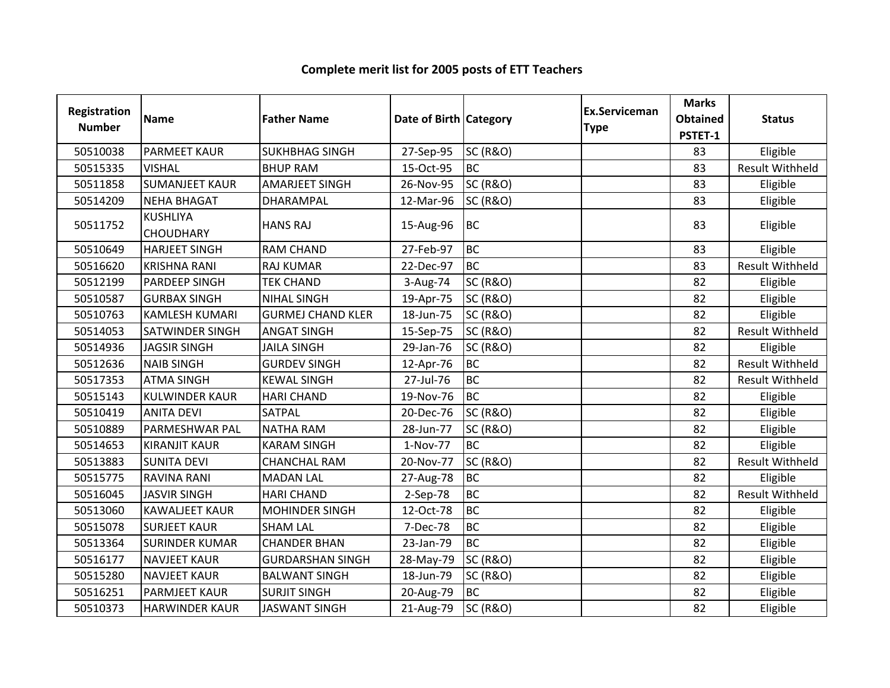| Registration<br><b>Number</b> | <b>Name</b>                         | <b>Father Name</b>       | Date of Birth Category |                     | <b>Ex.Serviceman</b><br><b>Type</b> | <b>Marks</b><br><b>Obtained</b><br>PSTET-1 | <b>Status</b>          |
|-------------------------------|-------------------------------------|--------------------------|------------------------|---------------------|-------------------------------------|--------------------------------------------|------------------------|
| 50510038                      | <b>PARMEET KAUR</b>                 | <b>SUKHBHAG SINGH</b>    | 27-Sep-95              | <b>SC (R&amp;O)</b> |                                     | 83                                         | Eligible               |
| 50515335                      | <b>VISHAL</b>                       | <b>BHUP RAM</b>          | 15-Oct-95              | <b>BC</b>           |                                     | 83                                         | <b>Result Withheld</b> |
| 50511858                      | <b>SUMANJEET KAUR</b>               | <b>AMARJEET SINGH</b>    | 26-Nov-95              | <b>SC (R&amp;O)</b> |                                     | 83                                         | Eligible               |
| 50514209                      | <b>NEHA BHAGAT</b>                  | DHARAMPAL                | 12-Mar-96              | <b>SC (R&amp;O)</b> |                                     | 83                                         | Eligible               |
| 50511752                      | <b>KUSHLIYA</b><br><b>CHOUDHARY</b> | <b>HANS RAJ</b>          | 15-Aug-96              | <b>BC</b>           |                                     | 83                                         | Eligible               |
| 50510649                      | <b>HARJEET SINGH</b>                | <b>RAM CHAND</b>         | 27-Feb-97              | <b>BC</b>           |                                     | 83                                         | Eligible               |
| 50516620                      | <b>KRISHNA RANI</b>                 | <b>RAJ KUMAR</b>         | 22-Dec-97              | <b>I</b> BC         |                                     | 83                                         | <b>Result Withheld</b> |
| 50512199                      | <b>PARDEEP SINGH</b>                | <b>TEK CHAND</b>         | 3-Aug-74               | <b>SC (R&amp;O)</b> |                                     | 82                                         | Eligible               |
| 50510587                      | <b>GURBAX SINGH</b>                 | <b>NIHAL SINGH</b>       | 19-Apr-75              | <b>SC (R&amp;O)</b> |                                     | 82                                         | Eligible               |
| 50510763                      | <b>KAMLESH KUMARI</b>               | <b>GURMEJ CHAND KLER</b> | 18-Jun-75              | <b>SC (R&amp;O)</b> |                                     | 82                                         | Eligible               |
| 50514053                      | <b>SATWINDER SINGH</b>              | <b>ANGAT SINGH</b>       | 15-Sep-75              | <b>SC (R&amp;O)</b> |                                     | 82                                         | <b>Result Withheld</b> |
| 50514936                      | <b>JAGSIR SINGH</b>                 | <b>JAILA SINGH</b>       | 29-Jan-76              | <b>SC (R&amp;O)</b> |                                     | 82                                         | Eligible               |
| 50512636                      | <b>NAIB SINGH</b>                   | <b>GURDEV SINGH</b>      | 12-Apr-76              | <b>BC</b>           |                                     | 82                                         | <b>Result Withheld</b> |
| 50517353                      | <b>ATMA SINGH</b>                   | <b>KEWAL SINGH</b>       | 27-Jul-76              | <b>BC</b>           |                                     | 82                                         | <b>Result Withheld</b> |
| 50515143                      | <b>KULWINDER KAUR</b>               | <b>HARI CHAND</b>        | 19-Nov-76              | <b>BC</b>           |                                     | 82                                         | Eligible               |
| 50510419                      | <b>ANITA DEVI</b>                   | <b>SATPAL</b>            | 20-Dec-76              | <b>SC (R&amp;O)</b> |                                     | 82                                         | Eligible               |
| 50510889                      | PARMESHWAR PAL                      | <b>NATHA RAM</b>         | 28-Jun-77              | <b>SC (R&amp;O)</b> |                                     | 82                                         | Eligible               |
| 50514653                      | <b>KIRANJIT KAUR</b>                | <b>KARAM SINGH</b>       | 1-Nov-77               | <b>BC</b>           |                                     | 82                                         | Eligible               |
| 50513883                      | <b>SUNITA DEVI</b>                  | <b>CHANCHAL RAM</b>      | 20-Nov-77              | <b>SC (R&amp;O)</b> |                                     | 82                                         | <b>Result Withheld</b> |
| 50515775                      | <b>RAVINA RANI</b>                  | <b>MADAN LAL</b>         | 27-Aug-78              | <b>BC</b>           |                                     | 82                                         | Eligible               |
| 50516045                      | <b>JASVIR SINGH</b>                 | <b>HARI CHAND</b>        | 2-Sep-78               | <b>BC</b>           |                                     | 82                                         | <b>Result Withheld</b> |
| 50513060                      | <b>KAWALJEET KAUR</b>               | <b>MOHINDER SINGH</b>    | 12-Oct-78              | <b>BC</b>           |                                     | 82                                         | Eligible               |
| 50515078                      | <b>SURJEET KAUR</b>                 | <b>SHAM LAL</b>          | 7-Dec-78               | <b>BC</b>           |                                     | 82                                         | Eligible               |
| 50513364                      | <b>SURINDER KUMAR</b>               | <b>CHANDER BHAN</b>      | 23-Jan-79              | <b>BC</b>           |                                     | 82                                         | Eligible               |
| 50516177                      | <b>NAVJEET KAUR</b>                 | <b>GURDARSHAN SINGH</b>  | 28-May-79              | <b>SC (R&amp;O)</b> |                                     | 82                                         | Eligible               |
| 50515280                      | <b>NAVJEET KAUR</b>                 | <b>BALWANT SINGH</b>     | 18-Jun-79              | <b>SC (R&amp;O)</b> |                                     | 82                                         | Eligible               |
| 50516251                      | <b>PARMJEET KAUR</b>                | <b>SURJIT SINGH</b>      | 20-Aug-79              | <b>BC</b>           |                                     | 82                                         | Eligible               |
| 50510373                      | <b>HARWINDER KAUR</b>               | <b>JASWANT SINGH</b>     | 21-Aug-79              | <b>SC (R&amp;O)</b> |                                     | 82                                         | Eligible               |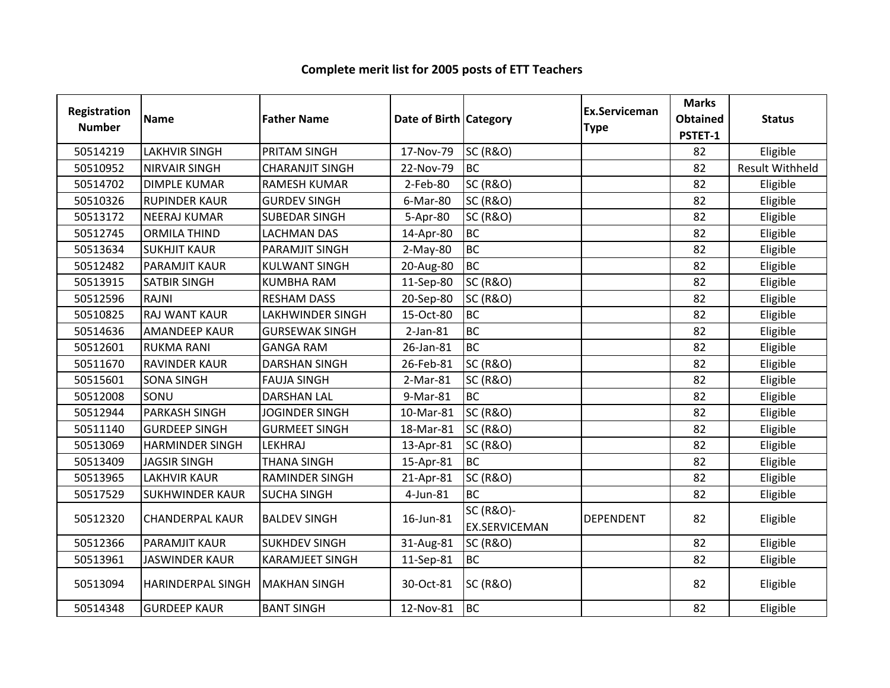| Registration<br><b>Number</b> | <b>Name</b>              | <b>Father Name</b>      | Date of Birth Category |                                              | Ex.Serviceman<br><b>Type</b> | <b>Marks</b><br><b>Obtained</b><br>PSTET-1 | <b>Status</b>          |
|-------------------------------|--------------------------|-------------------------|------------------------|----------------------------------------------|------------------------------|--------------------------------------------|------------------------|
| 50514219                      | <b>LAKHVIR SINGH</b>     | PRITAM SINGH            | 17-Nov-79              | <b>SC (R&amp;O)</b>                          |                              | 82                                         | Eligible               |
| 50510952                      | <b>NIRVAIR SINGH</b>     | <b>CHARANJIT SINGH</b>  | 22-Nov-79              | <b>BC</b>                                    |                              | 82                                         | <b>Result Withheld</b> |
| 50514702                      | <b>DIMPLE KUMAR</b>      | <b>RAMESH KUMAR</b>     | 2-Feb-80               | <b>SC (R&amp;O)</b>                          |                              | 82                                         | Eligible               |
| 50510326                      | <b>RUPINDER KAUR</b>     | <b>GURDEV SINGH</b>     | 6-Mar-80               | <b>SC (R&amp;O)</b>                          |                              | 82                                         | Eligible               |
| 50513172                      | <b>NEERAJ KUMAR</b>      | <b>SUBEDAR SINGH</b>    | 5-Apr-80               | <b>SC (R&amp;O)</b>                          |                              | 82                                         | Eligible               |
| 50512745                      | <b>ORMILA THIND</b>      | <b>LACHMAN DAS</b>      | 14-Apr-80              | <b>BC</b>                                    |                              | 82                                         | Eligible               |
| 50513634                      | <b>SUKHJIT KAUR</b>      | PARAMJIT SINGH          | $2-May-80$             | <b>BC</b>                                    |                              | 82                                         | Eligible               |
| 50512482                      | PARAMJIT KAUR            | <b>KULWANT SINGH</b>    | 20-Aug-80              | <b>BC</b>                                    |                              | 82                                         | Eligible               |
| 50513915                      | <b>SATBIR SINGH</b>      | <b>KUMBHA RAM</b>       | 11-Sep-80              | <b>SC (R&amp;O)</b>                          |                              | 82                                         | Eligible               |
| 50512596                      | <b>RAJNI</b>             | <b>RESHAM DASS</b>      | 20-Sep-80              | <b>SC (R&amp;O)</b>                          |                              | 82                                         | Eligible               |
| 50510825                      | <b>RAJ WANT KAUR</b>     | <b>LAKHWINDER SINGH</b> | 15-Oct-80              | <b>BC</b>                                    |                              | 82                                         | Eligible               |
| 50514636                      | <b>AMANDEEP KAUR</b>     | <b>GURSEWAK SINGH</b>   | $2-Jan-81$             | <b>BC</b>                                    |                              | 82                                         | Eligible               |
| 50512601                      | <b>RUKMA RANI</b>        | <b>GANGA RAM</b>        | 26-Jan-81              | <b>BC</b>                                    |                              | 82                                         | Eligible               |
| 50511670                      | <b>RAVINDER KAUR</b>     | <b>DARSHAN SINGH</b>    | 26-Feb-81              | <b>SC (R&amp;O)</b>                          |                              | 82                                         | Eligible               |
| 50515601                      | <b>SONA SINGH</b>        | <b>FAUJA SINGH</b>      | 2-Mar-81               | <b>SC (R&amp;O)</b>                          |                              | 82                                         | Eligible               |
| 50512008                      | SONU                     | <b>DARSHAN LAL</b>      | 9-Mar-81               | <b>BC</b>                                    |                              | 82                                         | Eligible               |
| 50512944                      | <b>PARKASH SINGH</b>     | <b>JOGINDER SINGH</b>   | 10-Mar-81              | <b>SC (R&amp;O)</b>                          |                              | 82                                         | Eligible               |
| 50511140                      | <b>GURDEEP SINGH</b>     | <b>GURMEET SINGH</b>    | 18-Mar-81              | <b>SC (R&amp;O)</b>                          |                              | 82                                         | Eligible               |
| 50513069                      | <b>HARMINDER SINGH</b>   | <b>LEKHRAJ</b>          | 13-Apr-81              | <b>SC (R&amp;O)</b>                          |                              | 82                                         | Eligible               |
| 50513409                      | <b>JAGSIR SINGH</b>      | <b>THANA SINGH</b>      | 15-Apr-81              | <b>BC</b>                                    |                              | 82                                         | Eligible               |
| 50513965                      | <b>LAKHVIR KAUR</b>      | <b>RAMINDER SINGH</b>   | 21-Apr-81              | <b>SC (R&amp;O)</b>                          |                              | 82                                         | Eligible               |
| 50517529                      | <b>SUKHWINDER KAUR</b>   | <b>SUCHA SINGH</b>      | 4-Jun-81               | <b>BC</b>                                    |                              | 82                                         | Eligible               |
| 50512320                      | <b>CHANDERPAL KAUR</b>   | <b>BALDEV SINGH</b>     | 16-Jun-81              | <b>SC (R&amp;O)-</b><br><b>EX.SERVICEMAN</b> | <b>DEPENDENT</b>             | 82                                         | Eligible               |
| 50512366                      | <b>PARAMJIT KAUR</b>     | <b>SUKHDEV SINGH</b>    | 31-Aug-81              | <b>SC (R&amp;O)</b>                          |                              | 82                                         | Eligible               |
| 50513961                      | <b>JASWINDER KAUR</b>    | <b>KARAMJEET SINGH</b>  | 11-Sep-81              | <b>BC</b>                                    |                              | 82                                         | Eligible               |
| 50513094                      | <b>HARINDERPAL SINGH</b> | <b>MAKHAN SINGH</b>     | 30-Oct-81              | <b>SC (R&amp;O)</b>                          |                              | 82                                         | Eligible               |
| 50514348                      | <b>GURDEEP KAUR</b>      | <b>BANT SINGH</b>       | 12-Nov-81              | BC                                           |                              | 82                                         | Eligible               |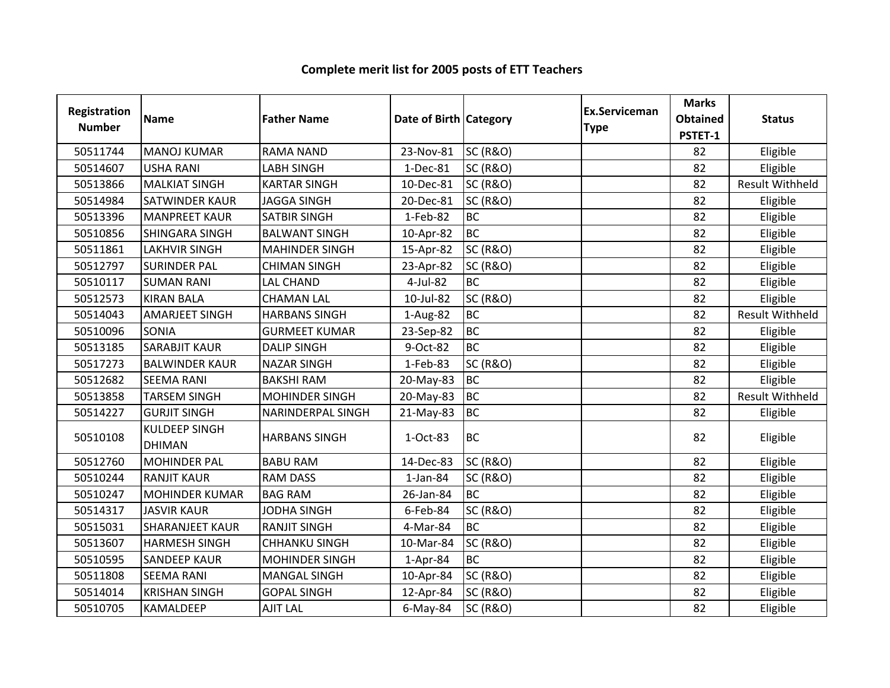| <b>Registration</b><br><b>Number</b> | <b>Name</b>                           | <b>Father Name</b>    | Date of Birth Category |                     | Ex.Serviceman<br><b>Type</b> | <b>Marks</b><br><b>Obtained</b><br>PSTET-1 | <b>Status</b>          |
|--------------------------------------|---------------------------------------|-----------------------|------------------------|---------------------|------------------------------|--------------------------------------------|------------------------|
| 50511744                             | <b>MANOJ KUMAR</b>                    | <b>RAMA NAND</b>      | 23-Nov-81              | <b>SC (R&amp;O)</b> |                              | 82                                         | Eligible               |
| 50514607                             | <b>USHA RANI</b>                      | <b>LABH SINGH</b>     | 1-Dec-81               | <b>SC (R&amp;O)</b> |                              | 82                                         | Eligible               |
| 50513866                             | <b>MALKIAT SINGH</b>                  | <b>KARTAR SINGH</b>   | 10-Dec-81              | <b>SC (R&amp;O)</b> |                              | 82                                         | Result Withheld        |
| 50514984                             | <b>SATWINDER KAUR</b>                 | <b>JAGGA SINGH</b>    | 20-Dec-81              | <b>SC (R&amp;O)</b> |                              | 82                                         | Eligible               |
| 50513396                             | <b>MANPREET KAUR</b>                  | <b>SATBIR SINGH</b>   | 1-Feb-82               | <b>BC</b>           |                              | 82                                         | Eligible               |
| 50510856                             | SHINGARA SINGH                        | <b>BALWANT SINGH</b>  | 10-Apr-82              | <b>BC</b>           |                              | 82                                         | Eligible               |
| 50511861                             | <b>LAKHVIR SINGH</b>                  | <b>MAHINDER SINGH</b> | 15-Apr-82              | <b>SC (R&amp;O)</b> |                              | 82                                         | Eligible               |
| 50512797                             | <b>SURINDER PAL</b>                   | <b>CHIMAN SINGH</b>   | 23-Apr-82              | <b>SC (R&amp;O)</b> |                              | 82                                         | Eligible               |
| 50510117                             | <b>SUMAN RANI</b>                     | <b>LAL CHAND</b>      | 4-Jul-82               | <b>BC</b>           |                              | 82                                         | Eligible               |
| 50512573                             | <b>KIRAN BALA</b>                     | <b>CHAMAN LAL</b>     | 10-Jul-82              | <b>SC (R&amp;O)</b> |                              | 82                                         | Eligible               |
| 50514043                             | <b>AMARJEET SINGH</b>                 | <b>HARBANS SINGH</b>  | 1-Aug-82               | <b>BC</b>           |                              | 82                                         | <b>Result Withheld</b> |
| 50510096                             | SONIA                                 | <b>GURMEET KUMAR</b>  | 23-Sep-82              | <b>BC</b>           |                              | 82                                         | Eligible               |
| 50513185                             | <b>SARABJIT KAUR</b>                  | <b>DALIP SINGH</b>    | 9-Oct-82               | <b>BC</b>           |                              | 82                                         | Eligible               |
| 50517273                             | <b>BALWINDER KAUR</b>                 | <b>NAZAR SINGH</b>    | 1-Feb-83               | <b>SC (R&amp;O)</b> |                              | 82                                         | Eligible               |
| 50512682                             | <b>SEEMA RANI</b>                     | <b>BAKSHI RAM</b>     | 20-May-83              | <b>BC</b>           |                              | 82                                         | Eligible               |
| 50513858                             | <b>TARSEM SINGH</b>                   | <b>MOHINDER SINGH</b> | 20-May-83              | <b>BC</b>           |                              | 82                                         | Result Withheld        |
| 50514227                             | <b>GURJIT SINGH</b>                   | NARINDERPAL SINGH     | 21-May-83              | <b>BC</b>           |                              | 82                                         | Eligible               |
| 50510108                             | <b>KULDEEP SINGH</b><br><b>DHIMAN</b> | <b>HARBANS SINGH</b>  | 1-Oct-83               | <b>BC</b>           |                              | 82                                         | Eligible               |
| 50512760                             | <b>MOHINDER PAL</b>                   | <b>BABU RAM</b>       | 14-Dec-83              | <b>SC (R&amp;O)</b> |                              | 82                                         | Eligible               |
| 50510244                             | <b>RANJIT KAUR</b>                    | <b>RAM DASS</b>       | $1$ -Jan-84            | <b>SC (R&amp;O)</b> |                              | 82                                         | Eligible               |
| 50510247                             | <b>MOHINDER KUMAR</b>                 | <b>BAG RAM</b>        | 26-Jan-84              | <b>BC</b>           |                              | 82                                         | Eligible               |
| 50514317                             | <b>JASVIR KAUR</b>                    | <b>JODHA SINGH</b>    | 6-Feb-84               | <b>SC (R&amp;O)</b> |                              | 82                                         | Eligible               |
| 50515031                             | <b>SHARANJEET KAUR</b>                | <b>RANJIT SINGH</b>   | 4-Mar-84               | <b>BC</b>           |                              | 82                                         | Eligible               |
| 50513607                             | <b>HARMESH SINGH</b>                  | <b>CHHANKU SINGH</b>  | 10-Mar-84              | <b>SC (R&amp;O)</b> |                              | 82                                         | Eligible               |
| 50510595                             | <b>SANDEEP KAUR</b>                   | <b>MOHINDER SINGH</b> | $1-Apr-84$             | <b>BC</b>           |                              | 82                                         | Eligible               |
| 50511808                             | <b>SEEMA RANI</b>                     | <b>MANGAL SINGH</b>   | 10-Apr-84              | <b>SC (R&amp;O)</b> |                              | 82                                         | Eligible               |
| 50514014                             | <b>KRISHAN SINGH</b>                  | <b>GOPAL SINGH</b>    | 12-Apr-84              | <b>SC (R&amp;O)</b> |                              | 82                                         | Eligible               |
| 50510705                             | KAMALDEEP                             | <b>AJIT LAL</b>       | $6$ -May-84            | <b>SC (R&amp;O)</b> |                              | 82                                         | Eligible               |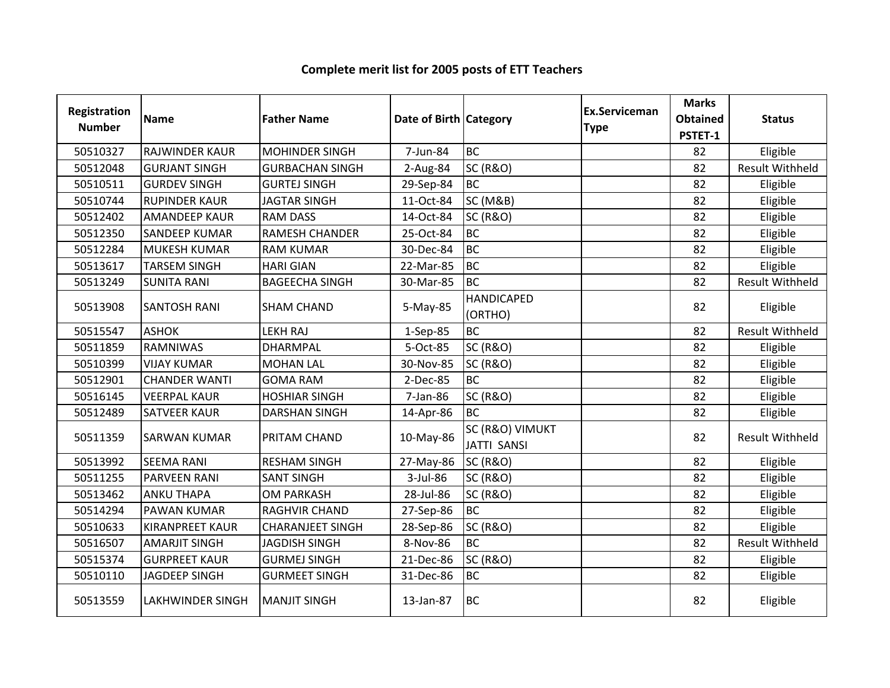| Registration<br><b>Number</b> | <b>Name</b>             | <b>Father Name</b>      | Date of Birth Category |                                       | <b>Ex.Serviceman</b><br><b>Type</b> | <b>Marks</b><br><b>Obtained</b><br>PSTET-1 | <b>Status</b>          |
|-------------------------------|-------------------------|-------------------------|------------------------|---------------------------------------|-------------------------------------|--------------------------------------------|------------------------|
| 50510327                      | <b>RAJWINDER KAUR</b>   | <b>MOHINDER SINGH</b>   | 7-Jun-84               | <b>BC</b>                             |                                     | 82                                         | Eligible               |
| 50512048                      | <b>GURJANT SINGH</b>    | <b>GURBACHAN SINGH</b>  | 2-Aug-84               | <b>SC (R&amp;O)</b>                   |                                     | 82                                         | <b>Result Withheld</b> |
| 50510511                      | <b>GURDEV SINGH</b>     | <b>GURTEJ SINGH</b>     | 29-Sep-84              | <b>BC</b>                             |                                     | 82                                         | Eligible               |
| 50510744                      | <b>RUPINDER KAUR</b>    | <b>JAGTAR SINGH</b>     | 11-Oct-84              | <b>SC (M&amp;B)</b>                   |                                     | 82                                         | Eligible               |
| 50512402                      | <b>AMANDEEP KAUR</b>    | <b>RAM DASS</b>         | 14-Oct-84              | <b>SC (R&amp;O)</b>                   |                                     | 82                                         | Eligible               |
| 50512350                      | <b>SANDEEP KUMAR</b>    | <b>RAMESH CHANDER</b>   | 25-Oct-84              | <b>BC</b>                             |                                     | 82                                         | Eligible               |
| 50512284                      | <b>MUKESH KUMAR</b>     | <b>RAM KUMAR</b>        | 30-Dec-84              | <b>BC</b>                             |                                     | 82                                         | Eligible               |
| 50513617                      | <b>TARSEM SINGH</b>     | <b>HARI GIAN</b>        | 22-Mar-85              | <b>BC</b>                             |                                     | 82                                         | Eligible               |
| 50513249                      | <b>SUNITA RANI</b>      | <b>BAGEECHA SINGH</b>   | 30-Mar-85              | <b>BC</b>                             |                                     | 82                                         | Result Withheld        |
| 50513908                      | <b>SANTOSH RANI</b>     | <b>SHAM CHAND</b>       | 5-May-85               | <b>HANDICAPED</b><br>(ORTHO)          |                                     | 82                                         | Eligible               |
| 50515547                      | <b>ASHOK</b>            | <b>LEKH RAJ</b>         | $1-Sep-85$             | <b>BC</b>                             |                                     | 82                                         | <b>Result Withheld</b> |
| 50511859                      | <b>RAMNIWAS</b>         | <b>DHARMPAL</b>         | 5-Oct-85               | <b>SC (R&amp;O)</b>                   |                                     | 82                                         | Eligible               |
| 50510399                      | <b>VIJAY KUMAR</b>      | <b>MOHAN LAL</b>        | 30-Nov-85              | <b>SC (R&amp;O)</b>                   |                                     | 82                                         | Eligible               |
| 50512901                      | <b>CHANDER WANTI</b>    | <b>GOMA RAM</b>         | 2-Dec-85               | <b>BC</b>                             |                                     | 82                                         | Eligible               |
| 50516145                      | <b>VEERPAL KAUR</b>     | <b>HOSHIAR SINGH</b>    | 7-Jan-86               | <b>SC (R&amp;O)</b>                   |                                     | 82                                         | Eligible               |
| 50512489                      | <b>SATVEER KAUR</b>     | <b>DARSHAN SINGH</b>    | 14-Apr-86              | <b>BC</b>                             |                                     | 82                                         | Eligible               |
| 50511359                      | <b>SARWAN KUMAR</b>     | PRITAM CHAND            | 10-May-86              | SC (R&O) VIMUKT<br><b>JATTI SANSI</b> |                                     | 82                                         | <b>Result Withheld</b> |
| 50513992                      | <b>SEEMA RANI</b>       | <b>RESHAM SINGH</b>     | 27-May-86              | <b>SC (R&amp;O)</b>                   |                                     | 82                                         | Eligible               |
| 50511255                      | <b>PARVEEN RANI</b>     | <b>SANT SINGH</b>       | 3-Jul-86               | <b>SC (R&amp;O)</b>                   |                                     | 82                                         | Eligible               |
| 50513462                      | <b>ANKU THAPA</b>       | <b>OM PARKASH</b>       | 28-Jul-86              | <b>SC (R&amp;O)</b>                   |                                     | 82                                         | Eligible               |
| 50514294                      | <b>PAWAN KUMAR</b>      | RAGHVIR CHAND           | 27-Sep-86              | <b>BC</b>                             |                                     | 82                                         | Eligible               |
| 50510633                      | <b>KIRANPREET KAUR</b>  | <b>CHARANJEET SINGH</b> | 28-Sep-86              | <b>SC (R&amp;O)</b>                   |                                     | 82                                         | Eligible               |
| 50516507                      | <b>AMARJIT SINGH</b>    | <b>JAGDISH SINGH</b>    | 8-Nov-86               | <b>BC</b>                             |                                     | 82                                         | <b>Result Withheld</b> |
| 50515374                      | <b>GURPREET KAUR</b>    | <b>GURMEJ SINGH</b>     | 21-Dec-86              | <b>SC (R&amp;O)</b>                   |                                     | 82                                         | Eligible               |
| 50510110                      | <b>JAGDEEP SINGH</b>    | <b>GURMEET SINGH</b>    | 31-Dec-86              | <b>BC</b>                             |                                     | 82                                         | Eligible               |
| 50513559                      | <b>LAKHWINDER SINGH</b> | <b>MANJIT SINGH</b>     | 13-Jan-87              | BC                                    |                                     | 82                                         | Eligible               |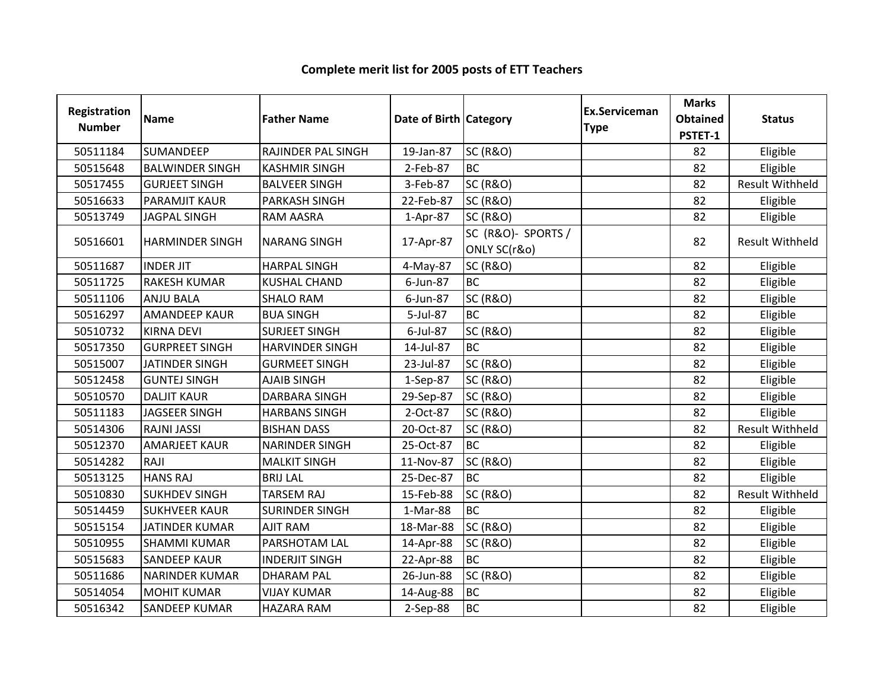| Registration<br><b>Number</b> | <b>Name</b>            | <b>Father Name</b>     | Date of Birth   Category |                                    | <b>Ex.Serviceman</b><br><b>Type</b> | <b>Marks</b><br><b>Obtained</b><br>PSTET-1 | <b>Status</b>          |
|-------------------------------|------------------------|------------------------|--------------------------|------------------------------------|-------------------------------------|--------------------------------------------|------------------------|
| 50511184                      | <b>SUMANDEEP</b>       | RAJINDER PAL SINGH     | 19-Jan-87                | <b>SC (R&amp;O)</b>                |                                     | 82                                         | Eligible               |
| 50515648                      | <b>BALWINDER SINGH</b> | <b>KASHMIR SINGH</b>   | 2-Feb-87                 | <b>BC</b>                          |                                     | 82                                         | Eligible               |
| 50517455                      | <b>GURJEET SINGH</b>   | <b>BALVEER SINGH</b>   | 3-Feb-87                 | <b>SC (R&amp;O)</b>                |                                     | 82                                         | Result Withheld        |
| 50516633                      | <b>PARAMJIT KAUR</b>   | <b>PARKASH SINGH</b>   | 22-Feb-87                | <b>SC (R&amp;O)</b>                |                                     | 82                                         | Eligible               |
| 50513749                      | <b>JAGPAL SINGH</b>    | <b>RAM AASRA</b>       | 1-Apr-87                 | <b>SC (R&amp;O)</b>                |                                     | 82                                         | Eligible               |
| 50516601                      | <b>HARMINDER SINGH</b> | <b>NARANG SINGH</b>    | 17-Apr-87                | SC (R&O)- SPORTS /<br>ONLY SC(r&o) |                                     | 82                                         | <b>Result Withheld</b> |
| 50511687                      | <b>INDER JIT</b>       | <b>HARPAL SINGH</b>    | 4-May-87                 | <b>SC (R&amp;O)</b>                |                                     | 82                                         | Eligible               |
| 50511725                      | <b>RAKESH KUMAR</b>    | <b>KUSHAL CHAND</b>    | 6-Jun-87                 | <b>BC</b>                          |                                     | 82                                         | Eligible               |
| 50511106                      | <b>ANJU BALA</b>       | <b>SHALO RAM</b>       | 6-Jun-87                 | <b>SC (R&amp;O)</b>                |                                     | 82                                         | Eligible               |
| 50516297                      | <b>AMANDEEP KAUR</b>   | <b>BUA SINGH</b>       | 5-Jul-87                 | <b>BC</b>                          |                                     | 82                                         | Eligible               |
| 50510732                      | <b>KIRNA DEVI</b>      | <b>SURJEET SINGH</b>   | 6-Jul-87                 | <b>SC (R&amp;O)</b>                |                                     | 82                                         | Eligible               |
| 50517350                      | <b>GURPREET SINGH</b>  | <b>HARVINDER SINGH</b> | 14-Jul-87                | <b>BC</b>                          |                                     | 82                                         | Eligible               |
| 50515007                      | <b>JATINDER SINGH</b>  | <b>GURMEET SINGH</b>   | 23-Jul-87                | <b>SC (R&amp;O)</b>                |                                     | 82                                         | Eligible               |
| 50512458                      | <b>GUNTEJ SINGH</b>    | <b>AJAIB SINGH</b>     | 1-Sep-87                 | <b>SC (R&amp;O)</b>                |                                     | 82                                         | Eligible               |
| 50510570                      | <b>DALJIT KAUR</b>     | DARBARA SINGH          | 29-Sep-87                | <b>SC (R&amp;O)</b>                |                                     | 82                                         | Eligible               |
| 50511183                      | JAGSEER SINGH          | <b>HARBANS SINGH</b>   | 2-Oct-87                 | <b>SC (R&amp;O)</b>                |                                     | 82                                         | Eligible               |
| 50514306                      | <b>RAJNI JASSI</b>     | <b>BISHAN DASS</b>     | 20-Oct-87                | <b>SC (R&amp;O)</b>                |                                     | 82                                         | <b>Result Withheld</b> |
| 50512370                      | <b>AMARJEET KAUR</b>   | <b>NARINDER SINGH</b>  | 25-Oct-87                | <b>BC</b>                          |                                     | 82                                         | Eligible               |
| 50514282                      | RAJI                   | <b>MALKIT SINGH</b>    | 11-Nov-87                | <b>SC (R&amp;O)</b>                |                                     | 82                                         | Eligible               |
| 50513125                      | <b>HANS RAJ</b>        | <b>BRIJ LAL</b>        | 25-Dec-87                | <b>BC</b>                          |                                     | 82                                         | Eligible               |
| 50510830                      | <b>SUKHDEV SINGH</b>   | <b>TARSEM RAJ</b>      | 15-Feb-88                | <b>SC (R&amp;O)</b>                |                                     | 82                                         | Result Withheld        |
| 50514459                      | <b>SUKHVEER KAUR</b>   | <b>SURINDER SINGH</b>  | 1-Mar-88                 | <b>BC</b>                          |                                     | 82                                         | Eligible               |
| 50515154                      | <b>JATINDER KUMAR</b>  | <b>AJIT RAM</b>        | 18-Mar-88                | <b>SC (R&amp;O)</b>                |                                     | 82                                         | Eligible               |
| 50510955                      | <b>SHAMMI KUMAR</b>    | PARSHOTAM LAL          | 14-Apr-88                | <b>SC (R&amp;O)</b>                |                                     | 82                                         | Eligible               |
| 50515683                      | <b>SANDEEP KAUR</b>    | <b>INDERJIT SINGH</b>  | 22-Apr-88                | <b>BC</b>                          |                                     | 82                                         | Eligible               |
| 50511686                      | <b>NARINDER KUMAR</b>  | <b>DHARAM PAL</b>      | 26-Jun-88                | <b>SC (R&amp;O)</b>                |                                     | 82                                         | Eligible               |
| 50514054                      | <b>MOHIT KUMAR</b>     | <b>VIJAY KUMAR</b>     | 14-Aug-88                | <b>BC</b>                          |                                     | 82                                         | Eligible               |
| 50516342                      | <b>SANDEEP KUMAR</b>   | <b>HAZARA RAM</b>      | 2-Sep-88                 | <b>BC</b>                          |                                     | 82                                         | Eligible               |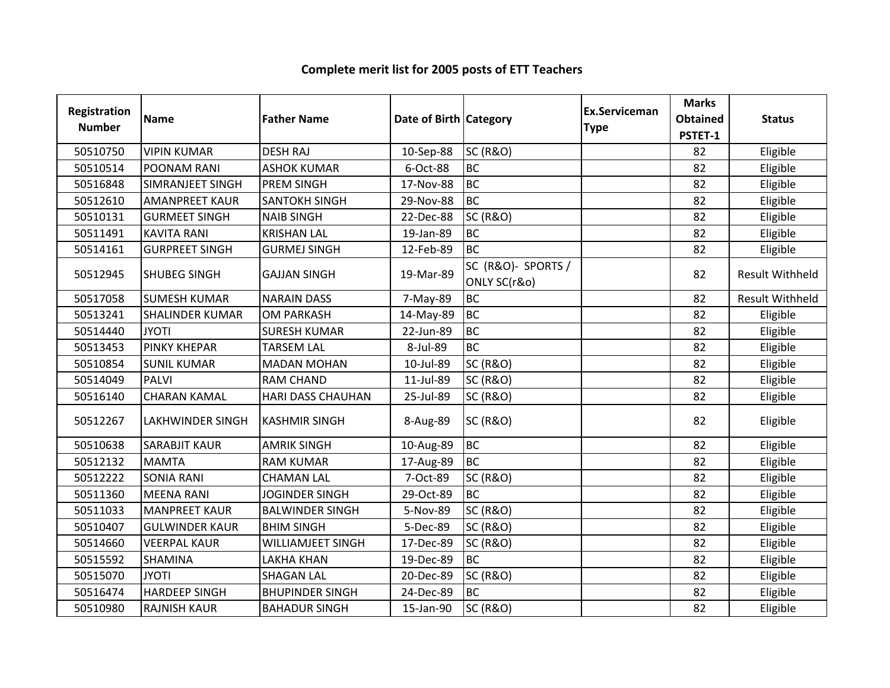| Registration<br><b>Number</b> | <b>Name</b>             | <b>Father Name</b>       | Date of Birth Category |                                    | <b>Ex.Serviceman</b><br><b>Type</b> | <b>Marks</b><br><b>Obtained</b><br>PSTET-1 | <b>Status</b>          |
|-------------------------------|-------------------------|--------------------------|------------------------|------------------------------------|-------------------------------------|--------------------------------------------|------------------------|
| 50510750                      | <b>VIPIN KUMAR</b>      | <b>DESH RAJ</b>          | 10-Sep-88              | <b>SC (R&amp;O)</b>                |                                     | 82                                         | Eligible               |
| 50510514                      | POONAM RANI             | <b>ASHOK KUMAR</b>       | 6-Oct-88               | <b>BC</b>                          |                                     | 82                                         | Eligible               |
| 50516848                      | <b>SIMRANJEET SINGH</b> | <b>PREM SINGH</b>        | 17-Nov-88              | <b>BC</b>                          |                                     | 82                                         | Eligible               |
| 50512610                      | <b>AMANPREET KAUR</b>   | <b>SANTOKH SINGH</b>     | 29-Nov-88              | <b>BC</b>                          |                                     | 82                                         | Eligible               |
| 50510131                      | <b>GURMEET SINGH</b>    | <b>NAIB SINGH</b>        | 22-Dec-88              | <b>SC (R&amp;O)</b>                |                                     | 82                                         | Eligible               |
| 50511491                      | <b>KAVITA RANI</b>      | <b>KRISHAN LAL</b>       | 19-Jan-89              | <b>BC</b>                          |                                     | 82                                         | Eligible               |
| 50514161                      | <b>GURPREET SINGH</b>   | <b>GURMEJ SINGH</b>      | 12-Feb-89              | <b>BC</b>                          |                                     | 82                                         | Eligible               |
| 50512945                      | <b>SHUBEG SINGH</b>     | <b>GAJJAN SINGH</b>      | 19-Mar-89              | SC (R&O)- SPORTS /<br>ONLY SC(r&o) |                                     | 82                                         | <b>Result Withheld</b> |
| 50517058                      | <b>SUMESH KUMAR</b>     | <b>NARAIN DASS</b>       | 7-May-89               | <b>BC</b>                          |                                     | 82                                         | <b>Result Withheld</b> |
| 50513241                      | <b>SHALINDER KUMAR</b>  | <b>OM PARKASH</b>        | 14-May-89              | <b>BC</b>                          |                                     | 82                                         | Eligible               |
| 50514440                      | <b>JYOTI</b>            | <b>SURESH KUMAR</b>      | 22-Jun-89              | <b>BC</b>                          |                                     | 82                                         | Eligible               |
| 50513453                      | <b>PINKY KHEPAR</b>     | <b>TARSEM LAL</b>        | 8-Jul-89               | <b>BC</b>                          |                                     | 82                                         | Eligible               |
| 50510854                      | <b>SUNIL KUMAR</b>      | <b>MADAN MOHAN</b>       | 10-Jul-89              | <b>SC (R&amp;O)</b>                |                                     | 82                                         | Eligible               |
| 50514049                      | <b>PALVI</b>            | <b>RAM CHAND</b>         | 11-Jul-89              | <b>SC (R&amp;O)</b>                |                                     | 82                                         | Eligible               |
| 50516140                      | <b>CHARAN KAMAL</b>     | <b>HARI DASS CHAUHAN</b> | 25-Jul-89              | <b>SC (R&amp;O)</b>                |                                     | 82                                         | Eligible               |
| 50512267                      | <b>LAKHWINDER SINGH</b> | <b>KASHMIR SINGH</b>     | 8-Aug-89               | <b>SC (R&amp;O)</b>                |                                     | 82                                         | Eligible               |
| 50510638                      | <b>SARABJIT KAUR</b>    | <b>AMRIK SINGH</b>       | 10-Aug-89              | <b>BC</b>                          |                                     | 82                                         | Eligible               |
| 50512132                      | <b>MAMTA</b>            | <b>RAM KUMAR</b>         | 17-Aug-89              | <b>BC</b>                          |                                     | 82                                         | Eligible               |
| 50512222                      | <b>SONIA RANI</b>       | <b>CHAMAN LAL</b>        | 7-Oct-89               | <b>SC (R&amp;O)</b>                |                                     | 82                                         | Eligible               |
| 50511360                      | <b>MEENA RANI</b>       | JOGINDER SINGH           | 29-Oct-89              | <b>BC</b>                          |                                     | 82                                         | Eligible               |
| 50511033                      | <b>MANPREET KAUR</b>    | <b>BALWINDER SINGH</b>   | 5-Nov-89               | <b>SC (R&amp;O)</b>                |                                     | 82                                         | Eligible               |
| 50510407                      | <b>GULWINDER KAUR</b>   | <b>BHIM SINGH</b>        | 5-Dec-89               | <b>SC (R&amp;O)</b>                |                                     | 82                                         | Eligible               |
| 50514660                      | <b>VEERPAL KAUR</b>     | <b>WILLIAMJEET SINGH</b> | 17-Dec-89              | <b>SC (R&amp;O)</b>                |                                     | 82                                         | Eligible               |
| 50515592                      | <b>SHAMINA</b>          | <b>LAKHA KHAN</b>        | 19-Dec-89              | <b>BC</b>                          |                                     | 82                                         | Eligible               |
| 50515070                      | <b>JYOTI</b>            | <b>SHAGAN LAL</b>        | 20-Dec-89              | <b>SC (R&amp;O)</b>                |                                     | 82                                         | Eligible               |
| 50516474                      | <b>HARDEEP SINGH</b>    | <b>BHUPINDER SINGH</b>   | 24-Dec-89              | <b>BC</b>                          |                                     | 82                                         | Eligible               |
| 50510980                      | <b>RAJNISH KAUR</b>     | <b>BAHADUR SINGH</b>     | 15-Jan-90              | <b>SC (R&amp;O)</b>                |                                     | 82                                         | Eligible               |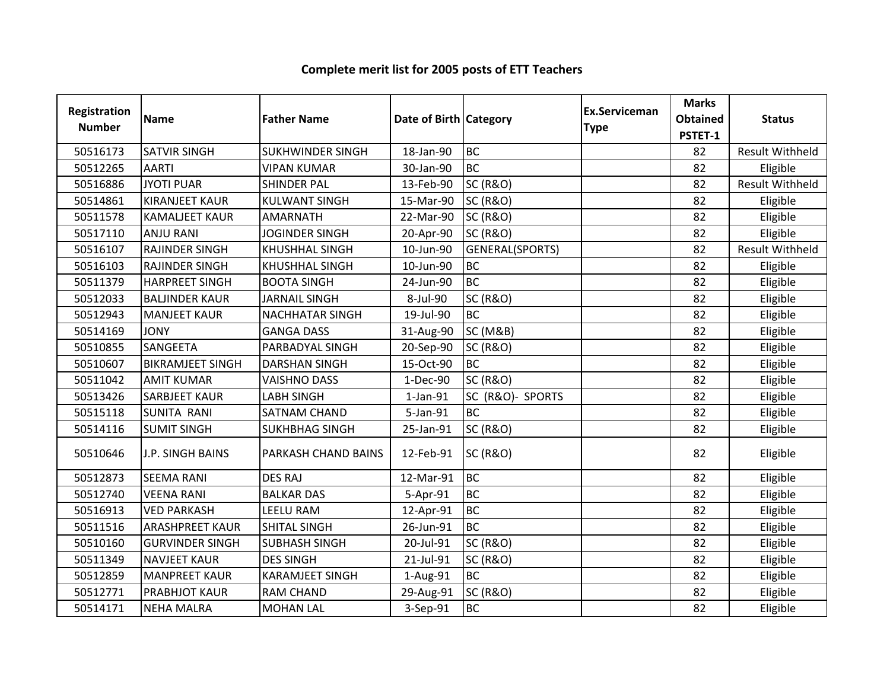| Registration<br><b>Number</b> | <b>Name</b>             | <b>Father Name</b>      | Date of Birth Category |                     | <b>Ex.Serviceman</b><br><b>Type</b> | <b>Marks</b><br><b>Obtained</b><br>PSTET-1 | <b>Status</b>          |
|-------------------------------|-------------------------|-------------------------|------------------------|---------------------|-------------------------------------|--------------------------------------------|------------------------|
| 50516173                      | <b>SATVIR SINGH</b>     | <b>SUKHWINDER SINGH</b> | 18-Jan-90              | <b>BC</b>           |                                     | 82                                         | <b>Result Withheld</b> |
| 50512265                      | <b>AARTI</b>            | <b>VIPAN KUMAR</b>      | 30-Jan-90              | <b>BC</b>           |                                     | 82                                         | Eligible               |
| 50516886                      | <b>JYOTI PUAR</b>       | <b>SHINDER PAL</b>      | 13-Feb-90              | <b>SC (R&amp;O)</b> |                                     | 82                                         | <b>Result Withheld</b> |
| 50514861                      | <b>KIRANJEET KAUR</b>   | <b>KULWANT SINGH</b>    | 15-Mar-90              | <b>SC (R&amp;O)</b> |                                     | 82                                         | Eligible               |
| 50511578                      | <b>KAMALJEET KAUR</b>   | <b>AMARNATH</b>         | 22-Mar-90              | <b>SC (R&amp;O)</b> |                                     | 82                                         | Eligible               |
| 50517110                      | <b>ANJU RANI</b>        | <b>JOGINDER SINGH</b>   | 20-Apr-90              | <b>SC (R&amp;O)</b> |                                     | 82                                         | Eligible               |
| 50516107                      | <b>RAJINDER SINGH</b>   | <b>KHUSHHAL SINGH</b>   | 10-Jun-90              | GENERAL(SPORTS)     |                                     | 82                                         | <b>Result Withheld</b> |
| 50516103                      | <b>RAJINDER SINGH</b>   | <b>KHUSHHAL SINGH</b>   | 10-Jun-90              | <b>BC</b>           |                                     | 82                                         | Eligible               |
| 50511379                      | <b>HARPREET SINGH</b>   | <b>BOOTA SINGH</b>      | 24-Jun-90              | <b>BC</b>           |                                     | 82                                         | Eligible               |
| 50512033                      | <b>BALJINDER KAUR</b>   | <b>JARNAIL SINGH</b>    | 8-Jul-90               | <b>SC (R&amp;O)</b> |                                     | 82                                         | Eligible               |
| 50512943                      | <b>MANJEET KAUR</b>     | <b>NACHHATAR SINGH</b>  | 19-Jul-90              | <b>BC</b>           |                                     | 82                                         | Eligible               |
| 50514169                      | <b>JONY</b>             | <b>GANGA DASS</b>       | 31-Aug-90              | <b>SC (M&amp;B)</b> |                                     | 82                                         | Eligible               |
| 50510855                      | <b>SANGEETA</b>         | PARBADYAL SINGH         | 20-Sep-90              | <b>SC (R&amp;O)</b> |                                     | 82                                         | Eligible               |
| 50510607                      | <b>BIKRAMJEET SINGH</b> | <b>DARSHAN SINGH</b>    | 15-Oct-90              | <b>BC</b>           |                                     | 82                                         | Eligible               |
| 50511042                      | <b>AMIT KUMAR</b>       | <b>VAISHNO DASS</b>     | 1-Dec-90               | <b>SC (R&amp;O)</b> |                                     | 82                                         | Eligible               |
| 50513426                      | <b>SARBJEET KAUR</b>    | LABH SINGH              | $1$ -Jan- $91$         | SC (R&O)- SPORTS    |                                     | 82                                         | Eligible               |
| 50515118                      | <b>SUNITA RANI</b>      | <b>SATNAM CHAND</b>     | 5-Jan-91               | <b>BC</b>           |                                     | 82                                         | Eligible               |
| 50514116                      | <b>SUMIT SINGH</b>      | <b>SUKHBHAG SINGH</b>   | 25-Jan-91              | <b>SC (R&amp;O)</b> |                                     | 82                                         | Eligible               |
| 50510646                      | <b>J.P. SINGH BAINS</b> | PARKASH CHAND BAINS     | 12-Feb-91              | <b>SC (R&amp;O)</b> |                                     | 82                                         | Eligible               |
| 50512873                      | <b>SEEMA RANI</b>       | <b>DES RAJ</b>          | 12-Mar-91              | <b>BC</b>           |                                     | 82                                         | Eligible               |
| 50512740                      | <b>VEENA RANI</b>       | <b>BALKAR DAS</b>       | 5-Apr-91               | <b>BC</b>           |                                     | 82                                         | Eligible               |
| 50516913                      | <b>VED PARKASH</b>      | <b>LEELU RAM</b>        | 12-Apr-91              | <b>BC</b>           |                                     | 82                                         | Eligible               |
| 50511516                      | <b>ARASHPREET KAUR</b>  | <b>SHITAL SINGH</b>     | 26-Jun-91              | <b>BC</b>           |                                     | 82                                         | Eligible               |
| 50510160                      | <b>GURVINDER SINGH</b>  | <b>SUBHASH SINGH</b>    | 20-Jul-91              | <b>SC (R&amp;O)</b> |                                     | 82                                         | Eligible               |
| 50511349                      | <b>NAVJEET KAUR</b>     | <b>DES SINGH</b>        | 21-Jul-91              | <b>SC (R&amp;O)</b> |                                     | 82                                         | Eligible               |
| 50512859                      | <b>MANPREET KAUR</b>    | <b>KARAMJEET SINGH</b>  | 1-Aug-91               | <b>BC</b>           |                                     | 82                                         | Eligible               |
| 50512771                      | PRABHJOT KAUR           | <b>RAM CHAND</b>        | 29-Aug-91              | <b>SC (R&amp;O)</b> |                                     | 82                                         | Eligible               |
| 50514171                      | <b>NEHA MALRA</b>       | <b>MOHAN LAL</b>        | 3-Sep-91               | <b>BC</b>           |                                     | 82                                         | Eligible               |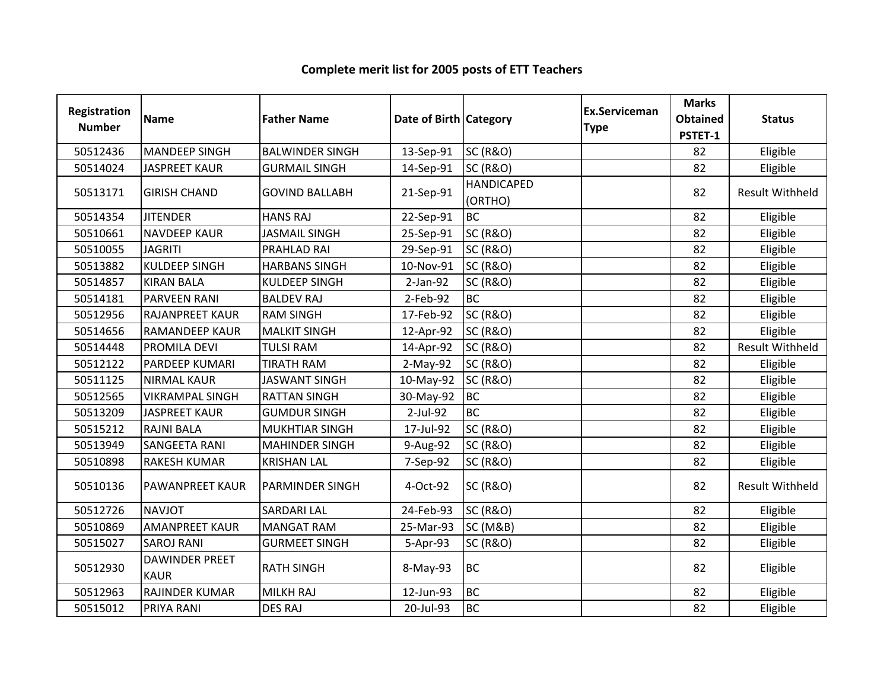| Registration<br><b>Number</b> | <b>Name</b>                          | <b>Father Name</b>     | Date of Birth Category |                              | <b>Ex.Serviceman</b><br><b>Type</b> | <b>Marks</b><br><b>Obtained</b><br>PSTET-1 | <b>Status</b>          |
|-------------------------------|--------------------------------------|------------------------|------------------------|------------------------------|-------------------------------------|--------------------------------------------|------------------------|
| 50512436                      | <b>MANDEEP SINGH</b>                 | <b>BALWINDER SINGH</b> | 13-Sep-91              | <b>SC (R&amp;O)</b>          |                                     | 82                                         | Eligible               |
| 50514024                      | <b>JASPREET KAUR</b>                 | <b>GURMAIL SINGH</b>   | 14-Sep-91              | <b>SC (R&amp;O)</b>          |                                     | 82                                         | Eligible               |
| 50513171                      | <b>GIRISH CHAND</b>                  | <b>GOVIND BALLABH</b>  | 21-Sep-91              | <b>HANDICAPED</b><br>(ORTHO) |                                     | 82                                         | <b>Result Withheld</b> |
| 50514354                      | <b>JITENDER</b>                      | <b>HANS RAJ</b>        | 22-Sep-91              | <b>BC</b>                    |                                     | 82                                         | Eligible               |
| 50510661                      | <b>NAVDEEP KAUR</b>                  | <b>JASMAIL SINGH</b>   | 25-Sep-91              | <b>SC (R&amp;O)</b>          |                                     | 82                                         | Eligible               |
| 50510055                      | <b>JAGRITI</b>                       | PRAHLAD RAI            | 29-Sep-91              | <b>SC (R&amp;O)</b>          |                                     | 82                                         | Eligible               |
| 50513882                      | <b>KULDEEP SINGH</b>                 | <b>HARBANS SINGH</b>   | 10-Nov-91              | <b>SC (R&amp;O)</b>          |                                     | 82                                         | Eligible               |
| 50514857                      | <b>KIRAN BALA</b>                    | <b>KULDEEP SINGH</b>   | $2-Jan-92$             | <b>SC (R&amp;O)</b>          |                                     | 82                                         | Eligible               |
| 50514181                      | <b>PARVEEN RANI</b>                  | <b>BALDEV RAJ</b>      | 2-Feb-92               | <b>BC</b>                    |                                     | 82                                         | Eligible               |
| 50512956                      | <b>RAJANPREET KAUR</b>               | <b>RAM SINGH</b>       | 17-Feb-92              | <b>SC (R&amp;O)</b>          |                                     | 82                                         | Eligible               |
| 50514656                      | <b>RAMANDEEP KAUR</b>                | <b>MALKIT SINGH</b>    | 12-Apr-92              | <b>SC (R&amp;O)</b>          |                                     | 82                                         | Eligible               |
| 50514448                      | PROMILA DEVI                         | <b>TULSI RAM</b>       | 14-Apr-92              | <b>SC (R&amp;O)</b>          |                                     | 82                                         | <b>Result Withheld</b> |
| 50512122                      | PARDEEP KUMARI                       | <b>TIRATH RAM</b>      | $2-May-92$             | <b>SC (R&amp;O)</b>          |                                     | 82                                         | Eligible               |
| 50511125                      | <b>NIRMAL KAUR</b>                   | <b>JASWANT SINGH</b>   | 10-May-92              | <b>SC (R&amp;O)</b>          |                                     | 82                                         | Eligible               |
| 50512565                      | <b>VIKRAMPAL SINGH</b>               | <b>RATTAN SINGH</b>    | 30-May-92              | <b>BC</b>                    |                                     | 82                                         | Eligible               |
| 50513209                      | <b>JASPREET KAUR</b>                 | <b>GUMDUR SINGH</b>    | 2-Jul-92               | <b>BC</b>                    |                                     | 82                                         | Eligible               |
| 50515212                      | <b>RAJNI BALA</b>                    | <b>MUKHTIAR SINGH</b>  | 17-Jul-92              | <b>SC (R&amp;O)</b>          |                                     | 82                                         | Eligible               |
| 50513949                      | <b>SANGEETA RANI</b>                 | <b>MAHINDER SINGH</b>  | 9-Aug-92               | <b>SC (R&amp;O)</b>          |                                     | 82                                         | Eligible               |
| 50510898                      | <b>RAKESH KUMAR</b>                  | <b>KRISHAN LAL</b>     | 7-Sep-92               | <b>SC (R&amp;O)</b>          |                                     | 82                                         | Eligible               |
| 50510136                      | <b>PAWANPREET KAUR</b>               | <b>PARMINDER SINGH</b> | 4-Oct-92               | <b>SC (R&amp;O)</b>          |                                     | 82                                         | <b>Result Withheld</b> |
| 50512726                      | <b>NAVJOT</b>                        | <b>SARDARI LAL</b>     | 24-Feb-93              | <b>SC (R&amp;O)</b>          |                                     | 82                                         | Eligible               |
| 50510869                      | <b>AMANPREET KAUR</b>                | <b>MANGAT RAM</b>      | 25-Mar-93              | <b>SC (M&amp;B)</b>          |                                     | 82                                         | Eligible               |
| 50515027                      | <b>SAROJ RANI</b>                    | <b>GURMEET SINGH</b>   | 5-Apr-93               | <b>SC (R&amp;O)</b>          |                                     | 82                                         | Eligible               |
| 50512930                      | <b>DAWINDER PREET</b><br><b>KAUR</b> | <b>RATH SINGH</b>      | 8-May-93               | <b>BC</b>                    |                                     | 82                                         | Eligible               |
| 50512963                      | <b>RAJINDER KUMAR</b>                | <b>MILKH RAJ</b>       | 12-Jun-93              | <b>BC</b>                    |                                     | 82                                         | Eligible               |
| 50515012                      | PRIYA RANI                           | <b>DES RAJ</b>         | 20-Jul-93              | <b>BC</b>                    |                                     | 82                                         | Eligible               |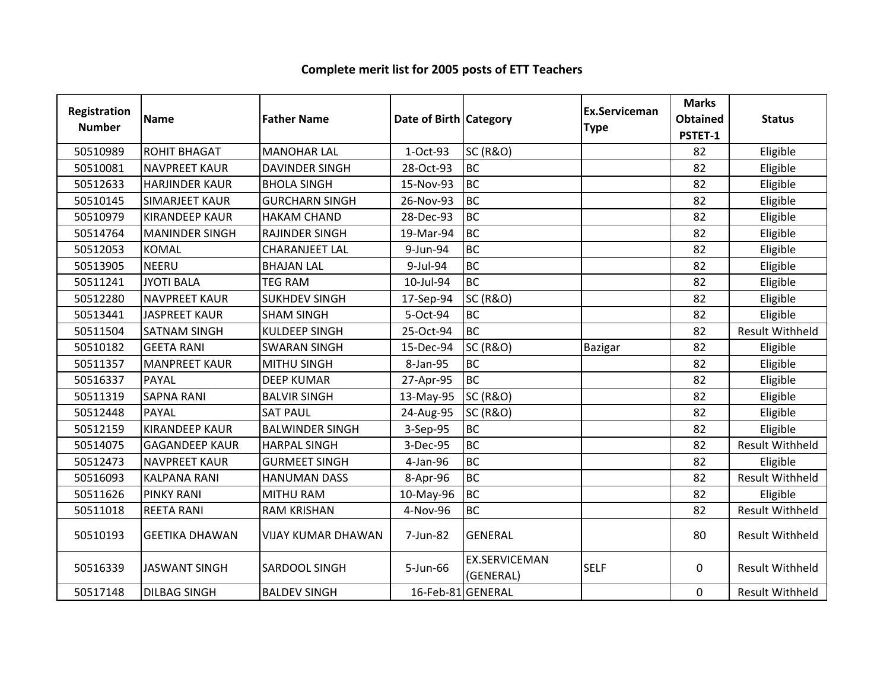| Registration<br><b>Number</b> | <b>Name</b>           | <b>Father Name</b>        | Date of Birth Category |                                   | Ex.Serviceman<br><b>Type</b> | <b>Marks</b><br><b>Obtained</b><br>PSTET-1 | <b>Status</b>          |
|-------------------------------|-----------------------|---------------------------|------------------------|-----------------------------------|------------------------------|--------------------------------------------|------------------------|
| 50510989                      | <b>ROHIT BHAGAT</b>   | <b>MANOHAR LAL</b>        | 1-Oct-93               | <b>SC (R&amp;O)</b>               |                              | 82                                         | Eligible               |
| 50510081                      | <b>NAVPREET KAUR</b>  | <b>DAVINDER SINGH</b>     | 28-Oct-93              | <b>BC</b>                         |                              | 82                                         | Eligible               |
| 50512633                      | <b>HARJINDER KAUR</b> | <b>BHOLA SINGH</b>        | 15-Nov-93              | <b>BC</b>                         |                              | 82                                         | Eligible               |
| 50510145                      | <b>SIMARJEET KAUR</b> | <b>GURCHARN SINGH</b>     | 26-Nov-93              | BC                                |                              | 82                                         | Eligible               |
| 50510979                      | <b>KIRANDEEP KAUR</b> | <b>HAKAM CHAND</b>        | 28-Dec-93              | <b>BC</b>                         |                              | 82                                         | Eligible               |
| 50514764                      | <b>MANINDER SINGH</b> | <b>RAJINDER SINGH</b>     | 19-Mar-94              | <b>BC</b>                         |                              | 82                                         | Eligible               |
| 50512053                      | <b>KOMAL</b>          | <b>CHARANJEET LAL</b>     | 9-Jun-94               | <b>BC</b>                         |                              | 82                                         | Eligible               |
| 50513905                      | <b>NEERU</b>          | <b>BHAJAN LAL</b>         | 9-Jul-94               | BC                                |                              | 82                                         | Eligible               |
| 50511241                      | <b>JYOTI BALA</b>     | <b>TEG RAM</b>            | 10-Jul-94              | <b>BC</b>                         |                              | 82                                         | Eligible               |
| 50512280                      | <b>NAVPREET KAUR</b>  | <b>SUKHDEV SINGH</b>      | 17-Sep-94              | <b>SC (R&amp;O)</b>               |                              | 82                                         | Eligible               |
| 50513441                      | <b>JASPREET KAUR</b>  | <b>SHAM SINGH</b>         | 5-Oct-94               | <b>BC</b>                         |                              | 82                                         | Eligible               |
| 50511504                      | <b>SATNAM SINGH</b>   | <b>KULDEEP SINGH</b>      | 25-Oct-94              | BC                                |                              | 82                                         | <b>Result Withheld</b> |
| 50510182                      | <b>GEETA RANI</b>     | <b>SWARAN SINGH</b>       | 15-Dec-94              | <b>SC (R&amp;O)</b>               | Bazigar                      | 82                                         | Eligible               |
| 50511357                      | <b>MANPREET KAUR</b>  | <b>MITHU SINGH</b>        | 8-Jan-95               | <b>BC</b>                         |                              | 82                                         | Eligible               |
| 50516337                      | <b>PAYAL</b>          | <b>DEEP KUMAR</b>         | 27-Apr-95              | <b>BC</b>                         |                              | 82                                         | Eligible               |
| 50511319                      | <b>SAPNA RANI</b>     | <b>BALVIR SINGH</b>       | 13-May-95              | <b>SC (R&amp;O)</b>               |                              | 82                                         | Eligible               |
| 50512448                      | <b>PAYAL</b>          | <b>SAT PAUL</b>           | 24-Aug-95              | <b>SC (R&amp;O)</b>               |                              | 82                                         | Eligible               |
| 50512159                      | <b>KIRANDEEP KAUR</b> | <b>BALWINDER SINGH</b>    | 3-Sep-95               | <b>BC</b>                         |                              | 82                                         | Eligible               |
| 50514075                      | <b>GAGANDEEP KAUR</b> | <b>HARPAL SINGH</b>       | 3-Dec-95               | <b>BC</b>                         |                              | 82                                         | <b>Result Withheld</b> |
| 50512473                      | <b>NAVPREET KAUR</b>  | <b>GURMEET SINGH</b>      | 4-Jan-96               | <b>BC</b>                         |                              | 82                                         | Eligible               |
| 50516093                      | <b>KALPANA RANI</b>   | <b>HANUMAN DASS</b>       | 8-Apr-96               | <b>BC</b>                         |                              | 82                                         | <b>Result Withheld</b> |
| 50511626                      | <b>PINKY RANI</b>     | <b>MITHU RAM</b>          | 10-May-96              | <b>BC</b>                         |                              | 82                                         | Eligible               |
| 50511018                      | <b>REETA RANI</b>     | <b>RAM KRISHAN</b>        | 4-Nov-96               | <b>BC</b>                         |                              | 82                                         | <b>Result Withheld</b> |
| 50510193                      | <b>GEETIKA DHAWAN</b> | <b>VIJAY KUMAR DHAWAN</b> | 7-Jun-82               | <b>GENERAL</b>                    |                              | 80                                         | <b>Result Withheld</b> |
| 50516339                      | <b>JASWANT SINGH</b>  | <b>SARDOOL SINGH</b>      | 5-Jun-66               | <b>EX.SERVICEMAN</b><br>(GENERAL) | <b>SELF</b>                  | $\mathbf 0$                                | <b>Result Withheld</b> |
| 50517148                      | <b>DILBAG SINGH</b>   | <b>BALDEV SINGH</b>       | 16-Feb-81 GENERAL      |                                   |                              | $\Omega$                                   | <b>Result Withheld</b> |